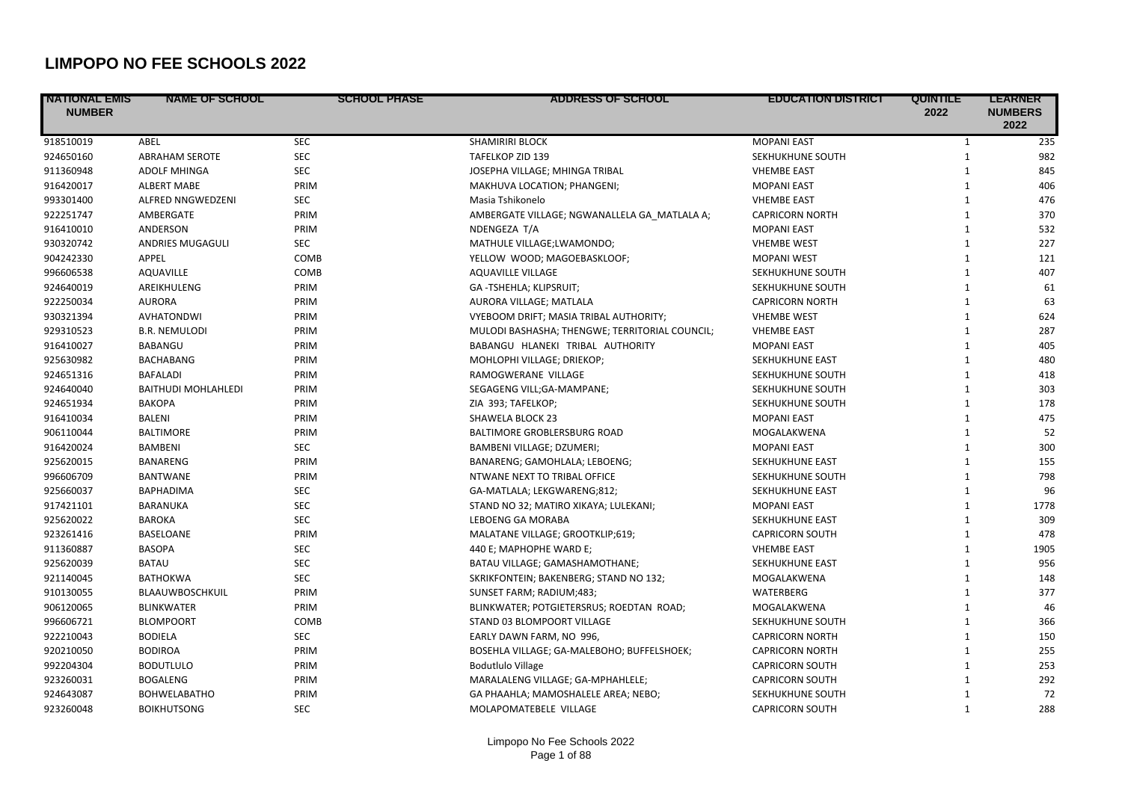## **LIMPOPO NO FEE SCHOOLS 2022**

| <b>NATIONAL EMIS</b><br><b>NUMBER</b> | <b>NAME OF SCHOOL</b>      | <b>SCHOOL PHASE</b> | ADDRESS OF SCHOOL                              | <b>EDUCATION DISTRICT</b> | <b>QUINTILE</b><br>2022 | <b>LEARNER</b><br><b>NUMBERS</b><br>2022 |
|---------------------------------------|----------------------------|---------------------|------------------------------------------------|---------------------------|-------------------------|------------------------------------------|
| 918510019                             | ABEL                       | <b>SEC</b>          | <b>SHAMIRIRI BLOCK</b>                         | <b>MOPANI EAST</b>        | $\mathbf{1}$            | 235                                      |
| 924650160                             | <b>ABRAHAM SEROTE</b>      | <b>SEC</b>          | TAFELKOP ZID 139                               | SEKHUKHUNE SOUTH          | $\mathbf{1}$            | 982                                      |
| 911360948                             | <b>ADOLF MHINGA</b>        | <b>SEC</b>          | JOSEPHA VILLAGE; MHINGA TRIBAL                 | <b>VHEMBE EAST</b>        | $\mathbf{1}$            | 845                                      |
| 916420017                             | <b>ALBERT MABE</b>         | PRIM                | MAKHUVA LOCATION; PHANGENI;                    | <b>MOPANI EAST</b>        | 1                       | 406                                      |
| 993301400                             | <b>ALFRED NNGWEDZENI</b>   | <b>SEC</b>          | Masia Tshikonelo                               | <b>VHEMBE EAST</b>        | $\mathbf{1}$            | 476                                      |
| 922251747                             | AMBERGATE                  | PRIM                | AMBERGATE VILLAGE; NGWANALLELA GA MATLALA A;   | <b>CAPRICORN NORTH</b>    | $\mathbf{1}$            | 370                                      |
| 916410010                             | ANDERSON                   | PRIM                | NDENGEZA T/A                                   | <b>MOPANI EAST</b>        | $\mathbf{1}$            | 532                                      |
| 930320742                             | ANDRIES MUGAGULI           | <b>SEC</b>          | MATHULE VILLAGE;LWAMONDO;                      | <b>VHEMBE WEST</b>        | $\mathbf{1}$            | 227                                      |
| 904242330                             | APPEL                      | COMB                | YELLOW WOOD; MAGOEBASKLOOF;                    | <b>MOPANI WEST</b>        | 1                       | 121                                      |
| 996606538                             | <b>AQUAVILLE</b>           | COMB                | <b>AQUAVILLE VILLAGE</b>                       | SEKHUKHUNE SOUTH          | 1                       | 407                                      |
| 924640019                             | AREIKHULENG                | PRIM                | GA-TSHEHLA; KLIPSRUIT;                         | SEKHUKHUNE SOUTH          | $\mathbf{1}$            | 61                                       |
| 922250034                             | <b>AURORA</b>              | PRIM                | AURORA VILLAGE; MATLALA                        | <b>CAPRICORN NORTH</b>    | $\mathbf{1}$            | 63                                       |
| 930321394                             | <b>AVHATONDWI</b>          | PRIM                | VYEBOOM DRIFT; MASIA TRIBAL AUTHORITY;         | <b>VHEMBE WEST</b>        | $\mathbf{1}$            | 624                                      |
| 929310523                             | <b>B.R. NEMULODI</b>       | PRIM                | MULODI BASHASHA; THENGWE; TERRITORIAL COUNCIL; | <b>VHEMBE EAST</b>        | $\mathbf{1}$            | 287                                      |
| 916410027                             | BABANGU                    | PRIM                | BABANGU HLANEKI TRIBAL AUTHORITY               | <b>MOPANI EAST</b>        | 1                       | 405                                      |
| 925630982                             | <b>BACHABANG</b>           | PRIM                | MOHLOPHI VILLAGE; DRIEKOP;                     | <b>SEKHUKHUNE EAST</b>    | 1                       | 480                                      |
| 924651316                             | <b>BAFALADI</b>            | PRIM                | RAMOGWERANE VILLAGE                            | SEKHUKHUNE SOUTH          | $\mathbf{1}$            | 418                                      |
| 924640040                             | <b>BAITHUDI MOHLAHLEDI</b> | PRIM                | SEGAGENG VILL;GA-MAMPANE;                      | SEKHUKHUNE SOUTH          | 1                       | 303                                      |
| 924651934                             | <b>BAKOPA</b>              | PRIM                | ZIA 393; TAFELKOP;                             | SEKHUKHUNE SOUTH          | $\mathbf{1}$            | 178                                      |
| 916410034                             | BALENI                     | PRIM                | <b>SHAWELA BLOCK 23</b>                        | <b>MOPANI EAST</b>        | $\mathbf{1}$            | 475                                      |
| 906110044                             | <b>BALTIMORE</b>           | PRIM                | BALTIMORE GROBLERSBURG ROAD                    | MOGALAKWENA               | $\mathbf{1}$            | 52                                       |
| 916420024                             | <b>BAMBENI</b>             | <b>SEC</b>          | BAMBENI VILLAGE; DZUMERI;                      | <b>MOPANI EAST</b>        | 1                       | 300                                      |
| 925620015                             | <b>BANARENG</b>            | PRIM                | BANARENG; GAMOHLALA; LEBOENG;                  | SEKHUKHUNE EAST           | $\mathbf{1}$            | 155                                      |
| 996606709                             | <b>BANTWANE</b>            | PRIM                | NTWANE NEXT TO TRIBAL OFFICE                   | SEKHUKHUNE SOUTH          | 1                       | 798                                      |
| 925660037                             | BAPHADIMA                  | <b>SEC</b>          | GA-MATLALA; LEKGWARENG;812;                    | SEKHUKHUNE EAST           | $\mathbf{1}$            | 96                                       |
| 917421101                             | BARANUKA                   | <b>SEC</b>          | STAND NO 32; MATIRO XIKAYA; LULEKANI;          | <b>MOPANI EAST</b>        | 1                       | 1778                                     |
| 925620022                             | <b>BAROKA</b>              | <b>SEC</b>          | LEBOENG GA MORABA                              | SEKHUKHUNE EAST           | $\mathbf{1}$            | 309                                      |
| 923261416                             | BASELOANE                  | PRIM                | MALATANE VILLAGE; GROOTKLIP;619;               | <b>CAPRICORN SOUTH</b>    | $\mathbf{1}$            | 478                                      |
| 911360887                             | <b>BASOPA</b>              | <b>SEC</b>          | 440 E; MAPHOPHE WARD E;                        | <b>VHEMBE EAST</b>        | $\mathbf{1}$            | 1905                                     |
| 925620039                             | <b>BATAU</b>               | <b>SEC</b>          | BATAU VILLAGE; GAMASHAMOTHANE;                 | SEKHUKHUNE EAST           | $\mathbf{1}$            | 956                                      |
| 921140045                             | <b>BATHOKWA</b>            | <b>SEC</b>          | SKRIKFONTEIN; BAKENBERG; STAND NO 132;         | MOGALAKWENA               | $\mathbf{1}$            | 148                                      |
| 910130055                             | BLAAUWBOSCHKUIL            | PRIM                | SUNSET FARM; RADIUM;483;                       | WATERBERG                 | $\mathbf{1}$            | 377                                      |
| 906120065                             | <b>BLINKWATER</b>          | PRIM                | BLINKWATER; POTGIETERSRUS; ROEDTAN ROAD;       | MOGALAKWENA               | $\mathbf{1}$            | 46                                       |
| 996606721                             | <b>BLOMPOORT</b>           | COMB                | STAND 03 BLOMPOORT VILLAGE                     | SEKHUKHUNE SOUTH          | 1                       | 366                                      |
| 922210043                             | <b>BODIELA</b>             | <b>SEC</b>          | EARLY DAWN FARM, NO 996,                       | <b>CAPRICORN NORTH</b>    | 1                       | 150                                      |
| 920210050                             | <b>BODIROA</b>             | PRIM                | BOSEHLA VILLAGE; GA-MALEBOHO; BUFFELSHOEK;     | <b>CAPRICORN NORTH</b>    | 1                       | 255                                      |
| 992204304                             | <b>BODUTLULO</b>           | PRIM                | <b>Bodutlulo Village</b>                       | <b>CAPRICORN SOUTH</b>    | $\mathbf{1}$            | 253                                      |
| 923260031                             | <b>BOGALENG</b>            | PRIM                | MARALALENG VILLAGE; GA-MPHAHLELE;              | <b>CAPRICORN SOUTH</b>    | 1                       | 292                                      |
| 924643087                             | <b>BOHWELABATHO</b>        | PRIM                | GA PHAAHLA; MAMOSHALELE AREA; NEBO;            | SEKHUKHUNE SOUTH          | 1                       | 72                                       |
| 923260048                             | <b>BOIKHUTSONG</b>         | <b>SEC</b>          | MOLAPOMATEBELE VILLAGE                         | <b>CAPRICORN SOUTH</b>    | 1                       | 288                                      |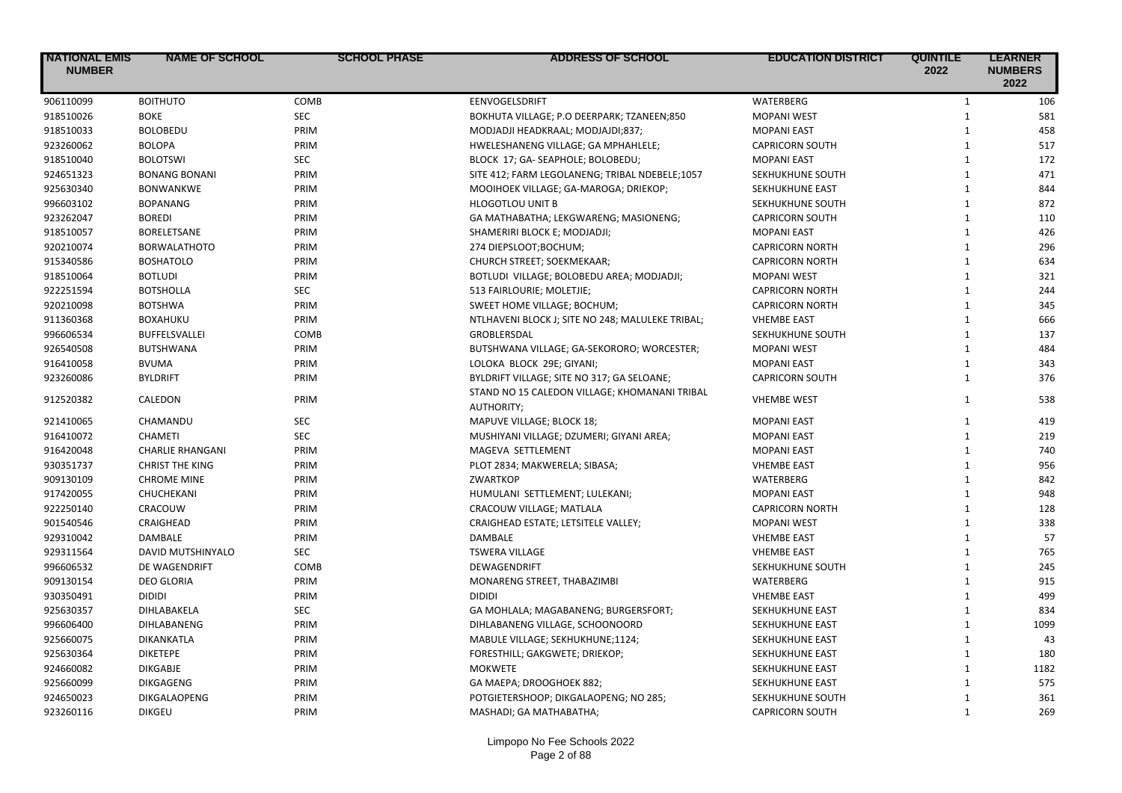| <b>NATIONAL EMIS</b><br><b>NUMBER</b> | <b>NAME OF SCHOOL</b>   | <b>SCHOOL PHASE</b> | <b>ADDRESS OF SCHOOL</b>                                    | <b>EDUCATION DISTRICT</b> | <b>QUINTILE</b><br>2022 | <b>LEARNER</b><br><b>NUMBERS</b><br>2022 |
|---------------------------------------|-------------------------|---------------------|-------------------------------------------------------------|---------------------------|-------------------------|------------------------------------------|
| 906110099                             | <b>BOITHUTO</b>         | COMB                | EENVOGELSDRIFT                                              | WATERBERG                 | $\mathbf{1}$            | 106                                      |
| 918510026                             | <b>BOKE</b>             | <b>SEC</b>          | BOKHUTA VILLAGE; P.O DEERPARK; TZANEEN;850                  | <b>MOPANI WEST</b>        | $\mathbf{1}$            | 581                                      |
| 918510033                             | <b>BOLOBEDU</b>         | PRIM                | MODJADJI HEADKRAAL; MODJAJDI;837;                           | <b>MOPANI EAST</b>        | $\mathbf{1}$            | 458                                      |
| 923260062                             | <b>BOLOPA</b>           | PRIM                | HWELESHANENG VILLAGE; GA MPHAHLELE;                         | <b>CAPRICORN SOUTH</b>    | $\mathbf{1}$            | 517                                      |
| 918510040                             | <b>BOLOTSWI</b>         | <b>SEC</b>          | BLOCK 17; GA- SEAPHOLE; BOLOBEDU;                           | <b>MOPANI EAST</b>        | $\mathbf{1}$            | 172                                      |
| 924651323                             | <b>BONANG BONANI</b>    | PRIM                | SITE 412; FARM LEGOLANENG; TRIBAL NDEBELE;1057              | SEKHUKHUNE SOUTH          | $\mathbf{1}$            | 471                                      |
| 925630340                             | <b>BONWANKWE</b>        | PRIM                | MOOIHOEK VILLAGE; GA-MAROGA; DRIEKOP;                       | SEKHUKHUNE EAST           | $\mathbf{1}$            | 844                                      |
| 996603102                             | <b>BOPANANG</b>         | PRIM                | <b>HLOGOTLOU UNIT B</b>                                     | SEKHUKHUNE SOUTH          | $\mathbf{1}$            | 872                                      |
| 923262047                             | <b>BOREDI</b>           | PRIM                | GA MATHABATHA; LEKGWARENG; MASIONENG;                       | <b>CAPRICORN SOUTH</b>    | $\mathbf{1}$            | 110                                      |
| 918510057                             | <b>BORELETSANE</b>      | PRIM                | SHAMERIRI BLOCK E; MODJADJI;                                | <b>MOPANI EAST</b>        | $\mathbf{1}$            | 426                                      |
| 920210074                             | <b>BORWALATHOTO</b>     | PRIM                | 274 DIEPSLOOT;BOCHUM;                                       | <b>CAPRICORN NORTH</b>    | $\mathbf{1}$            | 296                                      |
| 915340586                             | <b>BOSHATOLO</b>        | PRIM                | CHURCH STREET; SOEKMEKAAR;                                  | <b>CAPRICORN NORTH</b>    | $\mathbf{1}$            | 634                                      |
| 918510064                             | <b>BOTLUDI</b>          | PRIM                | BOTLUDI VILLAGE; BOLOBEDU AREA; MODJADJI;                   | <b>MOPANI WEST</b>        | $\mathbf{1}$            | 321                                      |
| 922251594                             | <b>BOTSHOLLA</b>        | SEC                 | 513 FAIRLOURIE; MOLETJIE;                                   | <b>CAPRICORN NORTH</b>    | $\mathbf{1}$            | 244                                      |
| 920210098                             | <b>BOTSHWA</b>          | PRIM                | SWEET HOME VILLAGE; BOCHUM;                                 | <b>CAPRICORN NORTH</b>    | $\mathbf{1}$            | 345                                      |
| 911360368                             | <b>BOXAHUKU</b>         | PRIM                | NTLHAVENI BLOCK J; SITE NO 248; MALULEKE TRIBAL;            | <b>VHEMBE EAST</b>        | $\mathbf{1}$            | 666                                      |
| 996606534                             | <b>BUFFELSVALLEI</b>    | COMB                | <b>GROBLERSDAL</b>                                          | SEKHUKHUNE SOUTH          | $\mathbf{1}$            | 137                                      |
| 926540508                             | <b>BUTSHWANA</b>        | PRIM                | BUTSHWANA VILLAGE; GA-SEKORORO; WORCESTER;                  | <b>MOPANI WEST</b>        | $\mathbf{1}$            | 484                                      |
| 916410058                             | <b>BVUMA</b>            | PRIM                | LOLOKA BLOCK 29E; GIYANI;                                   | <b>MOPANI EAST</b>        | $\mathbf{1}$            | 343                                      |
| 923260086                             | <b>BYLDRIFT</b>         | PRIM                | BYLDRIFT VILLAGE; SITE NO 317; GA SELOANE;                  | <b>CAPRICORN SOUTH</b>    | $\mathbf{1}$            | 376                                      |
| 912520382                             | CALEDON                 | PRIM                | STAND NO 15 CALEDON VILLAGE; KHOMANANI TRIBAL<br>AUTHORITY; | <b>VHEMBE WEST</b>        | 1                       | 538                                      |
| 921410065                             | CHAMANDU                | <b>SEC</b>          | MAPUVE VILLAGE; BLOCK 18;                                   | <b>MOPANI EAST</b>        | $\mathbf{1}$            | 419                                      |
| 916410072                             | <b>CHAMETI</b>          | <b>SEC</b>          | MUSHIYANI VILLAGE; DZUMERI; GIYANI AREA;                    | <b>MOPANI EAST</b>        | $\mathbf{1}$            | 219                                      |
| 916420048                             | <b>CHARLIE RHANGANI</b> | PRIM                | MAGEVA SETTLEMENT                                           | <b>MOPANI EAST</b>        | $\mathbf{1}$            | 740                                      |
| 930351737                             | <b>CHRIST THE KING</b>  | PRIM                | PLOT 2834; MAKWERELA; SIBASA;                               | <b>VHEMBE EAST</b>        | $\mathbf{1}$            | 956                                      |
| 909130109                             | <b>CHROME MINE</b>      | PRIM                | <b>ZWARTKOP</b>                                             | WATERBERG                 | $\mathbf{1}$            | 842                                      |
| 917420055                             | CHUCHEKANI              | PRIM                | HUMULANI SETTLEMENT; LULEKANI;                              | <b>MOPANI EAST</b>        | $\mathbf{1}$            | 948                                      |
| 922250140                             | CRACOUW                 | PRIM                | CRACOUW VILLAGE; MATLALA                                    | <b>CAPRICORN NORTH</b>    | $\mathbf{1}$            | 128                                      |
| 901540546                             | CRAIGHEAD               | PRIM                | CRAIGHEAD ESTATE; LETSITELE VALLEY;                         | <b>MOPANI WEST</b>        | $\mathbf{1}$            | 338                                      |
| 929310042                             | <b>DAMBALE</b>          | PRIM                | <b>DAMBALE</b>                                              | <b>VHEMBE EAST</b>        | $\mathbf{1}$            | 57                                       |
| 929311564                             | DAVID MUTSHINYALO       | <b>SEC</b>          | <b>TSWERA VILLAGE</b>                                       | <b>VHEMBE EAST</b>        | $\mathbf{1}$            | 765                                      |
| 996606532                             | DE WAGENDRIFT           | COMB                | DEWAGENDRIFT                                                | SEKHUKHUNE SOUTH          | $\mathbf{1}$            | 245                                      |
| 909130154                             | <b>DEO GLORIA</b>       | PRIM                | MONARENG STREET, THABAZIMBI                                 | WATERBERG                 | $\mathbf{1}$            | 915                                      |
| 930350491                             | <b>DIDIDI</b>           | PRIM                | <b>DIDIDI</b>                                               | <b>VHEMBE EAST</b>        | $\mathbf{1}$            | 499                                      |
| 925630357                             | DIHLABAKELA             | <b>SEC</b>          | GA MOHLALA; MAGABANENG; BURGERSFORT;                        | SEKHUKHUNE EAST           | $\mathbf{1}$            | 834                                      |
| 996606400                             | DIHLABANENG             | PRIM                | DIHLABANENG VILLAGE, SCHOONOORD                             | SEKHUKHUNE EAST           | $\mathbf{1}$            | 1099                                     |
| 925660075                             | DIKANKATLA              | PRIM                | MABULE VILLAGE; SEKHUKHUNE;1124;                            | SEKHUKHUNE EAST           | $\mathbf{1}$            | 43                                       |
| 925630364                             | <b>DIKETEPE</b>         | PRIM                | FORESTHILL; GAKGWETE; DRIEKOP;                              | SEKHUKHUNE EAST           | $\mathbf{1}$            | 180                                      |
| 924660082                             | <b>DIKGABJE</b>         | PRIM                | <b>MOKWETE</b>                                              | SEKHUKHUNE EAST           | $\mathbf{1}$            | 1182                                     |
| 925660099                             | DIKGAGENG               | PRIM                | GA MAEPA; DROOGHOEK 882;                                    | SEKHUKHUNE EAST           | $\mathbf{1}$            | 575                                      |
| 924650023                             | DIKGALAOPENG            | PRIM                | POTGIETERSHOOP; DIKGALAOPENG; NO 285;                       | SEKHUKHUNE SOUTH          | $\mathbf{1}$            | 361                                      |
| 923260116                             | <b>DIKGEU</b>           | PRIM                | MASHADI; GA MATHABATHA;                                     | <b>CAPRICORN SOUTH</b>    | $\mathbf{1}$            | 269                                      |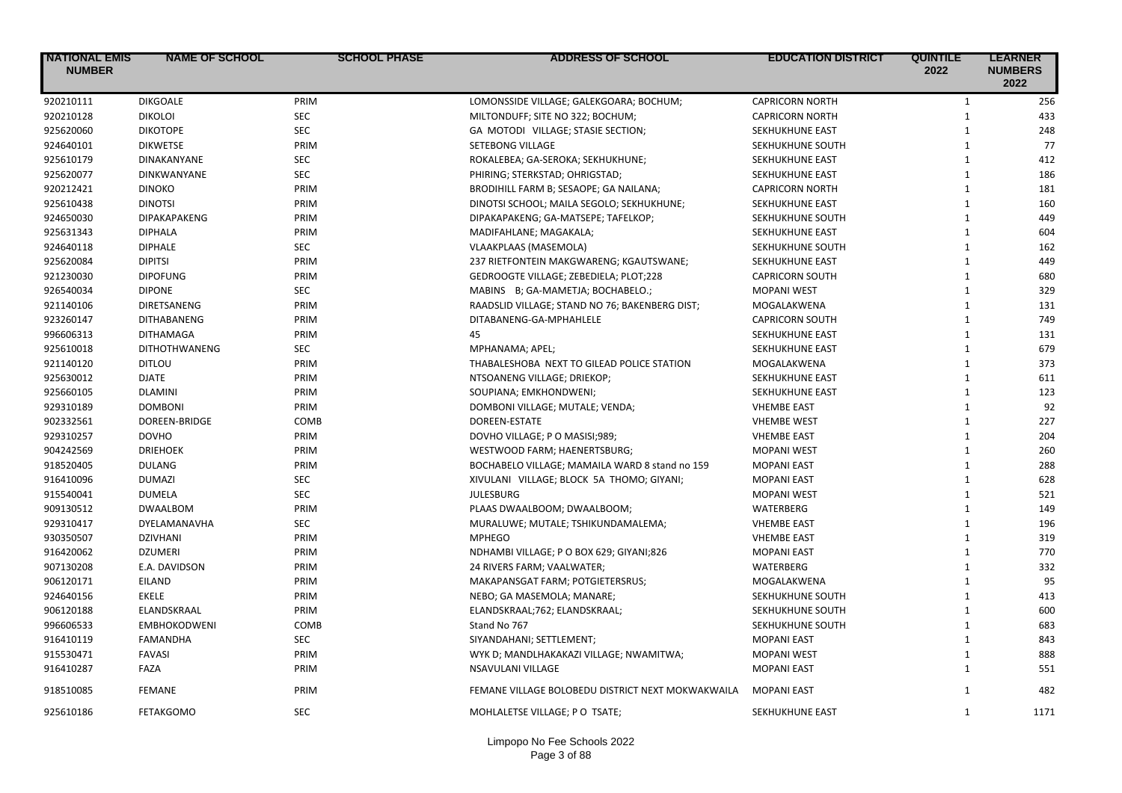| <b>NATIONAL EMIS</b><br><b>NUMBER</b> | <b>NAME OF SCHOOL</b> | <b>SCHOOL PHASE</b> | <b>ADDRESS OF SCHOOL</b>                          | <b>EDUCATION DISTRICT</b> | <b>QUINTILE</b><br>2022 | <b>LEARNER</b><br><b>NUMBERS</b><br>2022 |
|---------------------------------------|-----------------------|---------------------|---------------------------------------------------|---------------------------|-------------------------|------------------------------------------|
| 920210111                             | <b>DIKGOALE</b>       | PRIM                | LOMONSSIDE VILLAGE; GALEKGOARA; BOCHUM;           | <b>CAPRICORN NORTH</b>    | $\mathbf{1}$            | 256                                      |
| 920210128                             | <b>DIKOLOI</b>        | <b>SEC</b>          | MILTONDUFF; SITE NO 322; BOCHUM;                  | <b>CAPRICORN NORTH</b>    | $\mathbf{1}$            | 433                                      |
| 925620060                             | <b>DIKOTOPE</b>       | <b>SEC</b>          | GA MOTODI VILLAGE; STASIE SECTION;                | SEKHUKHUNE EAST           | $\mathbf{1}$            | 248                                      |
| 924640101                             | <b>DIKWETSE</b>       | PRIM                | <b>SETEBONG VILLAGE</b>                           | SEKHUKHUNE SOUTH          | $\mathbf{1}$            | 77                                       |
| 925610179                             | <b>DINAKANYANE</b>    | <b>SEC</b>          | ROKALEBEA; GA-SEROKA; SEKHUKHUNE;                 | SEKHUKHUNE EAST           | $\mathbf{1}$            | 412                                      |
| 925620077                             | DINKWANYANE           | <b>SEC</b>          | PHIRING; STERKSTAD; OHRIGSTAD;                    | SEKHUKHUNE EAST           | $\mathbf{1}$            | 186                                      |
| 920212421                             | <b>DINOKO</b>         | PRIM                | BRODIHILL FARM B; SESAOPE; GA NAILANA;            | <b>CAPRICORN NORTH</b>    | $\mathbf{1}$            | 181                                      |
| 925610438                             | <b>DINOTSI</b>        | PRIM                | DINOTSI SCHOOL; MAILA SEGOLO; SEKHUKHUNE;         | SEKHUKHUNE EAST           | $\mathbf{1}$            | 160                                      |
| 924650030                             | DIPAKAPAKENG          | PRIM                | DIPAKAPAKENG; GA-MATSEPE; TAFELKOP;               | SEKHUKHUNE SOUTH          | $\mathbf{1}$            | 449                                      |
| 925631343                             | <b>DIPHALA</b>        | PRIM                | MADIFAHLANE; MAGAKALA;                            | SEKHUKHUNE EAST           | $\mathbf{1}$            | 604                                      |
| 924640118                             | <b>DIPHALE</b>        | <b>SEC</b>          | VLAAKPLAAS (MASEMOLA)                             | SEKHUKHUNE SOUTH          | $\mathbf{1}$            | 162                                      |
| 925620084                             | <b>DIPITSI</b>        | PRIM                | 237 RIETFONTEIN MAKGWARENG; KGAUTSWANE;           | <b>SEKHUKHUNE EAST</b>    | $\mathbf{1}$            | 449                                      |
| 921230030                             | <b>DIPOFUNG</b>       | PRIM                | GEDROOGTE VILLAGE; ZEBEDIELA; PLOT;228            | <b>CAPRICORN SOUTH</b>    | $\mathbf{1}$            | 680                                      |
| 926540034                             | <b>DIPONE</b>         | <b>SEC</b>          | MABINS B; GA-MAMETJA; BOCHABELO.;                 | <b>MOPANI WEST</b>        | $\mathbf{1}$            | 329                                      |
| 921140106                             | DIRETSANENG           | PRIM                | RAADSLID VILLAGE; STAND NO 76; BAKENBERG DIST;    | MOGALAKWENA               | $\mathbf{1}$            | 131                                      |
| 923260147                             | <b>DITHABANENG</b>    | PRIM                | DITABANENG-GA-MPHAHLELE                           | <b>CAPRICORN SOUTH</b>    | $\mathbf{1}$            | 749                                      |
| 996606313                             | <b>DITHAMAGA</b>      | PRIM                | 45                                                | SEKHUKHUNE EAST           | $\mathbf{1}$            | 131                                      |
| 925610018                             | <b>DITHOTHWANENG</b>  | <b>SEC</b>          | MPHANAMA; APEL;                                   | SEKHUKHUNE EAST           | $\mathbf{1}$            | 679                                      |
| 921140120                             | <b>DITLOU</b>         | PRIM                | THABALESHOBA NEXT TO GILEAD POLICE STATION        | MOGALAKWENA               | $\mathbf{1}$            | 373                                      |
| 925630012                             | <b>DJATE</b>          | PRIM                | NTSOANENG VILLAGE; DRIEKOP;                       | SEKHUKHUNE EAST           | $\mathbf{1}$            | 611                                      |
| 925660105                             | <b>DLAMINI</b>        | PRIM                | SOUPIANA; EMKHONDWENI;                            | SEKHUKHUNE EAST           | $\mathbf{1}$            | 123                                      |
| 929310189                             | <b>DOMBONI</b>        | PRIM                | DOMBONI VILLAGE; MUTALE; VENDA;                   | <b>VHEMBE EAST</b>        | $\mathbf{1}$            | 92                                       |
| 902332561                             | DOREEN-BRIDGE         | COMB                | DOREEN-ESTATE                                     | <b>VHEMBE WEST</b>        | $\mathbf{1}$            | 227                                      |
| 929310257                             | <b>DOVHO</b>          | PRIM                | DOVHO VILLAGE; P O MASISI;989;                    | <b>VHEMBE EAST</b>        | $\mathbf{1}$            | 204                                      |
| 904242569                             | <b>DRIEHOEK</b>       | PRIM                | WESTWOOD FARM; HAENERTSBURG;                      | <b>MOPANI WEST</b>        | $\mathbf{1}$            | 260                                      |
| 918520405                             | <b>DULANG</b>         | PRIM                | BOCHABELO VILLAGE; MAMAILA WARD 8 stand no 159    | <b>MOPANI EAST</b>        | $\mathbf{1}$            | 288                                      |
| 916410096                             | <b>DUMAZI</b>         | <b>SEC</b>          | XIVULANI VILLAGE; BLOCK 5A THOMO; GIYANI;         | <b>MOPANI EAST</b>        | $\mathbf{1}$            | 628                                      |
| 915540041                             | <b>DUMELA</b>         | <b>SEC</b>          | <b>JULESBURG</b>                                  | <b>MOPANI WEST</b>        | $\mathbf{1}$            | 521                                      |
| 909130512                             | <b>DWAALBOM</b>       | PRIM                | PLAAS DWAALBOOM; DWAALBOOM;                       | WATERBERG                 | $\mathbf{1}$            | 149                                      |
| 929310417                             | DYELAMANAVHA          | <b>SEC</b>          | MURALUWE; MUTALE; TSHIKUNDAMALEMA;                | <b>VHEMBE EAST</b>        | $\mathbf{1}$            | 196                                      |
| 930350507                             | <b>DZIVHANI</b>       | PRIM                | <b>MPHEGO</b>                                     | <b>VHEMBE EAST</b>        | $\mathbf{1}$            | 319                                      |
| 916420062                             | <b>DZUMERI</b>        | PRIM                | NDHAMBI VILLAGE; P O BOX 629; GIYANI;826          | <b>MOPANI EAST</b>        | $\mathbf{1}$            | 770                                      |
| 907130208                             | E.A. DAVIDSON         | PRIM                | 24 RIVERS FARM; VAALWATER;                        | WATERBERG                 | $\mathbf{1}$            | 332                                      |
| 906120171                             | EILAND                | PRIM                | MAKAPANSGAT FARM; POTGIETERSRUS;                  | MOGALAKWENA               | $\mathbf{1}$            | 95                                       |
| 924640156                             | <b>EKELE</b>          | PRIM                | NEBO; GA MASEMOLA; MANARE;                        | SEKHUKHUNE SOUTH          | $\mathbf{1}$            | 413                                      |
| 906120188                             | ELANDSKRAAL           | PRIM                | ELANDSKRAAL;762; ELANDSKRAAL;                     | SEKHUKHUNE SOUTH          | $\mathbf{1}$            | 600                                      |
| 996606533                             | <b>EMBHOKODWENI</b>   | COMB                | Stand No 767                                      | SEKHUKHUNE SOUTH          | $\mathbf{1}$            | 683                                      |
| 916410119                             | <b>FAMANDHA</b>       | <b>SEC</b>          | SIYANDAHANI; SETTLEMENT;                          | <b>MOPANI EAST</b>        | $\mathbf{1}$            | 843                                      |
| 915530471                             | <b>FAVASI</b>         | PRIM                | WYK D; MANDLHAKAKAZI VILLAGE; NWAMITWA;           | <b>MOPANI WEST</b>        | $\mathbf{1}$            | 888                                      |
| 916410287                             | FAZA                  | PRIM                | NSAVULANI VILLAGE                                 | <b>MOPANI EAST</b>        | $\mathbf{1}$            | 551                                      |
| 918510085                             | <b>FEMANE</b>         | PRIM                | FEMANE VILLAGE BOLOBEDU DISTRICT NEXT MOKWAKWAILA | <b>MOPANI EAST</b>        | 1                       | 482                                      |
| 925610186                             | <b>FETAKGOMO</b>      | <b>SEC</b>          | MOHLALETSE VILLAGE; P O TSATE;                    | SEKHUKHUNE EAST           | $\mathbf{1}$            | 1171                                     |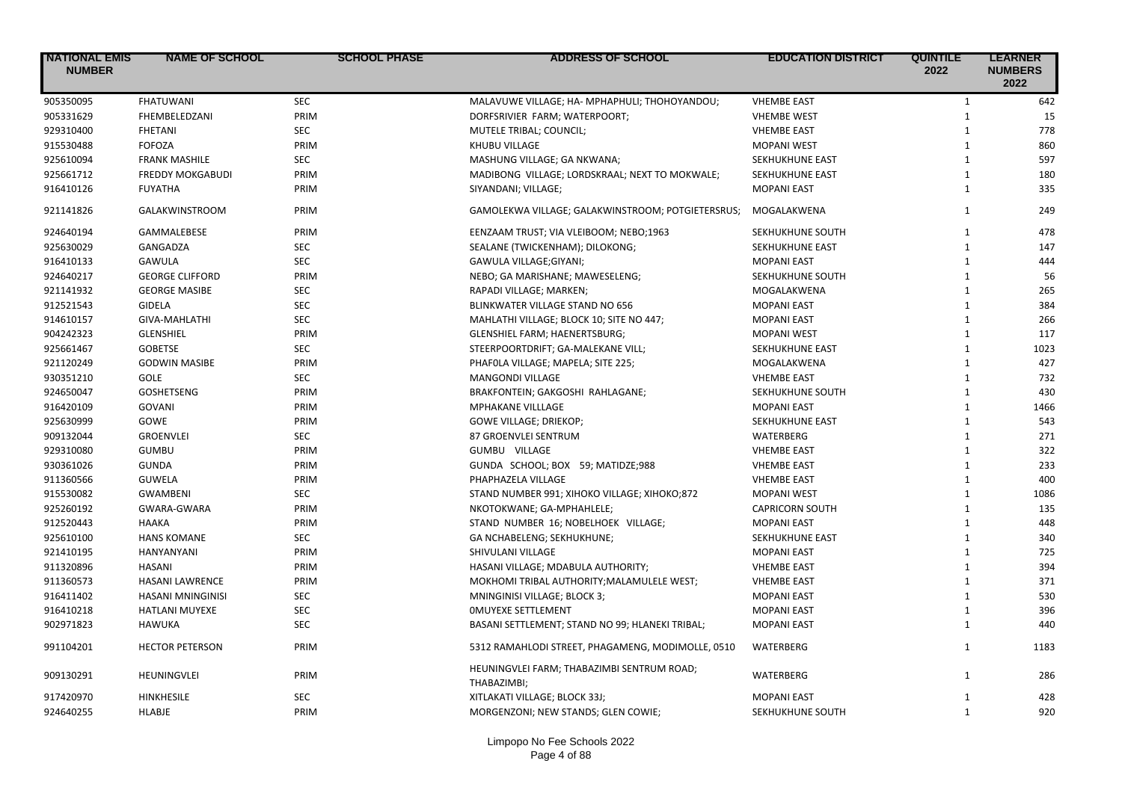| <b>NATIONAL EMIS</b><br><b>NUMBER</b> | <b>NAME OF SCHOOL</b>    | <b>SCHOOL PHASE</b> | <b>ADDRESS OF SCHOOL</b>                                  | <b>EDUCATION DISTRICT</b> | <b>QUINTILE</b><br>2022 | <b>LEARNER</b><br><b>NUMBERS</b><br>2022 |
|---------------------------------------|--------------------------|---------------------|-----------------------------------------------------------|---------------------------|-------------------------|------------------------------------------|
| 905350095                             | <b>FHATUWANI</b>         | <b>SEC</b>          | MALAVUWE VILLAGE; HA- MPHAPHULI; THOHOYANDOU;             | <b>VHEMBE EAST</b>        | $\mathbf{1}$            | 642                                      |
| 905331629                             | FHEMBELEDZANI            | PRIM                | DORFSRIVIER FARM; WATERPOORT;                             | <b>VHEMBE WEST</b>        | $\mathbf{1}$            | 15                                       |
| 929310400                             | <b>FHETANI</b>           | <b>SEC</b>          | MUTELE TRIBAL; COUNCIL;                                   | <b>VHEMBE EAST</b>        | $\mathbf{1}$            | 778                                      |
| 915530488                             | <b>FOFOZA</b>            | PRIM                | KHUBU VILLAGE                                             | <b>MOPANI WEST</b>        | $\mathbf{1}$            | 860                                      |
| 925610094                             | <b>FRANK MASHILE</b>     | <b>SEC</b>          | MASHUNG VILLAGE; GA NKWANA;                               | SEKHUKHUNE EAST           | $\mathbf{1}$            | 597                                      |
| 925661712                             | <b>FREDDY MOKGABUDI</b>  | PRIM                | MADIBONG VILLAGE; LORDSKRAAL; NEXT TO MOKWALE;            | SEKHUKHUNE EAST           | $\mathbf{1}$            | 180                                      |
| 916410126                             | <b>FUYATHA</b>           | PRIM                | SIYANDANI; VILLAGE;                                       | <b>MOPANI EAST</b>        | $\mathbf{1}$            | 335                                      |
| 921141826                             | <b>GALAKWINSTROOM</b>    | PRIM                | GAMOLEKWA VILLAGE; GALAKWINSTROOM; POTGIETERSRUS;         | MOGALAKWENA               | $\mathbf{1}$            | 249                                      |
| 924640194                             | GAMMALEBESE              | PRIM                | EENZAAM TRUST; VIA VLEIBOOM; NEBO;1963                    | SEKHUKHUNE SOUTH          | $\mathbf{1}$            | 478                                      |
| 925630029                             | GANGADZA                 | <b>SEC</b>          | SEALANE (TWICKENHAM); DILOKONG;                           | SEKHUKHUNE EAST           | $\mathbf{1}$            | 147                                      |
| 916410133                             | GAWULA                   | <b>SEC</b>          | GAWULA VILLAGE;GIYANI;                                    | <b>MOPANI EAST</b>        | $\mathbf{1}$            | 444                                      |
| 924640217                             | <b>GEORGE CLIFFORD</b>   | PRIM                | NEBO; GA MARISHANE; MAWESELENG;                           | SEKHUKHUNE SOUTH          | $\mathbf{1}$            | 56                                       |
| 921141932                             | <b>GEORGE MASIBE</b>     | <b>SEC</b>          | RAPADI VILLAGE; MARKEN;                                   | MOGALAKWENA               | $\mathbf{1}$            | 265                                      |
| 912521543                             | <b>GIDELA</b>            | <b>SEC</b>          | BLINKWATER VILLAGE STAND NO 656                           | <b>MOPANI EAST</b>        | $\mathbf{1}$            | 384                                      |
| 914610157                             | GIVA-MAHLATHI            | <b>SEC</b>          | MAHLATHI VILLAGE; BLOCK 10; SITE NO 447;                  | <b>MOPANI EAST</b>        | $\mathbf{1}$            | 266                                      |
| 904242323                             | <b>GLENSHIEL</b>         | PRIM                | GLENSHIEL FARM; HAENERTSBURG;                             | <b>MOPANI WEST</b>        | $\mathbf{1}$            | 117                                      |
| 925661467                             | <b>GOBETSE</b>           | <b>SEC</b>          | STEERPOORTDRIFT; GA-MALEKANE VILL;                        | SEKHUKHUNE EAST           | $\mathbf{1}$            | 1023                                     |
| 921120249                             | <b>GODWIN MASIBE</b>     | PRIM                | PHAFOLA VILLAGE; MAPELA; SITE 225;                        | MOGALAKWENA               | $\mathbf{1}$            | 427                                      |
| 930351210                             | <b>GOLE</b>              | <b>SEC</b>          | <b>MANGONDI VILLAGE</b>                                   | <b>VHEMBE EAST</b>        | $\mathbf{1}$            | 732                                      |
| 924650047                             | GOSHETSENG               | PRIM                | BRAKFONTEIN; GAKGOSHI RAHLAGANE;                          | SEKHUKHUNE SOUTH          | $\mathbf{1}$            | 430                                      |
| 916420109                             | <b>GOVANI</b>            | PRIM                | <b>MPHAKANE VILLLAGE</b>                                  | <b>MOPANI EAST</b>        | $\mathbf{1}$            | 1466                                     |
| 925630999                             | GOWE                     | PRIM                | GOWE VILLAGE; DRIEKOP;                                    | SEKHUKHUNE EAST           | $\mathbf{1}$            | 543                                      |
| 909132044                             | <b>GROENVLEI</b>         | <b>SEC</b>          | 87 GROENVLEI SENTRUM                                      | <b>WATERBERG</b>          | $\mathbf{1}$            | 271                                      |
| 929310080                             | <b>GUMBU</b>             | PRIM                | GUMBU VILLAGE                                             | <b>VHEMBE EAST</b>        | $\mathbf{1}$            | 322                                      |
| 930361026                             | <b>GUNDA</b>             | PRIM                | GUNDA SCHOOL; BOX 59; MATIDZE;988                         | <b>VHEMBE EAST</b>        | $\mathbf{1}$            | 233                                      |
| 911360566                             | <b>GUWELA</b>            | PRIM                | PHAPHAZELA VILLAGE                                        | <b>VHEMBE EAST</b>        | $\mathbf{1}$            | 400                                      |
| 915530082                             | <b>GWAMBENI</b>          | <b>SEC</b>          | STAND NUMBER 991; XIHOKO VILLAGE; XIHOKO;872              | <b>MOPANI WEST</b>        | $\mathbf{1}$            | 1086                                     |
| 925260192                             | GWARA-GWARA              | PRIM                | NKOTOKWANE; GA-MPHAHLELE;                                 | <b>CAPRICORN SOUTH</b>    | $\mathbf{1}$            | 135                                      |
| 912520443                             | <b>HAAKA</b>             | PRIM                | STAND NUMBER 16; NOBELHOEK VILLAGE;                       | <b>MOPANI EAST</b>        | $\mathbf{1}$            | 448                                      |
| 925610100                             | <b>HANS KOMANE</b>       | <b>SEC</b>          | GA NCHABELENG; SEKHUKHUNE;                                | SEKHUKHUNE EAST           | $\mathbf{1}$            | 340                                      |
| 921410195                             | HANYANYANI               | PRIM                | SHIVULANI VILLAGE                                         | <b>MOPANI EAST</b>        | $\mathbf{1}$            | 725                                      |
| 911320896                             | HASANI                   | PRIM                | HASANI VILLAGE; MDABULA AUTHORITY;                        | <b>VHEMBE EAST</b>        | $\mathbf{1}$            | 394                                      |
| 911360573                             | <b>HASANI LAWRENCE</b>   | PRIM                | MOKHOMI TRIBAL AUTHORITY; MALAMULELE WEST;                | <b>VHEMBE EAST</b>        | $\mathbf{1}$            | 371                                      |
| 916411402                             | <b>HASANI MNINGINISI</b> | <b>SEC</b>          | <b>MNINGINISI VILLAGE; BLOCK 3;</b>                       | <b>MOPANI EAST</b>        | $\mathbf{1}$            | 530                                      |
| 916410218                             | <b>HATLANI MUYEXE</b>    | <b>SEC</b>          | <b>OMUYEXE SETTLEMENT</b>                                 | <b>MOPANI EAST</b>        | $\mathbf{1}$            | 396                                      |
| 902971823                             | HAWUKA                   | <b>SEC</b>          | BASANI SETTLEMENT; STAND NO 99; HLANEKI TRIBAL;           | <b>MOPANI EAST</b>        | $\mathbf{1}$            | 440                                      |
| 991104201                             | <b>HECTOR PETERSON</b>   | PRIM                | 5312 RAMAHLODI STREET, PHAGAMENG, MODIMOLLE, 0510         | WATERBERG                 | $\mathbf{1}$            | 1183                                     |
| 909130291                             | <b>HEUNINGVLEI</b>       | PRIM                | HEUNINGVLEI FARM; THABAZIMBI SENTRUM ROAD;<br>THABAZIMBI; | <b>WATERBERG</b>          | $\mathbf{1}$            | 286                                      |
| 917420970                             | <b>HINKHESILE</b>        | <b>SEC</b>          | XITLAKATI VILLAGE; BLOCK 33J;                             | <b>MOPANI EAST</b>        | 1                       | 428                                      |
| 924640255                             | HLABJE                   | PRIM                | MORGENZONI; NEW STANDS; GLEN COWIE;                       | SEKHUKHUNE SOUTH          | $\mathbf{1}$            | 920                                      |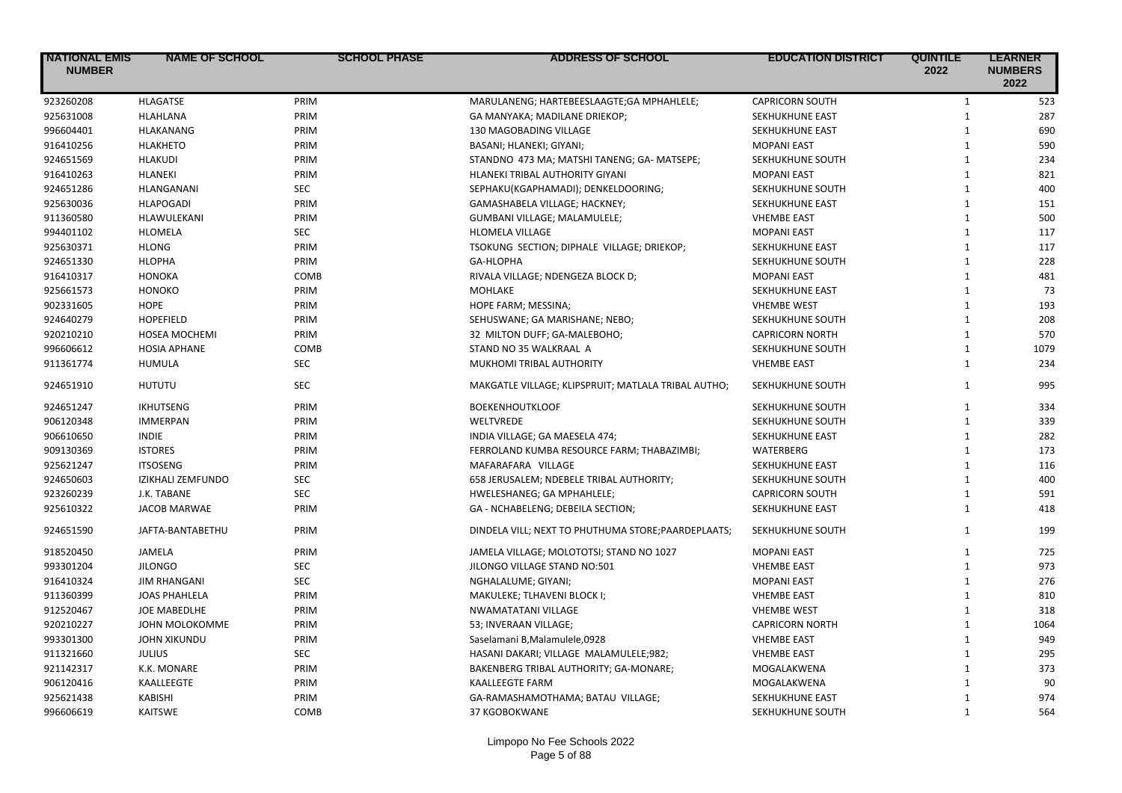| <b>NATIONAL EMIS</b><br><b>NUMBER</b> | <b>NAME OF SCHOOL</b>    | <b>SCHOOL PHASE</b> | <b>ADDRESS OF SCHOOL</b>                            | <b>EDUCATION DISTRICT</b> | <b>QUINTILE</b><br>2022 | <b>LEARNER</b><br><b>NUMBERS</b><br>2022 |
|---------------------------------------|--------------------------|---------------------|-----------------------------------------------------|---------------------------|-------------------------|------------------------------------------|
| 923260208                             | <b>HLAGATSE</b>          | PRIM                | MARULANENG; HARTEBEESLAAGTE; GA MPHAHLELE;          | <b>CAPRICORN SOUTH</b>    | $\mathbf{1}$            | 523                                      |
| 925631008                             | HLAHLANA                 | PRIM                | GA MANYAKA; MADILANE DRIEKOP;                       | SEKHUKHUNE EAST           | $\mathbf{1}$            | 287                                      |
| 996604401                             | <b>HLAKANANG</b>         | PRIM                | 130 MAGOBADING VILLAGE                              | SEKHUKHUNE EAST           | $\mathbf{1}$            | 690                                      |
| 916410256                             | <b>HLAKHETO</b>          | PRIM                | BASANI; HLANEKI; GIYANI;                            | <b>MOPANI EAST</b>        | $\mathbf{1}$            | 590                                      |
| 924651569                             | <b>HLAKUDI</b>           | PRIM                | STANDNO 473 MA; MATSHI TANENG; GA- MATSEPE;         | SEKHUKHUNE SOUTH          | $\mathbf{1}$            | 234                                      |
| 916410263                             | <b>HLANEKI</b>           | PRIM                | HLANEKI TRIBAL AUTHORITY GIYANI                     | <b>MOPANI EAST</b>        | $\mathbf{1}$            | 821                                      |
| 924651286                             | HLANGANANI               | <b>SEC</b>          | SEPHAKU(KGAPHAMADI); DENKELDOORING;                 | SEKHUKHUNE SOUTH          | $\mathbf{1}$            | 400                                      |
| 925630036                             | <b>HLAPOGADI</b>         | PRIM                | GAMASHABELA VILLAGE; HACKNEY;                       | SEKHUKHUNE EAST           | $\mathbf{1}$            | 151                                      |
| 911360580                             | HLAWULEKANI              | PRIM                | GUMBANI VILLAGE; MALAMULELE;                        | <b>VHEMBE EAST</b>        | $\mathbf{1}$            | 500                                      |
| 994401102                             | HLOMELA                  | <b>SEC</b>          | <b>HLOMELA VILLAGE</b>                              | <b>MOPANI EAST</b>        | $\mathbf{1}$            | 117                                      |
| 925630371                             | <b>HLONG</b>             | PRIM                | TSOKUNG SECTION; DIPHALE VILLAGE; DRIEKOP;          | SEKHUKHUNE EAST           | $\mathbf{1}$            | 117                                      |
| 924651330                             | <b>HLOPHA</b>            | PRIM                | GA-HLOPHA                                           | SEKHUKHUNE SOUTH          | $\mathbf{1}$            | 228                                      |
| 916410317                             | HONOKA                   | COMB                | RIVALA VILLAGE; NDENGEZA BLOCK D;                   | <b>MOPANI EAST</b>        | $\mathbf{1}$            | 481                                      |
| 925661573                             | <b>HONOKO</b>            | PRIM                | MOHLAKE                                             | SEKHUKHUNE EAST           | $\mathbf{1}$            | 73                                       |
| 902331605                             | <b>HOPE</b>              | PRIM                | HOPE FARM; MESSINA;                                 | <b>VHEMBE WEST</b>        | $\mathbf{1}$            | 193                                      |
| 924640279                             | HOPEFIELD                | PRIM                | SEHUSWANE; GA MARISHANE; NEBO;                      | SEKHUKHUNE SOUTH          | $\mathbf{1}$            | 208                                      |
| 920210210                             | <b>HOSEA MOCHEMI</b>     | PRIM                | 32 MILTON DUFF; GA-MALEBOHO;                        | <b>CAPRICORN NORTH</b>    | $\mathbf{1}$            | 570                                      |
| 996606612                             | <b>HOSIA APHANE</b>      | COMB                | STAND NO 35 WALKRAAL A                              | SEKHUKHUNE SOUTH          | $\mathbf{1}$            | 1079                                     |
| 911361774                             | <b>HUMULA</b>            | <b>SEC</b>          | MUKHOMI TRIBAL AUTHORITY                            | <b>VHEMBE EAST</b>        | $\mathbf{1}$            | 234                                      |
| 924651910                             | <b>HUTUTU</b>            | <b>SEC</b>          | MAKGATLE VILLAGE; KLIPSPRUIT; MATLALA TRIBAL AUTHO; | SEKHUKHUNE SOUTH          | $\mathbf{1}$            | 995                                      |
| 924651247                             | <b>IKHUTSENG</b>         | PRIM                | <b>BOEKENHOUTKLOOF</b>                              | SEKHUKHUNE SOUTH          | $\mathbf{1}$            | 334                                      |
| 906120348                             | <b>IMMERPAN</b>          | PRIM                | WELTVREDE                                           | SEKHUKHUNE SOUTH          | $\mathbf{1}$            | 339                                      |
| 906610650                             | <b>INDIE</b>             | PRIM                | INDIA VILLAGE; GA MAESELA 474;                      | SEKHUKHUNE EAST           | $\mathbf{1}$            | 282                                      |
| 909130369                             | <b>ISTORES</b>           | PRIM                | FERROLAND KUMBA RESOURCE FARM; THABAZIMBI;          | <b>WATERBERG</b>          | $\mathbf{1}$            | 173                                      |
| 925621247                             | <b>ITSOSENG</b>          | PRIM                | MAFARAFARA VILLAGE                                  | SEKHUKHUNE EAST           | $\mathbf{1}$            | 116                                      |
| 924650603                             | <b>IZIKHALI ZEMFUNDO</b> | <b>SEC</b>          | 658 JERUSALEM; NDEBELE TRIBAL AUTHORITY;            | SEKHUKHUNE SOUTH          | $\mathbf{1}$            | 400                                      |
| 923260239                             | J.K. TABANE              | <b>SEC</b>          | HWELESHANEG; GA MPHAHLELE;                          | <b>CAPRICORN SOUTH</b>    | $\mathbf{1}$            | 591                                      |
| 925610322                             | <b>JACOB MARWAE</b>      | PRIM                | GA - NCHABELENG; DEBEILA SECTION;                   | <b>SEKHUKHUNE EAST</b>    | $\mathbf{1}$            | 418                                      |
| 924651590                             | JAFTA-BANTABETHU         | PRIM                | DINDELA VILL; NEXT TO PHUTHUMA STORE; PAARDEPLAATS; | SEKHUKHUNE SOUTH          | $\mathbf{1}$            | 199                                      |
| 918520450                             | JAMELA                   | PRIM                | JAMELA VILLAGE; MOLOTOTSI; STAND NO 1027            | <b>MOPANI EAST</b>        | $\mathbf{1}$            | 725                                      |
| 993301204                             | <b>JILONGO</b>           | <b>SEC</b>          | JILONGO VILLAGE STAND NO:501                        | <b>VHEMBE EAST</b>        | $\mathbf{1}$            | 973                                      |
| 916410324                             | <b>JIM RHANGANI</b>      | <b>SEC</b>          | NGHALALUME; GIYANI;                                 | <b>MOPANI EAST</b>        | $\mathbf{1}$            | 276                                      |
| 911360399                             | <b>JOAS PHAHLELA</b>     | PRIM                | MAKULEKE; TLHAVENI BLOCK I;                         | <b>VHEMBE EAST</b>        | $\mathbf{1}$            | 810                                      |
| 912520467                             | <b>JOE MABEDLHE</b>      | PRIM                | NWAMATATANI VILLAGE                                 | <b>VHEMBE WEST</b>        | $\mathbf{1}$            | 318                                      |
| 920210227                             | JOHN MOLOKOMME           | PRIM                | 53; INVERAAN VILLAGE;                               | <b>CAPRICORN NORTH</b>    | $\mathbf{1}$            | 1064                                     |
| 993301300                             | <b>JOHN XIKUNDU</b>      | PRIM                | Saselamani B, Malamulele, 0928                      | <b>VHEMBE EAST</b>        | $\mathbf{1}$            | 949                                      |
| 911321660                             | <b>JULIUS</b>            | <b>SEC</b>          | HASANI DAKARI; VILLAGE MALAMULELE;982;              | <b>VHEMBE EAST</b>        | $\mathbf{1}$            | 295                                      |
| 921142317                             | K.K. MONARE              | PRIM                | BAKENBERG TRIBAL AUTHORITY; GA-MONARE;              | MOGALAKWENA               | $\mathbf{1}$            | 373                                      |
| 906120416                             | KAALLEEGTE               | PRIM                | <b>KAALLEEGTE FARM</b>                              | MOGALAKWENA               | $\mathbf{1}$            | 90                                       |
| 925621438                             | <b>KABISHI</b>           | PRIM                | GA-RAMASHAMOTHAMA; BATAU VILLAGE;                   | SEKHUKHUNE EAST           | $\mathbf{1}$            | 974                                      |
| 996606619                             | <b>KAITSWE</b>           | COMB                | 37 KGOBOKWANE                                       | SEKHUKHUNE SOUTH          | $\mathbf{1}$            | 564                                      |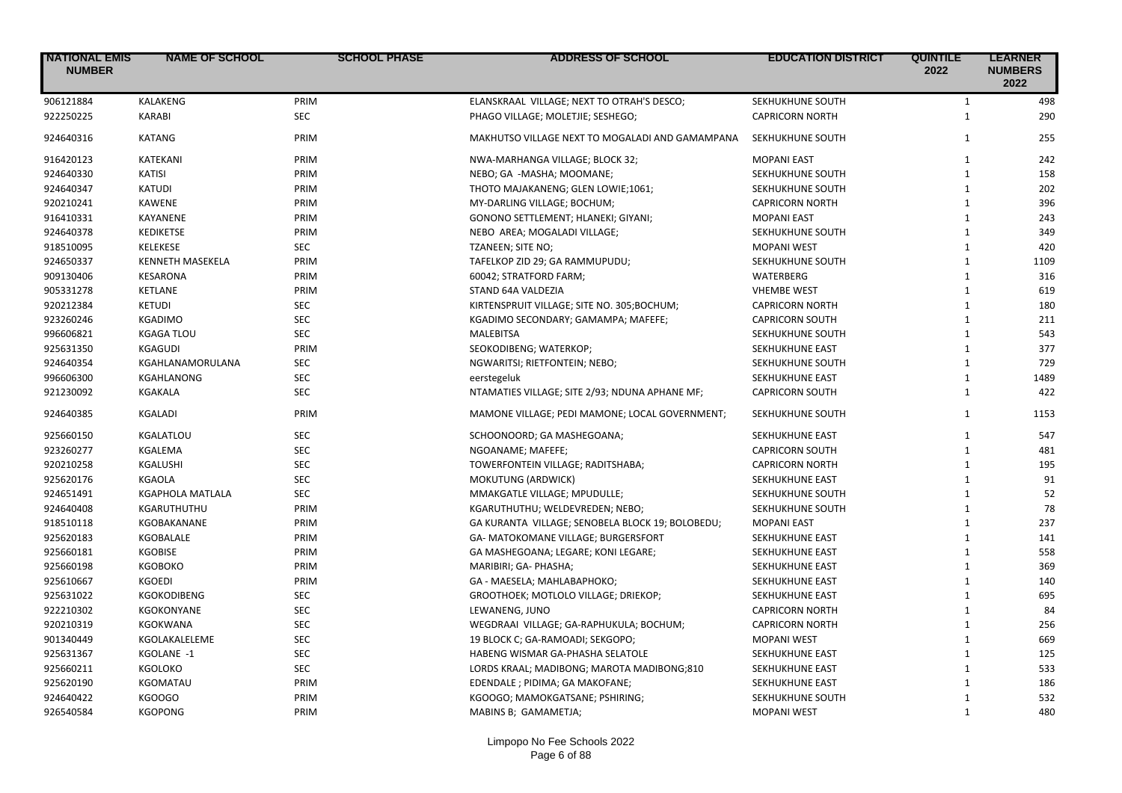| <b>NATIONAL EMIS</b><br><b>NUMBER</b> | <b>NAME OF SCHOOL</b>   | <b>SCHOOL PHASE</b> | <b>ADDRESS OF SCHOOL</b>                         | <b>EDUCATION DISTRICT</b> | <b>QUINTILE</b><br>2022 | <b>LEARNER</b><br><b>NUMBERS</b><br>2022 |
|---------------------------------------|-------------------------|---------------------|--------------------------------------------------|---------------------------|-------------------------|------------------------------------------|
| 906121884                             | KALAKENG                | PRIM                | ELANSKRAAL VILLAGE; NEXT TO OTRAH'S DESCO;       | SEKHUKHUNE SOUTH          | $\mathbf{1}$            | 498                                      |
| 922250225                             | <b>KARABI</b>           | <b>SEC</b>          | PHAGO VILLAGE; MOLETJIE; SESHEGO;                | <b>CAPRICORN NORTH</b>    | $\mathbf{1}$            | 290                                      |
| 924640316                             | <b>KATANG</b>           | PRIM                | MAKHUTSO VILLAGE NEXT TO MOGALADI AND GAMAMPANA  | SEKHUKHUNE SOUTH          | $\mathbf{1}$            | 255                                      |
| 916420123                             | KATEKANI                | PRIM                | NWA-MARHANGA VILLAGE; BLOCK 32;                  | <b>MOPANI EAST</b>        | $\mathbf{1}$            | 242                                      |
| 924640330                             | <b>KATISI</b>           | PRIM                | NEBO; GA -MASHA; MOOMANE;                        | SEKHUKHUNE SOUTH          | $\mathbf{1}$            | 158                                      |
| 924640347                             | <b>KATUDI</b>           | PRIM                | THOTO MAJAKANENG; GLEN LOWIE;1061;               | SEKHUKHUNE SOUTH          | $\mathbf{1}$            | 202                                      |
| 920210241                             | <b>KAWENE</b>           | PRIM                | MY-DARLING VILLAGE; BOCHUM;                      | <b>CAPRICORN NORTH</b>    | $\mathbf{1}$            | 396                                      |
| 916410331                             | <b>KAYANENE</b>         | PRIM                | GONONO SETTLEMENT; HLANEKI; GIYANI;              | <b>MOPANI EAST</b>        | $\mathbf{1}$            | 243                                      |
| 924640378                             | <b>KEDIKETSE</b>        | PRIM                | NEBO AREA; MOGALADI VILLAGE;                     | SEKHUKHUNE SOUTH          | $\mathbf{1}$            | 349                                      |
| 918510095                             | <b>KELEKESE</b>         | <b>SEC</b>          | TZANEEN; SITE NO;                                | <b>MOPANI WEST</b>        | $\mathbf{1}$            | 420                                      |
| 924650337                             | <b>KENNETH MASEKELA</b> | PRIM                | TAFELKOP ZID 29; GA RAMMUPUDU;                   | SEKHUKHUNE SOUTH          | $\mathbf{1}$            | 1109                                     |
| 909130406                             | <b>KESARONA</b>         | PRIM                | 60042; STRATFORD FARM;                           | WATERBERG                 | $\mathbf{1}$            | 316                                      |
| 905331278                             | <b>KETLANE</b>          | PRIM                | STAND 64A VALDEZIA                               | <b>VHEMBE WEST</b>        | $\mathbf{1}$            | 619                                      |
| 920212384                             | <b>KETUDI</b>           | <b>SEC</b>          | KIRTENSPRUIT VILLAGE; SITE NO. 305;BOCHUM;       | <b>CAPRICORN NORTH</b>    | $\mathbf{1}$            | 180                                      |
| 923260246                             | <b>KGADIMO</b>          | <b>SEC</b>          | KGADIMO SECONDARY; GAMAMPA; MAFEFE;              | <b>CAPRICORN SOUTH</b>    | $\mathbf{1}$            | 211                                      |
| 996606821                             | <b>KGAGA TLOU</b>       | <b>SEC</b>          | <b>MALEBITSA</b>                                 | SEKHUKHUNE SOUTH          | $\mathbf{1}$            | 543                                      |
| 925631350                             | KGAGUDI                 | PRIM                | SEOKODIBENG; WATERKOP;                           | SEKHUKHUNE EAST           | $\mathbf{1}$            | 377                                      |
| 924640354                             | KGAHLANAMORULANA        | SEC                 | NGWARITSI; RIETFONTEIN; NEBO;                    | SEKHUKHUNE SOUTH          | $\mathbf{1}$            | 729                                      |
| 996606300                             | KGAHLANONG              | <b>SEC</b>          | eerstegeluk                                      | SEKHUKHUNE EAST           | $\mathbf{1}$            | 1489                                     |
| 921230092                             | KGAKALA                 | <b>SEC</b>          | NTAMATIES VILLAGE; SITE 2/93; NDUNA APHANE MF;   | <b>CAPRICORN SOUTH</b>    | $\mathbf{1}$            | 422                                      |
| 924640385                             | <b>KGALADI</b>          | PRIM                | MAMONE VILLAGE; PEDI MAMONE; LOCAL GOVERNMENT;   | SEKHUKHUNE SOUTH          | $\mathbf{1}$            | 1153                                     |
| 925660150                             | KGALATLOU               | <b>SEC</b>          | SCHOONOORD; GA MASHEGOANA;                       | SEKHUKHUNE EAST           | $\mathbf{1}$            | 547                                      |
| 923260277                             | <b>KGALEMA</b>          | <b>SEC</b>          | NGOANAME; MAFEFE;                                | <b>CAPRICORN SOUTH</b>    | $\mathbf{1}$            | 481                                      |
| 920210258                             | KGALUSHI                | <b>SEC</b>          | TOWERFONTEIN VILLAGE; RADITSHABA;                | <b>CAPRICORN NORTH</b>    | $\mathbf{1}$            | 195                                      |
| 925620176                             | <b>KGAOLA</b>           | <b>SEC</b>          | <b>MOKUTUNG (ARDWICK)</b>                        | <b>SEKHUKHUNE EAST</b>    | $\mathbf{1}$            | 91                                       |
| 924651491                             | <b>KGAPHOLA MATLALA</b> | <b>SEC</b>          | MMAKGATLE VILLAGE; MPUDULLE;                     | SEKHUKHUNE SOUTH          | $\mathbf{1}$            | 52                                       |
| 924640408                             | KGARUTHUTHU             | PRIM                | KGARUTHUTHU; WELDEVREDEN; NEBO;                  | SEKHUKHUNE SOUTH          | $\mathbf{1}$            | 78                                       |
| 918510118                             | KGOBAKANANE             | PRIM                | GA KURANTA VILLAGE; SENOBELA BLOCK 19; BOLOBEDU; | <b>MOPANI EAST</b>        | $\mathbf{1}$            | 237                                      |
| 925620183                             | <b>KGOBALALE</b>        | PRIM                | GA- MATOKOMANE VILLAGE; BURGERSFORT              | SEKHUKHUNE EAST           | $\mathbf{1}$            | 141                                      |
| 925660181                             | <b>KGOBISE</b>          | PRIM                | GA MASHEGOANA; LEGARE; KONI LEGARE;              | SEKHUKHUNE EAST           | $\mathbf{1}$            | 558                                      |
| 925660198                             | <b>KGOBOKO</b>          | PRIM                | MARIBIRI; GA- PHASHA;                            | SEKHUKHUNE EAST           | $\mathbf{1}$            | 369                                      |
| 925610667                             | <b>KGOEDI</b>           | PRIM                | GA - MAESELA; MAHLABAPHOKO;                      | SEKHUKHUNE EAST           | $\mathbf{1}$            | 140                                      |
| 925631022                             | KGOKODIBENG             | <b>SEC</b>          | GROOTHOEK; MOTLOLO VILLAGE; DRIEKOP;             | SEKHUKHUNE EAST           | $\mathbf{1}$            | 695                                      |
| 922210302                             | KGOKONYANE              | <b>SEC</b>          | LEWANENG, JUNO                                   | <b>CAPRICORN NORTH</b>    | $\mathbf{1}$            | 84                                       |
| 920210319                             | <b>KGOKWANA</b>         | <b>SEC</b>          | WEGDRAAI VILLAGE; GA-RAPHUKULA; BOCHUM;          | <b>CAPRICORN NORTH</b>    | $\mathbf{1}$            | 256                                      |
| 901340449                             | KGOLAKALELEME           | <b>SEC</b>          | 19 BLOCK C; GA-RAMOADI; SEKGOPO;                 | <b>MOPANI WEST</b>        | $\mathbf{1}$            | 669                                      |
| 925631367                             | KGOLANE -1              | <b>SEC</b>          | HABENG WISMAR GA-PHASHA SELATOLE                 | <b>SEKHUKHUNE EAST</b>    | $\mathbf{1}$            | 125                                      |
| 925660211                             | KGOLOKO                 | <b>SEC</b>          | LORDS KRAAL; MADIBONG; MAROTA MADIBONG;810       | SEKHUKHUNE EAST           | $\mathbf{1}$            | 533                                      |
| 925620190                             | KGOMATAU                | PRIM                | EDENDALE ; PIDIMA; GA MAKOFANE;                  | SEKHUKHUNE EAST           | $\mathbf{1}$            | 186                                      |
| 924640422                             | KGOOGO                  | PRIM                | KGOOGO; MAMOKGATSANE; PSHIRING;                  | SEKHUKHUNE SOUTH          | $\mathbf{1}$            | 532                                      |
| 926540584                             | <b>KGOPONG</b>          | PRIM                | MABINS B; GAMAMETJA;                             | <b>MOPANI WEST</b>        | $\mathbf{1}$            | 480                                      |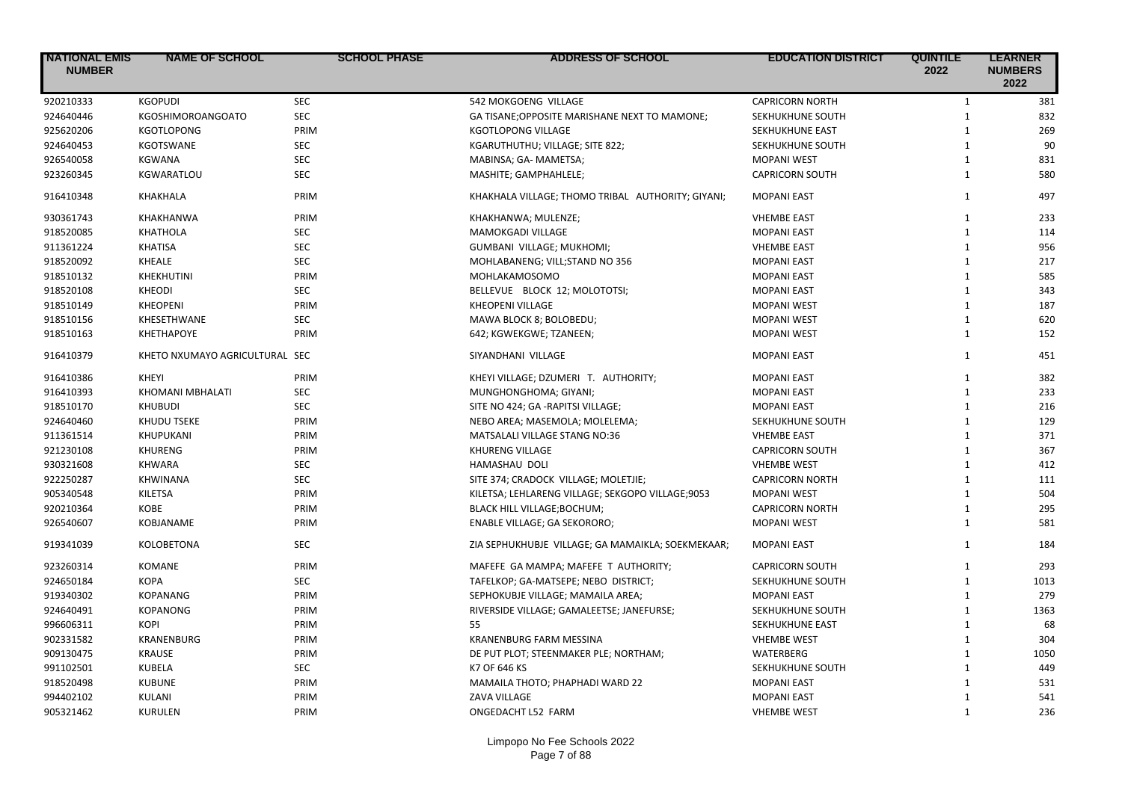| <b>NATIONAL EMIS</b><br><b>NUMBER</b> | <b>NAME OF SCHOOL</b>          | <b>SCHOOL PHASE</b> | <b>ADDRESS OF SCHOOL</b>                          | <b>EDUCATION DISTRICT</b> | <b>QUINTILE</b><br>2022 | <b>LEARNER</b><br><b>NUMBERS</b><br>2022 |
|---------------------------------------|--------------------------------|---------------------|---------------------------------------------------|---------------------------|-------------------------|------------------------------------------|
| 920210333                             | <b>KGOPUDI</b>                 | <b>SEC</b>          | 542 MOKGOENG VILLAGE                              | <b>CAPRICORN NORTH</b>    | $\mathbf{1}$            | 381                                      |
| 924640446                             | <b>KGOSHIMOROANGOATO</b>       | <b>SEC</b>          | GA TISANE; OPPOSITE MARISHANE NEXT TO MAMONE;     | SEKHUKHUNE SOUTH          | $\mathbf{1}$            | 832                                      |
| 925620206                             | <b>KGOTLOPONG</b>              | PRIM                | KGOTLOPONG VILLAGE                                | <b>SEKHUKHUNE EAST</b>    | $\mathbf{1}$            | 269                                      |
| 924640453                             | <b>KGOTSWANE</b>               | SEC                 | KGARUTHUTHU; VILLAGE; SITE 822;                   | SEKHUKHUNE SOUTH          | $\mathbf{1}$            | 90                                       |
| 926540058                             | <b>KGWANA</b>                  | <b>SEC</b>          | MABINSA; GA- MAMETSA;                             | <b>MOPANI WEST</b>        | $\mathbf{1}$            | 831                                      |
| 923260345                             | KGWARATLOU                     | <b>SEC</b>          | MASHITE; GAMPHAHLELE;                             | <b>CAPRICORN SOUTH</b>    | $\mathbf{1}$            | 580                                      |
| 916410348                             | KHAKHALA                       | PRIM                | KHAKHALA VILLAGE; THOMO TRIBAL AUTHORITY; GIYANI; | <b>MOPANI EAST</b>        | $\mathbf{1}$            | 497                                      |
| 930361743                             | <b>KHAKHANWA</b>               | PRIM                | KHAKHANWA; MULENZE;                               | <b>VHEMBE EAST</b>        | $\mathbf{1}$            | 233                                      |
| 918520085                             | <b>KHATHOLA</b>                | <b>SEC</b>          | MAMOKGADI VILLAGE                                 | <b>MOPANI EAST</b>        | $\mathbf{1}$            | 114                                      |
| 911361224                             | <b>KHATISA</b>                 | <b>SEC</b>          | GUMBANI VILLAGE; MUKHOMI;                         | <b>VHEMBE EAST</b>        | $\mathbf{1}$            | 956                                      |
| 918520092                             | <b>KHEALE</b>                  | <b>SEC</b>          | MOHLABANENG; VILL;STAND NO 356                    | <b>MOPANI EAST</b>        | $\mathbf{1}$            | 217                                      |
| 918510132                             | <b>KHEKHUTINI</b>              | PRIM                | MOHLAKAMOSOMO                                     | <b>MOPANI EAST</b>        | $\mathbf{1}$            | 585                                      |
| 918520108                             | <b>KHEODI</b>                  | <b>SEC</b>          | BELLEVUE BLOCK 12; MOLOTOTSI;                     | <b>MOPANI EAST</b>        | $\mathbf{1}$            | 343                                      |
| 918510149                             | <b>KHEOPENI</b>                | PRIM                | <b>KHEOPENI VILLAGE</b>                           | <b>MOPANI WEST</b>        | $\mathbf{1}$            | 187                                      |
| 918510156                             | KHESETHWANE                    | <b>SEC</b>          | MAWA BLOCK 8; BOLOBEDU;                           | <b>MOPANI WEST</b>        | $\mathbf{1}$            | 620                                      |
| 918510163                             | <b>KHETHAPOYE</b>              | PRIM                | 642; KGWEKGWE; TZANEEN;                           | <b>MOPANI WEST</b>        | $\mathbf{1}$            | 152                                      |
| 916410379                             | KHETO NXUMAYO AGRICULTURAL SEC |                     | SIYANDHANI VILLAGE                                | <b>MOPANI EAST</b>        | $\mathbf{1}$            | 451                                      |
| 916410386                             | KHEYI                          | PRIM                | KHEYI VILLAGE; DZUMERI T. AUTHORITY;              | <b>MOPANI EAST</b>        | $\mathbf{1}$            | 382                                      |
| 916410393                             | <b>KHOMANI MBHALATI</b>        | <b>SEC</b>          | MUNGHONGHOMA; GIYANI;                             | <b>MOPANI EAST</b>        | $\mathbf{1}$            | 233                                      |
| 918510170                             | <b>KHUBUDI</b>                 | <b>SEC</b>          | SITE NO 424; GA -RAPITSI VILLAGE;                 | <b>MOPANI EAST</b>        | $\mathbf{1}$            | 216                                      |
| 924640460                             | <b>KHUDU TSEKE</b>             | PRIM                | NEBO AREA; MASEMOLA; MOLELEMA;                    | SEKHUKHUNE SOUTH          | $\mathbf{1}$            | 129                                      |
| 911361514                             | KHUPUKANI                      | PRIM                | MATSALALI VILLAGE STANG NO:36                     | <b>VHEMBE EAST</b>        | $\mathbf{1}$            | 371                                      |
| 921230108                             | <b>KHURENG</b>                 | PRIM                | <b>KHURENG VILLAGE</b>                            | <b>CAPRICORN SOUTH</b>    | $\mathbf{1}$            | 367                                      |
| 930321608                             | <b>KHWARA</b>                  | <b>SEC</b>          | HAMASHAU DOLI                                     | <b>VHEMBE WEST</b>        | $\mathbf{1}$            | 412                                      |
| 922250287                             | <b>KHWINANA</b>                | <b>SEC</b>          | SITE 374; CRADOCK VILLAGE; MOLETJIE;              | <b>CAPRICORN NORTH</b>    | $\mathbf{1}$            | 111                                      |
| 905340548                             | <b>KILETSA</b>                 | PRIM                | KILETSA; LEHLARENG VILLAGE; SEKGOPO VILLAGE;9053  | <b>MOPANI WEST</b>        | $\mathbf{1}$            | 504                                      |
| 920210364                             | <b>KOBE</b>                    | PRIM                | BLACK HILL VILLAGE; BOCHUM;                       | <b>CAPRICORN NORTH</b>    | $\mathbf{1}$            | 295                                      |
| 926540607                             | KOBJANAME                      | PRIM                | ENABLE VILLAGE; GA SEKORORO;                      | <b>MOPANI WEST</b>        | $\mathbf{1}$            | 581                                      |
| 919341039                             | <b>KOLOBETONA</b>              | <b>SEC</b>          | ZIA SEPHUKHUBJE VILLAGE; GA MAMAIKLA; SOEKMEKAAR; | <b>MOPANI EAST</b>        | $\mathbf{1}$            | 184                                      |
| 923260314                             | <b>KOMANE</b>                  | PRIM                | MAFEFE GA MAMPA; MAFEFE T AUTHORITY;              | <b>CAPRICORN SOUTH</b>    | $\mathbf{1}$            | 293                                      |
| 924650184                             | <b>KOPA</b>                    | <b>SEC</b>          | TAFELKOP; GA-MATSEPE; NEBO DISTRICT;              | SEKHUKHUNE SOUTH          | $\mathbf{1}$            | 1013                                     |
| 919340302                             | <b>KOPANANG</b>                | PRIM                | SEPHOKUBJE VILLAGE; MAMAILA AREA;                 | <b>MOPANI EAST</b>        | $\mathbf{1}$            | 279                                      |
| 924640491                             | <b>KOPANONG</b>                | PRIM                | RIVERSIDE VILLAGE; GAMALEETSE; JANEFURSE;         | SEKHUKHUNE SOUTH          | $\mathbf{1}$            | 1363                                     |
| 996606311                             | <b>KOPI</b>                    | PRIM                | 55                                                | SEKHUKHUNE EAST           | $\mathbf{1}$            | 68                                       |
| 902331582                             | <b>KRANENBURG</b>              | PRIM                | <b>KRANENBURG FARM MESSINA</b>                    | <b>VHEMBE WEST</b>        | $\mathbf{1}$            | 304                                      |
| 909130475                             | <b>KRAUSE</b>                  | PRIM                | DE PUT PLOT; STEENMAKER PLE; NORTHAM;             | <b>WATERBERG</b>          | $\mathbf{1}$            | 1050                                     |
| 991102501                             | KUBELA                         | <b>SEC</b>          | K7 OF 646 KS                                      | SEKHUKHUNE SOUTH          | $\mathbf{1}$            | 449                                      |
| 918520498                             | <b>KUBUNE</b>                  | PRIM                | MAMAILA THOTO; PHAPHADI WARD 22                   | <b>MOPANI EAST</b>        | $\mathbf{1}$            | 531                                      |
| 994402102                             | KULANI                         | PRIM                | <b>ZAVA VILLAGE</b>                               | <b>MOPANI EAST</b>        | $\mathbf{1}$            | 541                                      |
| 905321462                             | <b>KURULEN</b>                 | PRIM                | ONGEDACHT L52 FARM                                | <b>VHEMBE WEST</b>        | $\mathbf{1}$            | 236                                      |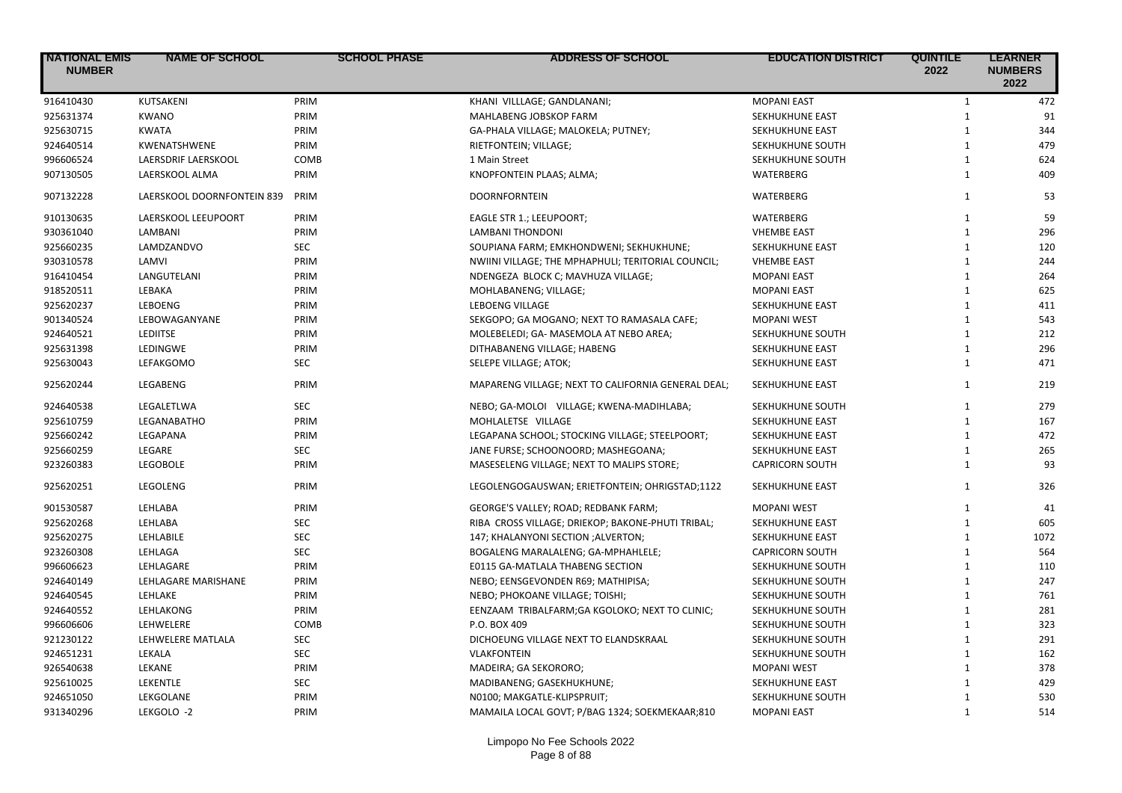| <b>NATIONAL EMIS</b><br><b>NUMBER</b> | <b>NAME OF SCHOOL</b>      | <b>SCHOOL PHASE</b> | <b>ADDRESS OF SCHOOL</b>                           | <b>EDUCATION DISTRICT</b> | <b>QUINTILE</b><br>2022 | <b>LEARNER</b><br><b>NUMBERS</b><br>2022 |
|---------------------------------------|----------------------------|---------------------|----------------------------------------------------|---------------------------|-------------------------|------------------------------------------|
| 916410430                             | KUTSAKENI                  | PRIM                | KHANI VILLLAGE; GANDLANANI;                        | <b>MOPANI EAST</b>        | $\mathbf{1}$            | 472                                      |
| 925631374                             | <b>KWANO</b>               | PRIM                | MAHLABENG JOBSKOP FARM                             | SEKHUKHUNE EAST           | $\mathbf{1}$            | 91                                       |
| 925630715                             | <b>KWATA</b>               | PRIM                | GA-PHALA VILLAGE; MALOKELA; PUTNEY;                | SEKHUKHUNE EAST           | $\mathbf{1}$            | 344                                      |
| 924640514                             | KWENATSHWENE               | PRIM                | RIETFONTEIN; VILLAGE;                              | SEKHUKHUNE SOUTH          | $\mathbf{1}$            | 479                                      |
| 996606524                             | LAERSDRIF LAERSKOOL        | COMB                | 1 Main Street                                      | SEKHUKHUNE SOUTH          | $\mathbf{1}$            | 624                                      |
| 907130505                             | LAERSKOOL ALMA             | PRIM                | KNOPFONTEIN PLAAS; ALMA;                           | WATERBERG                 | $\mathbf{1}$            | 409                                      |
| 907132228                             | LAERSKOOL DOORNFONTEIN 839 | PRIM                | <b>DOORNFORNTEIN</b>                               | WATERBERG                 | $\mathbf{1}$            | 53                                       |
| 910130635                             | LAERSKOOL LEEUPOORT        | PRIM                | EAGLE STR 1.; LEEUPOORT;                           | WATERBERG                 | $\mathbf{1}$            | 59                                       |
| 930361040                             | LAMBANI                    | PRIM                | <b>LAMBANI THONDONI</b>                            | <b>VHEMBE EAST</b>        | $\mathbf{1}$            | 296                                      |
| 925660235                             | LAMDZANDVO                 | <b>SEC</b>          | SOUPIANA FARM; EMKHONDWENI; SEKHUKHUNE;            | SEKHUKHUNE EAST           | $\mathbf{1}$            | 120                                      |
| 930310578                             | LAMVI                      | PRIM                | NWIINI VILLAGE; THE MPHAPHULI; TERITORIAL COUNCIL; | <b>VHEMBE EAST</b>        | $\mathbf{1}$            | 244                                      |
| 916410454                             | LANGUTELANI                | PRIM                | NDENGEZA BLOCK C; MAVHUZA VILLAGE;                 | <b>MOPANI EAST</b>        | $\mathbf{1}$            | 264                                      |
| 918520511                             | LEBAKA                     | PRIM                | MOHLABANENG; VILLAGE;                              | <b>MOPANI EAST</b>        | $\mathbf{1}$            | 625                                      |
| 925620237                             | LEBOENG                    | PRIM                | <b>LEBOENG VILLAGE</b>                             | SEKHUKHUNE EAST           | $\mathbf{1}$            | 411                                      |
| 901340524                             | LEBOWAGANYANE              | PRIM                | SEKGOPO; GA MOGANO; NEXT TO RAMASALA CAFE;         | <b>MOPANI WEST</b>        | $\mathbf{1}$            | 543                                      |
| 924640521                             | <b>LEDIITSE</b>            | PRIM                | MOLEBELEDI; GA- MASEMOLA AT NEBO AREA;             | SEKHUKHUNE SOUTH          | $\mathbf{1}$            | 212                                      |
| 925631398                             | <b>LEDINGWE</b>            | PRIM                | DITHABANENG VILLAGE; HABENG                        | SEKHUKHUNE EAST           | $\mathbf{1}$            | 296                                      |
| 925630043                             | LEFAKGOMO                  | <b>SEC</b>          | SELEPE VILLAGE; ATOK;                              | SEKHUKHUNE EAST           | $\mathbf{1}$            | 471                                      |
| 925620244                             | LEGABENG                   | PRIM                | MAPARENG VILLAGE; NEXT TO CALIFORNIA GENERAL DEAL; | SEKHUKHUNE EAST           | $\mathbf{1}$            | 219                                      |
| 924640538                             | LEGALETLWA                 | <b>SEC</b>          | NEBO; GA-MOLOI VILLAGE; KWENA-MADIHLABA;           | SEKHUKHUNE SOUTH          | $\mathbf{1}$            | 279                                      |
| 925610759                             | LEGANABATHO                | PRIM                | MOHLALETSE VILLAGE                                 | SEKHUKHUNE EAST           | $\mathbf{1}$            | 167                                      |
| 925660242                             | LEGAPANA                   | PRIM                | LEGAPANA SCHOOL; STOCKING VILLAGE; STEELPOORT;     | SEKHUKHUNE EAST           | $\mathbf{1}$            | 472                                      |
| 925660259                             | LEGARE                     | <b>SEC</b>          | JANE FURSE; SCHOONOORD; MASHEGOANA;                | SEKHUKHUNE EAST           | $\mathbf{1}$            | 265                                      |
| 923260383                             | <b>LEGOBOLE</b>            | PRIM                | MASESELENG VILLAGE; NEXT TO MALIPS STORE;          | <b>CAPRICORN SOUTH</b>    | $\mathbf{1}$            | 93                                       |
| 925620251                             | LEGOLENG                   | PRIM                | LEGOLENGOGAUSWAN; ERIETFONTEIN; OHRIGSTAD;1122     | SEKHUKHUNE EAST           | $\mathbf{1}$            | 326                                      |
| 901530587                             | LEHLABA                    | PRIM                | GEORGE'S VALLEY; ROAD; REDBANK FARM;               | <b>MOPANI WEST</b>        | $\mathbf{1}$            | 41                                       |
| 925620268                             | LEHLABA                    | SEC                 | RIBA CROSS VILLAGE; DRIEKOP; BAKONE-PHUTI TRIBAL;  | SEKHUKHUNE EAST           | $\mathbf{1}$            | 605                                      |
| 925620275                             | LEHLABILE                  | <b>SEC</b>          | 147; KHALANYONI SECTION ; ALVERTON;                | SEKHUKHUNE EAST           | $\mathbf{1}$            | 1072                                     |
| 923260308                             | LEHLAGA                    | <b>SEC</b>          | BOGALENG MARALALENG; GA-MPHAHLELE;                 | <b>CAPRICORN SOUTH</b>    | $\mathbf{1}$            | 564                                      |
| 996606623                             | LEHLAGARE                  | PRIM                | E0115 GA-MATLALA THABENG SECTION                   | SEKHUKHUNE SOUTH          | $\mathbf{1}$            | 110                                      |
| 924640149                             | LEHLAGARE MARISHANE        | PRIM                | NEBO; EENSGEVONDEN R69; MATHIPISA;                 | SEKHUKHUNE SOUTH          | $\mathbf{1}$            | 247                                      |
| 924640545                             | LEHLAKE                    | PRIM                | NEBO; PHOKOANE VILLAGE; TOISHI;                    | SEKHUKHUNE SOUTH          | $\mathbf{1}$            | 761                                      |
| 924640552                             | LEHLAKONG                  | PRIM                | EENZAAM TRIBALFARM; GA KGOLOKO; NEXT TO CLINIC;    | SEKHUKHUNE SOUTH          | $\mathbf{1}$            | 281                                      |
| 996606606                             | LEHWELERE                  | COMB                | P.O. BOX 409                                       | SEKHUKHUNE SOUTH          | $\mathbf{1}$            | 323                                      |
| 921230122                             | LEHWELERE MATLALA          | <b>SEC</b>          | DICHOEUNG VILLAGE NEXT TO ELANDSKRAAL              | SEKHUKHUNE SOUTH          | $\mathbf{1}$            | 291                                      |
| 924651231                             | LEKALA                     | <b>SEC</b>          | <b>VLAKFONTEIN</b>                                 | SEKHUKHUNE SOUTH          | $\mathbf{1}$            | 162                                      |
| 926540638                             | LEKANE                     | PRIM                | MADEIRA; GA SEKORORO;                              | <b>MOPANI WEST</b>        | $\mathbf{1}$            | 378                                      |
| 925610025                             | LEKENTLE                   | <b>SEC</b>          | MADIBANENG; GASEKHUKHUNE;                          | <b>SEKHUKHUNE EAST</b>    | $\mathbf{1}$            | 429                                      |
| 924651050                             | LEKGOLANE                  | PRIM                | N0100; MAKGATLE-KLIPSPRUIT;                        | SEKHUKHUNE SOUTH          | $\mathbf{1}$            | 530                                      |
| 931340296                             | LEKGOLO -2                 | PRIM                | MAMAILA LOCAL GOVT; P/BAG 1324; SOEKMEKAAR;810     | <b>MOPANI EAST</b>        | $\mathbf{1}$            | 514                                      |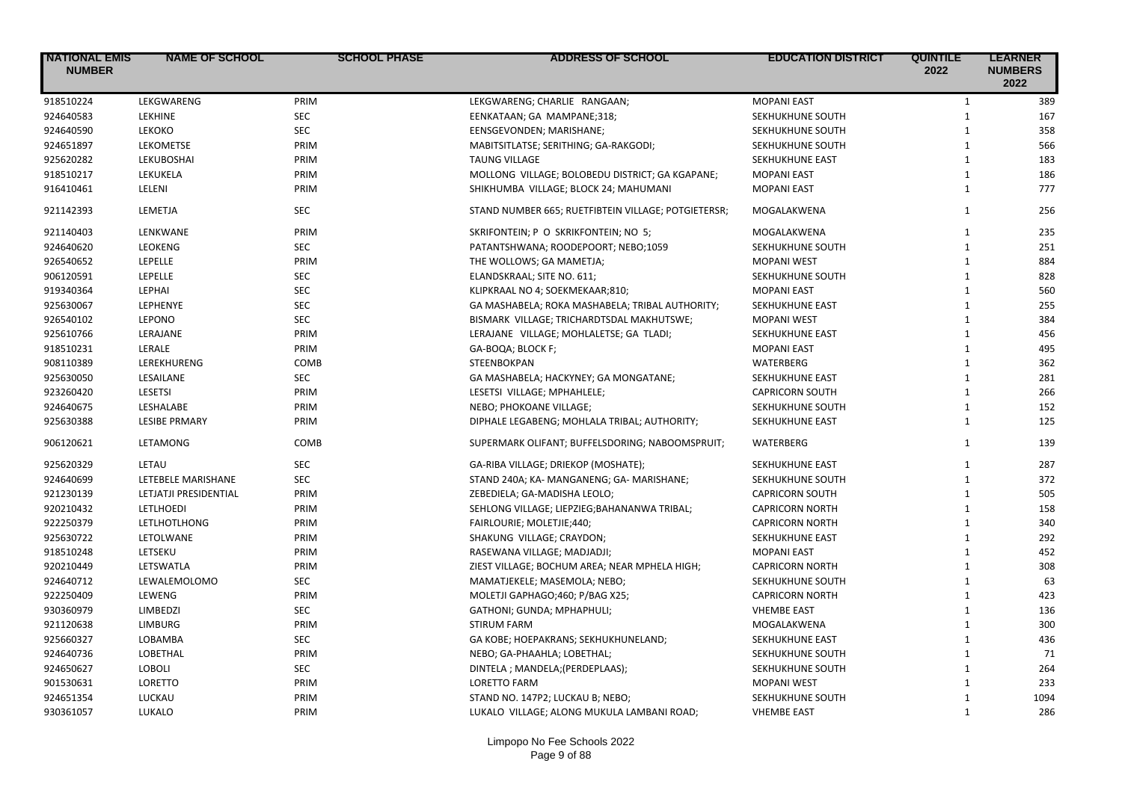| <b>NATIONAL EMIS</b><br><b>NUMBER</b> | <b>NAME OF SCHOOL</b> | <b>SCHOOL PHASE</b> | <b>ADDRESS OF SCHOOL</b>                            | <b>EDUCATION DISTRICT</b> | <b>QUINTILE</b><br>2022 | <b>LEARNER</b><br><b>NUMBERS</b><br>2022 |
|---------------------------------------|-----------------------|---------------------|-----------------------------------------------------|---------------------------|-------------------------|------------------------------------------|
| 918510224                             | LEKGWARENG            | PRIM                | LEKGWARENG; CHARLIE RANGAAN;                        | <b>MOPANI EAST</b>        | $\mathbf{1}$            | 389                                      |
| 924640583                             | <b>LEKHINE</b>        | <b>SEC</b>          | EENKATAAN; GA MAMPANE;318;                          | SEKHUKHUNE SOUTH          | $\mathbf{1}$            | 167                                      |
| 924640590                             | <b>LEKOKO</b>         | <b>SEC</b>          | EENSGEVONDEN; MARISHANE;                            | SEKHUKHUNE SOUTH          | $\mathbf{1}$            | 358                                      |
| 924651897                             | LEKOMETSE             | PRIM                | MABITSITLATSE; SERITHING; GA-RAKGODI;               | SEKHUKHUNE SOUTH          | $\mathbf{1}$            | 566                                      |
| 925620282                             | LEKUBOSHAI            | PRIM                | <b>TAUNG VILLAGE</b>                                | SEKHUKHUNE EAST           | $\mathbf{1}$            | 183                                      |
| 918510217                             | LEKUKELA              | PRIM                | MOLLONG VILLAGE; BOLOBEDU DISTRICT; GA KGAPANE;     | <b>MOPANI EAST</b>        | $\mathbf{1}$            | 186                                      |
| 916410461                             | LELENI                | PRIM                | SHIKHUMBA VILLAGE; BLOCK 24; MAHUMANI               | <b>MOPANI EAST</b>        | $\mathbf{1}$            | 777                                      |
| 921142393                             | LEMETJA               | <b>SEC</b>          | STAND NUMBER 665; RUETFIBTEIN VILLAGE; POTGIETERSR; | MOGALAKWENA               | $\mathbf{1}$            | 256                                      |
| 921140403                             | LENKWANE              | PRIM                | SKRIFONTEIN; P O SKRIKFONTEIN; NO 5;                | MOGALAKWENA               | $\mathbf{1}$            | 235                                      |
| 924640620                             | LEOKENG               | <b>SEC</b>          | PATANTSHWANA; ROODEPOORT; NEBO;1059                 | SEKHUKHUNE SOUTH          | $\mathbf{1}$            | 251                                      |
| 926540652                             | LEPELLE               | PRIM                | THE WOLLOWS; GA MAMETJA;                            | <b>MOPANI WEST</b>        | $\mathbf{1}$            | 884                                      |
| 906120591                             | LEPELLE               | <b>SEC</b>          | ELANDSKRAAL; SITE NO. 611;                          | SEKHUKHUNE SOUTH          | $\mathbf{1}$            | 828                                      |
| 919340364                             | LEPHAI                | <b>SEC</b>          | KLIPKRAAL NO 4; SOEKMEKAAR;810;                     | <b>MOPANI EAST</b>        | $\mathbf{1}$            | 560                                      |
| 925630067                             | LEPHENYE              | <b>SEC</b>          | GA MASHABELA; ROKA MASHABELA; TRIBAL AUTHORITY;     | <b>SEKHUKHUNE EAST</b>    | $\mathbf{1}$            | 255                                      |
| 926540102                             | LEPONO                | <b>SEC</b>          | BISMARK VILLAGE; TRICHARDTSDAL MAKHUTSWE;           | <b>MOPANI WEST</b>        | $\mathbf{1}$            | 384                                      |
| 925610766                             | LERAJANE              | PRIM                | LERAJANE VILLAGE; MOHLALETSE; GA TLADI;             | SEKHUKHUNE EAST           | $\mathbf{1}$            | 456                                      |
| 918510231                             | LERALE                | PRIM                | GA-BOQA; BLOCK F;                                   | <b>MOPANI EAST</b>        | $\mathbf{1}$            | 495                                      |
| 908110389                             | LEREKHURENG           | COMB                | STEENBOKPAN                                         | <b>WATERBERG</b>          | $\mathbf{1}$            | 362                                      |
| 925630050                             | LESAILANE             | <b>SEC</b>          | GA MASHABELA; HACKYNEY; GA MONGATANE;               | SEKHUKHUNE EAST           | $\mathbf{1}$            | 281                                      |
| 923260420                             | <b>LESETSI</b>        | PRIM                | LESETSI VILLAGE; MPHAHLELE;                         | <b>CAPRICORN SOUTH</b>    | $\mathbf{1}$            | 266                                      |
| 924640675                             | LESHALABE             | PRIM                | NEBO; PHOKOANE VILLAGE;                             | SEKHUKHUNE SOUTH          | $\mathbf{1}$            | 152                                      |
| 925630388                             | <b>LESIBE PRMARY</b>  | PRIM                | DIPHALE LEGABENG; MOHLALA TRIBAL; AUTHORITY;        | SEKHUKHUNE EAST           | $\mathbf{1}$            | 125                                      |
| 906120621                             | LETAMONG              | COMB                | SUPERMARK OLIFANT; BUFFELSDORING; NABOOMSPRUIT;     | WATERBERG                 | $\mathbf{1}$            | 139                                      |
| 925620329                             | LETAU                 | <b>SEC</b>          | GA-RIBA VILLAGE; DRIEKOP (MOSHATE);                 | SEKHUKHUNE EAST           | $\mathbf{1}$            | 287                                      |
| 924640699                             | LETEBELE MARISHANE    | <b>SEC</b>          | STAND 240A; KA- MANGANENG; GA- MARISHANE;           | SEKHUKHUNE SOUTH          | $\mathbf{1}$            | 372                                      |
| 921230139                             | LETJATJI PRESIDENTIAL | PRIM                | ZEBEDIELA; GA-MADISHA LEOLO;                        | <b>CAPRICORN SOUTH</b>    | $\mathbf{1}$            | 505                                      |
| 920210432                             | LETLHOEDI             | PRIM                | SEHLONG VILLAGE; LIEPZIEG; BAHANANWA TRIBAL;        | <b>CAPRICORN NORTH</b>    | $\mathbf{1}$            | 158                                      |
| 922250379                             | LETLHOTLHONG          | PRIM                | FAIRLOURIE; MOLETJIE;440;                           | <b>CAPRICORN NORTH</b>    | $\mathbf{1}$            | 340                                      |
| 925630722                             | LETOLWANE             | PRIM                | SHAKUNG VILLAGE; CRAYDON;                           | SEKHUKHUNE EAST           | $\mathbf{1}$            | 292                                      |
| 918510248                             | LETSEKU               | PRIM                | RASEWANA VILLAGE; MADJADJI;                         | <b>MOPANI EAST</b>        | $\mathbf{1}$            | 452                                      |
| 920210449                             | LETSWATLA             | PRIM                | ZIEST VILLAGE; BOCHUM AREA; NEAR MPHELA HIGH;       | <b>CAPRICORN NORTH</b>    | $\mathbf{1}$            | 308                                      |
| 924640712                             | LEWALEMOLOMO          | <b>SEC</b>          | MAMATJEKELE; MASEMOLA; NEBO;                        | SEKHUKHUNE SOUTH          | $\mathbf{1}$            | 63                                       |
| 922250409                             | LEWENG                | PRIM                | MOLETJI GAPHAGO;460; P/BAG X25;                     | <b>CAPRICORN NORTH</b>    | $\mathbf{1}$            | 423                                      |
| 930360979                             | LIMBEDZI              | <b>SEC</b>          | GATHONI; GUNDA; MPHAPHULI;                          | <b>VHEMBE EAST</b>        | $\mathbf{1}$            | 136                                      |
| 921120638                             | LIMBURG               | PRIM                | STIRUM FARM                                         | MOGALAKWENA               | $\mathbf{1}$            | 300                                      |
| 925660327                             | LOBAMBA               | <b>SEC</b>          | GA KOBE; HOEPAKRANS; SEKHUKHUNELAND;                | SEKHUKHUNE EAST           | $\mathbf{1}$            | 436                                      |
| 924640736                             | LOBETHAL              | PRIM                | NEBO; GA-PHAAHLA; LOBETHAL;                         | SEKHUKHUNE SOUTH          | $\mathbf{1}$            | 71                                       |
| 924650627                             | <b>LOBOLI</b>         | <b>SEC</b>          | DINTELA ; MANDELA; (PERDEPLAAS);                    | SEKHUKHUNE SOUTH          | $\mathbf{1}$            | 264                                      |
| 901530631                             | <b>LORETTO</b>        | PRIM                | <b>LORETTO FARM</b>                                 | <b>MOPANI WEST</b>        | $\mathbf{1}$            | 233                                      |
| 924651354                             | LUCKAU                | PRIM                | STAND NO. 147P2; LUCKAU B; NEBO;                    | SEKHUKHUNE SOUTH          | $\mathbf{1}$            | 1094                                     |
| 930361057                             | LUKALO                | PRIM                | LUKALO VILLAGE; ALONG MUKULA LAMBANI ROAD;          | <b>VHEMBE EAST</b>        | $\mathbf{1}$            | 286                                      |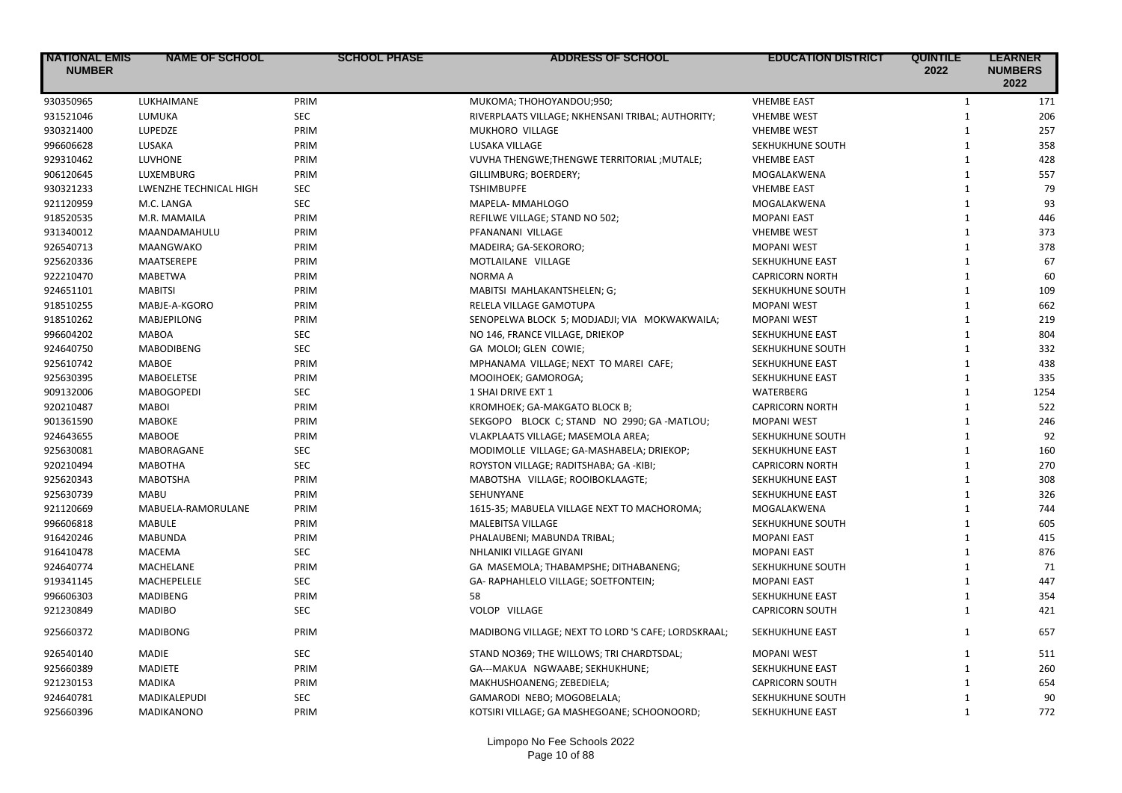| <b>NATIONAL EMIS</b><br><b>NUMBER</b> | <b>NAME OF SCHOOL</b>  | <b>SCHOOL PHASE</b> | <b>ADDRESS OF SCHOOL</b>                            | <b>EDUCATION DISTRICT</b> | <b>QUINTILE</b><br>2022 | <b>LEARNER</b><br><b>NUMBERS</b><br>2022 |
|---------------------------------------|------------------------|---------------------|-----------------------------------------------------|---------------------------|-------------------------|------------------------------------------|
| 930350965                             | LUKHAIMANE             | PRIM                | MUKOMA; THOHOYANDOU;950;                            | <b>VHEMBE EAST</b>        | $\mathbf{1}$            | 171                                      |
| 931521046                             | LUMUKA                 | <b>SEC</b>          | RIVERPLAATS VILLAGE; NKHENSANI TRIBAL; AUTHORITY;   | <b>VHEMBE WEST</b>        | $\mathbf{1}$            | 206                                      |
| 930321400                             | LUPEDZE                | PRIM                | MUKHORO VILLAGE                                     | <b>VHEMBE WEST</b>        | $\mathbf{1}$            | 257                                      |
| 996606628                             | LUSAKA                 | PRIM                | <b>LUSAKA VILLAGE</b>                               | SEKHUKHUNE SOUTH          | $\mathbf{1}$            | 358                                      |
| 929310462                             | LUVHONE                | PRIM                | VUVHA THENGWE; THENGWE TERRITORIAL; MUTALE;         | <b>VHEMBE EAST</b>        | $\mathbf{1}$            | 428                                      |
| 906120645                             | LUXEMBURG              | PRIM                | GILLIMBURG; BOERDERY;                               | MOGALAKWENA               | $\mathbf{1}$            | 557                                      |
| 930321233                             | LWENZHE TECHNICAL HIGH | <b>SEC</b>          | <b>TSHIMBUPFE</b>                                   | <b>VHEMBE EAST</b>        | $\mathbf{1}$            | 79                                       |
| 921120959                             | M.C. LANGA             | <b>SEC</b>          | MAPELA- MMAHLOGO                                    | MOGALAKWENA               | $\mathbf{1}$            | 93                                       |
| 918520535                             | M.R. MAMAILA           | PRIM                | REFILWE VILLAGE; STAND NO 502;                      | <b>MOPANI EAST</b>        | $\mathbf{1}$            | 446                                      |
| 931340012                             | MAANDAMAHULU           | PRIM                | PFANANANI VILLAGE                                   | <b>VHEMBE WEST</b>        | $\mathbf{1}$            | 373                                      |
| 926540713                             | MAANGWAKO              | PRIM                | MADEIRA; GA-SEKORORO;                               | <b>MOPANI WEST</b>        | $\mathbf{1}$            | 378                                      |
| 925620336                             | MAATSEREPE             | PRIM                | MOTLAILANE VILLAGE                                  | SEKHUKHUNE EAST           | $\mathbf{1}$            | 67                                       |
| 922210470                             | <b>MABETWA</b>         | PRIM                | NORMA A                                             | <b>CAPRICORN NORTH</b>    | $\mathbf{1}$            | 60                                       |
| 924651101                             | <b>MABITSI</b>         | PRIM                | MABITSI MAHLAKANTSHELEN; G;                         | SEKHUKHUNE SOUTH          | $\mathbf{1}$            | 109                                      |
| 918510255                             | MABJE-A-KGORO          | PRIM                | RELELA VILLAGE GAMOTUPA                             | <b>MOPANI WEST</b>        | $\mathbf{1}$            | 662                                      |
| 918510262                             | <b>MABJEPILONG</b>     | PRIM                | SENOPELWA BLOCK 5; MODJADJI; VIA MOKWAKWAILA;       | <b>MOPANI WEST</b>        | $\mathbf{1}$            | 219                                      |
| 996604202                             | <b>MABOA</b>           | <b>SEC</b>          | NO 146, FRANCE VILLAGE, DRIEKOP                     | SEKHUKHUNE EAST           | $\mathbf{1}$            | 804                                      |
| 924640750                             | <b>MABODIBENG</b>      | <b>SEC</b>          | GA MOLOI; GLEN COWIE;                               | SEKHUKHUNE SOUTH          | $\mathbf{1}$            | 332                                      |
| 925610742                             | <b>MABOE</b>           | PRIM                | MPHANAMA VILLAGE; NEXT TO MAREI CAFE;               | SEKHUKHUNE EAST           | $\mathbf{1}$            | 438                                      |
| 925630395                             | <b>MABOELETSE</b>      | PRIM                | MOOIHOEK; GAMOROGA;                                 | <b>SEKHUKHUNE EAST</b>    | $\mathbf{1}$            | 335                                      |
| 909132006                             | <b>MABOGOPEDI</b>      | <b>SEC</b>          | 1 SHAI DRIVE EXT 1                                  | WATERBERG                 | $\mathbf{1}$            | 1254                                     |
| 920210487                             | <b>MABOI</b>           | PRIM                | KROMHOEK; GA-MAKGATO BLOCK B;                       | <b>CAPRICORN NORTH</b>    | $\mathbf{1}$            | 522                                      |
| 901361590                             | <b>MABOKE</b>          | PRIM                | SEKGOPO BLOCK C; STAND NO 2990; GA-MATLOU;          | <b>MOPANI WEST</b>        | $\mathbf{1}$            | 246                                      |
| 924643655                             | <b>MABOOE</b>          | PRIM                | VLAKPLAATS VILLAGE; MASEMOLA AREA;                  | SEKHUKHUNE SOUTH          | $\mathbf{1}$            | 92                                       |
| 925630081                             | <b>MABORAGANE</b>      | <b>SEC</b>          | MODIMOLLE VILLAGE; GA-MASHABELA; DRIEKOP;           | SEKHUKHUNE EAST           | $\mathbf{1}$            | 160                                      |
| 920210494                             | <b>MABOTHA</b>         | <b>SEC</b>          | ROYSTON VILLAGE; RADITSHABA; GA -KIBI;              | <b>CAPRICORN NORTH</b>    | $\mathbf{1}$            | 270                                      |
| 925620343                             | <b>MABOTSHA</b>        | PRIM                | MABOTSHA VILLAGE; ROOIBOKLAAGTE;                    | SEKHUKHUNE EAST           | $\mathbf{1}$            | 308                                      |
| 925630739                             | <b>MABU</b>            | PRIM                | SEHUNYANE                                           | SEKHUKHUNE EAST           | $\mathbf{1}$            | 326                                      |
| 921120669                             | MABUELA-RAMORULANE     | PRIM                | 1615-35; MABUELA VILLAGE NEXT TO MACHOROMA;         | MOGALAKWENA               | $\mathbf{1}$            | 744                                      |
| 996606818                             | <b>MABULE</b>          | PRIM                | MALEBITSA VILLAGE                                   | SEKHUKHUNE SOUTH          | $\mathbf{1}$            | 605                                      |
| 916420246                             | <b>MABUNDA</b>         | PRIM                | PHALAUBENI; MABUNDA TRIBAL;                         | <b>MOPANI EAST</b>        | $\mathbf{1}$            | 415                                      |
| 916410478                             | <b>MACEMA</b>          | <b>SEC</b>          | NHLANIKI VILLAGE GIYANI                             | <b>MOPANI EAST</b>        | $\mathbf{1}$            | 876                                      |
| 924640774                             | MACHELANE              | PRIM                | GA MASEMOLA; THABAMPSHE; DITHABANENG;               | SEKHUKHUNE SOUTH          | $\mathbf{1}$            | 71                                       |
| 919341145                             | MACHEPELELE            | <b>SEC</b>          | GA- RAPHAHLELO VILLAGE; SOETFONTEIN;                | <b>MOPANI EAST</b>        | $\mathbf{1}$            | 447                                      |
| 996606303                             | <b>MADIBENG</b>        | PRIM                | 58                                                  | SEKHUKHUNE EAST           | $\mathbf{1}$            | 354                                      |
| 921230849                             | <b>MADIBO</b>          | <b>SEC</b>          | VOLOP VILLAGE                                       | <b>CAPRICORN SOUTH</b>    | $\mathbf{1}$            | 421                                      |
| 925660372                             | <b>MADIBONG</b>        | PRIM                | MADIBONG VILLAGE; NEXT TO LORD 'S CAFE; LORDSKRAAL; | SEKHUKHUNE EAST           | 1                       | 657                                      |
| 926540140                             | <b>MADIE</b>           | <b>SEC</b>          | STAND NO369; THE WILLOWS; TRI CHARDTSDAL;           | <b>MOPANI WEST</b>        | $\mathbf{1}$            | 511                                      |
| 925660389                             | <b>MADIETE</b>         | PRIM                | GA---MAKUA NGWAABE; SEKHUKHUNE;                     | SEKHUKHUNE EAST           | $\mathbf{1}$            | 260                                      |
| 921230153                             | <b>MADIKA</b>          | PRIM                | MAKHUSHOANENG; ZEBEDIELA;                           | <b>CAPRICORN SOUTH</b>    | $\mathbf{1}$            | 654                                      |
| 924640781                             | MADIKALEPUDI           | <b>SEC</b>          | GAMARODI NEBO; MOGOBELALA;                          | SEKHUKHUNE SOUTH          | $\mathbf{1}$            | 90                                       |
| 925660396                             | <b>MADIKANONO</b>      | PRIM                | KOTSIRI VILLAGE; GA MASHEGOANE; SCHOONOORD;         | SEKHUKHUNE EAST           | $\mathbf{1}$            | 772                                      |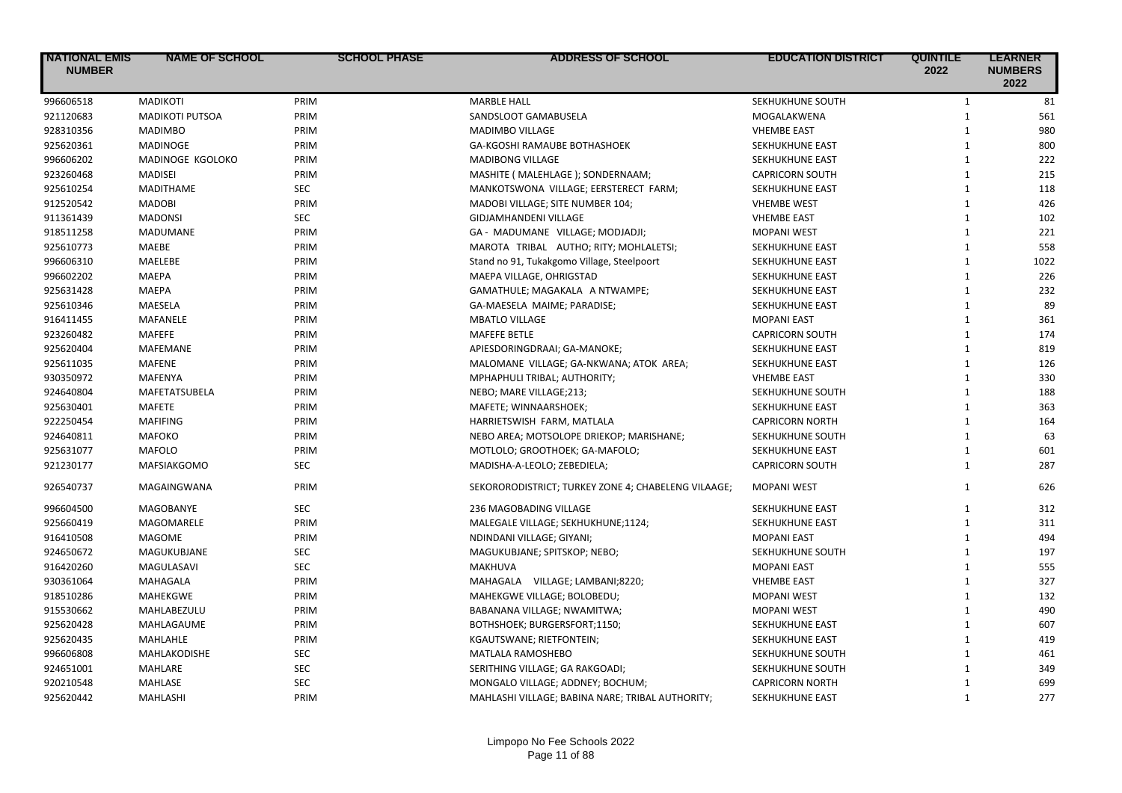| <b>NATIONAL EMIS</b><br><b>NUMBER</b> | <b>NAME OF SCHOOL</b>  | <b>SCHOOL PHASE</b> | ADDRESS OF SCHOOL                                   | <b>EDUCATION DISTRICT</b> | <b>QUINTILE</b><br>2022 | <b>LEARNER</b><br><b>NUMBERS</b><br>2022 |
|---------------------------------------|------------------------|---------------------|-----------------------------------------------------|---------------------------|-------------------------|------------------------------------------|
| 996606518                             | <b>MADIKOTI</b>        | PRIM                | <b>MARBLE HALL</b>                                  | SEKHUKHUNE SOUTH          | $\mathbf{1}$            | 81                                       |
| 921120683                             | <b>MADIKOTI PUTSOA</b> | PRIM                | SANDSLOOT GAMABUSELA                                | MOGALAKWENA               | $\mathbf{1}$            | 561                                      |
| 928310356                             | <b>MADIMBO</b>         | PRIM                | <b>MADIMBO VILLAGE</b>                              | <b>VHEMBE EAST</b>        | $\mathbf{1}$            | 980                                      |
| 925620361                             | <b>MADINOGE</b>        | PRIM                | GA-KGOSHI RAMAUBE BOTHASHOEK                        | SEKHUKHUNE EAST           | $\mathbf{1}$            | 800                                      |
| 996606202                             | MADINOGE KGOLOKO       | PRIM                | <b>MADIBONG VILLAGE</b>                             | SEKHUKHUNE EAST           | $\mathbf{1}$            | 222                                      |
| 923260468                             | <b>MADISEI</b>         | PRIM                | MASHITE ( MALEHLAGE ); SONDERNAAM;                  | <b>CAPRICORN SOUTH</b>    | $\mathbf{1}$            | 215                                      |
| 925610254                             | <b>MADITHAME</b>       | <b>SEC</b>          | MANKOTSWONA VILLAGE; EERSTERECT FARM;               | SEKHUKHUNE EAST           | $\mathbf{1}$            | 118                                      |
| 912520542                             | <b>MADOBI</b>          | PRIM                | MADOBI VILLAGE; SITE NUMBER 104;                    | <b>VHEMBE WEST</b>        | $\mathbf{1}$            | 426                                      |
| 911361439                             | <b>MADONSI</b>         | <b>SEC</b>          | GIDJAMHANDENI VILLAGE                               | <b>VHEMBE EAST</b>        | $\mathbf{1}$            | 102                                      |
| 918511258                             | <b>MADUMANE</b>        | PRIM                | GA - MADUMANE VILLAGE; MODJADJI;                    | <b>MOPANI WEST</b>        | $\mathbf{1}$            | 221                                      |
| 925610773                             | MAEBE                  | PRIM                | MAROTA TRIBAL AUTHO; RITY; MOHLALETSI;              | SEKHUKHUNE EAST           | $\mathbf{1}$            | 558                                      |
| 996606310                             | <b>MAELEBE</b>         | PRIM                | Stand no 91, Tukakgomo Village, Steelpoort          | SEKHUKHUNE EAST           | $\mathbf{1}$            | 1022                                     |
| 996602202                             | MAEPA                  | PRIM                | MAEPA VILLAGE, OHRIGSTAD                            | SEKHUKHUNE EAST           | $\mathbf{1}$            | 226                                      |
| 925631428                             | MAEPA                  | PRIM                | GAMATHULE; MAGAKALA A NTWAMPE;                      | SEKHUKHUNE EAST           | $\mathbf{1}$            | 232                                      |
| 925610346                             | <b>MAESELA</b>         | PRIM                | GA-MAESELA MAIME; PARADISE;                         | SEKHUKHUNE EAST           | $\mathbf{1}$            | 89                                       |
| 916411455                             | MAFANELE               | PRIM                | <b>MBATLO VILLAGE</b>                               | <b>MOPANI EAST</b>        | 1                       | 361                                      |
| 923260482                             | MAFEFE                 | PRIM                | <b>MAFEFE BETLE</b>                                 | <b>CAPRICORN SOUTH</b>    | $\mathbf{1}$            | 174                                      |
| 925620404                             | MAFEMANE               | PRIM                | APIESDORINGDRAAI; GA-MANOKE;                        | SEKHUKHUNE EAST           | $\mathbf{1}$            | 819                                      |
| 925611035                             | <b>MAFENE</b>          | PRIM                | MALOMANE VILLAGE; GA-NKWANA; ATOK AREA;             | SEKHUKHUNE EAST           | $\mathbf{1}$            | 126                                      |
| 930350972                             | MAFENYA                | PRIM                | MPHAPHULI TRIBAL; AUTHORITY;                        | <b>VHEMBE EAST</b>        | $\mathbf{1}$            | 330                                      |
| 924640804                             | MAFETATSUBELA          | PRIM                | NEBO; MARE VILLAGE;213;                             | SEKHUKHUNE SOUTH          | $\mathbf{1}$            | 188                                      |
| 925630401                             | MAFETE                 | PRIM                | MAFETE; WINNAARSHOEK;                               | SEKHUKHUNE EAST           | $\mathbf{1}$            | 363                                      |
| 922250454                             | <b>MAFIFING</b>        | PRIM                | HARRIETSWISH FARM, MATLALA                          | <b>CAPRICORN NORTH</b>    | $\mathbf{1}$            | 164                                      |
| 924640811                             | <b>MAFOKO</b>          | PRIM                | NEBO AREA; MOTSOLOPE DRIEKOP; MARISHANE;            | SEKHUKHUNE SOUTH          | $\mathbf{1}$            | 63                                       |
| 925631077                             | <b>MAFOLO</b>          | PRIM                | MOTLOLO; GROOTHOEK; GA-MAFOLO;                      | SEKHUKHUNE EAST           | $\mathbf{1}$            | 601                                      |
| 921230177                             | MAFSIAKGOMO            | <b>SEC</b>          | MADISHA-A-LEOLO; ZEBEDIELA;                         | <b>CAPRICORN SOUTH</b>    | $\mathbf{1}$            | 287                                      |
| 926540737                             | MAGAINGWANA            | PRIM                | SEKORORODISTRICT; TURKEY ZONE 4; CHABELENG VILAAGE; | <b>MOPANI WEST</b>        | $\mathbf{1}$            | 626                                      |
| 996604500                             | <b>MAGOBANYE</b>       | SEC                 | 236 MAGOBADING VILLAGE                              | SEKHUKHUNE EAST           | 1                       | 312                                      |
| 925660419                             | MAGOMARELE             | PRIM                | MALEGALE VILLAGE; SEKHUKHUNE;1124;                  | SEKHUKHUNE EAST           | 1                       | 311                                      |
| 916410508                             | <b>MAGOME</b>          | PRIM                | NDINDANI VILLAGE; GIYANI;                           | <b>MOPANI EAST</b>        | $\mathbf{1}$            | 494                                      |
| 924650672                             | <b>MAGUKUBJANE</b>     | SEC                 | MAGUKUBJANE; SPITSKOP; NEBO;                        | SEKHUKHUNE SOUTH          | $\mathbf{1}$            | 197                                      |
| 916420260                             | MAGULASAVI             | <b>SEC</b>          | MAKHUVA                                             | <b>MOPANI EAST</b>        | $\mathbf{1}$            | 555                                      |
| 930361064                             | MAHAGALA               | PRIM                | MAHAGALA VILLAGE; LAMBANI;8220;                     | <b>VHEMBE EAST</b>        | $\mathbf{1}$            | 327                                      |
| 918510286                             | MAHEKGWE               | PRIM                | MAHEKGWE VILLAGE; BOLOBEDU;                         | <b>MOPANI WEST</b>        | $\mathbf{1}$            | 132                                      |
| 915530662                             | MAHLABEZULU            | PRIM                | BABANANA VILLAGE; NWAMITWA;                         | <b>MOPANI WEST</b>        | $\mathbf{1}$            | 490                                      |
| 925620428                             | MAHLAGAUME             | PRIM                | BOTHSHOEK; BURGERSFORT;1150;                        | SEKHUKHUNE EAST           | $\mathbf{1}$            | 607                                      |
| 925620435                             | MAHLAHLE               | PRIM                | KGAUTSWANE; RIETFONTEIN;                            | SEKHUKHUNE EAST           | $\mathbf{1}$            | 419                                      |
| 996606808                             | MAHLAKODISHE           | <b>SEC</b>          | MATLALA RAMOSHEBO                                   | SEKHUKHUNE SOUTH          | $\mathbf{1}$            | 461                                      |
| 924651001                             | MAHLARE                | <b>SEC</b>          | SERITHING VILLAGE; GA RAKGOADI;                     | SEKHUKHUNE SOUTH          | $\mathbf{1}$            | 349                                      |
| 920210548                             | MAHLASE                | <b>SEC</b>          | MONGALO VILLAGE; ADDNEY; BOCHUM;                    | <b>CAPRICORN NORTH</b>    | $\mathbf{1}$            | 699                                      |
| 925620442                             | MAHLASHI               | PRIM                | MAHLASHI VILLAGE; BABINA NARE; TRIBAL AUTHORITY;    | SEKHUKHUNE EAST           | $\mathbf{1}$            | 277                                      |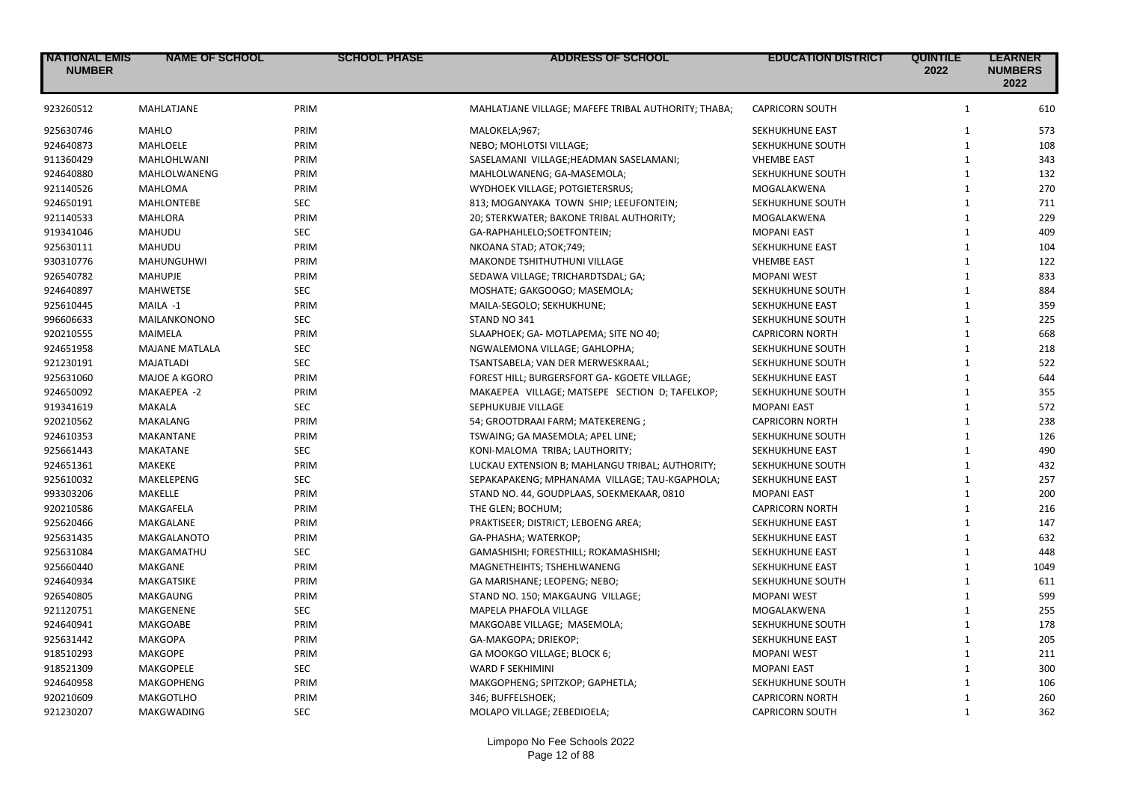| <b>NATIONAL EMIS</b><br><b>NUMBER</b> | <b>NAME OF SCHOOL</b> | <b>SCHOOL PHASE</b> | <b>ADDRESS OF SCHOOL</b>                            | <b>EDUCATION DISTRICT</b> | <b>QUINTILE</b><br>2022 | <b>LEARNER</b><br><b>NUMBERS</b><br>2022 |
|---------------------------------------|-----------------------|---------------------|-----------------------------------------------------|---------------------------|-------------------------|------------------------------------------|
| 923260512                             | MAHLATJANE            | PRIM                | MAHLATJANE VILLAGE; MAFEFE TRIBAL AUTHORITY; THABA; | <b>CAPRICORN SOUTH</b>    | $\mathbf{1}$            | 610                                      |
| 925630746                             | <b>MAHLO</b>          | PRIM                | MALOKELA;967;                                       | <b>SEKHUKHUNE EAST</b>    | 1                       | 573                                      |
| 924640873                             | <b>MAHLOELE</b>       | PRIM                | NEBO; MOHLOTSI VILLAGE;                             | SEKHUKHUNE SOUTH          | $\mathbf{1}$            | 108                                      |
| 911360429                             | MAHLOHLWANI           | PRIM                | SASELAMANI VILLAGE;HEADMAN SASELAMANI;              | <b>VHEMBE EAST</b>        | $\mathbf{1}$            | 343                                      |
| 924640880                             | MAHLOLWANENG          | PRIM                | MAHLOLWANENG; GA-MASEMOLA;                          | SEKHUKHUNE SOUTH          | $\mathbf{1}$            | 132                                      |
| 921140526                             | <b>MAHLOMA</b>        | PRIM                | WYDHOEK VILLAGE; POTGIETERSRUS;                     | MOGALAKWENA               | $\mathbf{1}$            | 270                                      |
| 924650191                             | <b>MAHLONTEBE</b>     | <b>SEC</b>          | 813; MOGANYAKA TOWN SHIP; LEEUFONTEIN;              | SEKHUKHUNE SOUTH          | $\mathbf{1}$            | 711                                      |
| 921140533                             | <b>MAHLORA</b>        | PRIM                | 20; STERKWATER; BAKONE TRIBAL AUTHORITY;            | MOGALAKWENA               | $\mathbf{1}$            | 229                                      |
| 919341046                             | MAHUDU                | <b>SEC</b>          | GA-RAPHAHLELO;SOETFONTEIN;                          | <b>MOPANI EAST</b>        | 1                       | 409                                      |
| 925630111                             | MAHUDU                | PRIM                | NKOANA STAD; ATOK;749;                              | <b>SEKHUKHUNE EAST</b>    | $\mathbf{1}$            | 104                                      |
| 930310776                             | MAHUNGUHWI            | PRIM                | MAKONDE TSHITHUTHUNI VILLAGE                        | <b>VHEMBE EAST</b>        | $\mathbf{1}$            | 122                                      |
| 926540782                             | <b>MAHUPJE</b>        | PRIM                | SEDAWA VILLAGE; TRICHARDTSDAL; GA;                  | <b>MOPANI WEST</b>        | $\mathbf{1}$            | 833                                      |
| 924640897                             | <b>MAHWETSE</b>       | <b>SEC</b>          | MOSHATE; GAKGOOGO; MASEMOLA;                        | SEKHUKHUNE SOUTH          | $\mathbf{1}$            | 884                                      |
| 925610445                             | MAILA -1              | PRIM                | MAILA-SEGOLO; SEKHUKHUNE;                           | SEKHUKHUNE EAST           | $\mathbf{1}$            | 359                                      |
| 996606633                             | MAILANKONONO          | <b>SEC</b>          | STAND NO 341                                        | SEKHUKHUNE SOUTH          | $\mathbf{1}$            | 225                                      |
| 920210555                             | MAIMELA               | PRIM                | SLAAPHOEK; GA- MOTLAPEMA; SITE NO 40;               | <b>CAPRICORN NORTH</b>    | $\mathbf{1}$            | 668                                      |
| 924651958                             | <b>MAJANE MATLALA</b> | <b>SEC</b>          | NGWALEMONA VILLAGE; GAHLOPHA;                       | SEKHUKHUNE SOUTH          | 1                       | 218                                      |
| 921230191                             | <b>MAJATLADI</b>      | <b>SEC</b>          | TSANTSABELA; VAN DER MERWESKRAAL;                   | SEKHUKHUNE SOUTH          | $\mathbf{1}$            | 522                                      |
| 925631060                             | MAJOE A KGORO         | PRIM                | FOREST HILL; BURGERSFORT GA- KGOETE VILLAGE;        | SEKHUKHUNE EAST           | $\mathbf{1}$            | 644                                      |
| 924650092                             | MAKAEPEA -2           | PRIM                | MAKAEPEA VILLAGE; MATSEPE SECTION D; TAFELKOP;      | SEKHUKHUNE SOUTH          | $\mathbf{1}$            | 355                                      |
| 919341619                             | MAKALA                | <b>SEC</b>          | SEPHUKUBJE VILLAGE                                  | <b>MOPANI EAST</b>        | $\mathbf{1}$            | 572                                      |
| 920210562                             | MAKALANG              | PRIM                | 54; GROOTDRAAI FARM; MATEKERENG;                    | <b>CAPRICORN NORTH</b>    | $\mathbf{1}$            | 238                                      |
| 924610353                             | <b>MAKANTANE</b>      | PRIM                | TSWAING; GA MASEMOLA; APEL LINE;                    | SEKHUKHUNE SOUTH          | $\mathbf{1}$            | 126                                      |
| 925661443                             | <b>MAKATANE</b>       | <b>SEC</b>          | KONI-MALOMA TRIBA; LAUTHORITY;                      | SEKHUKHUNE EAST           | $\mathbf{1}$            | 490                                      |
| 924651361                             | <b>MAKEKE</b>         | PRIM                | LUCKAU EXTENSION B; MAHLANGU TRIBAL; AUTHORITY;     | SEKHUKHUNE SOUTH          | $\mathbf{1}$            | 432                                      |
| 925610032                             | MAKELEPENG            | <b>SEC</b>          | SEPAKAPAKENG; MPHANAMA VILLAGE; TAU-KGAPHOLA;       | SEKHUKHUNE EAST           | $\mathbf{1}$            | 257                                      |
| 993303206                             | MAKELLE               | PRIM                | STAND NO. 44, GOUDPLAAS, SOEKMEKAAR, 0810           | <b>MOPANI EAST</b>        | $\mathbf{1}$            | 200                                      |
| 920210586                             | MAKGAFELA             | PRIM                |                                                     | <b>CAPRICORN NORTH</b>    | $\mathbf{1}$            | 216                                      |
|                                       |                       |                     | THE GLEN; BOCHUM;                                   |                           |                         |                                          |
| 925620466                             | MAKGALANE             | PRIM                | PRAKTISEER; DISTRICT; LEBOENG AREA;                 | SEKHUKHUNE EAST           | $\mathbf{1}$            | 147                                      |
| 925631435                             | <b>MAKGALANOTO</b>    | PRIM                | GA-PHASHA; WATERKOP;                                | SEKHUKHUNE EAST           | $\mathbf{1}$            | 632                                      |
| 925631084                             | MAKGAMATHU            | <b>SEC</b>          | GAMASHISHI; FORESTHILL; ROKAMASHISHI;               | SEKHUKHUNE EAST           | 1                       | 448                                      |
| 925660440                             | <b>MAKGANE</b>        | PRIM                | MAGNETHEIHTS; TSHEHLWANENG                          | <b>SEKHUKHUNE EAST</b>    | $\mathbf{1}$            | 1049                                     |
| 924640934                             | MAKGATSIKE            | PRIM                | GA MARISHANE; LEOPENG; NEBO;                        | SEKHUKHUNE SOUTH          | $\mathbf{1}$            | 611                                      |
| 926540805                             | MAKGAUNG              | PRIM                | STAND NO. 150; MAKGAUNG VILLAGE;                    | <b>MOPANI WEST</b>        | $\mathbf{1}$            | 599                                      |
| 921120751                             | MAKGENENE             | <b>SEC</b>          | MAPELA PHAFOLA VILLAGE                              | MOGALAKWENA               | $\mathbf{1}$            | 255                                      |
| 924640941                             | <b>MAKGOABE</b>       | PRIM                | MAKGOABE VILLAGE; MASEMOLA;                         | SEKHUKHUNE SOUTH          | $\mathbf{1}$            | 178                                      |
| 925631442                             | <b>MAKGOPA</b>        | PRIM                | GA-MAKGOPA; DRIEKOP;                                | SEKHUKHUNE EAST           | $\mathbf{1}$            | 205                                      |
| 918510293                             | <b>MAKGOPE</b>        | PRIM                | GA MOOKGO VILLAGE; BLOCK 6;                         | <b>MOPANI WEST</b>        | $\mathbf{1}$            | 211                                      |
| 918521309                             | <b>MAKGOPELE</b>      | <b>SEC</b>          | WARD F SEKHIMINI                                    | <b>MOPANI EAST</b>        | $\mathbf{1}$            | 300                                      |
| 924640958                             | MAKGOPHENG            | PRIM                | MAKGOPHENG; SPITZKOP; GAPHETLA;                     | SEKHUKHUNE SOUTH          | $\mathbf{1}$            | 106                                      |
| 920210609                             | <b>MAKGOTLHO</b>      | PRIM                | 346; BUFFELSHOEK;                                   | <b>CAPRICORN NORTH</b>    | $\mathbf{1}$            | 260                                      |
| 921230207                             | <b>MAKGWADING</b>     | <b>SEC</b>          | MOLAPO VILLAGE; ZEBEDIOELA;                         | <b>CAPRICORN SOUTH</b>    | $\mathbf{1}$            | 362                                      |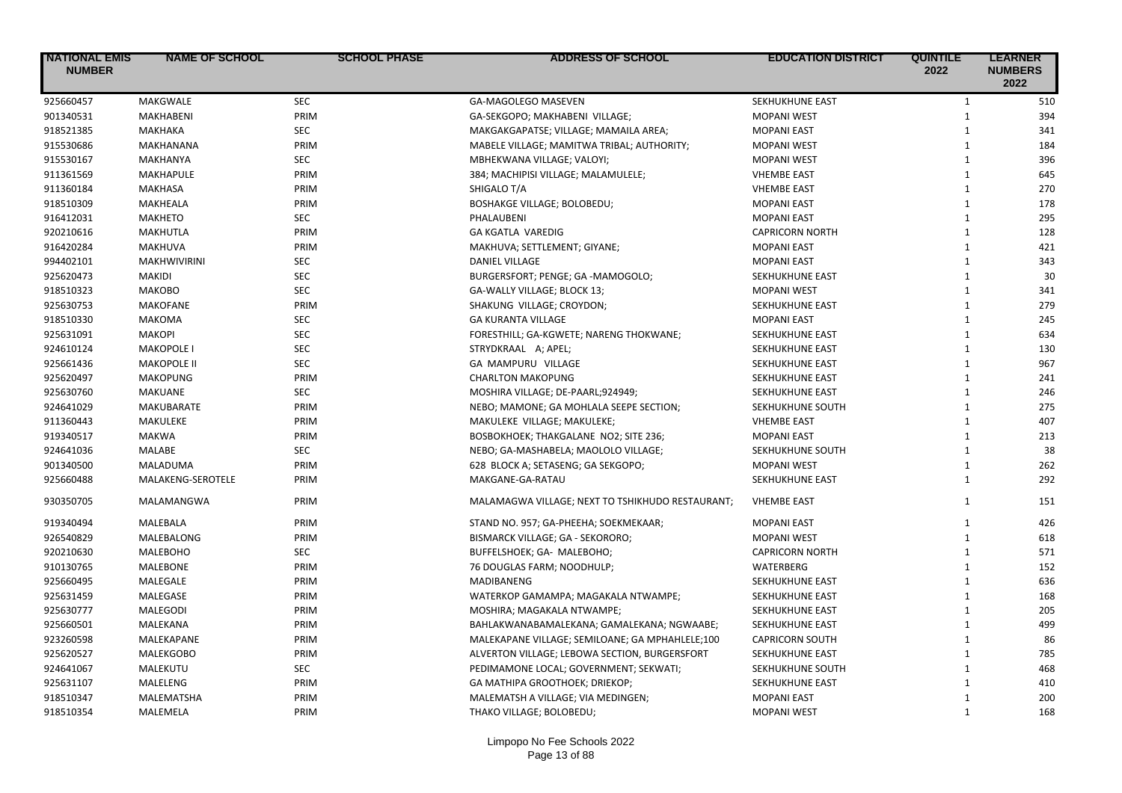| <b>NATIONAL EMIS</b><br><b>NUMBER</b> | <b>NAME OF SCHOOL</b> | <b>SCHOOL PHASE</b> | <b>ADDRESS OF SCHOOL</b>                         | <b>EDUCATION DISTRICT</b> | <b>QUINTILE</b><br>2022 | <b>LEARNER</b><br><b>NUMBERS</b><br>2022 |
|---------------------------------------|-----------------------|---------------------|--------------------------------------------------|---------------------------|-------------------------|------------------------------------------|
| 925660457                             | MAKGWALE              | <b>SEC</b>          | GA-MAGOLEGO MASEVEN                              | SEKHUKHUNE EAST           | $\mathbf{1}$            | 510                                      |
| 901340531                             | <b>MAKHABENI</b>      | PRIM                | GA-SEKGOPO; MAKHABENI VILLAGE;                   | <b>MOPANI WEST</b>        | $\mathbf{1}$            | 394                                      |
| 918521385                             | MAKHAKA               | <b>SEC</b>          | MAKGAKGAPATSE; VILLAGE; MAMAILA AREA;            | <b>MOPANI EAST</b>        | $\mathbf{1}$            | 341                                      |
| 915530686                             | MAKHANANA             | PRIM                | MABELE VILLAGE; MAMITWA TRIBAL; AUTHORITY;       | <b>MOPANI WEST</b>        | $\mathbf{1}$            | 184                                      |
| 915530167                             | MAKHANYA              | <b>SEC</b>          | MBHEKWANA VILLAGE; VALOYI;                       | <b>MOPANI WEST</b>        | $\mathbf{1}$            | 396                                      |
| 911361569                             | <b>MAKHAPULE</b>      | PRIM                | 384; MACHIPISI VILLAGE; MALAMULELE;              | <b>VHEMBE EAST</b>        | $\mathbf{1}$            | 645                                      |
| 911360184                             | <b>MAKHASA</b>        | PRIM                | SHIGALO T/A                                      | <b>VHEMBE EAST</b>        | $\mathbf{1}$            | 270                                      |
| 918510309                             | MAKHEALA              | PRIM                | <b>BOSHAKGE VILLAGE; BOLOBEDU;</b>               | <b>MOPANI EAST</b>        | $\mathbf{1}$            | 178                                      |
| 916412031                             | <b>MAKHETO</b>        | <b>SEC</b>          | PHALAUBENI                                       | <b>MOPANI EAST</b>        | $\mathbf{1}$            | 295                                      |
| 920210616                             | MAKHUTLA              | PRIM                | <b>GA KGATLA VAREDIG</b>                         | <b>CAPRICORN NORTH</b>    | $\mathbf{1}$            | 128                                      |
| 916420284                             | MAKHUVA               | PRIM                | MAKHUVA; SETTLEMENT; GIYANE;                     | <b>MOPANI EAST</b>        | $\mathbf{1}$            | 421                                      |
| 994402101                             | <b>MAKHWIVIRINI</b>   | SEC                 | DANIEL VILLAGE                                   | <b>MOPANI EAST</b>        | $\mathbf{1}$            | 343                                      |
| 925620473                             | MAKIDI                | <b>SEC</b>          | BURGERSFORT; PENGE; GA -MAMOGOLO;                | SEKHUKHUNE EAST           | $\mathbf{1}$            | 30                                       |
| 918510323                             | МАКОВО                | <b>SEC</b>          | GA-WALLY VILLAGE; BLOCK 13;                      | <b>MOPANI WEST</b>        | $\mathbf{1}$            | 341                                      |
| 925630753                             | <b>MAKOFANE</b>       | PRIM                | SHAKUNG VILLAGE; CROYDON;                        | SEKHUKHUNE EAST           | $\mathbf{1}$            | 279                                      |
| 918510330                             | <b>MAKOMA</b>         | <b>SEC</b>          | <b>GA KURANTA VILLAGE</b>                        | <b>MOPANI EAST</b>        | $\mathbf{1}$            | 245                                      |
| 925631091                             | <b>MAKOPI</b>         | <b>SEC</b>          | FORESTHILL; GA-KGWETE; NARENG THOKWANE;          | <b>SEKHUKHUNE EAST</b>    | $\mathbf{1}$            | 634                                      |
| 924610124                             | <b>MAKOPOLE I</b>     | <b>SEC</b>          | STRYDKRAAL A; APEL;                              | SEKHUKHUNE EAST           | $\mathbf{1}$            | 130                                      |
| 925661436                             | <b>MAKOPOLE II</b>    | <b>SEC</b>          | GA MAMPURU VILLAGE                               | SEKHUKHUNE EAST           | $\mathbf{1}$            | 967                                      |
| 925620497                             | <b>MAKOPUNG</b>       | PRIM                | <b>CHARLTON MAKOPUNG</b>                         | SEKHUKHUNE EAST           | $\mathbf{1}$            | 241                                      |
| 925630760                             | <b>MAKUANE</b>        | <b>SEC</b>          | MOSHIRA VILLAGE; DE-PAARL;924949;                | SEKHUKHUNE EAST           | $\mathbf{1}$            | 246                                      |
| 924641029                             | <b>MAKUBARATE</b>     | PRIM                | NEBO; MAMONE; GA MOHLALA SEEPE SECTION;          | SEKHUKHUNE SOUTH          | $\mathbf{1}$            | 275                                      |
| 911360443                             | MAKULEKE              | PRIM                | MAKULEKE VILLAGE; MAKULEKE;                      | <b>VHEMBE EAST</b>        | $\mathbf{1}$            | 407                                      |
| 919340517                             | <b>MAKWA</b>          | PRIM                | BOSBOKHOEK; THAKGALANE NO2; SITE 236;            | <b>MOPANI EAST</b>        | $\mathbf{1}$            | 213                                      |
| 924641036                             | MALABE                | <b>SEC</b>          | NEBO; GA-MASHABELA; MAOLOLO VILLAGE;             | SEKHUKHUNE SOUTH          | $\mathbf{1}$            | 38                                       |
| 901340500                             | MALADUMA              | PRIM                | 628 BLOCK A; SETASENG; GA SEKGOPO;               | <b>MOPANI WEST</b>        | $\mathbf{1}$            | 262                                      |
| 925660488                             | MALAKENG-SEROTELE     | PRIM                | MAKGANE-GA-RATAU                                 | SEKHUKHUNE EAST           | $\mathbf{1}$            | 292                                      |
| 930350705                             | MALAMANGWA            | PRIM                | MALAMAGWA VILLAGE; NEXT TO TSHIKHUDO RESTAURANT; | <b>VHEMBE EAST</b>        | $\mathbf{1}$            | 151                                      |
| 919340494                             | MALEBALA              | PRIM                | STAND NO. 957; GA-PHEEHA; SOEKMEKAAR;            | <b>MOPANI EAST</b>        | $\mathbf{1}$            | 426                                      |
| 926540829                             | MALEBALONG            | PRIM                | BISMARCK VILLAGE; GA - SEKORORO;                 | <b>MOPANI WEST</b>        | $\mathbf{1}$            | 618                                      |
| 920210630                             | <b>MALEBOHO</b>       | <b>SEC</b>          | BUFFELSHOEK; GA- MALEBOHO;                       | <b>CAPRICORN NORTH</b>    | $\mathbf{1}$            | 571                                      |
| 910130765                             | <b>MALEBONE</b>       | PRIM                | 76 DOUGLAS FARM; NOODHULP;                       | WATERBERG                 | $\mathbf{1}$            | 152                                      |
| 925660495                             | MALEGALE              | PRIM                | MADIBANENG                                       | SEKHUKHUNE EAST           | $\mathbf{1}$            | 636                                      |
| 925631459                             | MALEGASE              | PRIM                | WATERKOP GAMAMPA; MAGAKALA NTWAMPE;              | SEKHUKHUNE EAST           | $\mathbf{1}$            | 168                                      |
| 925630777                             | <b>MALEGODI</b>       | PRIM                | MOSHIRA; MAGAKALA NTWAMPE;                       | SEKHUKHUNE EAST           | $\mathbf{1}$            | 205                                      |
| 925660501                             | MALEKANA              | PRIM                | BAHLAKWANABAMALEKANA; GAMALEKANA; NGWAABE;       | SEKHUKHUNE EAST           | $\mathbf{1}$            | 499                                      |
| 923260598                             | MALEKAPANE            | PRIM                | MALEKAPANE VILLAGE; SEMILOANE; GA MPHAHLELE;100  | <b>CAPRICORN SOUTH</b>    | $\mathbf{1}$            | 86                                       |
| 925620527                             | <b>MALEKGOBO</b>      | PRIM                | ALVERTON VILLAGE; LEBOWA SECTION, BURGERSFORT    | SEKHUKHUNE EAST           | $\mathbf{1}$            | 785                                      |
| 924641067                             | MALEKUTU              | <b>SEC</b>          | PEDIMAMONE LOCAL; GOVERNMENT; SEKWATI;           | SEKHUKHUNE SOUTH          | $\mathbf{1}$            | 468                                      |
| 925631107                             | MALELENG              | PRIM                | GA MATHIPA GROOTHOEK; DRIEKOP;                   | SEKHUKHUNE EAST           | $\mathbf{1}$            | 410                                      |
| 918510347                             | MALEMATSHA            | PRIM                | MALEMATSH A VILLAGE; VIA MEDINGEN;               | <b>MOPANI EAST</b>        | $\mathbf{1}$            | 200                                      |
| 918510354                             | MALEMELA              | PRIM                | THAKO VILLAGE; BOLOBEDU;                         | <b>MOPANI WEST</b>        | $\mathbf{1}$            | 168                                      |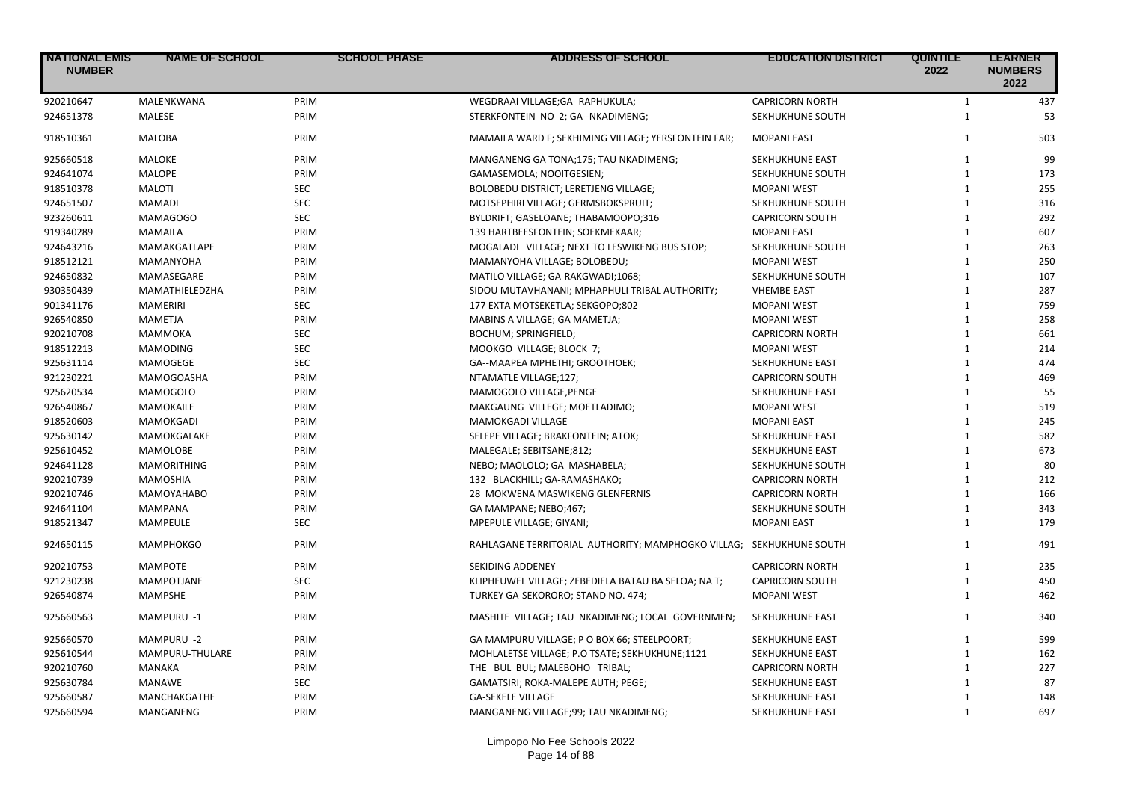| <b>NATIONAL EMIS</b><br><b>NUMBER</b> | <b>NAME OF SCHOOL</b> | <b>SCHOOL PHASE</b> | <b>ADDRESS OF SCHOOL</b>                                            | <b>EDUCATION DISTRICT</b> | <b>QUINTILE</b><br>2022 | <b>LEARNER</b><br><b>NUMBERS</b><br>2022 |
|---------------------------------------|-----------------------|---------------------|---------------------------------------------------------------------|---------------------------|-------------------------|------------------------------------------|
| 920210647                             | MALENKWANA            | PRIM                | WEGDRAAI VILLAGE;GA- RAPHUKULA;                                     | <b>CAPRICORN NORTH</b>    | $\mathbf{1}$            | 437                                      |
| 924651378                             | <b>MALESE</b>         | PRIM                | STERKFONTEIN NO 2; GA--NKADIMENG;                                   | SEKHUKHUNE SOUTH          | $\mathbf{1}$            | 53                                       |
| 918510361                             | <b>MALOBA</b>         | PRIM                | MAMAILA WARD F; SEKHIMING VILLAGE; YERSFONTEIN FAR;                 | <b>MOPANI EAST</b>        | $\mathbf{1}$            | 503                                      |
| 925660518                             | <b>MALOKE</b>         | PRIM                | MANGANENG GA TONA;175; TAU NKADIMENG;                               | SEKHUKHUNE EAST           | $\mathbf{1}$            | 99                                       |
| 924641074                             | <b>MALOPE</b>         | PRIM                | GAMASEMOLA; NOOITGESIEN;                                            | SEKHUKHUNE SOUTH          | $\mathbf{1}$            | 173                                      |
| 918510378                             | <b>MALOTI</b>         | <b>SEC</b>          | BOLOBEDU DISTRICT; LERETJENG VILLAGE;                               | <b>MOPANI WEST</b>        | $\mathbf{1}$            | 255                                      |
| 924651507                             | <b>MAMADI</b>         | <b>SEC</b>          | MOTSEPHIRI VILLAGE; GERMSBOKSPRUIT;                                 | SEKHUKHUNE SOUTH          | $\mathbf{1}$            | 316                                      |
| 923260611                             | MAMAGOGO              | <b>SEC</b>          | BYLDRIFT; GASELOANE; THABAMOOPO;316                                 | <b>CAPRICORN SOUTH</b>    | $\mathbf{1}$            | 292                                      |
| 919340289                             | <b>MAMAILA</b>        | PRIM                | 139 HARTBEESFONTEIN; SOEKMEKAAR;                                    | <b>MOPANI EAST</b>        | $\mathbf{1}$            | 607                                      |
| 924643216                             | MAMAKGATLAPE          | PRIM                | MOGALADI VILLAGE; NEXT TO LESWIKENG BUS STOP;                       | SEKHUKHUNE SOUTH          | $\mathbf{1}$            | 263                                      |
| 918512121                             | MAMANYOHA             | PRIM                | MAMANYOHA VILLAGE; BOLOBEDU;                                        | <b>MOPANI WEST</b>        | $\mathbf{1}$            | 250                                      |
| 924650832                             | MAMASEGARE            | PRIM                | MATILO VILLAGE; GA-RAKGWADI;1068;                                   | SEKHUKHUNE SOUTH          | $\mathbf{1}$            | 107                                      |
| 930350439                             | MAMATHIELEDZHA        | PRIM                | SIDOU MUTAVHANANI; MPHAPHULI TRIBAL AUTHORITY;                      | <b>VHEMBE EAST</b>        | $\mathbf{1}$            | 287                                      |
| 901341176                             | <b>MAMERIRI</b>       | <b>SEC</b>          | 177 EXTA MOTSEKETLA; SEKGOPO;802                                    | <b>MOPANI WEST</b>        | $\mathbf{1}$            | 759                                      |
| 926540850                             | <b>MAMETJA</b>        | PRIM                | MABINS A VILLAGE; GA MAMETJA;                                       | <b>MOPANI WEST</b>        | $\mathbf{1}$            | 258                                      |
| 920210708                             | MAMMOKA               | <b>SEC</b>          | BOCHUM; SPRINGFIELD;                                                | <b>CAPRICORN NORTH</b>    | $\mathbf{1}$            | 661                                      |
| 918512213                             | <b>MAMODING</b>       | <b>SEC</b>          | MOOKGO VILLAGE; BLOCK 7;                                            | <b>MOPANI WEST</b>        | $\mathbf{1}$            | 214                                      |
| 925631114                             | <b>MAMOGEGE</b>       | <b>SEC</b>          | GA--MAAPEA MPHETHI; GROOTHOEK;                                      | SEKHUKHUNE EAST           | $\mathbf{1}$            | 474                                      |
| 921230221                             | MAMOGOASHA            | PRIM                | NTAMATLE VILLAGE;127;                                               | <b>CAPRICORN SOUTH</b>    | $\mathbf{1}$            | 469                                      |
| 925620534                             | <b>MAMOGOLO</b>       | PRIM                | MAMOGOLO VILLAGE, PENGE                                             | SEKHUKHUNE EAST           | $\mathbf{1}$            | 55                                       |
| 926540867                             | MAMOKAILE             | PRIM                | MAKGAUNG VILLEGE; MOETLADIMO;                                       | <b>MOPANI WEST</b>        | $\mathbf{1}$            | 519                                      |
| 918520603                             | <b>MAMOKGADI</b>      | PRIM                | MAMOKGADI VILLAGE                                                   | <b>MOPANI EAST</b>        | $\mathbf{1}$            | 245                                      |
| 925630142                             | MAMOKGALAKE           | PRIM                | SELEPE VILLAGE; BRAKFONTEIN; ATOK;                                  | SEKHUKHUNE EAST           | $\mathbf{1}$            | 582                                      |
| 925610452                             | <b>MAMOLOBE</b>       | PRIM                | MALEGALE; SEBITSANE;812;                                            | SEKHUKHUNE EAST           | $\mathbf{1}$            | 673                                      |
| 924641128                             | <b>MAMORITHING</b>    | PRIM                | NEBO; MAOLOLO; GA MASHABELA;                                        | SEKHUKHUNE SOUTH          | $\mathbf{1}$            | 80                                       |
| 920210739                             | <b>MAMOSHIA</b>       | PRIM                | 132 BLACKHILL; GA-RAMASHAKO;                                        | <b>CAPRICORN NORTH</b>    | $\mathbf{1}$            | 212                                      |
| 920210746                             | <b>MAMOYAHABO</b>     | PRIM                | 28 MOKWENA MASWIKENG GLENFERNIS                                     | <b>CAPRICORN NORTH</b>    | $\mathbf{1}$            | 166                                      |
| 924641104                             | <b>MAMPANA</b>        | PRIM                | GA MAMPANE; NEBO;467;                                               | SEKHUKHUNE SOUTH          | $\mathbf{1}$            | 343                                      |
| 918521347                             | <b>MAMPEULE</b>       | <b>SEC</b>          | MPEPULE VILLAGE; GIYANI;                                            | <b>MOPANI EAST</b>        | $\mathbf{1}$            | 179                                      |
| 924650115                             | <b>MAMPHOKGO</b>      | PRIM                | RAHLAGANE TERRITORIAL AUTHORITY; MAMPHOGKO VILLAG; SEKHUKHUNE SOUTH |                           | $\mathbf{1}$            | 491                                      |
| 920210753                             | <b>MAMPOTE</b>        | PRIM                | <b>SEKIDING ADDENEY</b>                                             | <b>CAPRICORN NORTH</b>    | $\mathbf{1}$            | 235                                      |
| 921230238                             | <b>MAMPOTJANE</b>     | <b>SEC</b>          | KLIPHEUWEL VILLAGE; ZEBEDIELA BATAU BA SELOA; NA T;                 | <b>CAPRICORN SOUTH</b>    | $\mathbf{1}$            | 450                                      |
| 926540874                             | <b>MAMPSHE</b>        | PRIM                | TURKEY GA-SEKORORO; STAND NO. 474;                                  | <b>MOPANI WEST</b>        | $\mathbf{1}$            | 462                                      |
| 925660563                             | MAMPURU -1            | PRIM                | MASHITE VILLAGE; TAU NKADIMENG; LOCAL GOVERNMEN;                    | SEKHUKHUNE EAST           | $\mathbf{1}$            | 340                                      |
| 925660570                             | MAMPURU -2            | PRIM                | GA MAMPURU VILLAGE; P O BOX 66; STEELPOORT;                         | SEKHUKHUNE EAST           | $\mathbf{1}$            | 599                                      |
| 925610544                             | MAMPURU-THULARE       | PRIM                | MOHLALETSE VILLAGE; P.O TSATE; SEKHUKHUNE;1121                      | SEKHUKHUNE EAST           | $\mathbf{1}$            | 162                                      |
| 920210760                             | MANAKA                | PRIM                | THE BUL BUL; MALEBOHO TRIBAL;                                       | <b>CAPRICORN NORTH</b>    | $\mathbf{1}$            | 227                                      |
| 925630784                             | <b>MANAWE</b>         | <b>SEC</b>          | GAMATSIRI; ROKA-MALEPE AUTH; PEGE;                                  | SEKHUKHUNE EAST           | $\mathbf{1}$            | 87                                       |
| 925660587                             | MANCHAKGATHE          | PRIM                | <b>GA-SEKELE VILLAGE</b>                                            | SEKHUKHUNE EAST           | $\mathbf{1}$            | 148                                      |
| 925660594                             | MANGANENG             | PRIM                | MANGANENG VILLAGE;99; TAU NKADIMENG;                                | SEKHUKHUNE EAST           | $\mathbf{1}$            | 697                                      |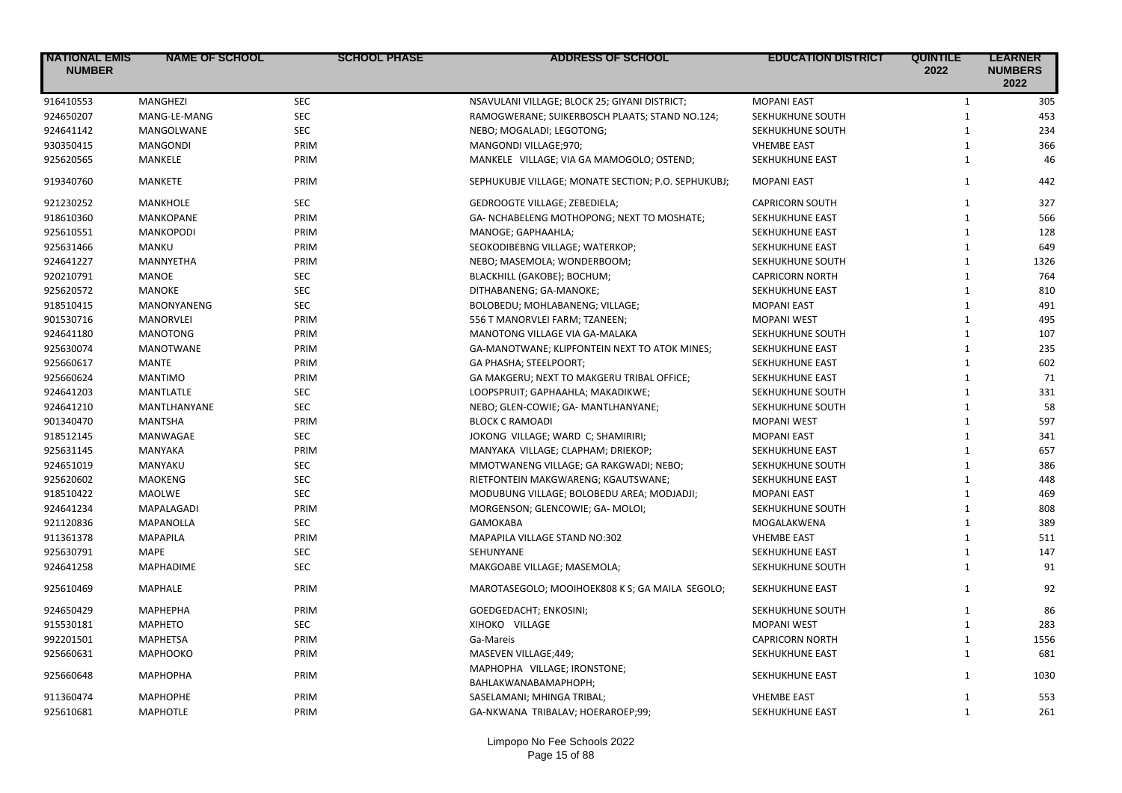| <b>NATIONAL EMIS</b><br><b>NUMBER</b> | <b>NAME OF SCHOOL</b> | <b>SCHOOL PHASE</b> | <b>ADDRESS OF SCHOOL</b>                             | <b>EDUCATION DISTRICT</b> | <b>QUINTILE</b><br>2022 | <b>LEARNER</b><br><b>NUMBERS</b><br>2022 |
|---------------------------------------|-----------------------|---------------------|------------------------------------------------------|---------------------------|-------------------------|------------------------------------------|
| 916410553                             | <b>MANGHEZI</b>       | <b>SEC</b>          | NSAVULANI VILLAGE; BLOCK 25; GIYANI DISTRICT;        | <b>MOPANI EAST</b>        | $\mathbf{1}$            | 305                                      |
| 924650207                             | MANG-LE-MANG          | <b>SEC</b>          | RAMOGWERANE; SUIKERBOSCH PLAATS; STAND NO.124;       | SEKHUKHUNE SOUTH          | $\mathbf{1}$            | 453                                      |
| 924641142                             | MANGOLWANE            | <b>SEC</b>          | NEBO; MOGALADI; LEGOTONG;                            | SEKHUKHUNE SOUTH          | $\mathbf{1}$            | 234                                      |
| 930350415                             | <b>MANGONDI</b>       | PRIM                | MANGONDI VILLAGE;970;                                | <b>VHEMBE EAST</b>        | $\mathbf{1}$            | 366                                      |
| 925620565                             | MANKELE               | PRIM                | MANKELE VILLAGE; VIA GA MAMOGOLO; OSTEND;            | SEKHUKHUNE EAST           | $\mathbf{1}$            | 46                                       |
| 919340760                             | <b>MANKETE</b>        | PRIM                | SEPHUKUBJE VILLAGE; MONATE SECTION; P.O. SEPHUKUBJ;  | <b>MOPANI EAST</b>        | $\mathbf{1}$            | 442                                      |
| 921230252                             | MANKHOLE              | <b>SEC</b>          | GEDROOGTE VILLAGE; ZEBEDIELA;                        | <b>CAPRICORN SOUTH</b>    | $\mathbf{1}$            | 327                                      |
| 918610360                             | MANKOPANE             | PRIM                | GA- NCHABELENG MOTHOPONG; NEXT TO MOSHATE;           | SEKHUKHUNE EAST           | $\mathbf{1}$            | 566                                      |
| 925610551                             | <b>MANKOPODI</b>      | PRIM                | MANOGE; GAPHAAHLA;                                   | SEKHUKHUNE EAST           | $\mathbf{1}$            | 128                                      |
| 925631466                             | <b>MANKU</b>          | PRIM                | SEOKODIBEBNG VILLAGE; WATERKOP;                      | SEKHUKHUNE EAST           | $\mathbf{1}$            | 649                                      |
| 924641227                             | <b>MANNYETHA</b>      | PRIM                | NEBO; MASEMOLA; WONDERBOOM;                          | SEKHUKHUNE SOUTH          | $\mathbf{1}$            | 1326                                     |
| 920210791                             | <b>MANOE</b>          | <b>SEC</b>          | BLACKHILL (GAKOBE); BOCHUM;                          | <b>CAPRICORN NORTH</b>    | $\mathbf{1}$            | 764                                      |
| 925620572                             | <b>MANOKE</b>         | SEC                 | DITHABANENG; GA-MANOKE;                              | SEKHUKHUNE EAST           | $\mathbf{1}$            | 810                                      |
| 918510415                             | MANONYANENG           | <b>SEC</b>          | BOLOBEDU; MOHLABANENG; VILLAGE;                      | <b>MOPANI EAST</b>        | $\mathbf{1}$            | 491                                      |
| 901530716                             | MANORVLEI             | PRIM                | 556 T MANORVLEI FARM; TZANEEN;                       | <b>MOPANI WEST</b>        | $\mathbf{1}$            | 495                                      |
| 924641180                             | <b>MANOTONG</b>       | PRIM                | MANOTONG VILLAGE VIA GA-MALAKA                       | SEKHUKHUNE SOUTH          | $\mathbf{1}$            | 107                                      |
| 925630074                             | <b>MANOTWANE</b>      | PRIM                | GA-MANOTWANE; KLIPFONTEIN NEXT TO ATOK MINES;        | SEKHUKHUNE EAST           | $\mathbf{1}$            | 235                                      |
| 925660617                             | MANTE                 | PRIM                | GA PHASHA; STEELPOORT;                               | SEKHUKHUNE EAST           | $\mathbf{1}$            | 602                                      |
| 925660624                             | <b>MANTIMO</b>        | PRIM                | GA MAKGERU; NEXT TO MAKGERU TRIBAL OFFICE;           | SEKHUKHUNE EAST           | $\mathbf{1}$            | 71                                       |
| 924641203                             | MANTLATLE             | <b>SEC</b>          | LOOPSPRUIT; GAPHAAHLA; MAKADIKWE;                    | SEKHUKHUNE SOUTH          | $\mathbf{1}$            | 331                                      |
| 924641210                             | MANTLHANYANE          | <b>SEC</b>          | NEBO; GLEN-COWIE; GA- MANTLHANYANE;                  | SEKHUKHUNE SOUTH          | $\mathbf{1}$            | 58                                       |
| 901340470                             | <b>MANTSHA</b>        | PRIM                | <b>BLOCK C RAMOADI</b>                               | <b>MOPANI WEST</b>        | $\mathbf{1}$            | 597                                      |
| 918512145                             | MANWAGAE              | <b>SEC</b>          | JOKONG VILLAGE; WARD C; SHAMIRIRI;                   | <b>MOPANI EAST</b>        | $\mathbf{1}$            | 341                                      |
| 925631145                             | <b>MANYAKA</b>        | PRIM                | MANYAKA VILLAGE; CLAPHAM; DRIEKOP;                   | SEKHUKHUNE EAST           | $\mathbf{1}$            | 657                                      |
| 924651019                             | MANYAKU               | <b>SEC</b>          | MMOTWANENG VILLAGE; GA RAKGWADI; NEBO;               | SEKHUKHUNE SOUTH          | $\mathbf{1}$            | 386                                      |
| 925620602                             | <b>MAOKENG</b>        | <b>SEC</b>          | RIETFONTEIN MAKGWARENG; KGAUTSWANE;                  | SEKHUKHUNE EAST           | $\mathbf{1}$            | 448                                      |
| 918510422                             | <b>MAOLWE</b>         | <b>SEC</b>          | MODUBUNG VILLAGE; BOLOBEDU AREA; MODJADJI;           | <b>MOPANI EAST</b>        | $\mathbf{1}$            | 469                                      |
| 924641234                             | MAPALAGADI            | PRIM                | MORGENSON; GLENCOWIE; GA- MOLOI;                     | SEKHUKHUNE SOUTH          | $\mathbf{1}$            | 808                                      |
| 921120836                             | <b>MAPANOLLA</b>      | <b>SEC</b>          | <b>GAMOKABA</b>                                      | MOGALAKWENA               | $\mathbf{1}$            | 389                                      |
| 911361378                             | <b>MAPAPILA</b>       | PRIM                | MAPAPILA VILLAGE STAND NO:302                        | <b>VHEMBE EAST</b>        | $\mathbf{1}$            | 511                                      |
| 925630791                             | <b>MAPE</b>           | <b>SEC</b>          | SEHUNYANE                                            | SEKHUKHUNE EAST           | $\mathbf{1}$            | 147                                      |
| 924641258                             | <b>MAPHADIME</b>      | SEC                 | MAKGOABE VILLAGE; MASEMOLA;                          | SEKHUKHUNE SOUTH          | $\mathbf{1}$            | 91                                       |
| 925610469                             | MAPHALE               | PRIM                | MAROTASEGOLO; MOOIHOEK808 K S; GA MAILA SEGOLO;      | SEKHUKHUNE EAST           | $\mathbf{1}$            | 92                                       |
| 924650429                             | <b>МАРНЕРНА</b>       | PRIM                | GOEDGEDACHT; ENKOSINI;                               | SEKHUKHUNE SOUTH          | $\mathbf{1}$            | 86                                       |
| 915530181                             | <b>MAPHETO</b>        | <b>SEC</b>          | XIHOKO VILLAGE                                       | <b>MOPANI WEST</b>        | $\mathbf{1}$            | 283                                      |
| 992201501                             | <b>MAPHETSA</b>       | PRIM                | Ga-Mareis                                            | <b>CAPRICORN NORTH</b>    | $\mathbf{1}$            | 1556                                     |
| 925660631                             | <b>MAPHOOKO</b>       | PRIM                | MASEVEN VILLAGE;449;                                 | SEKHUKHUNE EAST           | $\mathbf{1}$            | 681                                      |
| 925660648                             | МАРНОРНА              | PRIM                | MAPHOPHA VILLAGE; IRONSTONE;<br>BAHLAKWANABAMAPHOPH; | <b>SEKHUKHUNE EAST</b>    | $\mathbf{1}$            | 1030                                     |
| 911360474                             | <b>MAPHOPHE</b>       | PRIM                | SASELAMANI; MHINGA TRIBAL;                           | <b>VHEMBE EAST</b>        | 1                       | 553                                      |
| 925610681                             | <b>MAPHOTLE</b>       | PRIM                | GA-NKWANA TRIBALAV; HOERAROEP;99;                    | SEKHUKHUNE EAST           | $\mathbf{1}$            | 261                                      |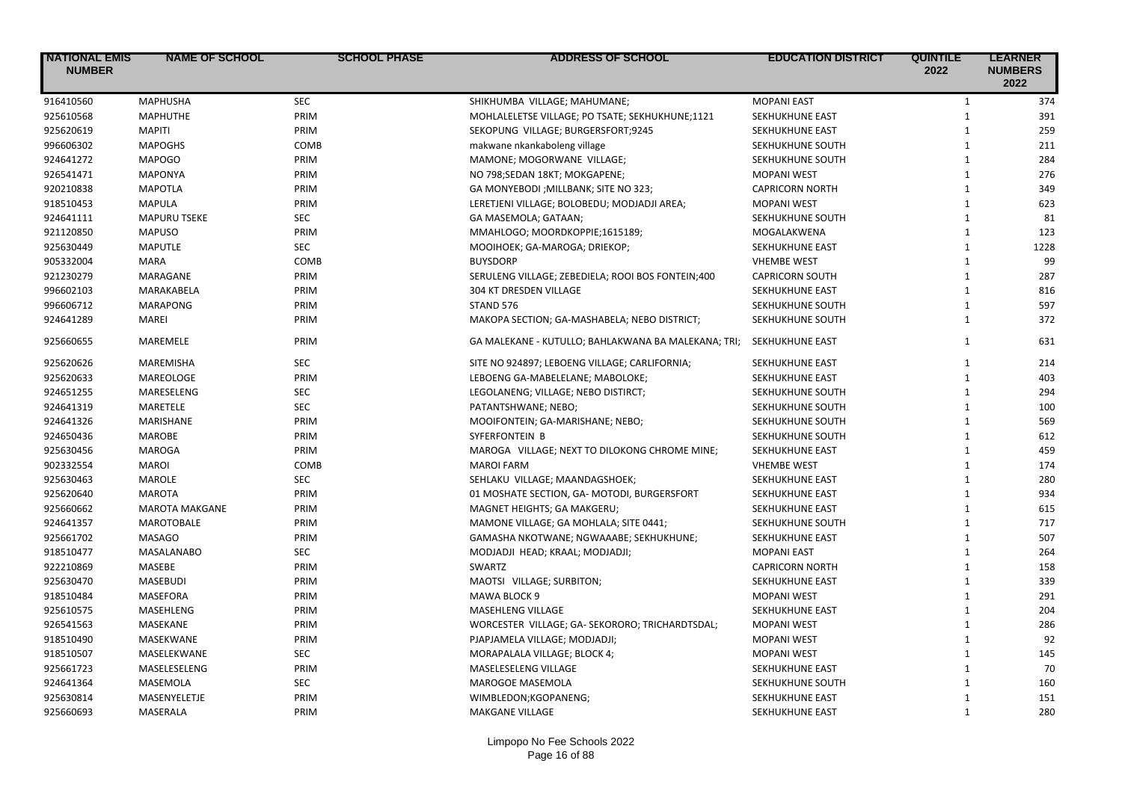| <b>NATIONAL EMIS</b><br><b>NUMBER</b> | <b>NAME OF SCHOOL</b> | <b>SCHOOL PHASE</b> | <b>ADDRESS OF SCHOOL</b>                            | <b>EDUCATION DISTRICT</b> | <b>QUINTILE</b><br>2022 | <b>LEARNER</b><br><b>NUMBERS</b><br>2022 |
|---------------------------------------|-----------------------|---------------------|-----------------------------------------------------|---------------------------|-------------------------|------------------------------------------|
| 916410560                             | <b>MAPHUSHA</b>       | <b>SEC</b>          | SHIKHUMBA VILLAGE; MAHUMANE;                        | <b>MOPANI EAST</b>        | $\mathbf{1}$            | 374                                      |
| 925610568                             | <b>MAPHUTHE</b>       | PRIM                | MOHLALELETSE VILLAGE; PO TSATE; SEKHUKHUNE;1121     | SEKHUKHUNE EAST           | $\mathbf{1}$            | 391                                      |
| 925620619                             | <b>MAPITI</b>         | PRIM                | SEKOPUNG VILLAGE; BURGERSFORT;9245                  | SEKHUKHUNE EAST           | $\mathbf{1}$            | 259                                      |
| 996606302                             | <b>MAPOGHS</b>        | COMB                | makwane nkankaboleng village                        | SEKHUKHUNE SOUTH          | $\mathbf{1}$            | 211                                      |
| 924641272                             | <b>MAPOGO</b>         | PRIM                | MAMONE; MOGORWANE VILLAGE;                          | SEKHUKHUNE SOUTH          | $\mathbf{1}$            | 284                                      |
| 926541471                             | <b>MAPONYA</b>        | PRIM                | NO 798;SEDAN 18KT; MOKGAPENE;                       | <b>MOPANI WEST</b>        | $\mathbf{1}$            | 276                                      |
| 920210838                             | <b>MAPOTLA</b>        | PRIM                | GA MONYEBODI ; MILLBANK; SITE NO 323;               | <b>CAPRICORN NORTH</b>    | $\mathbf{1}$            | 349                                      |
| 918510453                             | <b>MAPULA</b>         | PRIM                | LERETJENI VILLAGE; BOLOBEDU; MODJADJI AREA;         | <b>MOPANI WEST</b>        | $\mathbf{1}$            | 623                                      |
| 924641111                             | <b>MAPURU TSEKE</b>   | SEC                 | GA MASEMOLA; GATAAN;                                | SEKHUKHUNE SOUTH          | $\mathbf{1}$            | 81                                       |
| 921120850                             | <b>MAPUSO</b>         | PRIM                | MMAHLOGO; MOORDKOPPIE;1615189;                      | MOGALAKWENA               | $\mathbf{1}$            | 123                                      |
| 925630449                             | <b>MAPUTLE</b>        | <b>SEC</b>          | MOOIHOEK; GA-MAROGA; DRIEKOP;                       | SEKHUKHUNE EAST           | $\mathbf{1}$            | 1228                                     |
| 905332004                             | <b>MARA</b>           | COMB                | <b>BUYSDORP</b>                                     | <b>VHEMBE WEST</b>        | $\mathbf{1}$            | 99                                       |
| 921230279                             | MARAGANE              | PRIM                | SERULENG VILLAGE; ZEBEDIELA; ROOI BOS FONTEIN;400   | <b>CAPRICORN SOUTH</b>    | $\mathbf{1}$            | 287                                      |
| 996602103                             | MARAKABELA            | PRIM                | 304 KT DRESDEN VILLAGE                              | SEKHUKHUNE EAST           | $\mathbf{1}$            | 816                                      |
| 996606712                             | MARAPONG              | PRIM                | STAND 576                                           | SEKHUKHUNE SOUTH          | $\mathbf{1}$            | 597                                      |
| 924641289                             | <b>MAREI</b>          | PRIM                | MAKOPA SECTION; GA-MASHABELA; NEBO DISTRICT;        | SEKHUKHUNE SOUTH          | $\mathbf{1}$            | 372                                      |
| 925660655                             | <b>MAREMELE</b>       | PRIM                | GA MALEKANE - KUTULLO; BAHLAKWANA BA MALEKANA; TRI; | SEKHUKHUNE EAST           | $\mathbf{1}$            | 631                                      |
| 925620626                             | MAREMISHA             | <b>SEC</b>          | SITE NO 924897; LEBOENG VILLAGE; CARLIFORNIA;       | SEKHUKHUNE EAST           | $\mathbf{1}$            | 214                                      |
| 925620633                             | MAREOLOGE             | PRIM                | LEBOENG GA-MABELELANE; MABOLOKE;                    | SEKHUKHUNE EAST           | $\mathbf{1}$            | 403                                      |
| 924651255                             | MARESELENG            | <b>SEC</b>          | LEGOLANENG; VILLAGE; NEBO DISTIRCT;                 | SEKHUKHUNE SOUTH          | $\mathbf{1}$            | 294                                      |
| 924641319                             | MARETELE              | <b>SEC</b>          | PATANTSHWANE; NEBO;                                 | SEKHUKHUNE SOUTH          | $\mathbf{1}$            | 100                                      |
| 924641326                             | MARISHANE             | PRIM                | MOOIFONTEIN; GA-MARISHANE; NEBO;                    | SEKHUKHUNE SOUTH          | $\mathbf{1}$            | 569                                      |
| 924650436                             | <b>MAROBE</b>         | PRIM                | SYFERFONTEIN B                                      | SEKHUKHUNE SOUTH          | $\mathbf{1}$            | 612                                      |
| 925630456                             | <b>MAROGA</b>         | PRIM                | MAROGA VILLAGE; NEXT TO DILOKONG CHROME MINE;       | SEKHUKHUNE EAST           | $\mathbf{1}$            | 459                                      |
| 902332554                             | <b>MAROI</b>          | COMB                | <b>MAROI FARM</b>                                   | <b>VHEMBE WEST</b>        | $\mathbf{1}$            | 174                                      |
| 925630463                             | <b>MAROLE</b>         | <b>SEC</b>          | SEHLAKU VILLAGE; MAANDAGSHOEK;                      | SEKHUKHUNE EAST           | $\mathbf{1}$            | 280                                      |
| 925620640                             | <b>MAROTA</b>         | PRIM                | 01 MOSHATE SECTION, GA-MOTODI, BURGERSFORT          | SEKHUKHUNE EAST           | $\mathbf{1}$            | 934                                      |
| 925660662                             | <b>MAROTA MAKGANE</b> | PRIM                | MAGNET HEIGHTS; GA MAKGERU;                         | SEKHUKHUNE EAST           | $\mathbf{1}$            | 615                                      |
| 924641357                             | <b>MAROTOBALE</b>     | PRIM                | MAMONE VILLAGE; GA MOHLALA; SITE 0441;              | SEKHUKHUNE SOUTH          | $\mathbf{1}$            | 717                                      |
| 925661702                             | <b>MASAGO</b>         | PRIM                | GAMASHA NKOTWANE; NGWAAABE; SEKHUKHUNE;             | SEKHUKHUNE EAST           | $\mathbf{1}$            | 507                                      |
| 918510477                             | <b>MASALANABO</b>     | <b>SEC</b>          | MODJADJI HEAD; KRAAL; MODJADJI;                     | <b>MOPANI EAST</b>        | $\mathbf{1}$            | 264                                      |
| 922210869                             | MASEBE                | PRIM                | SWARTZ                                              | <b>CAPRICORN NORTH</b>    | $\mathbf{1}$            | 158                                      |
| 925630470                             | <b>MASEBUDI</b>       | PRIM                | MAOTSI VILLAGE; SURBITON;                           | SEKHUKHUNE EAST           | $\mathbf{1}$            | 339                                      |
| 918510484                             | <b>MASEFORA</b>       | PRIM                | MAWA BLOCK 9                                        | <b>MOPANI WEST</b>        | $\mathbf{1}$            | 291                                      |
| 925610575                             | MASEHLENG             | PRIM                | MASEHLENG VILLAGE                                   | SEKHUKHUNE EAST           | $\mathbf{1}$            | 204                                      |
| 926541563                             | MASEKANE              | PRIM                | WORCESTER VILLAGE; GA- SEKORORO; TRICHARDTSDAL;     | <b>MOPANI WEST</b>        | $\mathbf{1}$            | 286                                      |
| 918510490                             | MASEKWANE             | PRIM                | PJAPJAMELA VILLAGE; MODJADJI;                       | <b>MOPANI WEST</b>        | $\mathbf{1}$            | 92                                       |
| 918510507                             | MASELEKWANE           | <b>SEC</b>          | MORAPALALA VILLAGE; BLOCK 4;                        | <b>MOPANI WEST</b>        | $\mathbf{1}$            | 145                                      |
| 925661723                             | MASELESELENG          | PRIM                | MASELESELENG VILLAGE                                | SEKHUKHUNE EAST           | $\mathbf{1}$            | 70                                       |
| 924641364                             | MASEMOLA              | <b>SEC</b>          | <b>MAROGOE MASEMOLA</b>                             | SEKHUKHUNE SOUTH          | $\mathbf{1}$            | 160                                      |
| 925630814                             | MASENYELETJE          | PRIM                | WIMBLEDON;KGOPANENG;                                | SEKHUKHUNE EAST           | $\mathbf{1}$            | 151                                      |
| 925660693                             | MASERALA              | PRIM                | <b>MAKGANE VILLAGE</b>                              | <b>SEKHUKHUNE EAST</b>    | $\mathbf{1}$            | 280                                      |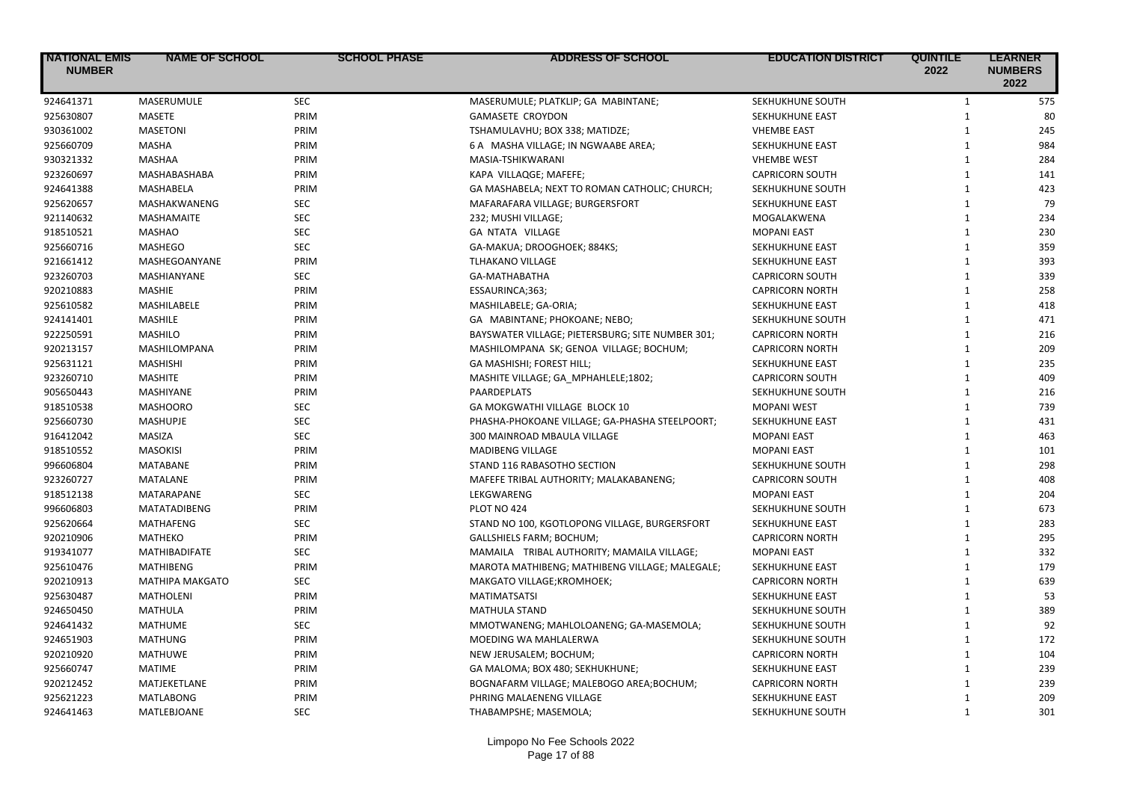| <b>NATIONAL EMIS</b><br><b>NUMBER</b> | <b>NAME OF SCHOOL</b>  | <b>SCHOOL PHASE</b> | <b>ADDRESS OF SCHOOL</b>                         | <b>EDUCATION DISTRICT</b> | <b>QUINTILE</b><br>2022 | <b>LEARNER</b><br><b>NUMBERS</b><br>2022 |
|---------------------------------------|------------------------|---------------------|--------------------------------------------------|---------------------------|-------------------------|------------------------------------------|
| 924641371                             | MASERUMULE             | <b>SEC</b>          | MASERUMULE; PLATKLIP; GA MABINTANE;              | SEKHUKHUNE SOUTH          | $\mathbf{1}$            | 575                                      |
| 925630807                             | MASETE                 | PRIM                | <b>GAMASETE CROYDON</b>                          | SEKHUKHUNE EAST           | $\mathbf{1}$            | 80                                       |
| 930361002                             | <b>MASETONI</b>        | PRIM                | TSHAMULAVHU; BOX 338; MATIDZE;                   | <b>VHEMBE EAST</b>        | $\mathbf{1}$            | 245                                      |
| 925660709                             | MASHA                  | PRIM                | 6 A MASHA VILLAGE; IN NGWAABE AREA;              | SEKHUKHUNE EAST           | $\mathbf{1}$            | 984                                      |
| 930321332                             | MASHAA                 | PRIM                | MASIA-TSHIKWARANI                                | <b>VHEMBE WEST</b>        | $\mathbf{1}$            | 284                                      |
| 923260697                             | MASHABASHABA           | PRIM                | KAPA VILLAQGE; MAFEFE;                           | <b>CAPRICORN SOUTH</b>    | $\mathbf{1}$            | 141                                      |
| 924641388                             | MASHABELA              | PRIM                | GA MASHABELA; NEXT TO ROMAN CATHOLIC; CHURCH;    | SEKHUKHUNE SOUTH          | $\mathbf{1}$            | 423                                      |
| 925620657                             | MASHAKWANENG           | <b>SEC</b>          | MAFARAFARA VILLAGE; BURGERSFORT                  | SEKHUKHUNE EAST           | $\mathbf{1}$            | 79                                       |
| 921140632                             | <b>MASHAMAITE</b>      | <b>SEC</b>          | 232; MUSHI VILLAGE;                              | MOGALAKWENA               | $\mathbf{1}$            | 234                                      |
| 918510521                             | <b>MASHAO</b>          | <b>SEC</b>          | GA NTATA VILLAGE                                 | <b>MOPANI EAST</b>        | $\mathbf{1}$            | 230                                      |
| 925660716                             | <b>MASHEGO</b>         | <b>SEC</b>          | GA-MAKUA; DROOGHOEK; 884KS;                      | SEKHUKHUNE EAST           | $\mathbf{1}$            | 359                                      |
| 921661412                             | MASHEGOANYANE          | PRIM                | <b>TLHAKANO VILLAGE</b>                          | SEKHUKHUNE EAST           | $\mathbf{1}$            | 393                                      |
| 923260703                             | <b>MASHIANYANE</b>     | <b>SEC</b>          | GA-MATHABATHA                                    | <b>CAPRICORN SOUTH</b>    | $\mathbf{1}$            | 339                                      |
| 920210883                             | <b>MASHIE</b>          | PRIM                | ESSAURINCA;363;                                  | <b>CAPRICORN NORTH</b>    | $\mathbf{1}$            | 258                                      |
| 925610582                             | MASHILABELE            | PRIM                | MASHILABELE; GA-ORIA;                            | SEKHUKHUNE EAST           | $\mathbf{1}$            | 418                                      |
| 924141401                             | <b>MASHILE</b>         | PRIM                | GA MABINTANE; PHOKOANE; NEBO;                    | SEKHUKHUNE SOUTH          | $\mathbf{1}$            | 471                                      |
| 922250591                             | <b>MASHILO</b>         | PRIM                | BAYSWATER VILLAGE; PIETERSBURG; SITE NUMBER 301; | <b>CAPRICORN NORTH</b>    | $\mathbf{1}$            | 216                                      |
| 920213157                             | MASHILOMPANA           | PRIM                | MASHILOMPANA SK; GENOA VILLAGE; BOCHUM;          | <b>CAPRICORN NORTH</b>    | $\mathbf{1}$            | 209                                      |
| 925631121                             | <b>MASHISHI</b>        | PRIM                | GA MASHISHI; FOREST HILL;                        | SEKHUKHUNE EAST           | $\mathbf{1}$            | 235                                      |
| 923260710                             | <b>MASHITE</b>         | PRIM                | MASHITE VILLAGE; GA_MPHAHLELE;1802;              | <b>CAPRICORN SOUTH</b>    | $\mathbf{1}$            | 409                                      |
| 905650443                             | <b>MASHIYANE</b>       | PRIM                | <b>PAARDEPLATS</b>                               | SEKHUKHUNE SOUTH          | $\mathbf{1}$            | 216                                      |
| 918510538                             | <b>MASHOORO</b>        | <b>SEC</b>          | GA MOKGWATHI VILLAGE BLOCK 10                    | <b>MOPANI WEST</b>        | $\mathbf{1}$            | 739                                      |
| 925660730                             | <b>MASHUPJE</b>        | <b>SEC</b>          | PHASHA-PHOKOANE VILLAGE; GA-PHASHA STEELPOORT;   | SEKHUKHUNE EAST           | $\mathbf{1}$            | 431                                      |
| 916412042                             | MASIZA                 | <b>SEC</b>          | 300 MAINROAD MBAULA VILLAGE                      | <b>MOPANI EAST</b>        | $\mathbf{1}$            | 463                                      |
| 918510552                             | <b>MASOKISI</b>        | PRIM                | <b>MADIBENG VILLAGE</b>                          | <b>MOPANI EAST</b>        | $\mathbf{1}$            | 101                                      |
| 996606804                             | <b>MATABANE</b>        | PRIM                | STAND 116 RABASOTHO SECTION                      | SEKHUKHUNE SOUTH          | $\mathbf{1}$            | 298                                      |
| 923260727                             | <b>MATALANE</b>        | PRIM                | MAFEFE TRIBAL AUTHORITY; MALAKABANENG;           | <b>CAPRICORN SOUTH</b>    | $\mathbf{1}$            | 408                                      |
| 918512138                             | <b>MATARAPANE</b>      | <b>SEC</b>          | LEKGWARENG                                       | <b>MOPANI EAST</b>        | $\mathbf{1}$            | 204                                      |
| 996606803                             | MATATADIBENG           | PRIM                | PLOT NO 424                                      | SEKHUKHUNE SOUTH          | $\mathbf{1}$            | 673                                      |
| 925620664                             | <b>MATHAFENG</b>       | <b>SEC</b>          | STAND NO 100, KGOTLOPONG VILLAGE, BURGERSFORT    | <b>SEKHUKHUNE EAST</b>    | $\mathbf{1}$            | 283                                      |
| 920210906                             | <b>MATHEKO</b>         | PRIM                | GALLSHIELS FARM; BOCHUM;                         | <b>CAPRICORN NORTH</b>    | $\mathbf{1}$            | 295                                      |
| 919341077                             | <b>MATHIBADIFATE</b>   | <b>SEC</b>          | MAMAILA TRIBAL AUTHORITY; MAMAILA VILLAGE;       | <b>MOPANI EAST</b>        | $\mathbf{1}$            | 332                                      |
| 925610476                             | <b>MATHIBENG</b>       | PRIM                | MAROTA MATHIBENG; MATHIBENG VILLAGE; MALEGALE;   | SEKHUKHUNE EAST           | $\mathbf{1}$            | 179                                      |
| 920210913                             | <b>MATHIPA MAKGATO</b> | <b>SEC</b>          | MAKGATO VILLAGE; KROMHOEK;                       | <b>CAPRICORN NORTH</b>    | $\mathbf{1}$            | 639                                      |
| 925630487                             | <b>MATHOLENI</b>       | PRIM                | <b>MATIMATSATSI</b>                              | SEKHUKHUNE EAST           | $\mathbf{1}$            | 53                                       |
| 924650450                             | <b>MATHULA</b>         | PRIM                | <b>MATHULA STAND</b>                             | SEKHUKHUNE SOUTH          | $\mathbf{1}$            | 389                                      |
| 924641432                             | <b>MATHUME</b>         | <b>SEC</b>          | MMOTWANENG; MAHLOLOANENG; GA-MASEMOLA;           | SEKHUKHUNE SOUTH          | $\mathbf{1}$            | 92                                       |
| 924651903                             | <b>MATHUNG</b>         | PRIM                | MOEDING WA MAHLALERWA                            | SEKHUKHUNE SOUTH          | $\mathbf{1}$            | 172                                      |
| 920210920                             | <b>MATHUWE</b>         | PRIM                | NEW JERUSALEM; BOCHUM;                           | <b>CAPRICORN NORTH</b>    | $\mathbf{1}$            | 104                                      |
| 925660747                             | <b>MATIME</b>          | PRIM                | GA MALOMA; BOX 480; SEKHUKHUNE;                  | SEKHUKHUNE EAST           | $\mathbf{1}$            | 239                                      |
| 920212452                             | MATJEKETLANE           | PRIM                | BOGNAFARM VILLAGE; MALEBOGO AREA;BOCHUM;         | <b>CAPRICORN NORTH</b>    | $\mathbf{1}$            | 239                                      |
| 925621223                             | <b>MATLABONG</b>       | PRIM                | PHRING MALAENENG VILLAGE                         | SEKHUKHUNE EAST           | $\mathbf{1}$            | 209                                      |
| 924641463                             | MATLEBJOANE            | <b>SEC</b>          | THABAMPSHE; MASEMOLA;                            | SEKHUKHUNE SOUTH          | $\mathbf{1}$            | 301                                      |
|                                       |                        |                     |                                                  |                           |                         |                                          |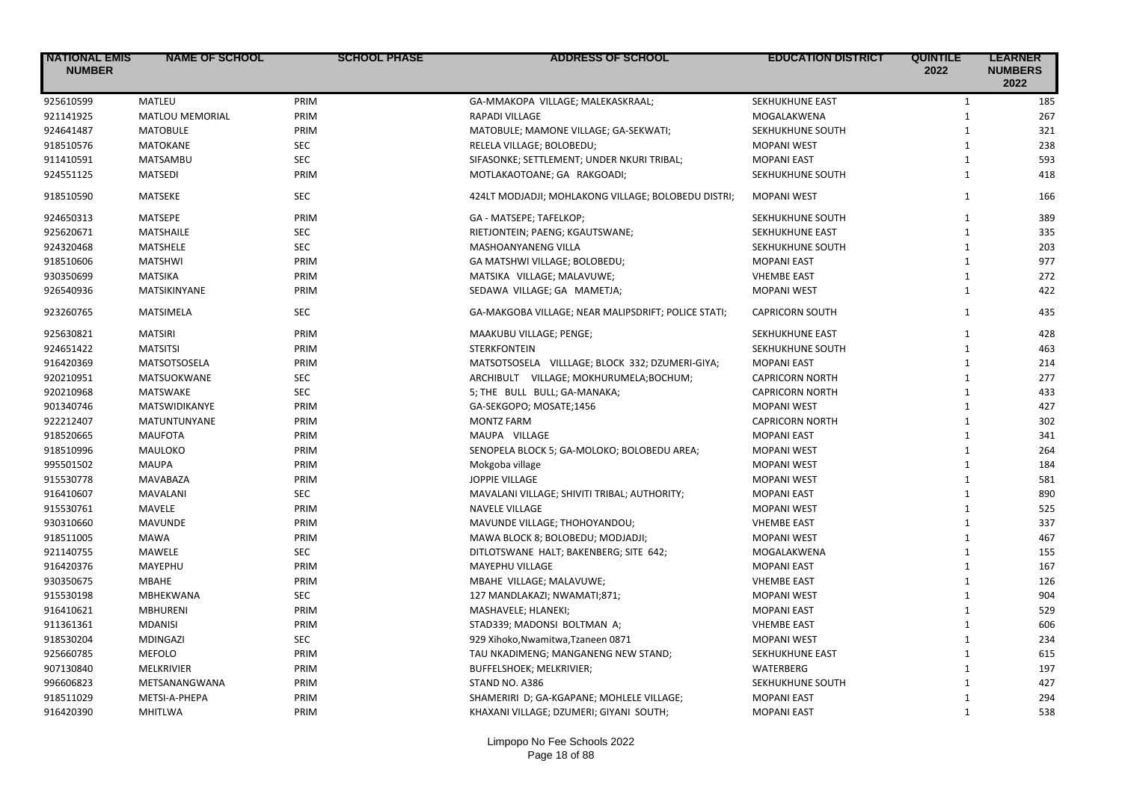| <b>NATIONAL EMIS</b><br><b>NUMBER</b> | <b>NAME OF SCHOOL</b>  | <b>SCHOOL PHASE</b> | <b>ADDRESS OF SCHOOL</b>                            | <b>EDUCATION DISTRICT</b> | <b>QUINTILE</b><br>2022      | <b>LEARNER</b><br><b>NUMBERS</b><br>2022 |
|---------------------------------------|------------------------|---------------------|-----------------------------------------------------|---------------------------|------------------------------|------------------------------------------|
| 925610599                             | <b>MATLEU</b>          | PRIM                | GA-MMAKOPA VILLAGE; MALEKASKRAAL;                   | SEKHUKHUNE EAST           | $\mathbf{1}$                 | 185                                      |
| 921141925                             | <b>MATLOU MEMORIAL</b> | PRIM                | <b>RAPADI VILLAGE</b>                               | MOGALAKWENA               | $\mathbf{1}$                 | 267                                      |
| 924641487                             | <b>MATOBULE</b>        | PRIM                | MATOBULE; MAMONE VILLAGE; GA-SEKWATI;               | SEKHUKHUNE SOUTH          | $\mathbf{1}$                 | 321                                      |
| 918510576                             | <b>MATOKANE</b>        | <b>SEC</b>          | RELELA VILLAGE; BOLOBEDU;                           | <b>MOPANI WEST</b>        | $\mathbf{1}$                 | 238                                      |
| 911410591                             | MATSAMBU               | SEC                 | SIFASONKE; SETTLEMENT; UNDER NKURI TRIBAL;          | <b>MOPANI EAST</b>        | $\mathbf{1}$                 | 593                                      |
| 924551125                             | <b>MATSEDI</b>         | PRIM                | MOTLAKAOTOANE; GA RAKGOADI;                         | SEKHUKHUNE SOUTH          | $\mathbf{1}$                 | 418                                      |
| 918510590                             | MATSEKE                | <b>SEC</b>          | 424LT MODJADJI; MOHLAKONG VILLAGE; BOLOBEDU DISTRI; | <b>MOPANI WEST</b>        | $\mathbf{1}$                 | 166                                      |
| 924650313                             | MATSEPE                | PRIM                | GA - MATSEPE; TAFELKOP;                             | SEKHUKHUNE SOUTH          | $\mathbf{1}$                 | 389                                      |
| 925620671                             | MATSHAILE              | <b>SEC</b>          | RIETJONTEIN; PAENG; KGAUTSWANE;                     | SEKHUKHUNE EAST           | $\mathbf{1}$                 | 335                                      |
| 924320468                             | MATSHELE               | <b>SEC</b>          | <b>MASHOANYANENG VILLA</b>                          | SEKHUKHUNE SOUTH          | $\mathbf{1}$                 | 203                                      |
| 918510606                             | <b>MATSHWI</b>         | PRIM                | GA MATSHWI VILLAGE; BOLOBEDU;                       | <b>MOPANI EAST</b>        | $\mathbf{1}$                 | 977                                      |
| 930350699                             | <b>MATSIKA</b>         | PRIM                | MATSIKA VILLAGE; MALAVUWE;                          | <b>VHEMBE EAST</b>        | $\mathbf{1}$                 | 272                                      |
| 926540936                             | MATSIKINYANE           | PRIM                | SEDAWA VILLAGE; GA MAMETJA;                         | <b>MOPANI WEST</b>        | $\mathbf{1}$                 | 422                                      |
| 923260765                             | <b>MATSIMELA</b>       | <b>SEC</b>          | GA-MAKGOBA VILLAGE; NEAR MALIPSDRIFT; POLICE STATI; | <b>CAPRICORN SOUTH</b>    | $\mathbf{1}$                 | 435                                      |
| 925630821                             | <b>MATSIRI</b>         | PRIM                | MAAKUBU VILLAGE; PENGE;                             | SEKHUKHUNE EAST           | $\mathbf{1}$                 | 428                                      |
| 924651422                             | <b>MATSITSI</b>        | PRIM                | <b>STERKFONTEIN</b>                                 | SEKHUKHUNE SOUTH          | $\mathbf{1}$                 | 463                                      |
| 916420369                             | MATSOTSOSELA           | PRIM                | MATSOTSOSELA VILLLAGE; BLOCK 332; DZUMERI-GIYA;     | <b>MOPANI EAST</b>        | $\mathbf{1}$                 | 214                                      |
| 920210951                             | MATSUOKWANE            | <b>SEC</b>          | ARCHIBULT VILLAGE; MOKHURUMELA; BOCHUM;             | <b>CAPRICORN NORTH</b>    | $\mathbf{1}$                 | 277                                      |
| 920210968                             | <b>MATSWAKE</b>        | <b>SEC</b>          | 5; THE BULL BULL; GA-MANAKA;                        | <b>CAPRICORN NORTH</b>    | $\mathbf{1}$                 | 433                                      |
| 901340746                             | <b>MATSWIDIKANYE</b>   | PRIM                | GA-SEKGOPO; MOSATE;1456                             | <b>MOPANI WEST</b>        | $\mathbf{1}$                 | 427                                      |
| 922212407                             | MATUNTUNYANE           | PRIM                | <b>MONTZ FARM</b>                                   | <b>CAPRICORN NORTH</b>    | $\mathbf{1}$                 | 302                                      |
| 918520665                             | <b>MAUFOTA</b>         | PRIM                | MAUPA VILLAGE                                       | <b>MOPANI EAST</b>        | $\mathbf{1}$                 | 341                                      |
| 918510996                             | MAULOKO                | PRIM                | SENOPELA BLOCK 5; GA-MOLOKO; BOLOBEDU AREA;         | <b>MOPANI WEST</b>        | $\mathbf{1}$                 | 264                                      |
| 995501502                             | <b>MAUPA</b>           | PRIM                | Mokgoba village                                     | <b>MOPANI WEST</b>        | $\mathbf{1}$                 | 184                                      |
| 915530778                             | MAVABAZA               | PRIM                | <b>JOPPIE VILLAGE</b>                               | <b>MOPANI WEST</b>        | $\mathbf{1}$                 | 581                                      |
| 916410607                             | <b>MAVALANI</b>        | <b>SEC</b>          | MAVALANI VILLAGE; SHIVITI TRIBAL; AUTHORITY;        | <b>MOPANI EAST</b>        | $\mathbf{1}$                 | 890                                      |
| 915530761                             | MAVELE                 | PRIM                | <b>NAVELE VILLAGE</b>                               | <b>MOPANI WEST</b>        | $\mathbf{1}$                 | 525                                      |
| 930310660                             | <b>MAVUNDE</b>         | PRIM                | MAVUNDE VILLAGE; THOHOYANDOU;                       | <b>VHEMBE EAST</b>        | $\mathbf{1}$                 | 337                                      |
| 918511005                             | <b>MAWA</b>            | PRIM                | MAWA BLOCK 8; BOLOBEDU; MODJADJI;                   | <b>MOPANI WEST</b>        | $\mathbf{1}$                 | 467                                      |
| 921140755                             | <b>MAWELE</b>          | <b>SEC</b>          | DITLOTSWANE HALT; BAKENBERG; SITE 642;              | MOGALAKWENA               | $\mathbf{1}$                 | 155                                      |
| 916420376                             | MAYEPHU                | PRIM                | MAYEPHU VILLAGE                                     | <b>MOPANI EAST</b>        | $\mathbf{1}$                 | 167                                      |
| 930350675                             | <b>MBAHE</b>           | PRIM                | MBAHE VILLAGE; MALAVUWE;                            | <b>VHEMBE EAST</b>        | $\mathbf{1}$                 | 126                                      |
| 915530198                             | MBHEKWANA              | <b>SEC</b>          | 127 MANDLAKAZI; NWAMATI;871;                        | <b>MOPANI WEST</b>        | $\mathbf{1}$                 | 904                                      |
| 916410621                             | <b>MBHURENI</b>        | PRIM                | MASHAVELE; HLANEKI;                                 | <b>MOPANI EAST</b>        | $\mathbf{1}$                 | 529                                      |
|                                       | <b>MDANISI</b>         | PRIM                |                                                     | <b>VHEMBE EAST</b>        | $\mathbf{1}$                 | 606                                      |
| 911361361                             |                        | <b>SEC</b>          | STAD339; MADONSI BOLTMAN A;                         |                           |                              |                                          |
| 918530204                             | <b>MDINGAZI</b>        |                     | 929 Xihoko, Nwamitwa, Tzaneen 0871                  | <b>MOPANI WEST</b>        | $\mathbf{1}$<br>$\mathbf{1}$ | 234                                      |
| 925660785                             | <b>MEFOLO</b>          | PRIM                | TAU NKADIMENG; MANGANENG NEW STAND;                 | SEKHUKHUNE EAST           |                              | 615                                      |
| 907130840                             | <b>MELKRIVIER</b>      | PRIM                | BUFFELSHOEK; MELKRIVIER;                            | WATERBERG                 | $\mathbf{1}$                 | 197                                      |
| 996606823                             | METSANANGWANA          | PRIM                | STAND NO. A386                                      | SEKHUKHUNE SOUTH          | $\mathbf{1}$                 | 427                                      |
| 918511029                             | METSI-A-PHEPA          | PRIM                | SHAMERIRI D; GA-KGAPANE; MOHLELE VILLAGE;           | <b>MOPANI EAST</b>        | $\mathbf{1}$                 | 294                                      |
| 916420390                             | <b>MHITLWA</b>         | PRIM                | KHAXANI VILLAGE; DZUMERI; GIYANI SOUTH;             | <b>MOPANI EAST</b>        | $\mathbf{1}$                 | 538                                      |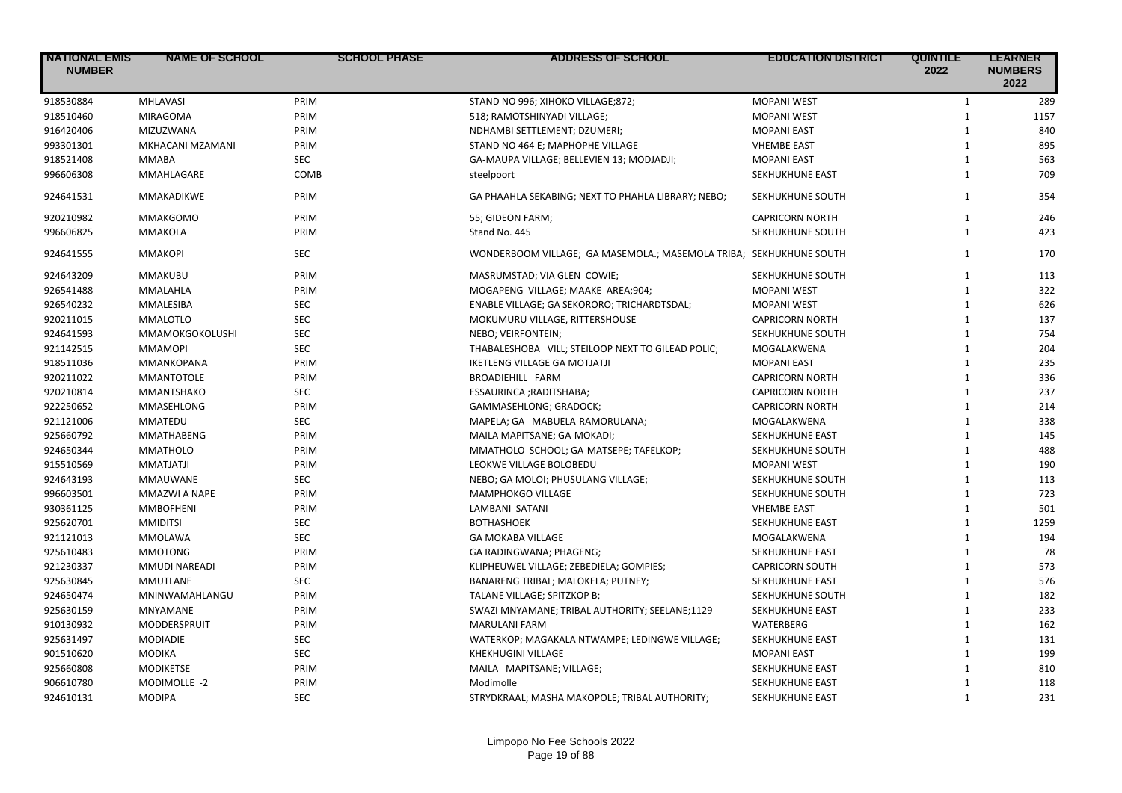| <b>NATIONAL EMIS</b><br><b>NUMBER</b> | <b>NAME OF SCHOOL</b>  | <b>SCHOOL PHASE</b> | <b>ADDRESS OF SCHOOL</b>                                           | <b>EDUCATION DISTRICT</b> | <b>QUINTILE</b><br>2022 | <b>LEARNER</b><br><b>NUMBERS</b><br>2022 |
|---------------------------------------|------------------------|---------------------|--------------------------------------------------------------------|---------------------------|-------------------------|------------------------------------------|
| 918530884                             | <b>MHLAVASI</b>        | PRIM                | STAND NO 996; XIHOKO VILLAGE;872;                                  | <b>MOPANI WEST</b>        | $\mathbf{1}$            | 289                                      |
| 918510460                             | <b>MIRAGOMA</b>        | PRIM                | 518; RAMOTSHINYADI VILLAGE;                                        | <b>MOPANI WEST</b>        | $\mathbf{1}$            | 1157                                     |
| 916420406                             | <b>MIZUZWANA</b>       | PRIM                | NDHAMBI SETTLEMENT; DZUMERI;                                       | <b>MOPANI EAST</b>        | $\mathbf{1}$            | 840                                      |
| 993301301                             | MKHACANI MZAMANI       | PRIM                | STAND NO 464 E; MAPHOPHE VILLAGE                                   | <b>VHEMBE EAST</b>        | $\mathbf{1}$            | 895                                      |
| 918521408                             | <b>MMABA</b>           | <b>SEC</b>          | GA-MAUPA VILLAGE; BELLEVIEN 13; MODJADJI;                          | <b>MOPANI EAST</b>        | $\mathbf{1}$            | 563                                      |
| 996606308                             | MMAHLAGARE             | COMB                | steelpoort                                                         | SEKHUKHUNE EAST           | $\mathbf{1}$            | 709                                      |
| 924641531                             | <b>MMAKADIKWE</b>      | PRIM                | GA PHAAHLA SEKABING; NEXT TO PHAHLA LIBRARY; NEBO;                 | SEKHUKHUNE SOUTH          | $\mathbf{1}$            | 354                                      |
| 920210982                             | <b>MMAKGOMO</b>        | PRIM                | 55; GIDEON FARM;                                                   | <b>CAPRICORN NORTH</b>    | $\mathbf{1}$            | 246                                      |
| 996606825                             | <b>MMAKOLA</b>         | PRIM                | Stand No. 445                                                      | SEKHUKHUNE SOUTH          | $\mathbf{1}$            | 423                                      |
| 924641555                             | <b>MMAKOPI</b>         | <b>SEC</b>          | WONDERBOOM VILLAGE; GA MASEMOLA.; MASEMOLA TRIBA; SEKHUKHUNE SOUTH |                           | $\mathbf{1}$            | 170                                      |
| 924643209                             | MMAKUBU                | PRIM                | MASRUMSTAD; VIA GLEN COWIE;                                        | SEKHUKHUNE SOUTH          | $\mathbf{1}$            | 113                                      |
| 926541488                             | MMALAHLA               | PRIM                | MOGAPENG VILLAGE; MAAKE AREA;904;                                  | <b>MOPANI WEST</b>        | $\mathbf{1}$            | 322                                      |
| 926540232                             | MMALESIBA              | <b>SEC</b>          | ENABLE VILLAGE; GA SEKORORO; TRICHARDTSDAL;                        | <b>MOPANI WEST</b>        | $\mathbf{1}$            | 626                                      |
| 920211015                             | <b>MMALOTLO</b>        | <b>SEC</b>          | MOKUMURU VILLAGE, RITTERSHOUSE                                     | <b>CAPRICORN NORTH</b>    | $\mathbf{1}$            | 137                                      |
| 924641593                             | <b>MMAMOKGOKOLUSHI</b> | <b>SEC</b>          | NEBO; VEIRFONTEIN;                                                 | SEKHUKHUNE SOUTH          | $\mathbf{1}$            | 754                                      |
| 921142515                             | <b>MMAMOPI</b>         | <b>SEC</b>          | THABALESHOBA VILL; STEILOOP NEXT TO GILEAD POLIC;                  | MOGALAKWENA               | $\mathbf{1}$            | 204                                      |
| 918511036                             | MMANKOPANA             | PRIM                | <b>IKETLENG VILLAGE GA MOTJATJI</b>                                | <b>MOPANI EAST</b>        | $\mathbf{1}$            | 235                                      |
| 920211022                             | <b>MMANTOTOLE</b>      | PRIM                | BROADIEHILL FARM                                                   | <b>CAPRICORN NORTH</b>    | $\mathbf{1}$            | 336                                      |
| 920210814                             | MMANTSHAKO             | <b>SEC</b>          | ESSAURINCA ; RADITSHABA;                                           | <b>CAPRICORN NORTH</b>    | $\mathbf{1}$            | 237                                      |
| 922250652                             | MMASEHLONG             | PRIM                | GAMMASEHLONG; GRADOCK;                                             | <b>CAPRICORN NORTH</b>    | $\mathbf{1}$            | 214                                      |
| 921121006                             | <b>MMATEDU</b>         | <b>SEC</b>          | MAPELA; GA MABUELA-RAMORULANA;                                     | MOGALAKWENA               | $\mathbf{1}$            | 338                                      |
| 925660792                             | <b>MMATHABENG</b>      | PRIM                | MAILA MAPITSANE; GA-MOKADI;                                        | SEKHUKHUNE EAST           | $\mathbf{1}$            | 145                                      |
| 924650344                             | <b>MMATHOLO</b>        | PRIM                | MMATHOLO SCHOOL; GA-MATSEPE; TAFELKOP;                             | SEKHUKHUNE SOUTH          | $\mathbf{1}$            | 488                                      |
| 915510569                             | <b>MMATJATJI</b>       | PRIM                | LEOKWE VILLAGE BOLOBEDU                                            | <b>MOPANI WEST</b>        | $\mathbf{1}$            | 190                                      |
| 924643193                             | <b>MMAUWANE</b>        | <b>SEC</b>          | NEBO; GA MOLOI; PHUSULANG VILLAGE;                                 | SEKHUKHUNE SOUTH          | $\mathbf{1}$            | 113                                      |
| 996603501                             | MMAZWI A NAPE          | PRIM                | MAMPHOKGO VILLAGE                                                  | SEKHUKHUNE SOUTH          | $\mathbf{1}$            | 723                                      |
| 930361125                             | <b>MMBOFHENI</b>       | PRIM                | LAMBANI SATANI                                                     | <b>VHEMBE EAST</b>        | $\mathbf{1}$            | 501                                      |
| 925620701                             | <b>MMIDITSI</b>        | <b>SEC</b>          | <b>BOTHASHOEK</b>                                                  | SEKHUKHUNE EAST           | $\mathbf{1}$            | 1259                                     |
| 921121013                             | MMOLAWA                | <b>SEC</b>          | <b>GA MOKABA VILLAGE</b>                                           | MOGALAKWENA               | $\mathbf{1}$            | 194                                      |
| 925610483                             | <b>MMOTONG</b>         | PRIM                | GA RADINGWANA; PHAGENG;                                            | SEKHUKHUNE EAST           | $\mathbf{1}$            | 78                                       |
| 921230337                             | MMUDI NAREADI          | PRIM                | KLIPHEUWEL VILLAGE; ZEBEDIELA; GOMPIES;                            | <b>CAPRICORN SOUTH</b>    | $\mathbf{1}$            | 573                                      |
| 925630845                             | MMUTLANE               | SEC                 | BANARENG TRIBAL; MALOKELA; PUTNEY;                                 | SEKHUKHUNE EAST           | $\mathbf{1}$            | 576                                      |
| 924650474                             | MNINWAMAHLANGU         | PRIM                | TALANE VILLAGE; SPITZKOP B;                                        | SEKHUKHUNE SOUTH          | $\mathbf{1}$            | 182                                      |
| 925630159                             | <b>MNYAMANE</b>        | PRIM                | SWAZI MNYAMANE; TRIBAL AUTHORITY; SEELANE;1129                     | SEKHUKHUNE EAST           | $\mathbf{1}$            | 233                                      |
| 910130932                             | MODDERSPRUIT           | PRIM                | <b>MARULANI FARM</b>                                               | WATERBERG                 | $\mathbf{1}$            | 162                                      |
| 925631497                             | <b>MODIADIE</b>        | <b>SEC</b>          | WATERKOP; MAGAKALA NTWAMPE; LEDINGWE VILLAGE;                      | SEKHUKHUNE EAST           | $\mathbf{1}$            | 131                                      |
| 901510620                             | <b>MODIKA</b>          | <b>SEC</b>          | <b>KHEKHUGINI VILLAGE</b>                                          | <b>MOPANI EAST</b>        | $\mathbf{1}$            | 199                                      |
| 925660808                             | <b>MODIKETSE</b>       | PRIM                | MAILA MAPITSANE; VILLAGE;                                          | SEKHUKHUNE EAST           | $\mathbf{1}$            | 810                                      |
| 906610780                             | MODIMOLLE -2           | PRIM                | Modimolle                                                          | SEKHUKHUNE EAST           | $\mathbf{1}$            | 118                                      |
| 924610131                             | <b>MODIPA</b>          | <b>SEC</b>          | STRYDKRAAL: MASHA MAKOPOLE: TRIBAL AUTHORITY:                      | <b>SEKHUKHUNE EAST</b>    | $\mathbf{1}$            | 231                                      |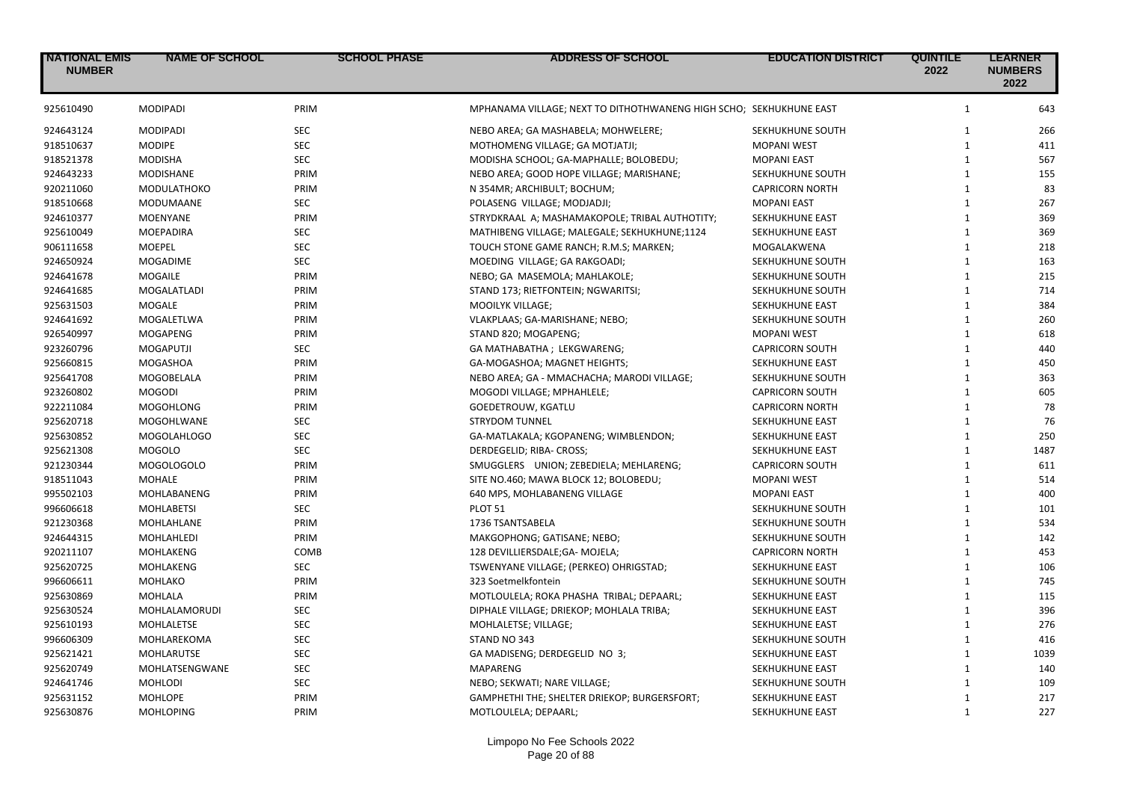| <b>NATIONAL EMIS</b><br><b>NUMBER</b> | <b>NAME OF SCHOOL</b> | <b>SCHOOL PHASE</b> | ADDRESS OF SCHOOL                                                  | <b>EDUCATION DISTRICT</b> | <b>QUINTILE</b><br>2022 | <b>LEARNER</b><br><b>NUMBERS</b><br>2022 |
|---------------------------------------|-----------------------|---------------------|--------------------------------------------------------------------|---------------------------|-------------------------|------------------------------------------|
| 925610490                             | <b>MODIPADI</b>       | PRIM                | MPHANAMA VILLAGE; NEXT TO DITHOTHWANENG HIGH SCHO; SEKHUKHUNE EAST |                           | $\mathbf{1}$            | 643                                      |
| 924643124                             | <b>MODIPADI</b>       | <b>SEC</b>          | NEBO AREA; GA MASHABELA; MOHWELERE;                                | SEKHUKHUNE SOUTH          | $\mathbf{1}$            | 266                                      |
| 918510637                             | <b>MODIPE</b>         | <b>SEC</b>          | MOTHOMENG VILLAGE; GA MOTJATJI;                                    | <b>MOPANI WEST</b>        | $\mathbf{1}$            | 411                                      |
| 918521378                             | <b>MODISHA</b>        | <b>SEC</b>          | MODISHA SCHOOL; GA-MAPHALLE; BOLOBEDU;                             | <b>MOPANI EAST</b>        | $\mathbf{1}$            | 567                                      |
| 924643233                             | MODISHANE             | PRIM                | NEBO AREA; GOOD HOPE VILLAGE; MARISHANE;                           | SEKHUKHUNE SOUTH          | $\mathbf{1}$            | 155                                      |
| 920211060                             | MODULATHOKO           | PRIM                | N 354MR; ARCHIBULT; BOCHUM;                                        | <b>CAPRICORN NORTH</b>    | $\mathbf{1}$            | 83                                       |
| 918510668                             | MODUMAANE             | <b>SEC</b>          | POLASENG VILLAGE; MODJADJI;                                        | <b>MOPANI EAST</b>        | $\mathbf{1}$            | 267                                      |
| 924610377                             | <b>MOENYANE</b>       | PRIM                | STRYDKRAAL A; MASHAMAKOPOLE; TRIBAL AUTHOTITY;                     | SEKHUKHUNE EAST           | $\mathbf{1}$            | 369                                      |
| 925610049                             | MOEPADIRA             | <b>SEC</b>          | MATHIBENG VILLAGE; MALEGALE; SEKHUKHUNE;1124                       | SEKHUKHUNE EAST           | $\mathbf{1}$            | 369                                      |
| 906111658                             | <b>MOEPEL</b>         | <b>SEC</b>          | TOUCH STONE GAME RANCH; R.M.S; MARKEN;                             | MOGALAKWENA               | $\mathbf{1}$            | 218                                      |
| 924650924                             | <b>MOGADIME</b>       | <b>SEC</b>          | MOEDING VILLAGE; GA RAKGOADI;                                      | SEKHUKHUNE SOUTH          | $\mathbf{1}$            | 163                                      |
| 924641678                             | <b>MOGAILE</b>        | PRIM                | NEBO; GA MASEMOLA; MAHLAKOLE;                                      | SEKHUKHUNE SOUTH          | $\mathbf{1}$            | 215                                      |
| 924641685                             | MOGALATLADI           | PRIM                | STAND 173; RIETFONTEIN; NGWARITSI;                                 | SEKHUKHUNE SOUTH          | $\mathbf{1}$            | 714                                      |
| 925631503                             | MOGALE                | PRIM                | MOOILYK VILLAGE;                                                   | SEKHUKHUNE EAST           | $\mathbf{1}$            | 384                                      |
| 924641692                             | MOGALETLWA            | PRIM                | VLAKPLAAS; GA-MARISHANE; NEBO;                                     | SEKHUKHUNE SOUTH          | $\mathbf{1}$            | 260                                      |
| 926540997                             | <b>MOGAPENG</b>       | PRIM                | STAND 820; MOGAPENG;                                               | <b>MOPANI WEST</b>        | $\mathbf{1}$            | 618                                      |
| 923260796                             | <b>MOGAPUTJI</b>      | <b>SEC</b>          | GA MATHABATHA; LEKGWARENG;                                         | <b>CAPRICORN SOUTH</b>    | $\mathbf{1}$            | 440                                      |
| 925660815                             | MOGASHOA              | PRIM                | GA-MOGASHOA; MAGNET HEIGHTS;                                       | SEKHUKHUNE EAST           | $\mathbf{1}$            | 450                                      |
| 925641708                             | MOGOBELALA            | PRIM                | NEBO AREA; GA - MMACHACHA; MARODI VILLAGE;                         | SEKHUKHUNE SOUTH          | $\mathbf{1}$            | 363                                      |
| 923260802                             | <b>MOGODI</b>         | PRIM                | MOGODI VILLAGE; MPHAHLELE;                                         | <b>CAPRICORN SOUTH</b>    | $\mathbf{1}$            | 605                                      |
| 922211084                             | <b>MOGOHLONG</b>      | PRIM                | GOEDETROUW, KGATLU                                                 | <b>CAPRICORN NORTH</b>    | $\mathbf{1}$            | 78                                       |
| 925620718                             | MOGOHLWANE            | <b>SEC</b>          | <b>STRYDOM TUNNEL</b>                                              | SEKHUKHUNE EAST           | $\mathbf{1}$            | 76                                       |
| 925630852                             | MOGOLAHLOGO           | <b>SEC</b>          | GA-MATLAKALA; KGOPANENG; WIMBLENDON;                               | SEKHUKHUNE EAST           | $\mathbf{1}$            | 250                                      |
| 925621308                             | <b>MOGOLO</b>         | <b>SEC</b>          | DERDEGELID; RIBA- CROSS;                                           | SEKHUKHUNE EAST           | $\mathbf{1}$            | 1487                                     |
| 921230344                             | MOGOLOGOLO            | PRIM                | SMUGGLERS UNION; ZEBEDIELA; MEHLARENG;                             | <b>CAPRICORN SOUTH</b>    | $\mathbf{1}$            | 611                                      |
| 918511043                             | MOHALE                | PRIM                | SITE NO.460; MAWA BLOCK 12; BOLOBEDU;                              | <b>MOPANI WEST</b>        | $\mathbf{1}$            | 514                                      |
| 995502103                             | MOHLABANENG           | PRIM                | 640 MPS, MOHLABANENG VILLAGE                                       | <b>MOPANI EAST</b>        | $\mathbf{1}$            | 400                                      |
| 996606618                             | <b>MOHLABETSI</b>     | <b>SEC</b>          | <b>PLOT 51</b>                                                     | SEKHUKHUNE SOUTH          | $\mathbf{1}$            | 101                                      |
| 921230368                             | MOHLAHLANE            | PRIM                | 1736 TSANTSABELA                                                   | SEKHUKHUNE SOUTH          | $\mathbf{1}$            | 534                                      |
| 924644315                             | MOHLAHLEDI            | PRIM                | MAKGOPHONG; GATISANE; NEBO;                                        | SEKHUKHUNE SOUTH          | $\mathbf{1}$            | 142                                      |
| 920211107                             | MOHLAKENG             | COMB                | 128 DEVILLIERSDALE;GA- MOJELA;                                     | <b>CAPRICORN NORTH</b>    | $\mathbf{1}$            | 453                                      |
| 925620725                             | MOHLAKENG             | <b>SEC</b>          | TSWENYANE VILLAGE; (PERKEO) OHRIGSTAD;                             | SEKHUKHUNE EAST           | $\mathbf{1}$            | 106                                      |
| 996606611                             | MOHLAKO               | PRIM                | 323 Soetmelkfontein                                                | SEKHUKHUNE SOUTH          | $\mathbf{1}$            | 745                                      |
| 925630869                             | MOHLALA               | PRIM                | MOTLOULELA; ROKA PHASHA TRIBAL; DEPAARL;                           | SEKHUKHUNE EAST           | $\mathbf{1}$            | 115                                      |
| 925630524                             | MOHLALAMORUDI         | <b>SEC</b>          | DIPHALE VILLAGE; DRIEKOP; MOHLALA TRIBA;                           | SEKHUKHUNE EAST           | $\mathbf{1}$            | 396                                      |
| 925610193                             | <b>MOHLALETSE</b>     | <b>SEC</b>          | MOHLALETSE; VILLAGE;                                               | SEKHUKHUNE EAST           | $\mathbf{1}$            | 276                                      |
| 996606309                             | MOHLAREKOMA           | <b>SEC</b>          | STAND NO 343                                                       | SEKHUKHUNE SOUTH          | $\mathbf{1}$            | 416                                      |
| 925621421                             | MOHLARUTSE            | <b>SEC</b>          | GA MADISENG; DERDEGELID NO 3;                                      | SEKHUKHUNE EAST           | $\mathbf{1}$            | 1039                                     |
| 925620749                             | MOHLATSENGWANE        | <b>SEC</b>          | <b>MAPARENG</b>                                                    | SEKHUKHUNE EAST           | $\mathbf{1}$            | 140                                      |
| 924641746                             | <b>MOHLODI</b>        | <b>SEC</b>          | NEBO; SEKWATI; NARE VILLAGE;                                       | SEKHUKHUNE SOUTH          | $\mathbf{1}$            | 109                                      |
| 925631152                             | <b>MOHLOPE</b>        | PRIM                | GAMPHETHI THE; SHELTER DRIEKOP; BURGERSFORT;                       | SEKHUKHUNE EAST           | $\mathbf{1}$            | 217                                      |
| 925630876                             | <b>MOHLOPING</b>      | PRIM                |                                                                    | SEKHUKHUNE EAST           | $\mathbf{1}$            | 227                                      |
|                                       |                       |                     | MOTLOULELA; DEPAARL;                                               |                           |                         |                                          |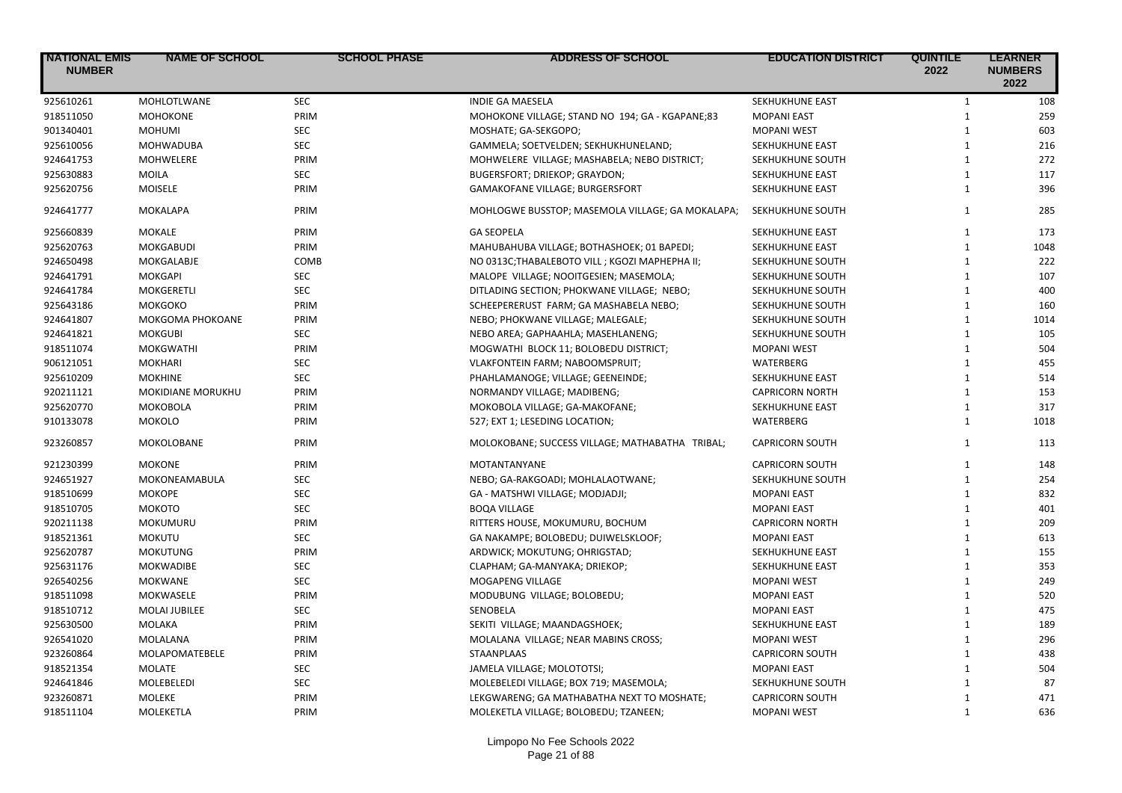| <b>NATIONAL EMIS</b><br><b>NUMBER</b> | <b>NAME OF SCHOOL</b> | <b>SCHOOL PHASE</b> | <b>ADDRESS OF SCHOOL</b>                         | <b>EDUCATION DISTRICT</b> | <b>QUINTILE</b><br>2022 | <b>LEARNER</b><br><b>NUMBERS</b><br>2022 |
|---------------------------------------|-----------------------|---------------------|--------------------------------------------------|---------------------------|-------------------------|------------------------------------------|
| 925610261                             | MOHLOTLWANE           | <b>SEC</b>          | <b>INDIE GA MAESELA</b>                          | SEKHUKHUNE EAST           | $\mathbf{1}$            | 108                                      |
| 918511050                             | <b>MOHOKONE</b>       | PRIM                | MOHOKONE VILLAGE; STAND NO 194; GA - KGAPANE;83  | <b>MOPANI EAST</b>        | $\mathbf{1}$            | 259                                      |
| 901340401                             | <b>MOHUMI</b>         | <b>SEC</b>          | MOSHATE; GA-SEKGOPO;                             | <b>MOPANI WEST</b>        | $\mathbf{1}$            | 603                                      |
| 925610056                             | <b>MOHWADUBA</b>      | <b>SEC</b>          | GAMMELA; SOETVELDEN; SEKHUKHUNELAND;             | SEKHUKHUNE EAST           | $\mathbf{1}$            | 216                                      |
| 924641753                             | <b>MOHWELERE</b>      | PRIM                | MOHWELERE VILLAGE; MASHABELA; NEBO DISTRICT;     | SEKHUKHUNE SOUTH          | $\mathbf{1}$            | 272                                      |
| 925630883                             | <b>MOILA</b>          | <b>SEC</b>          | BUGERSFORT; DRIEKOP; GRAYDON;                    | SEKHUKHUNE EAST           | $\mathbf{1}$            | 117                                      |
| 925620756                             | <b>MOISELE</b>        | PRIM                | GAMAKOFANE VILLAGE; BURGERSFORT                  | SEKHUKHUNE EAST           | $\mathbf{1}$            | 396                                      |
| 924641777                             | <b>MOKALAPA</b>       | PRIM                | MOHLOGWE BUSSTOP; MASEMOLA VILLAGE; GA MOKALAPA; | SEKHUKHUNE SOUTH          | $\mathbf{1}$            | 285                                      |
| 925660839                             | <b>MOKALE</b>         | PRIM                | <b>GA SEOPELA</b>                                | SEKHUKHUNE EAST           | $\mathbf{1}$            | 173                                      |
| 925620763                             | <b>MOKGABUDI</b>      | PRIM                | MAHUBAHUBA VILLAGE; BOTHASHOEK; 01 BAPEDI;       | SEKHUKHUNE EAST           | $\mathbf{1}$            | 1048                                     |
| 924650498                             | MOKGALABJE            | COMB                | NO 0313C; THABALEBOTO VILL; KGOZI MAPHEPHA II;   | SEKHUKHUNE SOUTH          | $\mathbf{1}$            | 222                                      |
| 924641791                             | <b>MOKGAPI</b>        | <b>SEC</b>          | MALOPE VILLAGE; NOOITGESIEN; MASEMOLA;           | SEKHUKHUNE SOUTH          | $\mathbf{1}$            | 107                                      |
| 924641784                             | <b>MOKGERETLI</b>     | <b>SEC</b>          | DITLADING SECTION; PHOKWANE VILLAGE; NEBO;       | SEKHUKHUNE SOUTH          | $\mathbf{1}$            | 400                                      |
| 925643186                             | <b>MOKGOKO</b>        | PRIM                | SCHEEPERERUST FARM; GA MASHABELA NEBO;           | SEKHUKHUNE SOUTH          | $\mathbf{1}$            | 160                                      |
| 924641807                             | MOKGOMA PHOKOANE      | PRIM                | NEBO; PHOKWANE VILLAGE; MALEGALE;                | SEKHUKHUNE SOUTH          | $\mathbf{1}$            | 1014                                     |
| 924641821                             | <b>MOKGUBI</b>        | <b>SEC</b>          | NEBO AREA; GAPHAAHLA; MASEHLANENG;               | SEKHUKHUNE SOUTH          | $\mathbf{1}$            | 105                                      |
| 918511074                             | <b>MOKGWATHI</b>      | PRIM                | MOGWATHI BLOCK 11; BOLOBEDU DISTRICT;            | <b>MOPANI WEST</b>        | $\mathbf{1}$            | 504                                      |
| 906121051                             | <b>MOKHARI</b>        | <b>SEC</b>          | VLAKFONTEIN FARM; NABOOMSPRUIT;                  | WATERBERG                 | $\mathbf{1}$            | 455                                      |
| 925610209                             | <b>MOKHINE</b>        | SEC                 | PHAHLAMANOGE; VILLAGE; GEENEINDE;                | SEKHUKHUNE EAST           | $\mathbf{1}$            | 514                                      |
| 920211121                             | MOKIDIANE MORUKHU     | PRIM                | NORMANDY VILLAGE; MADIBENG;                      | <b>CAPRICORN NORTH</b>    | $\mathbf{1}$            | 153                                      |
| 925620770                             | <b>MOKOBOLA</b>       | PRIM                | MOKOBOLA VILLAGE; GA-MAKOFANE;                   | SEKHUKHUNE EAST           | $\mathbf{1}$            | 317                                      |
| 910133078                             | <b>MOKOLO</b>         | PRIM                | 527; EXT 1; LESEDING LOCATION;                   | WATERBERG                 | $\mathbf{1}$            | 1018                                     |
| 923260857                             | MOKOLOBANE            | PRIM                | MOLOKOBANE; SUCCESS VILLAGE; MATHABATHA TRIBAL;  | <b>CAPRICORN SOUTH</b>    | $\mathbf{1}$            | 113                                      |
| 921230399                             | <b>MOKONE</b>         | PRIM                | <b>MOTANTANYANE</b>                              | <b>CAPRICORN SOUTH</b>    | $\mathbf{1}$            | 148                                      |
| 924651927                             | MOKONEAMABULA         | <b>SEC</b>          | NEBO; GA-RAKGOADI; MOHLALAOTWANE;                | SEKHUKHUNE SOUTH          | $\mathbf{1}$            | 254                                      |
| 918510699                             | <b>MOKOPE</b>         | <b>SEC</b>          | GA - MATSHWI VILLAGE; MODJADJI;                  | <b>MOPANI EAST</b>        | $\mathbf{1}$            | 832                                      |
| 918510705                             | МОКОТО                | <b>SEC</b>          | <b>BOQA VILLAGE</b>                              | <b>MOPANI EAST</b>        | $\mathbf{1}$            | 401                                      |
| 920211138                             | <b>MOKUMURU</b>       | PRIM                | RITTERS HOUSE, MOKUMURU, BOCHUM                  | <b>CAPRICORN NORTH</b>    | $\mathbf{1}$            | 209                                      |
| 918521361                             | <b>MOKUTU</b>         | SEC                 | GA NAKAMPE; BOLOBEDU; DUIWELSKLOOF;              | <b>MOPANI EAST</b>        | $\mathbf{1}$            | 613                                      |
| 925620787                             | <b>MOKUTUNG</b>       | PRIM                | ARDWICK; MOKUTUNG; OHRIGSTAD;                    | SEKHUKHUNE EAST           | $\mathbf{1}$            | 155                                      |
| 925631176                             | <b>MOKWADIBE</b>      | <b>SEC</b>          | CLAPHAM; GA-MANYAKA; DRIEKOP;                    | SEKHUKHUNE EAST           | $\mathbf{1}$            | 353                                      |
| 926540256                             | <b>MOKWANE</b>        | <b>SEC</b>          | MOGAPENG VILLAGE                                 | <b>MOPANI WEST</b>        | $\mathbf{1}$            | 249                                      |
| 918511098                             | MOKWASELE             | PRIM                | MODUBUNG VILLAGE; BOLOBEDU;                      | <b>MOPANI EAST</b>        | $\mathbf{1}$            | 520                                      |
| 918510712                             | <b>MOLAI JUBILEE</b>  | <b>SEC</b>          | <b>SENOBELA</b>                                  | <b>MOPANI EAST</b>        | $\mathbf{1}$            | 475                                      |
| 925630500                             | MOLAKA                | PRIM                | SEKITI VILLAGE; MAANDAGSHOEK;                    | SEKHUKHUNE EAST           | $\mathbf{1}$            | 189                                      |
| 926541020                             | MOLALANA              | PRIM                | MOLALANA VILLAGE; NEAR MABINS CROSS;             | <b>MOPANI WEST</b>        | $\mathbf{1}$            | 296                                      |
| 923260864                             | MOLAPOMATEBELE        | PRIM                | STAANPLAAS                                       | <b>CAPRICORN SOUTH</b>    | $\mathbf{1}$            | 438                                      |
| 918521354                             | <b>MOLATE</b>         | <b>SEC</b>          | JAMELA VILLAGE; MOLOTOTSI;                       | <b>MOPANI EAST</b>        | $\mathbf{1}$            | 504                                      |
| 924641846                             | <b>MOLEBELEDI</b>     | <b>SEC</b>          | MOLEBELEDI VILLAGE; BOX 719; MASEMOLA;           | SEKHUKHUNE SOUTH          | $\mathbf{1}$            | 87                                       |
| 923260871                             | <b>MOLEKE</b>         | PRIM                | LEKGWARENG; GA MATHABATHA NEXT TO MOSHATE;       | <b>CAPRICORN SOUTH</b>    | $\mathbf{1}$            | 471                                      |
| 918511104                             | MOLEKETLA             | PRIM                | MOLEKETLA VILLAGE; BOLOBEDU; TZANEEN;            | <b>MOPANI WEST</b>        | $\mathbf{1}$            | 636                                      |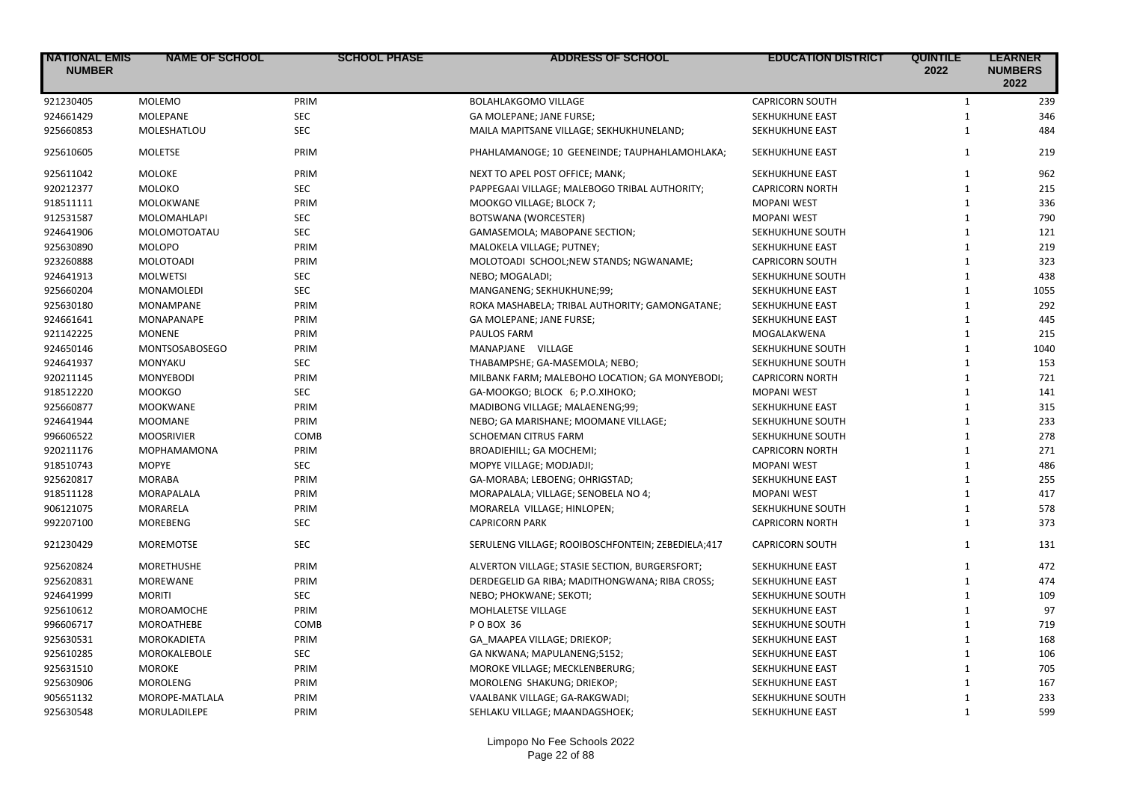| <b>INATIONAL EMIS</b><br><b>NUMBER</b> | <b>NAME OF SCHOOL</b> | <b>SCHOOL PHASE</b> | <b>ADDRESS OF SCHOOL</b>                          | <b>EDUCATION DISTRICT</b> | <b>QUINTILE</b><br>2022 | <b>LEARNER</b><br><b>NUMBERS</b><br>2022 |
|----------------------------------------|-----------------------|---------------------|---------------------------------------------------|---------------------------|-------------------------|------------------------------------------|
| 921230405                              | <b>MOLEMO</b>         | PRIM                | <b>BOLAHLAKGOMO VILLAGE</b>                       | <b>CAPRICORN SOUTH</b>    | $\mathbf{1}$            | 239                                      |
| 924661429                              | MOLEPANE              | SEC                 | GA MOLEPANE; JANE FURSE;                          | SEKHUKHUNE EAST           | $\mathbf{1}$            | 346                                      |
| 925660853                              | MOLESHATLOU           | <b>SEC</b>          | MAILA MAPITSANE VILLAGE; SEKHUKHUNELAND;          | SEKHUKHUNE EAST           | $\mathbf{1}$            | 484                                      |
| 925610605                              | <b>MOLETSE</b>        | PRIM                | PHAHLAMANOGE; 10 GEENEINDE; TAUPHAHLAMOHLAKA;     | SEKHUKHUNE EAST           | $\mathbf{1}$            | 219                                      |
| 925611042                              | MOLOKE                | PRIM                | NEXT TO APEL POST OFFICE; MANK;                   | SEKHUKHUNE EAST           | $\mathbf{1}$            | 962                                      |
| 920212377                              | <b>MOLOKO</b>         | <b>SEC</b>          | PAPPEGAAI VILLAGE; MALEBOGO TRIBAL AUTHORITY;     | <b>CAPRICORN NORTH</b>    | $\mathbf{1}$            | 215                                      |
| 918511111                              | MOLOKWANE             | PRIM                | MOOKGO VILLAGE; BLOCK 7;                          | <b>MOPANI WEST</b>        | $\mathbf{1}$            | 336                                      |
| 912531587                              | MOLOMAHLAPI           | <b>SEC</b>          | BOTSWANA (WORCESTER)                              | <b>MOPANI WEST</b>        | $\mathbf{1}$            | 790                                      |
| 924641906                              | MOLOMOTOATAU          | SEC                 | GAMASEMOLA; MABOPANE SECTION;                     | SEKHUKHUNE SOUTH          | $\mathbf{1}$            | 121                                      |
| 925630890                              | <b>MOLOPO</b>         | PRIM                | MALOKELA VILLAGE; PUTNEY;                         | SEKHUKHUNE EAST           | $\mathbf{1}$            | 219                                      |
| 923260888                              | <b>MOLOTOADI</b>      | PRIM                | MOLOTOADI SCHOOL;NEW STANDS; NGWANAME;            | <b>CAPRICORN SOUTH</b>    | $\mathbf{1}$            | 323                                      |
| 924641913                              | <b>MOLWETSI</b>       | <b>SEC</b>          | NEBO; MOGALADI;                                   | SEKHUKHUNE SOUTH          | $\mathbf{1}$            | 438                                      |
| 925660204                              | MONAMOLEDI            | <b>SEC</b>          | MANGANENG; SEKHUKHUNE;99;                         | SEKHUKHUNE EAST           | $\mathbf{1}$            | 1055                                     |
| 925630180                              | MONAMPANE             | PRIM                | ROKA MASHABELA; TRIBAL AUTHORITY; GAMONGATANE;    | SEKHUKHUNE EAST           | $\mathbf{1}$            | 292                                      |
| 924661641                              | MONAPANAPE            | PRIM                | GA MOLEPANE; JANE FURSE;                          | SEKHUKHUNE EAST           | $\mathbf{1}$            | 445                                      |
| 921142225                              | <b>MONENE</b>         | PRIM                | PAULOS FARM                                       | MOGALAKWENA               | $\mathbf{1}$            | 215                                      |
| 924650146                              | <b>MONTSOSABOSEGO</b> | PRIM                | MANAPJANE VILLAGE                                 | SEKHUKHUNE SOUTH          | $\mathbf{1}$            | 1040                                     |
| 924641937                              | <b>MONYAKU</b>        | <b>SEC</b>          | THABAMPSHE; GA-MASEMOLA; NEBO;                    | SEKHUKHUNE SOUTH          | $\mathbf{1}$            | 153                                      |
| 920211145                              | <b>MONYEBODI</b>      | PRIM                | MILBANK FARM; MALEBOHO LOCATION; GA MONYEBODI;    | <b>CAPRICORN NORTH</b>    | $\mathbf{1}$            | 721                                      |
| 918512220                              | <b>MOOKGO</b>         | <b>SEC</b>          | GA-MOOKGO; BLOCK 6; P.O.XIHOKO;                   | <b>MOPANI WEST</b>        | $\mathbf{1}$            | 141                                      |
| 925660877                              | <b>MOOKWANE</b>       | PRIM                | MADIBONG VILLAGE; MALAENENG;99;                   | SEKHUKHUNE EAST           | $\mathbf{1}$            | 315                                      |
| 924641944                              | <b>MOOMANE</b>        | PRIM                | NEBO; GA MARISHANE; MOOMANE VILLAGE;              | SEKHUKHUNE SOUTH          | $\mathbf{1}$            | 233                                      |
| 996606522                              | <b>MOOSRIVIER</b>     | COMB                | SCHOEMAN CITRUS FARM                              | SEKHUKHUNE SOUTH          | $\mathbf{1}$            | 278                                      |
| 920211176                              | MOPHAMAMONA           | PRIM                | BROADIEHILL; GA MOCHEMI;                          | <b>CAPRICORN NORTH</b>    | $\mathbf{1}$            | 271                                      |
| 918510743                              | <b>MOPYE</b>          | <b>SEC</b>          | MOPYE VILLAGE; MODJADJI;                          | <b>MOPANI WEST</b>        | $\mathbf{1}$            | 486                                      |
| 925620817                              | <b>MORABA</b>         | PRIM                | GA-MORABA; LEBOENG; OHRIGSTAD;                    | SEKHUKHUNE EAST           | $\mathbf{1}$            | 255                                      |
| 918511128                              | MORAPALALA            | PRIM                | MORAPALALA; VILLAGE; SENOBELA NO 4;               | <b>MOPANI WEST</b>        | $\mathbf{1}$            | 417                                      |
| 906121075                              | MORARELA              | PRIM                | MORARELA VILLAGE; HINLOPEN;                       | SEKHUKHUNE SOUTH          | $\mathbf{1}$            | 578                                      |
| 992207100                              | <b>MOREBENG</b>       | <b>SEC</b>          | <b>CAPRICORN PARK</b>                             | <b>CAPRICORN NORTH</b>    | $\mathbf{1}$            | 373                                      |
| 921230429                              | <b>MOREMOTSE</b>      | <b>SEC</b>          | SERULENG VILLAGE; ROOIBOSCHFONTEIN; ZEBEDIELA;417 | <b>CAPRICORN SOUTH</b>    | $\mathbf{1}$            | 131                                      |
| 925620824                              | <b>MORETHUSHE</b>     | PRIM                | ALVERTON VILLAGE; STASIE SECTION, BURGERSFORT;    | SEKHUKHUNE EAST           | $\mathbf{1}$            | 472                                      |
| 925620831                              | <b>MOREWANE</b>       | PRIM                | DERDEGELID GA RIBA; MADITHONGWANA; RIBA CROSS;    | SEKHUKHUNE EAST           | $\mathbf{1}$            | 474                                      |
| 924641999                              | <b>MORITI</b>         | <b>SEC</b>          | NEBO; PHOKWANE; SEKOTI;                           | SEKHUKHUNE SOUTH          | $\mathbf{1}$            | 109                                      |
| 925610612                              | MOROAMOCHE            | PRIM                | MOHLALETSE VILLAGE                                | SEKHUKHUNE EAST           | $\mathbf{1}$            | 97                                       |
| 996606717                              | MOROATHEBE            | COMB                | P O BOX 36                                        | SEKHUKHUNE SOUTH          | $\mathbf{1}$            | 719                                      |
| 925630531                              | MOROKADIETA           | PRIM                | GA MAAPEA VILLAGE; DRIEKOP;                       | SEKHUKHUNE EAST           | $\mathbf{1}$            | 168                                      |
| 925610285                              | MOROKALEBOLE          | <b>SEC</b>          | GA NKWANA; MAPULANENG;5152;                       | SEKHUKHUNE EAST           | $\mathbf{1}$            | 106                                      |
| 925631510                              | <b>MOROKE</b>         | PRIM                | MOROKE VILLAGE; MECKLENBERURG;                    | SEKHUKHUNE EAST           | $\mathbf{1}$            | 705                                      |
| 925630906                              | <b>MOROLENG</b>       | PRIM                | MOROLENG SHAKUNG; DRIEKOP;                        | SEKHUKHUNE EAST           | $\mathbf{1}$            | 167                                      |
| 905651132                              | MOROPE-MATLALA        | PRIM                | VAALBANK VILLAGE; GA-RAKGWADI;                    | SEKHUKHUNE SOUTH          | $\mathbf{1}$            | 233                                      |
| 925630548                              | MORULADILEPE          | PRIM                | SEHLAKU VILLAGE; MAANDAGSHOEK;                    | SEKHUKHUNE EAST           | $\mathbf{1}$            | 599                                      |
|                                        |                       |                     |                                                   |                           |                         |                                          |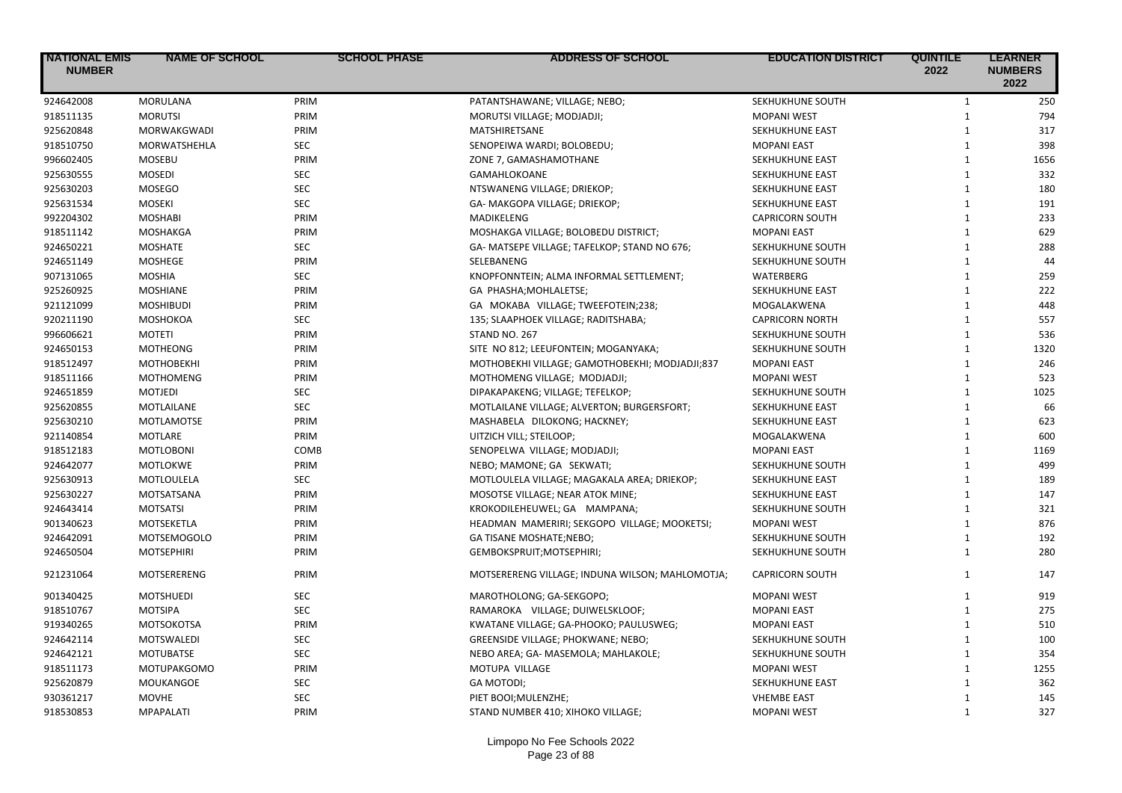| <b>INATIONAL EMIS</b><br><b>NUMBER</b> | <b>NAME OF SCHOOL</b> | <b>SCHOOL PHASE</b> | <b>ADDRESS OF SCHOOL</b>                        | <b>EDUCATION DISTRICT</b> | <b>QUINTILE</b><br>2022 | <b>LEARNER</b><br><b>NUMBERS</b><br>2022 |
|----------------------------------------|-----------------------|---------------------|-------------------------------------------------|---------------------------|-------------------------|------------------------------------------|
| 924642008                              | <b>MORULANA</b>       | PRIM                | PATANTSHAWANE; VILLAGE; NEBO;                   | SEKHUKHUNE SOUTH          | $\mathbf{1}$            | 250                                      |
| 918511135                              | <b>MORUTSI</b>        | PRIM                | MORUTSI VILLAGE; MODJADJI;                      | <b>MOPANI WEST</b>        | $\mathbf{1}$            | 794                                      |
| 925620848                              | <b>MORWAKGWADI</b>    | PRIM                | MATSHIRETSANE                                   | SEKHUKHUNE EAST           | $\mathbf{1}$            | 317                                      |
| 918510750                              | MORWATSHEHLA          | <b>SEC</b>          | SENOPEIWA WARDI; BOLOBEDU;                      | <b>MOPANI EAST</b>        | $\mathbf{1}$            | 398                                      |
| 996602405                              | <b>MOSEBU</b>         | PRIM                | ZONE 7, GAMASHAMOTHANE                          | SEKHUKHUNE EAST           | $\mathbf{1}$            | 1656                                     |
| 925630555                              | <b>MOSEDI</b>         | SEC                 | GAMAHLOKOANE                                    | SEKHUKHUNE EAST           | $\mathbf{1}$            | 332                                      |
| 925630203                              | <b>MOSEGO</b>         | <b>SEC</b>          | NTSWANENG VILLAGE; DRIEKOP;                     | SEKHUKHUNE EAST           | $\mathbf{1}$            | 180                                      |
| 925631534                              | <b>MOSEKI</b>         | <b>SEC</b>          | GA- MAKGOPA VILLAGE; DRIEKOP;                   | SEKHUKHUNE EAST           | $\mathbf{1}$            | 191                                      |
| 992204302                              | <b>MOSHABI</b>        | PRIM                | MADIKELENG                                      | <b>CAPRICORN SOUTH</b>    | $\mathbf{1}$            | 233                                      |
| 918511142                              | MOSHAKGA              | PRIM                | MOSHAKGA VILLAGE; BOLOBEDU DISTRICT;            | <b>MOPANI EAST</b>        | $\mathbf{1}$            | 629                                      |
| 924650221                              | <b>MOSHATE</b>        | SEC                 | GA- MATSEPE VILLAGE; TAFELKOP; STAND NO 676;    | SEKHUKHUNE SOUTH          | $\mathbf{1}$            | 288                                      |
| 924651149                              | <b>MOSHEGE</b>        | PRIM                | SELEBANENG                                      | SEKHUKHUNE SOUTH          | $\mathbf{1}$            | 44                                       |
| 907131065                              | <b>MOSHIA</b>         | <b>SEC</b>          | KNOPFONNTEIN; ALMA INFORMAL SETTLEMENT;         | WATERBERG                 | $\mathbf{1}$            | 259                                      |
| 925260925                              | <b>MOSHIANE</b>       | PRIM                | GA PHASHA; MOHLALETSE;                          | SEKHUKHUNE EAST           | $\mathbf{1}$            | 222                                      |
| 921121099                              | <b>MOSHIBUDI</b>      | PRIM                | GA MOKABA VILLAGE; TWEEFOTEIN;238;              | MOGALAKWENA               | $\mathbf{1}$            | 448                                      |
| 920211190                              | <b>MOSHOKOA</b>       | <b>SEC</b>          | 135; SLAAPHOEK VILLAGE; RADITSHABA;             | <b>CAPRICORN NORTH</b>    | $\mathbf{1}$            | 557                                      |
| 996606621                              | <b>MOTETI</b>         | PRIM                | STAND NO. 267                                   | SEKHUKHUNE SOUTH          | $\mathbf{1}$            | 536                                      |
| 924650153                              | <b>MOTHEONG</b>       | PRIM                | SITE NO 812; LEEUFONTEIN; MOGANYAKA;            | SEKHUKHUNE SOUTH          | $\mathbf{1}$            | 1320                                     |
| 918512497                              | <b>MOTHOBEKHI</b>     | PRIM                | MOTHOBEKHI VILLAGE; GAMOTHOBEKHI; MODJADJI;837  | <b>MOPANI EAST</b>        | $\mathbf{1}$            | 246                                      |
| 918511166                              | <b>MOTHOMENG</b>      | PRIM                | MOTHOMENG VILLAGE; MODJADJI;                    | <b>MOPANI WEST</b>        | $\mathbf{1}$            | 523                                      |
| 924651859                              | <b>MOTJEDI</b>        | <b>SEC</b>          | DIPAKAPAKENG; VILLAGE; TEFELKOP;                | SEKHUKHUNE SOUTH          | $\mathbf{1}$            | 1025                                     |
| 925620855                              | <b>MOTLAILANE</b>     | <b>SEC</b>          | MOTLAILANE VILLAGE; ALVERTON; BURGERSFORT;      | <b>SEKHUKHUNE EAST</b>    | $\mathbf{1}$            | 66                                       |
| 925630210                              | MOTLAMOTSE            | PRIM                | MASHABELA DILOKONG; HACKNEY;                    | SEKHUKHUNE EAST           | $\mathbf{1}$            | 623                                      |
| 921140854                              | <b>MOTLARE</b>        | PRIM                | UITZICH VILL; STEILOOP;                         | MOGALAKWENA               | $\mathbf{1}$            | 600                                      |
| 918512183                              | <b>MOTLOBONI</b>      | COMB                | SENOPELWA VILLAGE; MODJADJI;                    | <b>MOPANI EAST</b>        | $\mathbf{1}$            | 1169                                     |
| 924642077                              | MOTLOKWE              | PRIM                | NEBO; MAMONE; GA SEKWATI;                       | SEKHUKHUNE SOUTH          | $\mathbf{1}$            | 499                                      |
| 925630913                              | MOTLOULELA            | SEC                 | MOTLOULELA VILLAGE; MAGAKALA AREA; DRIEKOP;     | SEKHUKHUNE EAST           | $\mathbf{1}$            | 189                                      |
| 925630227                              | MOTSATSANA            | PRIM                | MOSOTSE VILLAGE; NEAR ATOK MINE;                | SEKHUKHUNE EAST           | $\mathbf{1}$            | 147                                      |
| 924643414                              | <b>MOTSATSI</b>       | PRIM                | KROKODILEHEUWEL; GA MAMPANA;                    | SEKHUKHUNE SOUTH          | $\mathbf{1}$            | 321                                      |
| 901340623                              | MOTSEKETLA            | PRIM                | HEADMAN MAMERIRI; SEKGOPO VILLAGE; MOOKETSI;    | <b>MOPANI WEST</b>        | $\mathbf{1}$            | 876                                      |
| 924642091                              | <b>MOTSEMOGOLO</b>    | PRIM                | GA TISANE MOSHATE;NEBO;                         | SEKHUKHUNE SOUTH          | $\mathbf{1}$            | 192                                      |
| 924650504                              | <b>MOTSEPHIRI</b>     | PRIM                | GEMBOKSPRUIT; MOTSEPHIRI;                       | SEKHUKHUNE SOUTH          | $\mathbf{1}$            | 280                                      |
| 921231064                              | MOTSERERENG           | PRIM                | MOTSERERENG VILLAGE; INDUNA WILSON; MAHLOMOTJA; | <b>CAPRICORN SOUTH</b>    | $\mathbf{1}$            | 147                                      |
| 901340425                              | <b>MOTSHUEDI</b>      | <b>SEC</b>          | MAROTHOLONG; GA-SEKGOPO;                        | <b>MOPANI WEST</b>        | $\mathbf{1}$            | 919                                      |
| 918510767                              | <b>MOTSIPA</b>        | <b>SEC</b>          | RAMAROKA VILLAGE; DUIWELSKLOOF;                 | <b>MOPANI EAST</b>        | $\mathbf{1}$            | 275                                      |
| 919340265                              | MOTSOKOTSA            | PRIM                | KWATANE VILLAGE; GA-PHOOKO; PAULUSWEG;          | <b>MOPANI EAST</b>        | $\mathbf{1}$            | 510                                      |
| 924642114                              | <b>MOTSWALEDI</b>     | <b>SEC</b>          | GREENSIDE VILLAGE; PHOKWANE; NEBO;              | SEKHUKHUNE SOUTH          | $\mathbf{1}$            | 100                                      |
| 924642121                              | <b>MOTUBATSE</b>      | <b>SEC</b>          | NEBO AREA; GA- MASEMOLA; MAHLAKOLE;             | SEKHUKHUNE SOUTH          | $\mathbf{1}$            | 354                                      |
| 918511173                              | <b>MOTUPAKGOMO</b>    | PRIM                | MOTUPA VILLAGE                                  | <b>MOPANI WEST</b>        | $\mathbf{1}$            | 1255                                     |
| 925620879                              | MOUKANGOE             | <b>SEC</b>          | <b>GA MOTODI;</b>                               | SEKHUKHUNE EAST           | $\mathbf{1}$            | 362                                      |
| 930361217                              | <b>MOVHE</b>          | <b>SEC</b>          | PIET BOOI; MULENZHE;                            | <b>VHEMBE EAST</b>        | $\mathbf{1}$            | 145                                      |
| 918530853                              | <b>MPAPALATI</b>      | PRIM                | STAND NUMBER 410; XIHOKO VILLAGE;               | <b>MOPANI WEST</b>        | $\mathbf{1}$            | 327                                      |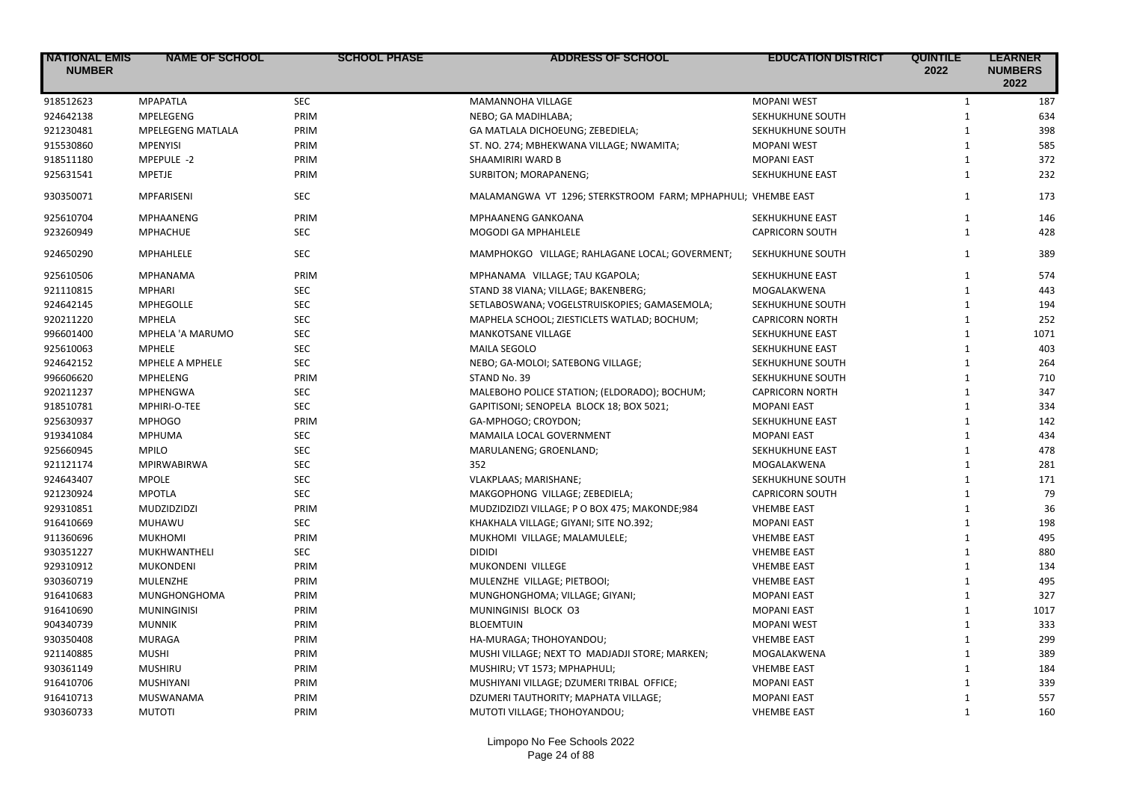| <b>NATIONAL EMIS</b><br><b>NUMBER</b> | <b>NAME OF SCHOOL</b>    | <b>SCHOOL PHASE</b> | <b>ADDRESS OF SCHOOL</b>                                     | <b>EDUCATION DISTRICT</b> | <b>QUINTILE</b><br>2022 | <b>LEARNER</b><br><b>NUMBERS</b><br>2022 |
|---------------------------------------|--------------------------|---------------------|--------------------------------------------------------------|---------------------------|-------------------------|------------------------------------------|
| 918512623                             | <b>MPAPATLA</b>          | <b>SEC</b>          | MAMANNOHA VILLAGE                                            | <b>MOPANI WEST</b>        | $\mathbf{1}$            | 187                                      |
| 924642138                             | <b>MPELEGENG</b>         | PRIM                | NEBO; GA MADIHLABA;                                          | SEKHUKHUNE SOUTH          | $\mathbf{1}$            | 634                                      |
| 921230481                             | <b>MPELEGENG MATLALA</b> | PRIM                | GA MATLALA DICHOEUNG; ZEBEDIELA;                             | SEKHUKHUNE SOUTH          | $\mathbf{1}$            | 398                                      |
| 915530860                             | <b>MPENYISI</b>          | PRIM                | ST. NO. 274; MBHEKWANA VILLAGE; NWAMITA;                     | <b>MOPANI WEST</b>        | $\mathbf{1}$            | 585                                      |
| 918511180                             | MPEPULE -2               | PRIM                | SHAAMIRIRI WARD B                                            | <b>MOPANI EAST</b>        | $\mathbf{1}$            | 372                                      |
| 925631541                             | <b>MPETJE</b>            | PRIM                | SURBITON; MORAPANENG;                                        | SEKHUKHUNE EAST           | $\mathbf{1}$            | 232                                      |
| 930350071                             | MPFARISENI               | <b>SEC</b>          | MALAMANGWA VT 1296; STERKSTROOM FARM; MPHAPHULI; VHEMBE EAST |                           | $\mathbf{1}$            | 173                                      |
| 925610704                             | MPHAANENG                | PRIM                | <b>MPHAANENG GANKOANA</b>                                    | SEKHUKHUNE EAST           | $\mathbf{1}$            | 146                                      |
| 923260949                             | <b>MPHACHUE</b>          | <b>SEC</b>          | MOGODI GA MPHAHLELE                                          | <b>CAPRICORN SOUTH</b>    | $\mathbf{1}$            | 428                                      |
| 924650290                             | MPHAHLELE                | <b>SEC</b>          | MAMPHOKGO VILLAGE; RAHLAGANE LOCAL; GOVERMENT;               | SEKHUKHUNE SOUTH          | $\mathbf{1}$            | 389                                      |
| 925610506                             | <b>MPHANAMA</b>          | PRIM                | MPHANAMA VILLAGE; TAU KGAPOLA;                               | SEKHUKHUNE EAST           | $\mathbf{1}$            | 574                                      |
| 921110815                             | <b>MPHARI</b>            | SEC                 | STAND 38 VIANA; VILLAGE; BAKENBERG;                          | MOGALAKWENA               | $\mathbf{1}$            | 443                                      |
| 924642145                             | <b>MPHEGOLLE</b>         | <b>SEC</b>          | SETLABOSWANA; VOGELSTRUISKOPIES; GAMASEMOLA;                 | SEKHUKHUNE SOUTH          | $\mathbf{1}$            | 194                                      |
| 920211220                             | <b>MPHELA</b>            | <b>SEC</b>          | MAPHELA SCHOOL; ZIESTICLETS WATLAD; BOCHUM;                  | <b>CAPRICORN NORTH</b>    | $\mathbf{1}$            | 252                                      |
| 996601400                             | MPHELA 'A MARUMO         | <b>SEC</b>          | <b>MANKOTSANE VILLAGE</b>                                    | SEKHUKHUNE EAST           | $\mathbf{1}$            | 1071                                     |
| 925610063                             | <b>MPHELE</b>            | <b>SEC</b>          | <b>MAILA SEGOLO</b>                                          | SEKHUKHUNE EAST           | $\mathbf{1}$            | 403                                      |
| 924642152                             | MPHELE A MPHELE          | <b>SEC</b>          | NEBO; GA-MOLOI; SATEBONG VILLAGE;                            | SEKHUKHUNE SOUTH          | $\mathbf{1}$            | 264                                      |
| 996606620                             | <b>MPHELENG</b>          | PRIM                | STAND No. 39                                                 | SEKHUKHUNE SOUTH          | $\mathbf{1}$            | 710                                      |
| 920211237                             | MPHENGWA                 | <b>SEC</b>          | MALEBOHO POLICE STATION; (ELDORADO); BOCHUM;                 | <b>CAPRICORN NORTH</b>    | $\mathbf{1}$            | 347                                      |
| 918510781                             | MPHIRI-O-TEE             | <b>SEC</b>          | GAPITISONI; SENOPELA BLOCK 18; BOX 5021;                     | <b>MOPANI EAST</b>        | $\mathbf{1}$            | 334                                      |
| 925630937                             | <b>MPHOGO</b>            | PRIM                | GA-MPHOGO; CROYDON;                                          | SEKHUKHUNE EAST           | $\mathbf{1}$            | 142                                      |
| 919341084                             | <b>MPHUMA</b>            | <b>SEC</b>          | MAMAILA LOCAL GOVERNMENT                                     | <b>MOPANI EAST</b>        | $\mathbf{1}$            | 434                                      |
| 925660945                             | <b>MPILO</b>             | SEC                 | MARULANENG; GROENLAND;                                       | SEKHUKHUNE EAST           | $\mathbf{1}$            | 478                                      |
| 921121174                             | <b>MPIRWABIRWA</b>       | <b>SEC</b>          | 352                                                          | MOGALAKWENA               | $\mathbf{1}$            | 281                                      |
| 924643407                             | <b>MPOLE</b>             | <b>SEC</b>          | VLAKPLAAS; MARISHANE;                                        | SEKHUKHUNE SOUTH          | $\mathbf{1}$            | 171                                      |
| 921230924                             | <b>MPOTLA</b>            | <b>SEC</b>          | MAKGOPHONG VILLAGE; ZEBEDIELA;                               | <b>CAPRICORN SOUTH</b>    | $\mathbf{1}$            | 79                                       |
| 929310851                             | MUDZIDZIDZI              | PRIM                | MUDZIDZIDZI VILLAGE; P O BOX 475; MAKONDE;984                | <b>VHEMBE EAST</b>        | $\mathbf{1}$            | 36                                       |
| 916410669                             | MUHAWU                   | <b>SEC</b>          | KHAKHALA VILLAGE; GIYANI; SITE NO.392;                       | <b>MOPANI EAST</b>        | $\mathbf{1}$            | 198                                      |
| 911360696                             | <b>MUKHOMI</b>           | PRIM                | MUKHOMI VILLAGE; MALAMULELE;                                 | <b>VHEMBE EAST</b>        | $\mathbf{1}$            | 495                                      |
| 930351227                             | MUKHWANTHELI             | <b>SEC</b>          | <b>DIDIDI</b>                                                | <b>VHEMBE EAST</b>        | $\mathbf{1}$            | 880                                      |
| 929310912                             | <b>MUKONDENI</b>         | PRIM                | MUKONDENI VILLEGE                                            | <b>VHEMBE EAST</b>        | $\mathbf{1}$            | 134                                      |
| 930360719                             | <b>MULENZHE</b>          | PRIM                | MULENZHE VILLAGE; PIETBOOI;                                  | <b>VHEMBE EAST</b>        | $\mathbf{1}$            | 495                                      |
| 916410683                             | MUNGHONGHOMA             | PRIM                | MUNGHONGHOMA; VILLAGE; GIYANI;                               | <b>MOPANI EAST</b>        | $\mathbf{1}$            | 327                                      |
| 916410690                             | <b>MUNINGINISI</b>       | PRIM                | MUNINGINISI BLOCK 03                                         | <b>MOPANI EAST</b>        | $\mathbf{1}$            | 1017                                     |
| 904340739                             | <b>MUNNIK</b>            | PRIM                | <b>BLOEMTUIN</b>                                             | <b>MOPANI WEST</b>        | $\mathbf{1}$            | 333                                      |
| 930350408                             | <b>MURAGA</b>            | PRIM                | HA-MURAGA; THOHOYANDOU;                                      | <b>VHEMBE EAST</b>        | $\mathbf{1}$            | 299                                      |
| 921140885                             | <b>MUSHI</b>             | PRIM                | MUSHI VILLAGE; NEXT TO MADJADJI STORE; MARKEN;               | MOGALAKWENA               | $\mathbf{1}$            | 389                                      |
| 930361149                             | <b>MUSHIRU</b>           | PRIM                | MUSHIRU; VT 1573; MPHAPHULI;                                 | <b>VHEMBE EAST</b>        | $\mathbf{1}$            | 184                                      |
| 916410706                             | <b>MUSHIYANI</b>         | PRIM                | MUSHIYANI VILLAGE; DZUMERI TRIBAL OFFICE;                    | <b>MOPANI EAST</b>        | $\mathbf{1}$            | 339                                      |
| 916410713                             | MUSWANAMA                | PRIM                | DZUMERI TAUTHORITY; MAPHATA VILLAGE;                         | <b>MOPANI EAST</b>        | $\mathbf{1}$            | 557                                      |
| 930360733                             | <b>MUTOTI</b>            | PRIM                | MUTOTI VILLAGE; THOHOYANDOU;                                 | <b>VHEMBE EAST</b>        | $\mathbf{1}$            | 160                                      |
|                                       |                          |                     |                                                              |                           |                         |                                          |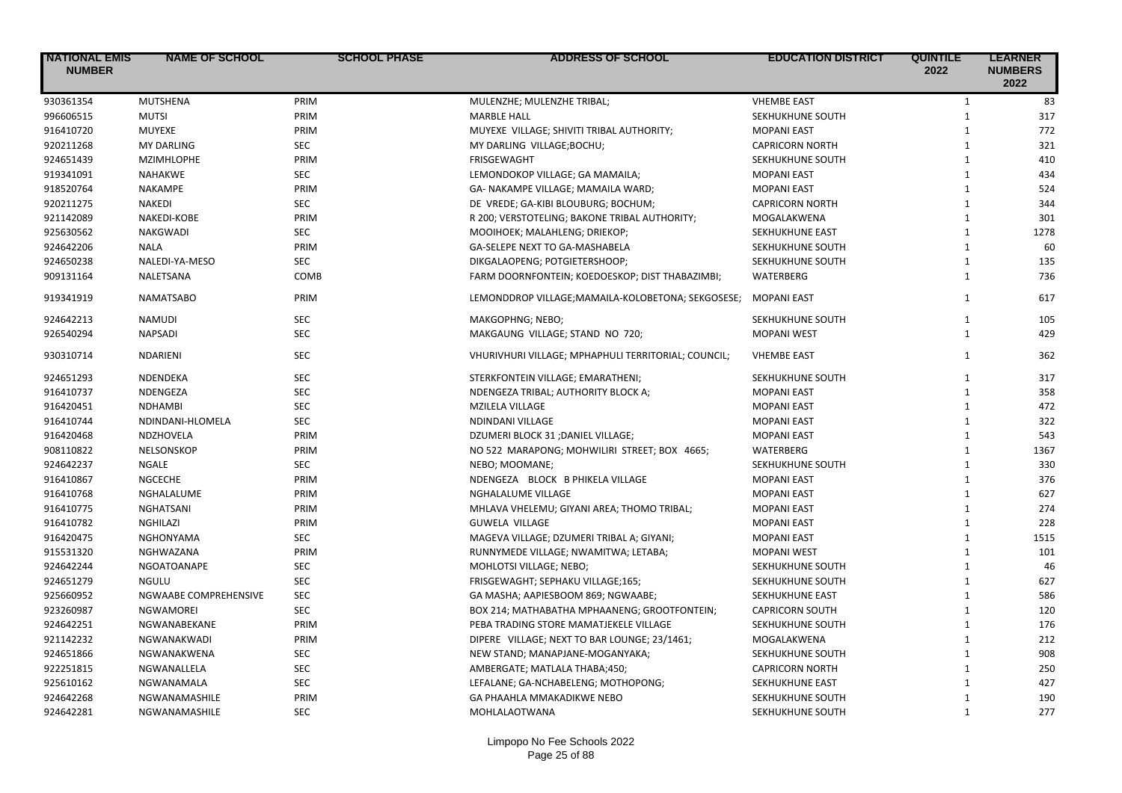| 930361354<br><b>MUTSHENA</b><br>MULENZHE; MULENZHE TRIBAL;<br><b>VHEMBE EAST</b><br>83<br>PRIM<br>$\mathbf{1}$<br>996606515<br><b>MUTSI</b><br>PRIM<br><b>MARBLE HALL</b><br>SEKHUKHUNE SOUTH<br>$\mathbf{1}$<br>317<br>916410720<br>772<br><b>MUYEXE</b><br>PRIM<br>MUYEXE VILLAGE; SHIVITI TRIBAL AUTHORITY;<br><b>MOPANI EAST</b><br>$\mathbf{1}$<br><b>SEC</b><br>321<br>920211268<br><b>MY DARLING</b><br>MY DARLING VILLAGE; BOCHU;<br><b>CAPRICORN NORTH</b><br>$\mathbf{1}$<br>924651439<br>PRIM<br>$\mathbf{1}$<br>410<br><b>MZIMHLOPHE</b><br><b>FRISGEWAGHT</b><br>SEKHUKHUNE SOUTH<br>919341091<br><b>SEC</b><br>434<br><b>NAHAKWE</b><br>LEMONDOKOP VILLAGE; GA MAMAILA;<br><b>MOPANI EAST</b><br>$\mathbf{1}$<br>PRIM<br>918520764<br>$\mathbf{1}$<br>524<br><b>NAKAMPE</b><br>GA- NAKAMPE VILLAGE; MAMAILA WARD;<br><b>MOPANI EAST</b><br>920211275<br><b>NAKEDI</b><br><b>SEC</b><br>$\mathbf{1}$<br>344<br>DE VREDE; GA-KIBI BLOUBURG; BOCHUM;<br><b>CAPRICORN NORTH</b><br>PRIM<br>921142089<br>NAKEDI-KOBE<br>R 200; VERSTOTELING; BAKONE TRIBAL AUTHORITY;<br>$\mathbf{1}$<br>301<br>MOGALAKWENA<br><b>SEC</b><br>1278<br>925630562<br><b>NAKGWADI</b><br>MOOIHOEK; MALAHLENG; DRIEKOP;<br>SEKHUKHUNE EAST<br>$\mathbf{1}$<br>924642206<br>PRIM<br>GA-SELEPE NEXT TO GA-MASHABELA<br>SEKHUKHUNE SOUTH<br>$\mathbf{1}$<br>60<br><b>NALA</b><br>924650238<br><b>SEC</b><br>NALEDI-YA-MESO<br>DIKGALAOPENG; POTGIETERSHOOP;<br>SEKHUKHUNE SOUTH<br>$\mathbf{1}$<br>135<br>909131164<br>COMB<br>$\mathbf{1}$<br>736<br>NALETSANA<br>FARM DOORNFONTEIN; KOEDOESKOP; DIST THABAZIMBI;<br>WATERBERG<br>617<br>919341919<br><b>NAMATSABO</b><br>PRIM<br>LEMONDDROP VILLAGE;MAMAILA-KOLOBETONA; SEKGOSESE;<br>$\mathbf{1}$<br>MOPANI EAST<br>924642213<br><b>SEC</b><br>105<br><b>NAMUDI</b><br>MAKGOPHNG; NEBO;<br>SEKHUKHUNE SOUTH<br>$\mathbf{1}$<br><b>SEC</b><br>429<br>926540294<br><b>NAPSADI</b><br>MAKGAUNG VILLAGE; STAND NO 720;<br><b>MOPANI WEST</b><br>$\mathbf{1}$<br>930310714<br><b>SEC</b><br>362<br>NDARIENI<br>VHURIVHURI VILLAGE; MPHAPHULI TERRITORIAL; COUNCIL;<br><b>VHEMBE EAST</b><br>$\mathbf{1}$<br><b>SEC</b><br>317<br>924651293<br>NDENDEKA<br>STERKFONTEIN VILLAGE; EMARATHENI;<br>SEKHUKHUNE SOUTH<br>$\mathbf{1}$<br>916410737<br><b>SEC</b><br>$\mathbf{1}$<br>358<br>NDENGEZA<br>NDENGEZA TRIBAL; AUTHORITY BLOCK A;<br><b>MOPANI EAST</b><br>916420451<br><b>SEC</b><br>$\mathbf{1}$<br>472<br><b>NDHAMBI</b><br><b>MZILELA VILLAGE</b><br><b>MOPANI EAST</b><br>916410744<br><b>SEC</b><br><b>MOPANI EAST</b><br>$\mathbf{1}$<br>322<br>NDINDANI-HLOMELA<br>NDINDANI VILLAGE<br>916420468<br>PRIM<br>$\mathbf{1}$<br>543<br>NDZHOVELA<br>DZUMERI BLOCK 31 ; DANIEL VILLAGE;<br><b>MOPANI EAST</b><br>908110822<br>PRIM<br>1367<br>NELSONSKOP<br>NO 522 MARAPONG; MOHWILIRI STREET; BOX 4665;<br><b>WATERBERG</b><br>$\mathbf{1}$<br>924642237<br><b>SEC</b><br>330<br>NGALE<br>NEBO; MOOMANE;<br>SEKHUKHUNE SOUTH<br>$\mathbf{1}$<br>916410867<br>PRIM<br>376<br><b>NGCECHE</b><br>NDENGEZA BLOCK B PHIKELA VILLAGE<br><b>MOPANI EAST</b><br>$\mathbf{1}$<br>916410768<br>PRIM<br>627<br>NGHALALUME<br>NGHALALUME VILLAGE<br><b>MOPANI EAST</b><br>$\mathbf{1}$<br>916410775<br><b>NGHATSANI</b><br>PRIM<br>MHLAVA VHELEMU; GIYANI AREA; THOMO TRIBAL;<br>$\mathbf{1}$<br>274<br><b>MOPANI EAST</b><br>228<br>916410782<br>$\mathbf{1}$<br><b>NGHILAZI</b><br>PRIM<br><b>GUWELA VILLAGE</b><br><b>MOPANI EAST</b><br>1515<br>916420475<br><b>SEC</b><br>MAGEVA VILLAGE; DZUMERI TRIBAL A; GIYANI;<br><b>MOPANI EAST</b><br>$\mathbf{1}$<br><b>NGHONYAMA</b><br>915531320<br>PRIM<br>$\mathbf{1}$<br>101<br>NGHWAZANA<br>RUNNYMEDE VILLAGE; NWAMITWA; LETABA;<br><b>MOPANI WEST</b><br>924642244<br><b>SEC</b><br>46<br><b>NGOATOANAPE</b><br>MOHLOTSI VILLAGE; NEBO;<br>SEKHUKHUNE SOUTH<br>$\mathbf{1}$<br>924651279<br><b>SEC</b><br>627<br><b>NGULU</b><br>FRISGEWAGHT; SEPHAKU VILLAGE;165;<br>SEKHUKHUNE SOUTH<br>$\mathbf{1}$<br>925660952<br><b>SEC</b><br>$\mathbf{1}$<br>586<br>NGWAABE COMPREHENSIVE<br>GA MASHA; AAPIESBOOM 869; NGWAABE;<br>SEKHUKHUNE EAST<br>923260987<br><b>SEC</b><br>$\mathbf{1}$<br>120<br><b>NGWAMOREI</b><br>BOX 214; MATHABATHA MPHAANENG; GROOTFONTEIN;<br><b>CAPRICORN SOUTH</b><br>924642251<br>PRIM<br>PEBA TRADING STORE MAMATJEKELE VILLAGE<br>$\mathbf{1}$<br>176<br>NGWANABEKANE<br>SEKHUKHUNE SOUTH | <b>INATIONAL EMIS</b><br><b>NUMBER</b> | <b>NAME OF SCHOOL</b> | <b>SCHOOL PHASE</b> | <b>ADDRESS OF SCHOOL</b>                     | <b>EDUCATION DISTRICT</b> | <b>QUINTILE</b><br>2022 | <b>LEARNER</b><br><b>NUMBERS</b><br>2022 |
|----------------------------------------------------------------------------------------------------------------------------------------------------------------------------------------------------------------------------------------------------------------------------------------------------------------------------------------------------------------------------------------------------------------------------------------------------------------------------------------------------------------------------------------------------------------------------------------------------------------------------------------------------------------------------------------------------------------------------------------------------------------------------------------------------------------------------------------------------------------------------------------------------------------------------------------------------------------------------------------------------------------------------------------------------------------------------------------------------------------------------------------------------------------------------------------------------------------------------------------------------------------------------------------------------------------------------------------------------------------------------------------------------------------------------------------------------------------------------------------------------------------------------------------------------------------------------------------------------------------------------------------------------------------------------------------------------------------------------------------------------------------------------------------------------------------------------------------------------------------------------------------------------------------------------------------------------------------------------------------------------------------------------------------------------------------------------------------------------------------------------------------------------------------------------------------------------------------------------------------------------------------------------------------------------------------------------------------------------------------------------------------------------------------------------------------------------------------------------------------------------------------------------------------------------------------------------------------------------------------------------------------------------------------------------------------------------------------------------------------------------------------------------------------------------------------------------------------------------------------------------------------------------------------------------------------------------------------------------------------------------------------------------------------------------------------------------------------------------------------------------------------------------------------------------------------------------------------------------------------------------------------------------------------------------------------------------------------------------------------------------------------------------------------------------------------------------------------------------------------------------------------------------------------------------------------------------------------------------------------------------------------------------------------------------------------------------------------------------------------------------------------------------------------------------------------------------------------------------------------------------------------------------------------------------------------------------------------------------------------------------------------------------------------------------------------------------------------------------------------------------------------------------------------------------------------------------------------------------------------------------------------------------------------------------------------------------------------------------------------------------------------------------|----------------------------------------|-----------------------|---------------------|----------------------------------------------|---------------------------|-------------------------|------------------------------------------|
|                                                                                                                                                                                                                                                                                                                                                                                                                                                                                                                                                                                                                                                                                                                                                                                                                                                                                                                                                                                                                                                                                                                                                                                                                                                                                                                                                                                                                                                                                                                                                                                                                                                                                                                                                                                                                                                                                                                                                                                                                                                                                                                                                                                                                                                                                                                                                                                                                                                                                                                                                                                                                                                                                                                                                                                                                                                                                                                                                                                                                                                                                                                                                                                                                                                                                                                                                                                                                                                                                                                                                                                                                                                                                                                                                                                                                                                                                                                                                                                                                                                                                                                                                                                                                                                                                                                                                                                                    |                                        |                       |                     |                                              |                           |                         |                                          |
|                                                                                                                                                                                                                                                                                                                                                                                                                                                                                                                                                                                                                                                                                                                                                                                                                                                                                                                                                                                                                                                                                                                                                                                                                                                                                                                                                                                                                                                                                                                                                                                                                                                                                                                                                                                                                                                                                                                                                                                                                                                                                                                                                                                                                                                                                                                                                                                                                                                                                                                                                                                                                                                                                                                                                                                                                                                                                                                                                                                                                                                                                                                                                                                                                                                                                                                                                                                                                                                                                                                                                                                                                                                                                                                                                                                                                                                                                                                                                                                                                                                                                                                                                                                                                                                                                                                                                                                                    |                                        |                       |                     |                                              |                           |                         |                                          |
|                                                                                                                                                                                                                                                                                                                                                                                                                                                                                                                                                                                                                                                                                                                                                                                                                                                                                                                                                                                                                                                                                                                                                                                                                                                                                                                                                                                                                                                                                                                                                                                                                                                                                                                                                                                                                                                                                                                                                                                                                                                                                                                                                                                                                                                                                                                                                                                                                                                                                                                                                                                                                                                                                                                                                                                                                                                                                                                                                                                                                                                                                                                                                                                                                                                                                                                                                                                                                                                                                                                                                                                                                                                                                                                                                                                                                                                                                                                                                                                                                                                                                                                                                                                                                                                                                                                                                                                                    |                                        |                       |                     |                                              |                           |                         |                                          |
|                                                                                                                                                                                                                                                                                                                                                                                                                                                                                                                                                                                                                                                                                                                                                                                                                                                                                                                                                                                                                                                                                                                                                                                                                                                                                                                                                                                                                                                                                                                                                                                                                                                                                                                                                                                                                                                                                                                                                                                                                                                                                                                                                                                                                                                                                                                                                                                                                                                                                                                                                                                                                                                                                                                                                                                                                                                                                                                                                                                                                                                                                                                                                                                                                                                                                                                                                                                                                                                                                                                                                                                                                                                                                                                                                                                                                                                                                                                                                                                                                                                                                                                                                                                                                                                                                                                                                                                                    |                                        |                       |                     |                                              |                           |                         |                                          |
|                                                                                                                                                                                                                                                                                                                                                                                                                                                                                                                                                                                                                                                                                                                                                                                                                                                                                                                                                                                                                                                                                                                                                                                                                                                                                                                                                                                                                                                                                                                                                                                                                                                                                                                                                                                                                                                                                                                                                                                                                                                                                                                                                                                                                                                                                                                                                                                                                                                                                                                                                                                                                                                                                                                                                                                                                                                                                                                                                                                                                                                                                                                                                                                                                                                                                                                                                                                                                                                                                                                                                                                                                                                                                                                                                                                                                                                                                                                                                                                                                                                                                                                                                                                                                                                                                                                                                                                                    |                                        |                       |                     |                                              |                           |                         |                                          |
|                                                                                                                                                                                                                                                                                                                                                                                                                                                                                                                                                                                                                                                                                                                                                                                                                                                                                                                                                                                                                                                                                                                                                                                                                                                                                                                                                                                                                                                                                                                                                                                                                                                                                                                                                                                                                                                                                                                                                                                                                                                                                                                                                                                                                                                                                                                                                                                                                                                                                                                                                                                                                                                                                                                                                                                                                                                                                                                                                                                                                                                                                                                                                                                                                                                                                                                                                                                                                                                                                                                                                                                                                                                                                                                                                                                                                                                                                                                                                                                                                                                                                                                                                                                                                                                                                                                                                                                                    |                                        |                       |                     |                                              |                           |                         |                                          |
|                                                                                                                                                                                                                                                                                                                                                                                                                                                                                                                                                                                                                                                                                                                                                                                                                                                                                                                                                                                                                                                                                                                                                                                                                                                                                                                                                                                                                                                                                                                                                                                                                                                                                                                                                                                                                                                                                                                                                                                                                                                                                                                                                                                                                                                                                                                                                                                                                                                                                                                                                                                                                                                                                                                                                                                                                                                                                                                                                                                                                                                                                                                                                                                                                                                                                                                                                                                                                                                                                                                                                                                                                                                                                                                                                                                                                                                                                                                                                                                                                                                                                                                                                                                                                                                                                                                                                                                                    |                                        |                       |                     |                                              |                           |                         |                                          |
|                                                                                                                                                                                                                                                                                                                                                                                                                                                                                                                                                                                                                                                                                                                                                                                                                                                                                                                                                                                                                                                                                                                                                                                                                                                                                                                                                                                                                                                                                                                                                                                                                                                                                                                                                                                                                                                                                                                                                                                                                                                                                                                                                                                                                                                                                                                                                                                                                                                                                                                                                                                                                                                                                                                                                                                                                                                                                                                                                                                                                                                                                                                                                                                                                                                                                                                                                                                                                                                                                                                                                                                                                                                                                                                                                                                                                                                                                                                                                                                                                                                                                                                                                                                                                                                                                                                                                                                                    |                                        |                       |                     |                                              |                           |                         |                                          |
|                                                                                                                                                                                                                                                                                                                                                                                                                                                                                                                                                                                                                                                                                                                                                                                                                                                                                                                                                                                                                                                                                                                                                                                                                                                                                                                                                                                                                                                                                                                                                                                                                                                                                                                                                                                                                                                                                                                                                                                                                                                                                                                                                                                                                                                                                                                                                                                                                                                                                                                                                                                                                                                                                                                                                                                                                                                                                                                                                                                                                                                                                                                                                                                                                                                                                                                                                                                                                                                                                                                                                                                                                                                                                                                                                                                                                                                                                                                                                                                                                                                                                                                                                                                                                                                                                                                                                                                                    |                                        |                       |                     |                                              |                           |                         |                                          |
|                                                                                                                                                                                                                                                                                                                                                                                                                                                                                                                                                                                                                                                                                                                                                                                                                                                                                                                                                                                                                                                                                                                                                                                                                                                                                                                                                                                                                                                                                                                                                                                                                                                                                                                                                                                                                                                                                                                                                                                                                                                                                                                                                                                                                                                                                                                                                                                                                                                                                                                                                                                                                                                                                                                                                                                                                                                                                                                                                                                                                                                                                                                                                                                                                                                                                                                                                                                                                                                                                                                                                                                                                                                                                                                                                                                                                                                                                                                                                                                                                                                                                                                                                                                                                                                                                                                                                                                                    |                                        |                       |                     |                                              |                           |                         |                                          |
|                                                                                                                                                                                                                                                                                                                                                                                                                                                                                                                                                                                                                                                                                                                                                                                                                                                                                                                                                                                                                                                                                                                                                                                                                                                                                                                                                                                                                                                                                                                                                                                                                                                                                                                                                                                                                                                                                                                                                                                                                                                                                                                                                                                                                                                                                                                                                                                                                                                                                                                                                                                                                                                                                                                                                                                                                                                                                                                                                                                                                                                                                                                                                                                                                                                                                                                                                                                                                                                                                                                                                                                                                                                                                                                                                                                                                                                                                                                                                                                                                                                                                                                                                                                                                                                                                                                                                                                                    |                                        |                       |                     |                                              |                           |                         |                                          |
|                                                                                                                                                                                                                                                                                                                                                                                                                                                                                                                                                                                                                                                                                                                                                                                                                                                                                                                                                                                                                                                                                                                                                                                                                                                                                                                                                                                                                                                                                                                                                                                                                                                                                                                                                                                                                                                                                                                                                                                                                                                                                                                                                                                                                                                                                                                                                                                                                                                                                                                                                                                                                                                                                                                                                                                                                                                                                                                                                                                                                                                                                                                                                                                                                                                                                                                                                                                                                                                                                                                                                                                                                                                                                                                                                                                                                                                                                                                                                                                                                                                                                                                                                                                                                                                                                                                                                                                                    |                                        |                       |                     |                                              |                           |                         |                                          |
|                                                                                                                                                                                                                                                                                                                                                                                                                                                                                                                                                                                                                                                                                                                                                                                                                                                                                                                                                                                                                                                                                                                                                                                                                                                                                                                                                                                                                                                                                                                                                                                                                                                                                                                                                                                                                                                                                                                                                                                                                                                                                                                                                                                                                                                                                                                                                                                                                                                                                                                                                                                                                                                                                                                                                                                                                                                                                                                                                                                                                                                                                                                                                                                                                                                                                                                                                                                                                                                                                                                                                                                                                                                                                                                                                                                                                                                                                                                                                                                                                                                                                                                                                                                                                                                                                                                                                                                                    |                                        |                       |                     |                                              |                           |                         |                                          |
|                                                                                                                                                                                                                                                                                                                                                                                                                                                                                                                                                                                                                                                                                                                                                                                                                                                                                                                                                                                                                                                                                                                                                                                                                                                                                                                                                                                                                                                                                                                                                                                                                                                                                                                                                                                                                                                                                                                                                                                                                                                                                                                                                                                                                                                                                                                                                                                                                                                                                                                                                                                                                                                                                                                                                                                                                                                                                                                                                                                                                                                                                                                                                                                                                                                                                                                                                                                                                                                                                                                                                                                                                                                                                                                                                                                                                                                                                                                                                                                                                                                                                                                                                                                                                                                                                                                                                                                                    |                                        |                       |                     |                                              |                           |                         |                                          |
|                                                                                                                                                                                                                                                                                                                                                                                                                                                                                                                                                                                                                                                                                                                                                                                                                                                                                                                                                                                                                                                                                                                                                                                                                                                                                                                                                                                                                                                                                                                                                                                                                                                                                                                                                                                                                                                                                                                                                                                                                                                                                                                                                                                                                                                                                                                                                                                                                                                                                                                                                                                                                                                                                                                                                                                                                                                                                                                                                                                                                                                                                                                                                                                                                                                                                                                                                                                                                                                                                                                                                                                                                                                                                                                                                                                                                                                                                                                                                                                                                                                                                                                                                                                                                                                                                                                                                                                                    |                                        |                       |                     |                                              |                           |                         |                                          |
|                                                                                                                                                                                                                                                                                                                                                                                                                                                                                                                                                                                                                                                                                                                                                                                                                                                                                                                                                                                                                                                                                                                                                                                                                                                                                                                                                                                                                                                                                                                                                                                                                                                                                                                                                                                                                                                                                                                                                                                                                                                                                                                                                                                                                                                                                                                                                                                                                                                                                                                                                                                                                                                                                                                                                                                                                                                                                                                                                                                                                                                                                                                                                                                                                                                                                                                                                                                                                                                                                                                                                                                                                                                                                                                                                                                                                                                                                                                                                                                                                                                                                                                                                                                                                                                                                                                                                                                                    |                                        |                       |                     |                                              |                           |                         |                                          |
|                                                                                                                                                                                                                                                                                                                                                                                                                                                                                                                                                                                                                                                                                                                                                                                                                                                                                                                                                                                                                                                                                                                                                                                                                                                                                                                                                                                                                                                                                                                                                                                                                                                                                                                                                                                                                                                                                                                                                                                                                                                                                                                                                                                                                                                                                                                                                                                                                                                                                                                                                                                                                                                                                                                                                                                                                                                                                                                                                                                                                                                                                                                                                                                                                                                                                                                                                                                                                                                                                                                                                                                                                                                                                                                                                                                                                                                                                                                                                                                                                                                                                                                                                                                                                                                                                                                                                                                                    |                                        |                       |                     |                                              |                           |                         |                                          |
|                                                                                                                                                                                                                                                                                                                                                                                                                                                                                                                                                                                                                                                                                                                                                                                                                                                                                                                                                                                                                                                                                                                                                                                                                                                                                                                                                                                                                                                                                                                                                                                                                                                                                                                                                                                                                                                                                                                                                                                                                                                                                                                                                                                                                                                                                                                                                                                                                                                                                                                                                                                                                                                                                                                                                                                                                                                                                                                                                                                                                                                                                                                                                                                                                                                                                                                                                                                                                                                                                                                                                                                                                                                                                                                                                                                                                                                                                                                                                                                                                                                                                                                                                                                                                                                                                                                                                                                                    |                                        |                       |                     |                                              |                           |                         |                                          |
|                                                                                                                                                                                                                                                                                                                                                                                                                                                                                                                                                                                                                                                                                                                                                                                                                                                                                                                                                                                                                                                                                                                                                                                                                                                                                                                                                                                                                                                                                                                                                                                                                                                                                                                                                                                                                                                                                                                                                                                                                                                                                                                                                                                                                                                                                                                                                                                                                                                                                                                                                                                                                                                                                                                                                                                                                                                                                                                                                                                                                                                                                                                                                                                                                                                                                                                                                                                                                                                                                                                                                                                                                                                                                                                                                                                                                                                                                                                                                                                                                                                                                                                                                                                                                                                                                                                                                                                                    |                                        |                       |                     |                                              |                           |                         |                                          |
|                                                                                                                                                                                                                                                                                                                                                                                                                                                                                                                                                                                                                                                                                                                                                                                                                                                                                                                                                                                                                                                                                                                                                                                                                                                                                                                                                                                                                                                                                                                                                                                                                                                                                                                                                                                                                                                                                                                                                                                                                                                                                                                                                                                                                                                                                                                                                                                                                                                                                                                                                                                                                                                                                                                                                                                                                                                                                                                                                                                                                                                                                                                                                                                                                                                                                                                                                                                                                                                                                                                                                                                                                                                                                                                                                                                                                                                                                                                                                                                                                                                                                                                                                                                                                                                                                                                                                                                                    |                                        |                       |                     |                                              |                           |                         |                                          |
|                                                                                                                                                                                                                                                                                                                                                                                                                                                                                                                                                                                                                                                                                                                                                                                                                                                                                                                                                                                                                                                                                                                                                                                                                                                                                                                                                                                                                                                                                                                                                                                                                                                                                                                                                                                                                                                                                                                                                                                                                                                                                                                                                                                                                                                                                                                                                                                                                                                                                                                                                                                                                                                                                                                                                                                                                                                                                                                                                                                                                                                                                                                                                                                                                                                                                                                                                                                                                                                                                                                                                                                                                                                                                                                                                                                                                                                                                                                                                                                                                                                                                                                                                                                                                                                                                                                                                                                                    |                                        |                       |                     |                                              |                           |                         |                                          |
|                                                                                                                                                                                                                                                                                                                                                                                                                                                                                                                                                                                                                                                                                                                                                                                                                                                                                                                                                                                                                                                                                                                                                                                                                                                                                                                                                                                                                                                                                                                                                                                                                                                                                                                                                                                                                                                                                                                                                                                                                                                                                                                                                                                                                                                                                                                                                                                                                                                                                                                                                                                                                                                                                                                                                                                                                                                                                                                                                                                                                                                                                                                                                                                                                                                                                                                                                                                                                                                                                                                                                                                                                                                                                                                                                                                                                                                                                                                                                                                                                                                                                                                                                                                                                                                                                                                                                                                                    |                                        |                       |                     |                                              |                           |                         |                                          |
|                                                                                                                                                                                                                                                                                                                                                                                                                                                                                                                                                                                                                                                                                                                                                                                                                                                                                                                                                                                                                                                                                                                                                                                                                                                                                                                                                                                                                                                                                                                                                                                                                                                                                                                                                                                                                                                                                                                                                                                                                                                                                                                                                                                                                                                                                                                                                                                                                                                                                                                                                                                                                                                                                                                                                                                                                                                                                                                                                                                                                                                                                                                                                                                                                                                                                                                                                                                                                                                                                                                                                                                                                                                                                                                                                                                                                                                                                                                                                                                                                                                                                                                                                                                                                                                                                                                                                                                                    |                                        |                       |                     |                                              |                           |                         |                                          |
|                                                                                                                                                                                                                                                                                                                                                                                                                                                                                                                                                                                                                                                                                                                                                                                                                                                                                                                                                                                                                                                                                                                                                                                                                                                                                                                                                                                                                                                                                                                                                                                                                                                                                                                                                                                                                                                                                                                                                                                                                                                                                                                                                                                                                                                                                                                                                                                                                                                                                                                                                                                                                                                                                                                                                                                                                                                                                                                                                                                                                                                                                                                                                                                                                                                                                                                                                                                                                                                                                                                                                                                                                                                                                                                                                                                                                                                                                                                                                                                                                                                                                                                                                                                                                                                                                                                                                                                                    |                                        |                       |                     |                                              |                           |                         |                                          |
|                                                                                                                                                                                                                                                                                                                                                                                                                                                                                                                                                                                                                                                                                                                                                                                                                                                                                                                                                                                                                                                                                                                                                                                                                                                                                                                                                                                                                                                                                                                                                                                                                                                                                                                                                                                                                                                                                                                                                                                                                                                                                                                                                                                                                                                                                                                                                                                                                                                                                                                                                                                                                                                                                                                                                                                                                                                                                                                                                                                                                                                                                                                                                                                                                                                                                                                                                                                                                                                                                                                                                                                                                                                                                                                                                                                                                                                                                                                                                                                                                                                                                                                                                                                                                                                                                                                                                                                                    |                                        |                       |                     |                                              |                           |                         |                                          |
|                                                                                                                                                                                                                                                                                                                                                                                                                                                                                                                                                                                                                                                                                                                                                                                                                                                                                                                                                                                                                                                                                                                                                                                                                                                                                                                                                                                                                                                                                                                                                                                                                                                                                                                                                                                                                                                                                                                                                                                                                                                                                                                                                                                                                                                                                                                                                                                                                                                                                                                                                                                                                                                                                                                                                                                                                                                                                                                                                                                                                                                                                                                                                                                                                                                                                                                                                                                                                                                                                                                                                                                                                                                                                                                                                                                                                                                                                                                                                                                                                                                                                                                                                                                                                                                                                                                                                                                                    |                                        |                       |                     |                                              |                           |                         |                                          |
|                                                                                                                                                                                                                                                                                                                                                                                                                                                                                                                                                                                                                                                                                                                                                                                                                                                                                                                                                                                                                                                                                                                                                                                                                                                                                                                                                                                                                                                                                                                                                                                                                                                                                                                                                                                                                                                                                                                                                                                                                                                                                                                                                                                                                                                                                                                                                                                                                                                                                                                                                                                                                                                                                                                                                                                                                                                                                                                                                                                                                                                                                                                                                                                                                                                                                                                                                                                                                                                                                                                                                                                                                                                                                                                                                                                                                                                                                                                                                                                                                                                                                                                                                                                                                                                                                                                                                                                                    |                                        |                       |                     |                                              |                           |                         |                                          |
|                                                                                                                                                                                                                                                                                                                                                                                                                                                                                                                                                                                                                                                                                                                                                                                                                                                                                                                                                                                                                                                                                                                                                                                                                                                                                                                                                                                                                                                                                                                                                                                                                                                                                                                                                                                                                                                                                                                                                                                                                                                                                                                                                                                                                                                                                                                                                                                                                                                                                                                                                                                                                                                                                                                                                                                                                                                                                                                                                                                                                                                                                                                                                                                                                                                                                                                                                                                                                                                                                                                                                                                                                                                                                                                                                                                                                                                                                                                                                                                                                                                                                                                                                                                                                                                                                                                                                                                                    |                                        |                       |                     |                                              |                           |                         |                                          |
|                                                                                                                                                                                                                                                                                                                                                                                                                                                                                                                                                                                                                                                                                                                                                                                                                                                                                                                                                                                                                                                                                                                                                                                                                                                                                                                                                                                                                                                                                                                                                                                                                                                                                                                                                                                                                                                                                                                                                                                                                                                                                                                                                                                                                                                                                                                                                                                                                                                                                                                                                                                                                                                                                                                                                                                                                                                                                                                                                                                                                                                                                                                                                                                                                                                                                                                                                                                                                                                                                                                                                                                                                                                                                                                                                                                                                                                                                                                                                                                                                                                                                                                                                                                                                                                                                                                                                                                                    |                                        |                       |                     |                                              |                           |                         |                                          |
|                                                                                                                                                                                                                                                                                                                                                                                                                                                                                                                                                                                                                                                                                                                                                                                                                                                                                                                                                                                                                                                                                                                                                                                                                                                                                                                                                                                                                                                                                                                                                                                                                                                                                                                                                                                                                                                                                                                                                                                                                                                                                                                                                                                                                                                                                                                                                                                                                                                                                                                                                                                                                                                                                                                                                                                                                                                                                                                                                                                                                                                                                                                                                                                                                                                                                                                                                                                                                                                                                                                                                                                                                                                                                                                                                                                                                                                                                                                                                                                                                                                                                                                                                                                                                                                                                                                                                                                                    |                                        |                       |                     |                                              |                           |                         |                                          |
|                                                                                                                                                                                                                                                                                                                                                                                                                                                                                                                                                                                                                                                                                                                                                                                                                                                                                                                                                                                                                                                                                                                                                                                                                                                                                                                                                                                                                                                                                                                                                                                                                                                                                                                                                                                                                                                                                                                                                                                                                                                                                                                                                                                                                                                                                                                                                                                                                                                                                                                                                                                                                                                                                                                                                                                                                                                                                                                                                                                                                                                                                                                                                                                                                                                                                                                                                                                                                                                                                                                                                                                                                                                                                                                                                                                                                                                                                                                                                                                                                                                                                                                                                                                                                                                                                                                                                                                                    |                                        |                       |                     |                                              |                           |                         |                                          |
|                                                                                                                                                                                                                                                                                                                                                                                                                                                                                                                                                                                                                                                                                                                                                                                                                                                                                                                                                                                                                                                                                                                                                                                                                                                                                                                                                                                                                                                                                                                                                                                                                                                                                                                                                                                                                                                                                                                                                                                                                                                                                                                                                                                                                                                                                                                                                                                                                                                                                                                                                                                                                                                                                                                                                                                                                                                                                                                                                                                                                                                                                                                                                                                                                                                                                                                                                                                                                                                                                                                                                                                                                                                                                                                                                                                                                                                                                                                                                                                                                                                                                                                                                                                                                                                                                                                                                                                                    |                                        |                       |                     |                                              |                           |                         |                                          |
|                                                                                                                                                                                                                                                                                                                                                                                                                                                                                                                                                                                                                                                                                                                                                                                                                                                                                                                                                                                                                                                                                                                                                                                                                                                                                                                                                                                                                                                                                                                                                                                                                                                                                                                                                                                                                                                                                                                                                                                                                                                                                                                                                                                                                                                                                                                                                                                                                                                                                                                                                                                                                                                                                                                                                                                                                                                                                                                                                                                                                                                                                                                                                                                                                                                                                                                                                                                                                                                                                                                                                                                                                                                                                                                                                                                                                                                                                                                                                                                                                                                                                                                                                                                                                                                                                                                                                                                                    |                                        |                       |                     |                                              |                           |                         |                                          |
|                                                                                                                                                                                                                                                                                                                                                                                                                                                                                                                                                                                                                                                                                                                                                                                                                                                                                                                                                                                                                                                                                                                                                                                                                                                                                                                                                                                                                                                                                                                                                                                                                                                                                                                                                                                                                                                                                                                                                                                                                                                                                                                                                                                                                                                                                                                                                                                                                                                                                                                                                                                                                                                                                                                                                                                                                                                                                                                                                                                                                                                                                                                                                                                                                                                                                                                                                                                                                                                                                                                                                                                                                                                                                                                                                                                                                                                                                                                                                                                                                                                                                                                                                                                                                                                                                                                                                                                                    |                                        |                       |                     |                                              |                           |                         |                                          |
|                                                                                                                                                                                                                                                                                                                                                                                                                                                                                                                                                                                                                                                                                                                                                                                                                                                                                                                                                                                                                                                                                                                                                                                                                                                                                                                                                                                                                                                                                                                                                                                                                                                                                                                                                                                                                                                                                                                                                                                                                                                                                                                                                                                                                                                                                                                                                                                                                                                                                                                                                                                                                                                                                                                                                                                                                                                                                                                                                                                                                                                                                                                                                                                                                                                                                                                                                                                                                                                                                                                                                                                                                                                                                                                                                                                                                                                                                                                                                                                                                                                                                                                                                                                                                                                                                                                                                                                                    |                                        |                       |                     |                                              |                           |                         |                                          |
|                                                                                                                                                                                                                                                                                                                                                                                                                                                                                                                                                                                                                                                                                                                                                                                                                                                                                                                                                                                                                                                                                                                                                                                                                                                                                                                                                                                                                                                                                                                                                                                                                                                                                                                                                                                                                                                                                                                                                                                                                                                                                                                                                                                                                                                                                                                                                                                                                                                                                                                                                                                                                                                                                                                                                                                                                                                                                                                                                                                                                                                                                                                                                                                                                                                                                                                                                                                                                                                                                                                                                                                                                                                                                                                                                                                                                                                                                                                                                                                                                                                                                                                                                                                                                                                                                                                                                                                                    | 921142232                              | NGWANAKWADI           | PRIM                | DIPERE VILLAGE; NEXT TO BAR LOUNGE; 23/1461; | MOGALAKWENA               | $\mathbf{1}$            | 212                                      |
| 908<br>924651866<br>NGWANAKWENA<br><b>SEC</b><br>$\mathbf{1}$<br>NEW STAND; MANAPJANE-MOGANYAKA;<br>SEKHUKHUNE SOUTH                                                                                                                                                                                                                                                                                                                                                                                                                                                                                                                                                                                                                                                                                                                                                                                                                                                                                                                                                                                                                                                                                                                                                                                                                                                                                                                                                                                                                                                                                                                                                                                                                                                                                                                                                                                                                                                                                                                                                                                                                                                                                                                                                                                                                                                                                                                                                                                                                                                                                                                                                                                                                                                                                                                                                                                                                                                                                                                                                                                                                                                                                                                                                                                                                                                                                                                                                                                                                                                                                                                                                                                                                                                                                                                                                                                                                                                                                                                                                                                                                                                                                                                                                                                                                                                                               |                                        |                       |                     |                                              |                           |                         |                                          |
| 922251815<br><b>SEC</b><br>NGWANALLELA<br>AMBERGATE; MATLALA THABA;450;<br><b>CAPRICORN NORTH</b><br>$\mathbf{1}$<br>250                                                                                                                                                                                                                                                                                                                                                                                                                                                                                                                                                                                                                                                                                                                                                                                                                                                                                                                                                                                                                                                                                                                                                                                                                                                                                                                                                                                                                                                                                                                                                                                                                                                                                                                                                                                                                                                                                                                                                                                                                                                                                                                                                                                                                                                                                                                                                                                                                                                                                                                                                                                                                                                                                                                                                                                                                                                                                                                                                                                                                                                                                                                                                                                                                                                                                                                                                                                                                                                                                                                                                                                                                                                                                                                                                                                                                                                                                                                                                                                                                                                                                                                                                                                                                                                                           |                                        |                       |                     |                                              |                           |                         |                                          |
| 925610162<br><b>SEC</b><br>427<br>NGWANAMALA<br>LEFALANE; GA-NCHABELENG; MOTHOPONG;<br><b>SEKHUKHUNE EAST</b><br>$\mathbf{1}$                                                                                                                                                                                                                                                                                                                                                                                                                                                                                                                                                                                                                                                                                                                                                                                                                                                                                                                                                                                                                                                                                                                                                                                                                                                                                                                                                                                                                                                                                                                                                                                                                                                                                                                                                                                                                                                                                                                                                                                                                                                                                                                                                                                                                                                                                                                                                                                                                                                                                                                                                                                                                                                                                                                                                                                                                                                                                                                                                                                                                                                                                                                                                                                                                                                                                                                                                                                                                                                                                                                                                                                                                                                                                                                                                                                                                                                                                                                                                                                                                                                                                                                                                                                                                                                                      |                                        |                       |                     |                                              |                           |                         |                                          |
| 924642268<br>PRIM<br>190<br>NGWANAMASHILE<br>GA PHAAHLA MMAKADIKWE NEBO<br>SEKHUKHUNE SOUTH<br>$\mathbf{1}$                                                                                                                                                                                                                                                                                                                                                                                                                                                                                                                                                                                                                                                                                                                                                                                                                                                                                                                                                                                                                                                                                                                                                                                                                                                                                                                                                                                                                                                                                                                                                                                                                                                                                                                                                                                                                                                                                                                                                                                                                                                                                                                                                                                                                                                                                                                                                                                                                                                                                                                                                                                                                                                                                                                                                                                                                                                                                                                                                                                                                                                                                                                                                                                                                                                                                                                                                                                                                                                                                                                                                                                                                                                                                                                                                                                                                                                                                                                                                                                                                                                                                                                                                                                                                                                                                        |                                        |                       |                     |                                              |                           |                         |                                          |
| 277<br>924642281<br><b>SEC</b><br>MOHLALAOTWANA<br>SEKHUKHUNE SOUTH<br>NGWANAMASHILE<br>$\mathbf{1}$                                                                                                                                                                                                                                                                                                                                                                                                                                                                                                                                                                                                                                                                                                                                                                                                                                                                                                                                                                                                                                                                                                                                                                                                                                                                                                                                                                                                                                                                                                                                                                                                                                                                                                                                                                                                                                                                                                                                                                                                                                                                                                                                                                                                                                                                                                                                                                                                                                                                                                                                                                                                                                                                                                                                                                                                                                                                                                                                                                                                                                                                                                                                                                                                                                                                                                                                                                                                                                                                                                                                                                                                                                                                                                                                                                                                                                                                                                                                                                                                                                                                                                                                                                                                                                                                                               |                                        |                       |                     |                                              |                           |                         |                                          |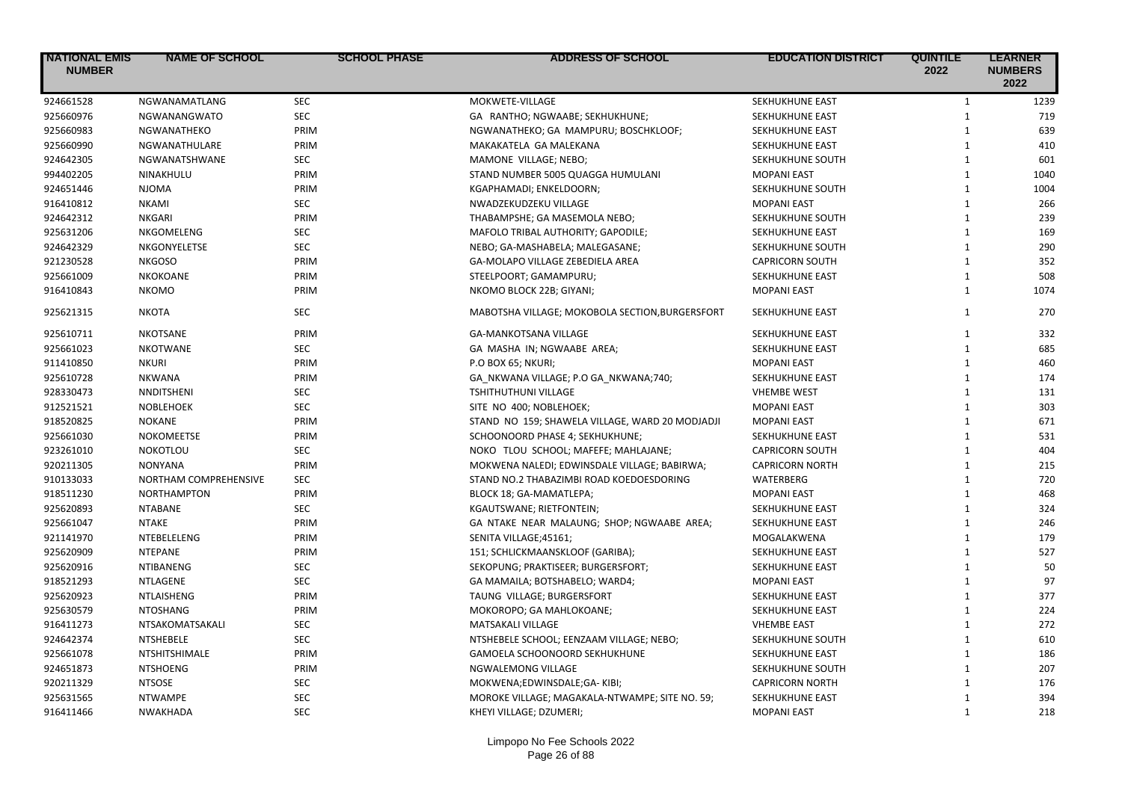| <b>NATIONAL EMIS</b><br><b>NUMBER</b> | <b>NAME OF SCHOOL</b> | <b>SCHOOL PHASE</b> | <b>ADDRESS OF SCHOOL</b>                        | <b>EDUCATION DISTRICT</b> | <b>QUINTILE</b><br>2022 | <b>LEARNER</b><br><b>NUMBERS</b><br>2022 |
|---------------------------------------|-----------------------|---------------------|-------------------------------------------------|---------------------------|-------------------------|------------------------------------------|
| 924661528                             | NGWANAMATLANG         | <b>SEC</b>          | MOKWETE-VILLAGE                                 | SEKHUKHUNE EAST           | $\mathbf{1}$            | 1239                                     |
| 925660976                             | NGWANANGWATO          | <b>SEC</b>          | GA RANTHO; NGWAABE; SEKHUKHUNE;                 | SEKHUKHUNE EAST           | $\mathbf{1}$            | 719                                      |
| 925660983                             | NGWANATHEKO           | PRIM                | NGWANATHEKO; GA MAMPURU; BOSCHKLOOF;            | SEKHUKHUNE EAST           | $\mathbf{1}$            | 639                                      |
| 925660990                             | NGWANATHULARE         | PRIM                | MAKAKATELA GA MALEKANA                          | SEKHUKHUNE EAST           | $\mathbf{1}$            | 410                                      |
| 924642305                             | NGWANATSHWANE         | <b>SEC</b>          | MAMONE VILLAGE; NEBO;                           | SEKHUKHUNE SOUTH          | $\mathbf{1}$            | 601                                      |
| 994402205                             | NINAKHULU             | PRIM                | STAND NUMBER 5005 QUAGGA HUMULANI               | <b>MOPANI EAST</b>        | $\mathbf{1}$            | 1040                                     |
| 924651446                             | <b>NJOMA</b>          | PRIM                | KGAPHAMADI; ENKELDOORN;                         | SEKHUKHUNE SOUTH          | $\mathbf{1}$            | 1004                                     |
| 916410812                             | <b>NKAMI</b>          | <b>SEC</b>          | NWADZEKUDZEKU VILLAGE                           | <b>MOPANI EAST</b>        | $\mathbf{1}$            | 266                                      |
| 924642312                             | <b>NKGARI</b>         | PRIM                | THABAMPSHE; GA MASEMOLA NEBO;                   | SEKHUKHUNE SOUTH          | $\mathbf{1}$            | 239                                      |
| 925631206                             | NKGOMELENG            | <b>SEC</b>          | MAFOLO TRIBAL AUTHORITY; GAPODILE;              | SEKHUKHUNE EAST           | $\mathbf{1}$            | 169                                      |
| 924642329                             | NKGONYELETSE          | <b>SEC</b>          | NEBO; GA-MASHABELA; MALEGASANE;                 | SEKHUKHUNE SOUTH          | $\mathbf{1}$            | 290                                      |
| 921230528                             | <b>NKGOSO</b>         | PRIM                | GA-MOLAPO VILLAGE ZEBEDIELA AREA                | <b>CAPRICORN SOUTH</b>    | $\mathbf{1}$            | 352                                      |
| 925661009                             | NKOKOANE              | PRIM                | STEELPOORT; GAMAMPURU;                          | SEKHUKHUNE EAST           | $\mathbf{1}$            | 508                                      |
| 916410843                             | <b>NKOMO</b>          | PRIM                | NKOMO BLOCK 22B; GIYANI;                        | <b>MOPANI EAST</b>        | $\mathbf{1}$            | 1074                                     |
| 925621315                             | <b>NKOTA</b>          | <b>SEC</b>          | MABOTSHA VILLAGE; MOKOBOLA SECTION, BURGERSFORT | <b>SEKHUKHUNE EAST</b>    | $\mathbf{1}$            | 270                                      |
| 925610711                             | <b>NKOTSANE</b>       | PRIM                | <b>GA-MANKOTSANA VILLAGE</b>                    | SEKHUKHUNE EAST           | $\mathbf{1}$            | 332                                      |
| 925661023                             | <b>NKOTWANE</b>       | <b>SEC</b>          | GA MASHA IN; NGWAABE AREA;                      | SEKHUKHUNE EAST           | $\mathbf{1}$            | 685                                      |
| 911410850                             | <b>NKURI</b>          | PRIM                | P.O BOX 65; NKURI;                              | <b>MOPANI EAST</b>        | $\mathbf{1}$            | 460                                      |
| 925610728                             | <b>NKWANA</b>         | PRIM                | GA_NKWANA VILLAGE; P.O GA_NKWANA;740;           | SEKHUKHUNE EAST           | $\mathbf{1}$            | 174                                      |
| 928330473                             | NNDITSHENI            | <b>SEC</b>          | TSHITHUTHUNI VILLAGE                            | <b>VHEMBE WEST</b>        | $\mathbf{1}$            | 131                                      |
| 912521521                             | <b>NOBLEHOEK</b>      | <b>SEC</b>          | SITE NO 400; NOBLEHOEK;                         | <b>MOPANI EAST</b>        | $\mathbf{1}$            | 303                                      |
| 918520825                             | <b>NOKANE</b>         | PRIM                | STAND NO 159; SHAWELA VILLAGE, WARD 20 MODJADJI | <b>MOPANI EAST</b>        | $\mathbf{1}$            | 671                                      |
| 925661030                             | <b>NOKOMEETSE</b>     | PRIM                | SCHOONOORD PHASE 4; SEKHUKHUNE;                 | SEKHUKHUNE EAST           | $\mathbf{1}$            | 531                                      |
| 923261010                             | <b>NOKOTLOU</b>       | <b>SEC</b>          | NOKO TLOU SCHOOL; MAFEFE; MAHLAJANE;            | <b>CAPRICORN SOUTH</b>    | $\mathbf{1}$            | 404                                      |
| 920211305                             | <b>NONYANA</b>        | PRIM                | MOKWENA NALEDI; EDWINSDALE VILLAGE; BABIRWA;    | <b>CAPRICORN NORTH</b>    | $\mathbf{1}$            | 215                                      |
| 910133033                             | NORTHAM COMPREHENSIVE | <b>SEC</b>          | STAND NO.2 THABAZIMBI ROAD KOEDOESDORING        | WATERBERG                 | $\mathbf{1}$            | 720                                      |
| 918511230                             | <b>NORTHAMPTON</b>    | PRIM                | BLOCK 18; GA-MAMATLEPA;                         | <b>MOPANI EAST</b>        | $\mathbf{1}$            | 468                                      |
| 925620893                             | <b>NTABANE</b>        | <b>SEC</b>          | KGAUTSWANE; RIETFONTEIN;                        | SEKHUKHUNE EAST           | $\mathbf{1}$            | 324                                      |
| 925661047                             | <b>NTAKE</b>          | PRIM                | GA NTAKE NEAR MALAUNG; SHOP; NGWAABE AREA;      | SEKHUKHUNE EAST           | $\mathbf{1}$            | 246                                      |
| 921141970                             | NTEBELELENG           | PRIM                | SENITA VILLAGE;45161;                           | MOGALAKWENA               | $\mathbf{1}$            | 179                                      |
| 925620909                             | <b>NTEPANE</b>        | PRIM                | 151; SCHLICKMAANSKLOOF (GARIBA);                | SEKHUKHUNE EAST           | $\mathbf{1}$            | 527                                      |
| 925620916                             | <b>NTIBANENG</b>      | <b>SEC</b>          | SEKOPUNG; PRAKTISEER; BURGERSFORT;              | <b>SEKHUKHUNE EAST</b>    | $\mathbf{1}$            | 50                                       |
| 918521293                             | NTLAGENE              | <b>SEC</b>          | GA MAMAILA; BOTSHABELO; WARD4;                  | <b>MOPANI EAST</b>        | $\mathbf{1}$            | 97                                       |
| 925620923                             | NTLAISHENG            | PRIM                | TAUNG VILLAGE; BURGERSFORT                      | SEKHUKHUNE EAST           | $\mathbf{1}$            | 377                                      |
| 925630579                             | <b>NTOSHANG</b>       | PRIM                | MOKOROPO; GA MAHLOKOANE;                        | SEKHUKHUNE EAST           | $\mathbf{1}$            | 224                                      |
| 916411273                             | NTSAKOMATSAKALI       | <b>SEC</b>          | <b>MATSAKALI VILLAGE</b>                        | <b>VHEMBE EAST</b>        | $\mathbf{1}$            | 272                                      |
| 924642374                             | <b>NTSHEBELE</b>      | <b>SEC</b>          | NTSHEBELE SCHOOL; EENZAAM VILLAGE; NEBO;        | SEKHUKHUNE SOUTH          | $\mathbf{1}$            | 610                                      |
| 925661078                             | <b>NTSHITSHIMALE</b>  | PRIM                | GAMOELA SCHOONOORD SEKHUKHUNE                   | <b>SEKHUKHUNE EAST</b>    | $\mathbf{1}$            | 186                                      |
| 924651873                             | <b>NTSHOENG</b>       | PRIM                | NGWALEMONG VILLAGE                              | SEKHUKHUNE SOUTH          | $\mathbf{1}$            | 207                                      |
| 920211329                             | <b>NTSOSE</b>         | <b>SEC</b>          | MOKWENA;EDWINSDALE;GA-KIBI;                     | <b>CAPRICORN NORTH</b>    | $\mathbf{1}$            | 176                                      |
| 925631565                             | <b>NTWAMPE</b>        | <b>SEC</b>          | MOROKE VILLAGE; MAGAKALA-NTWAMPE; SITE NO. 59;  | SEKHUKHUNE EAST           | $\mathbf{1}$            | 394                                      |
| 916411466                             | NWAKHADA              | <b>SEC</b>          | KHEYI VILLAGE; DZUMERI;                         | <b>MOPANI EAST</b>        | $\mathbf{1}$            | 218                                      |
|                                       |                       |                     |                                                 |                           |                         |                                          |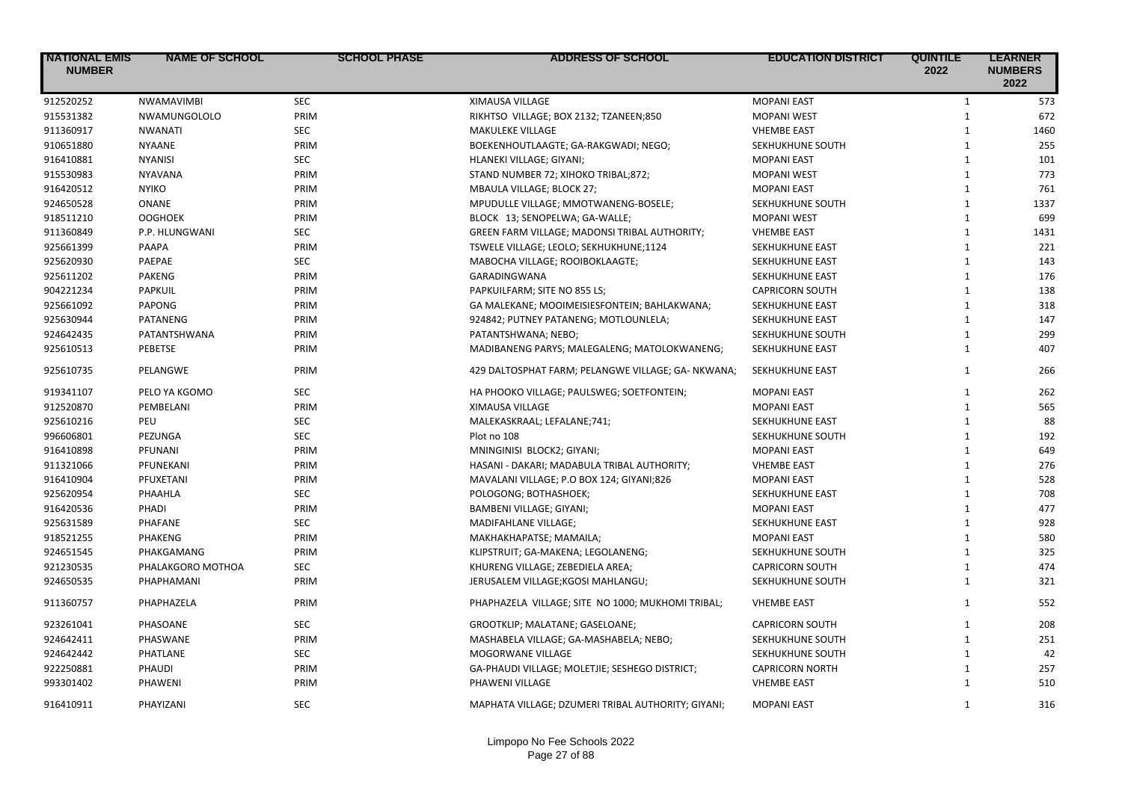| <b>NATIONAL EMIS</b><br><b>NUMBER</b> | <b>NAME OF SCHOOL</b> | <b>SCHOOL PHASE</b> | <b>ADDRESS OF SCHOOL</b>                           | <b>EDUCATION DISTRICT</b> | <b>QUINTILE</b><br>2022 | <b>LEARNER</b><br><b>NUMBERS</b><br>2022 |
|---------------------------------------|-----------------------|---------------------|----------------------------------------------------|---------------------------|-------------------------|------------------------------------------|
| 912520252                             | <b>NWAMAVIMBI</b>     | <b>SEC</b>          | XIMAUSA VILLAGE                                    | <b>MOPANI EAST</b>        | $\mathbf{1}$            | 573                                      |
| 915531382                             | NWAMUNGOLOLO          | PRIM                | RIKHTSO VILLAGE; BOX 2132; TZANEEN;850             | <b>MOPANI WEST</b>        | $\mathbf{1}$            | 672                                      |
| 911360917                             | <b>NWANATI</b>        | <b>SEC</b>          | MAKULEKE VILLAGE                                   | <b>VHEMBE EAST</b>        | $\mathbf{1}$            | 1460                                     |
| 910651880                             | <b>NYAANE</b>         | PRIM                | BOEKENHOUTLAAGTE; GA-RAKGWADI; NEGO;               | SEKHUKHUNE SOUTH          | $\mathbf{1}$            | 255                                      |
| 916410881                             | <b>NYANISI</b>        | <b>SEC</b>          | HLANEKI VILLAGE; GIYANI;                           | <b>MOPANI EAST</b>        | $\mathbf{1}$            | 101                                      |
| 915530983                             | <b>NYAVANA</b>        | PRIM                | STAND NUMBER 72; XIHOKO TRIBAL;872;                | <b>MOPANI WEST</b>        | $\mathbf{1}$            | 773                                      |
| 916420512                             | <b>NYIKO</b>          | PRIM                | <b>MBAULA VILLAGE; BLOCK 27:</b>                   | <b>MOPANI EAST</b>        | $\mathbf{1}$            | 761                                      |
| 924650528                             | ONANE                 | PRIM                | MPUDULLE VILLAGE; MMOTWANENG-BOSELE;               | SEKHUKHUNE SOUTH          | $\mathbf{1}$            | 1337                                     |
| 918511210                             | <b>OOGHOEK</b>        | PRIM                | BLOCK 13; SENOPELWA; GA-WALLE;                     | <b>MOPANI WEST</b>        | $\mathbf{1}$            | 699                                      |
| 911360849                             | P.P. HLUNGWANI        | <b>SEC</b>          | GREEN FARM VILLAGE; MADONSI TRIBAL AUTHORITY;      | <b>VHEMBE EAST</b>        | $1\,$                   | 1431                                     |
| 925661399                             | PAAPA                 | PRIM                | TSWELE VILLAGE; LEOLO; SEKHUKHUNE;1124             | SEKHUKHUNE EAST           | $\mathbf{1}$            | 221                                      |
| 925620930                             | PAEPAE                | <b>SEC</b>          | MABOCHA VILLAGE; ROOIBOKLAAGTE;                    | SEKHUKHUNE EAST           | $\mathbf{1}$            | 143                                      |
| 925611202                             | <b>PAKENG</b>         | PRIM                | GARADINGWANA                                       | SEKHUKHUNE EAST           | $\mathbf{1}$            | 176                                      |
| 904221234                             | PAPKUIL               | PRIM                | PAPKUILFARM; SITE NO 855 LS;                       | <b>CAPRICORN SOUTH</b>    | $1\,$                   | 138                                      |
| 925661092                             | <b>PAPONG</b>         | PRIM                | GA MALEKANE; MOOIMEISIESFONTEIN; BAHLAKWANA;       | SEKHUKHUNE EAST           | $1\,$                   | 318                                      |
| 925630944                             | <b>PATANENG</b>       | PRIM                | 924842; PUTNEY PATANENG; MOTLOUNLELA;              | SEKHUKHUNE EAST           | $\mathbf{1}$            | 147                                      |
| 924642435                             | PATANTSHWANA          | PRIM                | PATANTSHWANA; NEBO;                                | SEKHUKHUNE SOUTH          | $1\,$                   | 299                                      |
| 925610513                             | PEBETSE               | PRIM                | MADIBANENG PARYS; MALEGALENG; MATOLOKWANENG;       | SEKHUKHUNE EAST           | $\mathbf{1}$            | 407                                      |
| 925610735                             | PELANGWE              | PRIM                | 429 DALTOSPHAT FARM; PELANGWE VILLAGE; GA- NKWANA; | SEKHUKHUNE EAST           | $\mathbf{1}$            | 266                                      |
| 919341107                             | PELO YA KGOMO         | <b>SEC</b>          | HA PHOOKO VILLAGE; PAULSWEG; SOETFONTEIN;          | <b>MOPANI EAST</b>        | $\mathbf{1}$            | 262                                      |
| 912520870                             | PEMBELANI             | PRIM                | XIMAUSA VILLAGE                                    | <b>MOPANI EAST</b>        | $\mathbf{1}$            | 565                                      |
| 925610216                             | PEU                   | <b>SEC</b>          | MALEKASKRAAL; LEFALANE;741;                        | SEKHUKHUNE EAST           | $\mathbf{1}$            | 88                                       |
| 996606801                             | PEZUNGA               | SEC                 | Plot no 108                                        | SEKHUKHUNE SOUTH          | $\mathbf{1}$            | 192                                      |
| 916410898                             | PFUNANI               | PRIM                | MNINGINISI BLOCK2; GIYANI;                         | <b>MOPANI EAST</b>        | $\mathbf{1}$            | 649                                      |
| 911321066                             | PFUNEKANI             | PRIM                | HASANI - DAKARI; MADABULA TRIBAL AUTHORITY;        | <b>VHEMBE EAST</b>        | $\mathbf{1}$            | 276                                      |
| 916410904                             | PFUXETANI             | PRIM                | MAVALANI VILLAGE; P.O BOX 124; GIYANI;826          | <b>MOPANI EAST</b>        | $\mathbf{1}$            | 528                                      |
| 925620954                             | PHAAHLA               | <b>SEC</b>          | POLOGONG; BOTHASHOEK;                              | SEKHUKHUNE EAST           | $\mathbf{1}$            | 708                                      |
| 916420536                             | PHADI                 | PRIM                | <b>BAMBENI VILLAGE; GIYANI;</b>                    | <b>MOPANI EAST</b>        | $\mathbf{1}$            | 477                                      |
| 925631589                             | <b>PHAFANE</b>        | <b>SEC</b>          | MADIFAHLANE VILLAGE;                               | SEKHUKHUNE EAST           | $\mathbf{1}$            | 928                                      |
| 918521255                             | <b>PHAKENG</b>        | PRIM                | MAKHAKHAPATSE; MAMAILA;                            | <b>MOPANI EAST</b>        | $\mathbf{1}$            | 580                                      |
| 924651545                             | PHAKGAMANG            | PRIM                | KLIPSTRUIT; GA-MAKENA; LEGOLANENG;                 | SEKHUKHUNE SOUTH          | $\mathbf{1}$            | 325                                      |
| 921230535                             | PHALAKGORO MOTHOA     | <b>SEC</b>          | KHURENG VILLAGE; ZEBEDIELA AREA;                   | <b>CAPRICORN SOUTH</b>    | $\mathbf{1}$            | 474                                      |
| 924650535                             | PHAPHAMANI            | PRIM                | JERUSALEM VILLAGE; KGOSI MAHLANGU;                 | SEKHUKHUNE SOUTH          | $\mathbf{1}$            | 321                                      |
| 911360757                             | PHAPHAZELA            | PRIM                | PHAPHAZELA VILLAGE; SITE NO 1000; MUKHOMI TRIBAL;  | <b>VHEMBE EAST</b>        | $\mathbf{1}$            | 552                                      |
| 923261041                             | PHASOANE              | <b>SEC</b>          | GROOTKLIP; MALATANE; GASELOANE;                    | <b>CAPRICORN SOUTH</b>    | $\mathbf{1}$            | 208                                      |
| 924642411                             | PHASWANE              | PRIM                | MASHABELA VILLAGE; GA-MASHABELA; NEBO;             | SEKHUKHUNE SOUTH          | $\mathbf{1}$            | 251                                      |
| 924642442                             | PHATLANE              | <b>SEC</b>          | MOGORWANE VILLAGE                                  | SEKHUKHUNE SOUTH          | $\mathbf{1}$            | 42                                       |
| 922250881                             | PHAUDI                | PRIM                | GA-PHAUDI VILLAGE; MOLETJIE; SESHEGO DISTRICT;     | <b>CAPRICORN NORTH</b>    | $\mathbf{1}$            | 257                                      |
| 993301402                             | PHAWENI               | PRIM                | PHAWENI VILLAGE                                    | <b>VHEMBE EAST</b>        | $\mathbf{1}$            | 510                                      |
| 916410911                             | PHAYIZANI             | <b>SEC</b>          | MAPHATA VILLAGE; DZUMERI TRIBAL AUTHORITY; GIYANI; | <b>MOPANI EAST</b>        | $\mathbf{1}$            | 316                                      |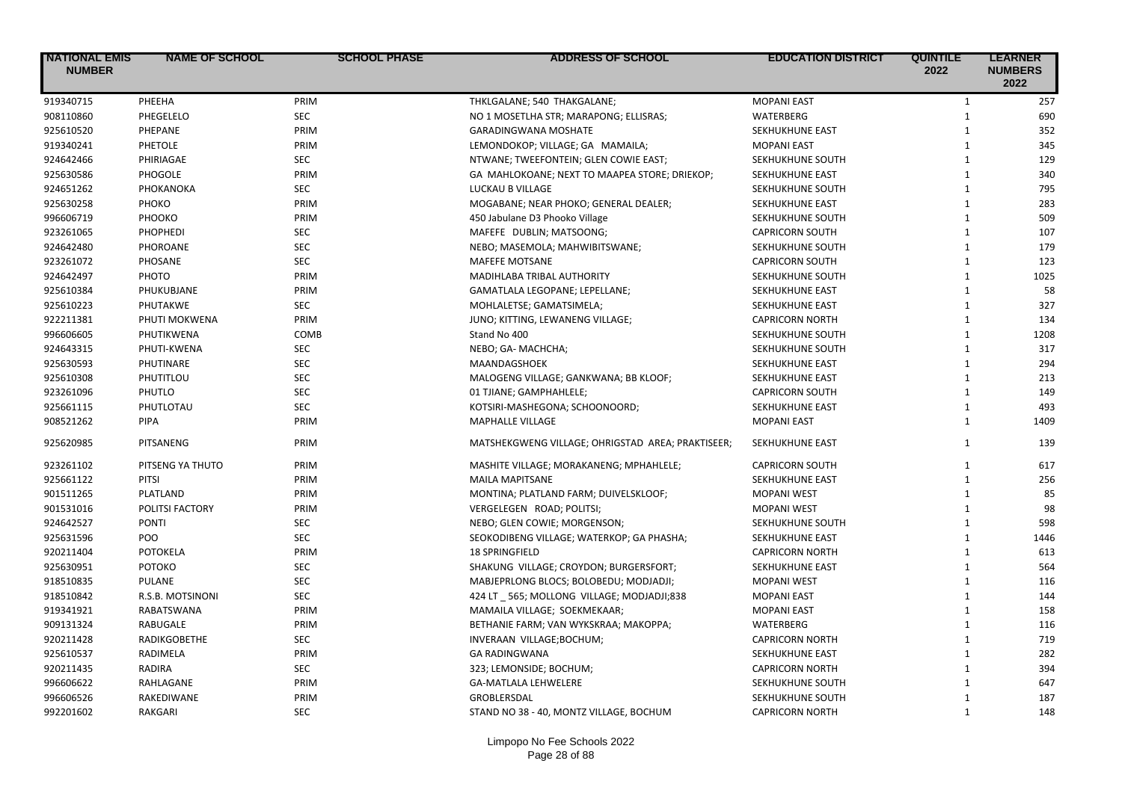| <b>NATIONAL EMIS</b><br><b>NUMBER</b> | <b>NAME OF SCHOOL</b> | <b>SCHOOL PHASE</b> | <b>ADDRESS OF SCHOOL</b>                          | <b>EDUCATION DISTRICT</b> | <b>QUINTILE</b><br>2022 | <b>LEARNER</b><br><b>NUMBERS</b><br>2022 |
|---------------------------------------|-----------------------|---------------------|---------------------------------------------------|---------------------------|-------------------------|------------------------------------------|
| 919340715                             | PHEEHA                | PRIM                | THKLGALANE; 540 THAKGALANE;                       | <b>MOPANI EAST</b>        | $\mathbf{1}$            | 257                                      |
| 908110860                             | PHEGELELO             | <b>SEC</b>          | NO 1 MOSETLHA STR; MARAPONG; ELLISRAS;            | <b>WATERBERG</b>          | $\mathbf{1}$            | 690                                      |
| 925610520                             | PHEPANE               | PRIM                | <b>GARADINGWANA MOSHATE</b>                       | SEKHUKHUNE EAST           | $\mathbf{1}$            | 352                                      |
| 919340241                             | <b>PHETOLE</b>        | PRIM                | LEMONDOKOP; VILLAGE; GA MAMAILA;                  | <b>MOPANI EAST</b>        | $\mathbf{1}$            | 345                                      |
| 924642466                             | PHIRIAGAE             | <b>SEC</b>          | NTWANE; TWEEFONTEIN; GLEN COWIE EAST;             | SEKHUKHUNE SOUTH          | $\mathbf{1}$            | 129                                      |
| 925630586                             | PHOGOLE               | PRIM                | GA MAHLOKOANE; NEXT TO MAAPEA STORE; DRIEKOP;     | SEKHUKHUNE EAST           | $\mathbf{1}$            | 340                                      |
| 924651262                             | PHOKANOKA             | <b>SEC</b>          | LUCKAU B VILLAGE                                  | SEKHUKHUNE SOUTH          | $\mathbf{1}$            | 795                                      |
| 925630258                             | PHOKO                 | PRIM                | MOGABANE; NEAR PHOKO; GENERAL DEALER;             | SEKHUKHUNE EAST           | $\mathbf{1}$            | 283                                      |
| 996606719                             | PHOOKO                | PRIM                | 450 Jabulane D3 Phooko Village                    | SEKHUKHUNE SOUTH          | $\mathbf{1}$            | 509                                      |
| 923261065                             | PHOPHEDI              | <b>SEC</b>          | MAFEFE DUBLIN; MATSOONG;                          | <b>CAPRICORN SOUTH</b>    | $\mathbf{1}$            | 107                                      |
| 924642480                             | PHOROANE              | <b>SEC</b>          | NEBO; MASEMOLA; MAHWIBITSWANE;                    | SEKHUKHUNE SOUTH          | $\mathbf{1}$            | 179                                      |
| 923261072                             | PHOSANE               | <b>SEC</b>          | MAFEFE MOTSANE                                    | <b>CAPRICORN SOUTH</b>    | $\mathbf{1}$            | 123                                      |
| 924642497                             | PHOTO                 | PRIM                | MADIHLABA TRIBAL AUTHORITY                        | SEKHUKHUNE SOUTH          | $\mathbf{1}$            | 1025                                     |
| 925610384                             | PHUKUBJANE            | PRIM                | GAMATLALA LEGOPANE; LEPELLANE;                    | SEKHUKHUNE EAST           | $\mathbf{1}$            | 58                                       |
| 925610223                             | PHUTAKWE              | <b>SEC</b>          | MOHLALETSE; GAMATSIMELA;                          | SEKHUKHUNE EAST           | $\mathbf{1}$            | 327                                      |
| 922211381                             | PHUTI MOKWENA         | PRIM                | JUNO; KITTING, LEWANENG VILLAGE;                  | <b>CAPRICORN NORTH</b>    | $\mathbf{1}$            | 134                                      |
| 996606605                             | PHUTIKWENA            | COMB                | Stand No 400                                      | SEKHUKHUNE SOUTH          | $\mathbf{1}$            | 1208                                     |
| 924643315                             | PHUTI-KWENA           | <b>SEC</b>          | NEBO; GA- MACHCHA;                                | SEKHUKHUNE SOUTH          | $\mathbf{1}$            | 317                                      |
| 925630593                             | PHUTINARE             | <b>SEC</b>          | MAANDAGSHOEK                                      | <b>SEKHUKHUNE EAST</b>    | $\mathbf{1}$            | 294                                      |
| 925610308                             | PHUTITLOU             | <b>SEC</b>          | MALOGENG VILLAGE; GANKWANA; BB KLOOF;             | SEKHUKHUNE EAST           | $\mathbf{1}$            | 213                                      |
| 923261096                             | PHUTLO                | <b>SEC</b>          | 01 TJIANE; GAMPHAHLELE;                           | <b>CAPRICORN SOUTH</b>    | $\mathbf{1}$            | 149                                      |
| 925661115                             | PHUTLOTAU             | <b>SEC</b>          | KOTSIRI-MASHEGONA; SCHOONOORD;                    | SEKHUKHUNE EAST           | $\mathbf{1}$            | 493                                      |
| 908521262                             | PIPA                  | PRIM                | <b>MAPHALLE VILLAGE</b>                           | <b>MOPANI EAST</b>        | $\mathbf{1}$            | 1409                                     |
| 925620985                             | PITSANENG             | PRIM                | MATSHEKGWENG VILLAGE; OHRIGSTAD AREA; PRAKTISEER; | SEKHUKHUNE EAST           | $\mathbf{1}$            | 139                                      |
| 923261102                             | PITSENG YA THUTO      | PRIM                | MASHITE VILLAGE; MORAKANENG; MPHAHLELE;           | <b>CAPRICORN SOUTH</b>    | $\mathbf{1}$            | 617                                      |
| 925661122                             | <b>PITSI</b>          | PRIM                | <b>MAILA MAPITSANE</b>                            | SEKHUKHUNE EAST           | $\mathbf{1}$            | 256                                      |
| 901511265                             | PLATLAND              | PRIM                | MONTINA; PLATLAND FARM; DUIVELSKLOOF;             | <b>MOPANI WEST</b>        | $\mathbf{1}$            | 85                                       |
| 901531016                             | POLITSI FACTORY       | PRIM                | VERGELEGEN ROAD; POLITSI;                         | <b>MOPANI WEST</b>        | $\mathbf{1}$            | 98                                       |
| 924642527                             | <b>PONTI</b>          | <b>SEC</b>          | NEBO; GLEN COWIE; MORGENSON;                      | SEKHUKHUNE SOUTH          | $\mathbf{1}$            | 598                                      |
| 925631596                             | POO                   | <b>SEC</b>          | SEOKODIBENG VILLAGE; WATERKOP; GA PHASHA;         | SEKHUKHUNE EAST           | $\mathbf{1}$            | 1446                                     |
| 920211404                             | POTOKELA              | PRIM                | <b>18 SPRINGFIELD</b>                             | <b>CAPRICORN NORTH</b>    | $\mathbf{1}$            | 613                                      |
| 925630951                             | РОТОКО                | <b>SEC</b>          | SHAKUNG VILLAGE; CROYDON; BURGERSFORT;            | SEKHUKHUNE EAST           | $\mathbf{1}$            | 564                                      |
| 918510835                             | PULANE                | <b>SEC</b>          | MABJEPRLONG BLOCS; BOLOBEDU; MODJADJI;            | <b>MOPANI WEST</b>        | $\mathbf{1}$            | 116                                      |
| 918510842                             | R.S.B. MOTSINONI      | <b>SEC</b>          | 424 LT 565; MOLLONG VILLAGE; MODJADJI;838         | <b>MOPANI EAST</b>        | $\mathbf{1}$            | 144                                      |
| 919341921                             | RABATSWANA            | PRIM                | MAMAILA VILLAGE; SOEKMEKAAR;                      | <b>MOPANI EAST</b>        | $\mathbf{1}$            | 158                                      |
| 909131324                             | RABUGALE              | PRIM                | BETHANIE FARM; VAN WYKSKRAA; MAKOPPA;             | WATERBERG                 | $\mathbf{1}$            | 116                                      |
| 920211428                             | RADIKGOBETHE          | <b>SEC</b>          | INVERAAN VILLAGE; BOCHUM;                         | <b>CAPRICORN NORTH</b>    | $\mathbf{1}$            | 719                                      |
| 925610537                             | RADIMELA              | PRIM                | <b>GA RADINGWANA</b>                              | SEKHUKHUNE EAST           | $\mathbf{1}$            | 282                                      |
| 920211435                             | RADIRA                | <b>SEC</b>          | 323; LEMONSIDE; BOCHUM;                           | <b>CAPRICORN NORTH</b>    | $\mathbf{1}$            | 394                                      |
| 996606622                             | RAHLAGANE             | PRIM                | <b>GA-MATLALA LEHWELERE</b>                       | SEKHUKHUNE SOUTH          | $\mathbf{1}$            | 647                                      |
| 996606526                             | RAKEDIWANE            | PRIM                | <b>GROBLERSDAL</b>                                | SEKHUKHUNE SOUTH          | $\mathbf{1}$            | 187                                      |
| 992201602                             | RAKGARI               | <b>SEC</b>          | STAND NO 38 - 40, MONTZ VILLAGE, BOCHUM           | <b>CAPRICORN NORTH</b>    | $\mathbf{1}$            | 148                                      |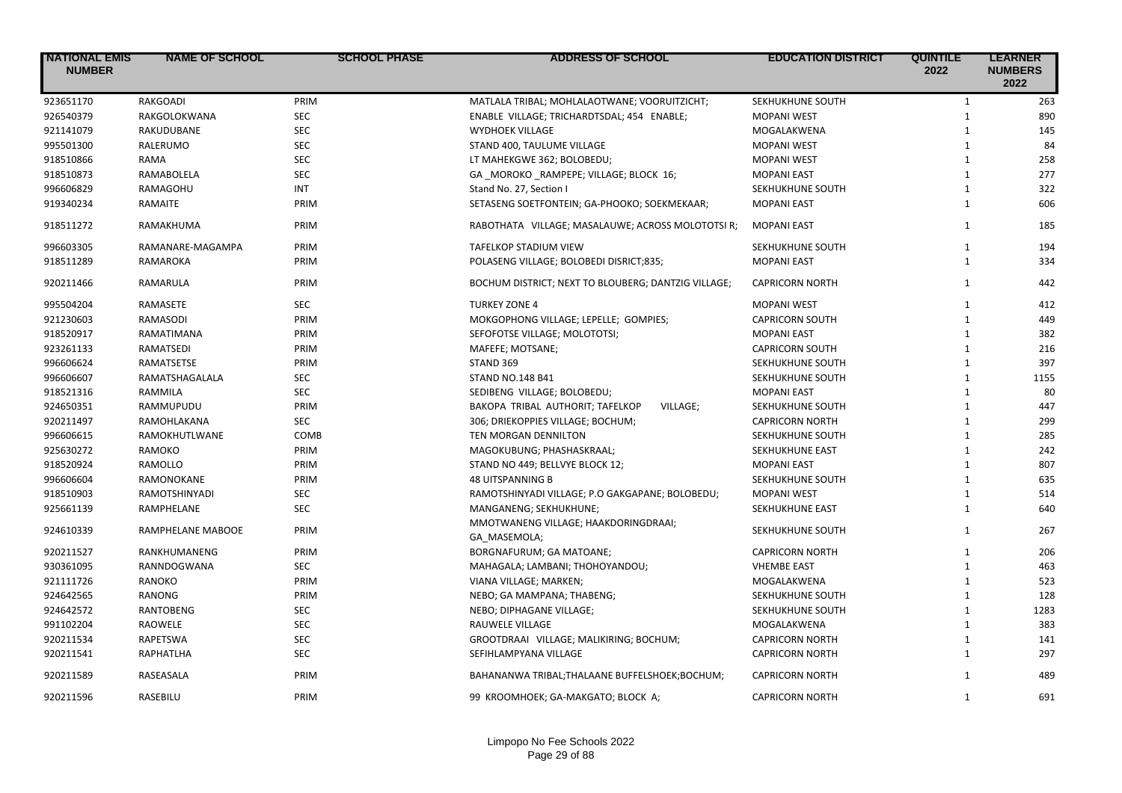| <b>NATIONAL EMIS</b><br><b>NUMBER</b> | <b>NAME OF SCHOOL</b> | <b>SCHOOL PHASE</b> | <b>ADDRESS OF SCHOOL</b>                             | <b>EDUCATION DISTRICT</b> | <b>QUINTILE</b><br>2022 | <b>LEARNER</b><br><b>NUMBERS</b><br>2022 |
|---------------------------------------|-----------------------|---------------------|------------------------------------------------------|---------------------------|-------------------------|------------------------------------------|
| 923651170                             | RAKGOADI              | PRIM                | MATLALA TRIBAL; MOHLALAOTWANE; VOORUITZICHT;         | SEKHUKHUNE SOUTH          | $\mathbf{1}$            | 263                                      |
| 926540379                             | RAKGOLOKWANA          | <b>SEC</b>          | ENABLE VILLAGE; TRICHARDTSDAL; 454 ENABLE;           | <b>MOPANI WEST</b>        | $\mathbf{1}$            | 890                                      |
| 921141079                             | RAKUDUBANE            | <b>SEC</b>          | <b>WYDHOEK VILLAGE</b>                               | MOGALAKWENA               | $\mathbf{1}$            | 145                                      |
| 995501300                             | RALERUMO              | <b>SEC</b>          | STAND 400, TAULUME VILLAGE                           | <b>MOPANI WEST</b>        | $\mathbf{1}$            | 84                                       |
| 918510866                             | <b>RAMA</b>           | <b>SEC</b>          | LT MAHEKGWE 362; BOLOBEDU;                           | <b>MOPANI WEST</b>        | $\mathbf{1}$            | 258                                      |
| 918510873                             | RAMABOLELA            | <b>SEC</b>          | GA _MOROKO _RAMPEPE; VILLAGE; BLOCK 16;              | <b>MOPANI EAST</b>        | $\mathbf{1}$            | 277                                      |
| 996606829                             | RAMAGOHU              | <b>INT</b>          | Stand No. 27, Section I                              | SEKHUKHUNE SOUTH          | $\mathbf{1}$            | 322                                      |
| 919340234                             | RAMAITE               | PRIM                | SETASENG SOETFONTEIN; GA-PHOOKO; SOEKMEKAAR;         | <b>MOPANI EAST</b>        | $\mathbf{1}$            | 606                                      |
| 918511272                             | RAMAKHUMA             | PRIM                | RABOTHATA VILLAGE; MASALAUWE; ACROSS MOLOTOTSI R;    | <b>MOPANI EAST</b>        | $\mathbf{1}$            | 185                                      |
| 996603305                             | RAMANARE-MAGAMPA      | PRIM                | <b>TAFELKOP STADIUM VIEW</b>                         | SEKHUKHUNE SOUTH          | $\mathbf{1}$            | 194                                      |
| 918511289                             | RAMAROKA              | PRIM                | POLASENG VILLAGE; BOLOBEDI DISRICT;835;              | <b>MOPANI EAST</b>        | $\mathbf{1}$            | 334                                      |
| 920211466                             | <b>RAMARULA</b>       | PRIM                | BOCHUM DISTRICT; NEXT TO BLOUBERG; DANTZIG VILLAGE;  | <b>CAPRICORN NORTH</b>    | $\mathbf{1}$            | 442                                      |
| 995504204                             | RAMASETE              | <b>SEC</b>          | <b>TURKEY ZONE 4</b>                                 | <b>MOPANI WEST</b>        | $\mathbf{1}$            | 412                                      |
| 921230603                             | <b>RAMASODI</b>       | PRIM                | MOKGOPHONG VILLAGE; LEPELLE; GOMPIES;                | <b>CAPRICORN SOUTH</b>    | $\mathbf{1}$            | 449                                      |
| 918520917                             | RAMATIMANA            | PRIM                | SEFOFOTSE VILLAGE; MOLOTOTSI;                        | <b>MOPANI EAST</b>        | $\mathbf{1}$            | 382                                      |
| 923261133                             | <b>RAMATSEDI</b>      | PRIM                | MAFEFE; MOTSANE;                                     | <b>CAPRICORN SOUTH</b>    | $\mathbf{1}$            | 216                                      |
| 996606624                             | RAMATSETSE            | PRIM                | STAND 369                                            | SEKHUKHUNE SOUTH          | $\mathbf{1}$            | 397                                      |
| 996606607                             | RAMATSHAGALALA        | <b>SEC</b>          | <b>STAND NO.148 B41</b>                              | SEKHUKHUNE SOUTH          | $\mathbf{1}$            | 1155                                     |
| 918521316                             | RAMMILA               | <b>SEC</b>          | SEDIBENG VILLAGE; BOLOBEDU;                          | <b>MOPANI EAST</b>        | $\mathbf{1}$            | 80                                       |
| 924650351                             | RAMMUPUDU             | PRIM                | BAKOPA TRIBAL AUTHORIT; TAFELKOP<br>VILLAGE;         | SEKHUKHUNE SOUTH          | $\mathbf{1}$            | 447                                      |
| 920211497                             | RAMOHLAKANA           | <b>SEC</b>          | 306; DRIEKOPPIES VILLAGE; BOCHUM;                    | <b>CAPRICORN NORTH</b>    | $\mathbf{1}$            | 299                                      |
| 996606615                             | RAMOKHUTLWANE         | COMB                | TEN MORGAN DENNILTON                                 | SEKHUKHUNE SOUTH          | $\mathbf{1}$            | 285                                      |
| 925630272                             | RAMOKO                | PRIM                | MAGOKUBUNG; PHASHASKRAAL;                            | SEKHUKHUNE EAST           | $\mathbf{1}$            | 242                                      |
| 918520924                             | RAMOLLO               | PRIM                | STAND NO 449; BELLVYE BLOCK 12;                      | <b>MOPANI EAST</b>        | $\mathbf{1}$            | 807                                      |
| 996606604                             | RAMONOKANE            | PRIM                | <b>48 UITSPANNING B</b>                              | SEKHUKHUNE SOUTH          | $\mathbf{1}$            | 635                                      |
| 918510903                             | RAMOTSHINYADI         | SEC                 | RAMOTSHINYADI VILLAGE; P.O GAKGAPANE; BOLOBEDU;      | <b>MOPANI WEST</b>        | $\mathbf{1}$            | 514                                      |
| 925661139                             | RAMPHELANE            | <b>SEC</b>          | MANGANENG; SEKHUKHUNE;                               | SEKHUKHUNE EAST           | $\mathbf{1}$            | 640                                      |
| 924610339                             | RAMPHELANE MABOOE     | PRIM                | MMOTWANENG VILLAGE; HAAKDORINGDRAAI;<br>GA MASEMOLA; | SEKHUKHUNE SOUTH          | $\mathbf{1}$            | 267                                      |
| 920211527                             | RANKHUMANENG          | PRIM                | BORGNAFURUM; GA MATOANE;                             | <b>CAPRICORN NORTH</b>    | $\mathbf{1}$            | 206                                      |
| 930361095                             | RANNDOGWANA           | <b>SEC</b>          | MAHAGALA; LAMBANI; THOHOYANDOU;                      | <b>VHEMBE EAST</b>        | $\mathbf{1}$            | 463                                      |
| 921111726                             | <b>RANOKO</b>         | PRIM                | VIANA VILLAGE; MARKEN;                               | MOGALAKWENA               | $\mathbf{1}$            | 523                                      |
| 924642565                             | RANONG                | PRIM                | NEBO; GA MAMPANA; THABENG;                           | SEKHUKHUNE SOUTH          | $\mathbf{1}$            | 128                                      |
| 924642572                             | <b>RANTOBENG</b>      | <b>SEC</b>          | NEBO; DIPHAGANE VILLAGE;                             | SEKHUKHUNE SOUTH          | $\mathbf{1}$            | 1283                                     |
| 991102204                             | RAOWELE               | <b>SEC</b>          | RAUWELE VILLAGE                                      | MOGALAKWENA               | $\mathbf{1}$            | 383                                      |
| 920211534                             | <b>RAPETSWA</b>       | <b>SEC</b>          | GROOTDRAAI VILLAGE; MALIKIRING; BOCHUM;              | <b>CAPRICORN NORTH</b>    | $\mathbf{1}$            | 141                                      |
| 920211541                             | RAPHATLHA             | <b>SEC</b>          | SEFIHLAMPYANA VILLAGE                                | <b>CAPRICORN NORTH</b>    | $\mathbf{1}$            | 297                                      |
| 920211589                             | RASEASALA             | PRIM                | BAHANANWA TRIBAL; THALAANE BUFFELSHOEK; BOCHUM;      | <b>CAPRICORN NORTH</b>    | $\mathbf{1}$            | 489                                      |
| 920211596                             | RASEBILU              | PRIM                | 99 KROOMHOEK; GA-MAKGATO; BLOCK A;                   | <b>CAPRICORN NORTH</b>    | $\mathbf{1}$            | 691                                      |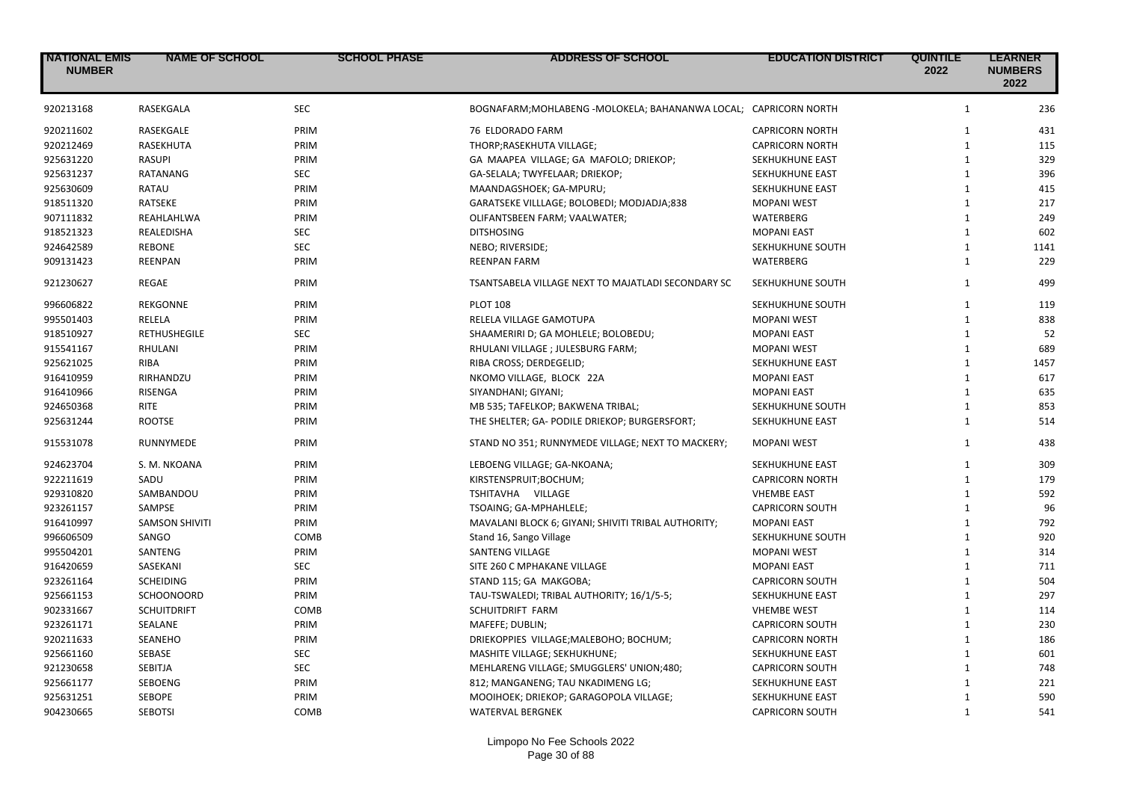| <b>NATIONAL EMIS</b><br><b>NUMBER</b> | <b>NAME OF SCHOOL</b>         | <b>SCHOOL PHASE</b> | <b>ADDRESS OF SCHOOL</b>                            | <b>EDUCATION DISTRICT</b> | <b>QUINTILE</b><br>2022      | <b>LEARNER</b><br><b>NUMBERS</b><br>2022 |
|---------------------------------------|-------------------------------|---------------------|-----------------------------------------------------|---------------------------|------------------------------|------------------------------------------|
| 920213168                             | RASEKGALA                     | <b>SEC</b>          | BOGNAFARM; MOHLABENG - MOLOKELA; BAHANANWA LOCAL;   | <b>CAPRICORN NORTH</b>    | $\mathbf{1}$                 | 236                                      |
| 920211602                             | RASEKGALE                     | PRIM                | 76 ELDORADO FARM                                    | <b>CAPRICORN NORTH</b>    | $\mathbf{1}$                 | 431                                      |
| 920212469                             | RASEKHUTA                     | PRIM                | THORP; RASEKHUTA VILLAGE;                           | <b>CAPRICORN NORTH</b>    | $\mathbf{1}$                 | 115                                      |
| 925631220                             | <b>RASUPI</b>                 | PRIM                | GA MAAPEA VILLAGE; GA MAFOLO; DRIEKOP;              | SEKHUKHUNE EAST           | $\mathbf{1}$                 | 329                                      |
| 925631237                             | <b>RATANANG</b>               | <b>SEC</b>          | GA-SELALA; TWYFELAAR; DRIEKOP;                      | <b>SEKHUKHUNE EAST</b>    | $\mathbf{1}$                 | 396                                      |
| 925630609                             | RATAU                         | PRIM                | MAANDAGSHOEK; GA-MPURU;                             | SEKHUKHUNE EAST           | $\mathbf{1}$                 | 415                                      |
| 918511320                             | <b>RATSEKE</b>                | PRIM                | GARATSEKE VILLLAGE; BOLOBEDI; MODJADJA;838          | <b>MOPANI WEST</b>        | $\mathbf{1}$                 | 217                                      |
| 907111832                             | REAHLAHLWA                    | PRIM                | OLIFANTSBEEN FARM; VAALWATER;                       | WATERBERG                 | $\mathbf{1}$                 | 249                                      |
| 918521323                             | <b>REALEDISHA</b>             | <b>SEC</b>          | <b>DITSHOSING</b>                                   | <b>MOPANI EAST</b>        | $\mathbf{1}$                 | 602                                      |
| 924642589                             | <b>REBONE</b>                 | SEC                 | NEBO; RIVERSIDE;                                    | SEKHUKHUNE SOUTH          | $\mathbf{1}$                 | 1141                                     |
| 909131423                             | <b>REENPAN</b>                | PRIM                | <b>REENPAN FARM</b>                                 | WATERBERG                 | $\mathbf{1}$                 | 229                                      |
| 921230627                             | REGAE                         | PRIM                | TSANTSABELA VILLAGE NEXT TO MAJATLADI SECONDARY SC  | SEKHUKHUNE SOUTH          | $\mathbf{1}$                 | 499                                      |
|                                       | <b>REKGONNE</b>               |                     | <b>PLOT 108</b>                                     |                           | $\mathbf{1}$                 |                                          |
| 996606822<br>995501403                |                               | PRIM                |                                                     | SEKHUKHUNE SOUTH          | $\mathbf{1}$                 | 119<br>838                               |
| 918510927                             | RELELA<br><b>RETHUSHEGILE</b> | PRIM<br><b>SEC</b>  | RELELA VILLAGE GAMOTUPA                             | <b>MOPANI WEST</b>        | $\mathbf{1}$                 | 52                                       |
|                                       |                               |                     | SHAAMERIRI D; GA MOHLELE; BOLOBEDU;                 | <b>MOPANI EAST</b>        | $\mathbf{1}$                 |                                          |
| 915541167                             | RHULANI                       | PRIM                | RHULANI VILLAGE ; JULESBURG FARM;                   | <b>MOPANI WEST</b>        |                              | 689                                      |
| 925621025                             | <b>RIBA</b>                   | PRIM                | RIBA CROSS; DERDEGELID;                             | SEKHUKHUNE EAST           | $\mathbf{1}$                 | 1457                                     |
| 916410959                             | RIRHANDZU                     | PRIM                | NKOMO VILLAGE, BLOCK 22A                            | <b>MOPANI EAST</b>        | $\mathbf{1}$<br>$\mathbf{1}$ | 617                                      |
| 916410966                             | <b>RISENGA</b>                | PRIM                | SIYANDHANI; GIYANI;                                 | <b>MOPANI EAST</b>        |                              | 635                                      |
| 924650368                             | RITE                          | PRIM                | MB 535; TAFELKOP; BAKWENA TRIBAL;                   | SEKHUKHUNE SOUTH          | $\mathbf{1}$                 | 853                                      |
| 925631244                             | <b>ROOTSE</b>                 | PRIM                | THE SHELTER; GA- PODILE DRIEKOP; BURGERSFORT;       | SEKHUKHUNE EAST           | $\mathbf{1}$                 | 514                                      |
| 915531078                             | RUNNYMEDE                     | PRIM                | STAND NO 351; RUNNYMEDE VILLAGE; NEXT TO MACKERY;   | <b>MOPANI WEST</b>        | $\mathbf{1}$                 | 438                                      |
| 924623704                             | S. M. NKOANA                  | PRIM                | LEBOENG VILLAGE; GA-NKOANA;                         | SEKHUKHUNE EAST           | $\mathbf{1}$                 | 309                                      |
| 922211619                             | SADU                          | PRIM                | KIRSTENSPRUIT; BOCHUM;                              | <b>CAPRICORN NORTH</b>    | $\mathbf{1}$                 | 179                                      |
| 929310820                             | SAMBANDOU                     | PRIM                | TSHITAVHA VILLAGE                                   | <b>VHEMBE EAST</b>        | $\mathbf{1}$                 | 592                                      |
| 923261157                             | SAMPSE                        | PRIM                | TSOAING; GA-MPHAHLELE;                              | <b>CAPRICORN SOUTH</b>    | $\mathbf{1}$                 | 96                                       |
| 916410997                             | <b>SAMSON SHIVITI</b>         | PRIM                | MAVALANI BLOCK 6; GIYANI; SHIVITI TRIBAL AUTHORITY; | <b>MOPANI EAST</b>        | $\mathbf{1}$                 | 792                                      |
| 996606509                             | SANGO                         | COMB                | Stand 16, Sango Village                             | SEKHUKHUNE SOUTH          | $\mathbf{1}$                 | 920                                      |
| 995504201                             | SANTENG                       | PRIM                | <b>SANTENG VILLAGE</b>                              | <b>MOPANI WEST</b>        | $\mathbf{1}$                 | 314                                      |
| 916420659                             | SASEKANI                      | <b>SEC</b>          | SITE 260 C MPHAKANE VILLAGE                         | <b>MOPANI EAST</b>        | $\mathbf{1}$                 | 711                                      |
| 923261164                             | <b>SCHEIDING</b>              | PRIM                | STAND 115; GA MAKGOBA;                              | <b>CAPRICORN SOUTH</b>    | $\mathbf{1}$                 | 504                                      |
| 925661153                             | <b>SCHOONOORD</b>             | PRIM                | TAU-TSWALEDI; TRIBAL AUTHORITY; 16/1/5-5;           | SEKHUKHUNE EAST           | $\mathbf{1}$                 | 297                                      |
| 902331667                             | <b>SCHUITDRIFT</b>            | COMB                | SCHUITDRIFT FARM                                    | <b>VHEMBE WEST</b>        | $\mathbf{1}$                 | 114                                      |
| 923261171                             | SEALANE                       | PRIM                | MAFEFE; DUBLIN;                                     | <b>CAPRICORN SOUTH</b>    | $\mathbf{1}$                 | 230                                      |
| 920211633                             | <b>SEANEHO</b>                | PRIM                | DRIEKOPPIES VILLAGE; MALEBOHO; BOCHUM;              | <b>CAPRICORN NORTH</b>    | $\mathbf{1}$                 | 186                                      |
| 925661160                             | SEBASE                        | <b>SEC</b>          | MASHITE VILLAGE; SEKHUKHUNE;                        | SEKHUKHUNE EAST           | $\mathbf{1}$                 | 601                                      |
| 921230658                             | <b>SEBITJA</b>                | <b>SEC</b>          | MEHLARENG VILLAGE; SMUGGLERS' UNION;480;            | <b>CAPRICORN SOUTH</b>    | $\mathbf{1}$                 | 748                                      |
| 925661177                             | <b>SEBOENG</b>                | PRIM                | 812; MANGANENG; TAU NKADIMENG LG;                   | SEKHUKHUNE EAST           | $\mathbf{1}$                 | 221                                      |
| 925631251                             | <b>SEBOPE</b>                 | PRIM                | MOOIHOEK; DRIEKOP; GARAGOPOLA VILLAGE;              | <b>SEKHUKHUNE EAST</b>    | $\mathbf{1}$                 | 590                                      |
| 904230665                             | <b>SEBOTSI</b>                | COMB                | <b>WATERVAL BERGNEK</b>                             | <b>CAPRICORN SOUTH</b>    | $\mathbf{1}$                 | 541                                      |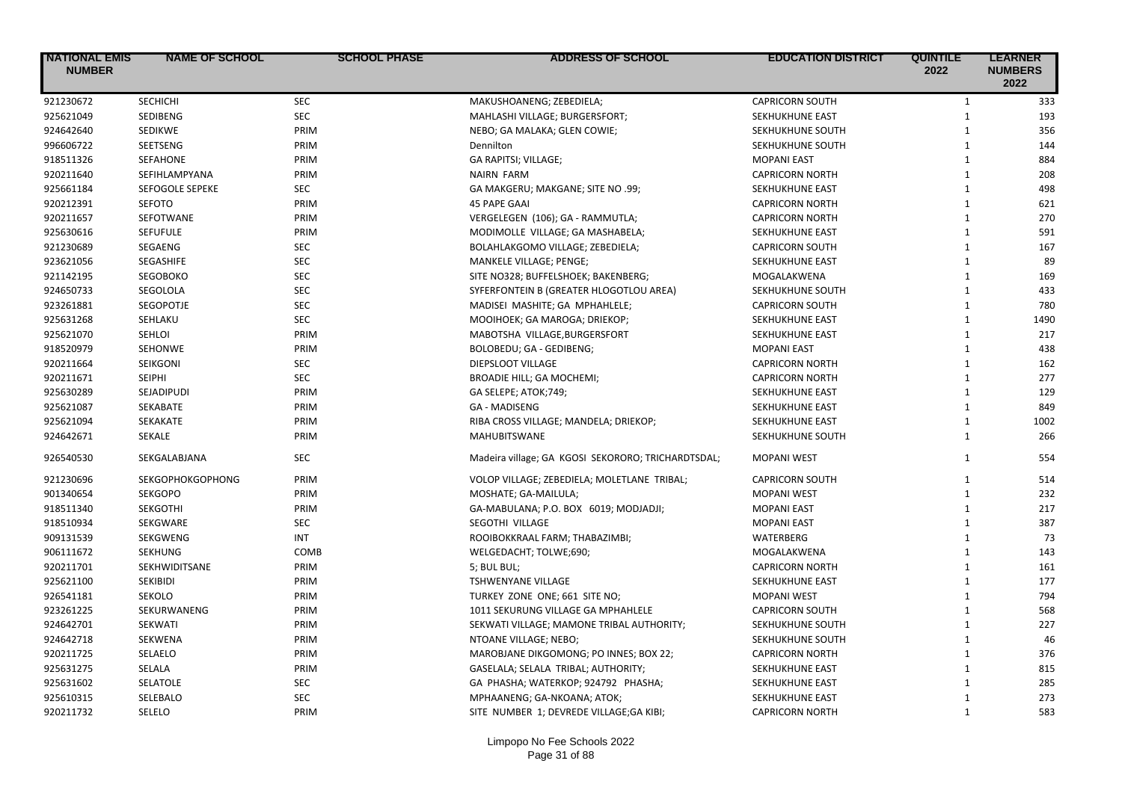| <b>INATIONAL EMIS</b><br><b>NUMBER</b> | <b>NAME OF SCHOOL</b>   | <b>SCHOOL PHASE</b> | <b>ADDRESS OF SCHOOL</b>                           | <b>EDUCATION DISTRICT</b> | <b>QUINTILE</b><br>2022 | <b>LEARNER</b><br><b>NUMBERS</b><br>2022 |
|----------------------------------------|-------------------------|---------------------|----------------------------------------------------|---------------------------|-------------------------|------------------------------------------|
| 921230672                              | SECHICHI                | <b>SEC</b>          | MAKUSHOANENG; ZEBEDIELA;                           | <b>CAPRICORN SOUTH</b>    | $\mathbf{1}$            | 333                                      |
| 925621049                              | SEDIBENG                | <b>SEC</b>          | MAHLASHI VILLAGE; BURGERSFORT;                     | SEKHUKHUNE EAST           | $\mathbf{1}$            | 193                                      |
| 924642640                              | <b>SEDIKWE</b>          | PRIM                | NEBO; GA MALAKA; GLEN COWIE;                       | SEKHUKHUNE SOUTH          | $\mathbf{1}$            | 356                                      |
| 996606722                              | SEETSENG                | PRIM                | Dennilton                                          | SEKHUKHUNE SOUTH          | $\mathbf{1}$            | 144                                      |
| 918511326                              | <b>SEFAHONE</b>         | PRIM                | GA RAPITSI; VILLAGE;                               | <b>MOPANI EAST</b>        | $\mathbf{1}$            | 884                                      |
| 920211640                              | SEFIHLAMPYANA           | PRIM                | <b>NAIRN FARM</b>                                  | <b>CAPRICORN NORTH</b>    | $\mathbf{1}$            | 208                                      |
| 925661184                              | <b>SEFOGOLE SEPEKE</b>  | <b>SEC</b>          | GA MAKGERU; MAKGANE; SITE NO .99;                  | SEKHUKHUNE EAST           | $\mathbf{1}$            | 498                                      |
| 920212391                              | <b>SEFOTO</b>           | PRIM                | <b>45 PAPE GAAI</b>                                | <b>CAPRICORN NORTH</b>    | $\mathbf{1}$            | 621                                      |
| 920211657                              | SEFOTWANE               | PRIM                | VERGELEGEN (106); GA - RAMMUTLA;                   | <b>CAPRICORN NORTH</b>    | $\mathbf{1}$            | 270                                      |
| 925630616                              | <b>SEFUFULE</b>         | PRIM                | MODIMOLLE VILLAGE; GA MASHABELA;                   | SEKHUKHUNE EAST           | $\mathbf{1}$            | 591                                      |
| 921230689                              | SEGAENG                 | <b>SEC</b>          | BOLAHLAKGOMO VILLAGE; ZEBEDIELA;                   | <b>CAPRICORN SOUTH</b>    | $\mathbf{1}$            | 167                                      |
| 923621056                              | SEGASHIFE               | <b>SEC</b>          | MANKELE VILLAGE; PENGE;                            | SEKHUKHUNE EAST           | $\mathbf{1}$            | 89                                       |
| 921142195                              | <b>SEGOBOKO</b>         | <b>SEC</b>          | SITE NO328; BUFFELSHOEK; BAKENBERG;                | MOGALAKWENA               | $\mathbf{1}$            | 169                                      |
| 924650733                              | SEGOLOLA                | <b>SEC</b>          | SYFERFONTEIN B (GREATER HLOGOTLOU AREA)            | SEKHUKHUNE SOUTH          | $\mathbf{1}$            | 433                                      |
| 923261881                              | <b>SEGOPOTJE</b>        | <b>SEC</b>          | MADISEI MASHITE; GA MPHAHLELE;                     | <b>CAPRICORN SOUTH</b>    | $\mathbf{1}$            | 780                                      |
| 925631268                              | SEHLAKU                 | <b>SEC</b>          | MOOIHOEK; GA MAROGA; DRIEKOP;                      | SEKHUKHUNE EAST           | $\mathbf{1}$            | 1490                                     |
| 925621070                              | SEHLOI                  | PRIM                | MABOTSHA VILLAGE, BURGERSFORT                      | SEKHUKHUNE EAST           | $\mathbf{1}$            | 217                                      |
| 918520979                              | <b>SEHONWE</b>          | PRIM                | BOLOBEDU; GA - GEDIBENG;                           | <b>MOPANI EAST</b>        | $\mathbf{1}$            | 438                                      |
| 920211664                              | SEIKGONI                | <b>SEC</b>          | DIEPSLOOT VILLAGE                                  | <b>CAPRICORN NORTH</b>    | $\mathbf{1}$            | 162                                      |
| 920211671                              | <b>SEIPHI</b>           | <b>SEC</b>          | BROADIE HILL; GA MOCHEMI;                          | <b>CAPRICORN NORTH</b>    | $\mathbf{1}$            | 277                                      |
| 925630289                              | SEJADIPUDI              | PRIM                | GA SELEPE; ATOK;749;                               | SEKHUKHUNE EAST           | $\mathbf{1}$            | 129                                      |
| 925621087                              | <b>SEKABATE</b>         | PRIM                | <b>GA - MADISENG</b>                               | SEKHUKHUNE EAST           | $\mathbf{1}$            | 849                                      |
| 925621094                              | SEKAKATE                | PRIM                | RIBA CROSS VILLAGE; MANDELA; DRIEKOP;              | SEKHUKHUNE EAST           | $\mathbf{1}$            | 1002                                     |
| 924642671                              | SEKALE                  | PRIM                | <b>MAHUBITSWANE</b>                                | SEKHUKHUNE SOUTH          | $\mathbf{1}$            | 266                                      |
| 926540530                              | SEKGALABJANA            | <b>SEC</b>          | Madeira village; GA KGOSI SEKORORO; TRICHARDTSDAL; | <b>MOPANI WEST</b>        | $\mathbf{1}$            | 554                                      |
| 921230696                              | <b>SEKGOPHOKGOPHONG</b> | PRIM                | VOLOP VILLAGE; ZEBEDIELA; MOLETLANE TRIBAL;        | <b>CAPRICORN SOUTH</b>    | $\mathbf{1}$            | 514                                      |
| 901340654                              | <b>SEKGOPO</b>          | PRIM                | MOSHATE; GA-MAILULA;                               | <b>MOPANI WEST</b>        | $\mathbf{1}$            | 232                                      |
| 918511340                              | <b>SEKGOTHI</b>         | PRIM                | GA-MABULANA; P.O. BOX 6019; MODJADJI;              | <b>MOPANI EAST</b>        | $\mathbf{1}$            | 217                                      |
| 918510934                              | SEKGWARE                | <b>SEC</b>          | SEGOTHI VILLAGE                                    | <b>MOPANI EAST</b>        | $\mathbf{1}$            | 387                                      |
| 909131539                              | SEKGWENG                | <b>INT</b>          | ROOIBOKKRAAL FARM; THABAZIMBI;                     | WATERBERG                 | $\mathbf{1}$            | 73                                       |
| 906111672                              | <b>SEKHUNG</b>          | COMB                | WELGEDACHT; TOLWE;690;                             | MOGALAKWENA               | $\mathbf{1}$            | 143                                      |
| 920211701                              | SEKHWIDITSANE           | PRIM                | 5; BUL BUL;                                        | <b>CAPRICORN NORTH</b>    | $\mathbf{1}$            | 161                                      |
| 925621100                              | <b>SEKIBIDI</b>         | PRIM                | TSHWENYANE VILLAGE                                 | SEKHUKHUNE EAST           | $\mathbf{1}$            | 177                                      |
| 926541181                              | <b>SEKOLO</b>           | PRIM                | TURKEY ZONE ONE; 661 SITE NO;                      | <b>MOPANI WEST</b>        | $\mathbf{1}$            | 794                                      |
| 923261225                              | SEKURWANENG             | PRIM                | 1011 SEKURUNG VILLAGE GA MPHAHLELE                 | <b>CAPRICORN SOUTH</b>    | $\mathbf{1}$            | 568                                      |
| 924642701                              | <b>SEKWATI</b>          | PRIM                | SEKWATI VILLAGE; MAMONE TRIBAL AUTHORITY;          | SEKHUKHUNE SOUTH          | $\mathbf{1}$            | 227                                      |
| 924642718                              | <b>SEKWENA</b>          | PRIM                | NTOANE VILLAGE; NEBO;                              | SEKHUKHUNE SOUTH          | $\mathbf{1}$            | 46                                       |
| 920211725                              | SELAELO                 | PRIM                | MAROBJANE DIKGOMONG; PO INNES; BOX 22;             | <b>CAPRICORN NORTH</b>    | $\mathbf{1}$            | 376                                      |
| 925631275                              | SELALA                  | PRIM                | GASELALA; SELALA TRIBAL; AUTHORITY;                | SEKHUKHUNE EAST           | $\mathbf{1}$            | 815                                      |
| 925631602                              | SELATOLE                | <b>SEC</b>          | GA PHASHA; WATERKOP; 924792 PHASHA;                | SEKHUKHUNE EAST           | $\mathbf{1}$            | 285                                      |
| 925610315                              | SELEBALO                | <b>SEC</b>          | MPHAANENG; GA-NKOANA; ATOK;                        | <b>SEKHUKHUNE EAST</b>    | $\mathbf{1}$            | 273                                      |
| 920211732                              | SELELO                  | PRIM                | SITE NUMBER 1; DEVREDE VILLAGE;GA KIBI;            | <b>CAPRICORN NORTH</b>    | $\mathbf{1}$            | 583                                      |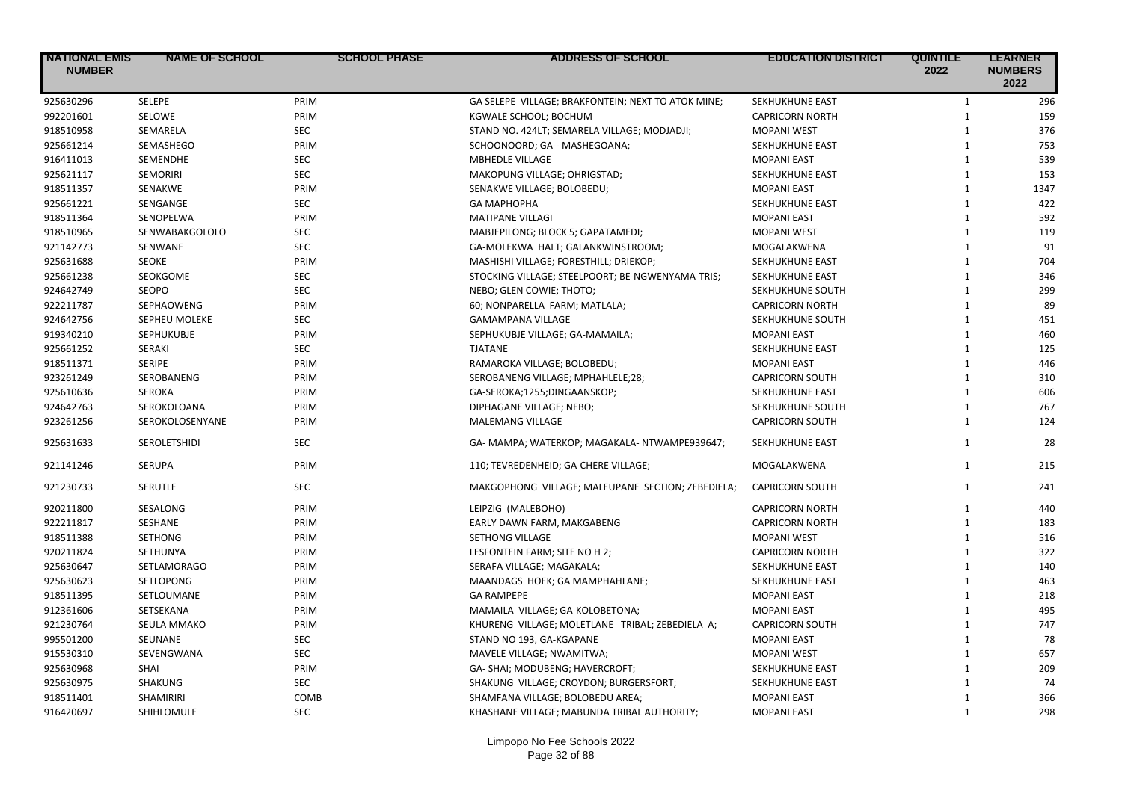| <b>NATIONAL EMIS</b><br><b>NUMBER</b> | <b>NAME OF SCHOOL</b> | <b>SCHOOL PHASE</b> | <b>ADDRESS OF SCHOOL</b>                           | <b>EDUCATION DISTRICT</b> | <b>QUINTILE</b><br>2022 | <b>LEARNER</b><br><b>NUMBERS</b><br>2022 |
|---------------------------------------|-----------------------|---------------------|----------------------------------------------------|---------------------------|-------------------------|------------------------------------------|
| 925630296                             | SELEPE                | PRIM                | GA SELEPE VILLAGE; BRAKFONTEIN; NEXT TO ATOK MINE; | SEKHUKHUNE EAST           | $\mathbf{1}$            | 296                                      |
| 992201601                             | SELOWE                | PRIM                | KGWALE SCHOOL; BOCHUM                              | <b>CAPRICORN NORTH</b>    | $\mathbf{1}$            | 159                                      |
| 918510958                             | SEMARELA              | <b>SEC</b>          | STAND NO. 424LT; SEMARELA VILLAGE; MODJADJI;       | <b>MOPANI WEST</b>        | $\mathbf{1}$            | 376                                      |
| 925661214                             | SEMASHEGO             | PRIM                | SCHOONOORD; GA-- MASHEGOANA;                       | SEKHUKHUNE EAST           | $\mathbf{1}$            | 753                                      |
| 916411013                             | SEMENDHE              | <b>SEC</b>          | <b>MBHEDLE VILLAGE</b>                             | <b>MOPANI EAST</b>        | $\mathbf{1}$            | 539                                      |
| 925621117                             | SEMORIRI              | <b>SEC</b>          | MAKOPUNG VILLAGE; OHRIGSTAD;                       | SEKHUKHUNE EAST           | $\mathbf{1}$            | 153                                      |
| 918511357                             | <b>SENAKWE</b>        | PRIM                | SENAKWE VILLAGE; BOLOBEDU;                         | <b>MOPANI EAST</b>        | $\mathbf{1}$            | 1347                                     |
| 925661221                             | SENGANGE              | SEC                 | GA MAPHOPHA                                        | SEKHUKHUNE EAST           | $\mathbf{1}$            | 422                                      |
| 918511364                             | <b>SENOPELWA</b>      | PRIM                | <b>MATIPANE VILLAGI</b>                            | <b>MOPANI EAST</b>        | $\mathbf{1}$            | 592                                      |
| 918510965                             | SENWABAKGOLOLO        | <b>SEC</b>          | MABJEPILONG; BLOCK 5; GAPATAMEDI;                  | <b>MOPANI WEST</b>        | $\mathbf{1}$            | 119                                      |
| 921142773                             | SENWANE               | <b>SEC</b>          | GA-MOLEKWA HALT; GALANKWINSTROOM;                  | MOGALAKWENA               | $\mathbf{1}$            | 91                                       |
| 925631688                             | <b>SEOKE</b>          | PRIM                | MASHISHI VILLAGE; FORESTHILL; DRIEKOP;             | SEKHUKHUNE EAST           | $\mathbf{1}$            | 704                                      |
| 925661238                             | SEOKGOME              | <b>SEC</b>          | STOCKING VILLAGE; STEELPOORT; BE-NGWENYAMA-TRIS;   | SEKHUKHUNE EAST           | $\mathbf{1}$            | 346                                      |
| 924642749                             | SEOPO                 | <b>SEC</b>          | NEBO; GLEN COWIE; THOTO;                           | SEKHUKHUNE SOUTH          | $\mathbf{1}$            | 299                                      |
| 922211787                             | SEPHAOWENG            | PRIM                | 60; NONPARELLA FARM; MATLALA;                      | <b>CAPRICORN NORTH</b>    | $\mathbf{1}$            | 89                                       |
| 924642756                             | <b>SEPHEU MOLEKE</b>  | <b>SEC</b>          | GAMAMPANA VILLAGE                                  | SEKHUKHUNE SOUTH          | $\mathbf{1}$            | 451                                      |
| 919340210                             | SEPHUKUBJE            | PRIM                | SEPHUKUBJE VILLAGE; GA-MAMAILA;                    | <b>MOPANI EAST</b>        | $\mathbf{1}$            | 460                                      |
| 925661252                             | SERAKI                | <b>SEC</b>          | <b>TJATANE</b>                                     | SEKHUKHUNE EAST           | $\mathbf{1}$            | 125                                      |
| 918511371                             | <b>SERIPE</b>         | PRIM                | RAMAROKA VILLAGE; BOLOBEDU;                        | <b>MOPANI EAST</b>        | $\mathbf{1}$            | 446                                      |
| 923261249                             | SEROBANENG            | PRIM                | SEROBANENG VILLAGE; MPHAHLELE;28;                  | <b>CAPRICORN SOUTH</b>    | $\mathbf{1}$            | 310                                      |
| 925610636                             | <b>SEROKA</b>         | PRIM                | GA-SEROKA;1255;DINGAANSKOP;                        | SEKHUKHUNE EAST           | $\mathbf{1}$            | 606                                      |
| 924642763                             | SEROKOLOANA           | PRIM                | DIPHAGANE VILLAGE; NEBO;                           | SEKHUKHUNE SOUTH          | $\mathbf{1}$            | 767                                      |
| 923261256                             | SEROKOLOSENYANE       | PRIM                | MALEMANG VILLAGE                                   | <b>CAPRICORN SOUTH</b>    | $\mathbf{1}$            | 124                                      |
| 925631633                             | SEROLETSHIDI          | <b>SEC</b>          | GA- MAMPA; WATERKOP; MAGAKALA- NTWAMPE939647;      | SEKHUKHUNE EAST           | $\mathbf{1}$            | 28                                       |
| 921141246                             | <b>SERUPA</b>         | PRIM                | 110; TEVREDENHEID; GA-CHERE VILLAGE;               | MOGALAKWENA               | $\mathbf{1}$            | 215                                      |
| 921230733                             | <b>SERUTLE</b>        | <b>SEC</b>          | MAKGOPHONG VILLAGE; MALEUPANE SECTION; ZEBEDIELA;  | <b>CAPRICORN SOUTH</b>    | $\mathbf{1}$            | 241                                      |
| 920211800                             | SESALONG              | PRIM                | LEIPZIG (MALEBOHO)                                 | <b>CAPRICORN NORTH</b>    | $\mathbf{1}$            | 440                                      |
| 922211817                             | SESHANE               | PRIM                | EARLY DAWN FARM, MAKGABENG                         | <b>CAPRICORN NORTH</b>    | $\mathbf{1}$            | 183                                      |
| 918511388                             | <b>SETHONG</b>        | PRIM                | SETHONG VILLAGE                                    | <b>MOPANI WEST</b>        | $\mathbf{1}$            | 516                                      |
| 920211824                             | <b>SETHUNYA</b>       | PRIM                | LESFONTEIN FARM; SITE NO H 2;                      | <b>CAPRICORN NORTH</b>    | $\mathbf{1}$            | 322                                      |
| 925630647                             | <b>SETLAMORAGO</b>    | PRIM                | SERAFA VILLAGE; MAGAKALA;                          | SEKHUKHUNE EAST           | $1\,$                   | 140                                      |
| 925630623                             | SETLOPONG             | PRIM                | MAANDAGS HOEK; GA MAMPHAHLANE;                     | SEKHUKHUNE EAST           | $\mathbf{1}$            | 463                                      |
| 918511395                             | <b>SETLOUMANE</b>     | PRIM                | <b>GA RAMPEPE</b>                                  | <b>MOPANI EAST</b>        | $\mathbf{1}$            | 218                                      |
| 912361606                             | SETSEKANA             | PRIM                | MAMAILA VILLAGE; GA-KOLOBETONA;                    | <b>MOPANI EAST</b>        | $\mathbf{1}$            | 495                                      |
| 921230764                             | SEULA MMAKO           | PRIM                | KHURENG VILLAGE; MOLETLANE TRIBAL; ZEBEDIELA A;    | <b>CAPRICORN SOUTH</b>    | $\mathbf{1}$            | 747                                      |
| 995501200                             | SEUNANE               | <b>SEC</b>          | STAND NO 193, GA-KGAPANE                           | <b>MOPANI EAST</b>        | $\mathbf{1}$            | 78                                       |
| 915530310                             | SEVENGWANA            | SEC                 | MAVELE VILLAGE; NWAMITWA;                          | <b>MOPANI WEST</b>        | $\mathbf{1}$            | 657                                      |
| 925630968                             | SHAI                  | PRIM                | GA- SHAI; MODUBENG; HAVERCROFT;                    | SEKHUKHUNE EAST           | $\mathbf{1}$            | 209                                      |
| 925630975                             | SHAKUNG               | <b>SEC</b>          | SHAKUNG VILLAGE; CROYDON; BURGERSFORT;             | SEKHUKHUNE EAST           | $\mathbf{1}$            | 74                                       |
| 918511401                             | SHAMIRIRI             | COMB                | SHAMFANA VILLAGE; BOLOBEDU AREA;                   | <b>MOPANI EAST</b>        | $\mathbf{1}$            | 366                                      |
| 916420697                             | SHIHLOMULE            | <b>SEC</b>          | KHASHANE VILLAGE; MABUNDA TRIBAL AUTHORITY;        | <b>MOPANI EAST</b>        | $\mathbf{1}$            | 298                                      |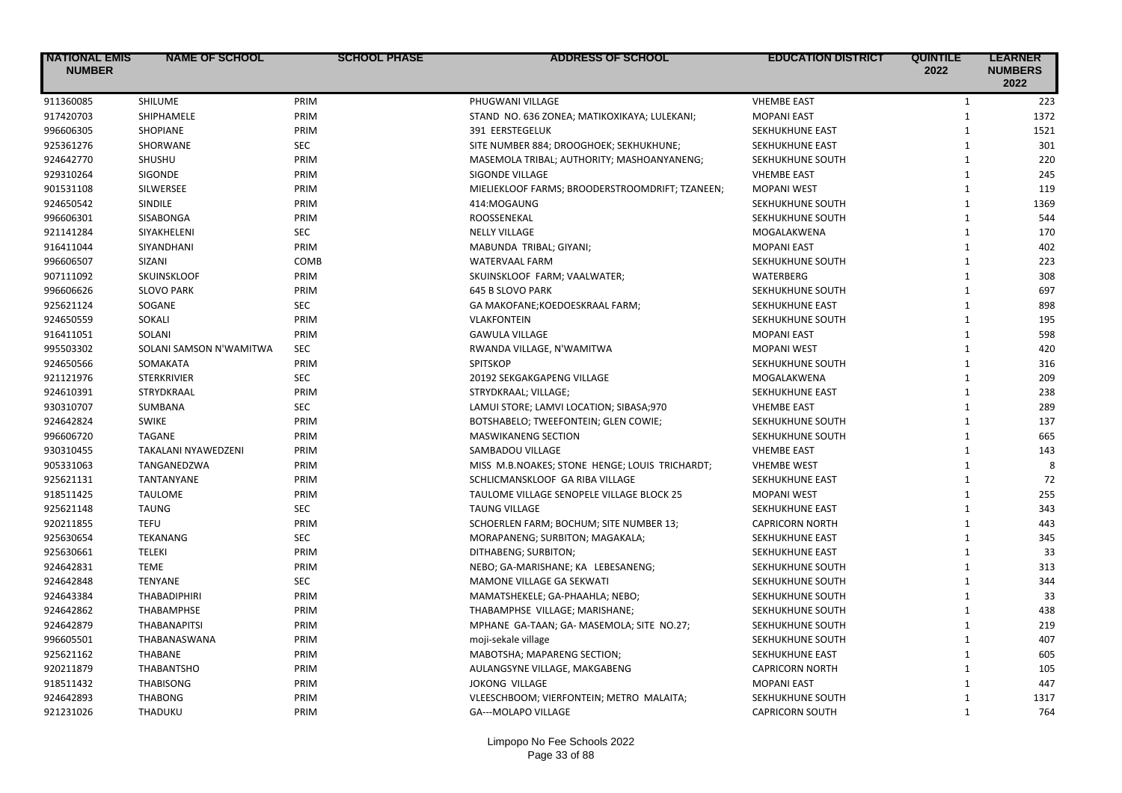| <b>NATIONAL EMIS</b><br><b>NUMBER</b> | <b>NAME OF SCHOOL</b>   | <b>SCHOOL PHASE</b> | <b>ADDRESS OF SCHOOL</b>                        | <b>EDUCATION DISTRICT</b> | <b>QUINTILE</b><br>2022 | <b>LEARNER</b><br><b>NUMBERS</b><br>2022 |
|---------------------------------------|-------------------------|---------------------|-------------------------------------------------|---------------------------|-------------------------|------------------------------------------|
| 911360085                             | <b>SHILUME</b>          | PRIM                | PHUGWANI VILLAGE                                | <b>VHEMBE EAST</b>        | $\mathbf{1}$            | 223                                      |
| 917420703                             | SHIPHAMELE              | PRIM                | STAND NO. 636 ZONEA; MATIKOXIKAYA; LULEKANI;    | <b>MOPANI EAST</b>        | $\mathbf{1}$            | 1372                                     |
| 996606305                             | <b>SHOPIANE</b>         | PRIM                | 391 EERSTEGELUK                                 | SEKHUKHUNE EAST           | $\mathbf{1}$            | 1521                                     |
| 925361276                             | SHORWANE                | <b>SEC</b>          | SITE NUMBER 884; DROOGHOEK; SEKHUKHUNE;         | SEKHUKHUNE EAST           | $\mathbf{1}$            | 301                                      |
| 924642770                             | SHUSHU                  | PRIM                | MASEMOLA TRIBAL; AUTHORITY; MASHOANYANENG;      | SEKHUKHUNE SOUTH          | $\mathbf{1}$            | 220                                      |
| 929310264                             | SIGONDE                 | PRIM                | <b>SIGONDE VILLAGE</b>                          | <b>VHEMBE EAST</b>        | $\mathbf{1}$            | 245                                      |
| 901531108                             | SILWERSEE               | PRIM                | MIELIEKLOOF FARMS; BROODERSTROOMDRIFT; TZANEEN; | <b>MOPANI WEST</b>        | $\mathbf{1}$            | 119                                      |
| 924650542                             | SINDILE                 | PRIM                | 414:MOGAUNG                                     | SEKHUKHUNE SOUTH          | $\mathbf{1}$            | 1369                                     |
| 996606301                             | SISABONGA               | PRIM                | ROOSSENEKAL                                     | SEKHUKHUNE SOUTH          | $\mathbf{1}$            | 544                                      |
| 921141284                             | SIYAKHELENI             | <b>SEC</b>          | <b>NELLY VILLAGE</b>                            | MOGALAKWENA               | $\mathbf{1}$            | 170                                      |
| 916411044                             | SIYANDHANI              | PRIM                | MABUNDA TRIBAL; GIYANI;                         | <b>MOPANI EAST</b>        | $\mathbf{1}$            | 402                                      |
| 996606507                             | SIZANI                  | COMB                | <b>WATERVAAL FARM</b>                           | SEKHUKHUNE SOUTH          | $\mathbf{1}$            | 223                                      |
| 907111092                             | SKUINSKLOOF             | PRIM                | SKUINSKLOOF FARM; VAALWATER;                    | <b>WATERBERG</b>          | $\mathbf{1}$            | 308                                      |
| 996606626                             | <b>SLOVO PARK</b>       | PRIM                | <b>645 B SLOVO PARK</b>                         | SEKHUKHUNE SOUTH          | $\mathbf{1}$            | 697                                      |
| 925621124                             | SOGANE                  | <b>SEC</b>          | GA MAKOFANE; KOEDOESKRAAL FARM;                 | SEKHUKHUNE EAST           | $\mathbf{1}$            | 898                                      |
| 924650559                             | SOKALI                  | PRIM                | <b>VLAKFONTEIN</b>                              | SEKHUKHUNE SOUTH          | $\mathbf{1}$            | 195                                      |
| 916411051                             | SOLANI                  | PRIM                | <b>GAWULA VILLAGE</b>                           | <b>MOPANI EAST</b>        | $\mathbf{1}$            | 598                                      |
| 995503302                             | SOLANI SAMSON N'WAMITWA | <b>SEC</b>          | RWANDA VILLAGE, N'WAMITWA                       | <b>MOPANI WEST</b>        | $\mathbf{1}$            | 420                                      |
| 924650566                             | SOMAKATA                | PRIM                | <b>SPITSKOP</b>                                 | SEKHUKHUNE SOUTH          | $\mathbf{1}$            | 316                                      |
| 921121976                             | <b>STERKRIVIER</b>      | <b>SEC</b>          | 20192 SEKGAKGAPENG VILLAGE                      | MOGALAKWENA               | $\mathbf{1}$            | 209                                      |
| 924610391                             | STRYDKRAAL              | PRIM                | STRYDKRAAL; VILLAGE;                            | SEKHUKHUNE EAST           | $\mathbf{1}$            | 238                                      |
| 930310707                             | SUMBANA                 | <b>SEC</b>          | LAMUI STORE; LAMVI LOCATION; SIBASA;970         | <b>VHEMBE EAST</b>        | $\mathbf{1}$            | 289                                      |
| 924642824                             | <b>SWIKE</b>            | PRIM                | BOTSHABELO; TWEEFONTEIN; GLEN COWIE;            | SEKHUKHUNE SOUTH          | $\mathbf{1}$            | 137                                      |
| 996606720                             | <b>TAGANE</b>           | PRIM                | <b>MASWIKANENG SECTION</b>                      | SEKHUKHUNE SOUTH          | $\mathbf{1}$            | 665                                      |
| 930310455                             | TAKALANI NYAWEDZENI     | PRIM                | SAMBADOU VILLAGE                                | <b>VHEMBE EAST</b>        | $\mathbf{1}$            | 143                                      |
| 905331063                             | TANGANEDZWA             | PRIM                | MISS M.B.NOAKES; STONE HENGE; LOUIS TRICHARDT;  | <b>VHEMBE WEST</b>        | $\mathbf{1}$            |                                          |
| 925621131                             | TANTANYANE              | PRIM                | SCHLICMANSKLOOF GA RIBA VILLAGE                 | SEKHUKHUNE EAST           | $\mathbf{1}$            | 72                                       |
| 918511425                             | <b>TAULOME</b>          | PRIM                | TAULOME VILLAGE SENOPELE VILLAGE BLOCK 25       | <b>MOPANI WEST</b>        | $\mathbf{1}$            | 255                                      |
| 925621148                             | <b>TAUNG</b>            | <b>SEC</b>          | <b>TAUNG VILLAGE</b>                            | SEKHUKHUNE EAST           | $\mathbf{1}$            | 343                                      |
| 920211855                             | <b>TEFU</b>             | PRIM                | SCHOERLEN FARM; BOCHUM; SITE NUMBER 13;         | <b>CAPRICORN NORTH</b>    | $\mathbf{1}$            | 443                                      |
| 925630654                             | <b>TEKANANG</b>         | <b>SEC</b>          | MORAPANENG; SURBITON; MAGAKALA;                 | SEKHUKHUNE EAST           | $\mathbf{1}$            | 345                                      |
| 925630661                             | <b>TELEKI</b>           | PRIM                | DITHABENG; SURBITON;                            | SEKHUKHUNE EAST           | $\mathbf{1}$            | 33                                       |
| 924642831                             | <b>TEME</b>             | PRIM                | NEBO; GA-MARISHANE; KA LEBESANENG;              | SEKHUKHUNE SOUTH          | $\mathbf{1}$            | 313                                      |
| 924642848                             | <b>TENYANE</b>          | <b>SEC</b>          | MAMONE VILLAGE GA SEKWATI                       | SEKHUKHUNE SOUTH          | $\mathbf{1}$            | 344                                      |
| 924643384                             | <b>THABADIPHIRI</b>     | PRIM                | MAMATSHEKELE; GA-PHAAHLA; NEBO;                 | SEKHUKHUNE SOUTH          | $\mathbf{1}$            | 33                                       |
| 924642862                             | <b>THABAMPHSE</b>       | PRIM                | THABAMPHSE VILLAGE; MARISHANE;                  | SEKHUKHUNE SOUTH          | $\mathbf{1}$            | 438                                      |
| 924642879                             | <b>THABANAPITSI</b>     | PRIM                | MPHANE GA-TAAN; GA- MASEMOLA; SITE NO.27;       | SEKHUKHUNE SOUTH          | $\mathbf{1}$            | 219                                      |
| 996605501                             | THABANASWANA            | PRIM                | moji-sekale village                             | SEKHUKHUNE SOUTH          | $\mathbf{1}$            | 407                                      |
| 925621162                             | <b>THABANE</b>          | PRIM                | MABOTSHA; MAPARENG SECTION;                     | SEKHUKHUNE EAST           | $\mathbf{1}$            | 605                                      |
| 920211879                             | <b>THABANTSHO</b>       | PRIM                | AULANGSYNE VILLAGE, MAKGABENG                   | <b>CAPRICORN NORTH</b>    | $\mathbf{1}$            | 105                                      |
| 918511432                             | <b>THABISONG</b>        | PRIM                | <b>JOKONG VILLAGE</b>                           | <b>MOPANI EAST</b>        | $\mathbf{1}$            | 447                                      |
| 924642893                             | <b>THABONG</b>          | PRIM                | VLEESCHBOOM; VIERFONTEIN; METRO MALAITA;        | SEKHUKHUNE SOUTH          | $\mathbf{1}$            | 1317                                     |
| 921231026                             | THADUKU                 | PRIM                | GA---MOLAPO VILLAGE                             | <b>CAPRICORN SOUTH</b>    | $\mathbf{1}$            | 764                                      |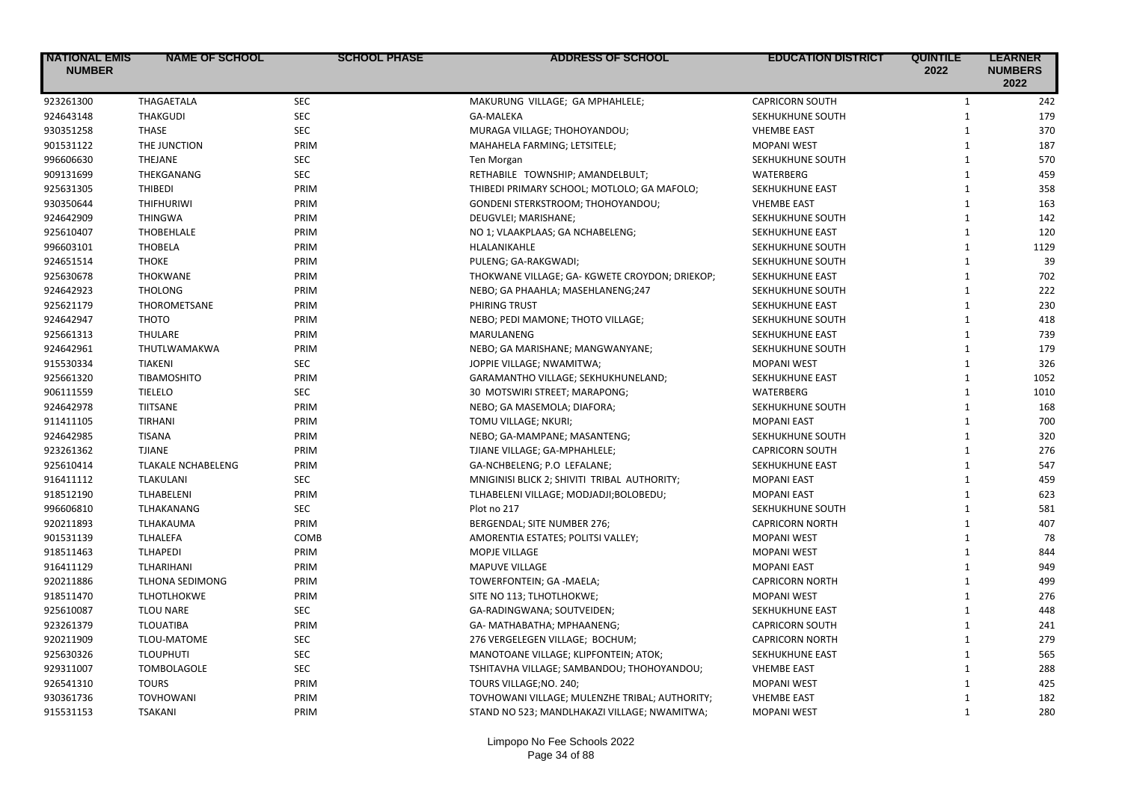| <b>INATIONAL EMIS</b><br><b>NUMBER</b> | <b>NAME OF SCHOOL</b>     | <b>SCHOOL PHASE</b> | <b>ADDRESS OF SCHOOL</b>                       | <b>EDUCATION DISTRICT</b> | <b>QUINTILE</b><br>2022 | <b>LEARNER</b><br><b>NUMBERS</b><br>2022 |
|----------------------------------------|---------------------------|---------------------|------------------------------------------------|---------------------------|-------------------------|------------------------------------------|
| 923261300                              | THAGAETALA                | <b>SEC</b>          | MAKURUNG VILLAGE; GA MPHAHLELE;                | <b>CAPRICORN SOUTH</b>    | $\mathbf{1}$            | 242                                      |
| 924643148                              | <b>THAKGUDI</b>           | <b>SEC</b>          | <b>GA-MALEKA</b>                               | SEKHUKHUNE SOUTH          | $\mathbf{1}$            | 179                                      |
| 930351258                              | <b>THASE</b>              | <b>SEC</b>          | MURAGA VILLAGE; THOHOYANDOU;                   | <b>VHEMBE EAST</b>        | $\mathbf{1}$            | 370                                      |
| 901531122                              | THE JUNCTION              | PRIM                | MAHAHELA FARMING; LETSITELE;                   | <b>MOPANI WEST</b>        | $\mathbf{1}$            | 187                                      |
| 996606630                              | <b>THEJANE</b>            | <b>SEC</b>          | Ten Morgan                                     | SEKHUKHUNE SOUTH          | $\mathbf{1}$            | 570                                      |
| 909131699                              | THEKGANANG                | <b>SEC</b>          | RETHABILE TOWNSHIP; AMANDELBULT;               | WATERBERG                 | $\mathbf{1}$            | 459                                      |
| 925631305                              | <b>THIBEDI</b>            | PRIM                | THIBEDI PRIMARY SCHOOL; MOTLOLO; GA MAFOLO;    | SEKHUKHUNE EAST           | $\mathbf{1}$            | 358                                      |
| 930350644                              | <b>THIFHURIWI</b>         | PRIM                | GONDENI STERKSTROOM; THOHOYANDOU;              | <b>VHEMBE EAST</b>        | $\mathbf{1}$            | 163                                      |
| 924642909                              | <b>THINGWA</b>            | PRIM                | DEUGVLEI; MARISHANE;                           | SEKHUKHUNE SOUTH          | $\mathbf{1}$            | 142                                      |
| 925610407                              | THOBEHLALE                | PRIM                | NO 1; VLAAKPLAAS; GA NCHABELENG;               | SEKHUKHUNE EAST           | $\mathbf{1}$            | 120                                      |
| 996603101                              | <b>THOBELA</b>            | PRIM                | HLALANIKAHLE                                   | SEKHUKHUNE SOUTH          | $\mathbf{1}$            | 1129                                     |
| 924651514                              | <b>THOKE</b>              | PRIM                | PULENG; GA-RAKGWADI;                           | SEKHUKHUNE SOUTH          | $\mathbf{1}$            | 39                                       |
| 925630678                              | <b>THOKWANE</b>           | PRIM                | THOKWANE VILLAGE; GA-KGWETE CROYDON; DRIEKOP;  | SEKHUKHUNE EAST           | $\mathbf{1}$            | 702                                      |
| 924642923                              | <b>THOLONG</b>            | PRIM                | NEBO; GA PHAAHLA; MASEHLANENG;247              | SEKHUKHUNE SOUTH          | $\mathbf{1}$            | 222                                      |
| 925621179                              | THOROMETSANE              | PRIM                | PHIRING TRUST                                  | SEKHUKHUNE EAST           | $\mathbf{1}$            | 230                                      |
| 924642947                              | <b>THOTO</b>              | PRIM                | NEBO; PEDI MAMONE; THOTO VILLAGE;              | SEKHUKHUNE SOUTH          | $\mathbf{1}$            | 418                                      |
| 925661313                              | <b>THULARE</b>            | PRIM                | MARULANENG                                     | SEKHUKHUNE EAST           | $\mathbf{1}$            | 739                                      |
| 924642961                              | THUTLWAMAKWA              | PRIM                | NEBO; GA MARISHANE; MANGWANYANE;               | SEKHUKHUNE SOUTH          | $\mathbf{1}$            | 179                                      |
| 915530334                              | <b>TIAKENI</b>            | <b>SEC</b>          | JOPPIE VILLAGE; NWAMITWA;                      | <b>MOPANI WEST</b>        | $\mathbf{1}$            | 326                                      |
| 925661320                              | TIBAMOSHITO               | PRIM                | GARAMANTHO VILLAGE; SEKHUKHUNELAND;            | SEKHUKHUNE EAST           | $\mathbf{1}$            | 1052                                     |
| 906111559                              | <b>TIELELO</b>            | <b>SEC</b>          | 30 MOTSWIRI STREET; MARAPONG;                  | WATERBERG                 | $\mathbf{1}$            | 1010                                     |
| 924642978                              | <b>TIITSANE</b>           | PRIM                | NEBO; GA MASEMOLA; DIAFORA;                    | SEKHUKHUNE SOUTH          | $\mathbf{1}$            | 168                                      |
| 911411105                              | <b>TIRHANI</b>            | PRIM                | TOMU VILLAGE; NKURI;                           | <b>MOPANI EAST</b>        | $\mathbf{1}$            | 700                                      |
| 924642985                              | TISANA                    | PRIM                | NEBO; GA-MAMPANE; MASANTENG;                   | SEKHUKHUNE SOUTH          | $\mathbf{1}$            | 320                                      |
| 923261362                              | <b>TJIANE</b>             | PRIM                | TJIANE VILLAGE; GA-MPHAHLELE;                  | <b>CAPRICORN SOUTH</b>    | $\mathbf{1}$            | 276                                      |
| 925610414                              | <b>TLAKALE NCHABELENG</b> | PRIM                | GA-NCHBELENG; P.O LEFALANE;                    | SEKHUKHUNE EAST           | $\mathbf{1}$            | 547                                      |
| 916411112                              | <b>TLAKULANI</b>          | <b>SEC</b>          | MNIGINISI BLICK 2; SHIVITI TRIBAL AUTHORITY;   | <b>MOPANI EAST</b>        | $\mathbf{1}$            | 459                                      |
| 918512190                              | TLHABELENI                | PRIM                | TLHABELENI VILLAGE; MODJADJI;BOLOBEDU;         | <b>MOPANI EAST</b>        | $\mathbf{1}$            | 623                                      |
| 996606810                              | TLHAKANANG                | <b>SEC</b>          | Plot no 217                                    | SEKHUKHUNE SOUTH          | $\mathbf{1}$            | 581                                      |
| 920211893                              | TLHAKAUMA                 | PRIM                | BERGENDAL; SITE NUMBER 276;                    | <b>CAPRICORN NORTH</b>    | $\mathbf{1}$            | 407                                      |
| 901531139                              | <b>TLHALEFA</b>           | COMB                | AMORENTIA ESTATES; POLITSI VALLEY;             | <b>MOPANI WEST</b>        | $\mathbf{1}$            | 78                                       |
| 918511463                              | <b>TLHAPEDI</b>           | PRIM                | MOPJE VILLAGE                                  | <b>MOPANI WEST</b>        | $\mathbf{1}$            | 844                                      |
| 916411129                              | TLHARIHANI                | PRIM                | <b>MAPUVE VILLAGE</b>                          | <b>MOPANI EAST</b>        | $\mathbf{1}$            | 949                                      |
| 920211886                              | <b>TLHONA SEDIMONG</b>    | PRIM                | TOWERFONTEIN; GA -MAELA;                       | <b>CAPRICORN NORTH</b>    | $\mathbf{1}$            | 499                                      |
| 918511470                              | <b>TLHOTLHOKWE</b>        | PRIM                | SITE NO 113; TLHOTLHOKWE;                      | <b>MOPANI WEST</b>        | $\mathbf{1}$            | 276                                      |
| 925610087                              | <b>TLOU NARE</b>          | <b>SEC</b>          | GA-RADINGWANA; SOUTVEIDEN;                     | SEKHUKHUNE EAST           | $\mathbf{1}$            | 448                                      |
| 923261379                              | <b>TLOUATIBA</b>          | PRIM                | GA- MATHABATHA; MPHAANENG;                     | <b>CAPRICORN SOUTH</b>    | $\mathbf{1}$            | 241                                      |
| 920211909                              | TLOU-MATOME               | <b>SEC</b>          | 276 VERGELEGEN VILLAGE; BOCHUM;                | <b>CAPRICORN NORTH</b>    | $\mathbf{1}$            | 279                                      |
| 925630326                              | <b>TLOUPHUTI</b>          | <b>SEC</b>          | MANOTOANE VILLAGE; KLIPFONTEIN; ATOK;          | SEKHUKHUNE EAST           | $\mathbf{1}$            | 565                                      |
| 929311007                              | <b>TOMBOLAGOLE</b>        | <b>SEC</b>          | TSHITAVHA VILLAGE; SAMBANDOU; THOHOYANDOU;     | <b>VHEMBE EAST</b>        | $\mathbf{1}$            | 288                                      |
| 926541310                              | <b>TOURS</b>              | PRIM                | TOURS VILLAGE; NO. 240;                        | <b>MOPANI WEST</b>        | $\mathbf{1}$            | 425                                      |
| 930361736                              | <b>TOVHOWANI</b>          | PRIM                | TOVHOWANI VILLAGE; MULENZHE TRIBAL; AUTHORITY; | <b>VHEMBE EAST</b>        | $\mathbf{1}$            | 182                                      |
| 915531153                              | <b>TSAKANI</b>            | PRIM                | STAND NO 523; MANDLHAKAZI VILLAGE; NWAMITWA;   | <b>MOPANI WEST</b>        | $\mathbf{1}$            | 280                                      |
|                                        |                           |                     |                                                |                           |                         |                                          |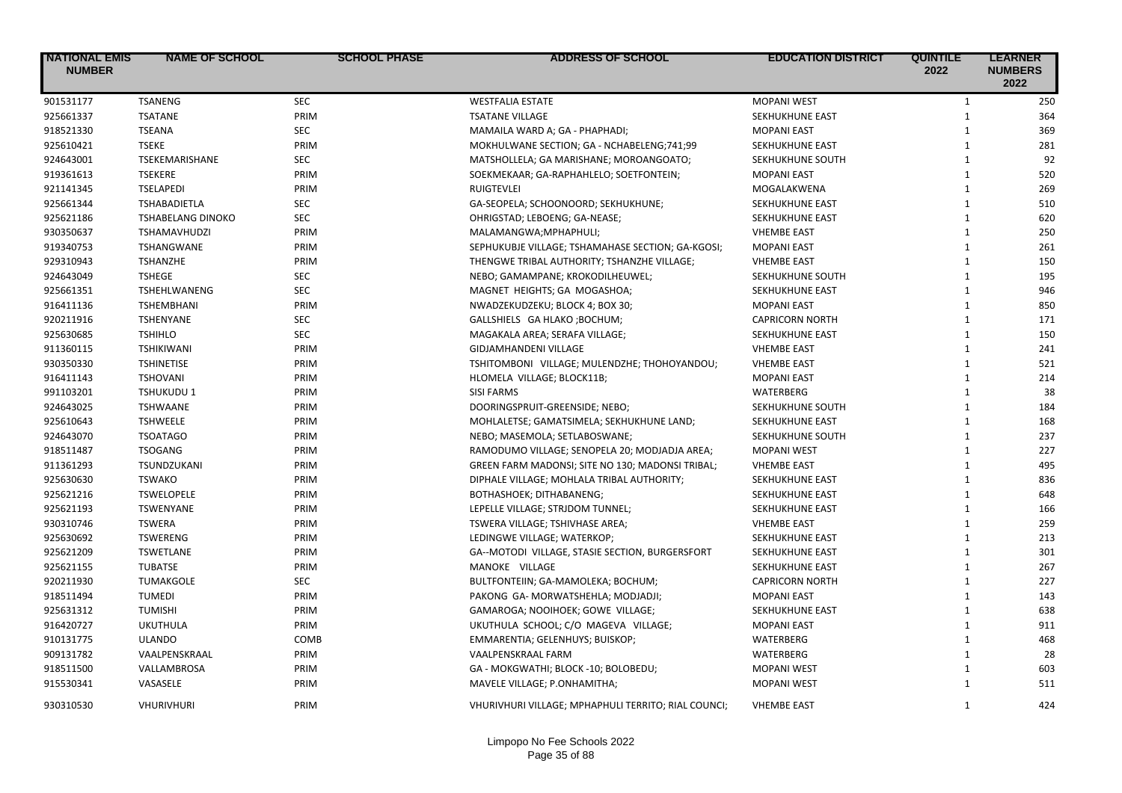| <b>NATIONAL EMIS</b><br><b>NUMBER</b> | <b>NAME OF SCHOOL</b>    | <b>SCHOOL PHASE</b> | <b>ADDRESS OF SCHOOL</b>                            | <b>EDUCATION DISTRICT</b> | <b>QUINTILE</b><br>2022 | <b>LEARNER</b><br><b>NUMBERS</b><br>2022 |
|---------------------------------------|--------------------------|---------------------|-----------------------------------------------------|---------------------------|-------------------------|------------------------------------------|
| 901531177                             | <b>TSANENG</b>           | <b>SEC</b>          | <b>WESTFALIA ESTATE</b>                             | <b>MOPANI WEST</b>        | $\mathbf{1}$            | 250                                      |
| 925661337                             | <b>TSATANE</b>           | PRIM                | <b>TSATANE VILLAGE</b>                              | SEKHUKHUNE EAST           | $\mathbf{1}$            | 364                                      |
| 918521330                             | <b>TSEANA</b>            | <b>SEC</b>          | MAMAILA WARD A; GA - PHAPHADI;                      | <b>MOPANI EAST</b>        | $\mathbf{1}$            | 369                                      |
| 925610421                             | <b>TSEKE</b>             | PRIM                | MOKHULWANE SECTION; GA - NCHABELENG;741;99          | SEKHUKHUNE EAST           | $\mathbf{1}$            | 281                                      |
| 924643001                             | TSEKEMARISHANE           | <b>SEC</b>          | MATSHOLLELA; GA MARISHANE; MOROANGOATO;             | SEKHUKHUNE SOUTH          | $\mathbf{1}$            | 92                                       |
| 919361613                             | <b>TSEKERE</b>           | PRIM                | SOEKMEKAAR; GA-RAPHAHLELO; SOETFONTEIN;             | <b>MOPANI EAST</b>        | $\mathbf{1}$            | 520                                      |
| 921141345                             | <b>TSELAPEDI</b>         | PRIM                | <b>RUIGTEVLEI</b>                                   | MOGALAKWENA               | $\mathbf{1}$            | 269                                      |
| 925661344                             | <b>TSHABADIETLA</b>      | <b>SEC</b>          | GA-SEOPELA; SCHOONOORD; SEKHUKHUNE;                 | SEKHUKHUNE EAST           | $\mathbf{1}$            | 510                                      |
| 925621186                             | <b>TSHABELANG DINOKO</b> | <b>SEC</b>          | OHRIGSTAD; LEBOENG; GA-NEASE;                       | SEKHUKHUNE EAST           | $\mathbf{1}$            | 620                                      |
| 930350637                             | <b>TSHAMAVHUDZI</b>      | PRIM                | MALAMANGWA; MPHAPHULI;                              | <b>VHEMBE EAST</b>        | $\mathbf{1}$            | 250                                      |
| 919340753                             | <b>TSHANGWANE</b>        | PRIM                | SEPHUKUBJE VILLAGE; TSHAMAHASE SECTION; GA-KGOSI;   | <b>MOPANI EAST</b>        | $\mathbf{1}$            | 261                                      |
| 929310943                             | <b>TSHANZHE</b>          | PRIM                | THENGWE TRIBAL AUTHORITY; TSHANZHE VILLAGE;         | <b>VHEMBE EAST</b>        | $\mathbf{1}$            | 150                                      |
| 924643049                             | <b>TSHEGE</b>            | <b>SEC</b>          | NEBO; GAMAMPANE; KROKODILHEUWEL;                    | SEKHUKHUNE SOUTH          | $\mathbf{1}$            | 195                                      |
| 925661351                             | TSHEHLWANENG             | <b>SEC</b>          | MAGNET HEIGHTS; GA MOGASHOA;                        | SEKHUKHUNE EAST           | $\mathbf{1}$            | 946                                      |
| 916411136                             | <b>TSHEMBHANI</b>        | PRIM                | NWADZEKUDZEKU; BLOCK 4; BOX 30;                     | <b>MOPANI EAST</b>        | $\mathbf{1}$            | 850                                      |
| 920211916                             | TSHENYANE                | <b>SEC</b>          | GALLSHIELS GA HLAKO; BOCHUM;                        | <b>CAPRICORN NORTH</b>    | $\mathbf{1}$            | 171                                      |
| 925630685                             | <b>TSHIHLO</b>           | <b>SEC</b>          | MAGAKALA AREA; SERAFA VILLAGE;                      | SEKHUKHUNE EAST           | $\mathbf{1}$            | 150                                      |
| 911360115                             | <b>TSHIKIWANI</b>        | PRIM                | GIDJAMHANDENI VILLAGE                               | <b>VHEMBE EAST</b>        | $\mathbf{1}$            | 241                                      |
| 930350330                             | <b>TSHINETISE</b>        | PRIM                | TSHITOMBONI VILLAGE; MULENDZHE; THOHOYANDOU;        | <b>VHEMBE EAST</b>        | $\mathbf{1}$            | 521                                      |
| 916411143                             | <b>TSHOVANI</b>          | PRIM                | HLOMELA VILLAGE; BLOCK11B;                          | <b>MOPANI EAST</b>        | $\mathbf{1}$            | 214                                      |
| 991103201                             | <b>TSHUKUDU 1</b>        | PRIM                | <b>SISI FARMS</b>                                   | WATERBERG                 | $\mathbf{1}$            | 38                                       |
| 924643025                             | <b>TSHWAANE</b>          | PRIM                | DOORINGSPRUIT-GREENSIDE; NEBO;                      | SEKHUKHUNE SOUTH          | $\mathbf{1}$            | 184                                      |
| 925610643                             | <b>TSHWEELE</b>          | PRIM                | MOHLALETSE; GAMATSIMELA; SEKHUKHUNE LAND;           | SEKHUKHUNE EAST           | $\mathbf{1}$            | 168                                      |
| 924643070                             | <b>TSOATAGO</b>          | PRIM                | NEBO; MASEMOLA; SETLABOSWANE;                       | SEKHUKHUNE SOUTH          | $\mathbf{1}$            | 237                                      |
| 918511487                             | <b>TSOGANG</b>           | PRIM                | RAMODUMO VILLAGE; SENOPELA 20; MODJADJA AREA;       | <b>MOPANI WEST</b>        | $\mathbf{1}$            | 227                                      |
| 911361293                             | TSUNDZUKANI              | PRIM                | GREEN FARM MADONSI; SITE NO 130; MADONSI TRIBAL;    | <b>VHEMBE EAST</b>        | $\mathbf{1}$            | 495                                      |
| 925630630                             | <b>TSWAKO</b>            | PRIM                | DIPHALE VILLAGE; MOHLALA TRIBAL AUTHORITY;          | SEKHUKHUNE EAST           | $\mathbf{1}$            | 836                                      |
| 925621216                             | <b>TSWELOPELE</b>        | PRIM                | BOTHASHOEK; DITHABANENG;                            | SEKHUKHUNE EAST           | $\mathbf{1}$            | 648                                      |
| 925621193                             | <b>TSWENYANE</b>         | PRIM                | LEPELLE VILLAGE; STRJDOM TUNNEL;                    | SEKHUKHUNE EAST           | $\mathbf{1}$            | 166                                      |
| 930310746                             | <b>TSWERA</b>            | PRIM                | TSWERA VILLAGE; TSHIVHASE AREA;                     | <b>VHEMBE EAST</b>        | $\mathbf{1}$            | 259                                      |
| 925630692                             | <b>TSWERENG</b>          | PRIM                | LEDINGWE VILLAGE; WATERKOP;                         | SEKHUKHUNE EAST           | $\mathbf{1}$            | 213                                      |
| 925621209                             | <b>TSWETLANE</b>         | PRIM                | GA--MOTODI VILLAGE, STASIE SECTION, BURGERSFORT     | SEKHUKHUNE EAST           | $\mathbf{1}$            | 301                                      |
| 925621155                             | <b>TUBATSE</b>           | PRIM                | MANOKE VILLAGE                                      | SEKHUKHUNE EAST           | $\mathbf{1}$            | 267                                      |
| 920211930                             | <b>TUMAKGOLE</b>         | <b>SEC</b>          | BULTFONTEIIN; GA-MAMOLEKA; BOCHUM;                  | <b>CAPRICORN NORTH</b>    | $\mathbf{1}$            | 227                                      |
| 918511494                             | <b>TUMEDI</b>            | PRIM                | PAKONG GA- MORWATSHEHLA; MODJADJI;                  | <b>MOPANI EAST</b>        | $\mathbf{1}$            | 143                                      |
| 925631312                             | <b>TUMISHI</b>           | PRIM                | GAMAROGA; NOOIHOEK; GOWE VILLAGE;                   | SEKHUKHUNE EAST           | $\mathbf{1}$            | 638                                      |
| 916420727                             | <b>UKUTHULA</b>          | PRIM                | UKUTHULA SCHOOL; C/O MAGEVA VILLAGE;                | <b>MOPANI EAST</b>        | $\mathbf{1}$            | 911                                      |
| 910131775                             | <b>ULANDO</b>            | COMB                | EMMARENTIA; GELENHUYS; BUISKOP;                     | WATERBERG                 | $\mathbf{1}$            | 468                                      |
| 909131782                             | VAALPENSKRAAL            | PRIM                | VAALPENSKRAAL FARM                                  | WATERBERG                 | $\mathbf{1}$            | 28                                       |
| 918511500                             | VALLAMBROSA              | PRIM                | GA - MOKGWATHI; BLOCK -10; BOLOBEDU;                | <b>MOPANI WEST</b>        | $\mathbf{1}$            | 603                                      |
| 915530341                             | VASASELE                 | PRIM                | MAVELE VILLAGE; P.ONHAMITHA;                        | <b>MOPANI WEST</b>        | $\mathbf{1}$            | 511                                      |
| 930310530                             | <b>VHURIVHURI</b>        | PRIM                | VHURIVHURI VILLAGE; MPHAPHULI TERRITO; RIAL COUNCI; | <b>VHEMBE EAST</b>        | $\mathbf{1}$            | 424                                      |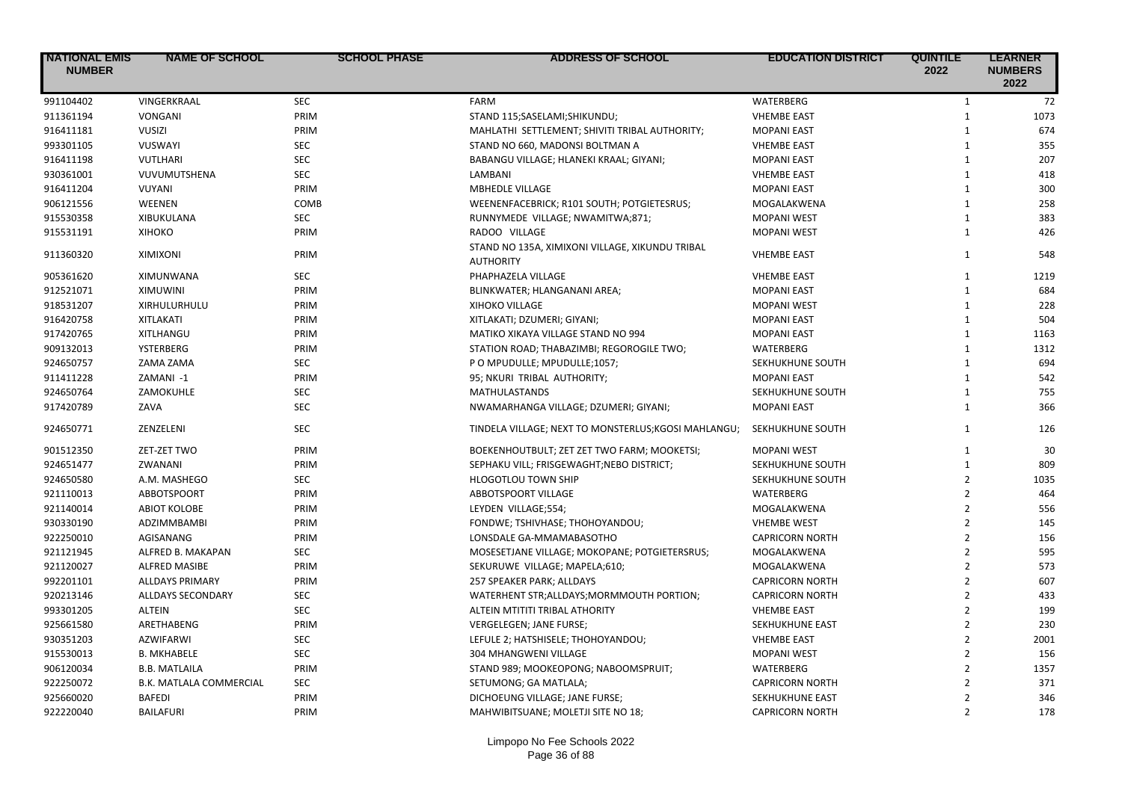| <b>NATIONAL EMIS</b><br><b>NUMBER</b> | <b>NAME OF SCHOOL</b>    | <b>SCHOOL PHASE</b> | <b>ADDRESS OF SCHOOL</b>                                            | <b>EDUCATION DISTRICT</b> | <b>QUINTILE</b><br>2022 | <b>LEARNER</b><br><b>NUMBERS</b><br>2022 |
|---------------------------------------|--------------------------|---------------------|---------------------------------------------------------------------|---------------------------|-------------------------|------------------------------------------|
| 991104402                             | VINGERKRAAL              | <b>SEC</b>          | <b>FARM</b>                                                         | WATERBERG                 | $\mathbf{1}$            | 72                                       |
| 911361194                             | <b>VONGANI</b>           | PRIM                | STAND 115; SASELAMI; SHIKUNDU;                                      | <b>VHEMBE EAST</b>        | $\mathbf{1}$            | 1073                                     |
| 916411181                             | <b>VUSIZI</b>            | PRIM                | MAHLATHI SETTLEMENT; SHIVITI TRIBAL AUTHORITY;                      | <b>MOPANI EAST</b>        | $\mathbf{1}$            | 674                                      |
| 993301105                             | <b>VUSWAYI</b>           | <b>SEC</b>          | STAND NO 660, MADONSI BOLTMAN A                                     | <b>VHEMBE EAST</b>        | $\mathbf{1}$            | 355                                      |
| 916411198                             | VUTLHARI                 | <b>SEC</b>          | BABANGU VILLAGE; HLANEKI KRAAL; GIYANI;                             | <b>MOPANI EAST</b>        | $\mathbf{1}$            | 207                                      |
| 930361001                             | VUVUMUTSHENA             | <b>SEC</b>          | LAMBANI                                                             | <b>VHEMBE EAST</b>        | $\mathbf{1}$            | 418                                      |
| 916411204                             | VUYANI                   | PRIM                | <b>MBHEDLE VILLAGE</b>                                              | <b>MOPANI EAST</b>        | $\mathbf{1}$            | 300                                      |
| 906121556                             | WEENEN                   | COMB                | WEENENFACEBRICK; R101 SOUTH; POTGIETESRUS;                          | MOGALAKWENA               | $\mathbf{1}$            | 258                                      |
| 915530358                             | XIBUKULANA               | <b>SEC</b>          | RUNNYMEDE VILLAGE; NWAMITWA;871;                                    | <b>MOPANI WEST</b>        | $\mathbf{1}$            | 383                                      |
| 915531191                             | <b>XIHOKO</b>            | PRIM                | RADOO VILLAGE                                                       | <b>MOPANI WEST</b>        | $\mathbf{1}$            | 426                                      |
| 911360320                             | <b>XIMIXONI</b>          | PRIM                | STAND NO 135A, XIMIXONI VILLAGE, XIKUNDU TRIBAL<br><b>AUTHORITY</b> | <b>VHEMBE EAST</b>        | $\mathbf{1}$            | 548                                      |
| 905361620                             | XIMUNWANA                | <b>SEC</b>          | PHAPHAZELA VILLAGE                                                  | <b>VHEMBE EAST</b>        | $\mathbf{1}$            | 1219                                     |
| 912521071                             | <b>XIMUWINI</b>          | PRIM                | BLINKWATER; HLANGANANI AREA;                                        | <b>MOPANI EAST</b>        | $\mathbf{1}$            | 684                                      |
| 918531207                             | XIRHULURHULU             | PRIM                | <b>XIHOKO VILLAGE</b>                                               | <b>MOPANI WEST</b>        | $\mathbf{1}$            | 228                                      |
| 916420758                             | <b>XITLAKATI</b>         | PRIM                | XITLAKATI; DZUMERI; GIYANI;                                         | <b>MOPANI EAST</b>        | $\mathbf{1}$            | 504                                      |
| 917420765                             | XITLHANGU                | PRIM                | MATIKO XIKAYA VILLAGE STAND NO 994                                  | <b>MOPANI EAST</b>        | $\mathbf{1}$            | 1163                                     |
| 909132013                             | YSTERBERG                | PRIM                | STATION ROAD; THABAZIMBI; REGOROGILE TWO;                           | WATERBERG                 | $\mathbf{1}$            | 1312                                     |
| 924650757                             | ZAMA ZAMA                | <b>SEC</b>          | P O MPUDULLE; MPUDULLE;1057;                                        | SEKHUKHUNE SOUTH          | $\mathbf{1}$            | 694                                      |
| 911411228                             | ZAMANI-1                 | PRIM                | 95; NKURI TRIBAL AUTHORITY;                                         | <b>MOPANI EAST</b>        | $\mathbf{1}$            | 542                                      |
| 924650764                             | ZAMOKUHLE                | <b>SEC</b>          | <b>MATHULASTANDS</b>                                                | SEKHUKHUNE SOUTH          | $\mathbf{1}$            | 755                                      |
| 917420789                             | ZAVA                     | <b>SEC</b>          | NWAMARHANGA VILLAGE; DZUMERI; GIYANI;                               | <b>MOPANI EAST</b>        | $\mathbf{1}$            | 366                                      |
| 924650771                             | ZENZELENI                | <b>SEC</b>          | TINDELA VILLAGE; NEXT TO MONSTERLUS; KGOSI MAHLANGU;                | SEKHUKHUNE SOUTH          | $\mathbf{1}$            | 126                                      |
| 901512350                             | ZET-ZET TWO              | PRIM                | BOEKENHOUTBULT; ZET ZET TWO FARM; MOOKETSI;                         | <b>MOPANI WEST</b>        | $\mathbf{1}$            | 30                                       |
| 924651477                             | ZWANANI                  | PRIM                | SEPHAKU VILL; FRISGEWAGHT; NEBO DISTRICT;                           | SEKHUKHUNE SOUTH          | $\mathbf{1}$            | 809                                      |
| 924650580                             | A.M. MASHEGO             | <b>SEC</b>          | <b>HLOGOTLOU TOWN SHIP</b>                                          | SEKHUKHUNE SOUTH          | $\overline{2}$          | 1035                                     |
| 921110013                             | ABBOTSPOORT              | PRIM                | ABBOTSPOORT VILLAGE                                                 | WATERBERG                 | $\overline{2}$          | 464                                      |
| 921140014                             | <b>ABIOT KOLOBE</b>      | PRIM                | LEYDEN VILLAGE;554;                                                 | MOGALAKWENA               | $\overline{2}$          | 556                                      |
| 930330190                             | <b>ADZIMMBAMBI</b>       | PRIM                | FONDWE; TSHIVHASE; THOHOYANDOU;                                     | <b>VHEMBE WEST</b>        | $\overline{2}$          | 145                                      |
| 922250010                             | AGISANANG                | PRIM                | LONSDALE GA-MMAMABASOTHO                                            | <b>CAPRICORN NORTH</b>    | $\overline{2}$          | 156                                      |
| 921121945                             | ALFRED B. MAKAPAN        | <b>SEC</b>          | MOSESETJANE VILLAGE; MOKOPANE; POTGIETERSRUS;                       | MOGALAKWENA               | $\overline{2}$          | 595                                      |
| 921120027                             | <b>ALFRED MASIBE</b>     | PRIM                | SEKURUWE VILLAGE; MAPELA;610;                                       | MOGALAKWENA               | $\overline{2}$          | 573                                      |
| 992201101                             | <b>ALLDAYS PRIMARY</b>   | PRIM                | 257 SPEAKER PARK; ALLDAYS                                           | <b>CAPRICORN NORTH</b>    | $\overline{2}$          | 607                                      |
| 920213146                             | <b>ALLDAYS SECONDARY</b> | <b>SEC</b>          | WATERHENT STR;ALLDAYS;MORMMOUTH PORTION;                            | <b>CAPRICORN NORTH</b>    | $\overline{2}$          | 433                                      |
| 993301205                             | <b>ALTEIN</b>            | <b>SEC</b>          | ALTEIN MTITITI TRIBAL ATHORITY                                      | <b>VHEMBE EAST</b>        | $\overline{2}$          | 199                                      |
| 925661580                             | ARETHABENG               | PRIM                | VERGELEGEN; JANE FURSE;                                             | SEKHUKHUNE EAST           | $\overline{2}$          | 230                                      |
| 930351203                             | <b>AZWIFARWI</b>         | <b>SEC</b>          | LEFULE 2; HATSHISELE; THOHOYANDOU;                                  | <b>VHEMBE EAST</b>        | $\overline{2}$          | 2001                                     |
| 915530013                             | <b>B. MKHABELE</b>       | <b>SEC</b>          | 304 MHANGWENI VILLAGE                                               | <b>MOPANI WEST</b>        | $\overline{2}$          | 156                                      |
| 906120034                             | <b>B.B. MATLAILA</b>     | PRIM                | STAND 989; MOOKEOPONG; NABOOMSPRUIT;                                | <b>WATERBERG</b>          | $\overline{2}$          | 1357                                     |
| 922250072                             | B.K. MATLALA COMMERCIAL  | <b>SEC</b>          | SETUMONG; GA MATLALA;                                               | <b>CAPRICORN NORTH</b>    | $\overline{2}$          | 371                                      |
| 925660020                             | <b>BAFEDI</b>            | PRIM                | DICHOEUNG VILLAGE; JANE FURSE;                                      | SEKHUKHUNE EAST           | $\overline{2}$          | 346                                      |
| 922220040                             | <b>BAILAFURI</b>         | PRIM                | MAHWIBITSUANE; MOLETJI SITE NO 18;                                  | <b>CAPRICORN NORTH</b>    | $\overline{2}$          | 178                                      |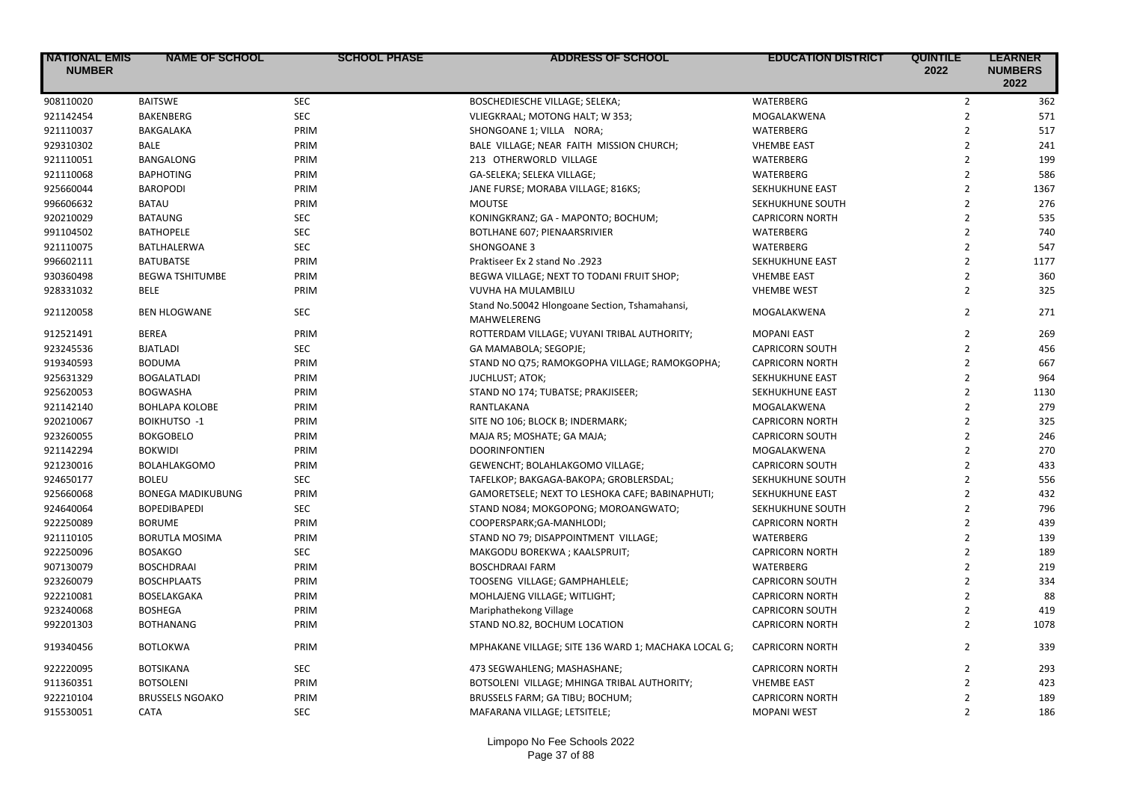| <b>NATIONAL EMIS</b><br><b>NUMBER</b> | <b>NAME OF SCHOOL</b>    | <b>SCHOOL PHASE</b> | <b>ADDRESS OF SCHOOL</b>                                      | <b>EDUCATION DISTRICT</b> | <b>QUINTILE</b><br>2022 | <b>LEARNER</b><br><b>NUMBERS</b><br>2022 |
|---------------------------------------|--------------------------|---------------------|---------------------------------------------------------------|---------------------------|-------------------------|------------------------------------------|
| 908110020                             | <b>BAITSWE</b>           | <b>SEC</b>          | BOSCHEDIESCHE VILLAGE; SELEKA;                                | <b>WATERBERG</b>          | $\overline{2}$          | 362                                      |
| 921142454                             | <b>BAKENBERG</b>         | <b>SEC</b>          | VLIEGKRAAL; MOTONG HALT; W 353;                               | MOGALAKWENA               | $\overline{2}$          | 571                                      |
| 921110037                             | BAKGALAKA                | PRIM                | SHONGOANE 1; VILLA NORA;                                      | <b>WATERBERG</b>          | $\overline{2}$          | 517                                      |
| 929310302                             | <b>BALE</b>              | PRIM                | BALE VILLAGE; NEAR FAITH MISSION CHURCH;                      | <b>VHEMBE EAST</b>        | $\overline{2}$          | 241                                      |
| 921110051                             | BANGALONG                | PRIM                | 213 OTHERWORLD VILLAGE                                        | WATERBERG                 | $\overline{2}$          | 199                                      |
| 921110068                             | <b>BAPHOTING</b>         | PRIM                | GA-SELEKA; SELEKA VILLAGE;                                    | <b>WATERBERG</b>          | $\overline{2}$          | 586                                      |
| 925660044                             | <b>BAROPODI</b>          | PRIM                | JANE FURSE; MORABA VILLAGE; 816KS;                            | SEKHUKHUNE EAST           | $\overline{2}$          | 1367                                     |
| 996606632                             | <b>BATAU</b>             | PRIM                | <b>MOUTSE</b>                                                 | SEKHUKHUNE SOUTH          | $\overline{2}$          | 276                                      |
| 920210029                             | <b>BATAUNG</b>           | <b>SEC</b>          | KONINGKRANZ; GA - MAPONTO; BOCHUM;                            | <b>CAPRICORN NORTH</b>    | $\overline{2}$          | 535                                      |
| 991104502                             | <b>BATHOPELE</b>         | <b>SEC</b>          | <b>BOTLHANE 607; PIENAARSRIVIER</b>                           | WATERBERG                 | $\overline{2}$          | 740                                      |
| 921110075                             | BATLHALERWA              | <b>SEC</b>          | SHONGOANE 3                                                   | WATERBERG                 | $\overline{2}$          | 547                                      |
| 996602111                             | <b>BATUBATSE</b>         | PRIM                | Praktiseer Ex 2 stand No .2923                                | SEKHUKHUNE EAST           | $\overline{2}$          | 1177                                     |
| 930360498                             | <b>BEGWA TSHITUMBE</b>   | PRIM                | BEGWA VILLAGE; NEXT TO TODANI FRUIT SHOP;                     | <b>VHEMBE EAST</b>        | $\overline{2}$          | 360                                      |
| 928331032                             | <b>BELE</b>              | PRIM                | VUVHA HA MULAMBILU                                            | <b>VHEMBE WEST</b>        | $\overline{2}$          | 325                                      |
| 921120058                             | <b>BEN HLOGWANE</b>      | <b>SEC</b>          | Stand No.50042 Hlongoane Section, Tshamahansi,<br>MAHWELERENG | MOGALAKWENA               | $\overline{2}$          | 271                                      |
| 912521491                             | <b>BEREA</b>             | PRIM                | ROTTERDAM VILLAGE; VUYANI TRIBAL AUTHORITY;                   | <b>MOPANI EAST</b>        | $\overline{2}$          | 269                                      |
| 923245536                             | <b>BJATLADI</b>          | <b>SEC</b>          | GA MAMABOLA; SEGOPJE;                                         | <b>CAPRICORN SOUTH</b>    | $\overline{2}$          | 456                                      |
| 919340593                             | <b>BODUMA</b>            | PRIM                | STAND NO Q75; RAMOKGOPHA VILLAGE; RAMOKGOPHA;                 | <b>CAPRICORN NORTH</b>    | $\overline{2}$          | 667                                      |
| 925631329                             | <b>BOGALATLADI</b>       | PRIM                | <b>JUCHLUST; ATOK;</b>                                        | SEKHUKHUNE EAST           | $\overline{2}$          | 964                                      |
| 925620053                             | <b>BOGWASHA</b>          | PRIM                | STAND NO 174; TUBATSE; PRAKJISEER;                            | SEKHUKHUNE EAST           | $\overline{2}$          | 1130                                     |
| 921142140                             | <b>BOHLAPA KOLOBE</b>    | PRIM                | RANTLAKANA                                                    | MOGALAKWENA               | $\overline{2}$          | 279                                      |
| 920210067                             | <b>BOIKHUTSO -1</b>      | PRIM                | SITE NO 106; BLOCK B; INDERMARK;                              | <b>CAPRICORN NORTH</b>    | $\overline{2}$          | 325                                      |
| 923260055                             | <b>BOKGOBELO</b>         | PRIM                | MAJA R5; MOSHATE; GA MAJA;                                    | <b>CAPRICORN SOUTH</b>    | $\overline{2}$          | 246                                      |
| 921142294                             | <b>BOKWIDI</b>           | PRIM                | <b>DOORINFONTIEN</b>                                          | MOGALAKWENA               | $\overline{2}$          | 270                                      |
| 921230016                             | <b>BOLAHLAKGOMO</b>      | PRIM                | GEWENCHT; BOLAHLAKGOMO VILLAGE;                               | <b>CAPRICORN SOUTH</b>    | $\overline{2}$          | 433                                      |
| 924650177                             | <b>BOLEU</b>             | <b>SEC</b>          | TAFELKOP; BAKGAGA-BAKOPA; GROBLERSDAL;                        | SEKHUKHUNE SOUTH          | $\overline{2}$          | 556                                      |
| 925660068                             | <b>BONEGA MADIKUBUNG</b> | PRIM                | GAMORETSELE; NEXT TO LESHOKA CAFE; BABINAPHUTI;               | SEKHUKHUNE EAST           | $\overline{2}$          | 432                                      |
| 924640064                             | <b>BOPEDIBAPEDI</b>      | <b>SEC</b>          | STAND NO84; MOKGOPONG; MOROANGWATO;                           | SEKHUKHUNE SOUTH          | $\overline{2}$          | 796                                      |
| 922250089                             | <b>BORUME</b>            | PRIM                | COOPERSPARK;GA-MANHLODI;                                      | <b>CAPRICORN NORTH</b>    | $\overline{2}$          | 439                                      |
| 921110105                             | <b>BORUTLA MOSIMA</b>    | PRIM                | STAND NO 79; DISAPPOINTMENT VILLAGE;                          | <b>WATERBERG</b>          | $\overline{2}$          | 139                                      |
| 922250096                             | <b>BOSAKGO</b>           | <b>SEC</b>          | MAKGODU BOREKWA; KAALSPRUIT;                                  | <b>CAPRICORN NORTH</b>    | $\overline{2}$          | 189                                      |
| 907130079                             | <b>BOSCHDRAAI</b>        | PRIM                | <b>BOSCHDRAAI FARM</b>                                        | <b>WATERBERG</b>          | $\overline{2}$          | 219                                      |
| 923260079                             | <b>BOSCHPLAATS</b>       | PRIM                | TOOSENG VILLAGE; GAMPHAHLELE;                                 | <b>CAPRICORN SOUTH</b>    | $\overline{2}$          | 334                                      |
| 922210081                             | BOSELAKGAKA              | PRIM                | MOHLAJENG VILLAGE; WITLIGHT;                                  | <b>CAPRICORN NORTH</b>    | $\overline{2}$          | 88                                       |
| 923240068                             | <b>BOSHEGA</b>           | PRIM                | Mariphathekong Village                                        | <b>CAPRICORN SOUTH</b>    | $\overline{2}$          | 419                                      |
| 992201303                             | <b>BOTHANANG</b>         | PRIM                | STAND NO.82, BOCHUM LOCATION                                  | <b>CAPRICORN NORTH</b>    | $\overline{2}$          | 1078                                     |
| 919340456                             | <b>BOTLOKWA</b>          | PRIM                | MPHAKANE VILLAGE; SITE 136 WARD 1; MACHAKA LOCAL G;           | <b>CAPRICORN NORTH</b>    | $\overline{2}$          | 339                                      |
| 922220095                             | <b>BOTSIKANA</b>         | <b>SEC</b>          | 473 SEGWAHLENG; MASHASHANE;                                   | <b>CAPRICORN NORTH</b>    | $\overline{2}$          | 293                                      |
| 911360351                             | <b>BOTSOLENI</b>         | PRIM                | BOTSOLENI VILLAGE; MHINGA TRIBAL AUTHORITY;                   | <b>VHEMBE EAST</b>        | $\overline{2}$          | 423                                      |
| 922210104                             | <b>BRUSSELS NGOAKO</b>   | PRIM                | BRUSSELS FARM; GA TIBU; BOCHUM;                               | <b>CAPRICORN NORTH</b>    | $\overline{2}$          | 189                                      |
| 915530051                             | CATA                     | <b>SEC</b>          | MAFARANA VILLAGE; LETSITELE;                                  | <b>MOPANI WEST</b>        | $\overline{2}$          | 186                                      |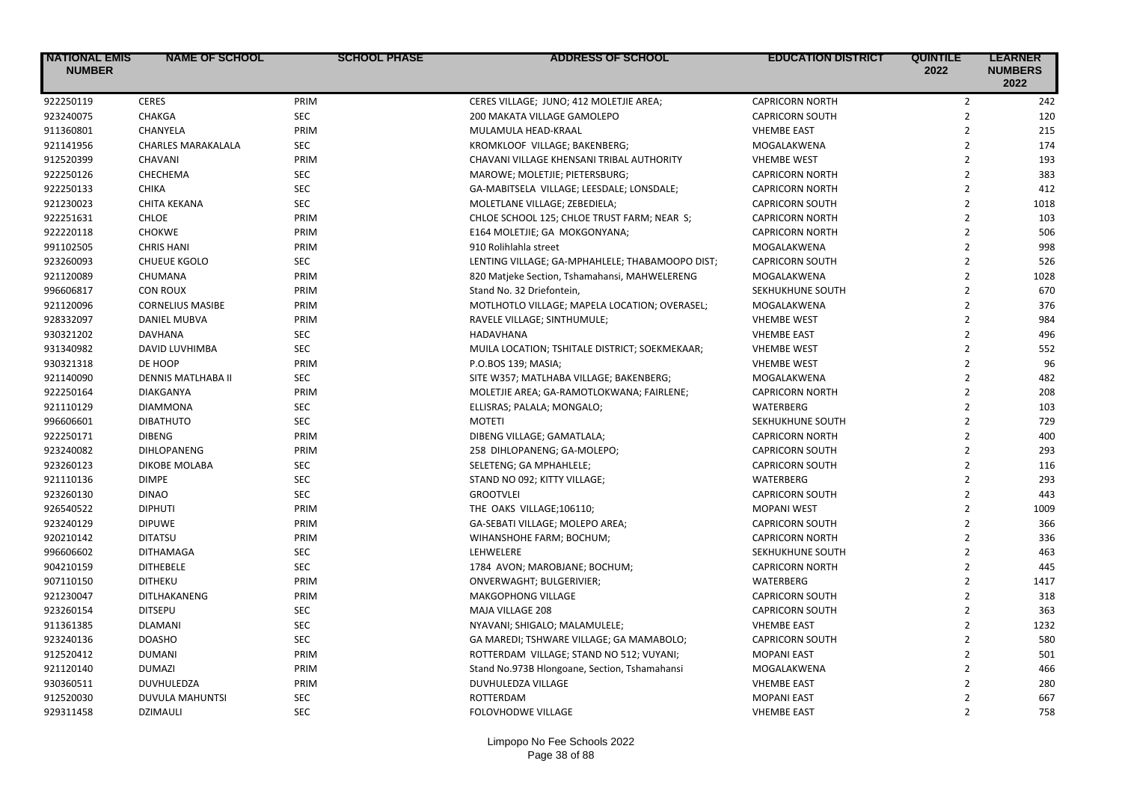| <b>INATIONAL EMIS</b><br><b>NUMBER</b> | <b>NAME OF SCHOOL</b>     | <b>SCHOOL PHASE</b> | <b>ADDRESS OF SCHOOL</b>                        | <b>EDUCATION DISTRICT</b> | <b>QUINTILE</b><br>2022 | <b>LEARNER</b><br><b>NUMBERS</b><br>2022 |
|----------------------------------------|---------------------------|---------------------|-------------------------------------------------|---------------------------|-------------------------|------------------------------------------|
| 922250119                              | <b>CERES</b>              | PRIM                | CERES VILLAGE; JUNO; 412 MOLETJIE AREA;         | <b>CAPRICORN NORTH</b>    | $\overline{2}$          | 242                                      |
| 923240075                              | <b>CHAKGA</b>             | <b>SEC</b>          | 200 MAKATA VILLAGE GAMOLEPO                     | <b>CAPRICORN SOUTH</b>    | $\overline{2}$          | 120                                      |
| 911360801                              | CHANYELA                  | PRIM                | MULAMULA HEAD-KRAAL                             | <b>VHEMBE EAST</b>        | $\overline{2}$          | 215                                      |
| 921141956                              | <b>CHARLES MARAKALALA</b> | <b>SEC</b>          | KROMKLOOF VILLAGE; BAKENBERG;                   | MOGALAKWENA               | $\overline{2}$          | 174                                      |
| 912520399                              | CHAVANI                   | PRIM                | CHAVANI VILLAGE KHENSANI TRIBAL AUTHORITY       | <b>VHEMBE WEST</b>        | $\overline{2}$          | 193                                      |
| 922250126                              | CHECHEMA                  | SEC                 | MAROWE; MOLETJIE; PIETERSBURG;                  | <b>CAPRICORN NORTH</b>    | $\overline{2}$          | 383                                      |
| 922250133                              | <b>CHIKA</b>              | <b>SEC</b>          | GA-MABITSELA VILLAGE; LEESDALE; LONSDALE;       | <b>CAPRICORN NORTH</b>    | $\overline{2}$          | 412                                      |
| 921230023                              | <b>CHITA KEKANA</b>       | <b>SEC</b>          | MOLETLANE VILLAGE; ZEBEDIELA;                   | <b>CAPRICORN SOUTH</b>    | $\overline{2}$          | 1018                                     |
| 922251631                              | <b>CHLOE</b>              | PRIM                | CHLOE SCHOOL 125; CHLOE TRUST FARM; NEAR S;     | <b>CAPRICORN NORTH</b>    | $\overline{2}$          | 103                                      |
| 922220118                              | <b>CHOKWE</b>             | PRIM                | E164 MOLETJIE; GA MOKGONYANA;                   | <b>CAPRICORN NORTH</b>    | $\overline{2}$          | 506                                      |
| 991102505                              | <b>CHRIS HANI</b>         | PRIM                | 910 Rolihlahla street                           | MOGALAKWENA               | $\overline{2}$          | 998                                      |
| 923260093                              | <b>CHUEUE KGOLO</b>       | <b>SEC</b>          | LENTING VILLAGE; GA-MPHAHLELE; THABAMOOPO DIST; | <b>CAPRICORN SOUTH</b>    | $\overline{2}$          | 526                                      |
| 921120089                              | CHUMANA                   | PRIM                | 820 Matjeke Section, Tshamahansi, MAHWELERENG   | MOGALAKWENA               | $\overline{2}$          | 1028                                     |
| 996606817                              | <b>CON ROUX</b>           | PRIM                | Stand No. 32 Driefontein,                       | SEKHUKHUNE SOUTH          | $\overline{2}$          | 670                                      |
| 921120096                              | <b>CORNELIUS MASIBE</b>   | PRIM                | MOTLHOTLO VILLAGE; MAPELA LOCATION; OVERASEL;   | MOGALAKWENA               | $\overline{2}$          | 376                                      |
| 928332097                              | <b>DANIEL MUBVA</b>       | PRIM                | RAVELE VILLAGE; SINTHUMULE;                     | <b>VHEMBE WEST</b>        | $\overline{2}$          | 984                                      |
| 930321202                              | DAVHANA                   | <b>SEC</b>          | HADAVHANA                                       | <b>VHEMBE EAST</b>        | $\overline{2}$          | 496                                      |
| 931340982                              | DAVID LUVHIMBA            | <b>SEC</b>          | MUILA LOCATION; TSHITALE DISTRICT; SOEKMEKAAR;  | <b>VHEMBE WEST</b>        | $\overline{2}$          | 552                                      |
| 930321318                              | DE HOOP                   | PRIM                | P.O.BOS 139; MASIA;                             | <b>VHEMBE WEST</b>        | $\overline{2}$          | 96                                       |
| 921140090                              | DENNIS MATLHABA II        | <b>SEC</b>          | SITE W357; MATLHABA VILLAGE; BAKENBERG;         | MOGALAKWENA               | $\overline{2}$          | 482                                      |
| 922250164                              | <b>DIAKGANYA</b>          | PRIM                | MOLETJIE AREA; GA-RAMOTLOKWANA; FAIRLENE;       | <b>CAPRICORN NORTH</b>    | $\overline{2}$          | 208                                      |
| 921110129                              | <b>DIAMMONA</b>           | <b>SEC</b>          | ELLISRAS; PALALA; MONGALO;                      | WATERBERG                 | $\overline{2}$          | 103                                      |
| 996606601                              | <b>DIBATHUTO</b>          | <b>SEC</b>          | <b>MOTETI</b>                                   | SEKHUKHUNE SOUTH          | $\overline{2}$          | 729                                      |
| 922250171                              | <b>DIBENG</b>             | PRIM                | DIBENG VILLAGE; GAMATLALA;                      | <b>CAPRICORN NORTH</b>    | $\overline{2}$          | 400                                      |
| 923240082                              | DIHLOPANENG               | PRIM                | 258 DIHLOPANENG; GA-MOLEPO;                     | <b>CAPRICORN SOUTH</b>    | $\overline{2}$          | 293                                      |
| 923260123                              | DIKOBE MOLABA             | <b>SEC</b>          | SELETENG; GA MPHAHLELE;                         | <b>CAPRICORN SOUTH</b>    | $\overline{2}$          | 116                                      |
| 921110136                              | <b>DIMPE</b>              | <b>SEC</b>          | STAND NO 092; KITTY VILLAGE;                    | WATERBERG                 | $\overline{2}$          | 293                                      |
| 923260130                              | <b>DINAO</b>              | <b>SEC</b>          | <b>GROOTVLEI</b>                                | <b>CAPRICORN SOUTH</b>    | $\overline{2}$          | 443                                      |
| 926540522                              | <b>DIPHUTI</b>            | PRIM                | THE OAKS VILLAGE;106110;                        | <b>MOPANI WEST</b>        | $\overline{2}$          | 1009                                     |
| 923240129                              | <b>DIPUWE</b>             | PRIM                | GA-SEBATI VILLAGE; MOLEPO AREA;                 | <b>CAPRICORN SOUTH</b>    | $\overline{2}$          | 366                                      |
| 920210142                              | <b>DITATSU</b>            | PRIM                | WIHANSHOHE FARM; BOCHUM;                        | <b>CAPRICORN NORTH</b>    | $\overline{2}$          | 336                                      |
| 996606602                              | <b>DITHAMAGA</b>          | <b>SEC</b>          | LEHWELERE                                       | SEKHUKHUNE SOUTH          | $\overline{2}$          | 463                                      |
| 904210159                              | <b>DITHEBELE</b>          | <b>SEC</b>          | 1784 AVON; MAROBJANE; BOCHUM;                   | <b>CAPRICORN NORTH</b>    | $\overline{2}$          | 445                                      |
| 907110150                              | <b>DITHEKU</b>            | PRIM                | ONVERWAGHT; BULGERIVIER;                        | WATERBERG                 | $\overline{2}$          | 1417                                     |
| 921230047                              | DITLHAKANENG              | PRIM                | <b>MAKGOPHONG VILLAGE</b>                       | <b>CAPRICORN SOUTH</b>    | $\overline{2}$          | 318                                      |
| 923260154                              | <b>DITSEPU</b>            | <b>SEC</b>          | MAJA VILLAGE 208                                | <b>CAPRICORN SOUTH</b>    | $\overline{2}$          | 363                                      |
| 911361385                              | <b>DLAMANI</b>            | <b>SEC</b>          | NYAVANI; SHIGALO; MALAMULELE;                   | <b>VHEMBE EAST</b>        | $\overline{2}$          | 1232                                     |
| 923240136                              | <b>DOASHO</b>             | <b>SEC</b>          | GA MAREDI; TSHWARE VILLAGE; GA MAMABOLO;        | <b>CAPRICORN SOUTH</b>    | $\overline{2}$          | 580                                      |
| 912520412                              | <b>DUMANI</b>             | PRIM                | ROTTERDAM VILLAGE; STAND NO 512; VUYANI;        | <b>MOPANI EAST</b>        | $\overline{2}$          | 501                                      |
| 921120140                              | <b>DUMAZI</b>             | PRIM                | Stand No.973B Hlongoane, Section, Tshamahansi   | MOGALAKWENA               | $\overline{2}$          | 466                                      |
| 930360511                              | <b>DUVHULEDZA</b>         | PRIM                | DUVHULEDZA VILLAGE                              | <b>VHEMBE EAST</b>        | $\overline{2}$          | 280                                      |
| 912520030                              | DUVULA MAHUNTSI           | <b>SEC</b>          | ROTTERDAM                                       | <b>MOPANI EAST</b>        | $\overline{2}$          | 667                                      |
| 929311458                              | <b>DZIMAULI</b>           | <b>SEC</b>          | <b>FOLOVHODWE VILLAGE</b>                       | <b>VHEMBE EAST</b>        | $\overline{2}$          | 758                                      |
|                                        |                           |                     |                                                 |                           |                         |                                          |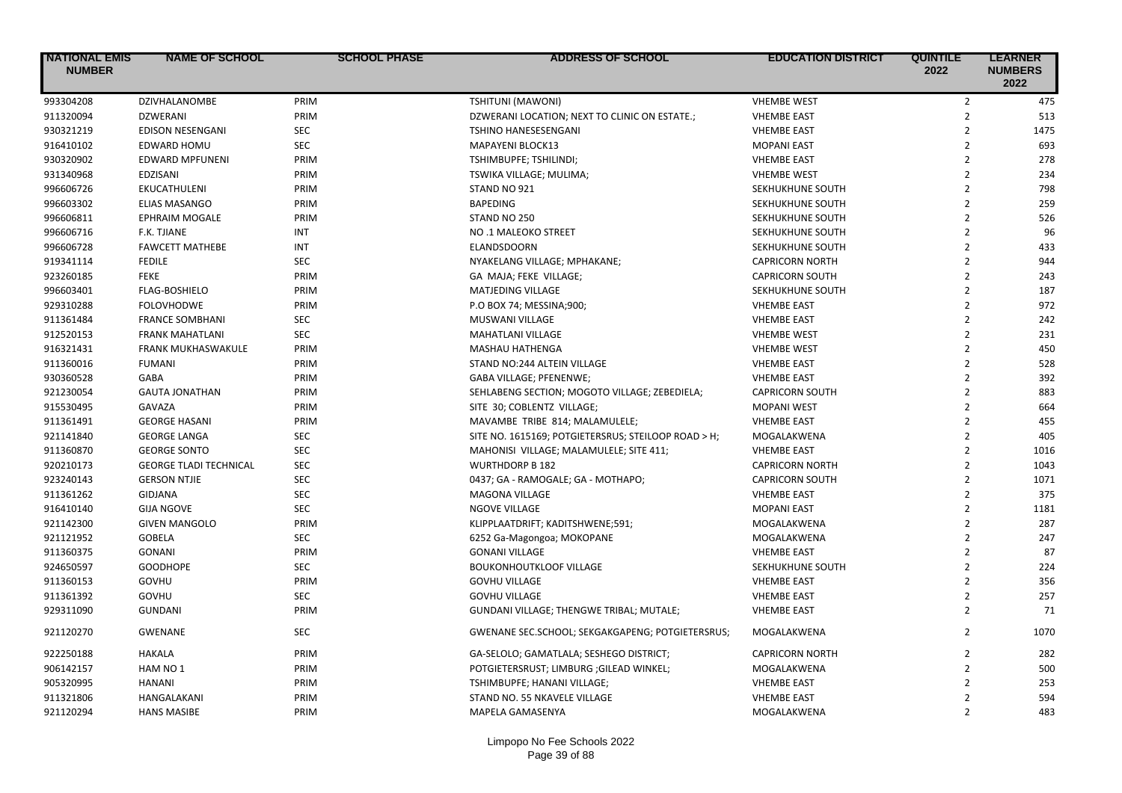| <b>NATIONAL EMIS</b><br><b>NUMBER</b> | <b>NAME OF SCHOOL</b>         | <b>SCHOOL PHASE</b> | ADDRESS OF SCHOOL                                   | <b>EDUCATION DISTRICT</b> | <b>QUINTILE</b><br>2022 | <b>LEARNER</b><br><b>NUMBERS</b><br>2022 |
|---------------------------------------|-------------------------------|---------------------|-----------------------------------------------------|---------------------------|-------------------------|------------------------------------------|
| 993304208                             | DZIVHALANOMBE                 | PRIM                | TSHITUNI (MAWONI)                                   | <b>VHEMBE WEST</b>        | $\overline{2}$          | 475                                      |
| 911320094                             | <b>DZWERANI</b>               | PRIM                | DZWERANI LOCATION; NEXT TO CLINIC ON ESTATE.;       | <b>VHEMBE EAST</b>        | $\overline{2}$          | 513                                      |
| 930321219                             | EDISON NESENGANI              | SEC                 | TSHINO HANESESENGANI                                | <b>VHEMBE EAST</b>        | $\overline{2}$          | 1475                                     |
| 916410102                             | <b>EDWARD HOMU</b>            | <b>SEC</b>          | <b>MAPAYENI BLOCK13</b>                             | <b>MOPANI EAST</b>        | $\overline{2}$          | 693                                      |
| 930320902                             | <b>EDWARD MPFUNENI</b>        | PRIM                | TSHIMBUPFE; TSHILINDI;                              | <b>VHEMBE EAST</b>        | $\overline{2}$          | 278                                      |
| 931340968                             | EDZISANI                      | PRIM                | TSWIKA VILLAGE; MULIMA;                             | <b>VHEMBE WEST</b>        | $\overline{2}$          | 234                                      |
| 996606726                             | EKUCATHULENI                  | PRIM                | STAND NO 921                                        | SEKHUKHUNE SOUTH          | $\overline{2}$          | 798                                      |
| 996603302                             | <b>ELIAS MASANGO</b>          | PRIM                | <b>BAPEDING</b>                                     | SEKHUKHUNE SOUTH          | $\overline{2}$          | 259                                      |
| 996606811                             | <b>EPHRAIM MOGALE</b>         | PRIM                | STAND NO 250                                        | SEKHUKHUNE SOUTH          | $\overline{2}$          | 526                                      |
| 996606716                             | <b>F.K. TJIANE</b>            | <b>INT</b>          | NO .1 MALEOKO STREET                                | SEKHUKHUNE SOUTH          | $\overline{2}$          | 96                                       |
| 996606728                             | <b>FAWCETT MATHEBE</b>        | <b>INT</b>          | ELANDSDOORN                                         | SEKHUKHUNE SOUTH          | $\overline{2}$          | 433                                      |
| 919341114                             | <b>FEDILE</b>                 | <b>SEC</b>          | NYAKELANG VILLAGE; MPHAKANE;                        | <b>CAPRICORN NORTH</b>    | $\overline{2}$          | 944                                      |
| 923260185                             | <b>FEKE</b>                   | PRIM                | GA MAJA; FEKE VILLAGE;                              | <b>CAPRICORN SOUTH</b>    | $\overline{2}$          | 243                                      |
| 996603401                             | FLAG-BOSHIELO                 | PRIM                | MATJEDING VILLAGE                                   | SEKHUKHUNE SOUTH          | $\overline{2}$          | 187                                      |
| 929310288                             | <b>FOLOVHODWE</b>             | PRIM                | P.O BOX 74; MESSINA;900;                            | <b>VHEMBE EAST</b>        | $\overline{2}$          | 972                                      |
| 911361484                             | <b>FRANCE SOMBHANI</b>        | <b>SEC</b>          | MUSWANI VILLAGE                                     | <b>VHEMBE EAST</b>        | $\overline{2}$          | 242                                      |
| 912520153                             | <b>FRANK MAHATLANI</b>        | SEC                 | <b>MAHATLANI VILLAGE</b>                            | <b>VHEMBE WEST</b>        | $\overline{2}$          | 231                                      |
| 916321431                             | FRANK MUKHASWAKULE            | PRIM                | <b>MASHAU HATHENGA</b>                              | <b>VHEMBE WEST</b>        | $\overline{2}$          | 450                                      |
| 911360016                             | <b>FUMANI</b>                 | PRIM                | STAND NO:244 ALTEIN VILLAGE                         | <b>VHEMBE EAST</b>        | $\overline{2}$          | 528                                      |
| 930360528                             | GABA                          | PRIM                | GABA VILLAGE; PFENENWE;                             | <b>VHEMBE EAST</b>        | $\overline{2}$          | 392                                      |
| 921230054                             | <b>GAUTA JONATHAN</b>         | PRIM                | SEHLABENG SECTION; MOGOTO VILLAGE; ZEBEDIELA;       | <b>CAPRICORN SOUTH</b>    | $\overline{2}$          | 883                                      |
| 915530495                             | <b>GAVAZA</b>                 | PRIM                | SITE 30; COBLENTZ VILLAGE;                          | <b>MOPANI WEST</b>        | $\overline{2}$          | 664                                      |
| 911361491                             | <b>GEORGE HASANI</b>          | PRIM                | MAVAMBE TRIBE 814; MALAMULELE;                      | <b>VHEMBE EAST</b>        | $\overline{2}$          | 455                                      |
| 921141840                             | <b>GEORGE LANGA</b>           | <b>SEC</b>          | SITE NO. 1615169; POTGIETERSRUS; STEILOOP ROAD > H; | MOGALAKWENA               | $\overline{2}$          | 405                                      |
| 911360870                             | <b>GEORGE SONTO</b>           | <b>SEC</b>          | MAHONISI VILLAGE; MALAMULELE; SITE 411;             | <b>VHEMBE EAST</b>        | $\overline{2}$          | 1016                                     |
| 920210173                             | <b>GEORGE TLADI TECHNICAL</b> | <b>SEC</b>          | <b>WURTHDORP B 182</b>                              | <b>CAPRICORN NORTH</b>    | $\overline{2}$          | 1043                                     |
| 923240143                             | <b>GERSON NTJIE</b>           | <b>SEC</b>          | 0437; GA - RAMOGALE; GA - MOTHAPO;                  | <b>CAPRICORN SOUTH</b>    | $\overline{2}$          | 1071                                     |
| 911361262                             | <b>GIDJANA</b>                | <b>SEC</b>          | <b>MAGONA VILLAGE</b>                               | <b>VHEMBE EAST</b>        | $\overline{2}$          | 375                                      |
| 916410140                             | <b>GIJA NGOVE</b>             | <b>SEC</b>          | <b>NGOVE VILLAGE</b>                                | <b>MOPANI EAST</b>        | $\overline{2}$          | 1181                                     |
| 921142300                             | <b>GIVEN MANGOLO</b>          | PRIM                | KLIPPLAATDRIFT; KADITSHWENE;591;                    | MOGALAKWENA               | $\overline{2}$          | 287                                      |
| 921121952                             | <b>GOBELA</b>                 | <b>SEC</b>          | 6252 Ga-Magongoa; MOKOPANE                          | MOGALAKWENA               | $\overline{2}$          | 247                                      |
| 911360375                             | <b>GONANI</b>                 | PRIM                | <b>GONANI VILLAGE</b>                               | <b>VHEMBE EAST</b>        | $\overline{2}$          | 87                                       |
| 924650597                             | <b>GOODHOPE</b>               | <b>SEC</b>          | <b>BOUKONHOUTKLOOF VILLAGE</b>                      | SEKHUKHUNE SOUTH          | $\overline{2}$          | 224                                      |
| 911360153                             | GOVHU                         | PRIM                | <b>GOVHU VILLAGE</b>                                | <b>VHEMBE EAST</b>        | $\overline{2}$          | 356                                      |
| 911361392                             | GOVHU                         | <b>SEC</b>          | <b>GOVHU VILLAGE</b>                                | <b>VHEMBE EAST</b>        | $\overline{2}$          | 257                                      |
| 929311090                             | <b>GUNDANI</b>                | PRIM                | GUNDANI VILLAGE; THENGWE TRIBAL; MUTALE;            | <b>VHEMBE EAST</b>        | $\overline{2}$          | 71                                       |
| 921120270                             | <b>GWENANE</b>                | <b>SEC</b>          | GWENANE SEC.SCHOOL; SEKGAKGAPENG; POTGIETERSRUS;    | MOGALAKWENA               | $\overline{2}$          | 1070                                     |
| 922250188                             | <b>HAKALA</b>                 | PRIM                | GA-SELOLO; GAMATLALA; SESHEGO DISTRICT;             | <b>CAPRICORN NORTH</b>    | $\overline{2}$          | 282                                      |
| 906142157                             | HAM NO 1                      | PRIM                | POTGIETERSRUST; LIMBURG ; GILEAD WINKEL;            | MOGALAKWENA               | $\overline{2}$          | 500                                      |
| 905320995                             | <b>HANANI</b>                 | PRIM                | TSHIMBUPFE; HANANI VILLAGE;                         | <b>VHEMBE EAST</b>        | $\overline{2}$          | 253                                      |
| 911321806                             | HANGALAKANI                   | PRIM                | STAND NO. 55 NKAVELE VILLAGE                        | <b>VHEMBE EAST</b>        | $\overline{2}$          | 594                                      |
| 921120294                             | <b>HANS MASIBE</b>            | PRIM                | MAPELA GAMASENYA                                    | MOGALAKWENA               | $\overline{2}$          | 483                                      |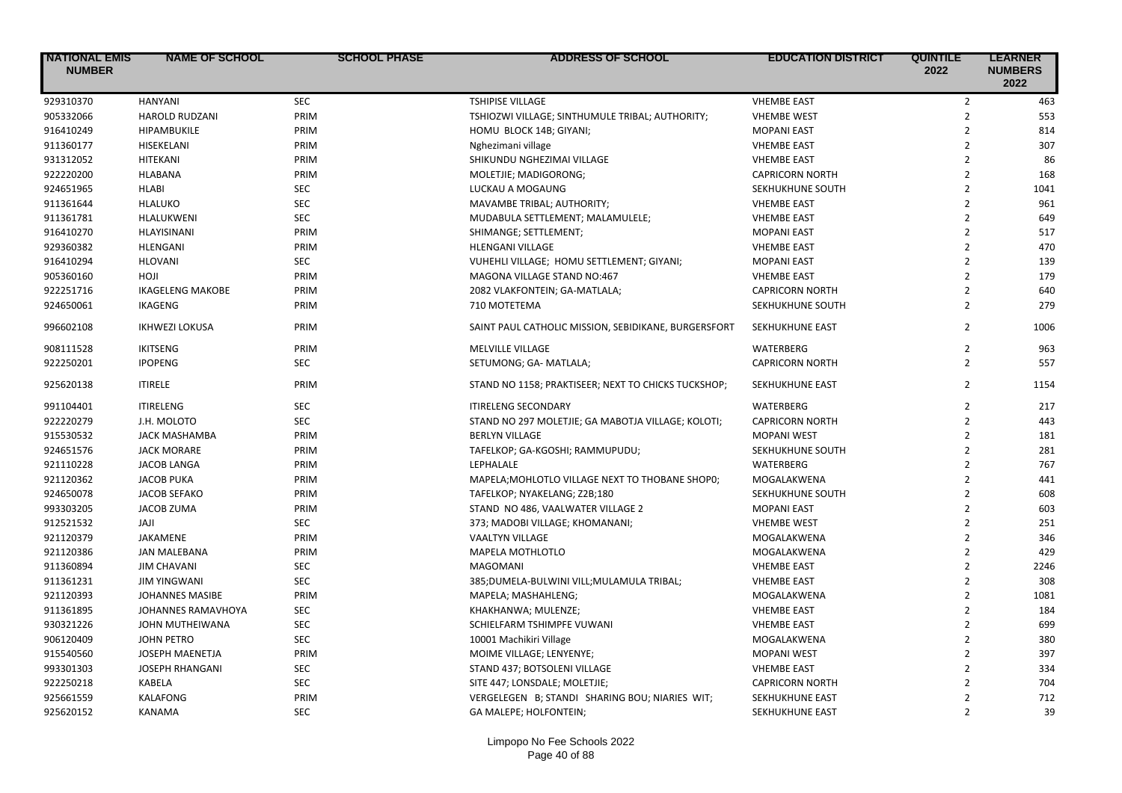| <b>NATIONAL EMIS</b><br><b>NUMBER</b> | <b>NAME OF SCHOOL</b>     | <b>SCHOOL PHASE</b> | <b>ADDRESS OF SCHOOL</b>                             | <b>EDUCATION DISTRICT</b> | <b>QUINTILE</b><br>2022 | <b>LEARNER</b><br><b>NUMBERS</b><br>2022 |
|---------------------------------------|---------------------------|---------------------|------------------------------------------------------|---------------------------|-------------------------|------------------------------------------|
| 929310370                             | HANYANI                   | <b>SEC</b>          | <b>TSHIPISE VILLAGE</b>                              | <b>VHEMBE EAST</b>        | $\overline{2}$          | 463                                      |
| 905332066                             | <b>HAROLD RUDZANI</b>     | PRIM                | TSHIOZWI VILLAGE; SINTHUMULE TRIBAL; AUTHORITY;      | <b>VHEMBE WEST</b>        | $\overline{2}$          | 553                                      |
| 916410249                             | HIPAMBUKILE               | PRIM                | HOMU BLOCK 14B; GIYANI;                              | <b>MOPANI EAST</b>        | $\overline{2}$          | 814                                      |
| 911360177                             | HISEKELANI                | PRIM                | Nghezimani village                                   | <b>VHEMBE EAST</b>        | $\overline{2}$          | 307                                      |
| 931312052                             | HITEKANI                  | PRIM                | SHIKUNDU NGHEZIMAI VILLAGE                           | <b>VHEMBE EAST</b>        | $\overline{2}$          | 86                                       |
| 922220200                             | HLABANA                   | PRIM                | MOLETJIE; MADIGORONG;                                | <b>CAPRICORN NORTH</b>    | $\overline{2}$          | 168                                      |
| 924651965                             | <b>HLABI</b>              | <b>SEC</b>          | LUCKAU A MOGAUNG                                     | SEKHUKHUNE SOUTH          | $\overline{2}$          | 1041                                     |
| 911361644                             | <b>HLALUKO</b>            | <b>SEC</b>          | MAVAMBE TRIBAL; AUTHORITY;                           | <b>VHEMBE EAST</b>        | $\overline{2}$          | 961                                      |
| 911361781                             | HLALUKWENI                | <b>SEC</b>          | MUDABULA SETTLEMENT; MALAMULELE;                     | <b>VHEMBE EAST</b>        | $\overline{2}$          | 649                                      |
| 916410270                             | HLAYISINANI               | PRIM                | SHIMANGE; SETTLEMENT;                                | <b>MOPANI EAST</b>        | $\overline{2}$          | 517                                      |
| 929360382                             | <b>HLENGANI</b>           | PRIM                | <b>HLENGANI VILLAGE</b>                              | <b>VHEMBE EAST</b>        | $\overline{2}$          | 470                                      |
| 916410294                             | <b>HLOVANI</b>            | <b>SEC</b>          | VUHEHLI VILLAGE; HOMU SETTLEMENT; GIYANI;            | <b>MOPANI EAST</b>        | $\overline{2}$          | 139                                      |
| 905360160                             | <b>HOJI</b>               | PRIM                | MAGONA VILLAGE STAND NO:467                          | <b>VHEMBE EAST</b>        | $\overline{2}$          | 179                                      |
| 922251716                             | <b>IKAGELENG MAKOBE</b>   | PRIM                | 2082 VLAKFONTEIN; GA-MATLALA;                        | <b>CAPRICORN NORTH</b>    | $\overline{2}$          | 640                                      |
| 924650061                             | IKAGENG                   | PRIM                | 710 MOTETEMA                                         | SEKHUKHUNE SOUTH          | $\overline{2}$          | 279                                      |
| 996602108                             | <b>IKHWEZI LOKUSA</b>     | PRIM                | SAINT PAUL CATHOLIC MISSION, SEBIDIKANE, BURGERSFORT | <b>SEKHUKHUNE EAST</b>    | $\overline{2}$          | 1006                                     |
| 908111528                             | <b>IKITSENG</b>           | PRIM                | MELVILLE VILLAGE                                     | WATERBERG                 | 2                       | 963                                      |
| 922250201                             | <b>IPOPENG</b>            | <b>SEC</b>          | SETUMONG; GA- MATLALA;                               | <b>CAPRICORN NORTH</b>    | $\overline{2}$          | 557                                      |
| 925620138                             | <b>ITIRELE</b>            | PRIM                | STAND NO 1158; PRAKTISEER; NEXT TO CHICKS TUCKSHOP;  | <b>SEKHUKHUNE EAST</b>    | $\overline{2}$          | 1154                                     |
| 991104401                             | <b>ITIRELENG</b>          | <b>SEC</b>          | <b>ITIRELENG SECONDARY</b>                           | WATERBERG                 | $\overline{2}$          | 217                                      |
| 922220279                             | J.H. MOLOTO               | <b>SEC</b>          | STAND NO 297 MOLETJIE; GA MABOTJA VILLAGE; KOLOTI;   | <b>CAPRICORN NORTH</b>    | $\overline{2}$          | 443                                      |
| 915530532                             | <b>JACK MASHAMBA</b>      | PRIM                | <b>BERLYN VILLAGE</b>                                | <b>MOPANI WEST</b>        | $\overline{2}$          | 181                                      |
| 924651576                             | <b>JACK MORARE</b>        | PRIM                | TAFELKOP; GA-KGOSHI; RAMMUPUDU;                      | SEKHUKHUNE SOUTH          | $\overline{2}$          | 281                                      |
| 921110228                             | JACOB LANGA               | PRIM                | LEPHALALE                                            | <b>WATERBERG</b>          | $\overline{2}$          | 767                                      |
| 921120362                             | <b>JACOB PUKA</b>         | PRIM                | MAPELA; MOHLOTLO VILLAGE NEXT TO THOBANE SHOP0;      | MOGALAKWENA               | $\overline{2}$          | 441                                      |
| 924650078                             | <b>JACOB SEFAKO</b>       | PRIM                | TAFELKOP; NYAKELANG; Z2B;180                         | SEKHUKHUNE SOUTH          | $\overline{2}$          | 608                                      |
| 993303205                             | <b>JACOB ZUMA</b>         | PRIM                | STAND NO 486, VAALWATER VILLAGE 2                    | <b>MOPANI EAST</b>        | $\overline{2}$          | 603                                      |
| 912521532                             | <b>ILAL</b>               | <b>SEC</b>          | 373; MADOBI VILLAGE; KHOMANANI;                      | <b>VHEMBE WEST</b>        | $\overline{2}$          | 251                                      |
| 921120379                             | JAKAMENE                  | PRIM                | <b>VAALTYN VILLAGE</b>                               | MOGALAKWENA               | $\overline{2}$          | 346                                      |
| 921120386                             | <b>JAN MALEBANA</b>       | PRIM                | MAPELA MOTHLOTLO                                     | MOGALAKWENA               | $\overline{2}$          | 429                                      |
| 911360894                             | <b>JIM CHAVANI</b>        | <b>SEC</b>          | MAGOMANI                                             | <b>VHEMBE EAST</b>        | $\overline{2}$          | 2246                                     |
| 911361231                             | <b>JIM YINGWANI</b>       | <b>SEC</b>          | 385;DUMELA-BULWINI VILL;MULAMULA TRIBAL;             | <b>VHEMBE EAST</b>        | $\overline{2}$          | 308                                      |
| 921120393                             | <b>JOHANNES MASIBE</b>    | PRIM                | MAPELA; MASHAHLENG;                                  | MOGALAKWENA               | $\overline{2}$          | 1081                                     |
| 911361895                             | <b>JOHANNES RAMAVHOYA</b> | <b>SEC</b>          | KHAKHANWA; MULENZE;                                  | <b>VHEMBE EAST</b>        | $\overline{2}$          | 184                                      |
| 930321226                             | JOHN MUTHEIWANA           | <b>SEC</b>          | SCHIELFARM TSHIMPFE VUWANI                           | <b>VHEMBE EAST</b>        | $\overline{2}$          | 699                                      |
| 906120409                             | <b>JOHN PETRO</b>         | <b>SEC</b>          | 10001 Machikiri Village                              | MOGALAKWENA               | $\overline{2}$          | 380                                      |
| 915540560                             | JOSEPH MAENETJA           | PRIM                | MOIME VILLAGE; LENYENYE;                             | <b>MOPANI WEST</b>        | $\overline{2}$          | 397                                      |
| 993301303                             | <b>JOSEPH RHANGANI</b>    | <b>SEC</b>          | STAND 437; BOTSOLENI VILLAGE                         | <b>VHEMBE EAST</b>        | $\overline{2}$          | 334                                      |
| 922250218                             | KABELA                    | <b>SEC</b>          | SITE 447; LONSDALE; MOLETJIE;                        | <b>CAPRICORN NORTH</b>    | $\overline{2}$          | 704                                      |
| 925661559                             | KALAFONG                  | PRIM                | VERGELEGEN B; STANDI SHARING BOU; NIARIES WIT;       | SEKHUKHUNE EAST           | $\overline{2}$          | 712                                      |
| 925620152                             | <b>KANAMA</b>             | <b>SEC</b>          | GA MALEPE; HOLFONTEIN;                               | SEKHUKHUNE EAST           | $\overline{2}$          | 39                                       |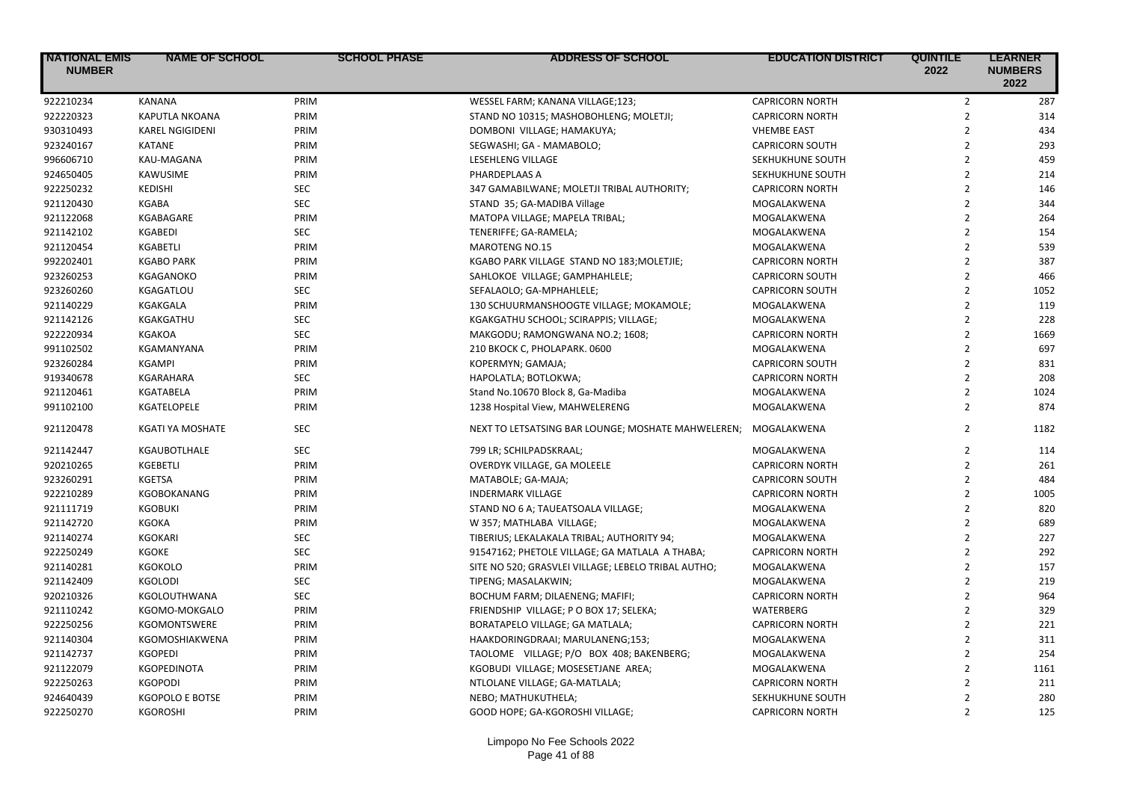| <b>NATIONAL EMIS</b><br><b>NUMBER</b> | <b>NAME OF SCHOOL</b>  | <b>SCHOOL PHASE</b> | <b>ADDRESS OF SCHOOL</b>                            | <b>EDUCATION DISTRICT</b> | <b>QUINTILE</b><br>2022 | <b>LEARNER</b><br><b>NUMBERS</b><br>2022 |
|---------------------------------------|------------------------|---------------------|-----------------------------------------------------|---------------------------|-------------------------|------------------------------------------|
| 922210234                             | <b>KANANA</b>          | PRIM                | WESSEL FARM; KANANA VILLAGE;123;                    | <b>CAPRICORN NORTH</b>    | $\overline{2}$          | 287                                      |
| 922220323                             | <b>KAPUTLA NKOANA</b>  | PRIM                | STAND NO 10315; MASHOBOHLENG; MOLETJI;              | <b>CAPRICORN NORTH</b>    | $\overline{2}$          | 314                                      |
| 930310493                             | <b>KAREL NGIGIDENI</b> | PRIM                | DOMBONI VILLAGE; HAMAKUYA;                          | <b>VHEMBE EAST</b>        | $\overline{2}$          | 434                                      |
| 923240167                             | <b>KATANE</b>          | PRIM                | SEGWASHI; GA - MAMABOLO;                            | <b>CAPRICORN SOUTH</b>    | $\overline{2}$          | 293                                      |
| 996606710                             | KAU-MAGANA             | PRIM                | LESEHLENG VILLAGE                                   | SEKHUKHUNE SOUTH          | $\overline{2}$          | 459                                      |
| 924650405                             | KAWUSIME               | PRIM                | PHARDEPLAAS A                                       | SEKHUKHUNE SOUTH          | $\overline{2}$          | 214                                      |
| 922250232                             | <b>KEDISHI</b>         | <b>SEC</b>          | 347 GAMABILWANE; MOLETJI TRIBAL AUTHORITY;          | <b>CAPRICORN NORTH</b>    | $\overline{2}$          | 146                                      |
| 921120430                             | KGABA                  | <b>SEC</b>          | STAND 35; GA-MADIBA Village                         | MOGALAKWENA               | $\overline{2}$          | 344                                      |
| 921122068                             | KGABAGARE              | PRIM                | MATOPA VILLAGE; MAPELA TRIBAL;                      | MOGALAKWENA               | $\overline{2}$          | 264                                      |
| 921142102                             | KGABEDI                | <b>SEC</b>          | TENERIFFE; GA-RAMELA;                               | MOGALAKWENA               | $\overline{2}$          | 154                                      |
| 921120454                             | KGABETLI               | PRIM                | <b>MAROTENG NO.15</b>                               | MOGALAKWENA               | $\overline{2}$          | 539                                      |
| 992202401                             | <b>KGABO PARK</b>      | PRIM                | KGABO PARK VILLAGE STAND NO 183; MOLETJIE;          | <b>CAPRICORN NORTH</b>    | $\overline{2}$          | 387                                      |
| 923260253                             | KGAGANOKO              | PRIM                | SAHLOKOE VILLAGE; GAMPHAHLELE;                      | <b>CAPRICORN SOUTH</b>    | $\overline{2}$          | 466                                      |
| 923260260                             | KGAGATLOU              | <b>SEC</b>          | SEFALAOLO; GA-MPHAHLELE;                            | <b>CAPRICORN SOUTH</b>    | $\overline{2}$          | 1052                                     |
| 921140229                             | <b>KGAKGALA</b>        | PRIM                | 130 SCHUURMANSHOOGTE VILLAGE; MOKAMOLE;             | MOGALAKWENA               | $\overline{2}$          | 119                                      |
| 921142126                             | KGAKGATHU              | <b>SEC</b>          | KGAKGATHU SCHOOL; SCIRAPPIS; VILLAGE;               | MOGALAKWENA               | $\overline{2}$          | 228                                      |
| 922220934                             | <b>KGAKOA</b>          | <b>SEC</b>          | MAKGODU; RAMONGWANA NO.2; 1608;                     | <b>CAPRICORN NORTH</b>    | $\overline{2}$          | 1669                                     |
| 991102502                             | KGAMANYANA             | PRIM                | 210 BKOCK C, PHOLAPARK. 0600                        | MOGALAKWENA               | $\overline{2}$          | 697                                      |
| 923260284                             | <b>KGAMPI</b>          | PRIM                | KOPERMYN; GAMAJA;                                   | <b>CAPRICORN SOUTH</b>    | $\overline{2}$          | 831                                      |
| 919340678                             | KGARAHARA              | <b>SEC</b>          | HAPOLATLA; BOTLOKWA;                                | <b>CAPRICORN NORTH</b>    | $\overline{2}$          | 208                                      |
| 921120461                             | <b>KGATABELA</b>       | PRIM                | Stand No.10670 Block 8, Ga-Madiba                   | MOGALAKWENA               | $\overline{2}$          | 1024                                     |
| 991102100                             | KGATELOPELE            | PRIM                | 1238 Hospital View, MAHWELERENG                     | MOGALAKWENA               | $\overline{2}$          | 874                                      |
| 921120478                             | KGATI YA MOSHATE       | <b>SEC</b>          | NEXT TO LETSATSING BAR LOUNGE; MOSHATE MAHWELEREN;  | MOGALAKWENA               | $\overline{2}$          | 1182                                     |
| 921142447                             | KGAUBOTLHALE           | <b>SEC</b>          | 799 LR; SCHILPADSKRAAL;                             | MOGALAKWENA               | $\overline{2}$          | 114                                      |
| 920210265                             | KGEBETLI               | PRIM                | OVERDYK VILLAGE, GA MOLEELE                         | <b>CAPRICORN NORTH</b>    | $\overline{2}$          | 261                                      |
| 923260291                             | <b>KGETSA</b>          | PRIM                | MATABOLE; GA-MAJA;                                  | <b>CAPRICORN SOUTH</b>    | $\overline{2}$          | 484                                      |
| 922210289                             | <b>KGOBOKANANG</b>     | PRIM                | <b>INDERMARK VILLAGE</b>                            | <b>CAPRICORN NORTH</b>    | $\overline{2}$          | 1005                                     |
| 921111719                             | <b>KGOBUKI</b>         | PRIM                | STAND NO 6 A; TAUEATSOALA VILLAGE;                  | MOGALAKWENA               | $\overline{2}$          | 820                                      |
| 921142720                             | <b>KGOKA</b>           | PRIM                | W 357; MATHLABA VILLAGE;                            | MOGALAKWENA               | $\overline{2}$          | 689                                      |
| 921140274                             | <b>KGOKARI</b>         | <b>SEC</b>          | TIBERIUS; LEKALAKALA TRIBAL; AUTHORITY 94;          | MOGALAKWENA               | $\overline{2}$          | 227                                      |
| 922250249                             | <b>KGOKE</b>           | <b>SEC</b>          | 91547162; PHETOLE VILLAGE; GA MATLALA A THABA;      | <b>CAPRICORN NORTH</b>    | $\overline{2}$          | 292                                      |
| 921140281                             | <b>KGOKOLO</b>         | PRIM                | SITE NO 520; GRASVLEI VILLAGE; LEBELO TRIBAL AUTHO; | MOGALAKWENA               | $\overline{2}$          | 157                                      |
| 921142409                             | <b>KGOLODI</b>         | <b>SEC</b>          | TIPENG; MASALAKWIN;                                 | MOGALAKWENA               | $\mathfrak{p}$          | 219                                      |
| 920210326                             | KGOLOUTHWANA           | <b>SEC</b>          | BOCHUM FARM; DILAENENG; MAFIFI;                     | <b>CAPRICORN NORTH</b>    | $\overline{2}$          | 964                                      |
| 921110242                             | KGOMO-MOKGALO          | PRIM                | FRIENDSHIP VILLAGE; P O BOX 17; SELEKA;             | <b>WATERBERG</b>          | $\overline{2}$          | 329                                      |
| 922250256                             | <b>KGOMONTSWERE</b>    | PRIM                | BORATAPELO VILLAGE; GA MATLALA;                     | <b>CAPRICORN NORTH</b>    | $\overline{2}$          | 221                                      |
| 921140304                             | KGOMOSHIAKWENA         | PRIM                | HAAKDORINGDRAAI; MARULANENG;153;                    | MOGALAKWENA               | $\overline{2}$          | 311                                      |
| 921142737                             | <b>KGOPEDI</b>         | PRIM                | TAOLOME VILLAGE; P/O BOX 408; BAKENBERG;            | MOGALAKWENA               | $\overline{2}$          | 254                                      |
| 921122079                             | <b>KGOPEDINOTA</b>     | PRIM                | KGOBUDI VILLAGE; MOSESETJANE AREA;                  | MOGALAKWENA               | $\overline{2}$          | 1161                                     |
| 922250263                             | <b>KGOPODI</b>         | PRIM                | NTLOLANE VILLAGE; GA-MATLALA;                       | <b>CAPRICORN NORTH</b>    | $\overline{2}$          | 211                                      |
| 924640439                             | <b>KGOPOLO E BOTSE</b> | PRIM                | NEBO; MATHUKUTHELA;                                 | SEKHUKHUNE SOUTH          | $\overline{2}$          | 280                                      |
| 922250270                             | <b>KGOROSHI</b>        | PRIM                | GOOD HOPE; GA-KGOROSHI VILLAGE;                     | <b>CAPRICORN NORTH</b>    | $\overline{2}$          | 125                                      |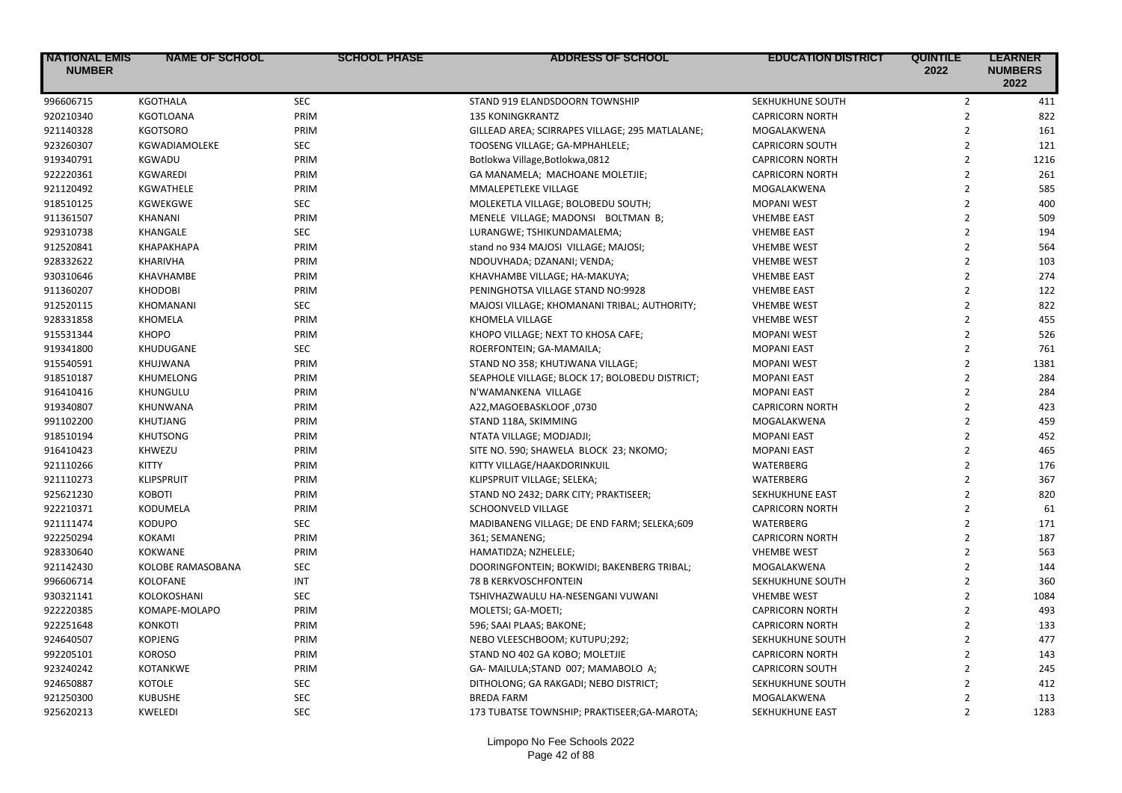| 996606715<br><b>KGOTHALA</b><br><b>SEC</b><br>STAND 919 ELANDSDOORN TOWNSHIP<br>SEKHUKHUNE SOUTH            | $\overline{2}$<br>411<br>$\overline{2}$<br>822<br>$\overline{2}$<br>161 |
|-------------------------------------------------------------------------------------------------------------|-------------------------------------------------------------------------|
|                                                                                                             |                                                                         |
| 920210340<br><b>KGOTLOANA</b><br>PRIM<br><b>135 KONINGKRANTZ</b><br><b>CAPRICORN NORTH</b>                  |                                                                         |
| 921140328<br><b>KGOTSORO</b><br>PRIM<br>GILLEAD AREA; SCIRRAPES VILLAGE; 295 MATLALANE;<br>MOGALAKWENA      |                                                                         |
| 923260307<br>KGWADIAMOLEKE<br><b>SEC</b><br>TOOSENG VILLAGE; GA-MPHAHLELE;<br><b>CAPRICORN SOUTH</b>        | $\overline{2}$<br>121                                                   |
| 919340791<br>PRIM<br>KGWADU<br>Botlokwa Village, Botlokwa, 0812<br><b>CAPRICORN NORTH</b>                   | $\overline{2}$<br>1216                                                  |
| 922220361<br>PRIM<br><b>KGWAREDI</b><br>GA MANAMELA; MACHOANE MOLETJIE;<br><b>CAPRICORN NORTH</b>           | $\overline{2}$<br>261                                                   |
| 921120492<br>PRIM<br>KGWATHELE<br>MMALEPETLEKE VILLAGE<br>MOGALAKWENA                                       | $\overline{2}$<br>585                                                   |
| 918510125<br><b>SEC</b><br><b>KGWEKGWE</b><br>MOLEKETLA VILLAGE; BOLOBEDU SOUTH;<br><b>MOPANI WEST</b>      | $\overline{2}$<br>400                                                   |
| PRIM<br>911361507<br><b>KHANANI</b><br>MENELE VILLAGE; MADONSI BOLTMAN B;<br><b>VHEMBE EAST</b>             | $\overline{2}$<br>509                                                   |
| <b>SEC</b><br>929310738<br>KHANGALE<br>LURANGWE; TSHIKUNDAMALEMA;<br><b>VHEMBE EAST</b>                     | $\overline{2}$<br>194                                                   |
| PRIM<br>912520841<br><b>КНАРАКНАРА</b><br>stand no 934 MAJOSI VILLAGE; MAJOSI;<br><b>VHEMBE WEST</b>        | $\overline{2}$<br>564                                                   |
| 928332622<br>KHARIVHA<br>PRIM<br>NDOUVHADA; DZANANI; VENDA;<br><b>VHEMBE WEST</b>                           | $\overline{2}$<br>103                                                   |
| 930310646<br>KHAVHAMBE<br>PRIM<br>KHAVHAMBE VILLAGE; HA-MAKUYA;<br><b>VHEMBE EAST</b>                       | $\overline{2}$<br>274                                                   |
| 911360207<br>PRIM<br><b>KHODOBI</b><br>PENINGHOTSA VILLAGE STAND NO:9928<br><b>VHEMBE EAST</b>              | $\overline{2}$<br>122                                                   |
| 912520115<br><b>SEC</b><br>KHOMANANI<br>MAJOSI VILLAGE; KHOMANANI TRIBAL; AUTHORITY;<br><b>VHEMBE WEST</b>  | $\overline{2}$<br>822                                                   |
| 928331858<br>PRIM<br><b>KHOMELA</b><br>KHOMELA VILLAGE<br><b>VHEMBE WEST</b>                                | $\overline{2}$<br>455                                                   |
| 915531344<br><b>KHOPO</b><br>PRIM<br>KHOPO VILLAGE; NEXT TO KHOSA CAFE;<br><b>MOPANI WEST</b>               | $\overline{2}$<br>526                                                   |
| <b>SEC</b><br>919341800<br>KHUDUGANE<br><b>MOPANI EAST</b><br>ROERFONTEIN; GA-MAMAILA;                      | $\overline{2}$<br>761                                                   |
| PRIM<br>915540591<br><b>KHUJWANA</b><br>STAND NO 358; KHUTJWANA VILLAGE;<br><b>MOPANI WEST</b>              | $\overline{2}$<br>1381                                                  |
| 918510187<br>PRIM<br>KHUMELONG<br>SEAPHOLE VILLAGE; BLOCK 17; BOLOBEDU DISTRICT;<br><b>MOPANI EAST</b>      | $\overline{2}$<br>284                                                   |
| 916410416<br>PRIM<br>KHUNGULU<br>N'WAMANKENA VILLAGE<br><b>MOPANI EAST</b>                                  | $\overline{2}$<br>284                                                   |
| 919340807<br>PRIM<br>A22, MAGOEBASKLOOF, 0730<br>KHUNWANA<br><b>CAPRICORN NORTH</b>                         | $\overline{2}$<br>423                                                   |
| 991102200<br><b>KHUTJANG</b><br>PRIM<br>STAND 118A, SKIMMING<br>MOGALAKWENA                                 | $\overline{2}$<br>459                                                   |
| 918510194<br><b>KHUTSONG</b><br>PRIM<br><b>MOPANI EAST</b><br>NTATA VILLAGE; MODJADJI;                      | $\overline{2}$<br>452                                                   |
| PRIM<br>916410423<br>KHWEZU<br><b>MOPANI EAST</b><br>SITE NO. 590; SHAWELA BLOCK 23; NKOMO;                 | $\overline{2}$<br>465                                                   |
| 921110266<br>KITTY<br>PRIM<br>KITTY VILLAGE/HAAKDORINKUIL<br>WATERBERG                                      | $\overline{2}$<br>176                                                   |
| PRIM<br>921110273<br><b>KLIPSPRUIT</b><br>KLIPSPRUIT VILLAGE; SELEKA;<br>WATERBERG                          | $\overline{2}$<br>367                                                   |
| 925621230<br>PRIM<br><b>KOBOTI</b><br>STAND NO 2432; DARK CITY; PRAKTISEER;<br>SEKHUKHUNE EAST              | $\overline{2}$<br>820                                                   |
| 922210371<br>PRIM<br><b>CAPRICORN NORTH</b><br><b>KODUMELA</b><br>SCHOONVELD VILLAGE                        | $\overline{2}$<br>61                                                    |
| 921111474<br><b>KODUPO</b><br><b>SEC</b><br>MADIBANENG VILLAGE; DE END FARM; SELEKA;609<br><b>WATERBERG</b> | $\overline{2}$<br>171                                                   |
| 922250294<br>PRIM<br>KOKAMI<br>361; SEMANENG;<br><b>CAPRICORN NORTH</b>                                     | $\overline{2}$<br>187                                                   |
| 928330640<br>PRIM<br><b>VHEMBE WEST</b><br><b>KOKWANE</b><br>HAMATIDZA; NZHELELE;                           | $\overline{2}$<br>563                                                   |
| 921142430<br>KOLOBE RAMASOBANA<br><b>SEC</b><br>DOORINGFONTEIN; BOKWIDI; BAKENBERG TRIBAL;<br>MOGALAKWENA   | $\overline{2}$<br>144                                                   |
| 996606714<br>KOLOFANE<br><b>INT</b><br>78 B KERKVOSCHFONTEIN<br>SEKHUKHUNE SOUTH                            | $\overline{2}$<br>360                                                   |
| 930321141<br><b>SEC</b><br>KOLOKOSHANI<br>TSHIVHAZWAULU HA-NESENGANI VUWANI<br><b>VHEMBE WEST</b>           | $\overline{2}$<br>1084                                                  |
| 922220385<br>KOMAPE-MOLAPO<br>PRIM<br>MOLETSI; GA-MOETI;<br><b>CAPRICORN NORTH</b>                          | $\overline{2}$<br>493                                                   |
| 922251648<br><b>KONKOTI</b><br>PRIM<br>596; SAAI PLAAS; BAKONE;<br><b>CAPRICORN NORTH</b>                   | $\overline{2}$<br>133                                                   |
| 924640507<br><b>KOPJENG</b><br>PRIM<br>NEBO VLEESCHBOOM; KUTUPU;292;<br>SEKHUKHUNE SOUTH                    | $\overline{2}$<br>477                                                   |
| 992205101<br>PRIM<br><b>KOROSO</b><br>STAND NO 402 GA KOBO; MOLETJIE<br><b>CAPRICORN NORTH</b>              | $\overline{2}$<br>143                                                   |
| 923240242<br><b>KOTANKWE</b><br>PRIM<br>GA-MAILULA;STAND 007; MAMABOLO A;<br><b>CAPRICORN SOUTH</b>         | $\overline{2}$<br>245                                                   |
| 924650887<br><b>SEC</b><br><b>KOTOLE</b><br>DITHOLONG; GA RAKGADI; NEBO DISTRICT;<br>SEKHUKHUNE SOUTH       | $\overline{2}$<br>412                                                   |
| 921250300<br><b>SEC</b><br><b>KUBUSHE</b><br><b>BREDA FARM</b><br>MOGALAKWENA                               | $\overline{2}$<br>113                                                   |
| <b>SEC</b><br>925620213<br><b>KWELEDI</b><br>SEKHUKHUNE EAST<br>173 TUBATSE TOWNSHIP; PRAKTISEER;GA-MAROTA; | $\overline{2}$<br>1283                                                  |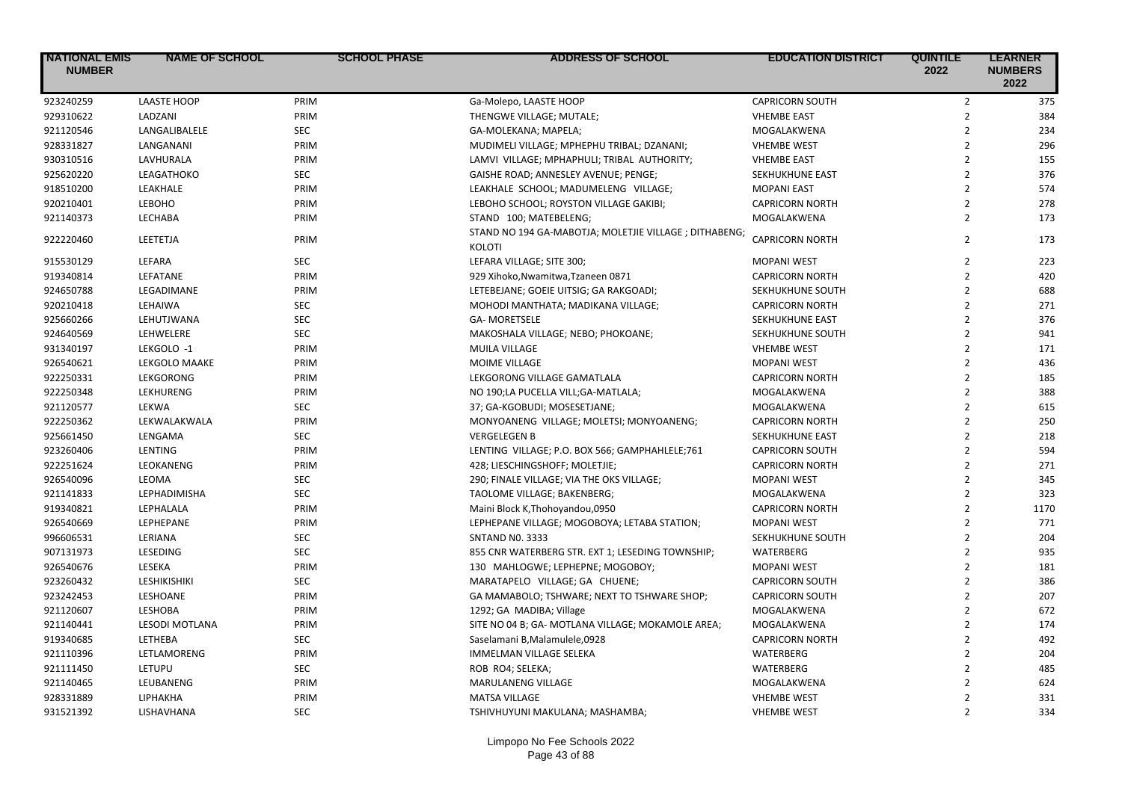| <b>NATIONAL EMIS</b><br><b>NUMBER</b> | <b>NAME OF SCHOOL</b> | <b>SCHOOL PHASE</b> | <b>ADDRESS OF SCHOOL</b>                                               | <b>EDUCATION DISTRICT</b> | <b>QUINTILE</b><br>2022 | <b>LEARNER</b><br><b>NUMBERS</b><br>2022 |
|---------------------------------------|-----------------------|---------------------|------------------------------------------------------------------------|---------------------------|-------------------------|------------------------------------------|
| 923240259                             | <b>LAASTE HOOP</b>    | PRIM                | Ga-Molepo, LAASTE HOOP                                                 | <b>CAPRICORN SOUTH</b>    | $\mathbf 2$             | 375                                      |
| 929310622                             | LADZANI               | PRIM                | THENGWE VILLAGE; MUTALE;                                               | <b>VHEMBE EAST</b>        | $\overline{2}$          | 384                                      |
| 921120546                             | LANGALIBALELE         | <b>SEC</b>          | GA-MOLEKANA; MAPELA;                                                   | MOGALAKWENA               | $\overline{2}$          | 234                                      |
| 928331827                             | LANGANANI             | PRIM                | MUDIMELI VILLAGE; MPHEPHU TRIBAL; DZANANI;                             | <b>VHEMBE WEST</b>        | $\overline{2}$          | 296                                      |
| 930310516                             | LAVHURALA             | PRIM                | LAMVI VILLAGE; MPHAPHULI; TRIBAL AUTHORITY;                            | <b>VHEMBE EAST</b>        | $\overline{2}$          | 155                                      |
| 925620220                             | LEAGATHOKO            | <b>SEC</b>          | GAISHE ROAD; ANNESLEY AVENUE; PENGE;                                   | SEKHUKHUNE EAST           | $\overline{2}$          | 376                                      |
| 918510200                             | LEAKHALE              | PRIM                | LEAKHALE SCHOOL; MADUMELENG VILLAGE;                                   | <b>MOPANI EAST</b>        | $\overline{2}$          | 574                                      |
| 920210401                             | LEBOHO                | PRIM                | LEBOHO SCHOOL; ROYSTON VILLAGE GAKIBI;                                 | <b>CAPRICORN NORTH</b>    | $\overline{2}$          | 278                                      |
| 921140373                             | LECHABA               | PRIM                | STAND 100; MATEBELENG;                                                 | MOGALAKWENA               | $\overline{2}$          | 173                                      |
| 922220460                             | LEETETJA              | PRIM                | STAND NO 194 GA-MABOTJA; MOLETJIE VILLAGE; DITHABENG;<br><b>KOLOTI</b> | <b>CAPRICORN NORTH</b>    | $\overline{2}$          | 173                                      |
| 915530129                             | LEFARA                | <b>SEC</b>          | LEFARA VILLAGE; SITE 300;                                              | <b>MOPANI WEST</b>        | $\overline{2}$          | 223                                      |
| 919340814                             | LEFATANE              | PRIM                | 929 Xihoko, Nwamitwa, Tzaneen 0871                                     | <b>CAPRICORN NORTH</b>    | $\overline{2}$          | 420                                      |
| 924650788                             | LEGADIMANE            | PRIM                | LETEBEJANE; GOEIE UITSIG; GA RAKGOADI;                                 | SEKHUKHUNE SOUTH          | $\overline{2}$          | 688                                      |
| 920210418                             | LEHAIWA               | <b>SEC</b>          | MOHODI MANTHATA; MADIKANA VILLAGE;                                     | <b>CAPRICORN NORTH</b>    | $\overline{2}$          | 271                                      |
| 925660266                             | LEHUTJWANA            | <b>SEC</b>          | <b>GA- MORETSELE</b>                                                   | SEKHUKHUNE EAST           | $\overline{2}$          | 376                                      |
| 924640569                             | LEHWELERE             | <b>SEC</b>          | MAKOSHALA VILLAGE; NEBO; PHOKOANE;                                     | SEKHUKHUNE SOUTH          | $\overline{2}$          | 941                                      |
| 931340197                             | LEKGOLO -1            | PRIM                | MUILA VILLAGE                                                          | <b>VHEMBE WEST</b>        | $\overline{2}$          | 171                                      |
| 926540621                             | <b>LEKGOLO MAAKE</b>  | PRIM                | MOIME VILLAGE                                                          | <b>MOPANI WEST</b>        | $\overline{2}$          | 436                                      |
| 922250331                             | LEKGORONG             | PRIM                | LEKGORONG VILLAGE GAMATLALA                                            | <b>CAPRICORN NORTH</b>    | $\overline{2}$          | 185                                      |
| 922250348                             | LEKHURENG             | PRIM                | NO 190;LA PUCELLA VILL;GA-MATLALA;                                     | MOGALAKWENA               | $\overline{2}$          | 388                                      |
| 921120577                             | LEKWA                 | <b>SEC</b>          | 37; GA-KGOBUDI; MOSESETJANE;                                           | MOGALAKWENA               | $\overline{2}$          | 615                                      |
| 922250362                             | LEKWALAKWALA          | PRIM                | MONYOANENG VILLAGE; MOLETSI; MONYOANENG;                               | <b>CAPRICORN NORTH</b>    | $\overline{2}$          | 250                                      |
| 925661450                             | LENGAMA               | <b>SEC</b>          | <b>VERGELEGEN B</b>                                                    | SEKHUKHUNE EAST           | $\overline{2}$          | 218                                      |
| 923260406                             | LENTING               | PRIM                | LENTING VILLAGE; P.O. BOX 566; GAMPHAHLELE;761                         | <b>CAPRICORN SOUTH</b>    | $\overline{2}$          | 594                                      |
| 922251624                             | LEOKANENG             | PRIM                | 428; LIESCHINGSHOFF; MOLETJIE;                                         | <b>CAPRICORN NORTH</b>    | $\overline{2}$          | 271                                      |
| 926540096                             | LEOMA                 | <b>SEC</b>          | 290; FINALE VILLAGE; VIA THE OKS VILLAGE;                              | <b>MOPANI WEST</b>        | $\overline{2}$          | 345                                      |
| 921141833                             | <b>LEPHADIMISHA</b>   | <b>SEC</b>          | TAOLOME VILLAGE; BAKENBERG;                                            | MOGALAKWENA               | $\overline{2}$          | 323                                      |
| 919340821                             | LEPHALALA             | PRIM                | Maini Block K, Thohoyandou, 0950                                       | <b>CAPRICORN NORTH</b>    | $\overline{2}$          | 1170                                     |
| 926540669                             | LEPHEPANE             | PRIM                | LEPHEPANE VILLAGE; MOGOBOYA; LETABA STATION;                           | <b>MOPANI WEST</b>        | $\overline{2}$          | 771                                      |
| 996606531                             | LERIANA               | <b>SEC</b>          | <b>SNTAND NO. 3333</b>                                                 | SEKHUKHUNE SOUTH          | $\overline{2}$          | 204                                      |
| 907131973                             | LESEDING              | <b>SEC</b>          | 855 CNR WATERBERG STR. EXT 1; LESEDING TOWNSHIP;                       | WATERBERG                 | $\overline{2}$          | 935                                      |
| 926540676                             | LESEKA                | PRIM                | 130 MAHLOGWE; LEPHEPNE; MOGOBOY;                                       | <b>MOPANI WEST</b>        | $\overline{2}$          | 181                                      |
| 923260432                             | LESHIKISHIKI          | <b>SEC</b>          | MARATAPELO VILLAGE; GA CHUENE;                                         | <b>CAPRICORN SOUTH</b>    | $\overline{2}$          | 386                                      |
| 923242453                             | LESHOANE              | PRIM                | GA MAMABOLO; TSHWARE; NEXT TO TSHWARE SHOP;                            | <b>CAPRICORN SOUTH</b>    | $\overline{2}$          | 207                                      |
| 921120607                             | LESHOBA               | PRIM                | 1292; GA MADIBA; Village                                               | MOGALAKWENA               | $\overline{2}$          | 672                                      |
| 921140441                             | <b>LESODI MOTLANA</b> | PRIM                | SITE NO 04 B; GA- MOTLANA VILLAGE; MOKAMOLE AREA;                      | MOGALAKWENA               | $\overline{2}$          | 174                                      |
| 919340685                             | LETHEBA               | <b>SEC</b>          | Saselamani B, Malamulele, 0928                                         | <b>CAPRICORN NORTH</b>    | $\overline{2}$          | 492                                      |
| 921110396                             | LETLAMORENG           | PRIM                | <b>IMMELMAN VILLAGE SELEKA</b>                                         | <b>WATERBERG</b>          | $\overline{2}$          | 204                                      |
| 921111450                             | LETUPU                | <b>SEC</b>          | ROB RO4; SELEKA;                                                       | WATERBERG                 | $\overline{2}$          | 485                                      |
| 921140465                             | LEUBANENG             | PRIM                | MARULANENG VILLAGE                                                     | MOGALAKWENA               | $\overline{2}$          | 624                                      |
| 928331889                             | LIPHAKHA              | PRIM                | <b>MATSA VILLAGE</b>                                                   | <b>VHEMBE WEST</b>        | $\overline{2}$          | 331                                      |
| 931521392                             | LISHAVHANA            | <b>SEC</b>          | TSHIVHUYUNI MAKULANA; MASHAMBA;                                        | <b>VHEMBE WEST</b>        | $\overline{2}$          | 334                                      |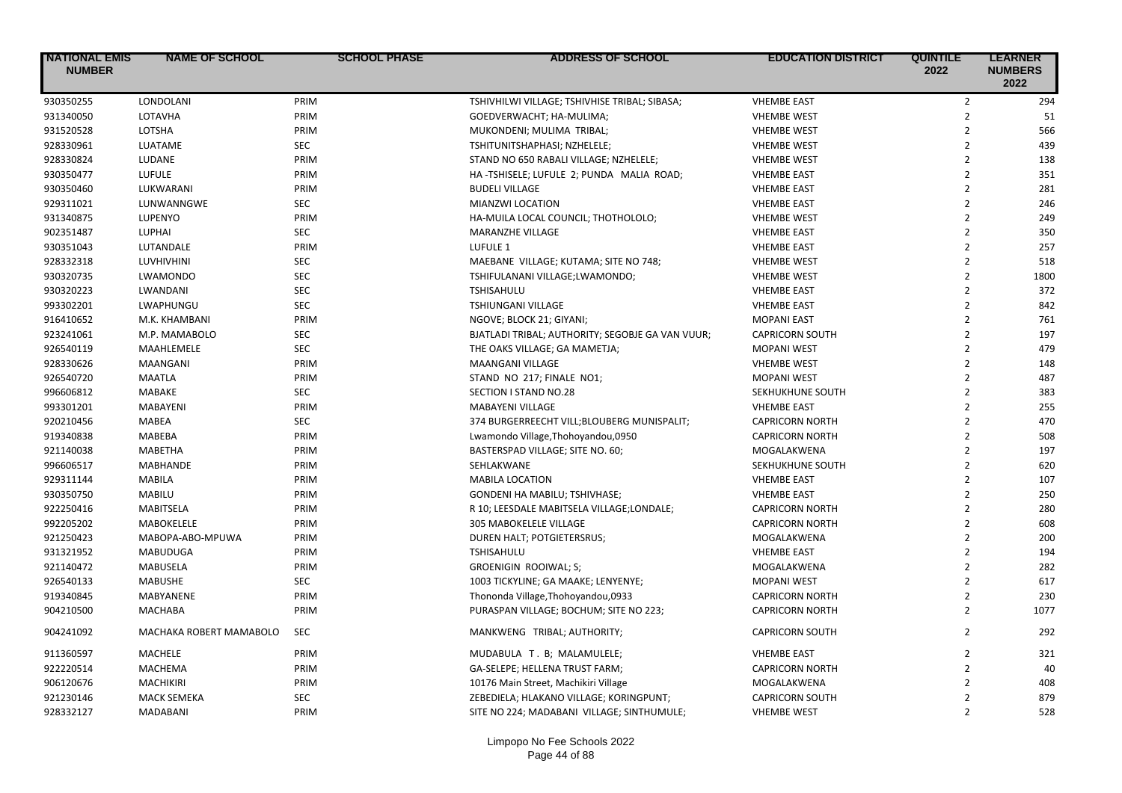| <b>NATIONAL EMIS</b><br><b>NUMBER</b> | <b>NAME OF SCHOOL</b>   | <b>SCHOOL PHASE</b> | <b>ADDRESS OF SCHOOL</b>                         | <b>EDUCATION DISTRICT</b> | <b>QUINTILE</b><br>2022 | <b>LEARNER</b><br><b>NUMBERS</b><br>2022 |
|---------------------------------------|-------------------------|---------------------|--------------------------------------------------|---------------------------|-------------------------|------------------------------------------|
| 930350255                             | LONDOLANI               | PRIM                | TSHIVHILWI VILLAGE; TSHIVHISE TRIBAL; SIBASA;    | <b>VHEMBE EAST</b>        | $\overline{2}$          | 294                                      |
| 931340050                             | LOTAVHA                 | PRIM                | GOEDVERWACHT; HA-MULIMA;                         | <b>VHEMBE WEST</b>        | $\overline{2}$          | 51                                       |
| 931520528                             | LOTSHA                  | PRIM                | MUKONDENI; MULIMA TRIBAL;                        | <b>VHEMBE WEST</b>        | $\overline{2}$          | 566                                      |
| 928330961                             | LUATAME                 | <b>SEC</b>          | TSHITUNITSHAPHASI; NZHELELE;                     | <b>VHEMBE WEST</b>        | $\overline{2}$          | 439                                      |
| 928330824                             | LUDANE                  | PRIM                | STAND NO 650 RABALI VILLAGE; NZHELELE;           | <b>VHEMBE WEST</b>        | $\overline{2}$          | 138                                      |
| 930350477                             | LUFULE                  | PRIM                | HA-TSHISELE; LUFULE 2; PUNDA MALIA ROAD;         | <b>VHEMBE EAST</b>        | $\overline{2}$          | 351                                      |
| 930350460                             | LUKWARANI               | PRIM                | <b>BUDELI VILLAGE</b>                            | <b>VHEMBE EAST</b>        | $\overline{2}$          | 281                                      |
| 929311021                             | LUNWANNGWE              | <b>SEC</b>          | MIANZWI LOCATION                                 | <b>VHEMBE EAST</b>        | $\overline{2}$          | 246                                      |
| 931340875                             | LUPENYO                 | PRIM                | HA-MUILA LOCAL COUNCIL; THOTHOLOLO;              | <b>VHEMBE WEST</b>        | $\overline{2}$          | 249                                      |
| 902351487                             | LUPHAI                  | <b>SEC</b>          | <b>MARANZHE VILLAGE</b>                          | <b>VHEMBE EAST</b>        | $\overline{2}$          | 350                                      |
| 930351043                             | LUTANDALE               | PRIM                | LUFULE 1                                         | <b>VHEMBE EAST</b>        | $\mathbf 2$             | 257                                      |
| 928332318                             | LUVHIVHINI              | <b>SEC</b>          | MAEBANE VILLAGE; KUTAMA; SITE NO 748;            | <b>VHEMBE WEST</b>        | $\overline{2}$          | 518                                      |
| 930320735                             | <b>LWAMONDO</b>         | <b>SEC</b>          | TSHIFULANANI VILLAGE;LWAMONDO;                   | <b>VHEMBE WEST</b>        | $\overline{2}$          | 1800                                     |
| 930320223                             | LWANDANI                | <b>SEC</b>          | <b>TSHISAHULU</b>                                | <b>VHEMBE EAST</b>        | $\overline{2}$          | 372                                      |
| 993302201                             | LWAPHUNGU               | <b>SEC</b>          | TSHIUNGANI VILLAGE                               | <b>VHEMBE EAST</b>        | $\overline{2}$          | 842                                      |
| 916410652                             | M.K. KHAMBANI           | PRIM                | NGOVE; BLOCK 21; GIYANI;                         | <b>MOPANI EAST</b>        | $\overline{2}$          | 761                                      |
| 923241061                             | M.P. MAMABOLO           | <b>SEC</b>          | BJATLADI TRIBAL; AUTHORITY; SEGOBJE GA VAN VUUR; | <b>CAPRICORN SOUTH</b>    | $\overline{2}$          | 197                                      |
| 926540119                             | MAAHLEMELE              | <b>SEC</b>          | THE OAKS VILLAGE; GA MAMETJA;                    | <b>MOPANI WEST</b>        | $\overline{2}$          | 479                                      |
| 928330626                             | MAANGANI                | PRIM                | <b>MAANGANI VILLAGE</b>                          | <b>VHEMBE WEST</b>        | $\overline{2}$          | 148                                      |
| 926540720                             | <b>MAATLA</b>           | PRIM                | STAND NO 217; FINALE NO1;                        | <b>MOPANI WEST</b>        | $\overline{2}$          | 487                                      |
| 996606812                             | MABAKE                  | <b>SEC</b>          | SECTION I STAND NO.28                            | SEKHUKHUNE SOUTH          | $\mathbf 2$             | 383                                      |
| 993301201                             | <b>MABAYENI</b>         | PRIM                | <b>MABAYENI VILLAGE</b>                          | <b>VHEMBE EAST</b>        | $\overline{2}$          | 255                                      |
| 920210456                             | <b>MABEA</b>            | <b>SEC</b>          | 374 BURGERREECHT VILL; BLOUBERG MUNISPALIT;      | <b>CAPRICORN NORTH</b>    | $\overline{2}$          | 470                                      |
| 919340838                             | MABEBA                  | PRIM                | Lwamondo Village, Thohoyandou, 0950              | <b>CAPRICORN NORTH</b>    | $\overline{2}$          | 508                                      |
| 921140038                             | <b>MABETHA</b>          | PRIM                | BASTERSPAD VILLAGE; SITE NO. 60;                 | MOGALAKWENA               | $\overline{2}$          | 197                                      |
| 996606517                             | MABHANDE                | PRIM                | SEHLAKWANE                                       | SEKHUKHUNE SOUTH          | $\overline{2}$          | 620                                      |
| 929311144                             | <b>MABILA</b>           | PRIM                | <b>MABILA LOCATION</b>                           | <b>VHEMBE EAST</b>        | $\overline{2}$          | 107                                      |
| 930350750                             | <b>MABILU</b>           | PRIM                | GONDENI HA MABILU; TSHIVHASE;                    | <b>VHEMBE EAST</b>        | $\overline{2}$          | 250                                      |
| 922250416                             | MABITSELA               | PRIM                | R 10; LEESDALE MABITSELA VILLAGE;LONDALE;        | <b>CAPRICORN NORTH</b>    | $\overline{2}$          | 280                                      |
| 992205202                             | MABOKELELE              | PRIM                | 305 MABOKELELE VILLAGE                           | <b>CAPRICORN NORTH</b>    | $\overline{2}$          | 608                                      |
| 921250423                             | MABOPA-ABO-MPUWA        | PRIM                | DUREN HALT; POTGIETERSRUS;                       | MOGALAKWENA               | $\overline{2}$          | 200                                      |
| 931321952                             | MABUDUGA                | PRIM                | TSHISAHULU                                       | <b>VHEMBE EAST</b>        | $\overline{2}$          | 194                                      |
| 921140472                             | <b>MABUSELA</b>         | PRIM                | <b>GROENIGIN ROOIWAL; S;</b>                     | MOGALAKWENA               | $\overline{2}$          | 282                                      |
| 926540133                             | <b>MABUSHE</b>          | <b>SEC</b>          | 1003 TICKYLINE; GA MAAKE; LENYENYE;              | <b>MOPANI WEST</b>        | $\overline{2}$          | 617                                      |
| 919340845                             | <b>MABYANENE</b>        | PRIM                | Thononda Village, Thohoyandou, 0933              | <b>CAPRICORN NORTH</b>    | $\overline{2}$          | 230                                      |
| 904210500                             | <b>MACHABA</b>          | PRIM                | PURASPAN VILLAGE; BOCHUM; SITE NO 223;           | <b>CAPRICORN NORTH</b>    | $\overline{2}$          | 1077                                     |
| 904241092                             | MACHAKA ROBERT MAMABOLO | <b>SEC</b>          | MANKWENG TRIBAL; AUTHORITY;                      | <b>CAPRICORN SOUTH</b>    | $\overline{2}$          | 292                                      |
| 911360597                             | MACHELE                 | PRIM                | MUDABULA T. B; MALAMULELE;                       | <b>VHEMBE EAST</b>        | $\overline{2}$          | 321                                      |
| 922220514                             | <b>MACHEMA</b>          | PRIM                | GA-SELEPE; HELLENA TRUST FARM;                   | <b>CAPRICORN NORTH</b>    | $\overline{2}$          | 40                                       |
| 906120676                             | <b>MACHIKIRI</b>        | PRIM                | 10176 Main Street, Machikiri Village             | MOGALAKWENA               | $\overline{2}$          | 408                                      |
| 921230146                             | <b>MACK SEMEKA</b>      | <b>SEC</b>          | ZEBEDIELA; HLAKANO VILLAGE; KORINGPUNT;          | <b>CAPRICORN SOUTH</b>    | $\overline{2}$          | 879                                      |
| 928332127                             | <b>MADABANI</b>         | PRIM                | SITE NO 224; MADABANI VILLAGE; SINTHUMULE;       | <b>VHEMBE WEST</b>        | $\overline{2}$          | 528                                      |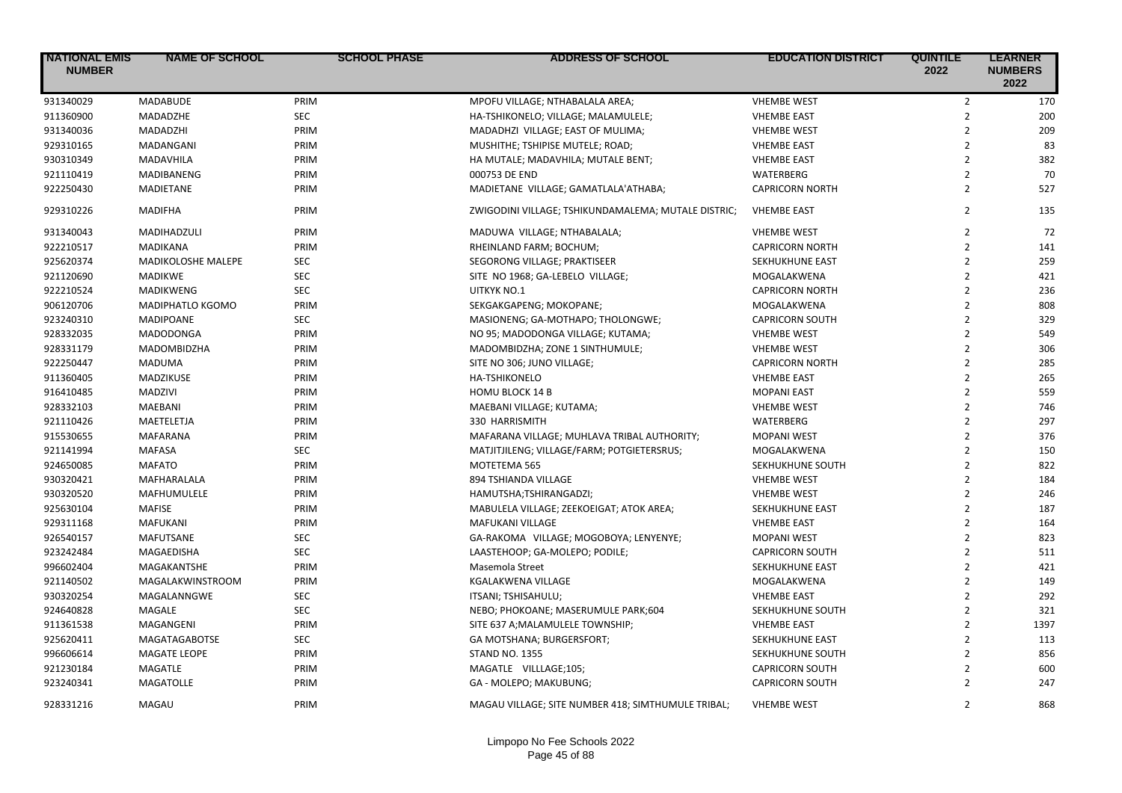| <b>NATIONAL EMIS</b><br><b>NUMBER</b> | <b>NAME OF SCHOOL</b> | <b>SCHOOL PHASE</b> | <b>ADDRESS OF SCHOOL</b>                            | <b>EDUCATION DISTRICT</b> | <b>QUINTILE</b><br>2022 | <b>LEARNER</b><br><b>NUMBERS</b><br>2022 |
|---------------------------------------|-----------------------|---------------------|-----------------------------------------------------|---------------------------|-------------------------|------------------------------------------|
| 931340029                             | <b>MADABUDE</b>       | PRIM                | MPOFU VILLAGE; NTHABALALA AREA;                     | <b>VHEMBE WEST</b>        | $\overline{2}$          | 170                                      |
| 911360900                             | MADADZHE              | <b>SEC</b>          | HA-TSHIKONELO; VILLAGE; MALAMULELE;                 | <b>VHEMBE EAST</b>        | $\overline{2}$          | 200                                      |
| 931340036                             | MADADZHI              | PRIM                | MADADHZI VILLAGE; EAST OF MULIMA;                   | <b>VHEMBE WEST</b>        | $\overline{2}$          | 209                                      |
| 929310165                             | MADANGANI             | PRIM                | MUSHITHE; TSHIPISE MUTELE; ROAD;                    | <b>VHEMBE EAST</b>        | $\overline{2}$          | 83                                       |
| 930310349                             | MADAVHILA             | PRIM                | HA MUTALE; MADAVHILA; MUTALE BENT;                  | <b>VHEMBE EAST</b>        | $\overline{2}$          | 382                                      |
| 921110419                             | MADIBANENG            | PRIM                | 000753 DE END                                       | WATERBERG                 | $\overline{2}$          | 70                                       |
| 922250430                             | MADIETANE             | PRIM                | MADIETANE VILLAGE; GAMATLALA'ATHABA;                | <b>CAPRICORN NORTH</b>    | $\overline{2}$          | 527                                      |
| 929310226                             | <b>MADIFHA</b>        | PRIM                | ZWIGODINI VILLAGE; TSHIKUNDAMALEMA; MUTALE DISTRIC; | <b>VHEMBE EAST</b>        | $\overline{2}$          | 135                                      |
| 931340043                             | MADIHADZULI           | PRIM                | MADUWA VILLAGE; NTHABALALA;                         | <b>VHEMBE WEST</b>        | $\overline{2}$          | 72                                       |
| 922210517                             | <b>MADIKANA</b>       | PRIM                | RHEINLAND FARM; BOCHUM;                             | <b>CAPRICORN NORTH</b>    | $\overline{2}$          | 141                                      |
| 925620374                             | MADIKOLOSHE MALEPE    | <b>SEC</b>          | SEGORONG VILLAGE; PRAKTISEER                        | SEKHUKHUNE EAST           | $\overline{2}$          | 259                                      |
| 921120690                             | <b>MADIKWE</b>        | <b>SEC</b>          | SITE NO 1968; GA-LEBELO VILLAGE;                    | MOGALAKWENA               | $\overline{2}$          | 421                                      |
| 922210524                             | <b>MADIKWENG</b>      | <b>SEC</b>          | UITKYK NO.1                                         | <b>CAPRICORN NORTH</b>    | $\overline{2}$          | 236                                      |
| 906120706                             | MADIPHATLO KGOMO      | PRIM                | SEKGAKGAPENG; MOKOPANE;                             | MOGALAKWENA               | $\overline{2}$          | 808                                      |
| 923240310                             | <b>MADIPOANE</b>      | <b>SEC</b>          | MASIONENG; GA-MOTHAPO; THOLONGWE;                   | <b>CAPRICORN SOUTH</b>    | $\overline{2}$          | 329                                      |
| 928332035                             | <b>MADODONGA</b>      | PRIM                | NO 95; MADODONGA VILLAGE; KUTAMA;                   | <b>VHEMBE WEST</b>        | $\overline{2}$          | 549                                      |
| 928331179                             | MADOMBIDZHA           | PRIM                | MADOMBIDZHA; ZONE 1 SINTHUMULE;                     | <b>VHEMBE WEST</b>        | $\overline{2}$          | 306                                      |
| 922250447                             | MADUMA                | PRIM                | SITE NO 306; JUNO VILLAGE;                          | <b>CAPRICORN NORTH</b>    | $\overline{2}$          | 285                                      |
| 911360405                             | MADZIKUSE             | PRIM                | <b>HA-TSHIKONELO</b>                                | <b>VHEMBE EAST</b>        | $\overline{2}$          | 265                                      |
| 916410485                             | <b>MADZIVI</b>        | PRIM                | <b>HOMU BLOCK 14 B</b>                              | <b>MOPANI EAST</b>        | $\overline{2}$          | 559                                      |
| 928332103                             | <b>MAEBANI</b>        | PRIM                | MAEBANI VILLAGE; KUTAMA;                            | <b>VHEMBE WEST</b>        | $\overline{2}$          | 746                                      |
| 921110426                             | MAETELETJA            | PRIM                | 330 HARRISMITH                                      | WATERBERG                 | $\overline{2}$          | 297                                      |
| 915530655                             | <b>MAFARANA</b>       | PRIM                | MAFARANA VILLAGE; MUHLAVA TRIBAL AUTHORITY;         | <b>MOPANI WEST</b>        | $\overline{2}$          | 376                                      |
| 921141994                             | <b>MAFASA</b>         | <b>SEC</b>          | MATJITJILENG; VILLAGE/FARM; POTGIETERSRUS;          | MOGALAKWENA               | $\overline{2}$          | 150                                      |
| 924650085                             | <b>MAFATO</b>         | PRIM                | MOTETEMA 565                                        | SEKHUKHUNE SOUTH          | $\overline{2}$          | 822                                      |
| 930320421                             | MAFHARALALA           | PRIM                | 894 TSHIANDA VILLAGE                                | <b>VHEMBE WEST</b>        | $\overline{2}$          | 184                                      |
| 930320520                             | <b>MAFHUMULELE</b>    | PRIM                | HAMUTSHA;TSHIRANGADZI;                              | <b>VHEMBE WEST</b>        | $\overline{2}$          | 246                                      |
| 925630104                             | <b>MAFISE</b>         | PRIM                | MABULELA VILLAGE; ZEEKOEIGAT; ATOK AREA;            | SEKHUKHUNE EAST           | $\overline{2}$          | 187                                      |
| 929311168                             | <b>MAFUKANI</b>       | PRIM                | MAFUKANI VILLAGE                                    | <b>VHEMBE EAST</b>        | $\overline{2}$          | 164                                      |
| 926540157                             | <b>MAFUTSANE</b>      | <b>SEC</b>          | GA-RAKOMA VILLAGE; MOGOBOYA; LENYENYE;              | <b>MOPANI WEST</b>        | $\overline{2}$          | 823                                      |
| 923242484                             | MAGAEDISHA            | <b>SEC</b>          | LAASTEHOOP; GA-MOLEPO; PODILE;                      | <b>CAPRICORN SOUTH</b>    | $\overline{2}$          | 511                                      |
| 996602404                             | MAGAKANTSHE           | PRIM                | Masemola Street                                     | SEKHUKHUNE EAST           | $\overline{2}$          | 421                                      |
| 921140502                             | MAGALAKWINSTROOM      | PRIM                | KGALAKWENA VILLAGE                                  | MOGALAKWENA               | $\overline{2}$          | 149                                      |
| 930320254                             | MAGALANNGWE           | <b>SEC</b>          | ITSANI; TSHISAHULU;                                 | <b>VHEMBE EAST</b>        | $\overline{2}$          | 292                                      |
| 924640828                             | MAGALE                | <b>SEC</b>          | NEBO; PHOKOANE; MASERUMULE PARK;604                 | SEKHUKHUNE SOUTH          | $\overline{2}$          | 321                                      |
| 911361538                             | MAGANGENI             | PRIM                | SITE 637 A; MALAMULELE TOWNSHIP;                    | <b>VHEMBE EAST</b>        | $\overline{2}$          | 1397                                     |
| 925620411                             | <b>MAGATAGABOTSE</b>  | <b>SEC</b>          | GA MOTSHANA; BURGERSFORT;                           | SEKHUKHUNE EAST           | $\overline{2}$          | 113                                      |
| 996606614                             | <b>MAGATE LEOPE</b>   | PRIM                | <b>STAND NO. 1355</b>                               | SEKHUKHUNE SOUTH          | $\overline{2}$          | 856                                      |
| 921230184                             | <b>MAGATLE</b>        | PRIM                | MAGATLE VILLLAGE;105;                               | <b>CAPRICORN SOUTH</b>    | $\overline{2}$          | 600                                      |
| 923240341                             | <b>MAGATOLLE</b>      | PRIM                | GA - MOLEPO; MAKUBUNG;                              | <b>CAPRICORN SOUTH</b>    | $\overline{2}$          | 247                                      |
| 928331216                             | MAGAU                 | PRIM                | MAGAU VILLAGE; SITE NUMBER 418; SIMTHUMULE TRIBAL;  | <b>VHEMBE WEST</b>        | $\mathfrak{p}$          | 868                                      |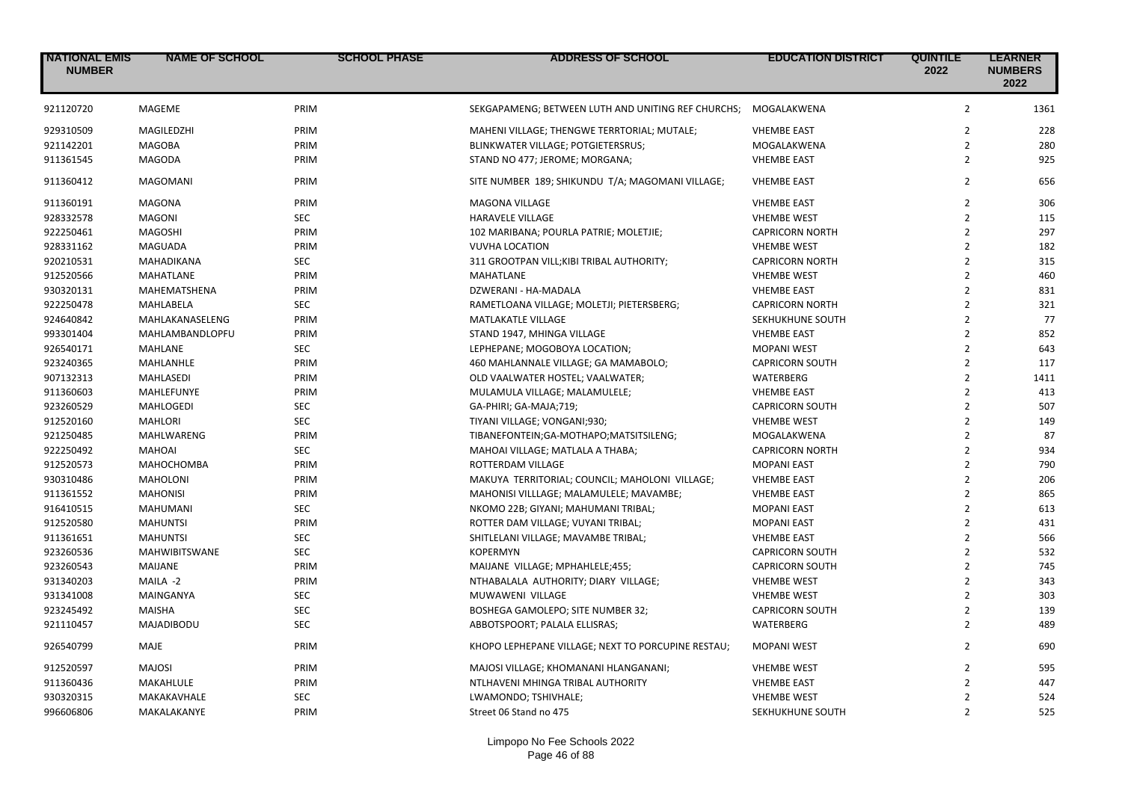| <b>NATIONAL EMIS</b><br><b>NUMBER</b> | <b>NAME OF SCHOOL</b> | <b>SCHOOL PHASE</b> | <b>ADDRESS OF SCHOOL</b>                               | <b>EDUCATION DISTRICT</b> | <b>QUINTILE</b><br>2022 | <b>LEARNER</b><br><b>NUMBERS</b><br>2022 |
|---------------------------------------|-----------------------|---------------------|--------------------------------------------------------|---------------------------|-------------------------|------------------------------------------|
| 921120720                             | MAGEME                | PRIM                | SEKGAPAMENG; BETWEEN LUTH AND UNITING REF CHURCHS;     | MOGALAKWENA               | $\overline{2}$          | 1361                                     |
| 929310509                             | MAGILEDZHI            | PRIM                | MAHENI VILLAGE; THENGWE TERRTORIAL; MUTALE;            | <b>VHEMBE EAST</b>        | $\overline{2}$          | 228                                      |
| 921142201                             | <b>MAGOBA</b>         | PRIM                | BLINKWATER VILLAGE; POTGIETERSRUS;                     | MOGALAKWENA               | $\overline{2}$          | 280                                      |
| 911361545                             | <b>MAGODA</b>         | PRIM                | STAND NO 477; JEROME; MORGANA;                         | <b>VHEMBE EAST</b>        | $\overline{2}$          | 925                                      |
| 911360412                             | <b>MAGOMANI</b>       | PRIM                | SITE NUMBER 189; SHIKUNDU T/A; MAGOMANI VILLAGE;       | <b>VHEMBE EAST</b>        | $\overline{2}$          | 656                                      |
| 911360191                             | <b>MAGONA</b>         | PRIM                | <b>MAGONA VILLAGE</b>                                  | <b>VHEMBE EAST</b>        | $\overline{2}$          | 306                                      |
| 928332578                             | <b>MAGONI</b>         | <b>SEC</b>          | <b>HARAVELE VILLAGE</b>                                | <b>VHEMBE WEST</b>        | $\overline{2}$          | 115                                      |
| 922250461                             | <b>MAGOSHI</b>        | PRIM                | 102 MARIBANA; POURLA PATRIE; MOLETJIE;                 | <b>CAPRICORN NORTH</b>    | $\overline{2}$          | 297                                      |
| 928331162                             | MAGUADA               | PRIM                | <b>VUVHA LOCATION</b>                                  | <b>VHEMBE WEST</b>        | $\overline{2}$          | 182                                      |
| 920210531                             | MAHADIKANA            | <b>SEC</b>          | 311 GROOTPAN VILL; KIBI TRIBAL AUTHORITY;              | <b>CAPRICORN NORTH</b>    | $\overline{2}$          | 315                                      |
| 912520566                             | <b>MAHATLANE</b>      | PRIM                | MAHATLANE                                              | <b>VHEMBE WEST</b>        | $\overline{2}$          | 460                                      |
| 930320131                             | MAHEMATSHENA          | PRIM                | DZWERANI - HA-MADALA                                   | <b>VHEMBE EAST</b>        | $\overline{2}$          | 831                                      |
| 922250478                             | <b>MAHLABELA</b>      | <b>SEC</b>          | RAMETLOANA VILLAGE; MOLETJI; PIETERSBERG;              | <b>CAPRICORN NORTH</b>    | $\overline{2}$          | 321                                      |
| 924640842                             | MAHLAKANASELENG       | PRIM                | MATLAKATLE VILLAGE                                     | SEKHUKHUNE SOUTH          | $\overline{2}$          | 77                                       |
| 993301404                             | MAHLAMBANDLOPFU       | PRIM                | STAND 1947, MHINGA VILLAGE                             | <b>VHEMBE EAST</b>        | $\overline{2}$          | 852                                      |
| 926540171                             | MAHLANE               | <b>SEC</b>          | LEPHEPANE; MOGOBOYA LOCATION;                          | <b>MOPANI WEST</b>        | $\overline{2}$          | 643                                      |
| 923240365                             | MAHLANHLE             | PRIM                | 460 MAHLANNALE VILLAGE; GA MAMABOLO;                   | <b>CAPRICORN SOUTH</b>    | $\overline{2}$          | 117                                      |
| 907132313                             | <b>MAHLASEDI</b>      | PRIM                | OLD VAALWATER HOSTEL; VAALWATER;                       | WATERBERG                 | $\overline{2}$          | 1411                                     |
| 911360603                             | MAHLEFUNYE            | PRIM                | MULAMULA VILLAGE; MALAMULELE;                          | <b>VHEMBE EAST</b>        | $\overline{2}$          | 413                                      |
| 923260529                             | <b>MAHLOGEDI</b>      | <b>SEC</b>          | GA-PHIRI; GA-MAJA;719;                                 | <b>CAPRICORN SOUTH</b>    | $\overline{2}$          | 507                                      |
| 912520160                             | <b>MAHLORI</b>        | <b>SEC</b>          | TIYANI VILLAGE; VONGANI;930;                           | <b>VHEMBE WEST</b>        | $\overline{2}$          | 149                                      |
| 921250485                             | MAHLWARENG            | PRIM                | TIBANEFONTEIN;GA-MOTHAPO;MATSITSILENG;                 | MOGALAKWENA               | $\overline{2}$          | 87                                       |
| 922250492                             | <b>MAHOAI</b>         | <b>SEC</b>          | MAHOAI VILLAGE; MATLALA A THABA;                       | <b>CAPRICORN NORTH</b>    | $\overline{2}$          | 934                                      |
| 912520573                             | <b>МАНОСНОМВА</b>     | PRIM                | ROTTERDAM VILLAGE                                      | <b>MOPANI EAST</b>        | $\overline{2}$          | 790                                      |
| 930310486                             | <b>MAHOLONI</b>       | PRIM                | MAKUYA TERRITORIAL; COUNCIL; MAHOLONI VILLAGE;         | <b>VHEMBE EAST</b>        | $\overline{2}$          | 206                                      |
| 911361552                             | <b>MAHONISI</b>       | PRIM                | MAHONISI VILLLAGE; MALAMULELE; MAVAMBE;                | <b>VHEMBE EAST</b>        | $\overline{2}$          | 865                                      |
| 916410515                             | <b>MAHUMANI</b>       | <b>SEC</b>          | NKOMO 22B; GIYANI; MAHUMANI TRIBAL;                    | <b>MOPANI EAST</b>        | $\overline{2}$          | 613                                      |
| 912520580                             | <b>MAHUNTSI</b>       | PRIM                | ROTTER DAM VILLAGE; VUYANI TRIBAL;                     | <b>MOPANI EAST</b>        | $\overline{2}$          | 431                                      |
| 911361651                             | <b>MAHUNTSI</b>       | <b>SEC</b>          |                                                        | <b>VHEMBE EAST</b>        | $\overline{2}$          | 566                                      |
|                                       | <b>MAHWIBITSWANE</b>  | <b>SEC</b>          | SHITLELANI VILLAGE; MAVAMBE TRIBAL;<br><b>KOPERMYN</b> |                           | $\overline{2}$          |                                          |
| 923260536                             |                       |                     |                                                        | <b>CAPRICORN SOUTH</b>    |                         | 532                                      |
| 923260543                             | <b>MAIJANE</b>        | PRIM                | MAIJANE VILLAGE; MPHAHLELE;455;                        | <b>CAPRICORN SOUTH</b>    | $\overline{2}$          | 745                                      |
| 931340203                             | MAILA -2              | PRIM                | NTHABALALA AUTHORITY; DIARY VILLAGE;                   | <b>VHEMBE WEST</b>        | $\overline{2}$          | 343                                      |
| 931341008                             | MAINGANYA             | <b>SEC</b>          | MUWAWENI VILLAGE                                       | <b>VHEMBE WEST</b>        | $\overline{2}$          | 303                                      |
| 923245492                             | <b>MAISHA</b>         | <b>SEC</b>          | <b>BOSHEGA GAMOLEPO; SITE NUMBER 32;</b>               | <b>CAPRICORN SOUTH</b>    | $\overline{2}$          | 139                                      |
| 921110457                             | MAJADIBODU            | <b>SEC</b>          | ABBOTSPOORT; PALALA ELLISRAS;                          | WATERBERG                 | $\overline{2}$          | 489                                      |
| 926540799                             | MAJE                  | PRIM                | KHOPO LEPHEPANE VILLAGE; NEXT TO PORCUPINE RESTAU;     | <b>MOPANI WEST</b>        | $\overline{2}$          | 690                                      |
| 912520597                             | <b>MAJOSI</b>         | PRIM                | MAJOSI VILLAGE; KHOMANANI HLANGANANI;                  | <b>VHEMBE WEST</b>        | $\overline{2}$          | 595                                      |
| 911360436                             | MAKAHLULE             | PRIM                | NTLHAVENI MHINGA TRIBAL AUTHORITY                      | <b>VHEMBE EAST</b>        | $\overline{2}$          | 447                                      |
| 930320315                             | MAKAKAVHALE           | <b>SEC</b>          | LWAMONDO; TSHIVHALE;                                   | <b>VHEMBE WEST</b>        | $\overline{2}$          | 524                                      |
| 996606806                             | MAKALAKANYE           | PRIM                | Street 06 Stand no 475                                 | SEKHUKHUNE SOUTH          | $\overline{2}$          | 525                                      |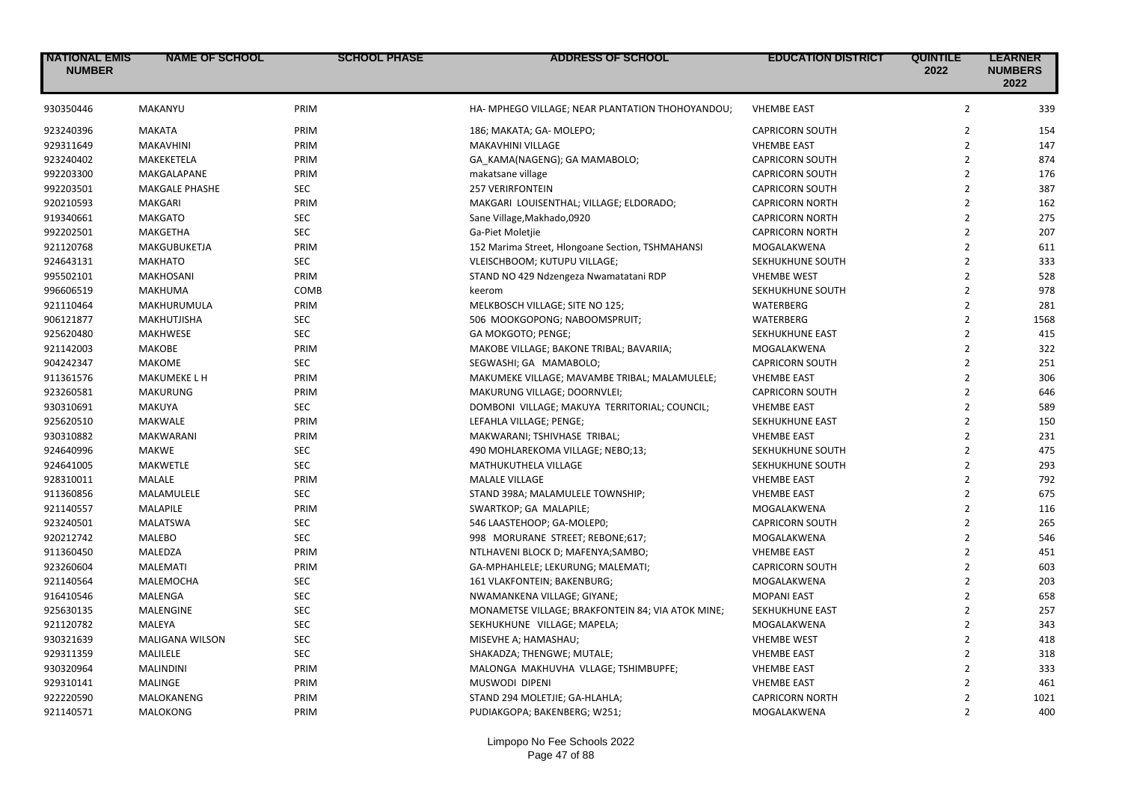| <b>NATIONAL EMIS</b><br><b>NUMBER</b> | <b>NAME OF SCHOOL</b>  | <b>SCHOOL PHASE</b> | <b>ADDRESS OF SCHOOL</b>                          | <b>EDUCATION DISTRICT</b> | <b>QUINTILE</b><br>2022 | <b>LEARNER</b><br><b>NUMBERS</b><br>2022 |
|---------------------------------------|------------------------|---------------------|---------------------------------------------------|---------------------------|-------------------------|------------------------------------------|
| 930350446                             | MAKANYU                | PRIM                | HA- MPHEGO VILLAGE; NEAR PLANTATION THOHOYANDOU;  | <b>VHEMBE EAST</b>        | $\overline{2}$          | 339                                      |
| 923240396                             | <b>MAKATA</b>          | PRIM                | 186; MAKATA; GA- MOLEPO;                          | <b>CAPRICORN SOUTH</b>    | $\overline{2}$          | 154                                      |
| 929311649                             | MAKAVHINI              | PRIM                | MAKAVHINI VILLAGE                                 | <b>VHEMBE EAST</b>        | $\overline{2}$          | 147                                      |
| 923240402                             | MAKEKETELA             | PRIM                | GA_KAMA(NAGENG); GA MAMABOLO;                     | <b>CAPRICORN SOUTH</b>    | $\overline{2}$          | 874                                      |
| 992203300                             | MAKGALAPANE            | PRIM                | makatsane village                                 | <b>CAPRICORN SOUTH</b>    | $\overline{2}$          | 176                                      |
| 992203501                             | MAKGALE PHASHE         | <b>SEC</b>          | <b>257 VERIRFONTEIN</b>                           | <b>CAPRICORN SOUTH</b>    | $\overline{2}$          | 387                                      |
| 920210593                             | MAKGARI                | PRIM                | MAKGARI LOUISENTHAL; VILLAGE; ELDORADO;           | <b>CAPRICORN NORTH</b>    | $\overline{2}$          | 162                                      |
| 919340661                             | <b>MAKGATO</b>         | <b>SEC</b>          | Sane Village, Makhado, 0920                       | <b>CAPRICORN NORTH</b>    | $\overline{2}$          | 275                                      |
| 992202501                             | MAKGETHA               | <b>SEC</b>          | Ga-Piet Moletjie                                  | <b>CAPRICORN NORTH</b>    | $\overline{2}$          | 207                                      |
| 921120768                             | MAKGUBUKETJA           | PRIM                | 152 Marima Street, Hlongoane Section, TSHMAHANSI  | MOGALAKWENA               | $\overline{2}$          | 611                                      |
| 924643131                             | <b>MAKHATO</b>         | <b>SEC</b>          | VLEISCHBOOM; KUTUPU VILLAGE;                      | SEKHUKHUNE SOUTH          | $\overline{2}$          | 333                                      |
| 995502101                             | <b>MAKHOSANI</b>       | PRIM                | STAND NO 429 Ndzengeza Nwamatatani RDP            | <b>VHEMBE WEST</b>        | $\overline{2}$          | 528                                      |
| 996606519                             | <b>MAKHUMA</b>         | COMB                | keerom                                            | SEKHUKHUNE SOUTH          | $\overline{2}$          | 978                                      |
| 921110464                             | MAKHURUMULA            | PRIM                | MELKBOSCH VILLAGE; SITE NO 125;                   | <b>WATERBERG</b>          | $\overline{2}$          | 281                                      |
| 906121877                             | MAKHUTJISHA            | <b>SEC</b>          | 506 MOOKGOPONG; NABOOMSPRUIT;                     | WATERBERG                 | $\overline{2}$          | 1568                                     |
| 925620480                             | <b>MAKHWESE</b>        | <b>SEC</b>          | GA MOKGOTO; PENGE;                                | SEKHUKHUNE EAST           | $\overline{2}$          | 415                                      |
| 921142003                             | MAKOBE                 | PRIM                | MAKOBE VILLAGE; BAKONE TRIBAL; BAVARIIA;          | MOGALAKWENA               | $\overline{2}$          | 322                                      |
| 904242347                             | <b>MAKOME</b>          | <b>SEC</b>          | SEGWASHI; GA MAMABOLO;                            | <b>CAPRICORN SOUTH</b>    | $\overline{2}$          | 251                                      |
| 911361576                             | MAKUMEKE L H           | PRIM                | MAKUMEKE VILLAGE; MAVAMBE TRIBAL; MALAMULELE;     | <b>VHEMBE EAST</b>        | $\overline{2}$          | 306                                      |
| 923260581                             | <b>MAKURUNG</b>        | PRIM                | MAKURUNG VILLAGE; DOORNVLEI;                      | <b>CAPRICORN SOUTH</b>    | $\overline{2}$          | 646                                      |
| 930310691                             | MAKUYA                 | <b>SEC</b>          | DOMBONI VILLAGE; MAKUYA TERRITORIAL; COUNCIL;     | <b>VHEMBE EAST</b>        | $\overline{2}$          | 589                                      |
| 925620510                             | MAKWALE                | PRIM                | LEFAHLA VILLAGE; PENGE;                           | SEKHUKHUNE EAST           | $\overline{2}$          | 150                                      |
| 930310882                             | MAKWARANI              | PRIM                | MAKWARANI; TSHIVHASE TRIBAL;                      | <b>VHEMBE EAST</b>        | $\overline{2}$          | 231                                      |
| 924640996                             | <b>MAKWE</b>           | <b>SEC</b>          | 490 MOHLAREKOMA VILLAGE; NEBO;13;                 | SEKHUKHUNE SOUTH          | $\overline{2}$          | 475                                      |
| 924641005                             | <b>MAKWETLE</b>        | <b>SEC</b>          | MATHUKUTHELA VILLAGE                              | SEKHUKHUNE SOUTH          | $\overline{2}$          | 293                                      |
| 928310011                             | MALALE                 | PRIM                | <b>MALALE VILLAGE</b>                             | <b>VHEMBE EAST</b>        | $\overline{2}$          | 792                                      |
| 911360856                             | MALAMULELE             | <b>SEC</b>          | STAND 398A; MALAMULELE TOWNSHIP;                  | <b>VHEMBE EAST</b>        | $\overline{2}$          | 675                                      |
| 921140557                             | MALAPILE               | PRIM                | SWARTKOP; GA MALAPILE;                            | MOGALAKWENA               | $\overline{2}$          | 116                                      |
| 923240501                             | <b>MALATSWA</b>        | <b>SEC</b>          | 546 LAASTEHOOP; GA-MOLEP0;                        | <b>CAPRICORN SOUTH</b>    | $\overline{2}$          | 265                                      |
| 920212742                             | <b>MALEBO</b>          | <b>SEC</b>          | 998 MORURANE STREET; REBONE;617;                  | MOGALAKWENA               | $\overline{2}$          | 546                                      |
| 911360450                             | MALEDZA                | PRIM                | NTLHAVENI BLOCK D; MAFENYA;SAMBO;                 | <b>VHEMBE EAST</b>        | $\overline{2}$          | 451                                      |
| 923260604                             | MALEMATI               | PRIM                | GA-MPHAHLELE; LEKURUNG; MALEMATI;                 | <b>CAPRICORN SOUTH</b>    | $\overline{2}$          | 603                                      |
| 921140564                             | MALEMOCHA              | SEC                 | 161 VLAKFONTEIN; BAKENBURG;                       | MOGALAKWENA               | $\overline{2}$          | 203                                      |
| 916410546                             | <b>MALENGA</b>         | <b>SEC</b>          | NWAMANKENA VILLAGE; GIYANE;                       | <b>MOPANI EAST</b>        | $\overline{2}$          | 658                                      |
| 925630135                             | MALENGINE              | <b>SEC</b>          | MONAMETSE VILLAGE; BRAKFONTEIN 84; VIA ATOK MINE; | SEKHUKHUNE EAST           | $\overline{2}$          | 257                                      |
| 921120782                             | MALEYA                 | <b>SEC</b>          | SEKHUKHUNE VILLAGE; MAPELA;                       | MOGALAKWENA               | $\overline{2}$          | 343                                      |
| 930321639                             | <b>MALIGANA WILSON</b> | <b>SEC</b>          | MISEVHE A; HAMASHAU;                              | <b>VHEMBE WEST</b>        | $\overline{2}$          | 418                                      |
| 929311359                             | MALILELE               | <b>SEC</b>          | SHAKADZA; THENGWE; MUTALE;                        | <b>VHEMBE EAST</b>        | $\overline{2}$          | 318                                      |
| 930320964                             | <b>MALINDINI</b>       | PRIM                | MALONGA MAKHUVHA VLLAGE; TSHIMBUPFE;              | <b>VHEMBE EAST</b>        | $\overline{2}$          | 333                                      |
| 929310141                             | MALINGE                | PRIM                | <b>MUSWODI DIPENI</b>                             | <b>VHEMBE EAST</b>        | $\overline{2}$          | 461                                      |
| 922220590                             |                        | PRIM                |                                                   | <b>CAPRICORN NORTH</b>    | $\overline{2}$          | 1021                                     |
| 921140571                             | MALOKANENG<br>MALOKONG | PRIM                | STAND 294 MOLETJIE; GA-HLAHLA;                    |                           | $\overline{2}$          | 400                                      |
|                                       |                        |                     | PUDIAKGOPA; BAKENBERG; W251;                      | MOGALAKWENA               |                         |                                          |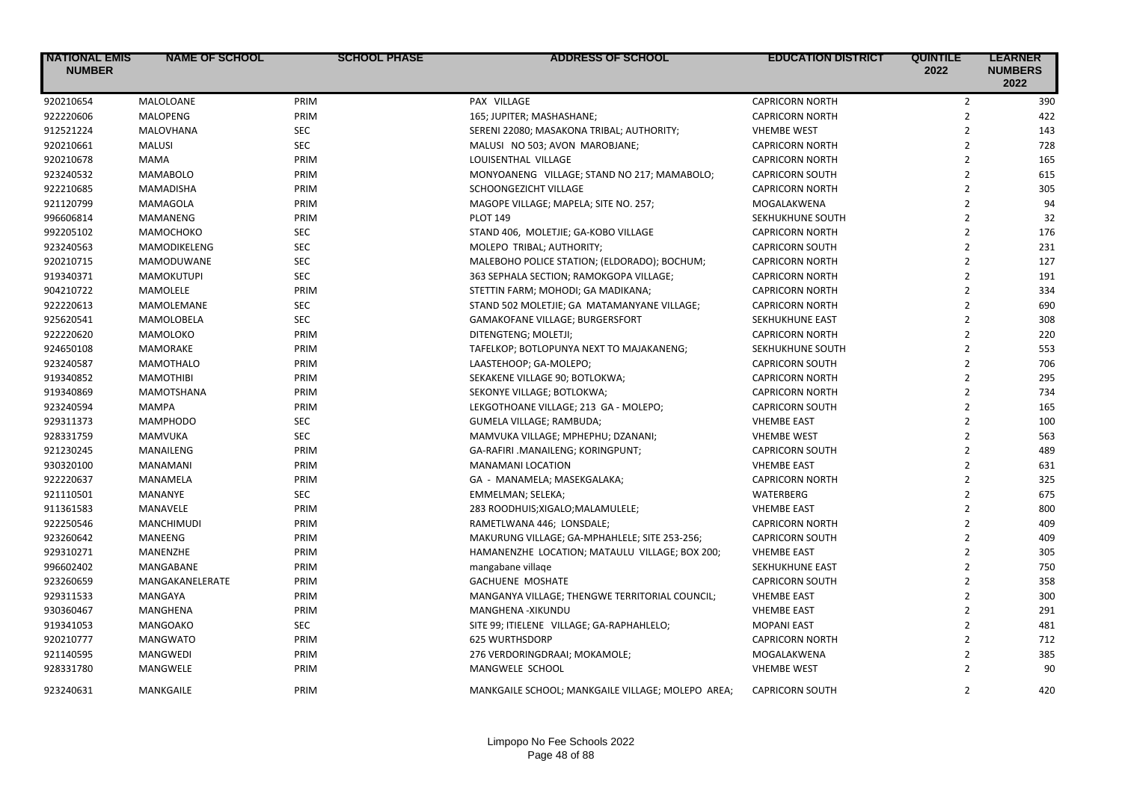| <b>NATIONAL EMIS</b><br><b>NUMBER</b> | <b>NAME OF SCHOOL</b> | <b>SCHOOL PHASE</b> | <b>ADDRESS OF SCHOOL</b>                          | <b>EDUCATION DISTRICT</b> | <b>QUINTILE</b><br>2022 | <b>LEARNER</b><br><b>NUMBERS</b><br>2022 |
|---------------------------------------|-----------------------|---------------------|---------------------------------------------------|---------------------------|-------------------------|------------------------------------------|
| 920210654                             | MALOLOANE             | PRIM                | PAX VILLAGE                                       | <b>CAPRICORN NORTH</b>    | $\overline{2}$          | 390                                      |
| 922220606                             | MALOPENG              | PRIM                | 165; JUPITER; MASHASHANE;                         | <b>CAPRICORN NORTH</b>    | $\mathbf 2$             | 422                                      |
| 912521224                             | MALOVHANA             | <b>SEC</b>          | SERENI 22080; MASAKONA TRIBAL; AUTHORITY;         | <b>VHEMBE WEST</b>        | $\overline{2}$          | 143                                      |
| 920210661                             | <b>MALUSI</b>         | <b>SEC</b>          | MALUSI NO 503; AVON MAROBJANE;                    | <b>CAPRICORN NORTH</b>    | $\overline{2}$          | 728                                      |
| 920210678                             | <b>MAMA</b>           | PRIM                | LOUISENTHAL VILLAGE                               | <b>CAPRICORN NORTH</b>    | $\overline{2}$          | 165                                      |
| 923240532                             | MAMABOLO              | PRIM                | MONYOANENG VILLAGE; STAND NO 217; MAMABOLO;       | <b>CAPRICORN SOUTH</b>    | $\overline{2}$          | 615                                      |
| 922210685                             | <b>MAMADISHA</b>      | PRIM                | SCHOONGEZICHT VILLAGE                             | <b>CAPRICORN NORTH</b>    | $\overline{2}$          | 305                                      |
| 921120799                             | MAMAGOLA              | PRIM                | MAGOPE VILLAGE; MAPELA; SITE NO. 257;             | MOGALAKWENA               | $\overline{2}$          | 94                                       |
| 996606814                             | MAMANENG              | PRIM                | <b>PLOT 149</b>                                   | SEKHUKHUNE SOUTH          | $\overline{2}$          | 32                                       |
| 992205102                             | МАМОСНОКО             | <b>SEC</b>          | STAND 406, MOLETJIE; GA-KOBO VILLAGE              | <b>CAPRICORN NORTH</b>    | $\overline{2}$          | 176                                      |
| 923240563                             | MAMODIKELENG          | <b>SEC</b>          | MOLEPO TRIBAL; AUTHORITY;                         | <b>CAPRICORN SOUTH</b>    | $\overline{2}$          | 231                                      |
| 920210715                             | MAMODUWANE            | <b>SEC</b>          | MALEBOHO POLICE STATION; (ELDORADO); BOCHUM;      | <b>CAPRICORN NORTH</b>    | $\overline{2}$          | 127                                      |
| 919340371                             | <b>MAMOKUTUPI</b>     | <b>SEC</b>          | 363 SEPHALA SECTION; RAMOKGOPA VILLAGE;           | <b>CAPRICORN NORTH</b>    | $\overline{2}$          | 191                                      |
| 904210722                             | MAMOLELE              | PRIM                | STETTIN FARM; MOHODI; GA MADIKANA;                | <b>CAPRICORN NORTH</b>    | $\overline{2}$          | 334                                      |
| 922220613                             | MAMOLEMANE            | <b>SEC</b>          | STAND 502 MOLETJIE; GA MATAMANYANE VILLAGE;       | <b>CAPRICORN NORTH</b>    | $\overline{2}$          | 690                                      |
| 925620541                             | MAMOLOBELA            | <b>SEC</b>          | GAMAKOFANE VILLAGE; BURGERSFORT                   | SEKHUKHUNE EAST           | $\overline{2}$          | 308                                      |
| 922220620                             | MAMOLOKO              | PRIM                | DITENGTENG; MOLETJI;                              | <b>CAPRICORN NORTH</b>    | $\overline{2}$          | 220                                      |
| 924650108                             | MAMORAKE              | PRIM                | TAFELKOP; BOTLOPUNYA NEXT TO MAJAKANENG;          | SEKHUKHUNE SOUTH          | $\overline{2}$          | 553                                      |
| 923240587                             | <b>MAMOTHALO</b>      | PRIM                | LAASTEHOOP; GA-MOLEPO;                            | <b>CAPRICORN SOUTH</b>    | $\overline{2}$          | 706                                      |
| 919340852                             | <b>MAMOTHIBI</b>      | PRIM                | SEKAKENE VILLAGE 90; BOTLOKWA;                    | <b>CAPRICORN NORTH</b>    | $\overline{2}$          | 295                                      |
| 919340869                             | MAMOTSHANA            | PRIM                | SEKONYE VILLAGE; BOTLOKWA;                        | <b>CAPRICORN NORTH</b>    | $\overline{2}$          | 734                                      |
| 923240594                             | MAMPA                 | PRIM                | LEKGOTHOANE VILLAGE; 213 GA - MOLEPO;             | <b>CAPRICORN SOUTH</b>    | $\overline{2}$          | 165                                      |
| 929311373                             | <b>MAMPHODO</b>       | <b>SEC</b>          | GUMELA VILLAGE; RAMBUDA;                          | <b>VHEMBE EAST</b>        | $\overline{2}$          | 100                                      |
| 928331759                             | MAMVUKA               | <b>SEC</b>          | MAMVUKA VILLAGE; MPHEPHU; DZANANI;                | <b>VHEMBE WEST</b>        | $\overline{2}$          | 563                                      |
| 921230245                             | MANAILENG             | PRIM                | GA-RAFIRI .MANAILENG; KORINGPUNT;                 | <b>CAPRICORN SOUTH</b>    | $\overline{2}$          | 489                                      |
| 930320100                             | MANAMANI              | PRIM                | MANAMANI LOCATION                                 | <b>VHEMBE EAST</b>        | $\overline{2}$          | 631                                      |
| 922220637                             | MANAMELA              | PRIM                | GA - MANAMELA; MASEKGALAKA;                       | <b>CAPRICORN NORTH</b>    | $\overline{2}$          | 325                                      |
| 921110501                             | MANANYE               | <b>SEC</b>          | EMMELMAN; SELEKA;                                 | WATERBERG                 | $\overline{2}$          | 675                                      |
| 911361583                             | MANAVELE              | PRIM                | 283 ROODHUIS;XIGALO;MALAMULELE;                   | <b>VHEMBE EAST</b>        | $\overline{2}$          | 800                                      |
| 922250546                             | <b>MANCHIMUDI</b>     | PRIM                | RAMETLWANA 446; LONSDALE;                         | <b>CAPRICORN NORTH</b>    | $\overline{2}$          | 409                                      |
| 923260642                             | MANEENG               | PRIM                | MAKURUNG VILLAGE; GA-MPHAHLELE; SITE 253-256;     | <b>CAPRICORN SOUTH</b>    | $\overline{2}$          | 409                                      |
| 929310271                             | MANENZHE              | PRIM                | HAMANENZHE LOCATION; MATAULU VILLAGE; BOX 200;    | <b>VHEMBE EAST</b>        | $\overline{2}$          | 305                                      |
| 996602402                             | MANGABANE             | PRIM                | mangabane village                                 | SEKHUKHUNE EAST           | $\overline{2}$          | 750                                      |
| 923260659                             | MANGAKANELERATE       | PRIM                | <b>GACHUENE MOSHATE</b>                           | <b>CAPRICORN SOUTH</b>    | $\overline{2}$          | 358                                      |
| 929311533                             | MANGAYA               | PRIM                | MANGANYA VILLAGE; THENGWE TERRITORIAL COUNCIL;    | <b>VHEMBE EAST</b>        | $\overline{2}$          | 300                                      |
| 930360467                             | MANGHENA              | PRIM                | MANGHENA - XIKUNDU                                | <b>VHEMBE EAST</b>        | $\overline{2}$          | 291                                      |
| 919341053                             | MANGOAKO              | <b>SEC</b>          | SITE 99; ITIELENE VILLAGE; GA-RAPHAHLELO;         | <b>MOPANI EAST</b>        | $\overline{2}$          | 481                                      |
| 920210777                             | <b>MANGWATO</b>       | PRIM                | <b>625 WURTHSDORP</b>                             | <b>CAPRICORN NORTH</b>    | $\overline{2}$          | 712                                      |
| 921140595                             | <b>MANGWEDI</b>       | PRIM                | 276 VERDORINGDRAAI; MOKAMOLE;                     | MOGALAKWENA               | $\overline{2}$          | 385                                      |
| 928331780                             | MANGWELE              | PRIM                | MANGWELE SCHOOL                                   | <b>VHEMBE WEST</b>        | $\overline{2}$          | 90                                       |
| 923240631                             | MANKGAILE             | PRIM                | MANKGAILE SCHOOL; MANKGAILE VILLAGE; MOLEPO AREA; | <b>CAPRICORN SOUTH</b>    | $\overline{2}$          | 420                                      |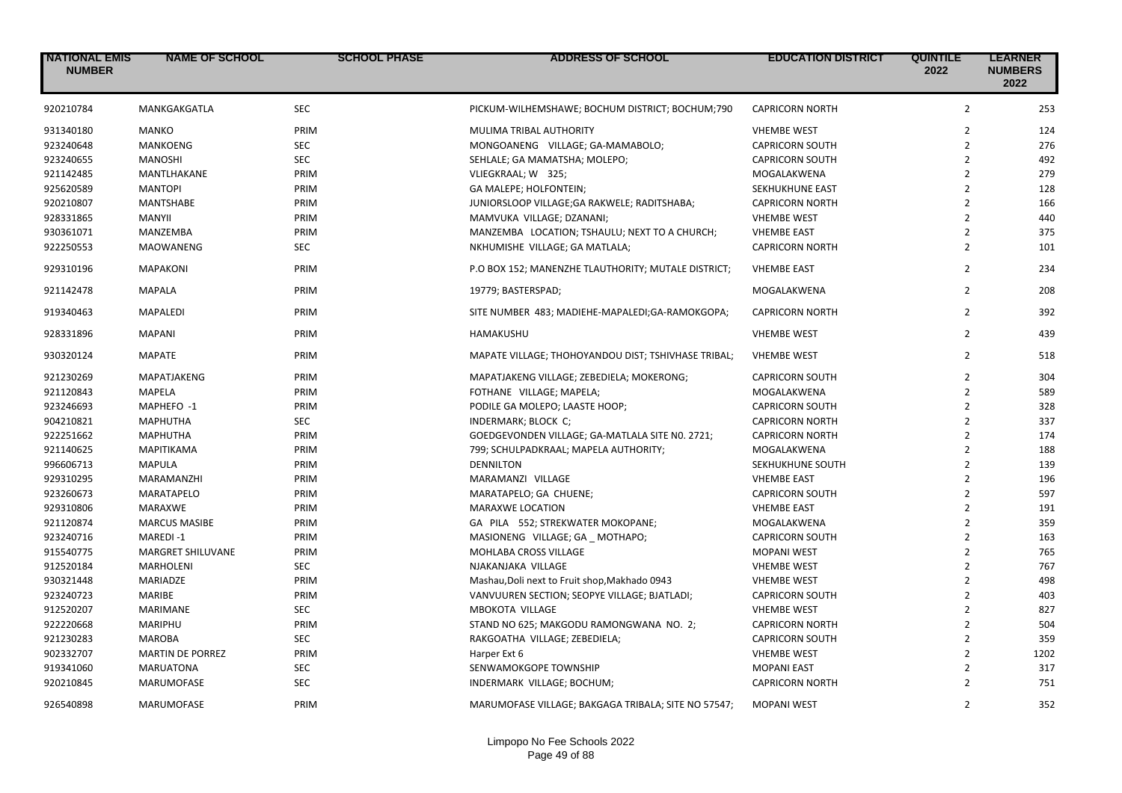| <b>NATIONAL EMIS</b><br><b>NUMBER</b> | <b>NAME OF SCHOOL</b>   | <b>SCHOOL PHASE</b> | <b>ADDRESS OF SCHOOL</b>                            | <b>EDUCATION DISTRICT</b> | <b>QUINTILE</b><br>2022 | <b>LEARNER</b><br><b>NUMBERS</b><br>2022 |
|---------------------------------------|-------------------------|---------------------|-----------------------------------------------------|---------------------------|-------------------------|------------------------------------------|
| 920210784                             | MANKGAKGATLA            | <b>SEC</b>          | PICKUM-WILHEMSHAWE; BOCHUM DISTRICT; BOCHUM;790     | <b>CAPRICORN NORTH</b>    | $\overline{2}$          | 253                                      |
| 931340180                             | <b>MANKO</b>            | PRIM                | MULIMA TRIBAL AUTHORITY                             | <b>VHEMBE WEST</b>        | $\overline{2}$          | 124                                      |
| 923240648                             | MANKOENG                | SEC                 | MONGOANENG VILLAGE; GA-MAMABOLO;                    | <b>CAPRICORN SOUTH</b>    | $\overline{2}$          | 276                                      |
| 923240655                             | <b>MANOSHI</b>          | <b>SEC</b>          | SEHLALE; GA MAMATSHA; MOLEPO;                       | <b>CAPRICORN SOUTH</b>    | $\overline{2}$          | 492                                      |
| 921142485                             | MANTLHAKANE             | PRIM                | VLIEGKRAAL; W 325;                                  | MOGALAKWENA               | $\overline{2}$          | 279                                      |
| 925620589                             | <b>MANTOPI</b>          | PRIM                | GA MALEPE; HOLFONTEIN;                              | SEKHUKHUNE EAST           | $\overline{2}$          | 128                                      |
| 920210807                             | <b>MANTSHABE</b>        | PRIM                | JUNIORSLOOP VILLAGE; GA RAKWELE; RADITSHABA;        | <b>CAPRICORN NORTH</b>    | $\overline{2}$          | 166                                      |
| 928331865                             | <b>MANYII</b>           | PRIM                | MAMVUKA VILLAGE; DZANANI;                           | <b>VHEMBE WEST</b>        | $\overline{2}$          | 440                                      |
| 930361071                             | MANZEMBA                | PRIM                | MANZEMBA LOCATION; TSHAULU; NEXT TO A CHURCH;       | <b>VHEMBE EAST</b>        | $\overline{2}$          | 375                                      |
| 922250553                             | <b>MAOWANENG</b>        | <b>SEC</b>          | NKHUMISHE VILLAGE; GA MATLALA;                      | <b>CAPRICORN NORTH</b>    | $\overline{2}$          | 101                                      |
| 929310196                             | <b>MAPAKONI</b>         | PRIM                | P.O BOX 152; MANENZHE TLAUTHORITY; MUTALE DISTRICT; | <b>VHEMBE EAST</b>        | $\overline{2}$          | 234                                      |
| 921142478                             | <b>MAPALA</b>           | PRIM                | 19779; BASTERSPAD;                                  | MOGALAKWENA               | $\overline{2}$          | 208                                      |
| 919340463                             | <b>MAPALEDI</b>         | PRIM                | SITE NUMBER 483; MADIEHE-MAPALEDI;GA-RAMOKGOPA;     | <b>CAPRICORN NORTH</b>    | $\overline{2}$          | 392                                      |
| 928331896                             | <b>MAPANI</b>           | PRIM                | HAMAKUSHU                                           | <b>VHEMBE WEST</b>        | $\overline{2}$          | 439                                      |
| 930320124                             | <b>MAPATE</b>           | PRIM                | MAPATE VILLAGE; THOHOYANDOU DIST; TSHIVHASE TRIBAL; | <b>VHEMBE WEST</b>        | $\overline{2}$          | 518                                      |
| 921230269                             | MAPATJAKENG             | PRIM                | MAPATJAKENG VILLAGE; ZEBEDIELA; MOKERONG;           | <b>CAPRICORN SOUTH</b>    | $\overline{2}$          | 304                                      |
| 921120843                             | <b>MAPELA</b>           | PRIM                | FOTHANE VILLAGE; MAPELA;                            | MOGALAKWENA               | $\overline{2}$          | 589                                      |
| 923246693                             | MAPHEFO -1              | PRIM                | PODILE GA MOLEPO; LAASTE HOOP;                      | <b>CAPRICORN SOUTH</b>    | $\overline{2}$          | 328                                      |
| 904210821                             | <b>MAPHUTHA</b>         | <b>SEC</b>          | INDERMARK; BLOCK C;                                 | <b>CAPRICORN NORTH</b>    | $\overline{2}$          | 337                                      |
| 922251662                             | <b>MAPHUTHA</b>         | PRIM                | GOEDGEVONDEN VILLAGE; GA-MATLALA SITE NO. 2721;     | <b>CAPRICORN NORTH</b>    | $\overline{2}$          | 174                                      |
| 921140625                             | <b>MAPITIKAMA</b>       | PRIM                | 799; SCHULPADKRAAL; MAPELA AUTHORITY;               | MOGALAKWENA               | $\overline{2}$          | 188                                      |
| 996606713                             | <b>MAPULA</b>           | PRIM                | <b>DENNILTON</b>                                    | SEKHUKHUNE SOUTH          | $\overline{2}$          | 139                                      |
| 929310295                             | <b>MARAMANZHI</b>       | PRIM                | MARAMANZI VILLAGE                                   | <b>VHEMBE EAST</b>        | $\overline{2}$          | 196                                      |
| 923260673                             | MARATAPELO              | PRIM                | MARATAPELO; GA CHUENE;                              | <b>CAPRICORN SOUTH</b>    | $\overline{2}$          | 597                                      |
| 929310806                             | MARAXWE                 | PRIM                | MARAXWE LOCATION                                    | <b>VHEMBE EAST</b>        | $\overline{2}$          | 191                                      |
| 921120874                             | <b>MARCUS MASIBE</b>    | PRIM                | GA PILA 552; STREKWATER MOKOPANE;                   | MOGALAKWENA               | $\overline{2}$          | 359                                      |
| 923240716                             | <b>MAREDI-1</b>         | PRIM                | MASIONENG VILLAGE; GA MOTHAPO;                      | <b>CAPRICORN SOUTH</b>    | $\overline{2}$          | 163                                      |
| 915540775                             | MARGRET SHILUVANE       | PRIM                | MOHLABA CROSS VILLAGE                               | <b>MOPANI WEST</b>        | $\overline{2}$          | 765                                      |
| 912520184                             | <b>MARHOLENI</b>        | <b>SEC</b>          | NJAKANJAKA VILLAGE                                  | <b>VHEMBE WEST</b>        | $\overline{2}$          | 767                                      |
| 930321448                             | MARIADZE                | PRIM                | Mashau, Doli next to Fruit shop, Makhado 0943       | <b>VHEMBE WEST</b>        | $\overline{2}$          | 498                                      |
| 923240723                             | <b>MARIBE</b>           | PRIM                | VANVUUREN SECTION; SEOPYE VILLAGE; BJATLADI;        | <b>CAPRICORN SOUTH</b>    | $\overline{2}$          | 403                                      |
| 912520207                             | <b>MARIMANE</b>         | <b>SEC</b>          | MBOKOTA VILLAGE                                     | <b>VHEMBE WEST</b>        | $\overline{2}$          | 827                                      |
| 922220668                             | MARIPHU                 | PRIM                | STAND NO 625; MAKGODU RAMONGWANA NO. 2;             | <b>CAPRICORN NORTH</b>    | $\overline{2}$          | 504                                      |
| 921230283                             | <b>MAROBA</b>           | <b>SEC</b>          | RAKGOATHA VILLAGE; ZEBEDIELA;                       | <b>CAPRICORN SOUTH</b>    | $\overline{2}$          | 359                                      |
| 902332707                             | <b>MARTIN DE PORREZ</b> | PRIM                | Harper Ext 6                                        | <b>VHEMBE WEST</b>        | $\overline{2}$          | 1202                                     |
| 919341060                             | <b>MARUATONA</b>        | <b>SEC</b>          | SENWAMOKGOPE TOWNSHIP                               | <b>MOPANI EAST</b>        | $\overline{2}$          | 317                                      |
| 920210845                             | <b>MARUMOFASE</b>       | <b>SEC</b>          | INDERMARK VILLAGE; BOCHUM;                          | <b>CAPRICORN NORTH</b>    | $\overline{2}$          | 751                                      |
| 926540898                             | MARUMOFASE              | PRIM                | MARUMOFASE VILLAGE; BAKGAGA TRIBALA; SITE NO 57547; | <b>MOPANI WEST</b>        | $\overline{2}$          | 352                                      |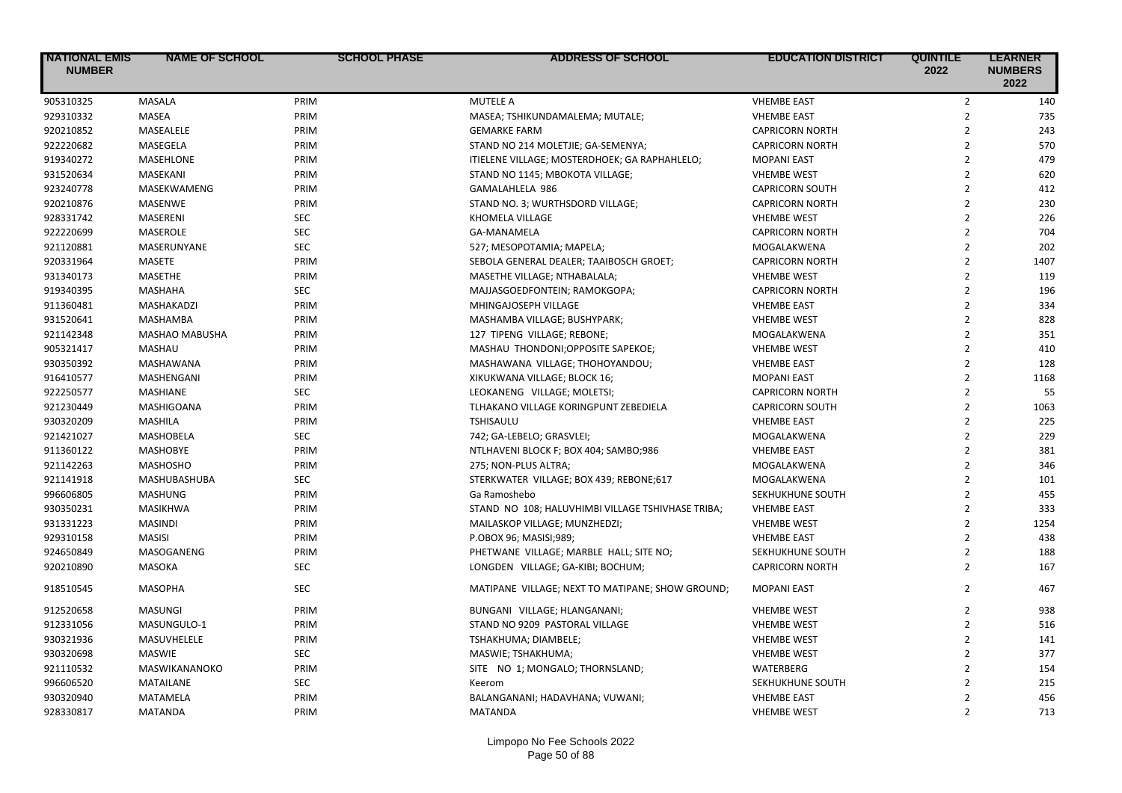| <b>NATIONAL EMIS</b><br><b>NUMBER</b> | <b>NAME OF SCHOOL</b> | <b>SCHOOL PHASE</b> | ADDRESS OF SCHOOL                                 | <b>EDUCATION DISTRICT</b> | <b>QUINTILE</b><br>2022 | <b>LEARNER</b><br><b>NUMBERS</b><br>2022 |
|---------------------------------------|-----------------------|---------------------|---------------------------------------------------|---------------------------|-------------------------|------------------------------------------|
| 905310325                             | MASALA                | PRIM                | <b>MUTELE A</b>                                   | <b>VHEMBE EAST</b>        | $\overline{2}$          | 140                                      |
| 929310332                             | <b>MASEA</b>          | PRIM                | MASEA; TSHIKUNDAMALEMA; MUTALE;                   | <b>VHEMBE EAST</b>        | $\overline{2}$          | 735                                      |
| 920210852                             | MASEALELE             | PRIM                | <b>GEMARKE FARM</b>                               | <b>CAPRICORN NORTH</b>    | $\overline{2}$          | 243                                      |
| 922220682                             | MASEGELA              | PRIM                | STAND NO 214 MOLETJIE; GA-SEMENYA;                | <b>CAPRICORN NORTH</b>    | $\overline{2}$          | 570                                      |
| 919340272                             | MASEHLONE             | PRIM                | ITIELENE VILLAGE; MOSTERDHOEK; GA RAPHAHLELO;     | <b>MOPANI EAST</b>        | $\overline{2}$          | 479                                      |
| 931520634                             | MASEKANI              | PRIM                | STAND NO 1145; MBOKOTA VILLAGE;                   | <b>VHEMBE WEST</b>        | $\overline{2}$          | 620                                      |
| 923240778                             | MASEKWAMENG           | PRIM                | GAMALAHLELA 986                                   | <b>CAPRICORN SOUTH</b>    | $\overline{2}$          | 412                                      |
| 920210876                             | <b>MASENWE</b>        | PRIM                | STAND NO. 3; WURTHSDORD VILLAGE;                  | <b>CAPRICORN NORTH</b>    | $\overline{2}$          | 230                                      |
| 928331742                             | MASERENI              | <b>SEC</b>          | KHOMELA VILLAGE                                   | <b>VHEMBE WEST</b>        | $\overline{2}$          | 226                                      |
| 922220699                             | <b>MASEROLE</b>       | <b>SEC</b>          | <b>GA-MANAMELA</b>                                | <b>CAPRICORN NORTH</b>    | $\overline{2}$          | 704                                      |
| 921120881                             | MASERUNYANE           | <b>SEC</b>          | 527; MESOPOTAMIA; MAPELA;                         | MOGALAKWENA               | $\overline{2}$          | 202                                      |
| 920331964                             | MASETE                | PRIM                | SEBOLA GENERAL DEALER; TAAIBOSCH GROET;           | <b>CAPRICORN NORTH</b>    | $\overline{2}$          | 1407                                     |
| 931340173                             | <b>MASETHE</b>        | PRIM                | MASETHE VILLAGE; NTHABALALA;                      | <b>VHEMBE WEST</b>        | $\overline{2}$          | 119                                      |
| 919340395                             | <b>MASHAHA</b>        | <b>SEC</b>          | MAJJASGOEDFONTEIN; RAMOKGOPA;                     | <b>CAPRICORN NORTH</b>    | $\overline{2}$          | 196                                      |
| 911360481                             | <b>MASHAKADZI</b>     | PRIM                | MHINGAJOSEPH VILLAGE                              | <b>VHEMBE EAST</b>        | $\overline{2}$          | 334                                      |
| 931520641                             | <b>MASHAMBA</b>       | PRIM                | MASHAMBA VILLAGE; BUSHYPARK;                      | <b>VHEMBE WEST</b>        | $\overline{2}$          | 828                                      |
| 921142348                             | MASHAO MABUSHA        | PRIM                | 127 TIPENG VILLAGE; REBONE;                       | MOGALAKWENA               | $\overline{2}$          | 351                                      |
| 905321417                             | MASHAU                | PRIM                | MASHAU THONDONI; OPPOSITE SAPEKOE;                | <b>VHEMBE WEST</b>        | $\overline{2}$          | 410                                      |
| 930350392                             | MASHAWANA             | PRIM                | MASHAWANA VILLAGE; THOHOYANDOU;                   | <b>VHEMBE EAST</b>        | $\overline{2}$          | 128                                      |
| 916410577                             | MASHENGANI            | PRIM                | XIKUKWANA VILLAGE; BLOCK 16;                      | <b>MOPANI EAST</b>        | $\overline{2}$          | 1168                                     |
| 922250577                             | <b>MASHIANE</b>       | <b>SEC</b>          | LEOKANENG VILLAGE; MOLETSI;                       | <b>CAPRICORN NORTH</b>    | $\overline{2}$          | 55                                       |
| 921230449                             | MASHIGOANA            | PRIM                | TLHAKANO VILLAGE KORINGPUNT ZEBEDIELA             | <b>CAPRICORN SOUTH</b>    | $\overline{2}$          | 1063                                     |
| 930320209                             | <b>MASHILA</b>        | PRIM                | <b>TSHISAULU</b>                                  | <b>VHEMBE EAST</b>        | $\overline{2}$          | 225                                      |
| 921421027                             | <b>MASHOBELA</b>      | <b>SEC</b>          | 742; GA-LEBELO; GRASVLEI;                         | MOGALAKWENA               | $\overline{2}$          | 229                                      |
| 911360122                             | <b>MASHOBYE</b>       | PRIM                | NTLHAVENI BLOCK F; BOX 404; SAMBO;986             | <b>VHEMBE EAST</b>        | $\overline{2}$          | 381                                      |
| 921142263                             | <b>MASHOSHO</b>       | PRIM                | 275; NON-PLUS ALTRA;                              | MOGALAKWENA               | $\overline{2}$          | 346                                      |
| 921141918                             | MASHUBASHUBA          | <b>SEC</b>          | STERKWATER VILLAGE; BOX 439; REBONE;617           | MOGALAKWENA               | $\overline{2}$          | 101                                      |
| 996606805                             | <b>MASHUNG</b>        | PRIM                | Ga Ramoshebo                                      | SEKHUKHUNE SOUTH          | $\overline{2}$          | 455                                      |
| 930350231                             | <b>MASIKHWA</b>       | PRIM                | STAND NO 108; HALUVHIMBI VILLAGE TSHIVHASE TRIBA; | <b>VHEMBE EAST</b>        | $\overline{2}$          | 333                                      |
| 931331223                             | <b>MASINDI</b>        | PRIM                | MAILASKOP VILLAGE; MUNZHEDZI;                     | <b>VHEMBE WEST</b>        | $\overline{2}$          | 1254                                     |
| 929310158                             | <b>MASISI</b>         | PRIM                | P.OBOX 96; MASISI;989;                            | <b>VHEMBE EAST</b>        | $\overline{2}$          | 438                                      |
| 924650849                             | MASOGANENG            | PRIM                | PHETWANE VILLAGE; MARBLE HALL; SITE NO;           | SEKHUKHUNE SOUTH          | $\overline{2}$          | 188                                      |
| 920210890                             | MASOKA                | <b>SEC</b>          | LONGDEN VILLAGE; GA-KIBI; BOCHUM;                 | <b>CAPRICORN NORTH</b>    | $\overline{2}$          | 167                                      |
| 918510545                             | <b>MASOPHA</b>        | <b>SEC</b>          | MATIPANE VILLAGE; NEXT TO MATIPANE; SHOW GROUND;  | <b>MOPANI EAST</b>        | $\overline{2}$          | 467                                      |
| 912520658                             | <b>MASUNGI</b>        | PRIM                | BUNGANI VILLAGE; HLANGANANI;                      | <b>VHEMBE WEST</b>        | $\overline{2}$          | 938                                      |
| 912331056                             | MASUNGULO-1           | PRIM                | STAND NO 9209 PASTORAL VILLAGE                    | <b>VHEMBE WEST</b>        | $\overline{2}$          | 516                                      |
| 930321936                             | MASUVHELELE           | PRIM                | TSHAKHUMA; DIAMBELE;                              | <b>VHEMBE WEST</b>        | $\overline{2}$          | 141                                      |
| 930320698                             | <b>MASWIE</b>         | <b>SEC</b>          | MASWIE; TSHAKHUMA;                                | <b>VHEMBE WEST</b>        | $\overline{2}$          | 377                                      |
| 921110532                             | MASWIKANANOKO         | PRIM                | SITE NO 1; MONGALO; THORNSLAND;                   | <b>WATERBERG</b>          | $\overline{2}$          | 154                                      |
| 996606520                             | <b>MATAILANE</b>      | <b>SEC</b>          | Keerom                                            | SEKHUKHUNE SOUTH          | $\overline{2}$          | 215                                      |
| 930320940                             | <b>MATAMELA</b>       | PRIM                | BALANGANANI; HADAVHANA; VUWANI;                   | <b>VHEMBE EAST</b>        | $\overline{2}$          | 456                                      |
| 928330817                             | <b>MATANDA</b>        | PRIM                | <b>MATANDA</b>                                    | <b>VHEMBE WEST</b>        | $\overline{2}$          | 713                                      |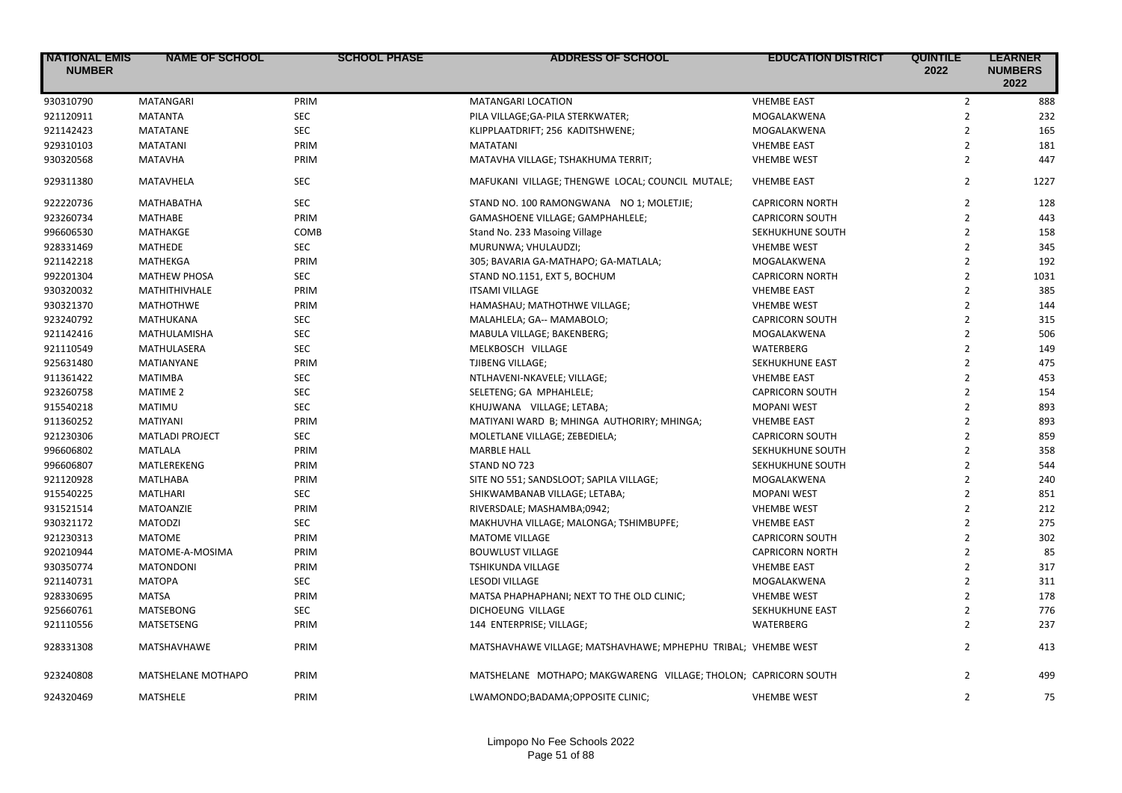| <b>NATIONAL EMIS</b><br><b>NUMBER</b> | <b>NAME OF SCHOOL</b>  | <b>SCHOOL PHASE</b> | ADDRESS OF SCHOOL                                               | <b>EDUCATION DISTRICT</b> | <b>QUINTILE</b><br>2022 | <b>LEARNER</b><br><b>NUMBERS</b><br>2022 |
|---------------------------------------|------------------------|---------------------|-----------------------------------------------------------------|---------------------------|-------------------------|------------------------------------------|
| 930310790                             | <b>MATANGARI</b>       | PRIM                | <b>MATANGARI LOCATION</b>                                       | <b>VHEMBE EAST</b>        | $\overline{2}$          | 888                                      |
| 921120911                             | <b>MATANTA</b>         | <b>SEC</b>          | PILA VILLAGE; GA-PILA STERKWATER;                               | MOGALAKWENA               | $\overline{2}$          | 232                                      |
| 921142423                             | <b>MATATANE</b>        | <b>SEC</b>          | KLIPPLAATDRIFT; 256 KADITSHWENE;                                | MOGALAKWENA               | $\overline{2}$          | 165                                      |
| 929310103                             | <b>MATATANI</b>        | PRIM                | <b>MATATANI</b>                                                 | <b>VHEMBE EAST</b>        | $\overline{2}$          | 181                                      |
| 930320568                             | <b>MATAVHA</b>         | PRIM                | MATAVHA VILLAGE; TSHAKHUMA TERRIT;                              | <b>VHEMBE WEST</b>        | $\overline{2}$          | 447                                      |
| 929311380                             | MATAVHELA              | <b>SEC</b>          | MAFUKANI VILLAGE; THENGWE LOCAL; COUNCIL MUTALE;                | <b>VHEMBE EAST</b>        | $\overline{2}$          | 1227                                     |
| 922220736                             | MATHABATHA             | <b>SEC</b>          | STAND NO. 100 RAMONGWANA NO 1; MOLETJIE;                        | <b>CAPRICORN NORTH</b>    | $\overline{2}$          | 128                                      |
| 923260734                             | <b>MATHABE</b>         | PRIM                | GAMASHOENE VILLAGE; GAMPHAHLELE;                                | <b>CAPRICORN SOUTH</b>    | $\overline{2}$          | 443                                      |
| 996606530                             | MATHAKGE               | COMB                | Stand No. 233 Masoing Village                                   | SEKHUKHUNE SOUTH          | $\overline{2}$          | 158                                      |
| 928331469                             | <b>MATHEDE</b>         | SEC                 | MURUNWA; VHULAUDZI;                                             | <b>VHEMBE WEST</b>        | $\overline{2}$          | 345                                      |
| 921142218                             | MATHEKGA               | PRIM                | 305; BAVARIA GA-MATHAPO; GA-MATLALA;                            | MOGALAKWENA               | $\overline{2}$          | 192                                      |
| 992201304                             | <b>MATHEW PHOSA</b>    | <b>SEC</b>          | STAND NO.1151, EXT 5, BOCHUM                                    | <b>CAPRICORN NORTH</b>    | $\overline{2}$          | 1031                                     |
| 930320032                             | MATHITHIVHALE          | PRIM                | <b>ITSAMI VILLAGE</b>                                           | <b>VHEMBE EAST</b>        | $\overline{2}$          | 385                                      |
| 930321370                             | <b>MATHOTHWE</b>       | PRIM                | HAMASHAU; MATHOTHWE VILLAGE;                                    | <b>VHEMBE WEST</b>        | $\overline{2}$          | 144                                      |
| 923240792                             | <b>MATHUKANA</b>       | <b>SEC</b>          | MALAHLELA; GA-- MAMABOLO;                                       | <b>CAPRICORN SOUTH</b>    | $\overline{2}$          | 315                                      |
| 921142416                             | MATHULAMISHA           | <b>SEC</b>          | MABULA VILLAGE; BAKENBERG;                                      | MOGALAKWENA               | $\overline{2}$          | 506                                      |
| 921110549                             | MATHULASERA            | <b>SEC</b>          | MELKBOSCH VILLAGE                                               | <b>WATERBERG</b>          | $\overline{2}$          | 149                                      |
| 925631480                             | MATIANYANE             | PRIM                | TJIBENG VILLAGE;                                                | SEKHUKHUNE EAST           | $\overline{2}$          | 475                                      |
| 911361422                             | <b>MATIMBA</b>         | <b>SEC</b>          | NTLHAVENI-NKAVELE; VILLAGE;                                     | <b>VHEMBE EAST</b>        | $\overline{2}$          | 453                                      |
| 923260758                             | <b>MATIME 2</b>        | <b>SEC</b>          | SELETENG; GA MPHAHLELE;                                         | <b>CAPRICORN SOUTH</b>    | $\overline{2}$          | 154                                      |
| 915540218                             | <b>MATIMU</b>          | <b>SEC</b>          | KHUJWANA VILLAGE; LETABA;                                       | <b>MOPANI WEST</b>        | $\overline{2}$          | 893                                      |
| 911360252                             | <b>MATIYANI</b>        | PRIM                | MATIYANI WARD B; MHINGA AUTHORIRY; MHINGA;                      | <b>VHEMBE EAST</b>        | $\overline{2}$          | 893                                      |
| 921230306                             | <b>MATLADI PROJECT</b> | <b>SEC</b>          | MOLETLANE VILLAGE; ZEBEDIELA;                                   | <b>CAPRICORN SOUTH</b>    | $\overline{2}$          | 859                                      |
| 996606802                             | <b>MATLALA</b>         | PRIM                | <b>MARBLE HALL</b>                                              | SEKHUKHUNE SOUTH          | $\overline{2}$          | 358                                      |
| 996606807                             | MATLEREKENG            | PRIM                | STAND NO 723                                                    | SEKHUKHUNE SOUTH          | $\overline{2}$          | 544                                      |
| 921120928                             | <b>MATLHABA</b>        | PRIM                | SITE NO 551; SANDSLOOT; SAPILA VILLAGE;                         | MOGALAKWENA               | $\overline{2}$          | 240                                      |
| 915540225                             | <b>MATLHARI</b>        | <b>SEC</b>          | SHIKWAMBANAB VILLAGE; LETABA;                                   | <b>MOPANI WEST</b>        | $\overline{2}$          | 851                                      |
| 931521514                             | MATOANZIE              | PRIM                | RIVERSDALE; MASHAMBA;0942;                                      | <b>VHEMBE WEST</b>        | $\overline{2}$          | 212                                      |
| 930321172                             | <b>MATODZI</b>         | <b>SEC</b>          | MAKHUVHA VILLAGE; MALONGA; TSHIMBUPFE;                          | <b>VHEMBE EAST</b>        | $\overline{2}$          | 275                                      |
| 921230313                             | <b>MATOME</b>          | PRIM                | <b>MATOME VILLAGE</b>                                           | <b>CAPRICORN SOUTH</b>    | $\overline{2}$          | 302                                      |
| 920210944                             | MATOME-A-MOSIMA        | PRIM                | <b>BOUWLUST VILLAGE</b>                                         | <b>CAPRICORN NORTH</b>    | $\overline{2}$          | 85                                       |
| 930350774                             | <b>MATONDONI</b>       | PRIM                | TSHIKUNDA VILLAGE                                               | <b>VHEMBE EAST</b>        | $\overline{2}$          | 317                                      |
| 921140731                             | <b>MATOPA</b>          | <b>SEC</b>          | <b>LESODI VILLAGE</b>                                           | MOGALAKWENA               | $\overline{2}$          | 311                                      |
| 928330695                             | <b>MATSA</b>           | PRIM                | MATSA PHAPHAPHANI; NEXT TO THE OLD CLINIC;                      | <b>VHEMBE WEST</b>        | $\overline{2}$          | 178                                      |
| 925660761                             | <b>MATSEBONG</b>       | <b>SEC</b>          | <b>DICHOEUNG VILLAGE</b>                                        | SEKHUKHUNE EAST           | $\overline{2}$          | 776                                      |
| 921110556                             | MATSETSENG             | PRIM                | 144 ENTERPRISE; VILLAGE;                                        | WATERBERG                 | $\overline{2}$          | 237                                      |
| 928331308                             | MATSHAVHAWE            | PRIM                | MATSHAVHAWE VILLAGE; MATSHAVHAWE; MPHEPHU TRIBAL; VHEMBE WEST   |                           | $\overline{2}$          | 413                                      |
|                                       |                        |                     |                                                                 |                           |                         |                                          |
| 923240808                             | MATSHELANE MOTHAPO     | PRIM                | MATSHELANE MOTHAPO; MAKGWARENG VILLAGE; THOLON; CAPRICORN SOUTH |                           | $\overline{2}$          | 499                                      |
| 924320469                             | MATSHELE               | PRIM                | LWAMONDO;BADAMA;OPPOSITE CLINIC;                                | <b>VHEMBE WEST</b>        | $\overline{2}$          | 75                                       |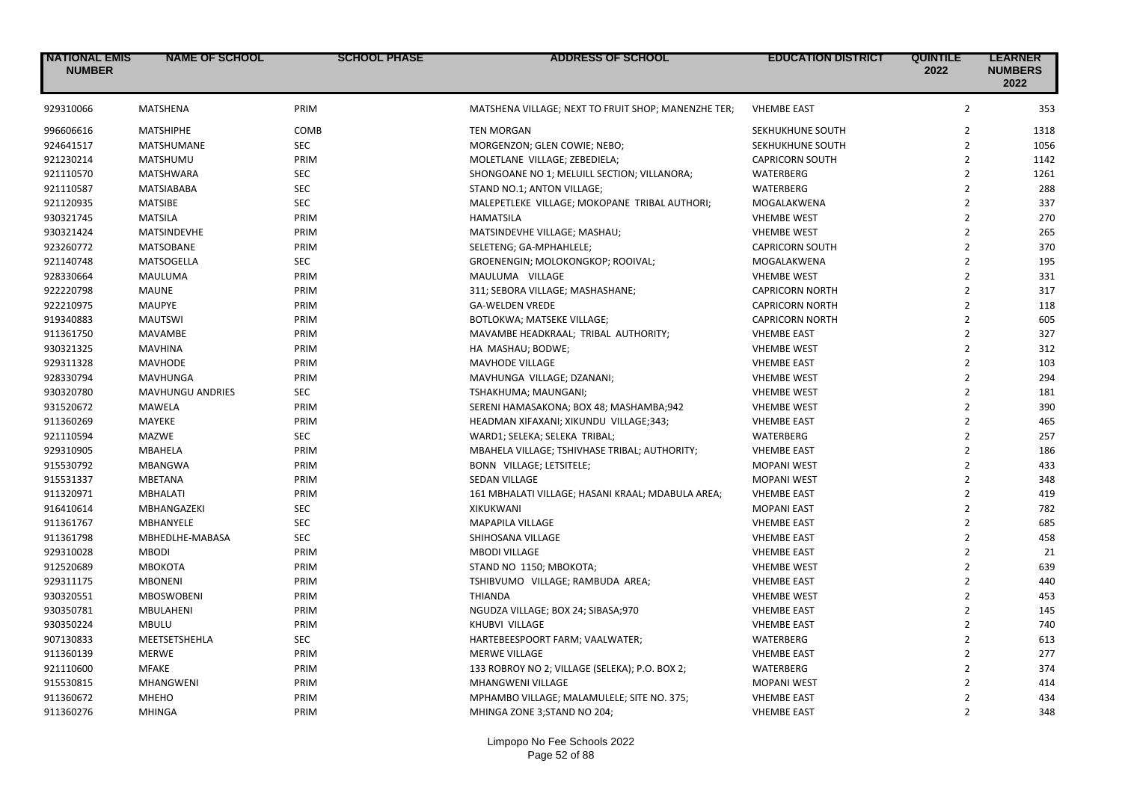| <b>NATIONAL EMIS</b><br><b>NUMBER</b> | <b>NAME OF SCHOOL</b>   | <b>SCHOOL PHASE</b> | <b>ADDRESS OF SCHOOL</b>                            | <b>EDUCATION DISTRICT</b> | <b>QUINTILE</b><br>2022  | <b>LEARNER</b><br><b>NUMBERS</b><br>2022 |
|---------------------------------------|-------------------------|---------------------|-----------------------------------------------------|---------------------------|--------------------------|------------------------------------------|
| 929310066                             | <b>MATSHENA</b>         | PRIM                | MATSHENA VILLAGE; NEXT TO FRUIT SHOP; MANENZHE TER; | <b>VHEMBE EAST</b>        | $\overline{2}$           | 353                                      |
| 996606616                             | <b>MATSHIPHE</b>        | COMB                | <b>TEN MORGAN</b>                                   | SEKHUKHUNE SOUTH          | $\overline{2}$           | 1318                                     |
| 924641517                             | MATSHUMANE              | <b>SEC</b>          | MORGENZON; GLEN COWIE; NEBO;                        | SEKHUKHUNE SOUTH          | $\overline{2}$           | 1056                                     |
| 921230214                             | MATSHUMU                | PRIM                | MOLETLANE VILLAGE; ZEBEDIELA;                       | <b>CAPRICORN SOUTH</b>    | $\overline{2}$           | 1142                                     |
| 921110570                             | <b>MATSHWARA</b>        | <b>SEC</b>          | SHONGOANE NO 1; MELUILL SECTION; VILLANORA;         | WATERBERG                 | $\overline{2}$           | 1261                                     |
| 921110587                             | MATSIABABA              | <b>SEC</b>          | STAND NO.1; ANTON VILLAGE;                          | WATERBERG                 | $\overline{2}$           | 288                                      |
| 921120935                             | <b>MATSIBE</b>          | <b>SEC</b>          | MALEPETLEKE VILLAGE; MOKOPANE TRIBAL AUTHORI;       | MOGALAKWENA               | $\overline{2}$           | 337                                      |
| 930321745                             | <b>MATSILA</b>          | PRIM                | <b>HAMATSILA</b>                                    | <b>VHEMBE WEST</b>        | $\overline{2}$           | 270                                      |
| 930321424                             | MATSINDEVHE             | PRIM                | MATSINDEVHE VILLAGE; MASHAU;                        | <b>VHEMBE WEST</b>        | $\overline{2}$           | 265                                      |
| 923260772                             | <b>MATSOBANE</b>        | PRIM                | SELETENG; GA-MPHAHLELE;                             | <b>CAPRICORN SOUTH</b>    | $\overline{2}$           | 370                                      |
| 921140748                             | MATSOGELLA              | <b>SEC</b>          | GROENENGIN; MOLOKONGKOP; ROOIVAL;                   | MOGALAKWENA               | $\overline{2}$           | 195                                      |
| 928330664                             | MAULUMA                 | PRIM                | MAULUMA VILLAGE                                     | <b>VHEMBE WEST</b>        | $\overline{2}$           | 331                                      |
| 922220798                             | <b>MAUNE</b>            | PRIM                | 311; SEBORA VILLAGE; MASHASHANE;                    | <b>CAPRICORN NORTH</b>    | $\overline{2}$           | 317                                      |
| 922210975                             | <b>MAUPYE</b>           | PRIM                | <b>GA-WELDEN VREDE</b>                              | <b>CAPRICORN NORTH</b>    | $\overline{2}$           | 118                                      |
| 919340883                             | <b>MAUTSWI</b>          | PRIM                | BOTLOKWA; MATSEKE VILLAGE;                          | <b>CAPRICORN NORTH</b>    | $\overline{2}$           | 605                                      |
| 911361750                             | <b>MAVAMBE</b>          | PRIM                | MAVAMBE HEADKRAAL; TRIBAL AUTHORITY;                | <b>VHEMBE EAST</b>        | $\overline{2}$           | 327                                      |
| 930321325                             | <b>MAVHINA</b>          | PRIM                | HA MASHAU; BODWE;                                   | <b>VHEMBE WEST</b>        | $\overline{2}$           | 312                                      |
| 929311328                             | <b>MAVHODE</b>          | PRIM                | <b>MAVHODE VILLAGE</b>                              | <b>VHEMBE EAST</b>        | $\overline{2}$           | 103                                      |
| 928330794                             | <b>MAVHUNGA</b>         | PRIM                | MAVHUNGA VILLAGE; DZANANI;                          | <b>VHEMBE WEST</b>        | $\overline{2}$           | 294                                      |
| 930320780                             | <b>MAVHUNGU ANDRIES</b> | <b>SEC</b>          | TSHAKHUMA; MAUNGANI;                                | <b>VHEMBE WEST</b>        | $\overline{2}$           | 181                                      |
| 931520672                             | <b>MAWELA</b>           | PRIM                | SERENI HAMASAKONA; BOX 48; MASHAMBA;942             | <b>VHEMBE WEST</b>        | $\overline{2}$           | 390                                      |
| 911360269                             | MAYEKE                  | PRIM                | HEADMAN XIFAXANI; XIKUNDU VILLAGE;343;              | <b>VHEMBE EAST</b>        | $\overline{2}$           | 465                                      |
| 921110594                             | <b>MAZWE</b>            | <b>SEC</b>          | WARD1; SELEKA; SELEKA TRIBAL;                       | WATERBERG                 | $\overline{2}$           | 257                                      |
| 929310905                             | <b>MBAHELA</b>          | PRIM                | MBAHELA VILLAGE; TSHIVHASE TRIBAL; AUTHORITY;       | <b>VHEMBE EAST</b>        | $\overline{2}$           | 186                                      |
| 915530792                             | <b>MBANGWA</b>          | PRIM                | BONN VILLAGE; LETSITELE;                            | <b>MOPANI WEST</b>        | $\overline{2}$           | 433                                      |
| 915531337                             | <b>MBETANA</b>          | PRIM                | <b>SEDAN VILLAGE</b>                                | <b>MOPANI WEST</b>        | $\overline{2}$           | 348                                      |
| 911320971                             | <b>MBHALATI</b>         | PRIM                | 161 MBHALATI VILLAGE; HASANI KRAAL; MDABULA AREA;   | <b>VHEMBE EAST</b>        | $\overline{2}$           | 419                                      |
| 916410614                             | MBHANGAZEKI             | <b>SEC</b>          | <b>XIKUKWANI</b>                                    | <b>MOPANI EAST</b>        | $\overline{2}$           | 782                                      |
| 911361767                             | <b>MBHANYELE</b>        | <b>SEC</b>          | MAPAPILA VILLAGE                                    | <b>VHEMBE EAST</b>        | $\overline{2}$           | 685                                      |
| 911361798                             | MBHEDLHE-MABASA         | <b>SEC</b>          | SHIHOSANA VILLAGE                                   | <b>VHEMBE EAST</b>        | $\overline{2}$           | 458                                      |
| 929310028                             | <b>MBODI</b>            | PRIM                | <b>MBODI VILLAGE</b>                                | <b>VHEMBE EAST</b>        | $\overline{2}$           | 21                                       |
| 912520689                             | <b>МВОКОТА</b>          | PRIM                | STAND NO 1150; MBOKOTA;                             | <b>VHEMBE WEST</b>        | $\overline{2}$           | 639                                      |
| 929311175                             | <b>MBONENI</b>          | PRIM                | TSHIBVUMO VILLAGE; RAMBUDA AREA;                    | <b>VHEMBE EAST</b>        | $\overline{2}$           | 440                                      |
| 930320551                             | <b>MBOSWOBENI</b>       | PRIM                | <b>THIANDA</b>                                      | <b>VHEMBE WEST</b>        | $\overline{2}$           | 453                                      |
| 930350781                             | MBULAHENI               | PRIM                | NGUDZA VILLAGE; BOX 24; SIBASA;970                  | <b>VHEMBE EAST</b>        | $\overline{2}$           | 145                                      |
| 930350224                             | <b>MBULU</b>            | PRIM                | KHUBVI VILLAGE                                      | <b>VHEMBE EAST</b>        | $\overline{2}$           | 740                                      |
| 907130833                             | MEETSETSHEHLA           | <b>SEC</b>          | HARTEBEESPOORT FARM; VAALWATER;                     | WATERBERG                 | $\overline{2}$           | 613                                      |
| 911360139                             | <b>MERWE</b>            | PRIM                | <b>MERWE VILLAGE</b>                                | <b>VHEMBE EAST</b>        | $\overline{2}$           | 277                                      |
| 921110600                             | <b>MFAKE</b>            | PRIM                | 133 ROBROY NO 2; VILLAGE (SELEKA); P.O. BOX 2;      | WATERBERG                 | $\overline{2}$           | 374                                      |
| 915530815                             | <b>MHANGWENI</b>        | PRIM                | MHANGWENI VILLAGE                                   | <b>MOPANI WEST</b>        | $\overline{2}$           | 414                                      |
| 911360672                             | <b>MHEHO</b>            | PRIM                | MPHAMBO VILLAGE; MALAMULELE; SITE NO. 375;          | <b>VHEMBE EAST</b>        | $\overline{\phantom{a}}$ | 434                                      |
| 911360276                             | <b>MHINGA</b>           | PRIM                | MHINGA ZONE 3; STAND NO 204;                        | <b>VHEMBE EAST</b>        | $\overline{2}$           | 348                                      |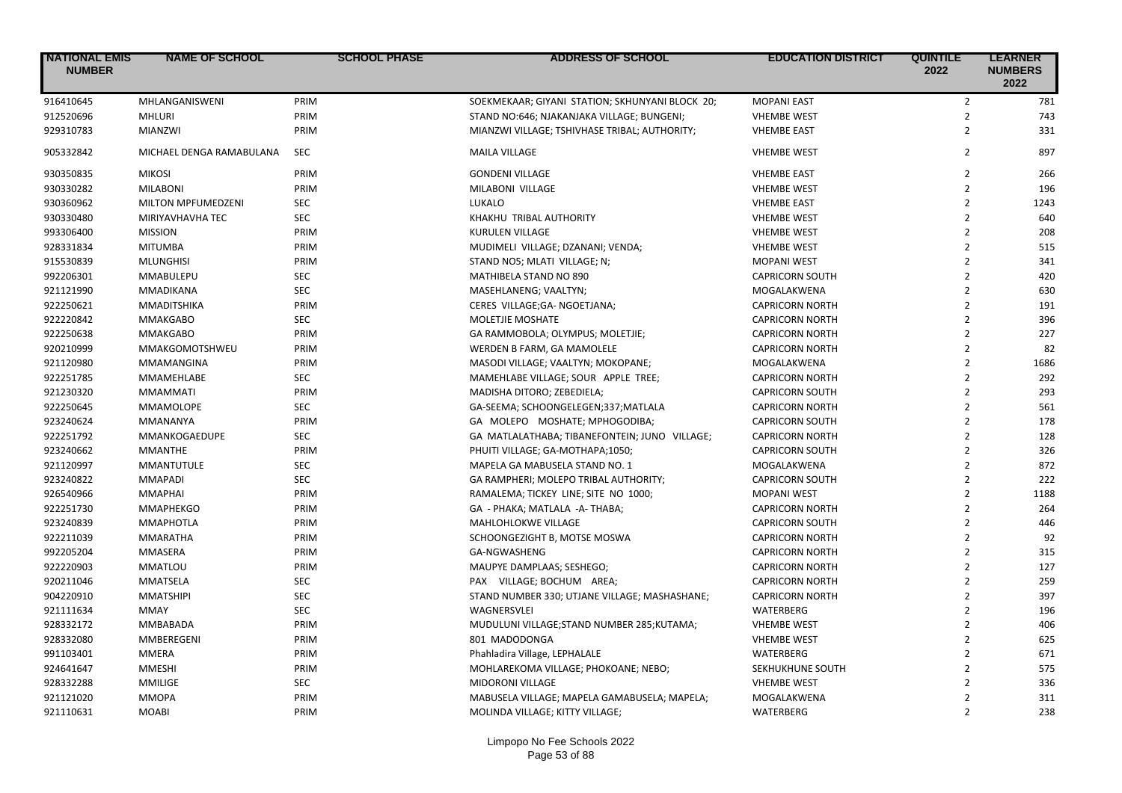| <b>NATIONAL EMIS</b><br><b>NUMBER</b> | <b>NAME OF SCHOOL</b>    | <b>SCHOOL PHASE</b> | <b>ADDRESS OF SCHOOL</b>                        | <b>EDUCATION DISTRICT</b>       | <b>QUINTILE</b><br>2022          | <b>LEARNER</b><br><b>NUMBERS</b><br>2022 |
|---------------------------------------|--------------------------|---------------------|-------------------------------------------------|---------------------------------|----------------------------------|------------------------------------------|
| 916410645                             | MHLANGANISWENI           | PRIM                | SOEKMEKAAR; GIYANI STATION; SKHUNYANI BLOCK 20; | <b>MOPANI EAST</b>              | $\overline{2}$                   | 781                                      |
| 912520696                             | <b>MHLURI</b>            | PRIM                | STAND NO:646; NJAKANJAKA VILLAGE; BUNGENI;      | <b>VHEMBE WEST</b>              | $\mathbf{2}$                     | 743                                      |
| 929310783                             | MIANZWI                  | PRIM                | MIANZWI VILLAGE; TSHIVHASE TRIBAL; AUTHORITY;   | <b>VHEMBE EAST</b>              | $\overline{2}$                   | 331                                      |
| 905332842                             | MICHAEL DENGA RAMABULANA | <b>SEC</b>          | <b>MAILA VILLAGE</b>                            | <b>VHEMBE WEST</b>              | $\overline{2}$                   | 897                                      |
| 930350835                             | <b>MIKOSI</b>            | PRIM                | <b>GONDENI VILLAGE</b>                          | <b>VHEMBE EAST</b>              | $\overline{2}$                   | 266                                      |
| 930330282                             | <b>MILABONI</b>          | PRIM                | MILABONI VILLAGE                                | <b>VHEMBE WEST</b>              | $\overline{2}$                   | 196                                      |
| 930360962                             | MILTON MPFUMEDZENI       | SEC                 | LUKALO                                          | <b>VHEMBE EAST</b>              | $\overline{2}$                   | 1243                                     |
| 930330480                             | MIRIYAVHAVHA TEC         | <b>SEC</b>          | KHAKHU TRIBAL AUTHORITY                         | <b>VHEMBE WEST</b>              | $\overline{2}$                   | 640                                      |
| 993306400                             | <b>MISSION</b>           | PRIM                | <b>KURULEN VILLAGE</b>                          | <b>VHEMBE WEST</b>              | $\overline{2}$                   | 208                                      |
| 928331834                             | <b>MITUMBA</b>           | PRIM                | MUDIMELI VILLAGE; DZANANI; VENDA;               | <b>VHEMBE WEST</b>              | $\overline{2}$                   | 515                                      |
| 915530839                             | <b>MLUNGHISI</b>         | PRIM                | STAND NO5; MLATI VILLAGE; N;                    | <b>MOPANI WEST</b>              | $\overline{2}$                   | 341                                      |
| 992206301                             | MMABULEPU                | <b>SEC</b>          | MATHIBELA STAND NO 890                          | <b>CAPRICORN SOUTH</b>          | $\overline{2}$                   | 420                                      |
| 921121990                             | MMADIKANA                | SEC                 | MASEHLANENG; VAALTYN;                           | MOGALAKWENA                     | $\overline{2}$                   | 630                                      |
| 922250621                             | MMADITSHIKA              | PRIM                | CERES VILLAGE;GA- NGOETJANA;                    | <b>CAPRICORN NORTH</b>          | $\overline{2}$                   | 191                                      |
| 922220842                             | <b>MMAKGABO</b>          | <b>SEC</b>          | MOLETJIE MOSHATE                                | <b>CAPRICORN NORTH</b>          | $\overline{2}$                   | 396                                      |
| 922250638                             | <b>MMAKGABO</b>          | PRIM                | GA RAMMOBOLA; OLYMPUS; MOLETJIE;                | <b>CAPRICORN NORTH</b>          | $\overline{2}$                   | 227                                      |
| 920210999                             | MMAKGOMOTSHWEU           | PRIM                | WERDEN B FARM, GA MAMOLELE                      | <b>CAPRICORN NORTH</b>          | $\overline{2}$                   | 82                                       |
| 921120980                             | MMAMANGINA               | PRIM                | MASODI VILLAGE; VAALTYN; MOKOPANE;              | MOGALAKWENA                     | $\overline{2}$                   | 1686                                     |
| 922251785                             | MMAMEHLABE               | <b>SEC</b>          | MAMEHLABE VILLAGE; SOUR APPLE TREE;             | <b>CAPRICORN NORTH</b>          | $\overline{2}$                   | 292                                      |
| 921230320                             | <b>MMAMMATI</b>          | PRIM                | MADISHA DITORO; ZEBEDIELA;                      | <b>CAPRICORN SOUTH</b>          | $\overline{2}$                   | 293                                      |
| 922250645                             | <b>MMAMOLOPE</b>         | <b>SEC</b>          | GA-SEEMA; SCHOONGELEGEN;337;MATLALA             | <b>CAPRICORN NORTH</b>          | $\overline{2}$                   | 561                                      |
| 923240624                             | MMANANYA                 | PRIM                | GA MOLEPO MOSHATE; MPHOGODIBA;                  | <b>CAPRICORN SOUTH</b>          | $\overline{2}$                   | 178                                      |
| 922251792                             | MMANKOGAEDUPE            | <b>SEC</b>          | GA MATLALATHABA; TIBANEFONTEIN; JUNO VILLAGE;   | <b>CAPRICORN NORTH</b>          | $\overline{2}$                   | 128                                      |
| 923240662                             | <b>MMANTHE</b>           | PRIM                | PHUITI VILLAGE; GA-MOTHAPA;1050;                | <b>CAPRICORN SOUTH</b>          | $\overline{2}$                   | 326                                      |
| 921120997                             | <b>MMANTUTULE</b>        | <b>SEC</b>          | MAPELA GA MABUSELA STAND NO. 1                  | MOGALAKWENA                     | $\overline{2}$                   | 872                                      |
| 923240822                             | <b>MMAPADI</b>           | <b>SEC</b>          | GA RAMPHERI; MOLEPO TRIBAL AUTHORITY;           | <b>CAPRICORN SOUTH</b>          | $\overline{2}$                   | 222                                      |
| 926540966                             | <b>MMAPHAI</b>           | PRIM                | RAMALEMA; TICKEY LINE; SITE NO 1000;            | <b>MOPANI WEST</b>              | $\overline{2}$                   | 1188                                     |
| 922251730                             | <b>MMAPHEKGO</b>         | PRIM                | GA - PHAKA; MATLALA -A- THABA;                  | <b>CAPRICORN NORTH</b>          | $\overline{2}$                   | 264                                      |
| 923240839                             | <b>MMAPHOTLA</b>         | PRIM                | MAHLOHLOKWE VILLAGE                             | <b>CAPRICORN SOUTH</b>          | $\overline{2}$                   | 446                                      |
| 922211039                             | <b>MMARATHA</b>          | PRIM                | SCHOONGEZIGHT B, MOTSE MOSWA                    | <b>CAPRICORN NORTH</b>          | $\overline{2}$                   | 92                                       |
| 992205204                             | MMASERA                  | PRIM                | GA-NGWASHENG                                    | <b>CAPRICORN NORTH</b>          | $\overline{2}$                   | 315                                      |
| 922220903                             | <b>MMATLOU</b>           | PRIM                | MAUPYE DAMPLAAS; SESHEGO;                       | <b>CAPRICORN NORTH</b>          | $\overline{2}$                   | 127                                      |
| 920211046                             | <b>MMATSELA</b>          | <b>SEC</b>          | PAX VILLAGE; BOCHUM AREA;                       | <b>CAPRICORN NORTH</b>          | $\overline{2}$                   | 259                                      |
| 904220910                             | <b>MMATSHIPI</b>         | <b>SEC</b>          | STAND NUMBER 330; UTJANE VILLAGE; MASHASHANE;   | <b>CAPRICORN NORTH</b>          | $\overline{2}$                   | 397                                      |
| 921111634                             | MMAY                     | <b>SEC</b>          | <b>WAGNERSVLEI</b>                              | <b>WATERBERG</b>                | $\overline{2}$                   | 196                                      |
| 928332172                             | MMBABADA                 | PRIM                | MUDULUNI VILLAGE;STAND NUMBER 285;KUTAMA;       | <b>VHEMBE WEST</b>              | $\overline{2}$                   | 406                                      |
|                                       |                          |                     |                                                 |                                 | $\overline{2}$                   |                                          |
| 928332080                             | MMBEREGENI               | PRIM<br>PRIM        | 801 MADODONGA                                   | <b>VHEMBE WEST</b><br>WATERBERG | $\overline{2}$                   | 625                                      |
| 991103401                             | <b>MMERA</b>             |                     | Phahladira Village, LEPHALALE                   |                                 | $\overline{2}$                   | 671<br>575                               |
| 924641647                             | <b>MMESHI</b>            | PRIM                | MOHLAREKOMA VILLAGE; PHOKOANE; NEBO;            | SEKHUKHUNE SOUTH                |                                  |                                          |
| 928332288                             | <b>MMILIGE</b>           | <b>SEC</b>          | MIDORONI VILLAGE                                | <b>VHEMBE WEST</b>              | $\overline{2}$<br>$\overline{2}$ | 336                                      |
| 921121020                             | <b>MMOPA</b>             | PRIM                | MABUSELA VILLAGE; MAPELA GAMABUSELA; MAPELA;    | MOGALAKWENA                     |                                  | 311                                      |
| 921110631                             | <b>MOABI</b>             | PRIM                | MOLINDA VILLAGE; KITTY VILLAGE;                 | WATERBERG                       | $\overline{2}$                   | 238                                      |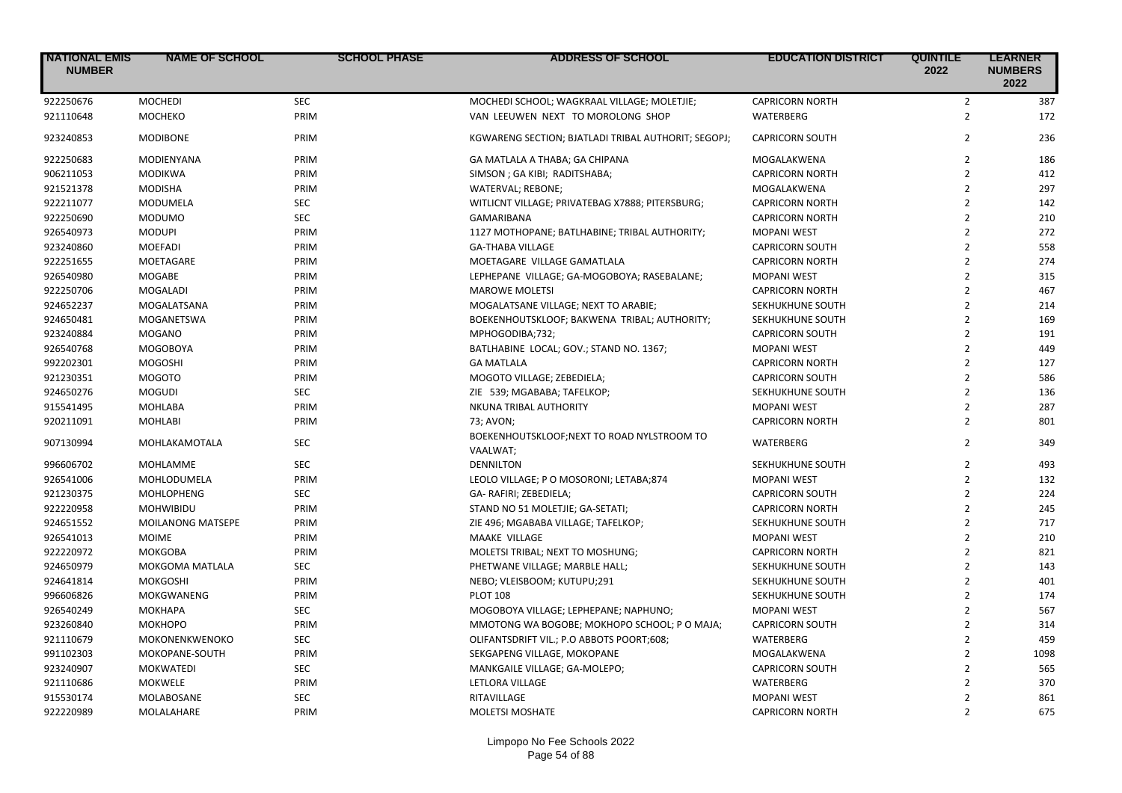| <b>NATIONAL EMIS</b><br><b>NUMBER</b> | <b>NAME OF SCHOOL</b> | <b>SCHOOL PHASE</b> | <b>ADDRESS OF SCHOOL</b>                            | <b>EDUCATION DISTRICT</b> | <b>QUINTILE</b><br>2022 | <b>LEARNER</b><br><b>NUMBERS</b><br>2022 |
|---------------------------------------|-----------------------|---------------------|-----------------------------------------------------|---------------------------|-------------------------|------------------------------------------|
| 922250676                             | <b>MOCHEDI</b>        | <b>SEC</b>          | MOCHEDI SCHOOL; WAGKRAAL VILLAGE; MOLETJIE;         | <b>CAPRICORN NORTH</b>    | $\overline{2}$          | 387                                      |
| 921110648                             | <b>MOCHEKO</b>        | PRIM                | VAN LEEUWEN NEXT TO MOROLONG SHOP                   | WATERBERG                 | $\overline{2}$          | 172                                      |
| 923240853                             | <b>MODIBONE</b>       | PRIM                | KGWARENG SECTION; BJATLADI TRIBAL AUTHORIT; SEGOPJ; | <b>CAPRICORN SOUTH</b>    | $\overline{2}$          | 236                                      |
| 922250683                             | MODIENYANA            | PRIM                | GA MATLALA A THABA; GA CHIPANA                      | MOGALAKWENA               | $\overline{2}$          | 186                                      |
| 906211053                             | <b>MODIKWA</b>        | PRIM                | SIMSON ; GA KIBI; RADITSHABA;                       | <b>CAPRICORN NORTH</b>    | $\overline{2}$          | 412                                      |
| 921521378                             | <b>MODISHA</b>        | PRIM                | WATERVAL; REBONE;                                   | MOGALAKWENA               | $\overline{2}$          | 297                                      |
| 922211077                             | <b>MODUMELA</b>       | <b>SEC</b>          | WITLICNT VILLAGE; PRIVATEBAG X7888; PITERSBURG;     | <b>CAPRICORN NORTH</b>    | $\overline{2}$          | 142                                      |
| 922250690                             | <b>MODUMO</b>         | <b>SEC</b>          | <b>GAMARIBANA</b>                                   | <b>CAPRICORN NORTH</b>    | $\overline{2}$          | 210                                      |
| 926540973                             | <b>MODUPI</b>         | PRIM                | 1127 MOTHOPANE; BATLHABINE; TRIBAL AUTHORITY;       | <b>MOPANI WEST</b>        | $\overline{2}$          | 272                                      |
| 923240860                             | <b>MOEFADI</b>        | PRIM                | <b>GA-THABA VILLAGE</b>                             | <b>CAPRICORN SOUTH</b>    | $\overline{2}$          | 558                                      |
| 922251655                             | MOETAGARE             | PRIM                | MOETAGARE VILLAGE GAMATLALA                         | <b>CAPRICORN NORTH</b>    | $\overline{2}$          | 274                                      |
| 926540980                             | <b>MOGABE</b>         | PRIM                | LEPHEPANE VILLAGE; GA-MOGOBOYA; RASEBALANE;         | <b>MOPANI WEST</b>        | $\overline{2}$          | 315                                      |
| 922250706                             | <b>MOGALADI</b>       | PRIM                | <b>MAROWE MOLETSI</b>                               | <b>CAPRICORN NORTH</b>    | $\overline{2}$          | 467                                      |
| 924652237                             | MOGALATSANA           | PRIM                | MOGALATSANE VILLAGE; NEXT TO ARABIE;                | SEKHUKHUNE SOUTH          | $\overline{2}$          | 214                                      |
| 924650481                             | MOGANETSWA            | PRIM                | BOEKENHOUTSKLOOF; BAKWENA TRIBAL; AUTHORITY;        | SEKHUKHUNE SOUTH          | $\overline{2}$          | 169                                      |
| 923240884                             | <b>MOGANO</b>         | PRIM                | MPHOGODIBA;732;                                     | <b>CAPRICORN SOUTH</b>    | $\overline{2}$          | 191                                      |
| 926540768                             | MOGOBOYA              | PRIM                | BATLHABINE LOCAL; GOV.; STAND NO. 1367;             | <b>MOPANI WEST</b>        | $\overline{2}$          | 449                                      |
| 992202301                             | <b>MOGOSHI</b>        | PRIM                | <b>GA MATLALA</b>                                   | <b>CAPRICORN NORTH</b>    | $\overline{2}$          | 127                                      |
| 921230351                             | <b>MOGOTO</b>         | PRIM                | MOGOTO VILLAGE; ZEBEDIELA;                          | <b>CAPRICORN SOUTH</b>    | $\overline{2}$          | 586                                      |
| 924650276                             | <b>MOGUDI</b>         | <b>SEC</b>          | ZIE 539; MGABABA; TAFELKOP;                         | SEKHUKHUNE SOUTH          | $\overline{2}$          | 136                                      |
| 915541495                             | <b>MOHLABA</b>        | PRIM                | NKUNA TRIBAL AUTHORITY                              | <b>MOPANI WEST</b>        | $\overline{2}$          | 287                                      |
| 920211091                             | <b>MOHLABI</b>        | PRIM                | 73; AVON;                                           | <b>CAPRICORN NORTH</b>    | $\overline{2}$          | 801                                      |
|                                       |                       |                     | BOEKENHOUTSKLOOF; NEXT TO ROAD NYLSTROOM TO         |                           |                         |                                          |
| 907130994                             | MOHLAKAMOTALA         | <b>SEC</b>          | VAALWAT;                                            | WATERBERG                 | $\overline{2}$          | 349                                      |
| 996606702                             | MOHLAMME              | <b>SEC</b>          | <b>DENNILTON</b>                                    | SEKHUKHUNE SOUTH          | $\overline{2}$          | 493                                      |
| 926541006                             | MOHLODUMELA           | PRIM                | LEOLO VILLAGE; P O MOSORONI; LETABA;874             | <b>MOPANI WEST</b>        | $\overline{2}$          | 132                                      |
| 921230375                             | <b>MOHLOPHENG</b>     | <b>SEC</b>          | GA-RAFIRI; ZEBEDIELA;                               | <b>CAPRICORN SOUTH</b>    | $\overline{2}$          | 224                                      |
| 922220958                             | <b>MOHWIBIDU</b>      | PRIM                | STAND NO 51 MOLETJIE; GA-SETATI;                    | <b>CAPRICORN NORTH</b>    | $\overline{2}$          | 245                                      |
| 924651552                             | MOILANONG MATSEPE     | PRIM                | ZIE 496; MGABABA VILLAGE; TAFELKOP;                 | SEKHUKHUNE SOUTH          | $\overline{2}$          | 717                                      |
| 926541013                             | <b>MOIME</b>          | PRIM                | MAAKE VILLAGE                                       | <b>MOPANI WEST</b>        | $\overline{2}$          | 210                                      |
| 922220972                             | <b>MOKGOBA</b>        | PRIM                | MOLETSI TRIBAL; NEXT TO MOSHUNG;                    | <b>CAPRICORN NORTH</b>    | $\overline{2}$          | 821                                      |
| 924650979                             | MOKGOMA MATLALA       | <b>SEC</b>          | PHETWANE VILLAGE; MARBLE HALL;                      | SEKHUKHUNE SOUTH          | $\overline{2}$          | 143                                      |
| 924641814                             | <b>MOKGOSHI</b>       | PRIM                | NEBO; VLEISBOOM; KUTUPU;291                         | SEKHUKHUNE SOUTH          | $\overline{2}$          | 401                                      |
| 996606826                             | MOKGWANENG            | PRIM                | <b>PLOT 108</b>                                     | SEKHUKHUNE SOUTH          | $\overline{2}$          | 174                                      |
| 926540249                             | MOKHAPA               | <b>SEC</b>          | MOGOBOYA VILLAGE; LEPHEPANE; NAPHUNO;               | <b>MOPANI WEST</b>        | $\overline{2}$          | 567                                      |
| 923260840                             | <b>MOKHOPO</b>        | PRIM                | MMOTONG WA BOGOBE; MOKHOPO SCHOOL; P O MAJA;        | <b>CAPRICORN SOUTH</b>    | $\overline{2}$          | 314                                      |
| 921110679                             | <b>MOKONENKWENOKO</b> | <b>SEC</b>          | OLIFANTSDRIFT VIL.; P.O ABBOTS POORT;608;           | <b>WATERBERG</b>          | $\overline{2}$          | 459                                      |
| 991102303                             | MOKOPANE-SOUTH        | PRIM                | SEKGAPENG VILLAGE, MOKOPANE                         | MOGALAKWENA               | $\overline{2}$          | 1098                                     |
| 923240907                             | <b>MOKWATEDI</b>      | <b>SEC</b>          | MANKGAILE VILLAGE; GA-MOLEPO;                       | <b>CAPRICORN SOUTH</b>    | $\overline{2}$          | 565                                      |
| 921110686                             | MOKWELE               | PRIM                | LETLORA VILLAGE                                     | WATERBERG                 | $\overline{2}$          | 370                                      |
| 915530174                             | MOLABOSANE            | <b>SEC</b>          | RITAVILLAGE                                         | <b>MOPANI WEST</b>        | $\overline{2}$          | 861                                      |
| 922220989                             | MOLALAHARE            | PRIM                | <b>MOLETSI MOSHATE</b>                              | <b>CAPRICORN NORTH</b>    | $\overline{2}$          | 675                                      |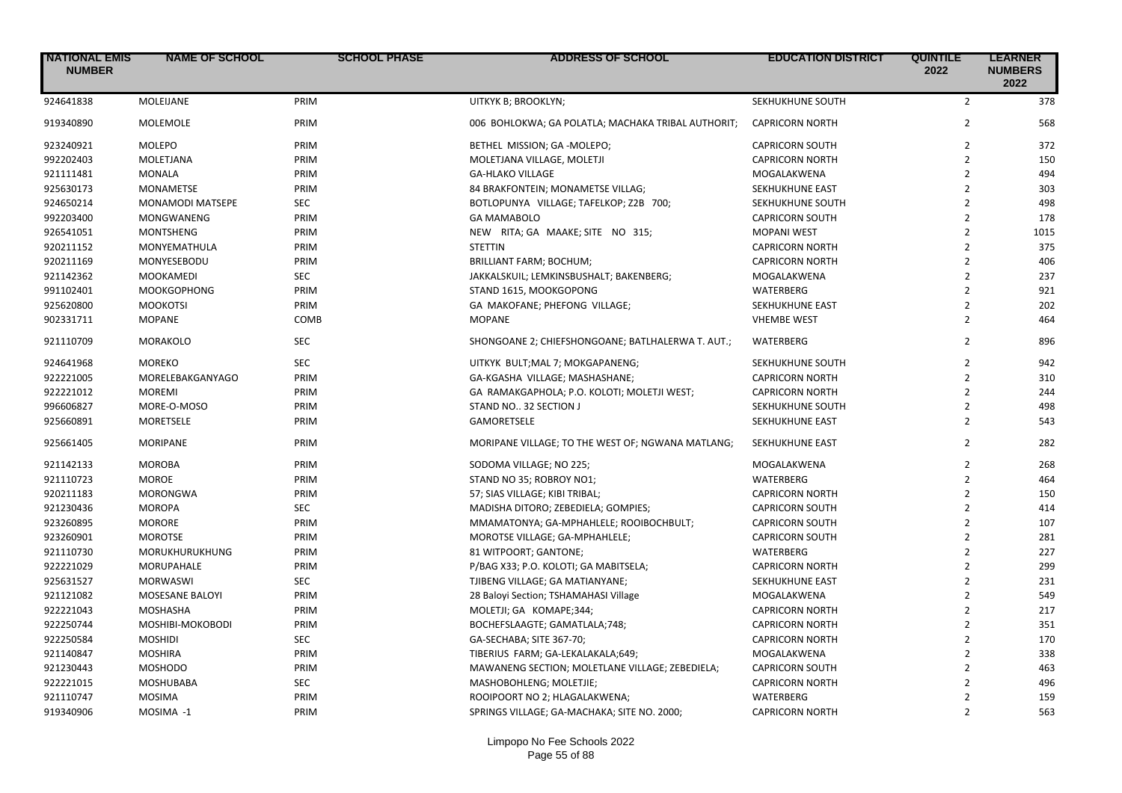| <b>NATIONAL EMIS</b><br><b>NUMBER</b> | <b>NAME OF SCHOOL</b> | <b>SCHOOL PHASE</b> | <b>ADDRESS OF SCHOOL</b>                           | <b>EDUCATION DISTRICT</b> | <b>QUINTILE</b><br>2022 | <b>LEARNER</b><br><b>NUMBERS</b><br>2022 |
|---------------------------------------|-----------------------|---------------------|----------------------------------------------------|---------------------------|-------------------------|------------------------------------------|
| 924641838                             | MOLEIJANE             | PRIM                | UITKYK B; BROOKLYN;                                | SEKHUKHUNE SOUTH          | $\overline{2}$          | 378                                      |
| 919340890                             | MOLEMOLE              | PRIM                | 006 BOHLOKWA; GA POLATLA; MACHAKA TRIBAL AUTHORIT; | <b>CAPRICORN NORTH</b>    | $\overline{2}$          | 568                                      |
| 923240921                             | <b>MOLEPO</b>         | PRIM                | BETHEL MISSION; GA-MOLEPO;                         | <b>CAPRICORN SOUTH</b>    | $\overline{2}$          | 372                                      |
| 992202403                             | MOLETJANA             | PRIM                | MOLETJANA VILLAGE, MOLETJI                         | <b>CAPRICORN NORTH</b>    | $\overline{2}$          | 150                                      |
| 921111481                             | <b>MONALA</b>         | PRIM                | <b>GA-HLAKO VILLAGE</b>                            | MOGALAKWENA               | $\overline{2}$          | 494                                      |
| 925630173                             | <b>MONAMETSE</b>      | PRIM                | 84 BRAKFONTEIN; MONAMETSE VILLAG;                  | SEKHUKHUNE EAST           | $\overline{2}$          | 303                                      |
| 924650214                             | MONAMODI MATSEPE      | <b>SEC</b>          | BOTLOPUNYA VILLAGE; TAFELKOP; Z2B 700;             | SEKHUKHUNE SOUTH          | $\overline{2}$          | 498                                      |
| 992203400                             | <b>MONGWANENG</b>     | PRIM                | <b>GA MAMABOLO</b>                                 | <b>CAPRICORN SOUTH</b>    | $\overline{2}$          | 178                                      |
| 926541051                             | <b>MONTSHENG</b>      | PRIM                | NEW RITA; GA MAAKE; SITE NO 315;                   | <b>MOPANI WEST</b>        | $\overline{2}$          | 1015                                     |
| 920211152                             | MONYEMATHULA          | PRIM                | <b>STETTIN</b>                                     | <b>CAPRICORN NORTH</b>    | $\overline{2}$          | 375                                      |
| 920211169                             | MONYESEBODU           | PRIM                | BRILLIANT FARM; BOCHUM;                            | <b>CAPRICORN NORTH</b>    | $\overline{2}$          | 406                                      |
| 921142362                             | <b>MOOKAMEDI</b>      | <b>SEC</b>          | JAKKALSKUIL; LEMKINSBUSHALT; BAKENBERG;            | MOGALAKWENA               | $\overline{2}$          | 237                                      |
| 991102401                             | <b>MOOKGOPHONG</b>    | PRIM                | STAND 1615, MOOKGOPONG                             | WATERBERG                 | $\overline{2}$          | 921                                      |
| 925620800                             | <b>MOOKOTSI</b>       | PRIM                | GA MAKOFANE; PHEFONG VILLAGE;                      | SEKHUKHUNE EAST           | $\overline{2}$          | 202                                      |
| 902331711                             | <b>MOPANE</b>         | COMB                | <b>MOPANE</b>                                      | <b>VHEMBE WEST</b>        | $\overline{2}$          | 464                                      |
| 921110709                             | <b>MORAKOLO</b>       | SEC                 | SHONGOANE 2; CHIEFSHONGOANE; BATLHALERWA T. AUT.;  | WATERBERG                 | $\overline{2}$          | 896                                      |
| 924641968                             | <b>MOREKO</b>         | SEC                 | UITKYK BULT; MAL 7; MOKGAPANENG;                   | SEKHUKHUNE SOUTH          | $\overline{2}$          | 942                                      |
| 922221005                             | MORELEBAKGANYAGO      | PRIM                | GA-KGASHA VILLAGE; MASHASHANE;                     | <b>CAPRICORN NORTH</b>    | $\overline{2}$          | 310                                      |
| 922221012                             | <b>MOREMI</b>         | PRIM                | GA RAMAKGAPHOLA; P.O. KOLOTI; MOLETJI WEST;        | <b>CAPRICORN NORTH</b>    | $\overline{2}$          | 244                                      |
| 996606827                             | MORE-O-MOSO           | PRIM                | STAND NO 32 SECTION J                              | SEKHUKHUNE SOUTH          | $\overline{2}$          | 498                                      |
| 925660891                             | <b>MORETSELE</b>      | PRIM                | <b>GAMORETSELE</b>                                 | <b>SEKHUKHUNE EAST</b>    | $\overline{2}$          | 543                                      |
| 925661405                             | <b>MORIPANE</b>       | PRIM                | MORIPANE VILLAGE; TO THE WEST OF; NGWANA MATLANG;  | SEKHUKHUNE EAST           | $\overline{2}$          | 282                                      |
| 921142133                             | <b>MOROBA</b>         | PRIM                | SODOMA VILLAGE; NO 225;                            | MOGALAKWENA               | $\overline{2}$          | 268                                      |
| 921110723                             | <b>MOROE</b>          | PRIM                | STAND NO 35; ROBROY NO1;                           | WATERBERG                 | $\overline{2}$          | 464                                      |
| 920211183                             | <b>MORONGWA</b>       | PRIM                | 57; SIAS VILLAGE; KIBI TRIBAL;                     | <b>CAPRICORN NORTH</b>    | $\overline{2}$          | 150                                      |
| 921230436                             | <b>MOROPA</b>         | <b>SEC</b>          | MADISHA DITORO; ZEBEDIELA; GOMPIES;                | <b>CAPRICORN SOUTH</b>    | $\overline{2}$          | 414                                      |
| 923260895                             | <b>MORORE</b>         | PRIM                | MMAMATONYA; GA-MPHAHLELE; ROOIBOCHBULT;            | <b>CAPRICORN SOUTH</b>    | $\overline{2}$          | 107                                      |
| 923260901                             | <b>MOROTSE</b>        | PRIM                | MOROTSE VILLAGE; GA-MPHAHLELE;                     | <b>CAPRICORN SOUTH</b>    | $\overline{2}$          | 281                                      |
| 921110730                             | <b>MORUKHURUKHUNG</b> | PRIM                | 81 WITPOORT; GANTONE;                              | WATERBERG                 | $\overline{2}$          | 227                                      |
| 922221029                             | <b>MORUPAHALE</b>     | PRIM                | P/BAG X33; P.O. KOLOTI; GA MABITSELA;              | <b>CAPRICORN NORTH</b>    | $\overline{2}$          | 299                                      |
| 925631527                             | <b>MORWASWI</b>       | <b>SEC</b>          | TJIBENG VILLAGE; GA MATIANYANE;                    | SEKHUKHUNE EAST           | $\overline{2}$          | 231                                      |
| 921121082                             | MOSESANE BALOYI       | PRIM                | 28 Baloyi Section; TSHAMAHASI Village              | MOGALAKWENA               | $\overline{2}$          | 549                                      |
| 922221043                             | <b>MOSHASHA</b>       | PRIM                | MOLETJI; GA KOMAPE;344;                            | <b>CAPRICORN NORTH</b>    | $\overline{2}$          | 217                                      |
| 922250744                             | MOSHIBI-MOKOBODI      | PRIM                | BOCHEFSLAAGTE; GAMATLALA;748;                      | <b>CAPRICORN NORTH</b>    | $\overline{2}$          | 351                                      |
| 922250584                             | <b>MOSHIDI</b>        | <b>SEC</b>          | GA-SECHABA; SITE 367-70;                           | <b>CAPRICORN NORTH</b>    | $\overline{2}$          | 170                                      |
| 921140847                             | <b>MOSHIRA</b>        | PRIM                | TIBERIUS FARM; GA-LEKALAKALA;649;                  | MOGALAKWENA               | $\overline{2}$          | 338                                      |
| 921230443                             | <b>MOSHODO</b>        | PRIM                | MAWANENG SECTION; MOLETLANE VILLAGE; ZEBEDIELA;    | <b>CAPRICORN SOUTH</b>    | $\overline{2}$          | 463                                      |
| 922221015                             | MOSHUBABA             | <b>SEC</b>          | MASHOBOHLENG; MOLETJIE;                            | <b>CAPRICORN NORTH</b>    | $\overline{2}$          | 496                                      |
| 921110747                             | <b>MOSIMA</b>         | PRIM                | ROOIPOORT NO 2; HLAGALAKWENA;                      | WATERBERG                 | $\overline{2}$          | 159                                      |
| 919340906                             | MOSIMA -1             | PRIM                | SPRINGS VILLAGE; GA-MACHAKA; SITE NO. 2000;        | <b>CAPRICORN NORTH</b>    | $\overline{2}$          | 563                                      |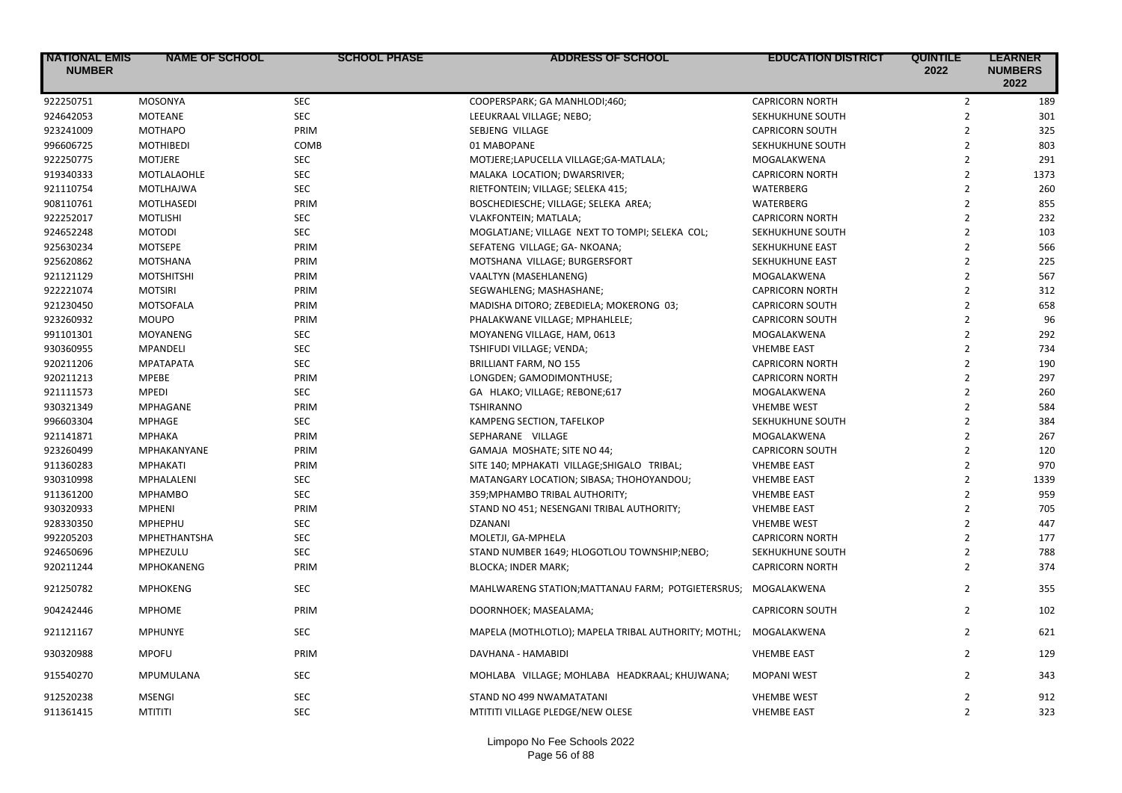| <b>INATIONAL EMIS</b><br><b>NUMBER</b> | <b>NAME OF SCHOOL</b>           | <b>SCHOOL PHASE</b>      | <b>ADDRESS OF SCHOOL</b>                                     | <b>EDUCATION DISTRICT</b>                | <b>QUINTILE</b><br>2022          | <b>LEARNER</b><br><b>NUMBERS</b><br>2022 |
|----------------------------------------|---------------------------------|--------------------------|--------------------------------------------------------------|------------------------------------------|----------------------------------|------------------------------------------|
| 922250751                              | <b>MOSONYA</b>                  | <b>SEC</b>               | COOPERSPARK; GA MANHLODI;460;                                | <b>CAPRICORN NORTH</b>                   | $\overline{2}$                   | 189                                      |
| 924642053                              | <b>MOTEANE</b>                  | <b>SEC</b>               | LEEUKRAAL VILLAGE; NEBO;                                     | SEKHUKHUNE SOUTH                         | $\overline{2}$                   | 301                                      |
| 923241009                              | <b>MOTHAPO</b>                  | PRIM                     | SEBJENG VILLAGE                                              | <b>CAPRICORN SOUTH</b>                   | $\overline{2}$                   | 325                                      |
| 996606725                              | <b>MOTHIBEDI</b>                | COMB                     | 01 MABOPANE                                                  | SEKHUKHUNE SOUTH                         | $\overline{2}$                   | 803                                      |
| 922250775                              | <b>MOTJERE</b>                  | <b>SEC</b>               | MOTJERE;LAPUCELLA VILLAGE;GA-MATLALA;                        | MOGALAKWENA                              | $\overline{2}$                   | 291                                      |
| 919340333                              | MOTLALAOHLE                     | <b>SEC</b>               | MALAKA LOCATION; DWARSRIVER;                                 | <b>CAPRICORN NORTH</b>                   | $\overline{2}$                   | 1373                                     |
| 921110754                              | <b>MOTLHAJWA</b>                | <b>SEC</b>               | RIETFONTEIN; VILLAGE; SELEKA 415;                            | WATERBERG                                | $\overline{2}$                   | 260                                      |
| 908110761                              | MOTLHASEDI                      | PRIM                     | BOSCHEDIESCHE; VILLAGE; SELEKA AREA;                         | WATERBERG                                | $\overline{2}$                   | 855                                      |
| 922252017                              | <b>MOTLISHI</b>                 | <b>SEC</b>               | VLAKFONTEIN; MATLALA;                                        | <b>CAPRICORN NORTH</b>                   | $\overline{2}$                   | 232                                      |
| 924652248                              | <b>MOTODI</b>                   | <b>SEC</b>               | MOGLATJANE; VILLAGE NEXT TO TOMPI; SELEKA COL;               | SEKHUKHUNE SOUTH                         | $\overline{2}$                   | 103                                      |
| 925630234                              | <b>MOTSEPE</b>                  | PRIM                     | SEFATENG VILLAGE; GA- NKOANA;                                | SEKHUKHUNE EAST                          | $\overline{2}$                   | 566                                      |
| 925620862                              | <b>MOTSHANA</b>                 | PRIM                     | MOTSHANA VILLAGE; BURGERSFORT                                | SEKHUKHUNE EAST                          | $\overline{2}$                   | 225                                      |
| 921121129                              | <b>MOTSHITSHI</b>               | PRIM                     | VAALTYN (MASEHLANENG)                                        | MOGALAKWENA                              | $\overline{2}$                   | 567                                      |
| 922221074                              | <b>MOTSIRI</b>                  | PRIM                     | SEGWAHLENG; MASHASHANE;                                      | <b>CAPRICORN NORTH</b>                   | $\overline{2}$                   | 312                                      |
| 921230450                              | <b>MOTSOFALA</b>                | PRIM                     | MADISHA DITORO; ZEBEDIELA; MOKERONG 03;                      | <b>CAPRICORN SOUTH</b>                   | $\overline{2}$                   | 658                                      |
| 923260932                              | <b>MOUPO</b>                    | PRIM                     | PHALAKWANE VILLAGE; MPHAHLELE;                               | <b>CAPRICORN SOUTH</b>                   | $\overline{2}$                   | 96                                       |
| 991101301                              | <b>MOYANENG</b>                 | <b>SEC</b>               | MOYANENG VILLAGE, HAM, 0613                                  | MOGALAKWENA                              | $\overline{2}$                   | 292                                      |
| 930360955                              | <b>MPANDELI</b>                 | <b>SEC</b>               | TSHIFUDI VILLAGE; VENDA;                                     | <b>VHEMBE EAST</b>                       | $\overline{2}$                   | 734                                      |
| 920211206                              | <b>MPATAPATA</b>                | <b>SEC</b>               | <b>BRILLIANT FARM, NO 155</b>                                | <b>CAPRICORN NORTH</b>                   | $\overline{2}$                   | 190                                      |
| 920211213                              | <b>MPEBE</b>                    | PRIM                     | LONGDEN; GAMODIMONTHUSE;                                     | <b>CAPRICORN NORTH</b>                   | $\overline{2}$                   | 297                                      |
| 921111573                              | <b>MPEDI</b>                    | <b>SEC</b>               | GA HLAKO; VILLAGE; REBONE;617                                | MOGALAKWENA                              | $\overline{2}$                   | 260                                      |
| 930321349                              | <b>MPHAGANE</b>                 | PRIM                     | <b>TSHIRANNO</b>                                             | <b>VHEMBE WEST</b>                       | $\overline{2}$                   | 584                                      |
| 996603304                              | <b>MPHAGE</b>                   | <b>SEC</b>               | KAMPENG SECTION, TAFELKOP                                    | SEKHUKHUNE SOUTH                         | $\overline{2}$                   | 384                                      |
| 921141871                              | <b>МРНАКА</b>                   | PRIM                     | SEPHARANE VILLAGE                                            | MOGALAKWENA                              | $\overline{2}$                   | 267                                      |
| 923260499                              | MPHAKANYANE                     | PRIM                     | GAMAJA MOSHATE; SITE NO 44;                                  | <b>CAPRICORN SOUTH</b>                   | $\overline{2}$                   | 120                                      |
| 911360283                              | <b>MPHAKATI</b>                 | PRIM                     | SITE 140; MPHAKATI VILLAGE; SHIGALO TRIBAL;                  | <b>VHEMBE EAST</b>                       | $\overline{2}$                   | 970                                      |
| 930310998                              | MPHALALENI                      | <b>SEC</b>               | MATANGARY LOCATION; SIBASA; THOHOYANDOU;                     | <b>VHEMBE EAST</b>                       | $\overline{2}$                   | 1339                                     |
| 911361200                              | <b>MPHAMBO</b>                  | <b>SEC</b>               | 359; MPHAMBO TRIBAL AUTHORITY;                               | <b>VHEMBE EAST</b>                       | $\overline{2}$                   | 959                                      |
| 930320933                              | <b>MPHENI</b>                   | PRIM                     | STAND NO 451; NESENGANI TRIBAL AUTHORITY;                    | <b>VHEMBE EAST</b>                       | $\overline{2}$                   | 705                                      |
| 928330350                              | <b>MPHEPHU</b>                  | <b>SEC</b>               | <b>DZANANI</b>                                               | <b>VHEMBE WEST</b>                       | $\overline{2}$                   | 447                                      |
| 992205203                              | MPHETHANTSHA                    | <b>SEC</b>               | MOLETJI, GA-MPHELA                                           | <b>CAPRICORN NORTH</b>                   | $\overline{2}$                   | 177                                      |
| 924650696                              | MPHEZULU                        | <b>SEC</b>               | STAND NUMBER 1649; HLOGOTLOU TOWNSHIP;NEBO;                  | SEKHUKHUNE SOUTH                         | $\overline{2}$                   | 788                                      |
| 920211244                              | <b>MPHOKANENG</b>               | PRIM                     | <b>BLOCKA; INDER MARK;</b>                                   | <b>CAPRICORN NORTH</b>                   | $\overline{2}$                   | 374                                      |
| 921250782                              | <b>MPHOKENG</b>                 | <b>SEC</b>               | MAHLWARENG STATION; MATTANAU FARM; POTGIETERSRUS;            | MOGALAKWENA                              | $\overline{2}$                   | 355                                      |
| 904242446                              | <b>MPHOME</b>                   | PRIM                     | DOORNHOEK; MASEALAMA;                                        | <b>CAPRICORN SOUTH</b>                   | $\overline{2}$                   | 102                                      |
| 921121167                              | <b>MPHUNYE</b>                  | <b>SEC</b>               | MAPELA (MOTHLOTLO); MAPELA TRIBAL AUTHORITY; MOTHL;          | MOGALAKWENA                              | $\overline{2}$                   | 621                                      |
| 930320988                              | <b>MPOFU</b>                    | PRIM                     | DAVHANA - HAMABIDI                                           | <b>VHEMBE EAST</b>                       | $\overline{2}$                   | 129                                      |
| 915540270                              | MPUMULANA                       | <b>SEC</b>               | MOHLABA VILLAGE; MOHLABA HEADKRAAL; KHUJWANA;                | <b>MOPANI WEST</b>                       | $\overline{2}$                   | 343                                      |
| 912520238<br>911361415                 | <b>MSENGI</b><br><b>MTITITI</b> | <b>SEC</b><br><b>SEC</b> | STAND NO 499 NWAMATATANI<br>MTITITI VILLAGE PLEDGE/NEW OLESE | <b>VHEMBE WEST</b><br><b>VHEMBE EAST</b> | $\overline{2}$<br>$\overline{2}$ | 912<br>323                               |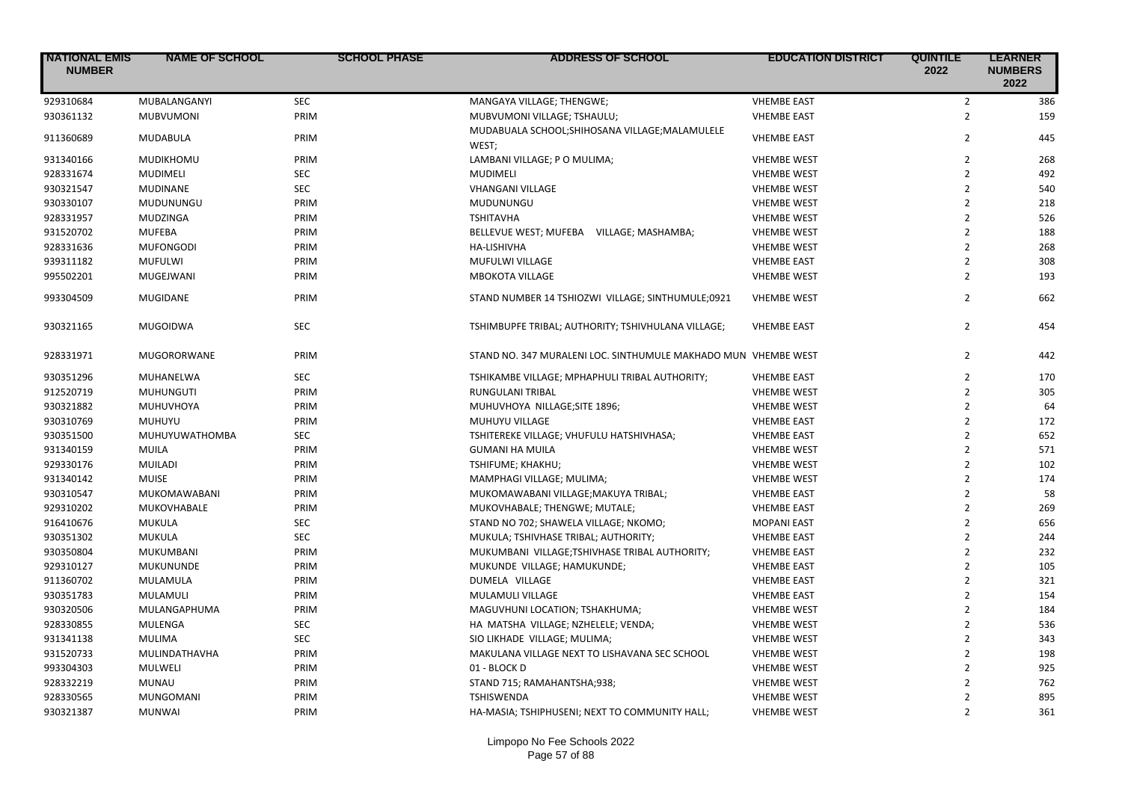| <b>INATIONAL EMIS</b><br><b>NUMBER</b> | <b>NAME OF SCHOOL</b> | <b>SCHOOL PHASE</b> | <b>ADDRESS OF SCHOOL</b>                                       | <b>EDUCATION DISTRICT</b> | <b>QUINTILE</b><br>2022 | <b>LEARNER</b><br><b>NUMBERS</b><br>2022 |
|----------------------------------------|-----------------------|---------------------|----------------------------------------------------------------|---------------------------|-------------------------|------------------------------------------|
| 929310684                              | MUBALANGANYI          | <b>SEC</b>          | MANGAYA VILLAGE; THENGWE;                                      | <b>VHEMBE EAST</b>        | $\overline{2}$          | 386                                      |
| 930361132                              | <b>MUBVUMONI</b>      | PRIM                | MUBVUMONI VILLAGE; TSHAULU;                                    | <b>VHEMBE EAST</b>        | $\overline{2}$          | 159                                      |
| 911360689                              | <b>MUDABULA</b>       | PRIM                | MUDABUALA SCHOOL; SHIHOSANA VILLAGE; MALAMULELE<br>WEST;       | <b>VHEMBE EAST</b>        | $\overline{2}$          | 445                                      |
| 931340166                              | MUDIKHOMU             | PRIM                | LAMBANI VILLAGE; PO MULIMA;                                    | <b>VHEMBE WEST</b>        | $\overline{2}$          | 268                                      |
| 928331674                              | <b>MUDIMELI</b>       | <b>SEC</b>          | <b>MUDIMELI</b>                                                | <b>VHEMBE WEST</b>        | $\overline{2}$          | 492                                      |
| 930321547                              | <b>MUDINANE</b>       | <b>SEC</b>          | <b>VHANGANI VILLAGE</b>                                        | <b>VHEMBE WEST</b>        | $\overline{2}$          | 540                                      |
| 930330107                              | MUDUNUNGU             | PRIM                | MUDUNUNGU                                                      | <b>VHEMBE WEST</b>        | $\overline{2}$          | 218                                      |
| 928331957                              | <b>MUDZINGA</b>       | PRIM                | <b>TSHITAVHA</b>                                               | <b>VHEMBE WEST</b>        | $\overline{2}$          | 526                                      |
| 931520702                              | <b>MUFEBA</b>         | PRIM                | BELLEVUE WEST; MUFEBA VILLAGE; MASHAMBA;                       | <b>VHEMBE WEST</b>        | $\overline{2}$          | 188                                      |
| 928331636                              | <b>MUFONGODI</b>      | PRIM                | HA-LISHIVHA                                                    | <b>VHEMBE WEST</b>        | $\overline{2}$          | 268                                      |
| 939311182                              | <b>MUFULWI</b>        | PRIM                | MUFULWI VILLAGE                                                | <b>VHEMBE EAST</b>        | $\overline{2}$          | 308                                      |
| 995502201                              | MUGEJWANI             | PRIM                | <b>MBOKOTA VILLAGE</b>                                         | <b>VHEMBE WEST</b>        | $\mathfrak{p}$          | 193                                      |
| 993304509                              | <b>MUGIDANE</b>       | PRIM                | STAND NUMBER 14 TSHIOZWI VILLAGE; SINTHUMULE;0921              | <b>VHEMBE WEST</b>        | $\overline{2}$          | 662                                      |
| 930321165                              | <b>MUGOIDWA</b>       | <b>SEC</b>          | TSHIMBUPFE TRIBAL; AUTHORITY; TSHIVHULANA VILLAGE;             | <b>VHEMBE EAST</b>        | $\overline{2}$          | 454                                      |
| 928331971                              | MUGORORWANE           | PRIM                | STAND NO. 347 MURALENI LOC. SINTHUMULE MAKHADO MUN VHEMBE WEST |                           | $\overline{2}$          | 442                                      |
| 930351296                              | MUHANELWA             | <b>SEC</b>          | TSHIKAMBE VILLAGE; MPHAPHULI TRIBAL AUTHORITY;                 | <b>VHEMBE EAST</b>        | $\overline{2}$          | 170                                      |
| 912520719                              | <b>MUHUNGUTI</b>      | PRIM                | RUNGULANI TRIBAL                                               | <b>VHEMBE WEST</b>        | $\overline{2}$          | 305                                      |
| 930321882                              | MUHUVHOYA             | PRIM                | MUHUVHOYA NILLAGE; SITE 1896;                                  | <b>VHEMBE WEST</b>        | $\overline{2}$          | 64                                       |
| 930310769                              | MUHUYU                | PRIM                | MUHUYU VILLAGE                                                 | <b>VHEMBE EAST</b>        | $\overline{2}$          | 172                                      |
| 930351500                              | MUHUYUWATHOMBA        | <b>SEC</b>          | TSHITEREKE VILLAGE; VHUFULU HATSHIVHASA;                       | <b>VHEMBE EAST</b>        | $\overline{2}$          | 652                                      |
| 931340159                              | MUILA                 | PRIM                | <b>GUMANI HA MUILA</b>                                         | <b>VHEMBE WEST</b>        | $\overline{2}$          | 571                                      |
| 929330176                              | <b>MUILADI</b>        | PRIM                | TSHIFUME; KHAKHU;                                              | <b>VHEMBE WEST</b>        | $\overline{2}$          | 102                                      |
| 931340142                              | <b>MUISE</b>          | PRIM                | MAMPHAGI VILLAGE; MULIMA;                                      | <b>VHEMBE WEST</b>        | $\overline{2}$          | 174                                      |
| 930310547                              | MUKOMAWABANI          | PRIM                | MUKOMAWABANI VILLAGE; MAKUYA TRIBAL;                           | <b>VHEMBE EAST</b>        | $\overline{2}$          | 58                                       |
| 929310202                              | MUKOVHABALE           | PRIM                | MUKOVHABALE; THENGWE; MUTALE;                                  | <b>VHEMBE EAST</b>        | $\overline{2}$          | 269                                      |
| 916410676                              | <b>MUKULA</b>         | <b>SEC</b>          | STAND NO 702; SHAWELA VILLAGE; NKOMO;                          | <b>MOPANI EAST</b>        | $\overline{2}$          | 656                                      |
| 930351302                              | <b>MUKULA</b>         | <b>SEC</b>          | MUKULA; TSHIVHASE TRIBAL; AUTHORITY;                           | <b>VHEMBE EAST</b>        | $\overline{2}$          | 244                                      |
| 930350804                              | MUKUMBANI             | PRIM                | MUKUMBANI VILLAGE;TSHIVHASE TRIBAL AUTHORITY;                  | <b>VHEMBE EAST</b>        | $\overline{2}$          | 232                                      |
| 929310127                              | <b>MUKUNUNDE</b>      | PRIM                | MUKUNDE VILLAGE; HAMUKUNDE;                                    | <b>VHEMBE EAST</b>        | $\overline{2}$          | 105                                      |
| 911360702                              | MULAMULA              | PRIM                | DUMELA VILLAGE                                                 | <b>VHEMBE EAST</b>        | $\overline{2}$          | 321                                      |
| 930351783                              | MULAMULI              | PRIM                | MULAMULI VILLAGE                                               | <b>VHEMBE EAST</b>        | $\overline{2}$          | 154                                      |
| 930320506                              | MULANGAPHUMA          | PRIM                | MAGUVHUNI LOCATION; TSHAKHUMA;                                 | <b>VHEMBE WEST</b>        | $\overline{2}$          | 184                                      |
| 928330855                              | <b>MULENGA</b>        | <b>SEC</b>          | HA MATSHA VILLAGE; NZHELELE; VENDA;                            | <b>VHEMBE WEST</b>        | $\overline{2}$          | 536                                      |
| 931341138                              | <b>MULIMA</b>         | <b>SEC</b>          | SIO LIKHADE VILLAGE; MULIMA;                                   | <b>VHEMBE WEST</b>        | $\overline{2}$          | 343                                      |
| 931520733                              | MULINDATHAVHA         | PRIM                | MAKULANA VILLAGE NEXT TO LISHAVANA SEC SCHOOL                  | <b>VHEMBE WEST</b>        | $\overline{2}$          | 198                                      |
| 993304303                              | <b>MULWELI</b>        | PRIM                | 01 - BLOCK D                                                   | <b>VHEMBE WEST</b>        | $\overline{2}$          | 925                                      |
| 928332219                              | <b>MUNAU</b>          | PRIM                | STAND 715; RAMAHANTSHA;938;                                    | <b>VHEMBE WEST</b>        | $\overline{2}$          | 762                                      |
| 928330565                              | MUNGOMANI             | PRIM                | <b>TSHISWENDA</b>                                              | <b>VHEMBE WEST</b>        | $\overline{2}$          | 895                                      |
| 930321387                              | <b>MUNWAI</b>         | PRIM                | HA-MASIA; TSHIPHUSENI; NEXT TO COMMUNITY HALL;                 | <b>VHEMBE WEST</b>        | $\overline{2}$          | 361                                      |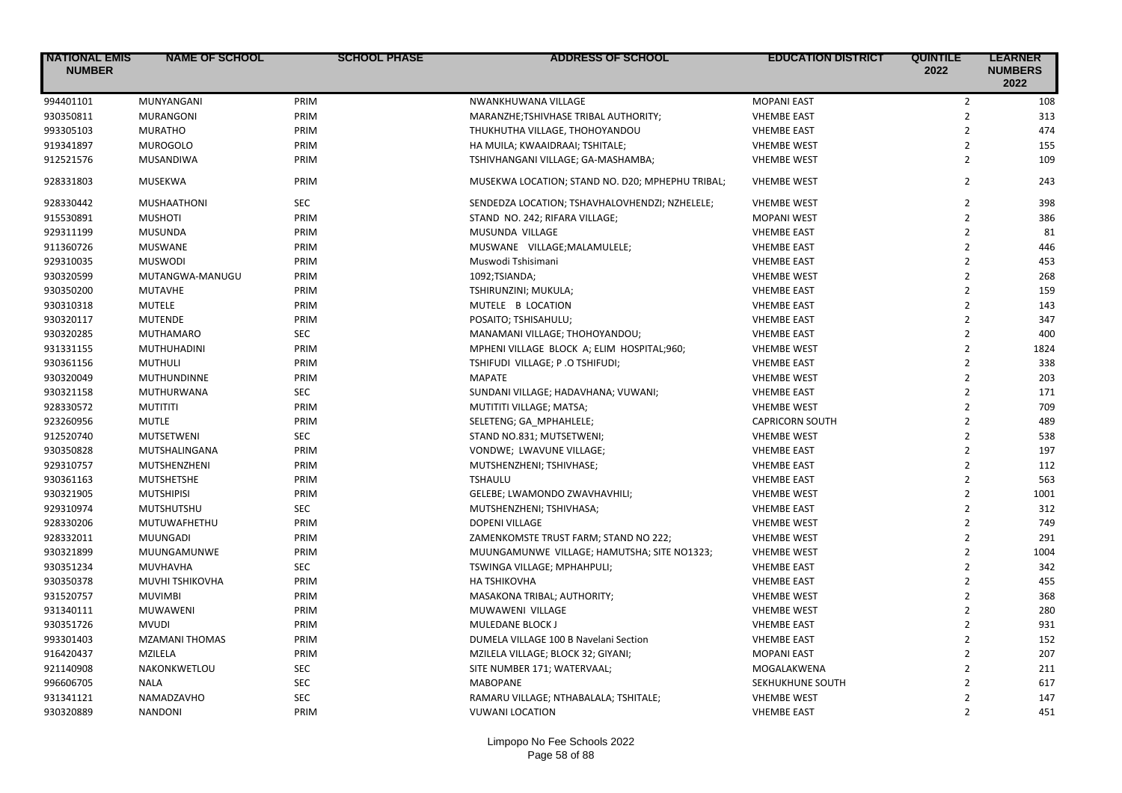| <b>NATIONAL EMIS</b><br><b>NUMBER</b> | <b>NAME OF SCHOOL</b> | <b>SCHOOL PHASE</b> | <b>ADDRESS OF SCHOOL</b>                         | <b>EDUCATION DISTRICT</b> | <b>QUINTILE</b><br>2022 | <b>LEARNER</b><br><b>NUMBERS</b><br>2022 |
|---------------------------------------|-----------------------|---------------------|--------------------------------------------------|---------------------------|-------------------------|------------------------------------------|
| 994401101                             | MUNYANGANI            | PRIM                | NWANKHUWANA VILLAGE                              | <b>MOPANI EAST</b>        | $\mathbf{2}$            | 108                                      |
| 930350811                             | <b>MURANGONI</b>      | PRIM                | MARANZHE;TSHIVHASE TRIBAL AUTHORITY;             | <b>VHEMBE EAST</b>        | $\overline{2}$          | 313                                      |
| 993305103                             | <b>MURATHO</b>        | PRIM                | THUKHUTHA VILLAGE, THOHOYANDOU                   | <b>VHEMBE EAST</b>        | $\overline{2}$          | 474                                      |
| 919341897                             | <b>MUROGOLO</b>       | PRIM                | HA MUILA; KWAAIDRAAI; TSHITALE;                  | <b>VHEMBE WEST</b>        | $\overline{2}$          | 155                                      |
| 912521576                             | MUSANDIWA             | PRIM                | TSHIVHANGANI VILLAGE; GA-MASHAMBA;               | <b>VHEMBE WEST</b>        | $\overline{2}$          | 109                                      |
| 928331803                             | <b>MUSEKWA</b>        | PRIM                | MUSEKWA LOCATION; STAND NO. D20; MPHEPHU TRIBAL; | <b>VHEMBE WEST</b>        | $\overline{2}$          | 243                                      |
| 928330442                             | MUSHAATHONI           | SEC                 | SENDEDZA LOCATION; TSHAVHALOVHENDZI; NZHELELE;   | <b>VHEMBE WEST</b>        | $\overline{2}$          | 398                                      |
| 915530891                             | <b>MUSHOTI</b>        | PRIM                | STAND NO. 242; RIFARA VILLAGE;                   | <b>MOPANI WEST</b>        | $\overline{2}$          | 386                                      |
| 929311199                             | MUSUNDA               | PRIM                | MUSUNDA VILLAGE                                  | <b>VHEMBE EAST</b>        | $\overline{2}$          | 81                                       |
| 911360726                             | <b>MUSWANE</b>        | PRIM                | MUSWANE VILLAGE; MALAMULELE;                     | <b>VHEMBE EAST</b>        | $\overline{2}$          | 446                                      |
| 929310035                             | <b>MUSWODI</b>        | PRIM                | Muswodi Tshisimani                               | <b>VHEMBE EAST</b>        | $\overline{2}$          | 453                                      |
| 930320599                             | MUTANGWA-MANUGU       | PRIM                | 1092;TSIANDA;                                    | <b>VHEMBE WEST</b>        | $\overline{2}$          | 268                                      |
| 930350200                             | <b>MUTAVHE</b>        | PRIM                | TSHIRUNZINI; MUKULA;                             | <b>VHEMBE EAST</b>        | $\overline{2}$          | 159                                      |
| 930310318                             | <b>MUTELE</b>         | PRIM                | MUTELE B LOCATION                                | <b>VHEMBE EAST</b>        | $\overline{2}$          | 143                                      |
| 930320117                             | <b>MUTENDE</b>        | PRIM                | POSAITO; TSHISAHULU;                             | <b>VHEMBE EAST</b>        | $\overline{2}$          | 347                                      |
| 930320285                             | <b>MUTHAMARO</b>      | <b>SEC</b>          | MANAMANI VILLAGE; THOHOYANDOU;                   | <b>VHEMBE EAST</b>        | $\overline{2}$          | 400                                      |
| 931331155                             | MUTHUHADINI           | PRIM                | MPHENI VILLAGE BLOCK A; ELIM HOSPITAL;960;       | <b>VHEMBE WEST</b>        | $\overline{2}$          | 1824                                     |
| 930361156                             | <b>MUTHULI</b>        | PRIM                | TSHIFUDI VILLAGE; P.O TSHIFUDI;                  | <b>VHEMBE EAST</b>        | $\overline{2}$          | 338                                      |
| 930320049                             | <b>MUTHUNDINNE</b>    | PRIM                | <b>MAPATE</b>                                    | <b>VHEMBE WEST</b>        | $\overline{2}$          | 203                                      |
| 930321158                             | MUTHURWANA            | <b>SEC</b>          | SUNDANI VILLAGE; HADAVHANA; VUWANI;              | <b>VHEMBE EAST</b>        | $\overline{2}$          | 171                                      |
| 928330572                             | <b>MUTITITI</b>       | PRIM                | MUTITITI VILLAGE; MATSA;                         | <b>VHEMBE WEST</b>        | $\overline{2}$          | 709                                      |
| 923260956                             | <b>MUTLE</b>          | PRIM                | SELETENG; GA_MPHAHLELE;                          | <b>CAPRICORN SOUTH</b>    | $\overline{2}$          | 489                                      |
| 912520740                             | <b>MUTSETWENI</b>     | <b>SEC</b>          | STAND NO.831; MUTSETWENI;                        | <b>VHEMBE WEST</b>        | $\overline{2}$          | 538                                      |
| 930350828                             | MUTSHALINGANA         | PRIM                | VONDWE; LWAVUNE VILLAGE;                         | <b>VHEMBE EAST</b>        | $\overline{2}$          | 197                                      |
| 929310757                             | MUTSHENZHENI          | PRIM                | MUTSHENZHENI; TSHIVHASE;                         | <b>VHEMBE EAST</b>        | $\overline{2}$          | 112                                      |
| 930361163                             | <b>MUTSHETSHE</b>     | PRIM                | <b>TSHAULU</b>                                   | <b>VHEMBE EAST</b>        | $\overline{2}$          | 563                                      |
| 930321905                             | <b>MUTSHIPISI</b>     | PRIM                | GELEBE; LWAMONDO ZWAVHAVHILI;                    | <b>VHEMBE WEST</b>        | $\overline{2}$          | 1001                                     |
| 929310974                             | <b>MUTSHUTSHU</b>     | <b>SEC</b>          | MUTSHENZHENI; TSHIVHASA;                         | <b>VHEMBE EAST</b>        | $\overline{2}$          | 312                                      |
| 928330206                             | MUTUWAFHETHU          | PRIM                | DOPENI VILLAGE                                   | <b>VHEMBE WEST</b>        | $\overline{2}$          | 749                                      |
| 928332011                             | <b>MUUNGADI</b>       | PRIM                | ZAMENKOMSTE TRUST FARM; STAND NO 222;            | <b>VHEMBE WEST</b>        | $\overline{2}$          | 291                                      |
| 930321899                             | MUUNGAMUNWE           | PRIM                | MUUNGAMUNWE VILLAGE; HAMUTSHA; SITE NO1323;      | <b>VHEMBE WEST</b>        | $\overline{2}$          | 1004                                     |
|                                       |                       | SEC                 |                                                  |                           | $\overline{2}$          | 342                                      |
| 930351234                             | MUVHAVHA              |                     | TSWINGA VILLAGE; MPHAHPULI;                      | <b>VHEMBE EAST</b>        | $\overline{2}$          |                                          |
| 930350378                             | MUVHI TSHIKOVHA       | PRIM                | <b>HA TSHIKOVHA</b>                              | <b>VHEMBE EAST</b>        |                         | 455                                      |
| 931520757                             | <b>MUVIMBI</b>        | PRIM                | MASAKONA TRIBAL; AUTHORITY;                      | <b>VHEMBE WEST</b>        | $\overline{2}$          | 368                                      |
| 931340111                             | <b>MUWAWENI</b>       | PRIM                | MUWAWENI VILLAGE                                 | <b>VHEMBE WEST</b>        | $\overline{2}$          | 280                                      |
| 930351726                             | <b>MVUDI</b>          | PRIM                | MULEDANE BLOCK J                                 | <b>VHEMBE EAST</b>        | $\overline{2}$          | 931                                      |
| 993301403                             | <b>MZAMANI THOMAS</b> | PRIM                | DUMELA VILLAGE 100 B Navelani Section            | <b>VHEMBE EAST</b>        | $\overline{2}$          | 152                                      |
| 916420437                             | MZILELA               | PRIM                | MZILELA VILLAGE; BLOCK 32; GIYANI;               | <b>MOPANI EAST</b>        | $\overline{2}$          | 207                                      |
| 921140908                             | NAKONKWETLOU          | <b>SEC</b>          | SITE NUMBER 171; WATERVAAL;                      | MOGALAKWENA               | $\overline{2}$          | 211                                      |
| 996606705                             | <b>NALA</b>           | <b>SEC</b>          | <b>MABOPANE</b>                                  | SEKHUKHUNE SOUTH          | $\overline{2}$          | 617                                      |
| 931341121                             | NAMADZAVHO            | <b>SEC</b>          | RAMARU VILLAGE; NTHABALALA; TSHITALE;            | <b>VHEMBE WEST</b>        | $\overline{2}$          | 147                                      |
| 930320889                             | <b>NANDONI</b>        | PRIM                | <b>VUWANI LOCATION</b>                           | <b>VHEMBE EAST</b>        | $\overline{2}$          | 451                                      |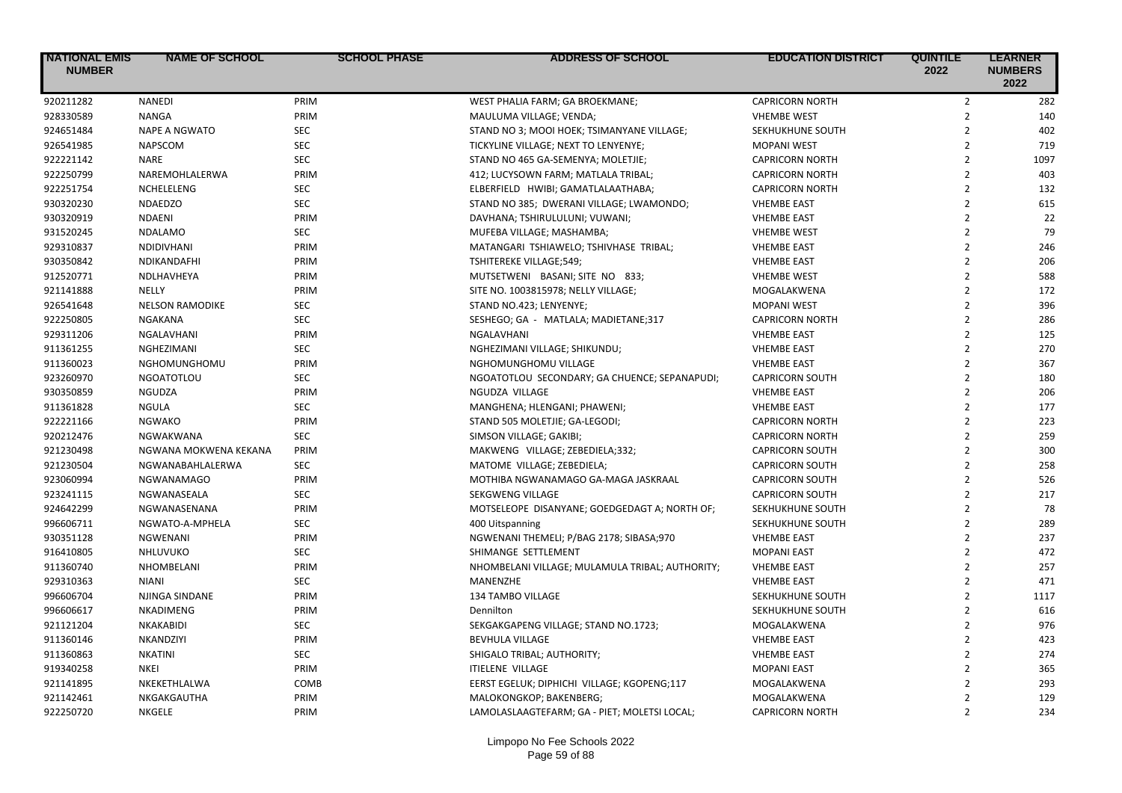| <b>NATIONAL EMIS</b><br><b>NUMBER</b> | <b>NAME OF SCHOOL</b>  | <b>SCHOOL PHASE</b> | <b>ADDRESS OF SCHOOL</b>                        | <b>EDUCATION DISTRICT</b> | <b>QUINTILE</b><br>2022 | <b>LEARNER</b><br><b>NUMBERS</b><br>2022 |
|---------------------------------------|------------------------|---------------------|-------------------------------------------------|---------------------------|-------------------------|------------------------------------------|
| 920211282                             | <b>NANEDI</b>          | PRIM                | WEST PHALIA FARM; GA BROEKMANE;                 | <b>CAPRICORN NORTH</b>    | $\overline{2}$          | 282                                      |
| 928330589                             | <b>NANGA</b>           | PRIM                | MAULUMA VILLAGE; VENDA;                         | <b>VHEMBE WEST</b>        | $\overline{2}$          | 140                                      |
| 924651484                             | <b>NAPE A NGWATO</b>   | <b>SEC</b>          | STAND NO 3; MOOI HOEK; TSIMANYANE VILLAGE;      | SEKHUKHUNE SOUTH          | $\overline{2}$          | 402                                      |
| 926541985                             | <b>NAPSCOM</b>         | <b>SEC</b>          | TICKYLINE VILLAGE; NEXT TO LENYENYE;            | <b>MOPANI WEST</b>        | $\overline{2}$          | 719                                      |
| 922221142                             | <b>NARE</b>            | <b>SEC</b>          | STAND NO 465 GA-SEMENYA; MOLETJIE;              | <b>CAPRICORN NORTH</b>    | $\overline{2}$          | 1097                                     |
| 922250799                             | NAREMOHLALERWA         | PRIM                | 412; LUCYSOWN FARM; MATLALA TRIBAL;             | <b>CAPRICORN NORTH</b>    | $\overline{2}$          | 403                                      |
| 922251754                             | NCHELELENG             | <b>SEC</b>          | ELBERFIELD HWIBI; GAMATLALAATHABA;              | <b>CAPRICORN NORTH</b>    | $\overline{2}$          | 132                                      |
| 930320230                             | <b>NDAEDZO</b>         | <b>SEC</b>          | STAND NO 385; DWERANI VILLAGE; LWAMONDO;        | <b>VHEMBE EAST</b>        | $\overline{2}$          | 615                                      |
| 930320919                             | <b>NDAENI</b>          | PRIM                | DAVHANA; TSHIRULULUNI; VUWANI;                  | <b>VHEMBE EAST</b>        | $\overline{2}$          | 22                                       |
| 931520245                             | <b>NDALAMO</b>         | SEC                 | MUFEBA VILLAGE; MASHAMBA;                       | <b>VHEMBE WEST</b>        | $\overline{2}$          | 79                                       |
| 929310837                             | <b>NDIDIVHANI</b>      | PRIM                | MATANGARI TSHIAWELO; TSHIVHASE TRIBAL;          | <b>VHEMBE EAST</b>        | $\overline{2}$          | 246                                      |
| 930350842                             | NDIKANDAFHI            | PRIM                | TSHITEREKE VILLAGE;549;                         | <b>VHEMBE EAST</b>        | $\overline{2}$          | 206                                      |
| 912520771                             | NDLHAVHEYA             | PRIM                | MUTSETWENI BASANI; SITE NO 833;                 | <b>VHEMBE WEST</b>        | $\overline{2}$          | 588                                      |
| 921141888                             | NELLY                  | PRIM                | SITE NO. 1003815978; NELLY VILLAGE;             | MOGALAKWENA               | $\overline{2}$          | 172                                      |
| 926541648                             | <b>NELSON RAMODIKE</b> | <b>SEC</b>          | STAND NO.423; LENYENYE;                         | <b>MOPANI WEST</b>        | $\overline{2}$          | 396                                      |
| 922250805                             | NGAKANA                | <b>SEC</b>          | SESHEGO; GA - MATLALA; MADIETANE;317            | <b>CAPRICORN NORTH</b>    | $\overline{2}$          | 286                                      |
| 929311206                             | NGALAVHANI             | PRIM                | NGALAVHANI                                      | <b>VHEMBE EAST</b>        | $\overline{2}$          | 125                                      |
| 911361255                             | NGHEZIMANI             | <b>SEC</b>          | NGHEZIMANI VILLAGE; SHIKUNDU;                   | <b>VHEMBE EAST</b>        | $\overline{2}$          | 270                                      |
| 911360023                             | NGHOMUNGHOMU           | PRIM                | NGHOMUNGHOMU VILLAGE                            | <b>VHEMBE EAST</b>        | $\overline{2}$          | 367                                      |
| 923260970                             | <b>NGOATOTLOU</b>      | <b>SEC</b>          | NGOATOTLOU SECONDARY; GA CHUENCE; SEPANAPUDI;   | <b>CAPRICORN SOUTH</b>    | $\overline{2}$          | 180                                      |
| 930350859                             | <b>NGUDZA</b>          | PRIM                | NGUDZA VILLAGE                                  | <b>VHEMBE EAST</b>        | $\overline{2}$          | 206                                      |
| 911361828                             | <b>NGULA</b>           | <b>SEC</b>          | MANGHENA; HLENGANI; PHAWENI;                    | <b>VHEMBE EAST</b>        | $\overline{2}$          | 177                                      |
| 922221166                             | <b>NGWAKO</b>          | PRIM                | STAND 505 MOLETJIE; GA-LEGODI;                  | <b>CAPRICORN NORTH</b>    | $\overline{2}$          | 223                                      |
| 920212476                             | NGWAKWANA              | <b>SEC</b>          | SIMSON VILLAGE; GAKIBI;                         | <b>CAPRICORN NORTH</b>    | $\overline{2}$          | 259                                      |
| 921230498                             | NGWANA MOKWENA KEKANA  | PRIM                | MAKWENG VILLAGE; ZEBEDIELA;332;                 | <b>CAPRICORN SOUTH</b>    | $\overline{2}$          | 300                                      |
| 921230504                             | NGWANABAHLALERWA       | <b>SEC</b>          | MATOME VILLAGE; ZEBEDIELA;                      | <b>CAPRICORN SOUTH</b>    | $\overline{2}$          | 258                                      |
| 923060994                             | <b>NGWANAMAGO</b>      | PRIM                | MOTHIBA NGWANAMAGO GA-MAGA JASKRAAL             | <b>CAPRICORN SOUTH</b>    | $\overline{2}$          | 526                                      |
| 923241115                             | NGWANASEALA            | <b>SEC</b>          | SEKGWENG VILLAGE                                | <b>CAPRICORN SOUTH</b>    | $\overline{2}$          | 217                                      |
| 924642299                             | NGWANASENANA           | PRIM                | MOTSELEOPE DISANYANE; GOEDGEDAGT A; NORTH OF;   | SEKHUKHUNE SOUTH          | $\overline{2}$          | 78                                       |
| 996606711                             | NGWATO-A-MPHELA        | <b>SEC</b>          | 400 Uitspanning                                 | SEKHUKHUNE SOUTH          | $\overline{2}$          | 289                                      |
| 930351128                             | <b>NGWENANI</b>        | PRIM                | NGWENANI THEMELI; P/BAG 2178; SIBASA;970        | <b>VHEMBE EAST</b>        | $\overline{2}$          | 237                                      |
| 916410805                             | NHLUVUKO               | <b>SEC</b>          | SHIMANGE SETTLEMENT                             | <b>MOPANI EAST</b>        | $\overline{2}$          | 472                                      |
| 911360740                             | NHOMBELANI             | PRIM                | NHOMBELANI VILLAGE; MULAMULA TRIBAL; AUTHORITY; | <b>VHEMBE EAST</b>        | $\overline{2}$          | 257                                      |
| 929310363                             | <b>NIANI</b>           | <b>SEC</b>          | MANENZHE                                        | <b>VHEMBE EAST</b>        | $\overline{2}$          | 471                                      |
| 996606704                             | NJINGA SINDANE         | PRIM                | 134 TAMBO VILLAGE                               | SEKHUKHUNE SOUTH          | $\overline{2}$          | 1117                                     |
| 996606617                             | NKADIMENG              | PRIM                | Dennilton                                       | SEKHUKHUNE SOUTH          | $\overline{2}$          | 616                                      |
| 921121204                             | NKAKABIDI              | <b>SEC</b>          | SEKGAKGAPENG VILLAGE; STAND NO.1723;            | MOGALAKWENA               | $\overline{2}$          | 976                                      |
| 911360146                             | NKANDZIYI              | PRIM                | <b>BEVHULA VILLAGE</b>                          | <b>VHEMBE EAST</b>        | $\overline{2}$          | 423                                      |
| 911360863                             | <b>NKATINI</b>         | <b>SEC</b>          | SHIGALO TRIBAL; AUTHORITY;                      | <b>VHEMBE EAST</b>        | $\overline{2}$          | 274                                      |
| 919340258                             | <b>NKEI</b>            | PRIM                | <b>ITIELENE VILLAGE</b>                         | <b>MOPANI EAST</b>        | $\overline{2}$          | 365                                      |
| 921141895                             | NKEKETHLALWA           | COMB                | EERST EGELUK; DIPHICHI VILLAGE; KGOPENG;117     | MOGALAKWENA               | $\overline{2}$          | 293                                      |
| 921142461                             | NKGAKGAUTHA            | PRIM                | MALOKONGKOP; BAKENBERG;                         | MOGALAKWENA               | $\overline{2}$          | 129                                      |
| 922250720                             | <b>NKGELE</b>          | PRIM                | LAMOLASLAAGTEFARM; GA - PIET; MOLETSI LOCAL;    | <b>CAPRICORN NORTH</b>    | $\overline{2}$          | 234                                      |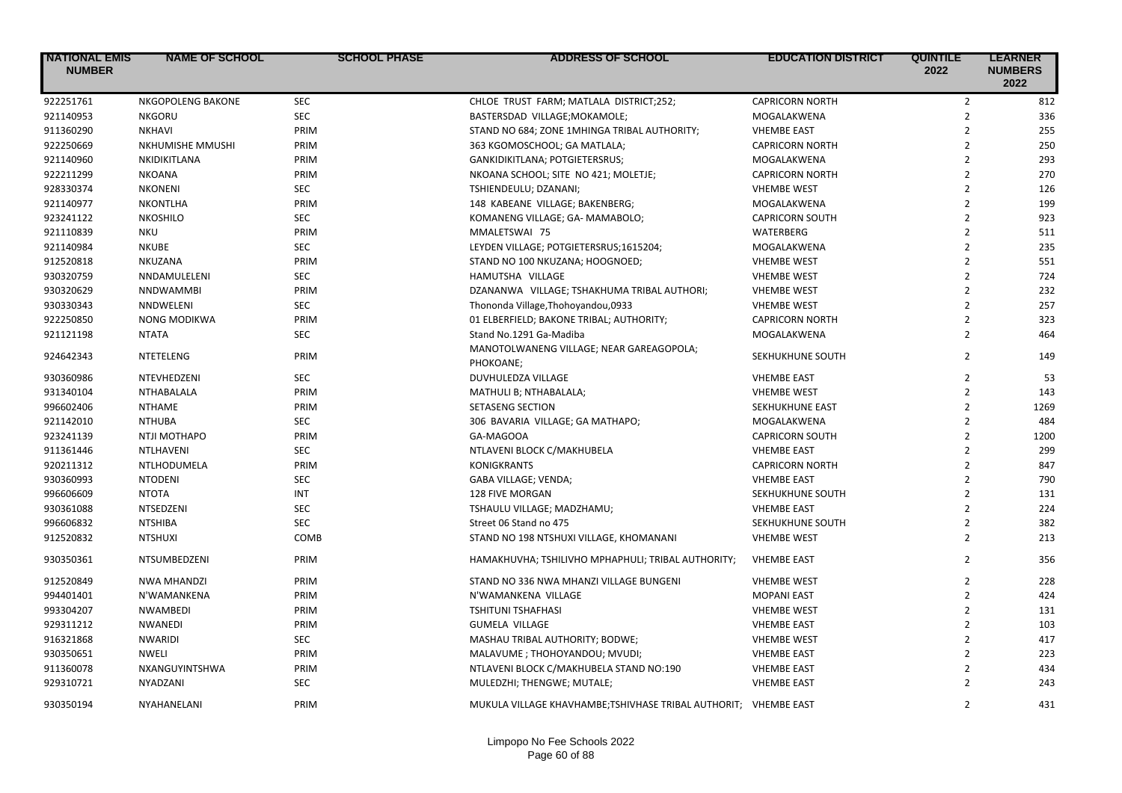| <b>NATIONAL EMIS</b><br><b>NUMBER</b> | <b>NAME OF SCHOOL</b>    | <b>SCHOOL PHASE</b> | <b>ADDRESS OF SCHOOL</b>                                        | <b>EDUCATION DISTRICT</b> | <b>QUINTILE</b><br>2022 | <b>LEARNER</b><br><b>NUMBERS</b><br>2022 |
|---------------------------------------|--------------------------|---------------------|-----------------------------------------------------------------|---------------------------|-------------------------|------------------------------------------|
| 922251761                             | <b>NKGOPOLENG BAKONE</b> | <b>SEC</b>          | CHLOE TRUST FARM; MATLALA DISTRICT;252;                         | <b>CAPRICORN NORTH</b>    | $\mathbf 2$             | 812                                      |
| 921140953                             | <b>NKGORU</b>            | <b>SEC</b>          | BASTERSDAD VILLAGE; MOKAMOLE;                                   | MOGALAKWENA               | $\overline{2}$          | 336                                      |
| 911360290                             | NKHAVI                   | PRIM                | STAND NO 684; ZONE 1MHINGA TRIBAL AUTHORITY;                    | <b>VHEMBE EAST</b>        | $\overline{2}$          | 255                                      |
| 922250669                             | NKHUMISHE MMUSHI         | PRIM                | 363 KGOMOSCHOOL; GA MATLALA;                                    | <b>CAPRICORN NORTH</b>    | $\overline{2}$          | 250                                      |
| 921140960                             | NKIDIKITLANA             | PRIM                | GANKIDIKITLANA; POTGIETERSRUS;                                  | MOGALAKWENA               | $\overline{2}$          | 293                                      |
| 922211299                             | <b>NKOANA</b>            | PRIM                | NKOANA SCHOOL; SITE NO 421; MOLETJE;                            | <b>CAPRICORN NORTH</b>    | $\overline{2}$          | 270                                      |
| 928330374                             | <b>NKONENI</b>           | <b>SEC</b>          | TSHIENDEULU; DZANANI;                                           | <b>VHEMBE WEST</b>        | $\overline{2}$          | 126                                      |
| 921140977                             | NKONTLHA                 | PRIM                | 148 KABEANE VILLAGE; BAKENBERG;                                 | MOGALAKWENA               | $\overline{2}$          | 199                                      |
| 923241122                             | <b>NKOSHILO</b>          | <b>SEC</b>          | KOMANENG VILLAGE; GA- MAMABOLO;                                 | <b>CAPRICORN SOUTH</b>    | $\overline{2}$          | 923                                      |
| 921110839                             | NKU                      | PRIM                | MMALETSWAI 75                                                   | WATERBERG                 | $\overline{2}$          | 511                                      |
| 921140984                             | <b>NKUBE</b>             | <b>SEC</b>          | LEYDEN VILLAGE; POTGIETERSRUS;1615204;                          | MOGALAKWENA               | $\overline{2}$          | 235                                      |
| 912520818                             | NKUZANA                  | PRIM                | STAND NO 100 NKUZANA; HOOGNOED;                                 | <b>VHEMBE WEST</b>        | $\overline{2}$          | 551                                      |
| 930320759                             | NNDAMULELENI             | <b>SEC</b>          | HAMUTSHA VILLAGE                                                | <b>VHEMBE WEST</b>        | $\overline{2}$          | 724                                      |
| 930320629                             | <b>NNDWAMMBI</b>         | PRIM                | DZANANWA VILLAGE; TSHAKHUMA TRIBAL AUTHORI;                     | <b>VHEMBE WEST</b>        | $\overline{2}$          | 232                                      |
| 930330343                             | <b>NNDWELENI</b>         | <b>SEC</b>          | Thononda Village, Thohoyandou, 0933                             | <b>VHEMBE WEST</b>        | $\overline{2}$          | 257                                      |
| 922250850                             | <b>NONG MODIKWA</b>      | PRIM                | 01 ELBERFIELD; BAKONE TRIBAL; AUTHORITY;                        | <b>CAPRICORN NORTH</b>    | $\overline{2}$          | 323                                      |
| 921121198                             | <b>NTATA</b>             | <b>SEC</b>          | Stand No.1291 Ga-Madiba                                         | MOGALAKWENA               | $\overline{2}$          | 464                                      |
| 924642343                             | <b>NTETELENG</b>         | PRIM                | MANOTOLWANENG VILLAGE; NEAR GAREAGOPOLA;<br>PHOKOANE;           | SEKHUKHUNE SOUTH          | $\overline{2}$          | 149                                      |
| 930360986                             | NTEVHEDZENI              | <b>SEC</b>          | DUVHULEDZA VILLAGE                                              | <b>VHEMBE EAST</b>        | $\overline{2}$          | 53                                       |
| 931340104                             | NTHABALALA               | PRIM                | MATHULI B; NTHABALALA;                                          | <b>VHEMBE WEST</b>        | $\overline{2}$          | 143                                      |
| 996602406                             | <b>NTHAME</b>            | PRIM                | <b>SETASENG SECTION</b>                                         | SEKHUKHUNE EAST           | $\overline{2}$          | 1269                                     |
| 921142010                             | <b>NTHUBA</b>            | <b>SEC</b>          | 306 BAVARIA VILLAGE; GA MATHAPO;                                | MOGALAKWENA               | $\overline{2}$          | 484                                      |
| 923241139                             | NTJI MOTHAPO             | PRIM                | GA-MAGOOA                                                       | <b>CAPRICORN SOUTH</b>    | $\overline{2}$          | 1200                                     |
| 911361446                             | NTLHAVENI                | <b>SEC</b>          | NTLAVENI BLOCK C/MAKHUBELA                                      | <b>VHEMBE EAST</b>        | $\overline{2}$          | 299                                      |
| 920211312                             | NTLHODUMELA              | PRIM                | <b>KONIGKRANTS</b>                                              | <b>CAPRICORN NORTH</b>    | $\overline{2}$          | 847                                      |
| 930360993                             | <b>NTODENI</b>           | <b>SEC</b>          | GABA VILLAGE; VENDA;                                            | <b>VHEMBE EAST</b>        | $\overline{2}$          | 790                                      |
| 996606609                             | <b>NTOTA</b>             | <b>INT</b>          | <b>128 FIVE MORGAN</b>                                          | SEKHUKHUNE SOUTH          | $\overline{2}$          | 131                                      |
| 930361088                             | NTSEDZENI                | <b>SEC</b>          | TSHAULU VILLAGE; MADZHAMU;                                      | <b>VHEMBE EAST</b>        | $\overline{2}$          | 224                                      |
| 996606832                             | <b>NTSHIBA</b>           | <b>SEC</b>          | Street 06 Stand no 475                                          | SEKHUKHUNE SOUTH          | $\overline{2}$          | 382                                      |
| 912520832                             | <b>NTSHUXI</b>           | COMB                | STAND NO 198 NTSHUXI VILLAGE, KHOMANANI                         | <b>VHEMBE WEST</b>        | $\overline{2}$          | 213                                      |
| 930350361                             | NTSUMBEDZENI             | PRIM                | HAMAKHUVHA; TSHILIVHO MPHAPHULI; TRIBAL AUTHORITY;              | <b>VHEMBE EAST</b>        | $\overline{2}$          | 356                                      |
| 912520849                             | <b>NWA MHANDZI</b>       | PRIM                | STAND NO 336 NWA MHANZI VILLAGE BUNGENI                         | <b>VHEMBE WEST</b>        | $\overline{2}$          | 228                                      |
| 994401401                             | N'WAMANKENA              | PRIM                | N'WAMANKENA VILLAGE                                             | <b>MOPANI EAST</b>        | $\overline{2}$          | 424                                      |
| 993304207                             | NWAMBEDI                 | PRIM                | <b>TSHITUNI TSHAFHASI</b>                                       | <b>VHEMBE WEST</b>        | $\overline{2}$          | 131                                      |
| 929311212                             | NWANEDI                  | PRIM                | <b>GUMELA VILLAGE</b>                                           | <b>VHEMBE EAST</b>        | $\overline{2}$          | 103                                      |
| 916321868                             | <b>NWARIDI</b>           | <b>SEC</b>          | MASHAU TRIBAL AUTHORITY; BODWE;                                 | <b>VHEMBE WEST</b>        | $\overline{2}$          | 417                                      |
| 930350651                             | NWELI                    | PRIM                | MALAVUME; THOHOYANDOU; MVUDI;                                   | <b>VHEMBE EAST</b>        | $\overline{2}$          | 223                                      |
| 911360078                             | NXANGUYINTSHWA           | PRIM                | NTLAVENI BLOCK C/MAKHUBELA STAND NO:190                         | <b>VHEMBE EAST</b>        | $\overline{2}$          | 434                                      |
| 929310721                             | NYADZANI                 | <b>SEC</b>          | MULEDZHI; THENGWE; MUTALE;                                      | <b>VHEMBE EAST</b>        | $\overline{2}$          | 243                                      |
| 930350194                             | NYAHANELANI              | PRIM                | MUKULA VILLAGE KHAVHAMBE;TSHIVHASE TRIBAL AUTHORIT; VHEMBE EAST |                           | $\overline{2}$          | 431                                      |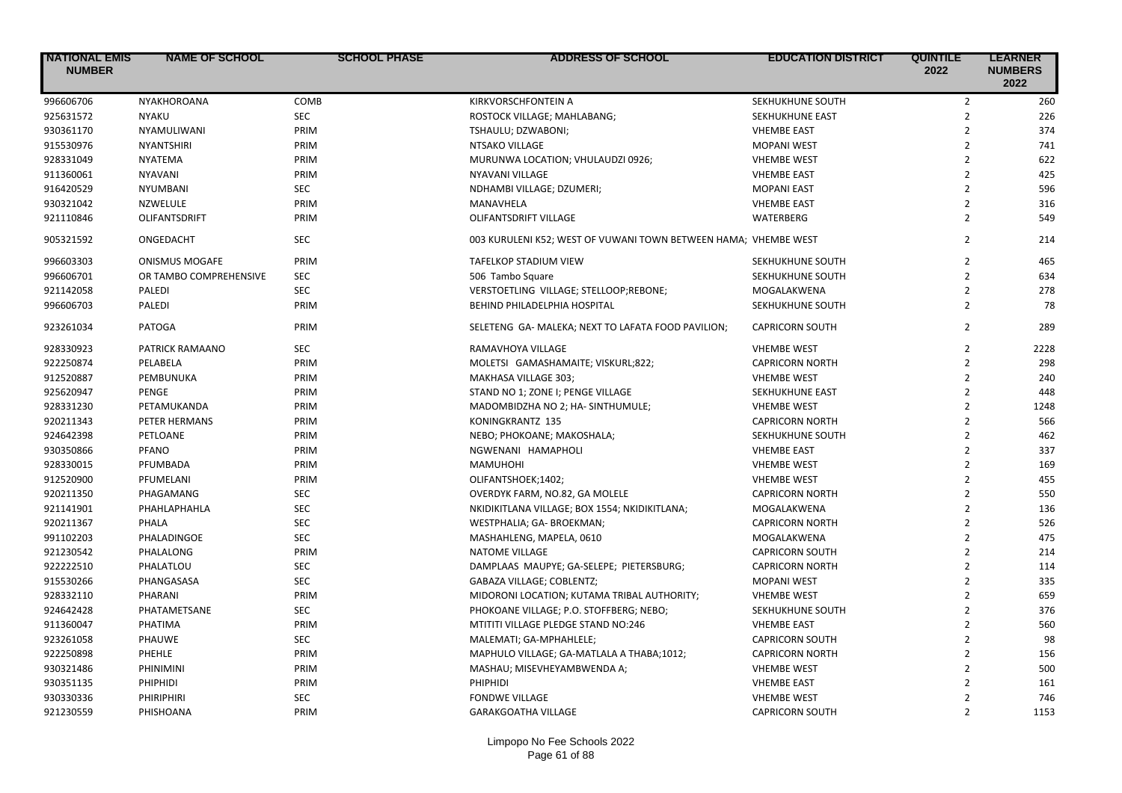| <b>NATIONAL EMIS</b><br><b>NUMBER</b> | <b>NAME OF SCHOOL</b>  | <b>SCHOOL PHASE</b> | <b>ADDRESS OF SCHOOL</b>                                        | <b>EDUCATION DISTRICT</b> | <b>QUINTILE</b><br>2022 | <b>LEARNER</b><br><b>NUMBERS</b><br>2022 |
|---------------------------------------|------------------------|---------------------|-----------------------------------------------------------------|---------------------------|-------------------------|------------------------------------------|
| 996606706                             | NYAKHOROANA            | COMB                | KIRKVORSCHFONTEIN A                                             | SEKHUKHUNE SOUTH          | $\mathbf 2$             | 260                                      |
| 925631572                             | <b>NYAKU</b>           | <b>SEC</b>          | ROSTOCK VILLAGE; MAHLABANG;                                     | SEKHUKHUNE EAST           | $\overline{2}$          | 226                                      |
| 930361170                             | NYAMULIWANI            | PRIM                | TSHAULU; DZWABONI;                                              | <b>VHEMBE EAST</b>        | $\overline{2}$          | 374                                      |
| 915530976                             | <b>NYANTSHIRI</b>      | PRIM                | NTSAKO VILLAGE                                                  | <b>MOPANI WEST</b>        | $\overline{2}$          | 741                                      |
| 928331049                             | NYATEMA                | PRIM                | MURUNWA LOCATION; VHULAUDZI 0926;                               | <b>VHEMBE WEST</b>        | $\overline{2}$          | 622                                      |
| 911360061                             | <b>NYAVANI</b>         | PRIM                | NYAVANI VILLAGE                                                 | <b>VHEMBE EAST</b>        | $\overline{2}$          | 425                                      |
| 916420529                             | <b>NYUMBANI</b>        | <b>SEC</b>          | NDHAMBI VILLAGE; DZUMERI;                                       | <b>MOPANI EAST</b>        | $\overline{2}$          | 596                                      |
| 930321042                             | NZWELULE               | PRIM                | MANAVHELA                                                       | <b>VHEMBE EAST</b>        | $\overline{2}$          | 316                                      |
| 921110846                             | <b>OLIFANTSDRIFT</b>   | PRIM                | <b>OLIFANTSDRIFT VILLAGE</b>                                    | <b>WATERBERG</b>          | $\overline{2}$          | 549                                      |
| 905321592                             | ONGEDACHT              | <b>SEC</b>          | 003 KURULENI K52; WEST OF VUWANI TOWN BETWEEN HAMA; VHEMBE WEST |                           | $\overline{2}$          | 214                                      |
| 996603303                             | <b>ONISMUS MOGAFE</b>  | PRIM                | <b>TAFELKOP STADIUM VIEW</b>                                    | SEKHUKHUNE SOUTH          | $\overline{2}$          | 465                                      |
| 996606701                             | OR TAMBO COMPREHENSIVE | <b>SEC</b>          | 506 Tambo Square                                                | SEKHUKHUNE SOUTH          | $\overline{2}$          | 634                                      |
| 921142058                             | <b>PALEDI</b>          | <b>SEC</b>          | VERSTOETLING VILLAGE; STELLOOP;REBONE;                          | MOGALAKWENA               | $\overline{2}$          | 278                                      |
| 996606703                             | PALEDI                 | PRIM                | BEHIND PHILADELPHIA HOSPITAL                                    | SEKHUKHUNE SOUTH          | $\overline{2}$          | 78                                       |
| 923261034                             | <b>PATOGA</b>          | PRIM                | SELETENG GA- MALEKA; NEXT TO LAFATA FOOD PAVILION;              | <b>CAPRICORN SOUTH</b>    | $\overline{2}$          | 289                                      |
| 928330923                             | PATRICK RAMAANO        | <b>SEC</b>          | RAMAVHOYA VILLAGE                                               | <b>VHEMBE WEST</b>        | $\overline{2}$          | 2228                                     |
| 922250874                             | PELABELA               | PRIM                | MOLETSI GAMASHAMAITE; VISKURL;822;                              | <b>CAPRICORN NORTH</b>    | $\overline{2}$          | 298                                      |
| 912520887                             | PEMBUNUKA              | PRIM                | MAKHASA VILLAGE 303;                                            | <b>VHEMBE WEST</b>        | $\overline{2}$          | 240                                      |
| 925620947                             | PENGE                  | PRIM                | STAND NO 1; ZONE I; PENGE VILLAGE                               | SEKHUKHUNE EAST           | $\overline{2}$          | 448                                      |
| 928331230                             | PETAMUKANDA            | PRIM                | MADOMBIDZHA NO 2; HA- SINTHUMULE;                               | <b>VHEMBE WEST</b>        | $\overline{2}$          | 1248                                     |
| 920211343                             | PETER HERMANS          | PRIM                | KONINGKRANTZ 135                                                | <b>CAPRICORN NORTH</b>    | $\overline{2}$          | 566                                      |
| 924642398                             | PETLOANE               | PRIM                | NEBO; PHOKOANE; MAKOSHALA;                                      | SEKHUKHUNE SOUTH          | $\overline{2}$          | 462                                      |
| 930350866                             | PFANO                  | PRIM                | NGWENANI HAMAPHOLI                                              | <b>VHEMBE EAST</b>        | $\overline{2}$          | 337                                      |
| 928330015                             | PFUMBADA               | PRIM                | <b>MAMUHOHI</b>                                                 | <b>VHEMBE WEST</b>        | $\overline{2}$          | 169                                      |
| 912520900                             | PFUMELANI              | PRIM                | OLIFANTSHOEK;1402;                                              | <b>VHEMBE WEST</b>        | $\overline{2}$          | 455                                      |
| 920211350                             | PHAGAMANG              | <b>SEC</b>          | OVERDYK FARM, NO.82, GA MOLELE                                  | <b>CAPRICORN NORTH</b>    | $\overline{2}$          | 550                                      |
| 921141901                             | PHAHLAPHAHLA           | <b>SEC</b>          | NKIDIKITLANA VILLAGE; BOX 1554; NKIDIKITLANA;                   | MOGALAKWENA               | $\overline{2}$          | 136                                      |
| 920211367                             | PHALA                  | <b>SEC</b>          | WESTPHALIA; GA- BROEKMAN;                                       | <b>CAPRICORN NORTH</b>    | $\overline{2}$          | 526                                      |
| 991102203                             | PHALADINGOE            | <b>SEC</b>          | MASHAHLENG, MAPELA, 0610                                        | MOGALAKWENA               | $\overline{2}$          | 475                                      |
| 921230542                             | PHALALONG              | PRIM                | <b>NATOME VILLAGE</b>                                           | <b>CAPRICORN SOUTH</b>    | $\overline{2}$          | 214                                      |
| 922222510                             | PHALATLOU              | <b>SEC</b>          | DAMPLAAS MAUPYE; GA-SELEPE; PIETERSBURG;                        | <b>CAPRICORN NORTH</b>    | $\overline{2}$          | 114                                      |
| 915530266                             | PHANGASASA             | <b>SEC</b>          | GABAZA VILLAGE; COBLENTZ;                                       | <b>MOPANI WEST</b>        | $\overline{2}$          | 335                                      |
| 928332110                             | PHARANI                | PRIM                | MIDORONI LOCATION; KUTAMA TRIBAL AUTHORITY;                     | <b>VHEMBE WEST</b>        | $\overline{2}$          | 659                                      |
| 924642428                             | PHATAMETSANE           | <b>SEC</b>          | PHOKOANE VILLAGE; P.O. STOFFBERG; NEBO;                         | SEKHUKHUNE SOUTH          | $\overline{2}$          | 376                                      |
| 911360047                             | PHATIMA                | PRIM                | MTITITI VILLAGE PLEDGE STAND NO:246                             | <b>VHEMBE EAST</b>        | $\overline{2}$          | 560                                      |
| 923261058                             | PHAUWE                 | <b>SEC</b>          | MALEMATI; GA-MPHAHLELE;                                         | <b>CAPRICORN SOUTH</b>    | $\overline{2}$          | 98                                       |
| 922250898                             | PHEHLE                 | PRIM                | MAPHULO VILLAGE; GA-MATLALA A THABA;1012;                       | <b>CAPRICORN NORTH</b>    | $\overline{2}$          | 156                                      |
| 930321486                             | PHINIMINI              | PRIM                | MASHAU; MISEVHEYAMBWENDA A;                                     | <b>VHEMBE WEST</b>        | $\overline{2}$          | 500                                      |
| 930351135                             | PHIPHIDI               | PRIM                | PHIPHIDI                                                        | <b>VHEMBE EAST</b>        | $\overline{2}$          | 161                                      |
| 930330336                             | PHIRIPHIRI             | <b>SEC</b>          | <b>FONDWE VILLAGE</b>                                           | <b>VHEMBE WEST</b>        | $\mathfrak{p}$          | 746                                      |
| 921230559                             | PHISHOANA              | PRIM                | <b>GARAKGOATHA VILLAGE</b>                                      | <b>CAPRICORN SOUTH</b>    | $\overline{2}$          | 1153                                     |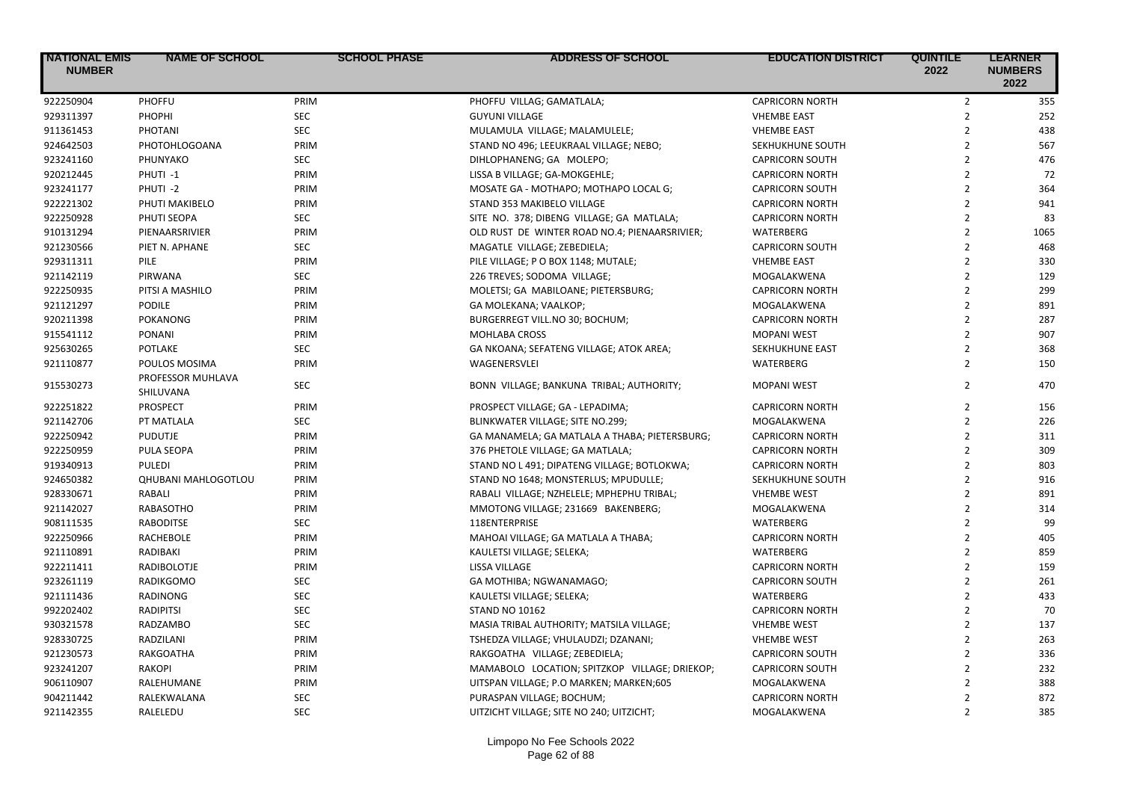| <b>NATIONAL EMIS</b><br><b>NUMBER</b> | <b>NAME OF SCHOOL</b>          | <b>SCHOOL PHASE</b> | ADDRESS OF SCHOOL                             | <b>EDUCATION DISTRICT</b> | <b>QUINTILE</b><br>2022 | <b>LEARNER</b><br><b>NUMBERS</b><br>2022 |
|---------------------------------------|--------------------------------|---------------------|-----------------------------------------------|---------------------------|-------------------------|------------------------------------------|
| 922250904                             | PHOFFU                         | PRIM                | PHOFFU VILLAG; GAMATLALA;                     | <b>CAPRICORN NORTH</b>    | $\overline{2}$          | 355                                      |
| 929311397                             | PHOPHI                         | <b>SEC</b>          | <b>GUYUNI VILLAGE</b>                         | <b>VHEMBE EAST</b>        | $\overline{2}$          | 252                                      |
| 911361453                             | PHOTANI                        | SEC                 | MULAMULA VILLAGE; MALAMULELE;                 | <b>VHEMBE EAST</b>        | $\overline{2}$          | 438                                      |
| 924642503                             | PHOTOHLOGOANA                  | PRIM                | STAND NO 496; LEEUKRAAL VILLAGE; NEBO;        | SEKHUKHUNE SOUTH          | $\overline{2}$          | 567                                      |
| 923241160                             | PHUNYAKO                       | <b>SEC</b>          | DIHLOPHANENG; GA MOLEPO;                      | <b>CAPRICORN SOUTH</b>    | $\overline{2}$          | 476                                      |
| 920212445                             | PHUTI-1                        | PRIM                | LISSA B VILLAGE; GA-MOKGEHLE;                 | <b>CAPRICORN NORTH</b>    | $\overline{2}$          | 72                                       |
| 923241177                             | PHUTI-2                        | PRIM                | MOSATE GA - MOTHAPO; MOTHAPO LOCAL G;         | <b>CAPRICORN SOUTH</b>    | $\overline{2}$          | 364                                      |
| 922221302                             | PHUTI MAKIBELO                 | PRIM                | STAND 353 MAKIBELO VILLAGE                    | <b>CAPRICORN NORTH</b>    | $\overline{2}$          | 941                                      |
| 922250928                             | PHUTI SEOPA                    | <b>SEC</b>          | SITE NO. 378; DIBENG VILLAGE; GA MATLALA;     | <b>CAPRICORN NORTH</b>    | $\overline{2}$          | 83                                       |
| 910131294                             | PIENAARSRIVIER                 | PRIM                | OLD RUST DE WINTER ROAD NO.4; PIENAARSRIVIER; | WATERBERG                 | $\overline{2}$          | 1065                                     |
| 921230566                             | PIET N. APHANE                 | <b>SEC</b>          | MAGATLE VILLAGE; ZEBEDIELA;                   | <b>CAPRICORN SOUTH</b>    | $\overline{2}$          | 468                                      |
| 929311311                             | PILE                           | PRIM                | PILE VILLAGE; P O BOX 1148; MUTALE;           | <b>VHEMBE EAST</b>        | $\overline{2}$          | 330                                      |
| 921142119                             | PIRWANA                        | <b>SEC</b>          | 226 TREVES; SODOMA VILLAGE;                   | MOGALAKWENA               | $\overline{2}$          | 129                                      |
| 922250935                             | PITSI A MASHILO                | PRIM                | MOLETSI; GA MABILOANE; PIETERSBURG;           | <b>CAPRICORN NORTH</b>    | $\overline{2}$          | 299                                      |
| 921121297                             | <b>PODILE</b>                  | PRIM                | GA MOLEKANA; VAALKOP;                         | MOGALAKWENA               | $\overline{2}$          | 891                                      |
| 920211398                             | <b>POKANONG</b>                | PRIM                | BURGERREGT VILL.NO 30; BOCHUM;                | <b>CAPRICORN NORTH</b>    | $\overline{2}$          | 287                                      |
| 915541112                             | <b>PONANI</b>                  | PRIM                | <b>MOHLABA CROSS</b>                          | <b>MOPANI WEST</b>        | $\overline{2}$          | 907                                      |
| 925630265                             | POTLAKE                        | <b>SEC</b>          | GA NKOANA; SEFATENG VILLAGE; ATOK AREA;       | SEKHUKHUNE EAST           | $\overline{2}$          | 368                                      |
| 921110877                             | POULOS MOSIMA                  | PRIM                | WAGENERSVLEI                                  | WATERBERG                 | $\overline{2}$          | 150                                      |
| 915530273                             | PROFESSOR MUHLAVA<br>SHILUVANA | SEC                 | BONN VILLAGE; BANKUNA TRIBAL; AUTHORITY;      | <b>MOPANI WEST</b>        | $\overline{2}$          | 470                                      |
| 922251822                             | PROSPECT                       | PRIM                | PROSPECT VILLAGE; GA - LEPADIMA;              | <b>CAPRICORN NORTH</b>    | $\overline{2}$          | 156                                      |
| 921142706                             | PT MATLALA                     | <b>SEC</b>          | BLINKWATER VILLAGE; SITE NO.299;              | MOGALAKWENA               | $\overline{2}$          | 226                                      |
| 922250942                             | <b>PUDUTJE</b>                 | PRIM                | GA MANAMELA; GA MATLALA A THABA; PIETERSBURG; | <b>CAPRICORN NORTH</b>    | $\overline{2}$          | 311                                      |
| 922250959                             | PULA SEOPA                     | PRIM                | 376 PHETOLE VILLAGE; GA MATLALA;              | <b>CAPRICORN NORTH</b>    | $\overline{2}$          | 309                                      |
| 919340913                             | PULEDI                         | PRIM                | STAND NO L 491; DIPATENG VILLAGE; BOTLOKWA;   | <b>CAPRICORN NORTH</b>    | $\overline{2}$          | 803                                      |
| 924650382                             | <b>QHUBANI MAHLOGOTLOU</b>     | PRIM                | STAND NO 1648; MONSTERLUS; MPUDULLE;          | SEKHUKHUNE SOUTH          | $\overline{2}$          | 916                                      |
| 928330671                             | RABALI                         | PRIM                | RABALI VILLAGE; NZHELELE; MPHEPHU TRIBAL;     | <b>VHEMBE WEST</b>        | $\overline{2}$          | 891                                      |
| 921142027                             | RABASOTHO                      | PRIM                | MMOTONG VILLAGE; 231669 BAKENBERG;            | MOGALAKWENA               | $\overline{2}$          | 314                                      |
| 908111535                             | <b>RABODITSE</b>               | <b>SEC</b>          | 118ENTERPRISE                                 | WATERBERG                 | $\overline{2}$          | 99                                       |
| 922250966                             | RACHEBOLE                      | PRIM                | MAHOAI VILLAGE; GA MATLALA A THABA;           | <b>CAPRICORN NORTH</b>    | $\overline{2}$          | 405                                      |
| 921110891                             | RADIBAKI                       | PRIM                | KAULETSI VILLAGE; SELEKA;                     | WATERBERG                 | $\overline{2}$          | 859                                      |
| 922211411                             | RADIBOLOTJE                    | PRIM                | LISSA VILLAGE                                 | <b>CAPRICORN NORTH</b>    | $\overline{2}$          | 159                                      |
| 923261119                             | RADIKGOMO                      | <b>SEC</b>          | GA MOTHIBA; NGWANAMAGO;                       | <b>CAPRICORN SOUTH</b>    | $\overline{2}$          | 261                                      |
| 921111436                             | RADINONG                       | <b>SEC</b>          | KAULETSI VILLAGE; SELEKA;                     | WATERBERG                 | $\overline{2}$          | 433                                      |
| 992202402                             | <b>RADIPITSI</b>               | <b>SEC</b>          | <b>STAND NO 10162</b>                         | <b>CAPRICORN NORTH</b>    | $\overline{2}$          | 70                                       |
| 930321578                             | <b>RADZAMBO</b>                | <b>SEC</b>          | MASIA TRIBAL AUTHORITY; MATSILA VILLAGE;      | <b>VHEMBE WEST</b>        | $\overline{2}$          | 137                                      |
| 928330725                             | RADZILANI                      | PRIM                | TSHEDZA VILLAGE; VHULAUDZI; DZANANI;          | <b>VHEMBE WEST</b>        | $\overline{2}$          | 263                                      |
| 921230573                             | RAKGOATHA                      | PRIM                | RAKGOATHA VILLAGE; ZEBEDIELA;                 | <b>CAPRICORN SOUTH</b>    | $\overline{2}$          | 336                                      |
| 923241207                             | <b>RAKOPI</b>                  | PRIM                | MAMABOLO LOCATION; SPITZKOP VILLAGE; DRIEKOP; | <b>CAPRICORN SOUTH</b>    | $\overline{2}$          | 232                                      |
| 906110907                             | RALEHUMANE                     | PRIM                | UITSPAN VILLAGE; P.O MARKEN; MARKEN;605       | MOGALAKWENA               | $\overline{2}$          | 388                                      |
| 904211442                             | RALEKWALANA                    | <b>SEC</b>          | PURASPAN VILLAGE; BOCHUM;                     | <b>CAPRICORN NORTH</b>    | $\overline{2}$          | 872                                      |
| 921142355                             | RALELEDU                       | <b>SEC</b>          |                                               |                           | $\overline{2}$          | 385                                      |
|                                       |                                |                     | UITZICHT VILLAGE; SITE NO 240; UITZICHT;      | MOGALAKWENA               |                         |                                          |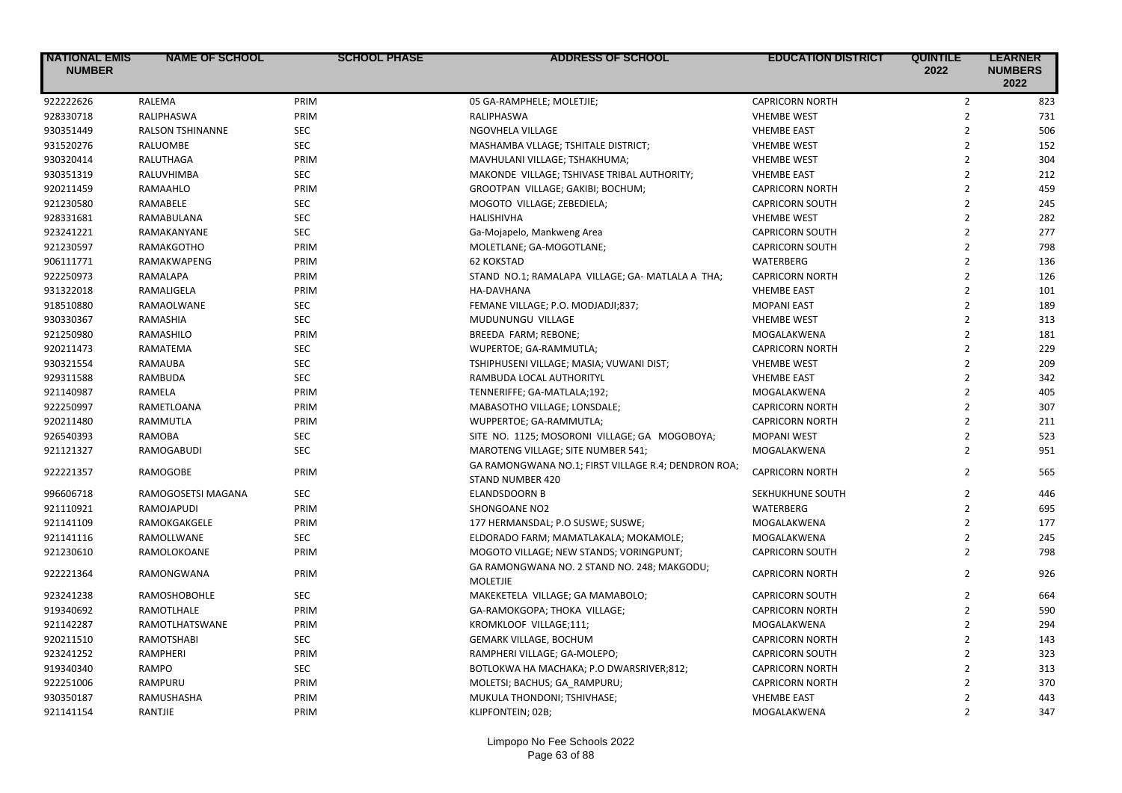| <b>NATIONAL EMIS</b><br><b>NUMBER</b> | <b>NAME OF SCHOOL</b>   | <b>SCHOOL PHASE</b> | <b>ADDRESS OF SCHOOL</b>                                                | <b>EDUCATION DISTRICT</b> | <b>QUINTILE</b><br>2022 | <b>LEARNER</b><br><b>NUMBERS</b><br>2022 |
|---------------------------------------|-------------------------|---------------------|-------------------------------------------------------------------------|---------------------------|-------------------------|------------------------------------------|
| 922222626                             | <b>RALEMA</b>           | PRIM                | 05 GA-RAMPHELE; MOLETJIE;                                               | <b>CAPRICORN NORTH</b>    | $\overline{2}$          | 823                                      |
| 928330718                             | RALIPHASWA              | PRIM                | RALIPHASWA                                                              | <b>VHEMBE WEST</b>        | $\mathbf 2$             | 731                                      |
| 930351449                             | <b>RALSON TSHINANNE</b> | <b>SEC</b>          | NGOVHELA VILLAGE                                                        | <b>VHEMBE EAST</b>        | $\overline{2}$          | 506                                      |
| 931520276                             | RALUOMBE                | <b>SEC</b>          | MASHAMBA VLLAGE; TSHITALE DISTRICT;                                     | <b>VHEMBE WEST</b>        | $\overline{2}$          | 152                                      |
| 930320414                             | RALUTHAGA               | PRIM                | MAVHULANI VILLAGE; TSHAKHUMA;                                           | <b>VHEMBE WEST</b>        | $\overline{2}$          | 304                                      |
| 930351319                             | RALUVHIMBA              | <b>SEC</b>          | MAKONDE VILLAGE; TSHIVASE TRIBAL AUTHORITY;                             | <b>VHEMBE EAST</b>        | $\overline{2}$          | 212                                      |
| 920211459                             | RAMAAHLO                | PRIM                | GROOTPAN VILLAGE; GAKIBI; BOCHUM;                                       | <b>CAPRICORN NORTH</b>    | $\overline{2}$          | 459                                      |
| 921230580                             | RAMABELE                | <b>SEC</b>          | MOGOTO VILLAGE; ZEBEDIELA;                                              | <b>CAPRICORN SOUTH</b>    | $\overline{2}$          | 245                                      |
| 928331681                             | RAMABULANA              | <b>SEC</b>          | HALISHIVHA                                                              | <b>VHEMBE WEST</b>        | $\overline{2}$          | 282                                      |
| 923241221                             | RAMAKANYANE             | <b>SEC</b>          | Ga-Mojapelo, Mankweng Area                                              | <b>CAPRICORN SOUTH</b>    | $\overline{2}$          | 277                                      |
| 921230597                             | <b>RAMAKGOTHO</b>       | PRIM                | MOLETLANE; GA-MOGOTLANE;                                                | <b>CAPRICORN SOUTH</b>    | $\overline{2}$          | 798                                      |
| 906111771                             | <b>RAMAKWAPENG</b>      | PRIM                | <b>62 KOKSTAD</b>                                                       | WATERBERG                 | $\overline{2}$          | 136                                      |
| 922250973                             | RAMALAPA                | PRIM                | STAND NO.1; RAMALAPA VILLAGE; GA- MATLALA A THA;                        | <b>CAPRICORN NORTH</b>    | $\overline{2}$          | 126                                      |
| 931322018                             | RAMALIGELA              | PRIM                | HA-DAVHANA                                                              | <b>VHEMBE EAST</b>        | $\overline{2}$          | 101                                      |
| 918510880                             | RAMAOLWANE              | <b>SEC</b>          | FEMANE VILLAGE; P.O. MODJADJI;837;                                      | <b>MOPANI EAST</b>        | $\overline{2}$          | 189                                      |
| 930330367                             | RAMASHIA                | <b>SEC</b>          | MUDUNUNGU VILLAGE                                                       | <b>VHEMBE WEST</b>        | $\overline{2}$          | 313                                      |
| 921250980                             | RAMASHILO               | PRIM                | BREEDA FARM; REBONE;                                                    | MOGALAKWENA               | $\overline{2}$          | 181                                      |
| 920211473                             | RAMATEMA                | <b>SEC</b>          | WUPERTOE; GA-RAMMUTLA;                                                  | <b>CAPRICORN NORTH</b>    | $\overline{2}$          | 229                                      |
| 930321554                             | RAMAUBA                 | <b>SEC</b>          | TSHIPHUSENI VILLAGE; MASIA; VUWANI DIST;                                | <b>VHEMBE WEST</b>        | $\overline{2}$          | 209                                      |
| 929311588                             | RAMBUDA                 | <b>SEC</b>          | RAMBUDA LOCAL AUTHORITYL                                                | <b>VHEMBE EAST</b>        | $\overline{2}$          | 342                                      |
| 921140987                             | RAMELA                  | PRIM                | TENNERIFFE; GA-MATLALA;192;                                             | MOGALAKWENA               | $\overline{2}$          | 405                                      |
| 922250997                             | RAMETLOANA              | PRIM                | MABASOTHO VILLAGE; LONSDALE;                                            | <b>CAPRICORN NORTH</b>    | $\mathbf 2$             | 307                                      |
| 920211480                             | RAMMUTLA                | PRIM                | WUPPERTOE; GA-RAMMUTLA;                                                 | <b>CAPRICORN NORTH</b>    | $\overline{2}$          | 211                                      |
| 926540393                             | <b>RAMOBA</b>           | <b>SEC</b>          | SITE NO. 1125; MOSORONI VILLAGE; GA MOGOBOYA;                           | <b>MOPANI WEST</b>        | $\overline{2}$          | 523                                      |
| 921121327                             | RAMOGABUDI              | <b>SEC</b>          | MAROTENG VILLAGE; SITE NUMBER 541;                                      | MOGALAKWENA               | $\overline{2}$          | 951                                      |
| 922221357                             | RAMOGOBE                | PRIM                | GA RAMONGWANA NO.1; FIRST VILLAGE R.4; DENDRON ROA;<br>STAND NUMBER 420 | <b>CAPRICORN NORTH</b>    | $\overline{2}$          | 565                                      |
| 996606718                             | RAMOGOSETSI MAGANA      | <b>SEC</b>          | <b>ELANDSDOORN B</b>                                                    | SEKHUKHUNE SOUTH          | $\overline{2}$          | 446                                      |
| 921110921                             | RAMOJAPUDI              | PRIM                | SHONGOANE NO2                                                           | WATERBERG                 | $\overline{2}$          | 695                                      |
| 921141109                             | RAMOKGAKGELE            | PRIM                | 177 HERMANSDAL; P.O SUSWE; SUSWE;                                       | MOGALAKWENA               | $\overline{2}$          | 177                                      |
| 921141116                             | RAMOLLWANE              | <b>SEC</b>          | ELDORADO FARM; MAMATLAKALA; MOKAMOLE;                                   | MOGALAKWENA               | $\overline{2}$          | 245                                      |
| 921230610                             | RAMOLOKOANE             | PRIM                | MOGOTO VILLAGE; NEW STANDS; VORINGPUNT;                                 | <b>CAPRICORN SOUTH</b>    | $\overline{2}$          | 798                                      |
| 922221364                             | RAMONGWANA              | PRIM                | GA RAMONGWANA NO. 2 STAND NO. 248; MAKGODU;<br><b>MOLETJIE</b>          | <b>CAPRICORN NORTH</b>    | $\overline{2}$          | 926                                      |
| 923241238                             | <b>RAMOSHOBOHLE</b>     | <b>SEC</b>          | MAKEKETELA VILLAGE; GA MAMABOLO;                                        | <b>CAPRICORN SOUTH</b>    | $\overline{2}$          | 664                                      |
| 919340692                             | RAMOTLHALE              | PRIM                | GA-RAMOKGOPA; THOKA VILLAGE;                                            | <b>CAPRICORN NORTH</b>    | $\overline{2}$          | 590                                      |
| 921142287                             | RAMOTLHATSWANE          | PRIM                | KROMKLOOF VILLAGE;111;                                                  | MOGALAKWENA               | $\overline{2}$          | 294                                      |
| 920211510                             | <b>RAMOTSHABI</b>       | <b>SEC</b>          | <b>GEMARK VILLAGE, BOCHUM</b>                                           | <b>CAPRICORN NORTH</b>    | $\overline{2}$          | 143                                      |
| 923241252                             | RAMPHERI                | PRIM                | RAMPHERI VILLAGE; GA-MOLEPO;                                            | <b>CAPRICORN SOUTH</b>    | $\overline{2}$          | 323                                      |
| 919340340                             | RAMPO                   | <b>SEC</b>          | BOTLOKWA HA MACHAKA; P.O DWARSRIVER;812;                                | <b>CAPRICORN NORTH</b>    | $\overline{2}$          | 313                                      |
| 922251006                             | RAMPURU                 | PRIM                | MOLETSI; BACHUS; GA RAMPURU;                                            | <b>CAPRICORN NORTH</b>    | $\overline{2}$          | 370                                      |
| 930350187                             | RAMUSHASHA              | PRIM                | MUKULA THONDONI; TSHIVHASE;                                             | <b>VHEMBE EAST</b>        | $\overline{2}$          | 443                                      |
| 921141154                             | RANTJIE                 | PRIM                | KLIPFONTEIN; 02B;                                                       | MOGALAKWENA               | $\overline{2}$          | 347                                      |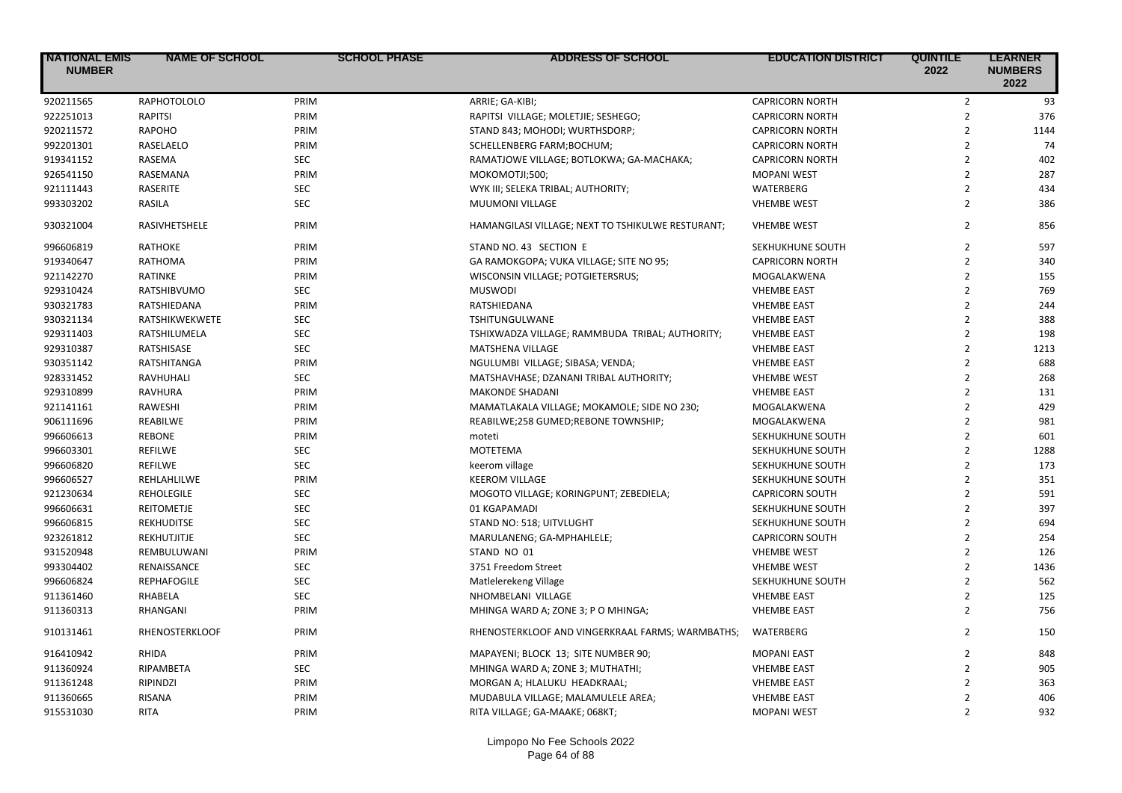| <b>NATIONAL EMIS</b><br><b>NUMBER</b> | <b>NAME OF SCHOOL</b> | <b>SCHOOL PHASE</b> | <b>ADDRESS OF SCHOOL</b>                          | <b>EDUCATION DISTRICT</b> | <b>QUINTILE</b><br>2022 | <b>LEARNER</b><br><b>NUMBERS</b><br>2022 |
|---------------------------------------|-----------------------|---------------------|---------------------------------------------------|---------------------------|-------------------------|------------------------------------------|
| 920211565                             | RAPHOTOLOLO           | PRIM                | ARRIE; GA-KIBI;                                   | <b>CAPRICORN NORTH</b>    | $\overline{2}$          | 93                                       |
| 922251013                             | RAPITSI               | PRIM                | RAPITSI VILLAGE; MOLETJIE; SESHEGO;               | <b>CAPRICORN NORTH</b>    | $\overline{2}$          | 376                                      |
| 920211572                             | <b>RAPOHO</b>         | PRIM                | STAND 843; MOHODI; WURTHSDORP;                    | <b>CAPRICORN NORTH</b>    | $\overline{2}$          | 1144                                     |
| 992201301                             | RASELAELO             | PRIM                | SCHELLENBERG FARM; BOCHUM;                        | <b>CAPRICORN NORTH</b>    | $\overline{2}$          | 74                                       |
| 919341152                             | RASEMA                | SEC                 | RAMATJOWE VILLAGE; BOTLOKWA; GA-MACHAKA;          | <b>CAPRICORN NORTH</b>    | $\overline{2}$          | 402                                      |
| 926541150                             | RASEMANA              | PRIM                | MOKOMOTJI;500;                                    | <b>MOPANI WEST</b>        | $\overline{2}$          | 287                                      |
| 921111443                             | RASERITE              | <b>SEC</b>          | WYK III; SELEKA TRIBAL; AUTHORITY;                | WATERBERG                 | $\overline{2}$          | 434                                      |
| 993303202                             | RASILA                | <b>SEC</b>          | MUUMONI VILLAGE                                   | <b>VHEMBE WEST</b>        | $\overline{2}$          | 386                                      |
| 930321004                             | RASIVHETSHELE         | PRIM                | HAMANGILASI VILLAGE; NEXT TO TSHIKULWE RESTURANT; | <b>VHEMBE WEST</b>        | $\overline{2}$          | 856                                      |
| 996606819                             | <b>RATHOKE</b>        | PRIM                | STAND NO. 43 SECTION E                            | SEKHUKHUNE SOUTH          | $\overline{2}$          | 597                                      |
| 919340647                             | RATHOMA               | PRIM                | GA RAMOKGOPA; VUKA VILLAGE; SITE NO 95;           | <b>CAPRICORN NORTH</b>    | $\overline{2}$          | 340                                      |
| 921142270                             | RATINKE               | PRIM                | WISCONSIN VILLAGE; POTGIETERSRUS;                 | MOGALAKWENA               | $\overline{2}$          | 155                                      |
| 929310424                             | RATSHIBVUMO           | SEC                 | <b>MUSWODI</b>                                    | <b>VHEMBE EAST</b>        | $\overline{2}$          | 769                                      |
| 930321783                             | RATSHIEDANA           | PRIM                | RATSHIEDANA                                       | <b>VHEMBE EAST</b>        | $\overline{2}$          | 244                                      |
| 930321134                             | RATSHIKWEKWETE        | <b>SEC</b>          | TSHITUNGULWANE                                    | <b>VHEMBE EAST</b>        | $\overline{2}$          | 388                                      |
| 929311403                             | RATSHILUMELA          | <b>SEC</b>          | TSHIXWADZA VILLAGE; RAMMBUDA TRIBAL; AUTHORITY;   | <b>VHEMBE EAST</b>        | $\overline{2}$          | 198                                      |
| 929310387                             | RATSHISASE            | <b>SEC</b>          | <b>MATSHENA VILLAGE</b>                           | <b>VHEMBE EAST</b>        | $\overline{2}$          | 1213                                     |
| 930351142                             | RATSHITANGA           | PRIM                | NGULUMBI VILLAGE; SIBASA; VENDA;                  | <b>VHEMBE EAST</b>        | $\overline{2}$          | 688                                      |
| 928331452                             | RAVHUHALI             | <b>SEC</b>          | MATSHAVHASE; DZANANI TRIBAL AUTHORITY;            | <b>VHEMBE WEST</b>        | $\overline{2}$          | 268                                      |
| 929310899                             | RAVHURA               | PRIM                | <b>MAKONDE SHADANI</b>                            | <b>VHEMBE EAST</b>        | $\overline{2}$          | 131                                      |
| 921141161                             | RAWESHI               | PRIM                | MAMATLAKALA VILLAGE; MOKAMOLE; SIDE NO 230;       | MOGALAKWENA               | $\overline{2}$          | 429                                      |
| 906111696                             | REABILWE              | PRIM                | REABILWE;258 GUMED;REBONE TOWNSHIP;               | MOGALAKWENA               | $\overline{2}$          | 981                                      |
| 996606613                             | <b>REBONE</b>         | PRIM                | moteti                                            | SEKHUKHUNE SOUTH          | $\overline{2}$          | 601                                      |
| 996603301                             | REFILWE               | <b>SEC</b>          | <b>MOTETEMA</b>                                   | SEKHUKHUNE SOUTH          | $\overline{2}$          | 1288                                     |
| 996606820                             | <b>REFILWE</b>        | <b>SEC</b>          | keerom village                                    | SEKHUKHUNE SOUTH          | $\overline{2}$          | 173                                      |
| 996606527                             | REHLAHLILWE           | PRIM                | <b>KEEROM VILLAGE</b>                             | SEKHUKHUNE SOUTH          | $\overline{2}$          | 351                                      |
| 921230634                             | <b>REHOLEGILE</b>     | <b>SEC</b>          | MOGOTO VILLAGE; KORINGPUNT; ZEBEDIELA;            | <b>CAPRICORN SOUTH</b>    | $\overline{2}$          | 591                                      |
| 996606631                             | <b>REITOMETJE</b>     | <b>SEC</b>          | 01 KGAPAMADI                                      | SEKHUKHUNE SOUTH          | $\overline{2}$          | 397                                      |
| 996606815                             | <b>REKHUDITSE</b>     | <b>SEC</b>          | STAND NO: 518; UITVLUGHT                          | SEKHUKHUNE SOUTH          | $\overline{2}$          | 694                                      |
| 923261812                             | REKHUTJITJE           | <b>SEC</b>          | MARULANENG; GA-MPHAHLELE;                         | <b>CAPRICORN SOUTH</b>    | $\overline{2}$          | 254                                      |
| 931520948                             | REMBULUWANI           | PRIM                | STAND NO 01                                       | <b>VHEMBE WEST</b>        | $\overline{2}$          | 126                                      |
| 993304402                             | RENAISSANCE           | <b>SEC</b>          | 3751 Freedom Street                               | <b>VHEMBE WEST</b>        | $\overline{2}$          | 1436                                     |
| 996606824                             | <b>REPHAFOGILE</b>    | <b>SEC</b>          | Matlelerekeng Village                             | SEKHUKHUNE SOUTH          | $\overline{2}$          | 562                                      |
| 911361460                             | RHABELA               | SEC                 | NHOMBELANI VILLAGE                                | <b>VHEMBE EAST</b>        | $\overline{2}$          | 125                                      |
| 911360313                             | RHANGANI              | PRIM                | MHINGA WARD A; ZONE 3; P O MHINGA;                | <b>VHEMBE EAST</b>        | $\overline{2}$          | 756                                      |
|                                       |                       |                     |                                                   |                           |                         |                                          |
| 910131461                             | RHENOSTERKLOOF        | PRIM                | RHENOSTERKLOOF AND VINGERKRAAL FARMS; WARMBATHS;  | WATERBERG                 | $\overline{2}$          | 150                                      |
| 916410942                             | RHIDA                 | PRIM                | MAPAYENI; BLOCK 13; SITE NUMBER 90;               | <b>MOPANI EAST</b>        | $\overline{2}$          | 848                                      |
| 911360924                             | RIPAMBETA             | <b>SEC</b>          | MHINGA WARD A; ZONE 3; MUTHATHI;                  | <b>VHEMBE EAST</b>        | $\overline{2}$          | 905                                      |
| 911361248                             | RIPINDZI              | PRIM                | MORGAN A; HLALUKU HEADKRAAL;                      | <b>VHEMBE EAST</b>        | $\overline{2}$          | 363                                      |
| 911360665                             | RISANA                | PRIM                | MUDABULA VILLAGE; MALAMULELE AREA;                | <b>VHEMBE EAST</b>        | $\overline{2}$          | 406                                      |
| 915531030                             | <b>RITA</b>           | PRIM                | RITA VILLAGE; GA-MAAKE; 068KT;                    | <b>MOPANI WEST</b>        | $\overline{2}$          | 932                                      |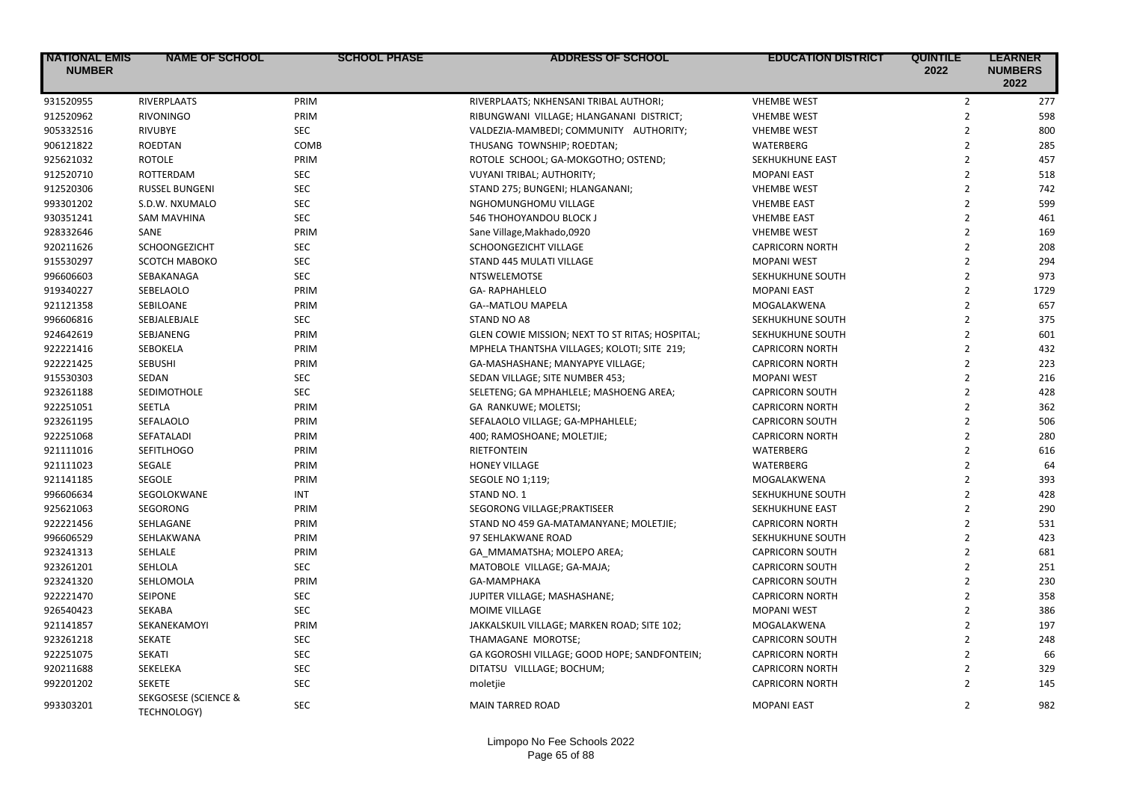| <b>NATIONAL EMIS</b><br><b>NUMBER</b> | <b>NAME OF SCHOOL</b>                                 | <b>SCHOOL PHASE</b>      | <b>ADDRESS OF SCHOOL</b>                        | <b>EDUCATION DISTRICT</b> | <b>QUINTILE</b><br>2022 | <b>LEARNER</b><br><b>NUMBERS</b><br>2022 |
|---------------------------------------|-------------------------------------------------------|--------------------------|-------------------------------------------------|---------------------------|-------------------------|------------------------------------------|
| 931520955                             | RIVERPLAATS                                           | PRIM                     | RIVERPLAATS; NKHENSANI TRIBAL AUTHORI;          | <b>VHEMBE WEST</b>        | $\overline{2}$          | 277                                      |
| 912520962                             | <b>RIVONINGO</b>                                      | PRIM                     | RIBUNGWANI VILLAGE; HLANGANANI DISTRICT;        | <b>VHEMBE WEST</b>        | $\overline{2}$          | 598                                      |
| 905332516                             | <b>RIVUBYE</b>                                        | <b>SEC</b>               | VALDEZIA-MAMBEDI; COMMUNITY AUTHORITY;          | <b>VHEMBE WEST</b>        | $\overline{2}$          | 800                                      |
| 906121822                             | <b>ROEDTAN</b>                                        | COMB                     | THUSANG TOWNSHIP; ROEDTAN;                      | <b>WATERBERG</b>          | $\overline{2}$          | 285                                      |
| 925621032                             | <b>ROTOLE</b>                                         | PRIM                     | ROTOLE SCHOOL; GA-MOKGOTHO; OSTEND;             | SEKHUKHUNE EAST           | $\overline{2}$          | 457                                      |
| 912520710                             | ROTTERDAM                                             | <b>SEC</b>               | <b>VUYANI TRIBAL; AUTHORITY;</b>                | <b>MOPANI EAST</b>        | $\overline{2}$          | 518                                      |
| 912520306                             | <b>RUSSEL BUNGENI</b>                                 | <b>SEC</b>               | STAND 275; BUNGENI; HLANGANANI;                 | <b>VHEMBE WEST</b>        | $\overline{2}$          | 742                                      |
| 993301202                             | S.D.W. NXUMALO                                        | <b>SEC</b>               | NGHOMUNGHOMU VILLAGE                            | <b>VHEMBE EAST</b>        | $\overline{2}$          | 599                                      |
| 930351241                             | <b>SAM MAVHINA</b>                                    | <b>SEC</b>               | 546 THOHOYANDOU BLOCK J                         | <b>VHEMBE EAST</b>        | $\overline{2}$          | 461                                      |
| 928332646                             | <b>SANE</b>                                           | PRIM                     | Sane Village, Makhado, 0920                     | <b>VHEMBE WEST</b>        | $\overline{2}$          | 169                                      |
| 920211626                             | SCHOONGEZICHT                                         | SEC                      | SCHOONGEZICHT VILLAGE                           | <b>CAPRICORN NORTH</b>    | $\overline{2}$          | 208                                      |
| 915530297                             | SCOTCH MABOKO                                         | <b>SEC</b>               | STAND 445 MULATI VILLAGE                        | <b>MOPANI WEST</b>        | $\overline{2}$          | 294                                      |
| 996606603                             | SEBAKANAGA                                            | <b>SEC</b>               | NTSWELEMOTSE                                    | SEKHUKHUNE SOUTH          | $\overline{2}$          | 973                                      |
| 919340227                             | SEBELAOLO                                             | PRIM                     | <b>GA- RAPHAHLELO</b>                           | <b>MOPANI EAST</b>        | $\overline{2}$          | 1729                                     |
| 921121358                             | SEBILOANE                                             | PRIM                     | <b>GA--MATLOU MAPELA</b>                        | MOGALAKWENA               | $\overline{2}$          | 657                                      |
| 996606816                             | SEBJALEBJALE                                          | SEC                      | STAND NO A8                                     | SEKHUKHUNE SOUTH          | $\overline{2}$          | 375                                      |
| 924642619                             | SEBJANENG                                             | PRIM                     | GLEN COWIE MISSION; NEXT TO ST RITAS; HOSPITAL; | SEKHUKHUNE SOUTH          | $\overline{2}$          | 601                                      |
| 922221416                             | SEBOKELA                                              | PRIM                     | MPHELA THANTSHA VILLAGES; KOLOTI; SITE 219;     | <b>CAPRICORN NORTH</b>    | $\overline{2}$          | 432                                      |
| 922221425                             | <b>SEBUSHI</b>                                        | PRIM                     | GA-MASHASHANE; MANYAPYE VILLAGE;                | <b>CAPRICORN NORTH</b>    | $\overline{2}$          | 223                                      |
| 915530303                             | SEDAN                                                 | <b>SEC</b>               | SEDAN VILLAGE; SITE NUMBER 453;                 | <b>MOPANI WEST</b>        | $\overline{2}$          | 216                                      |
| 923261188                             | <b>SEDIMOTHOLE</b>                                    | <b>SEC</b>               | SELETENG; GA MPHAHLELE; MASHOENG AREA;          | <b>CAPRICORN SOUTH</b>    | $\overline{2}$          | 428                                      |
| 922251051                             | SEETLA                                                | PRIM                     | GA RANKUWE; MOLETSI;                            | <b>CAPRICORN NORTH</b>    | $\overline{2}$          | 362                                      |
| 923261195                             | SEFALAOLO                                             | PRIM                     | SEFALAOLO VILLAGE; GA-MPHAHLELE;                | <b>CAPRICORN SOUTH</b>    | $\overline{2}$          | 506                                      |
| 922251068                             | SEFATALADI                                            | PRIM                     | 400; RAMOSHOANE; MOLETJIE;                      | <b>CAPRICORN NORTH</b>    | $\overline{2}$          | 280                                      |
| 921111016                             | <b>SEFITLHOGO</b>                                     | PRIM                     | <b>RIETFONTEIN</b>                              | <b>WATERBERG</b>          | $\overline{2}$          | 616                                      |
| 921111023                             | SEGALE                                                | PRIM                     | <b>HONEY VILLAGE</b>                            | <b>WATERBERG</b>          | $\overline{2}$          | 64                                       |
| 921141185                             | SEGOLE                                                | PRIM                     | <b>SEGOLE NO 1;119;</b>                         | MOGALAKWENA               | $\overline{2}$          | 393                                      |
| 996606634                             | SEGOLOKWANE                                           | <b>INT</b>               | STAND NO. 1                                     | SEKHUKHUNE SOUTH          | $\overline{2}$          | 428                                      |
| 925621063                             | SEGORONG                                              | PRIM                     | SEGORONG VILLAGE; PRAKTISEER                    | SEKHUKHUNE EAST           | $\overline{2}$          | 290                                      |
| 922221456                             | SEHLAGANE                                             | PRIM                     | STAND NO 459 GA-MATAMANYANE; MOLETJIE;          | <b>CAPRICORN NORTH</b>    | $\overline{2}$          | 531                                      |
| 996606529                             | SEHLAKWANA                                            | PRIM                     | 97 SEHLAKWANE ROAD                              | SEKHUKHUNE SOUTH          | $\overline{2}$          | 423                                      |
| 923241313                             | SEHLALE                                               | PRIM                     | GA MMAMATSHA; MOLEPO AREA;                      | <b>CAPRICORN SOUTH</b>    | $\overline{2}$          | 681                                      |
| 923261201                             | SEHLOLA                                               | <b>SEC</b>               | MATOBOLE VILLAGE; GA-MAJA;                      | CAPRICORN SOUTH           | $\overline{2}$          | 251                                      |
| 923241320                             | SEHLOMOLA                                             | PRIM                     | GA-MAMPHAKA                                     | <b>CAPRICORN SOUTH</b>    | $\overline{2}$          | 230                                      |
| 922221470                             | SEIPONE                                               | <b>SEC</b>               | JUPITER VILLAGE; MASHASHANE;                    | <b>CAPRICORN NORTH</b>    | $\overline{2}$          | 358                                      |
| 926540423                             | SEKABA                                                | <b>SEC</b>               | MOIME VILLAGE                                   | <b>MOPANI WEST</b>        | $\overline{2}$          | 386                                      |
| 921141857                             |                                                       | PRIM                     | JAKKALSKUIL VILLAGE; MARKEN ROAD; SITE 102;     |                           | $\overline{2}$          | 197                                      |
|                                       | SEKANEKAMOYI                                          |                          |                                                 | MOGALAKWENA               | $\overline{2}$          |                                          |
| 923261218                             | SEKATE                                                | <b>SEC</b><br><b>SEC</b> | THAMAGANE MOROTSE;                              | <b>CAPRICORN SOUTH</b>    | $\overline{2}$          | 248                                      |
| 922251075                             | <b>SEKATI</b>                                         |                          | GA KGOROSHI VILLAGE; GOOD HOPE; SANDFONTEIN;    | <b>CAPRICORN NORTH</b>    |                         | 66                                       |
| 920211688                             | SEKELEKA                                              | <b>SEC</b>               | DITATSU VILLLAGE; BOCHUM;                       | <b>CAPRICORN NORTH</b>    | $\overline{2}$          | 329                                      |
| 992201202                             | <b>SEKETE</b>                                         | <b>SEC</b>               | moletjie                                        | <b>CAPRICORN NORTH</b>    | $\overline{2}$          | 145                                      |
| 993303201                             | <b>SEKGOSESE (SCIENCE &amp;</b><br><b>TECHNOLOGY)</b> | <b>SEC</b>               | <b>MAIN TARRED ROAD</b>                         | <b>MOPANI EAST</b>        | $\overline{2}$          | 982                                      |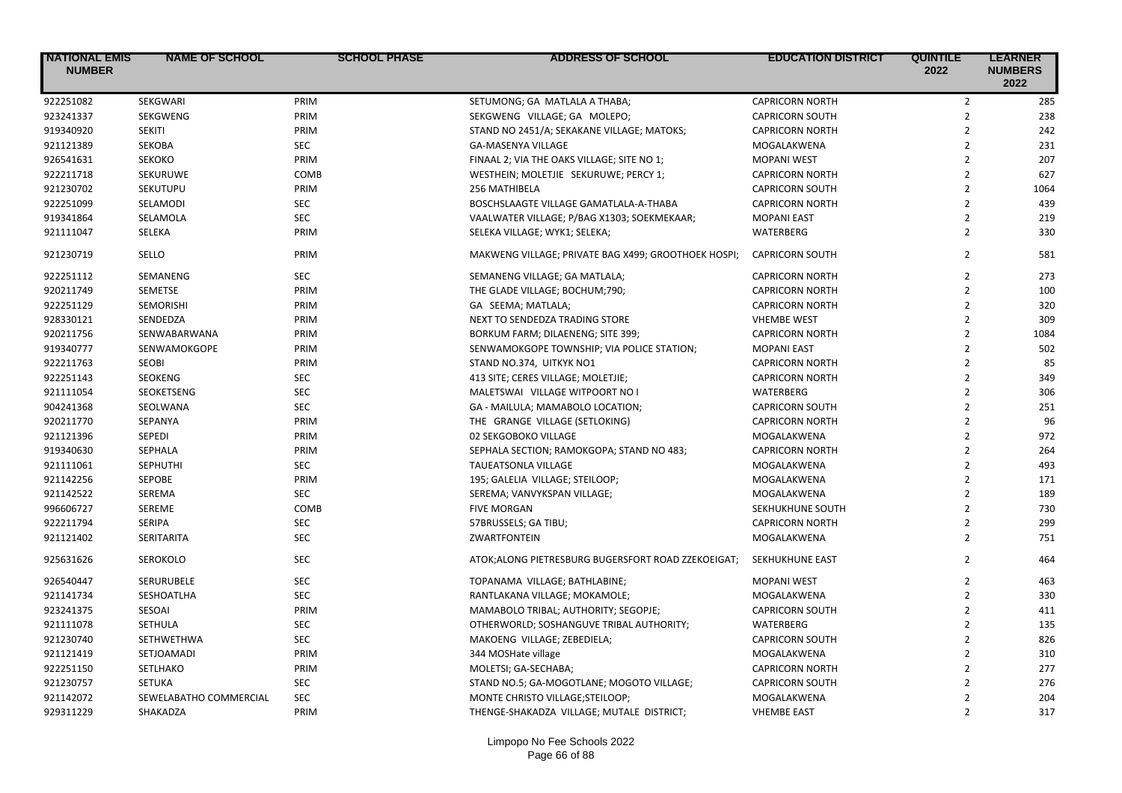| <b>NATIONAL EMIS</b><br><b>NUMBER</b> | <b>NAME OF SCHOOL</b>  | <b>SCHOOL PHASE</b> | <b>ADDRESS OF SCHOOL</b>                            | <b>EDUCATION DISTRICT</b> | <b>QUINTILE</b><br>2022 | <b>LEARNER</b><br><b>NUMBERS</b><br>2022 |
|---------------------------------------|------------------------|---------------------|-----------------------------------------------------|---------------------------|-------------------------|------------------------------------------|
| 922251082                             | SEKGWARI               | PRIM                | SETUMONG; GA MATLALA A THABA;                       | <b>CAPRICORN NORTH</b>    | $\overline{2}$          | 285                                      |
| 923241337                             | SEKGWENG               | PRIM                | SEKGWENG VILLAGE; GA MOLEPO;                        | <b>CAPRICORN SOUTH</b>    | $\overline{2}$          | 238                                      |
| 919340920                             | <b>SEKITI</b>          | PRIM                | STAND NO 2451/A; SEKAKANE VILLAGE; MATOKS;          | <b>CAPRICORN NORTH</b>    | $\overline{2}$          | 242                                      |
| 921121389                             | <b>SEKOBA</b>          | <b>SEC</b>          | <b>GA-MASENYA VILLAGE</b>                           | MOGALAKWENA               | $\overline{2}$          | 231                                      |
| 926541631                             | <b>SEKOKO</b>          | PRIM                | FINAAL 2; VIA THE OAKS VILLAGE; SITE NO 1;          | <b>MOPANI WEST</b>        | $\overline{2}$          | 207                                      |
| 922211718                             | SEKURUWE               | COMB                | WESTHEIN; MOLETJIE SEKURUWE; PERCY 1;               | <b>CAPRICORN NORTH</b>    | $\overline{2}$          | 627                                      |
| 921230702                             | SEKUTUPU               | PRIM                | 256 MATHIBELA                                       | <b>CAPRICORN SOUTH</b>    | $\overline{2}$          | 1064                                     |
| 922251099                             | SELAMODI               | SEC                 | BOSCHSLAAGTE VILLAGE GAMATLALA-A-THABA              | <b>CAPRICORN NORTH</b>    | $\overline{2}$          | 439                                      |
| 919341864                             | SELAMOLA               | <b>SEC</b>          | VAALWATER VILLAGE; P/BAG X1303; SOEKMEKAAR;         | <b>MOPANI EAST</b>        | $\overline{2}$          | 219                                      |
| 921111047                             | SELEKA                 | PRIM                | SELEKA VILLAGE; WYK1; SELEKA;                       | WATERBERG                 | $\overline{2}$          | 330                                      |
| 921230719                             | SELLO                  | PRIM                | MAKWENG VILLAGE; PRIVATE BAG X499; GROOTHOEK HOSPI; | <b>CAPRICORN SOUTH</b>    | $\overline{2}$          | 581                                      |
| 922251112                             | SEMANENG               | <b>SEC</b>          | SEMANENG VILLAGE; GA MATLALA;                       | <b>CAPRICORN NORTH</b>    | $\overline{2}$          | 273                                      |
| 920211749                             | <b>SEMETSE</b>         | PRIM                | THE GLADE VILLAGE; BOCHUM;790;                      | <b>CAPRICORN NORTH</b>    | $\overline{2}$          | 100                                      |
| 922251129                             | <b>SEMORISHI</b>       | PRIM                | GA SEEMA; MATLALA;                                  | <b>CAPRICORN NORTH</b>    | $\overline{2}$          | 320                                      |
| 928330121                             | SENDEDZA               | PRIM                | NEXT TO SENDEDZA TRADING STORE                      | <b>VHEMBE WEST</b>        | $\overline{2}$          | 309                                      |
| 920211756                             | SENWABARWANA           | PRIM                | BORKUM FARM; DILAENENG; SITE 399;                   | <b>CAPRICORN NORTH</b>    | $\overline{2}$          | 1084                                     |
| 919340777                             | SENWAMOKGOPE           | PRIM                | SENWAMOKGOPE TOWNSHIP; VIA POLICE STATION;          | <b>MOPANI EAST</b>        | $\overline{2}$          | 502                                      |
| 922211763                             | <b>SEOBI</b>           | PRIM                | STAND NO.374, UITKYK NO1                            | <b>CAPRICORN NORTH</b>    | $\overline{2}$          | 85                                       |
| 922251143                             | <b>SEOKENG</b>         | <b>SEC</b>          | 413 SITE; CERES VILLAGE; MOLETJIE;                  | <b>CAPRICORN NORTH</b>    | $\overline{2}$          | 349                                      |
| 921111054                             | <b>SEOKETSENG</b>      | <b>SEC</b>          | MALETSWAI VILLAGE WITPOORT NO                       | WATERBERG                 | $\overline{2}$          | 306                                      |
| 904241368                             | SEOLWANA               | <b>SEC</b>          | GA - MAILULA; MAMABOLO LOCATION;                    | <b>CAPRICORN SOUTH</b>    | $\overline{2}$          | 251                                      |
| 920211770                             | SEPANYA                | PRIM                | THE GRANGE VILLAGE (SETLOKING)                      | <b>CAPRICORN NORTH</b>    | $\overline{2}$          | 96                                       |
| 921121396                             | SEPEDI                 | PRIM                | 02 SEKGOBOKO VILLAGE                                | MOGALAKWENA               | $\overline{2}$          | 972                                      |
| 919340630                             | <b>SEPHALA</b>         | PRIM                | SEPHALA SECTION; RAMOKGOPA; STAND NO 483;           | <b>CAPRICORN NORTH</b>    | $\overline{2}$          | 264                                      |
| 921111061                             | <b>SEPHUTHI</b>        | <b>SEC</b>          | TAUEATSONLA VILLAGE                                 | MOGALAKWENA               | $\overline{2}$          | 493                                      |
| 921142256                             | <b>SEPOBE</b>          | PRIM                | 195; GALELIA VILLAGE; STEILOOP;                     | MOGALAKWENA               | $\overline{2}$          | 171                                      |
| 921142522                             | SEREMA                 | <b>SEC</b>          | SEREMA; VANVYKSPAN VILLAGE;                         | MOGALAKWENA               | $\overline{2}$          | 189                                      |
| 996606727                             | SEREME                 | COMB                | <b>FIVE MORGAN</b>                                  | SEKHUKHUNE SOUTH          | $\overline{2}$          | 730                                      |
| 922211794                             | <b>SERIPA</b>          | <b>SEC</b>          | 57BRUSSELS; GA TIBU;                                | <b>CAPRICORN NORTH</b>    | $\overline{2}$          | 299                                      |
| 921121402                             | <b>SERITARITA</b>      | <b>SEC</b>          | <b>ZWARTFONTEIN</b>                                 | MOGALAKWENA               | $\overline{2}$          | 751                                      |
| 925631626                             | SEROKOLO               | <b>SEC</b>          | ATOK; ALONG PIETRESBURG BUGERSFORT ROAD ZZEKOEIGAT; | SEKHUKHUNE EAST           | $\overline{2}$          | 464                                      |
| 926540447                             | SERURUBELE             | <b>SEC</b>          | TOPANAMA VILLAGE; BATHLABINE;                       | <b>MOPANI WEST</b>        | $\overline{2}$          | 463                                      |
| 921141734                             | SESHOATLHA             | <b>SEC</b>          | RANTLAKANA VILLAGE; MOKAMOLE;                       | MOGALAKWENA               | $\overline{2}$          | 330                                      |
| 923241375                             | SESOAI                 | PRIM                | MAMABOLO TRIBAL; AUTHORITY; SEGOPJE;                | <b>CAPRICORN SOUTH</b>    | $\overline{2}$          | 411                                      |
| 921111078                             | <b>SETHULA</b>         | <b>SEC</b>          | OTHERWORLD; SOSHANGUVE TRIBAL AUTHORITY;            | <b>WATERBERG</b>          | $\overline{2}$          | 135                                      |
| 921230740                             | SETHWETHWA             | <b>SEC</b>          | MAKOENG VILLAGE; ZEBEDIELA;                         | <b>CAPRICORN SOUTH</b>    | $\overline{2}$          | 826                                      |
| 921121419                             | SETJOAMADI             | PRIM                | 344 MOSHate village                                 | MOGALAKWENA               | $\overline{2}$          | 310                                      |
| 922251150                             | SETLHAKO               | PRIM                | MOLETSI; GA-SECHABA;                                | <b>CAPRICORN NORTH</b>    | $\overline{2}$          | 277                                      |
| 921230757                             | <b>SETUKA</b>          | <b>SEC</b>          | STAND NO.5; GA-MOGOTLANE; MOGOTO VILLAGE;           | <b>CAPRICORN SOUTH</b>    | $\overline{2}$          | 276                                      |
| 921142072                             | SEWELABATHO COMMERCIAL | <b>SEC</b>          | MONTE CHRISTO VILLAGE; STEILOOP;                    | MOGALAKWENA               | $\overline{2}$          | 204                                      |
| 929311229                             | SHAKADZA               | PRIM                | THENGE-SHAKADZA VILLAGE; MUTALE DISTRICT;           | <b>VHEMBE EAST</b>        | $\overline{2}$          | 317                                      |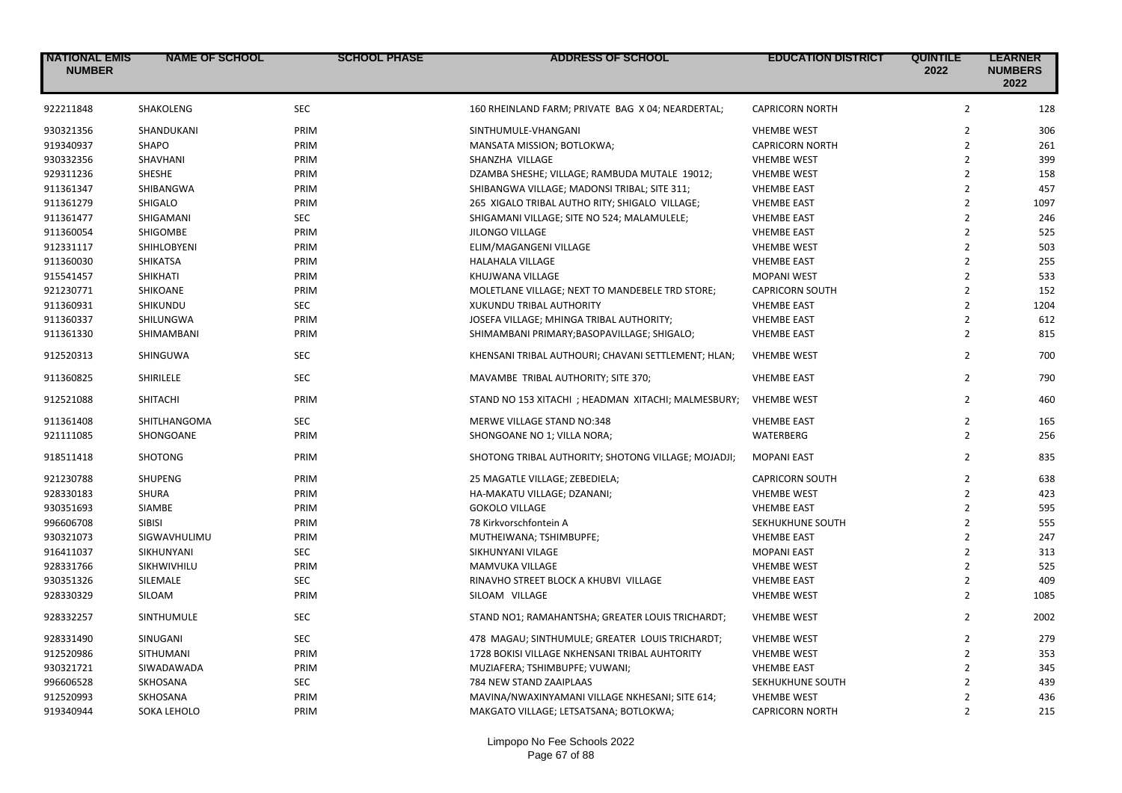| <b>NATIONAL EMIS</b><br><b>NUMBER</b> | <b>NAME OF SCHOOL</b> | <b>SCHOOL PHASE</b> | ADDRESS OF SCHOOL                                   | <b>EDUCATION DISTRICT</b> | <b>QUINTILE</b><br>2022 | <b>LEARNER</b><br><b>NUMBERS</b><br>2022 |
|---------------------------------------|-----------------------|---------------------|-----------------------------------------------------|---------------------------|-------------------------|------------------------------------------|
| 922211848                             | <b>SHAKOLENG</b>      | <b>SEC</b>          | 160 RHEINLAND FARM; PRIVATE BAG X 04; NEARDERTAL;   | <b>CAPRICORN NORTH</b>    | $\overline{2}$          | 128                                      |
| 930321356                             | SHANDUKANI            | PRIM                | SINTHUMULE-VHANGANI                                 | <b>VHEMBE WEST</b>        | $\overline{2}$          | 306                                      |
| 919340937                             | SHAPO                 | PRIM                | MANSATA MISSION; BOTLOKWA;                          | <b>CAPRICORN NORTH</b>    | $\overline{2}$          | 261                                      |
| 930332356                             | SHAVHANI              | PRIM                | SHANZHA VILLAGE                                     | <b>VHEMBE WEST</b>        | $\overline{2}$          | 399                                      |
| 929311236                             | SHESHE                | PRIM                | DZAMBA SHESHE; VILLAGE; RAMBUDA MUTALE 19012;       | <b>VHEMBE WEST</b>        | $\overline{2}$          | 158                                      |
| 911361347                             | SHIBANGWA             | PRIM                | SHIBANGWA VILLAGE; MADONSI TRIBAL; SITE 311;        | <b>VHEMBE EAST</b>        | $\overline{2}$          | 457                                      |
| 911361279                             | SHIGALO               | PRIM                | 265 XIGALO TRIBAL AUTHO RITY; SHIGALO VILLAGE;      | <b>VHEMBE EAST</b>        | $\overline{2}$          | 1097                                     |
| 911361477                             | SHIGAMANI             | <b>SEC</b>          | SHIGAMANI VILLAGE; SITE NO 524; MALAMULELE;         | <b>VHEMBE EAST</b>        | $\overline{2}$          | 246                                      |
| 911360054                             | SHIGOMBE              | PRIM                | <b>JILONGO VILLAGE</b>                              | <b>VHEMBE EAST</b>        | $\overline{2}$          | 525                                      |
| 912331117                             | SHIHLOBYENI           | PRIM                | ELIM/MAGANGENI VILLAGE                              | <b>VHEMBE WEST</b>        | $\overline{2}$          | 503                                      |
| 911360030                             | <b>SHIKATSA</b>       | PRIM                | HALAHALA VILLAGE                                    | <b>VHEMBE EAST</b>        | $\overline{2}$          | 255                                      |
| 915541457                             | SHIKHATI              | PRIM                | KHUJWANA VILLAGE                                    | <b>MOPANI WEST</b>        | $\overline{2}$          | 533                                      |
| 921230771                             | SHIKOANE              | PRIM                | MOLETLANE VILLAGE; NEXT TO MANDEBELE TRD STORE;     | <b>CAPRICORN SOUTH</b>    | $\overline{2}$          | 152                                      |
| 911360931                             | SHIKUNDU              | <b>SEC</b>          | XUKUNDU TRIBAL AUTHORITY                            | <b>VHEMBE EAST</b>        | $\overline{2}$          | 1204                                     |
| 911360337                             | SHILUNGWA             | PRIM                | JOSEFA VILLAGE; MHINGA TRIBAL AUTHORITY;            | <b>VHEMBE EAST</b>        | $\overline{2}$          | 612                                      |
| 911361330                             | SHIMAMBANI            | PRIM                | SHIMAMBANI PRIMARY; BASOPAVILLAGE; SHIGALO;         | <b>VHEMBE EAST</b>        | $\overline{2}$          | 815                                      |
| 912520313                             | SHINGUWA              | <b>SEC</b>          | KHENSANI TRIBAL AUTHOURI; CHAVANI SETTLEMENT; HLAN; | <b>VHEMBE WEST</b>        | $\overline{2}$          | 700                                      |
| 911360825                             | SHIRILELE             | <b>SEC</b>          | MAVAMBE TRIBAL AUTHORITY; SITE 370;                 | <b>VHEMBE EAST</b>        | $\overline{2}$          | 790                                      |
| 912521088                             | <b>SHITACHI</b>       | PRIM                | STAND NO 153 XITACHI; HEADMAN XITACHI; MALMESBURY;  | <b>VHEMBE WEST</b>        | $\overline{2}$          | 460                                      |
| 911361408                             | SHITLHANGOMA          | <b>SEC</b>          | MERWE VILLAGE STAND NO:348                          | <b>VHEMBE EAST</b>        | $\overline{2}$          | 165                                      |
| 921111085                             | SHONGOANE             | PRIM                | SHONGOANE NO 1; VILLA NORA;                         | WATERBERG                 | $\overline{2}$          | 256                                      |
| 918511418                             | <b>SHOTONG</b>        | PRIM                | SHOTONG TRIBAL AUTHORITY; SHOTONG VILLAGE; MOJADJI; | <b>MOPANI EAST</b>        | $\overline{2}$          | 835                                      |
| 921230788                             | <b>SHUPENG</b>        | PRIM                | 25 MAGATLE VILLAGE; ZEBEDIELA;                      | <b>CAPRICORN SOUTH</b>    | $\overline{2}$          | 638                                      |
| 928330183                             | <b>SHURA</b>          | PRIM                | HA-MAKATU VILLAGE; DZANANI;                         | <b>VHEMBE WEST</b>        | $\overline{2}$          | 423                                      |
| 930351693                             | SIAMBE                | PRIM                | <b>GOKOLO VILLAGE</b>                               | <b>VHEMBE EAST</b>        | $\overline{2}$          | 595                                      |
| 996606708                             | <b>SIBISI</b>         | PRIM                | 78 Kirkvorschfontein A                              | SEKHUKHUNE SOUTH          | $\overline{2}$          | 555                                      |
| 930321073                             | SIGWAVHULIMU          | PRIM                | MUTHEIWANA; TSHIMBUPFE;                             | <b>VHEMBE EAST</b>        | $\overline{2}$          | 247                                      |
| 916411037                             | SIKHUNYANI            | <b>SEC</b>          | SIKHUNYANI VILAGE                                   | <b>MOPANI EAST</b>        | $\overline{2}$          | 313                                      |
| 928331766                             | SIKHWIVHILU           | PRIM                | MAMVUKA VILLAGE                                     | <b>VHEMBE WEST</b>        | $\overline{2}$          | 525                                      |
| 930351326                             | SILEMALE              | <b>SEC</b>          | RINAVHO STREET BLOCK A KHUBVI VILLAGE               | <b>VHEMBE EAST</b>        | $\overline{2}$          | 409                                      |
| 928330329                             | SILOAM                | PRIM                | SILOAM VILLAGE                                      | <b>VHEMBE WEST</b>        | $\overline{2}$          | 1085                                     |
| 928332257                             | <b>SINTHUMULE</b>     | <b>SEC</b>          | STAND NO1; RAMAHANTSHA; GREATER LOUIS TRICHARDT;    | <b>VHEMBE WEST</b>        | $\overline{2}$          | 2002                                     |
| 928331490                             | SINUGANI              | <b>SEC</b>          | 478 MAGAU; SINTHUMULE; GREATER LOUIS TRICHARDT;     | <b>VHEMBE WEST</b>        | $\overline{2}$          | 279                                      |
| 912520986                             | <b>SITHUMANI</b>      | PRIM                | 1728 BOKISI VILLAGE NKHENSANI TRIBAL AUHTORITY      | <b>VHEMBE WEST</b>        | $\overline{2}$          | 353                                      |
| 930321721                             | SIWADAWADA            | PRIM                | MUZIAFERA; TSHIMBUPFE; VUWANI;                      | <b>VHEMBE EAST</b>        | $\overline{2}$          | 345                                      |
| 996606528                             | SKHOSANA              | SEC                 | 784 NEW STAND ZAAIPLAAS                             | SEKHUKHUNE SOUTH          | $\overline{2}$          | 439                                      |
| 912520993                             | SKHOSANA              | PRIM                | MAVINA/NWAXINYAMANI VILLAGE NKHESANI; SITE 614;     | <b>VHEMBE WEST</b>        | $\overline{2}$          | 436                                      |
| 919340944                             | SOKA LEHOLO           | PRIM                | MAKGATO VILLAGE; LETSATSANA; BOTLOKWA;              | <b>CAPRICORN NORTH</b>    | $\overline{2}$          | 215                                      |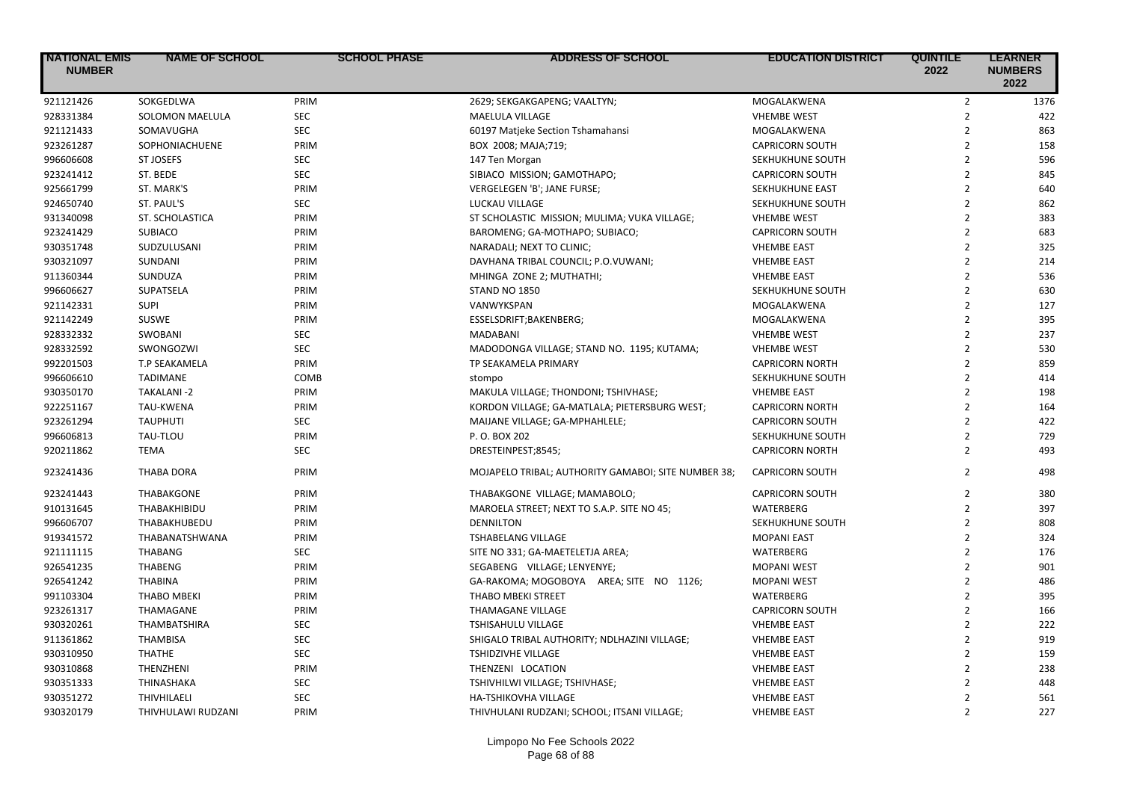| <b>INATIONAL EMIS</b><br><b>NUMBER</b> | <b>NAME OF SCHOOL</b>  | <b>SCHOOL PHASE</b> | <b>ADDRESS OF SCHOOL</b>                            | <b>EDUCATION DISTRICT</b> | <b>QUINTILE</b><br>2022 | <b>LEARNER</b><br><b>NUMBERS</b><br>2022 |
|----------------------------------------|------------------------|---------------------|-----------------------------------------------------|---------------------------|-------------------------|------------------------------------------|
| 921121426                              | SOKGEDLWA              | PRIM                | 2629; SEKGAKGAPENG; VAALTYN;                        | MOGALAKWENA               | $\overline{2}$          | 1376                                     |
| 928331384                              | <b>SOLOMON MAELULA</b> | <b>SEC</b>          | MAELULA VILLAGE                                     | <b>VHEMBE WEST</b>        | $\overline{2}$          | 422                                      |
| 921121433                              | SOMAVUGHA              | <b>SEC</b>          | 60197 Matjeke Section Tshamahansi                   | MOGALAKWENA               | $\overline{2}$          | 863                                      |
| 923261287                              | SOPHONIACHUENE         | PRIM                | BOX 2008; MAJA;719;                                 | <b>CAPRICORN SOUTH</b>    | $\overline{2}$          | 158                                      |
| 996606608                              | <b>ST JOSEFS</b>       | <b>SEC</b>          | 147 Ten Morgan                                      | SEKHUKHUNE SOUTH          | $\overline{2}$          | 596                                      |
| 923241412                              | ST. BEDE               | <b>SEC</b>          | SIBIACO MISSION; GAMOTHAPO;                         | <b>CAPRICORN SOUTH</b>    | $\overline{2}$          | 845                                      |
| 925661799                              | ST. MARK'S             | PRIM                | VERGELEGEN 'B'; JANE FURSE;                         | <b>SEKHUKHUNE EAST</b>    | $\overline{2}$          | 640                                      |
| 924650740                              | ST. PAUL'S             | SEC                 | LUCKAU VILLAGE                                      | SEKHUKHUNE SOUTH          | $\overline{2}$          | 862                                      |
| 931340098                              | ST. SCHOLASTICA        | PRIM                | ST SCHOLASTIC MISSION; MULIMA; VUKA VILLAGE;        | <b>VHEMBE WEST</b>        | $\overline{2}$          | 383                                      |
| 923241429                              | <b>SUBIACO</b>         | PRIM                | BAROMENG; GA-MOTHAPO; SUBIACO;                      | <b>CAPRICORN SOUTH</b>    | $\overline{2}$          | 683                                      |
| 930351748                              | SUDZULUSANI            | PRIM                | NARADALI; NEXT TO CLINIC;                           | <b>VHEMBE EAST</b>        | $\overline{2}$          | 325                                      |
| 930321097                              | SUNDANI                | PRIM                | DAVHANA TRIBAL COUNCIL; P.O.VUWANI;                 | <b>VHEMBE EAST</b>        | $\overline{2}$          | 214                                      |
| 911360344                              | SUNDUZA                | PRIM                | MHINGA ZONE 2; MUTHATHI;                            | <b>VHEMBE EAST</b>        | $\overline{2}$          | 536                                      |
| 996606627                              | SUPATSELA              | PRIM                | <b>STAND NO 1850</b>                                | SEKHUKHUNE SOUTH          | $\overline{2}$          | 630                                      |
| 921142331                              | <b>SUPI</b>            | PRIM                | VANWYKSPAN                                          | MOGALAKWENA               | $\overline{2}$          | 127                                      |
| 921142249                              | SUSWE                  | PRIM                | ESSELSDRIFT;BAKENBERG;                              | MOGALAKWENA               | $\overline{2}$          | 395                                      |
| 928332332                              | <b>SWOBANI</b>         | <b>SEC</b>          | MADABANI                                            | <b>VHEMBE WEST</b>        | $\overline{2}$          | 237                                      |
| 928332592                              | <b>SWONGOZWI</b>       | <b>SEC</b>          | MADODONGA VILLAGE; STAND NO. 1195; KUTAMA;          | <b>VHEMBE WEST</b>        | $\overline{2}$          | 530                                      |
| 992201503                              | T.P SEAKAMELA          | PRIM                | TP SEAKAMELA PRIMARY                                | <b>CAPRICORN NORTH</b>    | $\overline{2}$          | 859                                      |
| 996606610                              | <b>TADIMANE</b>        | COMB                | stompo                                              | SEKHUKHUNE SOUTH          | $\overline{2}$          | 414                                      |
| 930350170                              | TAKALANI-2             | PRIM                | MAKULA VILLAGE; THONDONI; TSHIVHASE;                | <b>VHEMBE EAST</b>        | $\overline{2}$          | 198                                      |
| 922251167                              | <b>TAU-KWENA</b>       | PRIM                | KORDON VILLAGE; GA-MATLALA; PIETERSBURG WEST;       | <b>CAPRICORN NORTH</b>    | $\overline{2}$          | 164                                      |
| 923261294                              | <b>TAUPHUTI</b>        | <b>SEC</b>          | MAIJANE VILLAGE; GA-MPHAHLELE;                      | <b>CAPRICORN SOUTH</b>    | $\overline{2}$          | 422                                      |
| 996606813                              | TAU-TLOU               | PRIM                | P.O. BOX 202                                        | SEKHUKHUNE SOUTH          | $\overline{2}$          | 729                                      |
| 920211862                              | <b>TEMA</b>            | <b>SEC</b>          | DRESTEINPEST;8545;                                  | <b>CAPRICORN NORTH</b>    | $\overline{2}$          | 493                                      |
| 923241436                              | <b>THABA DORA</b>      | PRIM                | MOJAPELO TRIBAL; AUTHORITY GAMABOI; SITE NUMBER 38; | <b>CAPRICORN SOUTH</b>    | $\overline{2}$          | 498                                      |
| 923241443                              | <b>THABAKGONE</b>      | PRIM                | THABAKGONE VILLAGE; MAMABOLO;                       | <b>CAPRICORN SOUTH</b>    | $\overline{2}$          | 380                                      |
| 910131645                              | THABAKHIBIDU           | PRIM                | MAROELA STREET; NEXT TO S.A.P. SITE NO 45;          | WATERBERG                 | $\overline{2}$          | 397                                      |
| 996606707                              | THABAKHUBEDU           | PRIM                | <b>DENNILTON</b>                                    | SEKHUKHUNE SOUTH          | $\overline{2}$          | 808                                      |
| 919341572                              | THABANATSHWANA         | PRIM                | <b>TSHABELANG VILLAGE</b>                           | <b>MOPANI EAST</b>        | $\overline{2}$          | 324                                      |
| 921111115                              | <b>THABANG</b>         | <b>SEC</b>          | SITE NO 331; GA-MAETELETJA AREA;                    | WATERBERG                 | $\overline{2}$          | 176                                      |
| 926541235                              | <b>THABENG</b>         | PRIM                | SEGABENG VILLAGE; LENYENYE;                         | <b>MOPANI WEST</b>        | $\overline{2}$          | 901                                      |
| 926541242                              | <b>THABINA</b>         | PRIM                | GA-RAKOMA; MOGOBOYA AREA; SITE NO 1126;             | <b>MOPANI WEST</b>        | $\overline{2}$          | 486                                      |
| 991103304                              | <b>THABO MBEKI</b>     | PRIM                | <b>THABO MBEKI STREET</b>                           | WATERBERG                 | $\overline{2}$          | 395                                      |
| 923261317                              | THAMAGANE              | PRIM                | <b>THAMAGANE VILLAGE</b>                            | <b>CAPRICORN SOUTH</b>    | $\overline{2}$          | 166                                      |
| 930320261                              | <b>THAMBATSHIRA</b>    | <b>SEC</b>          | <b>TSHISAHULU VILLAGE</b>                           | <b>VHEMBE EAST</b>        | $\overline{2}$          | 222                                      |
| 911361862                              | <b>THAMBISA</b>        | <b>SEC</b>          | SHIGALO TRIBAL AUTHORITY; NDLHAZINI VILLAGE;        | <b>VHEMBE EAST</b>        | $\overline{2}$          | 919                                      |
| 930310950                              | <b>THATHE</b>          | <b>SEC</b>          | TSHIDZIVHE VILLAGE                                  | <b>VHEMBE EAST</b>        | $\overline{2}$          | 159                                      |
| 930310868                              | THENZHENI              | PRIM                | THENZENI LOCATION                                   | <b>VHEMBE EAST</b>        | $\overline{2}$          | 238                                      |
| 930351333                              | THINASHAKA             | <b>SEC</b>          | TSHIVHILWI VILLAGE; TSHIVHASE;                      | <b>VHEMBE EAST</b>        | $\overline{2}$          | 448                                      |
| 930351272                              | THIVHILAELI            | <b>SEC</b>          | HA-TSHIKOVHA VILLAGE                                | <b>VHEMBE EAST</b>        | $\overline{2}$          | 561                                      |
| 930320179                              | THIVHULAWI RUDZANI     | PRIM                | THIVHULANI RUDZANI; SCHOOL; ITSANI VILLAGE;         | <b>VHEMBE EAST</b>        | $\overline{2}$          | 227                                      |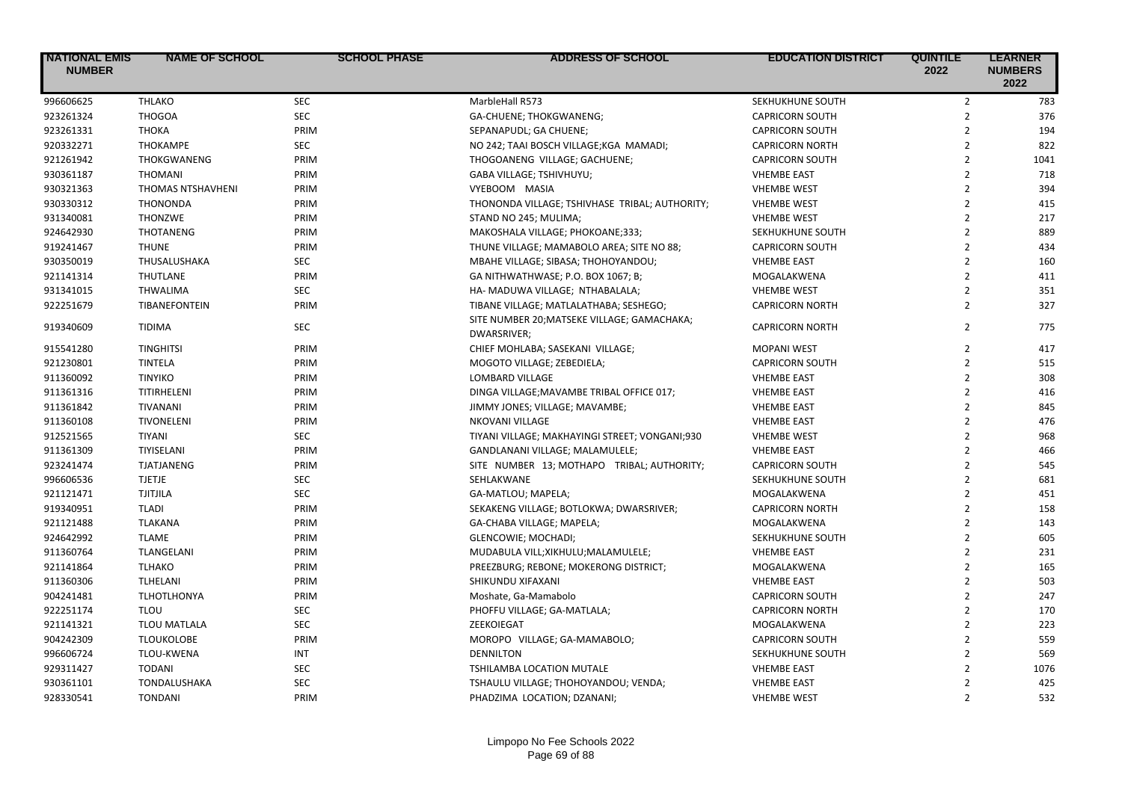| <b>NATIONAL EMIS</b><br><b>NUMBER</b> | <b>NAME OF SCHOOL</b> | <b>SCHOOL PHASE</b> | <b>ADDRESS OF SCHOOL</b>                                   | <b>EDUCATION DISTRICT</b> | <b>QUINTILE</b><br>2022 | <b>LEARNER</b><br><b>NUMBERS</b><br>2022 |
|---------------------------------------|-----------------------|---------------------|------------------------------------------------------------|---------------------------|-------------------------|------------------------------------------|
| 996606625                             | <b>THLAKO</b>         | <b>SEC</b>          | MarbleHall R573                                            | SEKHUKHUNE SOUTH          | $\overline{2}$          | 783                                      |
| 923261324                             | <b>THOGOA</b>         | <b>SEC</b>          | GA-CHUENE; THOKGWANENG;                                    | <b>CAPRICORN SOUTH</b>    | $\overline{2}$          | 376                                      |
| 923261331                             | <b>THOKA</b>          | PRIM                | SEPANAPUDL; GA CHUENE;                                     | <b>CAPRICORN SOUTH</b>    | $\overline{2}$          | 194                                      |
| 920332271                             | THOKAMPE              | <b>SEC</b>          | NO 242; TAAI BOSCH VILLAGE; KGA MAMADI;                    | <b>CAPRICORN NORTH</b>    | $\overline{2}$          | 822                                      |
| 921261942                             | THOKGWANENG           | PRIM                | THOGOANENG VILLAGE; GACHUENE;                              | <b>CAPRICORN SOUTH</b>    | $\overline{2}$          | 1041                                     |
| 930361187                             | <b>THOMANI</b>        | PRIM                | GABA VILLAGE; TSHIVHUYU;                                   | <b>VHEMBE EAST</b>        | $\overline{2}$          | 718                                      |
| 930321363                             | THOMAS NTSHAVHENI     | PRIM                | VYEBOOM MASIA                                              | <b>VHEMBE WEST</b>        | $\overline{2}$          | 394                                      |
| 930330312                             | <b>THONONDA</b>       | PRIM                | THONONDA VILLAGE; TSHIVHASE TRIBAL; AUTHORITY;             | <b>VHEMBE WEST</b>        | $\overline{2}$          | 415                                      |
| 931340081                             | <b>THONZWE</b>        | PRIM                | STAND NO 245; MULIMA;                                      | <b>VHEMBE WEST</b>        | $\overline{2}$          | 217                                      |
| 924642930                             | <b>THOTANENG</b>      | PRIM                | MAKOSHALA VILLAGE; PHOKOANE;333;                           | SEKHUKHUNE SOUTH          | $\overline{2}$          | 889                                      |
| 919241467                             | <b>THUNE</b>          | PRIM                | THUNE VILLAGE; MAMABOLO AREA; SITE NO 88;                  | <b>CAPRICORN SOUTH</b>    | $\overline{2}$          | 434                                      |
| 930350019                             | THUSALUSHAKA          | <b>SEC</b>          | MBAHE VILLAGE; SIBASA; THOHOYANDOU;                        | <b>VHEMBE EAST</b>        | $\overline{2}$          | 160                                      |
| 921141314                             | <b>THUTLANE</b>       | PRIM                | GA NITHWATHWASE; P.O. BOX 1067; B;                         | MOGALAKWENA               | $\mathbf 2$             | 411                                      |
| 931341015                             | <b>THWALIMA</b>       | <b>SEC</b>          | HA- MADUWA VILLAGE; NTHABALALA;                            | <b>VHEMBE WEST</b>        | $\overline{2}$          | 351                                      |
| 922251679                             | TIBANEFONTEIN         | PRIM                | TIBANE VILLAGE; MATLALATHABA; SESHEGO;                     | <b>CAPRICORN NORTH</b>    | $\overline{2}$          | 327                                      |
| 919340609                             | <b>TIDIMA</b>         | <b>SEC</b>          | SITE NUMBER 20; MATSEKE VILLAGE; GAMACHAKA;<br>DWARSRIVER; | <b>CAPRICORN NORTH</b>    | $\overline{2}$          | 775                                      |
| 915541280                             | <b>TINGHITSI</b>      | PRIM                | CHIEF MOHLABA; SASEKANI VILLAGE;                           | <b>MOPANI WEST</b>        | $\overline{2}$          | 417                                      |
| 921230801                             | <b>TINTELA</b>        | PRIM                | MOGOTO VILLAGE; ZEBEDIELA;                                 | <b>CAPRICORN SOUTH</b>    | $\overline{2}$          | 515                                      |
| 911360092                             | <b>TINYIKO</b>        | PRIM                | LOMBARD VILLAGE                                            | <b>VHEMBE EAST</b>        | $\overline{2}$          | 308                                      |
| 911361316                             | TITIRHELENI           | PRIM                | DINGA VILLAGE; MAVAMBE TRIBAL OFFICE 017;                  | <b>VHEMBE EAST</b>        | $\overline{2}$          | 416                                      |
| 911361842                             | <b>TIVANANI</b>       | PRIM                | JIMMY JONES; VILLAGE; MAVAMBE;                             | <b>VHEMBE EAST</b>        | $\overline{2}$          | 845                                      |
| 911360108                             | TIVONELENI            | PRIM                | NKOVANI VILLAGE                                            | <b>VHEMBE EAST</b>        | $\overline{2}$          | 476                                      |
| 912521565                             | <b>TIYANI</b>         | <b>SEC</b>          | TIYANI VILLAGE; MAKHAYINGI STREET; VONGANI;930             | <b>VHEMBE WEST</b>        | $\overline{2}$          | 968                                      |
| 911361309                             | <b>TIYISELANI</b>     | PRIM                | GANDLANANI VILLAGE; MALAMULELE;                            | <b>VHEMBE EAST</b>        | $\overline{2}$          | 466                                      |
| 923241474                             | <b>TJATJANENG</b>     | PRIM                | SITE NUMBER 13; MOTHAPO TRIBAL; AUTHORITY;                 | <b>CAPRICORN SOUTH</b>    | $\overline{2}$          | 545                                      |
| 996606536                             | <b>TJETJE</b>         | <b>SEC</b>          | SEHLAKWANE                                                 | SEKHUKHUNE SOUTH          | $\overline{2}$          | 681                                      |
| 921121471                             | <b>TJITJILA</b>       | <b>SEC</b>          | GA-MATLOU; MAPELA;                                         | MOGALAKWENA               | $\overline{2}$          | 451                                      |
| 919340951                             | <b>TLADI</b>          | PRIM                | SEKAKENG VILLAGE; BOTLOKWA; DWARSRIVER;                    | <b>CAPRICORN NORTH</b>    | $\overline{2}$          | 158                                      |
| 921121488                             | <b>TLAKANA</b>        | PRIM                | GA-CHABA VILLAGE; MAPELA;                                  | MOGALAKWENA               | $\overline{2}$          | 143                                      |
| 924642992                             | <b>TLAME</b>          | PRIM                | GLENCOWIE; MOCHADI;                                        | SEKHUKHUNE SOUTH          | $\overline{2}$          | 605                                      |
| 911360764                             | TLANGELANI            | PRIM                | MUDABULA VILL; XIKHULU; MALAMULELE;                        | <b>VHEMBE EAST</b>        | $\overline{2}$          | 231                                      |
| 921141864                             | <b>TLHAKO</b>         | PRIM                | PREEZBURG; REBONE; MOKERONG DISTRICT;                      | MOGALAKWENA               | $\overline{2}$          | 165                                      |
| 911360306                             | TLHELANI              | PRIM                | SHIKUNDU XIFAXANI                                          | <b>VHEMBE EAST</b>        | $\overline{2}$          | 503                                      |
| 904241481                             | <b>TLHOTLHONYA</b>    | PRIM                | Moshate, Ga-Mamabolo                                       | <b>CAPRICORN SOUTH</b>    | $\overline{2}$          | 247                                      |
| 922251174                             | <b>TLOU</b>           | <b>SEC</b>          | PHOFFU VILLAGE; GA-MATLALA;                                | <b>CAPRICORN NORTH</b>    | $\overline{2}$          | 170                                      |
| 921141321                             | <b>TLOU MATLALA</b>   | <b>SEC</b>          | ZEEKOIEGAT                                                 | MOGALAKWENA               | $\overline{2}$          | 223                                      |
| 904242309                             | <b>TLOUKOLOBE</b>     | PRIM                | MOROPO VILLAGE; GA-MAMABOLO;                               | <b>CAPRICORN SOUTH</b>    | $\overline{2}$          | 559                                      |
| 996606724                             | TLOU-KWENA            | INT                 | <b>DENNILTON</b>                                           | SEKHUKHUNE SOUTH          | $\overline{2}$          | 569                                      |
| 929311427                             | <b>TODANI</b>         | <b>SEC</b>          | TSHILAMBA LOCATION MUTALE                                  | <b>VHEMBE EAST</b>        | $\overline{2}$          | 1076                                     |
| 930361101                             | TONDALUSHAKA          | <b>SEC</b>          | TSHAULU VILLAGE; THOHOYANDOU; VENDA;                       | <b>VHEMBE EAST</b>        | $\overline{2}$          | 425                                      |
| 928330541                             | <b>TONDANI</b>        | PRIM                | PHADZIMA LOCATION; DZANANI;                                | <b>VHEMBE WEST</b>        | $\overline{2}$          | 532                                      |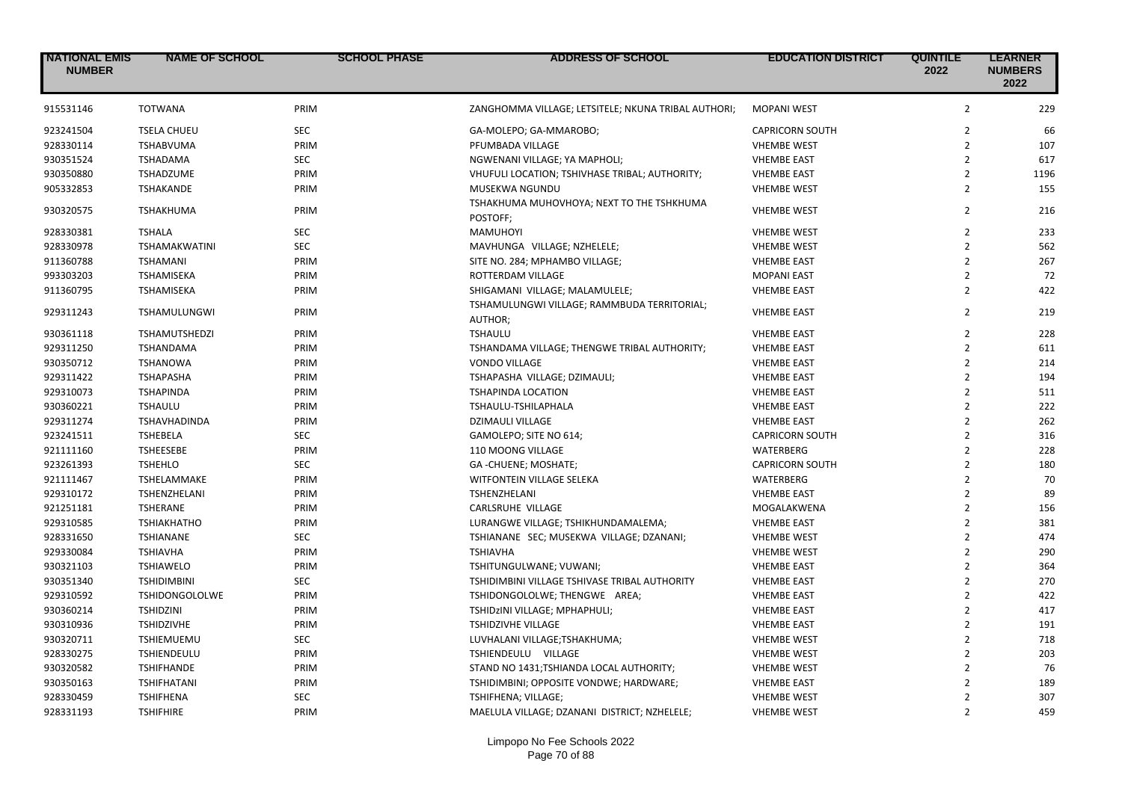| <b>NATIONAL EMIS</b><br><b>NUMBER</b> | <b>NAME OF SCHOOL</b> | <b>SCHOOL PHASE</b> | <b>ADDRESS OF SCHOOL</b>                               | <b>EDUCATION DISTRICT</b> | <b>QUINTILE</b><br>2022 | <b>LEARNER</b><br><b>NUMBERS</b><br>2022 |
|---------------------------------------|-----------------------|---------------------|--------------------------------------------------------|---------------------------|-------------------------|------------------------------------------|
| 915531146                             | <b>TOTWANA</b>        | PRIM                | ZANGHOMMA VILLAGE; LETSITELE; NKUNA TRIBAL AUTHORI;    | <b>MOPANI WEST</b>        | $\overline{2}$          | 229                                      |
| 923241504                             | <b>TSELA CHUEU</b>    | <b>SEC</b>          | GA-MOLEPO; GA-MMAROBO;                                 | <b>CAPRICORN SOUTH</b>    | $\overline{2}$          | 66                                       |
| 928330114                             | <b>TSHABVUMA</b>      | PRIM                | PFUMBADA VILLAGE                                       | <b>VHEMBE WEST</b>        | $\overline{2}$          | 107                                      |
| 930351524                             | <b>TSHADAMA</b>       | <b>SEC</b>          | NGWENANI VILLAGE; YA MAPHOLI;                          | <b>VHEMBE EAST</b>        | $\overline{2}$          | 617                                      |
| 930350880                             | <b>TSHADZUME</b>      | PRIM                | VHUFULI LOCATION; TSHIVHASE TRIBAL; AUTHORITY;         | <b>VHEMBE EAST</b>        | $\overline{2}$          | 1196                                     |
| 905332853                             | <b>TSHAKANDE</b>      | PRIM                | MUSEKWA NGUNDU                                         | <b>VHEMBE WEST</b>        | $\overline{2}$          | 155                                      |
| 930320575                             | <b>TSHAKHUMA</b>      | PRIM                | TSHAKHUMA MUHOVHOYA; NEXT TO THE TSHKHUMA<br>POSTOFF;  | <b>VHEMBE WEST</b>        | $\overline{2}$          | 216                                      |
| 928330381                             | <b>TSHALA</b>         | <b>SEC</b>          | <b>MAMUHOYI</b>                                        | <b>VHEMBE WEST</b>        | $\overline{2}$          | 233                                      |
| 928330978                             | <b>TSHAMAKWATINI</b>  | <b>SEC</b>          | MAVHUNGA VILLAGE; NZHELELE;                            | <b>VHEMBE WEST</b>        | $\overline{2}$          | 562                                      |
| 911360788                             | <b>TSHAMANI</b>       | PRIM                | SITE NO. 284; MPHAMBO VILLAGE;                         | <b>VHEMBE EAST</b>        | $\overline{2}$          | 267                                      |
| 993303203                             | <b>TSHAMISEKA</b>     | PRIM                | ROTTERDAM VILLAGE                                      | <b>MOPANI EAST</b>        | $\overline{2}$          | 72                                       |
| 911360795                             | <b>TSHAMISEKA</b>     | PRIM                | SHIGAMANI VILLAGE; MALAMULELE;                         | <b>VHEMBE EAST</b>        | $\overline{2}$          | 422                                      |
| 929311243                             | <b>TSHAMULUNGWI</b>   | PRIM                | TSHAMULUNGWI VILLAGE; RAMMBUDA TERRITORIAL;<br>AUTHOR; | <b>VHEMBE EAST</b>        | $\overline{2}$          | 219                                      |
| 930361118                             | <b>TSHAMUTSHEDZI</b>  | PRIM                | <b>TSHAULU</b>                                         | <b>VHEMBE EAST</b>        | $\overline{2}$          | 228                                      |
| 929311250                             | <b>TSHANDAMA</b>      | PRIM                | TSHANDAMA VILLAGE; THENGWE TRIBAL AUTHORITY;           | <b>VHEMBE EAST</b>        | $\overline{2}$          | 611                                      |
| 930350712                             | <b>TSHANOWA</b>       | PRIM                | <b>VONDO VILLAGE</b>                                   | <b>VHEMBE EAST</b>        | $\overline{2}$          | 214                                      |
| 929311422                             | <b>TSHAPASHA</b>      | PRIM                | TSHAPASHA VILLAGE; DZIMAULI;                           | <b>VHEMBE EAST</b>        | $\overline{2}$          | 194                                      |
| 929310073                             | <b>TSHAPINDA</b>      | PRIM                | <b>TSHAPINDA LOCATION</b>                              | <b>VHEMBE EAST</b>        | $\overline{2}$          | 511                                      |
| 930360221                             | <b>TSHAULU</b>        | PRIM                | TSHAULU-TSHILAPHALA                                    | <b>VHEMBE EAST</b>        | $\overline{2}$          | 222                                      |
| 929311274                             | TSHAVHADINDA          | PRIM                | <b>DZIMAULI VILLAGE</b>                                | <b>VHEMBE EAST</b>        | $\overline{2}$          | 262                                      |
| 923241511                             | <b>TSHEBELA</b>       | SEC                 | GAMOLEPO; SITE NO 614;                                 | <b>CAPRICORN SOUTH</b>    | $\overline{2}$          | 316                                      |
| 921111160                             | <b>TSHEESEBE</b>      | PRIM                | 110 MOONG VILLAGE                                      | <b>WATERBERG</b>          | $\overline{2}$          | 228                                      |
| 923261393                             | <b>TSHEHLO</b>        | <b>SEC</b>          | GA-CHUENE; MOSHATE;                                    | <b>CAPRICORN SOUTH</b>    | $\overline{2}$          | 180                                      |
| 921111467                             | <b>TSHELAMMAKE</b>    | PRIM                | WITFONTEIN VILLAGE SELEKA                              | <b>WATERBERG</b>          | $\overline{2}$          | 70                                       |
| 929310172                             | TSHENZHELANI          | PRIM                | TSHENZHELANI                                           | <b>VHEMBE EAST</b>        | $\overline{2}$          | 89                                       |
| 921251181                             | <b>TSHERANE</b>       | PRIM                | CARLSRUHE VILLAGE                                      | MOGALAKWENA               | $\overline{2}$          | 156                                      |
| 929310585                             | <b>TSHIAKHATHO</b>    | PRIM                | LURANGWE VILLAGE; TSHIKHUNDAMALEMA;                    | <b>VHEMBE EAST</b>        | $\overline{2}$          | 381                                      |
| 928331650                             | <b>TSHIANANE</b>      | <b>SEC</b>          | TSHIANANE SEC; MUSEKWA VILLAGE; DZANANI;               | <b>VHEMBE WEST</b>        | $\overline{2}$          | 474                                      |
| 929330084                             | <b>TSHIAVHA</b>       | PRIM                | <b>TSHIAVHA</b>                                        | <b>VHEMBE WEST</b>        | $\overline{2}$          | 290                                      |
| 930321103                             | <b>TSHIAWELO</b>      | PRIM                | TSHITUNGULWANE; VUWANI;                                | <b>VHEMBE EAST</b>        | $\overline{2}$          | 364                                      |
| 930351340                             | <b>TSHIDIMBINI</b>    | <b>SEC</b>          | TSHIDIMBINI VILLAGE TSHIVASE TRIBAL AUTHORITY          | <b>VHEMBE EAST</b>        | $\overline{2}$          | 270                                      |
| 929310592                             | <b>TSHIDONGOLOLWE</b> | PRIM                | TSHIDONGOLOLWE; THENGWE AREA;                          | <b>VHEMBE EAST</b>        | $\overline{2}$          | 422                                      |
| 930360214                             | <b>TSHIDZINI</b>      | PRIM                | TSHIDZINI VILLAGE; MPHAPHULI;                          | <b>VHEMBE EAST</b>        | $\overline{2}$          | 417                                      |
| 930310936                             | <b>TSHIDZIVHE</b>     | PRIM                | TSHIDZIVHE VILLAGE                                     | <b>VHEMBE EAST</b>        | $\overline{2}$          | 191                                      |
| 930320711                             | <b>TSHIEMUEMU</b>     | <b>SEC</b>          | LUVHALANI VILLAGE;TSHAKHUMA;                           | <b>VHEMBE WEST</b>        | $\overline{2}$          | 718                                      |
| 928330275                             | <b>TSHIENDEULU</b>    | PRIM                | TSHIENDEULU VILLAGE                                    | <b>VHEMBE WEST</b>        | $\overline{2}$          | 203                                      |
| 930320582                             | <b>TSHIFHANDE</b>     | PRIM                | STAND NO 1431; TSHIANDA LOCAL AUTHORITY;               | <b>VHEMBE WEST</b>        | $\overline{2}$          | 76                                       |
| 930350163                             | <b>TSHIFHATANI</b>    | PRIM                | TSHIDIMBINI; OPPOSITE VONDWE; HARDWARE;                | <b>VHEMBE EAST</b>        | $\overline{2}$          | 189                                      |
| 928330459                             | <b>TSHIFHENA</b>      | <b>SEC</b>          | TSHIFHENA; VILLAGE;                                    | <b>VHEMBE WEST</b>        | $\overline{2}$          | 307                                      |
| 928331193                             | <b>TSHIFHIRE</b>      | PRIM                | MAELULA VILLAGE; DZANANI DISTRICT; NZHELELE;           | <b>VHEMBE WEST</b>        | $\overline{2}$          | 459                                      |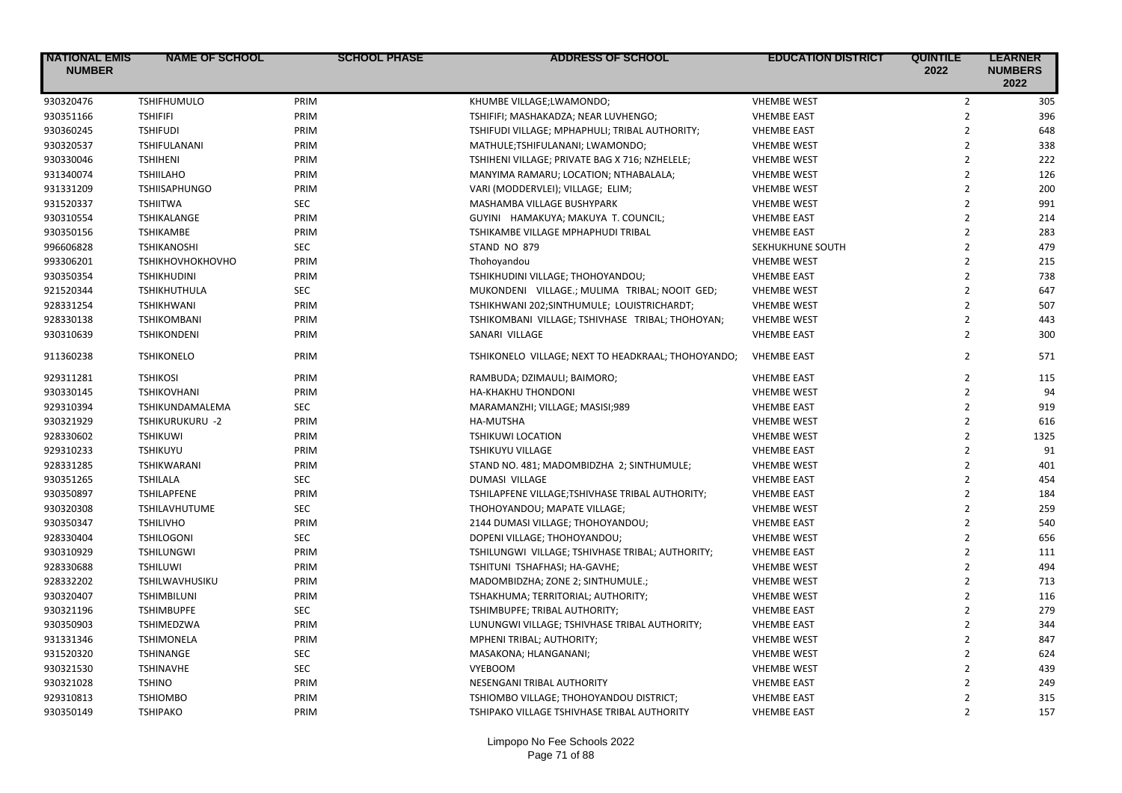| 930320476<br><b>TSHIFHUMULO</b><br><b>VHEMBE WEST</b><br>$\overline{2}$<br>305<br>PRIM<br>KHUMBE VILLAGE;LWAMONDO;<br>$\overline{2}$<br>PRIM<br>930351166<br><b>TSHIFIFI</b><br>TSHIFIFI; MASHAKADZA; NEAR LUVHENGO;<br><b>VHEMBE EAST</b><br>396<br>$\overline{2}$<br>930360245<br>PRIM<br>648<br><b>TSHIFUDI</b><br>TSHIFUDI VILLAGE; MPHAPHULI; TRIBAL AUTHORITY;<br><b>VHEMBE EAST</b><br>$\overline{2}$<br>930320537<br>PRIM<br>338<br>TSHIFULANANI<br>MATHULE;TSHIFULANANI; LWAMONDO;<br><b>VHEMBE WEST</b><br>930330046<br>$\overline{2}$<br>222<br><b>TSHIHENI</b><br>PRIM<br>TSHIHENI VILLAGE; PRIVATE BAG X 716; NZHELELE;<br><b>VHEMBE WEST</b><br>$\overline{2}$<br>126<br>931340074<br>PRIM<br>MANYIMA RAMARU; LOCATION; NTHABALALA;<br><b>TSHIILAHO</b><br><b>VHEMBE WEST</b><br>$\overline{2}$<br>931331209<br>PRIM<br>200<br><b>TSHIISAPHUNGO</b><br>VARI (MODDERVLEI); VILLAGE; ELIM;<br><b>VHEMBE WEST</b><br>$\overline{2}$<br>931520337<br><b>SEC</b><br>991<br><b>TSHIITWA</b><br>MASHAMBA VILLAGE BUSHYPARK<br><b>VHEMBE WEST</b><br>$\overline{2}$<br>930310554<br>PRIM<br>214<br><b>TSHIKALANGE</b><br>GUYINI HAMAKUYA; MAKUYA T. COUNCIL;<br><b>VHEMBE EAST</b><br>930350156<br>$\overline{2}$<br>283<br>PRIM<br><b>TSHIKAMBE</b><br>TSHIKAMBE VILLAGE MPHAPHUDI TRIBAL<br><b>VHEMBE EAST</b><br>$\overline{2}$<br>479<br>996606828<br><b>SEC</b><br>STAND NO 879<br><b>TSHIKANOSHI</b><br>SEKHUKHUNE SOUTH<br>$\overline{2}$<br>993306201<br><b>TSHIKHOVHOKHOVHO</b><br>PRIM<br><b>VHEMBE WEST</b><br>215<br>Thohoyandou<br>$\overline{2}$<br>930350354<br>738<br><b>TSHIKHUDINI</b><br>PRIM<br>TSHIKHUDINI VILLAGE; THOHOYANDOU;<br><b>VHEMBE EAST</b><br>$\overline{2}$<br>921520344<br><b>SEC</b><br>647<br><b>TSHIKHUTHULA</b><br>MUKONDENI VILLAGE.; MULIMA TRIBAL; NOOIT GED;<br><b>VHEMBE WEST</b><br>$\overline{2}$<br>928331254<br>PRIM<br>507<br><b>TSHIKHWANI</b><br>TSHIKHWANI 202;SINTHUMULE; LOUISTRICHARDT;<br><b>VHEMBE WEST</b><br>928330138<br>$\overline{2}$<br><b>TSHIKOMBANI</b><br>PRIM<br>TSHIKOMBANI VILLAGE; TSHIVHASE TRIBAL; THOHOYAN;<br>443<br><b>VHEMBE WEST</b><br>$\overline{2}$<br>300<br>930310639<br><b>TSHIKONDENI</b><br>PRIM<br>SANARI VILLAGE<br><b>VHEMBE EAST</b><br>$\overline{2}$<br>911360238<br><b>TSHIKONELO</b><br>PRIM<br>TSHIKONELO VILLAGE; NEXT TO HEADKRAAL; THOHOYANDO;<br>571<br><b>VHEMBE EAST</b><br>$\overline{2}$<br>929311281<br>PRIM<br>115<br><b>TSHIKOSI</b><br>RAMBUDA; DZIMAULI; BAIMORO;<br><b>VHEMBE EAST</b><br>$\overline{2}$<br>930330145<br>PRIM<br>94<br><b>TSHIKOVHANI</b><br>HA-KHAKHU THONDONI<br><b>VHEMBE WEST</b><br>$\overline{2}$<br>919<br>929310394<br>TSHIKUNDAMALEMA<br><b>SEC</b><br>MARAMANZHI; VILLAGE; MASISI;989<br><b>VHEMBE EAST</b><br>$\overline{2}$<br>930321929<br>TSHIKURUKURU -2<br>PRIM<br>HA-MUTSHA<br><b>VHEMBE WEST</b><br>616<br>$\overline{2}$<br>928330602<br>1325<br><b>TSHIKUWI</b><br>PRIM<br><b>TSHIKUWI LOCATION</b><br><b>VHEMBE WEST</b><br>$\overline{2}$<br>929310233<br>91<br><b>TSHIKUYU</b><br>PRIM<br><b>TSHIKUYU VILLAGE</b><br><b>VHEMBE EAST</b><br>$\overline{2}$<br>928331285<br>PRIM<br><b>VHEMBE WEST</b><br>401<br>TSHIKWARANI<br>STAND NO. 481; MADOMBIDZHA 2; SINTHUMULE;<br>$\overline{2}$<br>930351265<br><b>SEC</b><br>454<br><b>TSHILALA</b><br>DUMASI VILLAGE<br><b>VHEMBE EAST</b><br>$\overline{2}$<br>930350897<br><b>TSHILAPFENE</b><br>PRIM<br>TSHILAPFENE VILLAGE;TSHIVHASE TRIBAL AUTHORITY;<br>184<br><b>VHEMBE EAST</b><br>$\overline{2}$<br>930320308<br>259<br>TSHILAVHUTUME<br><b>SEC</b><br>THOHOYANDOU; MAPATE VILLAGE;<br><b>VHEMBE WEST</b><br>$\overline{2}$<br>930350347<br>PRIM<br>540<br><b>TSHILIVHO</b><br>2144 DUMASI VILLAGE; THOHOYANDOU;<br><b>VHEMBE EAST</b><br>$\overline{2}$<br>928330404<br><b>SEC</b><br>656<br><b>TSHILOGONI</b><br>DOPENI VILLAGE; THOHOYANDOU;<br><b>VHEMBE WEST</b><br>$\overline{2}$<br>930310929<br>PRIM<br>111<br><b>TSHILUNGWI</b><br>TSHILUNGWI VILLAGE; TSHIVHASE TRIBAL; AUTHORITY;<br><b>VHEMBE EAST</b><br>$\overline{2}$<br>928330688<br>PRIM<br>494<br><b>TSHILUWI</b><br>TSHITUNI TSHAFHASI; HA-GAVHE;<br><b>VHEMBE WEST</b><br>928332202<br>$\overline{2}$<br>TSHILWAVHUSIKU<br>PRIM<br>MADOMBIDZHA; ZONE 2; SINTHUMULE.;<br><b>VHEMBE WEST</b><br>713<br>$\overline{2}$<br>930320407<br>116<br>PRIM<br><b>TSHIMBILUNI</b><br>TSHAKHUMA; TERRITORIAL; AUTHORITY;<br><b>VHEMBE WEST</b><br>$\overline{2}$<br>930321196<br><b>SEC</b><br>279<br><b>TSHIMBUPFE</b><br>TSHIMBUPFE; TRIBAL AUTHORITY;<br><b>VHEMBE EAST</b><br>$\overline{2}$<br>930350903<br>PRIM<br>344<br>TSHIMEDZWA<br>LUNUNGWI VILLAGE; TSHIVHASE TRIBAL AUTHORITY;<br><b>VHEMBE EAST</b><br>$\overline{2}$<br>847<br>931331346<br><b>TSHIMONELA</b><br>PRIM<br>MPHENI TRIBAL; AUTHORITY;<br><b>VHEMBE WEST</b><br>$\overline{2}$<br>931520320<br><b>SEC</b><br>624<br><b>TSHINANGE</b><br>MASAKONA; HLANGANANI;<br><b>VHEMBE WEST</b> | <b>NATIONAL EMIS</b><br><b>NUMBER</b> | <b>NAME OF SCHOOL</b> | <b>SCHOOL PHASE</b> | <b>ADDRESS OF SCHOOL</b> | <b>EDUCATION DISTRICT</b> | <b>QUINTILE</b><br>2022 | <b>LEARNER</b><br><b>NUMBERS</b><br>2022 |
|--------------------------------------------------------------------------------------------------------------------------------------------------------------------------------------------------------------------------------------------------------------------------------------------------------------------------------------------------------------------------------------------------------------------------------------------------------------------------------------------------------------------------------------------------------------------------------------------------------------------------------------------------------------------------------------------------------------------------------------------------------------------------------------------------------------------------------------------------------------------------------------------------------------------------------------------------------------------------------------------------------------------------------------------------------------------------------------------------------------------------------------------------------------------------------------------------------------------------------------------------------------------------------------------------------------------------------------------------------------------------------------------------------------------------------------------------------------------------------------------------------------------------------------------------------------------------------------------------------------------------------------------------------------------------------------------------------------------------------------------------------------------------------------------------------------------------------------------------------------------------------------------------------------------------------------------------------------------------------------------------------------------------------------------------------------------------------------------------------------------------------------------------------------------------------------------------------------------------------------------------------------------------------------------------------------------------------------------------------------------------------------------------------------------------------------------------------------------------------------------------------------------------------------------------------------------------------------------------------------------------------------------------------------------------------------------------------------------------------------------------------------------------------------------------------------------------------------------------------------------------------------------------------------------------------------------------------------------------------------------------------------------------------------------------------------------------------------------------------------------------------------------------------------------------------------------------------------------------------------------------------------------------------------------------------------------------------------------------------------------------------------------------------------------------------------------------------------------------------------------------------------------------------------------------------------------------------------------------------------------------------------------------------------------------------------------------------------------------------------------------------------------------------------------------------------------------------------------------------------------------------------------------------------------------------------------------------------------------------------------------------------------------------------------------------------------------------------------------------------------------------------------------------------------------------------------------------------------------------------------------------------------------------------------------------------------------------------------------------------------------------------------------------------------------------------------------------------------------------------------------------------------------------------------------------------------------------------------------------------------------------------------------------------------------------------------------------------------------------------------------------------------------------------------------------------------------------------------------------------------------------------------------------------------------------------|---------------------------------------|-----------------------|---------------------|--------------------------|---------------------------|-------------------------|------------------------------------------|
|                                                                                                                                                                                                                                                                                                                                                                                                                                                                                                                                                                                                                                                                                                                                                                                                                                                                                                                                                                                                                                                                                                                                                                                                                                                                                                                                                                                                                                                                                                                                                                                                                                                                                                                                                                                                                                                                                                                                                                                                                                                                                                                                                                                                                                                                                                                                                                                                                                                                                                                                                                                                                                                                                                                                                                                                                                                                                                                                                                                                                                                                                                                                                                                                                                                                                                                                                                                                                                                                                                                                                                                                                                                                                                                                                                                                                                                                                                                                                                                                                                                                                                                                                                                                                                                                                                                                                                                                                                                                                                                                                                                                                                                                                                                                                                                                                                                                                                                                      |                                       |                       |                     |                          |                           |                         |                                          |
|                                                                                                                                                                                                                                                                                                                                                                                                                                                                                                                                                                                                                                                                                                                                                                                                                                                                                                                                                                                                                                                                                                                                                                                                                                                                                                                                                                                                                                                                                                                                                                                                                                                                                                                                                                                                                                                                                                                                                                                                                                                                                                                                                                                                                                                                                                                                                                                                                                                                                                                                                                                                                                                                                                                                                                                                                                                                                                                                                                                                                                                                                                                                                                                                                                                                                                                                                                                                                                                                                                                                                                                                                                                                                                                                                                                                                                                                                                                                                                                                                                                                                                                                                                                                                                                                                                                                                                                                                                                                                                                                                                                                                                                                                                                                                                                                                                                                                                                                      |                                       |                       |                     |                          |                           |                         |                                          |
|                                                                                                                                                                                                                                                                                                                                                                                                                                                                                                                                                                                                                                                                                                                                                                                                                                                                                                                                                                                                                                                                                                                                                                                                                                                                                                                                                                                                                                                                                                                                                                                                                                                                                                                                                                                                                                                                                                                                                                                                                                                                                                                                                                                                                                                                                                                                                                                                                                                                                                                                                                                                                                                                                                                                                                                                                                                                                                                                                                                                                                                                                                                                                                                                                                                                                                                                                                                                                                                                                                                                                                                                                                                                                                                                                                                                                                                                                                                                                                                                                                                                                                                                                                                                                                                                                                                                                                                                                                                                                                                                                                                                                                                                                                                                                                                                                                                                                                                                      |                                       |                       |                     |                          |                           |                         |                                          |
|                                                                                                                                                                                                                                                                                                                                                                                                                                                                                                                                                                                                                                                                                                                                                                                                                                                                                                                                                                                                                                                                                                                                                                                                                                                                                                                                                                                                                                                                                                                                                                                                                                                                                                                                                                                                                                                                                                                                                                                                                                                                                                                                                                                                                                                                                                                                                                                                                                                                                                                                                                                                                                                                                                                                                                                                                                                                                                                                                                                                                                                                                                                                                                                                                                                                                                                                                                                                                                                                                                                                                                                                                                                                                                                                                                                                                                                                                                                                                                                                                                                                                                                                                                                                                                                                                                                                                                                                                                                                                                                                                                                                                                                                                                                                                                                                                                                                                                                                      |                                       |                       |                     |                          |                           |                         |                                          |
|                                                                                                                                                                                                                                                                                                                                                                                                                                                                                                                                                                                                                                                                                                                                                                                                                                                                                                                                                                                                                                                                                                                                                                                                                                                                                                                                                                                                                                                                                                                                                                                                                                                                                                                                                                                                                                                                                                                                                                                                                                                                                                                                                                                                                                                                                                                                                                                                                                                                                                                                                                                                                                                                                                                                                                                                                                                                                                                                                                                                                                                                                                                                                                                                                                                                                                                                                                                                                                                                                                                                                                                                                                                                                                                                                                                                                                                                                                                                                                                                                                                                                                                                                                                                                                                                                                                                                                                                                                                                                                                                                                                                                                                                                                                                                                                                                                                                                                                                      |                                       |                       |                     |                          |                           |                         |                                          |
|                                                                                                                                                                                                                                                                                                                                                                                                                                                                                                                                                                                                                                                                                                                                                                                                                                                                                                                                                                                                                                                                                                                                                                                                                                                                                                                                                                                                                                                                                                                                                                                                                                                                                                                                                                                                                                                                                                                                                                                                                                                                                                                                                                                                                                                                                                                                                                                                                                                                                                                                                                                                                                                                                                                                                                                                                                                                                                                                                                                                                                                                                                                                                                                                                                                                                                                                                                                                                                                                                                                                                                                                                                                                                                                                                                                                                                                                                                                                                                                                                                                                                                                                                                                                                                                                                                                                                                                                                                                                                                                                                                                                                                                                                                                                                                                                                                                                                                                                      |                                       |                       |                     |                          |                           |                         |                                          |
|                                                                                                                                                                                                                                                                                                                                                                                                                                                                                                                                                                                                                                                                                                                                                                                                                                                                                                                                                                                                                                                                                                                                                                                                                                                                                                                                                                                                                                                                                                                                                                                                                                                                                                                                                                                                                                                                                                                                                                                                                                                                                                                                                                                                                                                                                                                                                                                                                                                                                                                                                                                                                                                                                                                                                                                                                                                                                                                                                                                                                                                                                                                                                                                                                                                                                                                                                                                                                                                                                                                                                                                                                                                                                                                                                                                                                                                                                                                                                                                                                                                                                                                                                                                                                                                                                                                                                                                                                                                                                                                                                                                                                                                                                                                                                                                                                                                                                                                                      |                                       |                       |                     |                          |                           |                         |                                          |
|                                                                                                                                                                                                                                                                                                                                                                                                                                                                                                                                                                                                                                                                                                                                                                                                                                                                                                                                                                                                                                                                                                                                                                                                                                                                                                                                                                                                                                                                                                                                                                                                                                                                                                                                                                                                                                                                                                                                                                                                                                                                                                                                                                                                                                                                                                                                                                                                                                                                                                                                                                                                                                                                                                                                                                                                                                                                                                                                                                                                                                                                                                                                                                                                                                                                                                                                                                                                                                                                                                                                                                                                                                                                                                                                                                                                                                                                                                                                                                                                                                                                                                                                                                                                                                                                                                                                                                                                                                                                                                                                                                                                                                                                                                                                                                                                                                                                                                                                      |                                       |                       |                     |                          |                           |                         |                                          |
|                                                                                                                                                                                                                                                                                                                                                                                                                                                                                                                                                                                                                                                                                                                                                                                                                                                                                                                                                                                                                                                                                                                                                                                                                                                                                                                                                                                                                                                                                                                                                                                                                                                                                                                                                                                                                                                                                                                                                                                                                                                                                                                                                                                                                                                                                                                                                                                                                                                                                                                                                                                                                                                                                                                                                                                                                                                                                                                                                                                                                                                                                                                                                                                                                                                                                                                                                                                                                                                                                                                                                                                                                                                                                                                                                                                                                                                                                                                                                                                                                                                                                                                                                                                                                                                                                                                                                                                                                                                                                                                                                                                                                                                                                                                                                                                                                                                                                                                                      |                                       |                       |                     |                          |                           |                         |                                          |
|                                                                                                                                                                                                                                                                                                                                                                                                                                                                                                                                                                                                                                                                                                                                                                                                                                                                                                                                                                                                                                                                                                                                                                                                                                                                                                                                                                                                                                                                                                                                                                                                                                                                                                                                                                                                                                                                                                                                                                                                                                                                                                                                                                                                                                                                                                                                                                                                                                                                                                                                                                                                                                                                                                                                                                                                                                                                                                                                                                                                                                                                                                                                                                                                                                                                                                                                                                                                                                                                                                                                                                                                                                                                                                                                                                                                                                                                                                                                                                                                                                                                                                                                                                                                                                                                                                                                                                                                                                                                                                                                                                                                                                                                                                                                                                                                                                                                                                                                      |                                       |                       |                     |                          |                           |                         |                                          |
|                                                                                                                                                                                                                                                                                                                                                                                                                                                                                                                                                                                                                                                                                                                                                                                                                                                                                                                                                                                                                                                                                                                                                                                                                                                                                                                                                                                                                                                                                                                                                                                                                                                                                                                                                                                                                                                                                                                                                                                                                                                                                                                                                                                                                                                                                                                                                                                                                                                                                                                                                                                                                                                                                                                                                                                                                                                                                                                                                                                                                                                                                                                                                                                                                                                                                                                                                                                                                                                                                                                                                                                                                                                                                                                                                                                                                                                                                                                                                                                                                                                                                                                                                                                                                                                                                                                                                                                                                                                                                                                                                                                                                                                                                                                                                                                                                                                                                                                                      |                                       |                       |                     |                          |                           |                         |                                          |
|                                                                                                                                                                                                                                                                                                                                                                                                                                                                                                                                                                                                                                                                                                                                                                                                                                                                                                                                                                                                                                                                                                                                                                                                                                                                                                                                                                                                                                                                                                                                                                                                                                                                                                                                                                                                                                                                                                                                                                                                                                                                                                                                                                                                                                                                                                                                                                                                                                                                                                                                                                                                                                                                                                                                                                                                                                                                                                                                                                                                                                                                                                                                                                                                                                                                                                                                                                                                                                                                                                                                                                                                                                                                                                                                                                                                                                                                                                                                                                                                                                                                                                                                                                                                                                                                                                                                                                                                                                                                                                                                                                                                                                                                                                                                                                                                                                                                                                                                      |                                       |                       |                     |                          |                           |                         |                                          |
|                                                                                                                                                                                                                                                                                                                                                                                                                                                                                                                                                                                                                                                                                                                                                                                                                                                                                                                                                                                                                                                                                                                                                                                                                                                                                                                                                                                                                                                                                                                                                                                                                                                                                                                                                                                                                                                                                                                                                                                                                                                                                                                                                                                                                                                                                                                                                                                                                                                                                                                                                                                                                                                                                                                                                                                                                                                                                                                                                                                                                                                                                                                                                                                                                                                                                                                                                                                                                                                                                                                                                                                                                                                                                                                                                                                                                                                                                                                                                                                                                                                                                                                                                                                                                                                                                                                                                                                                                                                                                                                                                                                                                                                                                                                                                                                                                                                                                                                                      |                                       |                       |                     |                          |                           |                         |                                          |
|                                                                                                                                                                                                                                                                                                                                                                                                                                                                                                                                                                                                                                                                                                                                                                                                                                                                                                                                                                                                                                                                                                                                                                                                                                                                                                                                                                                                                                                                                                                                                                                                                                                                                                                                                                                                                                                                                                                                                                                                                                                                                                                                                                                                                                                                                                                                                                                                                                                                                                                                                                                                                                                                                                                                                                                                                                                                                                                                                                                                                                                                                                                                                                                                                                                                                                                                                                                                                                                                                                                                                                                                                                                                                                                                                                                                                                                                                                                                                                                                                                                                                                                                                                                                                                                                                                                                                                                                                                                                                                                                                                                                                                                                                                                                                                                                                                                                                                                                      |                                       |                       |                     |                          |                           |                         |                                          |
|                                                                                                                                                                                                                                                                                                                                                                                                                                                                                                                                                                                                                                                                                                                                                                                                                                                                                                                                                                                                                                                                                                                                                                                                                                                                                                                                                                                                                                                                                                                                                                                                                                                                                                                                                                                                                                                                                                                                                                                                                                                                                                                                                                                                                                                                                                                                                                                                                                                                                                                                                                                                                                                                                                                                                                                                                                                                                                                                                                                                                                                                                                                                                                                                                                                                                                                                                                                                                                                                                                                                                                                                                                                                                                                                                                                                                                                                                                                                                                                                                                                                                                                                                                                                                                                                                                                                                                                                                                                                                                                                                                                                                                                                                                                                                                                                                                                                                                                                      |                                       |                       |                     |                          |                           |                         |                                          |
|                                                                                                                                                                                                                                                                                                                                                                                                                                                                                                                                                                                                                                                                                                                                                                                                                                                                                                                                                                                                                                                                                                                                                                                                                                                                                                                                                                                                                                                                                                                                                                                                                                                                                                                                                                                                                                                                                                                                                                                                                                                                                                                                                                                                                                                                                                                                                                                                                                                                                                                                                                                                                                                                                                                                                                                                                                                                                                                                                                                                                                                                                                                                                                                                                                                                                                                                                                                                                                                                                                                                                                                                                                                                                                                                                                                                                                                                                                                                                                                                                                                                                                                                                                                                                                                                                                                                                                                                                                                                                                                                                                                                                                                                                                                                                                                                                                                                                                                                      |                                       |                       |                     |                          |                           |                         |                                          |
|                                                                                                                                                                                                                                                                                                                                                                                                                                                                                                                                                                                                                                                                                                                                                                                                                                                                                                                                                                                                                                                                                                                                                                                                                                                                                                                                                                                                                                                                                                                                                                                                                                                                                                                                                                                                                                                                                                                                                                                                                                                                                                                                                                                                                                                                                                                                                                                                                                                                                                                                                                                                                                                                                                                                                                                                                                                                                                                                                                                                                                                                                                                                                                                                                                                                                                                                                                                                                                                                                                                                                                                                                                                                                                                                                                                                                                                                                                                                                                                                                                                                                                                                                                                                                                                                                                                                                                                                                                                                                                                                                                                                                                                                                                                                                                                                                                                                                                                                      |                                       |                       |                     |                          |                           |                         |                                          |
|                                                                                                                                                                                                                                                                                                                                                                                                                                                                                                                                                                                                                                                                                                                                                                                                                                                                                                                                                                                                                                                                                                                                                                                                                                                                                                                                                                                                                                                                                                                                                                                                                                                                                                                                                                                                                                                                                                                                                                                                                                                                                                                                                                                                                                                                                                                                                                                                                                                                                                                                                                                                                                                                                                                                                                                                                                                                                                                                                                                                                                                                                                                                                                                                                                                                                                                                                                                                                                                                                                                                                                                                                                                                                                                                                                                                                                                                                                                                                                                                                                                                                                                                                                                                                                                                                                                                                                                                                                                                                                                                                                                                                                                                                                                                                                                                                                                                                                                                      |                                       |                       |                     |                          |                           |                         |                                          |
|                                                                                                                                                                                                                                                                                                                                                                                                                                                                                                                                                                                                                                                                                                                                                                                                                                                                                                                                                                                                                                                                                                                                                                                                                                                                                                                                                                                                                                                                                                                                                                                                                                                                                                                                                                                                                                                                                                                                                                                                                                                                                                                                                                                                                                                                                                                                                                                                                                                                                                                                                                                                                                                                                                                                                                                                                                                                                                                                                                                                                                                                                                                                                                                                                                                                                                                                                                                                                                                                                                                                                                                                                                                                                                                                                                                                                                                                                                                                                                                                                                                                                                                                                                                                                                                                                                                                                                                                                                                                                                                                                                                                                                                                                                                                                                                                                                                                                                                                      |                                       |                       |                     |                          |                           |                         |                                          |
|                                                                                                                                                                                                                                                                                                                                                                                                                                                                                                                                                                                                                                                                                                                                                                                                                                                                                                                                                                                                                                                                                                                                                                                                                                                                                                                                                                                                                                                                                                                                                                                                                                                                                                                                                                                                                                                                                                                                                                                                                                                                                                                                                                                                                                                                                                                                                                                                                                                                                                                                                                                                                                                                                                                                                                                                                                                                                                                                                                                                                                                                                                                                                                                                                                                                                                                                                                                                                                                                                                                                                                                                                                                                                                                                                                                                                                                                                                                                                                                                                                                                                                                                                                                                                                                                                                                                                                                                                                                                                                                                                                                                                                                                                                                                                                                                                                                                                                                                      |                                       |                       |                     |                          |                           |                         |                                          |
|                                                                                                                                                                                                                                                                                                                                                                                                                                                                                                                                                                                                                                                                                                                                                                                                                                                                                                                                                                                                                                                                                                                                                                                                                                                                                                                                                                                                                                                                                                                                                                                                                                                                                                                                                                                                                                                                                                                                                                                                                                                                                                                                                                                                                                                                                                                                                                                                                                                                                                                                                                                                                                                                                                                                                                                                                                                                                                                                                                                                                                                                                                                                                                                                                                                                                                                                                                                                                                                                                                                                                                                                                                                                                                                                                                                                                                                                                                                                                                                                                                                                                                                                                                                                                                                                                                                                                                                                                                                                                                                                                                                                                                                                                                                                                                                                                                                                                                                                      |                                       |                       |                     |                          |                           |                         |                                          |
|                                                                                                                                                                                                                                                                                                                                                                                                                                                                                                                                                                                                                                                                                                                                                                                                                                                                                                                                                                                                                                                                                                                                                                                                                                                                                                                                                                                                                                                                                                                                                                                                                                                                                                                                                                                                                                                                                                                                                                                                                                                                                                                                                                                                                                                                                                                                                                                                                                                                                                                                                                                                                                                                                                                                                                                                                                                                                                                                                                                                                                                                                                                                                                                                                                                                                                                                                                                                                                                                                                                                                                                                                                                                                                                                                                                                                                                                                                                                                                                                                                                                                                                                                                                                                                                                                                                                                                                                                                                                                                                                                                                                                                                                                                                                                                                                                                                                                                                                      |                                       |                       |                     |                          |                           |                         |                                          |
|                                                                                                                                                                                                                                                                                                                                                                                                                                                                                                                                                                                                                                                                                                                                                                                                                                                                                                                                                                                                                                                                                                                                                                                                                                                                                                                                                                                                                                                                                                                                                                                                                                                                                                                                                                                                                                                                                                                                                                                                                                                                                                                                                                                                                                                                                                                                                                                                                                                                                                                                                                                                                                                                                                                                                                                                                                                                                                                                                                                                                                                                                                                                                                                                                                                                                                                                                                                                                                                                                                                                                                                                                                                                                                                                                                                                                                                                                                                                                                                                                                                                                                                                                                                                                                                                                                                                                                                                                                                                                                                                                                                                                                                                                                                                                                                                                                                                                                                                      |                                       |                       |                     |                          |                           |                         |                                          |
|                                                                                                                                                                                                                                                                                                                                                                                                                                                                                                                                                                                                                                                                                                                                                                                                                                                                                                                                                                                                                                                                                                                                                                                                                                                                                                                                                                                                                                                                                                                                                                                                                                                                                                                                                                                                                                                                                                                                                                                                                                                                                                                                                                                                                                                                                                                                                                                                                                                                                                                                                                                                                                                                                                                                                                                                                                                                                                                                                                                                                                                                                                                                                                                                                                                                                                                                                                                                                                                                                                                                                                                                                                                                                                                                                                                                                                                                                                                                                                                                                                                                                                                                                                                                                                                                                                                                                                                                                                                                                                                                                                                                                                                                                                                                                                                                                                                                                                                                      |                                       |                       |                     |                          |                           |                         |                                          |
|                                                                                                                                                                                                                                                                                                                                                                                                                                                                                                                                                                                                                                                                                                                                                                                                                                                                                                                                                                                                                                                                                                                                                                                                                                                                                                                                                                                                                                                                                                                                                                                                                                                                                                                                                                                                                                                                                                                                                                                                                                                                                                                                                                                                                                                                                                                                                                                                                                                                                                                                                                                                                                                                                                                                                                                                                                                                                                                                                                                                                                                                                                                                                                                                                                                                                                                                                                                                                                                                                                                                                                                                                                                                                                                                                                                                                                                                                                                                                                                                                                                                                                                                                                                                                                                                                                                                                                                                                                                                                                                                                                                                                                                                                                                                                                                                                                                                                                                                      |                                       |                       |                     |                          |                           |                         |                                          |
|                                                                                                                                                                                                                                                                                                                                                                                                                                                                                                                                                                                                                                                                                                                                                                                                                                                                                                                                                                                                                                                                                                                                                                                                                                                                                                                                                                                                                                                                                                                                                                                                                                                                                                                                                                                                                                                                                                                                                                                                                                                                                                                                                                                                                                                                                                                                                                                                                                                                                                                                                                                                                                                                                                                                                                                                                                                                                                                                                                                                                                                                                                                                                                                                                                                                                                                                                                                                                                                                                                                                                                                                                                                                                                                                                                                                                                                                                                                                                                                                                                                                                                                                                                                                                                                                                                                                                                                                                                                                                                                                                                                                                                                                                                                                                                                                                                                                                                                                      |                                       |                       |                     |                          |                           |                         |                                          |
|                                                                                                                                                                                                                                                                                                                                                                                                                                                                                                                                                                                                                                                                                                                                                                                                                                                                                                                                                                                                                                                                                                                                                                                                                                                                                                                                                                                                                                                                                                                                                                                                                                                                                                                                                                                                                                                                                                                                                                                                                                                                                                                                                                                                                                                                                                                                                                                                                                                                                                                                                                                                                                                                                                                                                                                                                                                                                                                                                                                                                                                                                                                                                                                                                                                                                                                                                                                                                                                                                                                                                                                                                                                                                                                                                                                                                                                                                                                                                                                                                                                                                                                                                                                                                                                                                                                                                                                                                                                                                                                                                                                                                                                                                                                                                                                                                                                                                                                                      |                                       |                       |                     |                          |                           |                         |                                          |
|                                                                                                                                                                                                                                                                                                                                                                                                                                                                                                                                                                                                                                                                                                                                                                                                                                                                                                                                                                                                                                                                                                                                                                                                                                                                                                                                                                                                                                                                                                                                                                                                                                                                                                                                                                                                                                                                                                                                                                                                                                                                                                                                                                                                                                                                                                                                                                                                                                                                                                                                                                                                                                                                                                                                                                                                                                                                                                                                                                                                                                                                                                                                                                                                                                                                                                                                                                                                                                                                                                                                                                                                                                                                                                                                                                                                                                                                                                                                                                                                                                                                                                                                                                                                                                                                                                                                                                                                                                                                                                                                                                                                                                                                                                                                                                                                                                                                                                                                      |                                       |                       |                     |                          |                           |                         |                                          |
|                                                                                                                                                                                                                                                                                                                                                                                                                                                                                                                                                                                                                                                                                                                                                                                                                                                                                                                                                                                                                                                                                                                                                                                                                                                                                                                                                                                                                                                                                                                                                                                                                                                                                                                                                                                                                                                                                                                                                                                                                                                                                                                                                                                                                                                                                                                                                                                                                                                                                                                                                                                                                                                                                                                                                                                                                                                                                                                                                                                                                                                                                                                                                                                                                                                                                                                                                                                                                                                                                                                                                                                                                                                                                                                                                                                                                                                                                                                                                                                                                                                                                                                                                                                                                                                                                                                                                                                                                                                                                                                                                                                                                                                                                                                                                                                                                                                                                                                                      |                                       |                       |                     |                          |                           |                         |                                          |
|                                                                                                                                                                                                                                                                                                                                                                                                                                                                                                                                                                                                                                                                                                                                                                                                                                                                                                                                                                                                                                                                                                                                                                                                                                                                                                                                                                                                                                                                                                                                                                                                                                                                                                                                                                                                                                                                                                                                                                                                                                                                                                                                                                                                                                                                                                                                                                                                                                                                                                                                                                                                                                                                                                                                                                                                                                                                                                                                                                                                                                                                                                                                                                                                                                                                                                                                                                                                                                                                                                                                                                                                                                                                                                                                                                                                                                                                                                                                                                                                                                                                                                                                                                                                                                                                                                                                                                                                                                                                                                                                                                                                                                                                                                                                                                                                                                                                                                                                      |                                       |                       |                     |                          |                           |                         |                                          |
|                                                                                                                                                                                                                                                                                                                                                                                                                                                                                                                                                                                                                                                                                                                                                                                                                                                                                                                                                                                                                                                                                                                                                                                                                                                                                                                                                                                                                                                                                                                                                                                                                                                                                                                                                                                                                                                                                                                                                                                                                                                                                                                                                                                                                                                                                                                                                                                                                                                                                                                                                                                                                                                                                                                                                                                                                                                                                                                                                                                                                                                                                                                                                                                                                                                                                                                                                                                                                                                                                                                                                                                                                                                                                                                                                                                                                                                                                                                                                                                                                                                                                                                                                                                                                                                                                                                                                                                                                                                                                                                                                                                                                                                                                                                                                                                                                                                                                                                                      |                                       |                       |                     |                          |                           |                         |                                          |
|                                                                                                                                                                                                                                                                                                                                                                                                                                                                                                                                                                                                                                                                                                                                                                                                                                                                                                                                                                                                                                                                                                                                                                                                                                                                                                                                                                                                                                                                                                                                                                                                                                                                                                                                                                                                                                                                                                                                                                                                                                                                                                                                                                                                                                                                                                                                                                                                                                                                                                                                                                                                                                                                                                                                                                                                                                                                                                                                                                                                                                                                                                                                                                                                                                                                                                                                                                                                                                                                                                                                                                                                                                                                                                                                                                                                                                                                                                                                                                                                                                                                                                                                                                                                                                                                                                                                                                                                                                                                                                                                                                                                                                                                                                                                                                                                                                                                                                                                      |                                       |                       |                     |                          |                           |                         |                                          |
|                                                                                                                                                                                                                                                                                                                                                                                                                                                                                                                                                                                                                                                                                                                                                                                                                                                                                                                                                                                                                                                                                                                                                                                                                                                                                                                                                                                                                                                                                                                                                                                                                                                                                                                                                                                                                                                                                                                                                                                                                                                                                                                                                                                                                                                                                                                                                                                                                                                                                                                                                                                                                                                                                                                                                                                                                                                                                                                                                                                                                                                                                                                                                                                                                                                                                                                                                                                                                                                                                                                                                                                                                                                                                                                                                                                                                                                                                                                                                                                                                                                                                                                                                                                                                                                                                                                                                                                                                                                                                                                                                                                                                                                                                                                                                                                                                                                                                                                                      |                                       |                       |                     |                          |                           |                         |                                          |
|                                                                                                                                                                                                                                                                                                                                                                                                                                                                                                                                                                                                                                                                                                                                                                                                                                                                                                                                                                                                                                                                                                                                                                                                                                                                                                                                                                                                                                                                                                                                                                                                                                                                                                                                                                                                                                                                                                                                                                                                                                                                                                                                                                                                                                                                                                                                                                                                                                                                                                                                                                                                                                                                                                                                                                                                                                                                                                                                                                                                                                                                                                                                                                                                                                                                                                                                                                                                                                                                                                                                                                                                                                                                                                                                                                                                                                                                                                                                                                                                                                                                                                                                                                                                                                                                                                                                                                                                                                                                                                                                                                                                                                                                                                                                                                                                                                                                                                                                      |                                       |                       |                     |                          |                           |                         |                                          |
|                                                                                                                                                                                                                                                                                                                                                                                                                                                                                                                                                                                                                                                                                                                                                                                                                                                                                                                                                                                                                                                                                                                                                                                                                                                                                                                                                                                                                                                                                                                                                                                                                                                                                                                                                                                                                                                                                                                                                                                                                                                                                                                                                                                                                                                                                                                                                                                                                                                                                                                                                                                                                                                                                                                                                                                                                                                                                                                                                                                                                                                                                                                                                                                                                                                                                                                                                                                                                                                                                                                                                                                                                                                                                                                                                                                                                                                                                                                                                                                                                                                                                                                                                                                                                                                                                                                                                                                                                                                                                                                                                                                                                                                                                                                                                                                                                                                                                                                                      |                                       |                       |                     |                          |                           |                         |                                          |
|                                                                                                                                                                                                                                                                                                                                                                                                                                                                                                                                                                                                                                                                                                                                                                                                                                                                                                                                                                                                                                                                                                                                                                                                                                                                                                                                                                                                                                                                                                                                                                                                                                                                                                                                                                                                                                                                                                                                                                                                                                                                                                                                                                                                                                                                                                                                                                                                                                                                                                                                                                                                                                                                                                                                                                                                                                                                                                                                                                                                                                                                                                                                                                                                                                                                                                                                                                                                                                                                                                                                                                                                                                                                                                                                                                                                                                                                                                                                                                                                                                                                                                                                                                                                                                                                                                                                                                                                                                                                                                                                                                                                                                                                                                                                                                                                                                                                                                                                      |                                       |                       |                     |                          |                           |                         |                                          |
|                                                                                                                                                                                                                                                                                                                                                                                                                                                                                                                                                                                                                                                                                                                                                                                                                                                                                                                                                                                                                                                                                                                                                                                                                                                                                                                                                                                                                                                                                                                                                                                                                                                                                                                                                                                                                                                                                                                                                                                                                                                                                                                                                                                                                                                                                                                                                                                                                                                                                                                                                                                                                                                                                                                                                                                                                                                                                                                                                                                                                                                                                                                                                                                                                                                                                                                                                                                                                                                                                                                                                                                                                                                                                                                                                                                                                                                                                                                                                                                                                                                                                                                                                                                                                                                                                                                                                                                                                                                                                                                                                                                                                                                                                                                                                                                                                                                                                                                                      |                                       |                       |                     |                          |                           |                         |                                          |
|                                                                                                                                                                                                                                                                                                                                                                                                                                                                                                                                                                                                                                                                                                                                                                                                                                                                                                                                                                                                                                                                                                                                                                                                                                                                                                                                                                                                                                                                                                                                                                                                                                                                                                                                                                                                                                                                                                                                                                                                                                                                                                                                                                                                                                                                                                                                                                                                                                                                                                                                                                                                                                                                                                                                                                                                                                                                                                                                                                                                                                                                                                                                                                                                                                                                                                                                                                                                                                                                                                                                                                                                                                                                                                                                                                                                                                                                                                                                                                                                                                                                                                                                                                                                                                                                                                                                                                                                                                                                                                                                                                                                                                                                                                                                                                                                                                                                                                                                      |                                       |                       |                     |                          |                           |                         |                                          |
|                                                                                                                                                                                                                                                                                                                                                                                                                                                                                                                                                                                                                                                                                                                                                                                                                                                                                                                                                                                                                                                                                                                                                                                                                                                                                                                                                                                                                                                                                                                                                                                                                                                                                                                                                                                                                                                                                                                                                                                                                                                                                                                                                                                                                                                                                                                                                                                                                                                                                                                                                                                                                                                                                                                                                                                                                                                                                                                                                                                                                                                                                                                                                                                                                                                                                                                                                                                                                                                                                                                                                                                                                                                                                                                                                                                                                                                                                                                                                                                                                                                                                                                                                                                                                                                                                                                                                                                                                                                                                                                                                                                                                                                                                                                                                                                                                                                                                                                                      | 930321530                             | <b>TSHINAVHE</b>      | <b>SEC</b>          | <b>VYEBOOM</b>           | <b>VHEMBE WEST</b>        | $\overline{2}$          | 439                                      |
| $\overline{2}$<br>930321028<br>249<br><b>TSHINO</b><br>PRIM<br>NESENGANI TRIBAL AUTHORITY<br><b>VHEMBE EAST</b>                                                                                                                                                                                                                                                                                                                                                                                                                                                                                                                                                                                                                                                                                                                                                                                                                                                                                                                                                                                                                                                                                                                                                                                                                                                                                                                                                                                                                                                                                                                                                                                                                                                                                                                                                                                                                                                                                                                                                                                                                                                                                                                                                                                                                                                                                                                                                                                                                                                                                                                                                                                                                                                                                                                                                                                                                                                                                                                                                                                                                                                                                                                                                                                                                                                                                                                                                                                                                                                                                                                                                                                                                                                                                                                                                                                                                                                                                                                                                                                                                                                                                                                                                                                                                                                                                                                                                                                                                                                                                                                                                                                                                                                                                                                                                                                                                      |                                       |                       |                     |                          |                           |                         |                                          |
| $\overline{2}$<br>929310813<br>315<br><b>TSHIOMBO</b><br>PRIM<br>TSHIOMBO VILLAGE; THOHOYANDOU DISTRICT;<br><b>VHEMBE EAST</b>                                                                                                                                                                                                                                                                                                                                                                                                                                                                                                                                                                                                                                                                                                                                                                                                                                                                                                                                                                                                                                                                                                                                                                                                                                                                                                                                                                                                                                                                                                                                                                                                                                                                                                                                                                                                                                                                                                                                                                                                                                                                                                                                                                                                                                                                                                                                                                                                                                                                                                                                                                                                                                                                                                                                                                                                                                                                                                                                                                                                                                                                                                                                                                                                                                                                                                                                                                                                                                                                                                                                                                                                                                                                                                                                                                                                                                                                                                                                                                                                                                                                                                                                                                                                                                                                                                                                                                                                                                                                                                                                                                                                                                                                                                                                                                                                       |                                       |                       |                     |                          |                           |                         |                                          |
| $\overline{2}$<br>930350149<br>PRIM<br>TSHIPAKO VILLAGE TSHIVHASE TRIBAL AUTHORITY<br>157<br><b>TSHIPAKO</b><br><b>VHEMBE EAST</b>                                                                                                                                                                                                                                                                                                                                                                                                                                                                                                                                                                                                                                                                                                                                                                                                                                                                                                                                                                                                                                                                                                                                                                                                                                                                                                                                                                                                                                                                                                                                                                                                                                                                                                                                                                                                                                                                                                                                                                                                                                                                                                                                                                                                                                                                                                                                                                                                                                                                                                                                                                                                                                                                                                                                                                                                                                                                                                                                                                                                                                                                                                                                                                                                                                                                                                                                                                                                                                                                                                                                                                                                                                                                                                                                                                                                                                                                                                                                                                                                                                                                                                                                                                                                                                                                                                                                                                                                                                                                                                                                                                                                                                                                                                                                                                                                   |                                       |                       |                     |                          |                           |                         |                                          |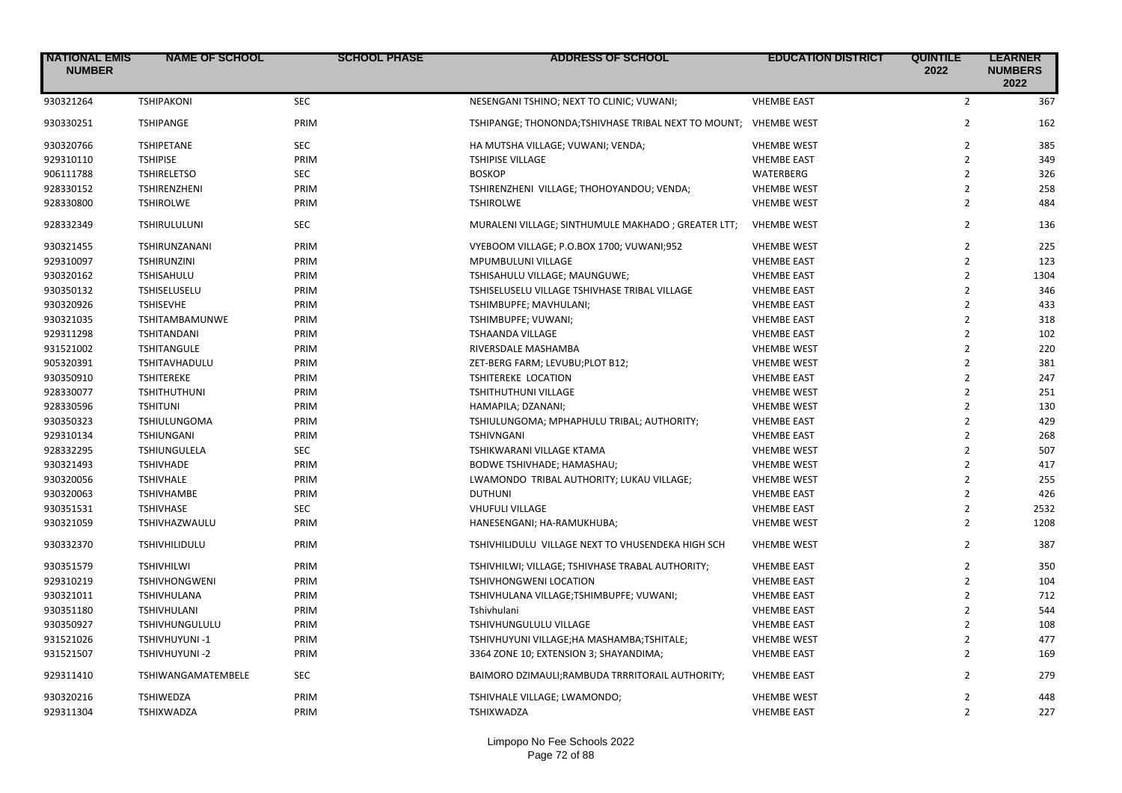| <b>NATIONAL EMIS</b><br><b>NUMBER</b> | <b>NAME OF SCHOOL</b> | <b>SCHOOL PHASE</b> | <b>ADDRESS OF SCHOOL</b>                             | <b>EDUCATION DISTRICT</b> | <b>QUINTILE</b><br>2022 | <b>LEARNER</b><br><b>NUMBERS</b><br>2022 |
|---------------------------------------|-----------------------|---------------------|------------------------------------------------------|---------------------------|-------------------------|------------------------------------------|
| 930321264                             | <b>TSHIPAKONI</b>     | <b>SEC</b>          | NESENGANI TSHINO; NEXT TO CLINIC; VUWANI;            | <b>VHEMBE EAST</b>        | $\overline{2}$          | 367                                      |
| 930330251                             | <b>TSHIPANGE</b>      | PRIM                | TSHIPANGE; THONONDA; TSHIVHASE TRIBAL NEXT TO MOUNT; | <b>VHEMBE WEST</b>        | $\overline{2}$          | 162                                      |
| 930320766                             | <b>TSHIPETANE</b>     | <b>SEC</b>          | HA MUTSHA VILLAGE; VUWANI; VENDA;                    | <b>VHEMBE WEST</b>        | $\overline{2}$          | 385                                      |
| 929310110                             | <b>TSHIPISE</b>       | PRIM                | <b>TSHIPISE VILLAGE</b>                              | <b>VHEMBE EAST</b>        | $\overline{2}$          | 349                                      |
| 906111788                             | <b>TSHIRELETSO</b>    | SEC                 | <b>BOSKOP</b>                                        | WATERBERG                 | $\overline{2}$          | 326                                      |
| 928330152                             | <b>TSHIRENZHENI</b>   | PRIM                | TSHIRENZHENI VILLAGE; THOHOYANDOU; VENDA;            | <b>VHEMBE WEST</b>        | $\overline{2}$          | 258                                      |
| 928330800                             | <b>TSHIROLWE</b>      | PRIM                | <b>TSHIROLWE</b>                                     | <b>VHEMBE WEST</b>        | $\overline{2}$          | 484                                      |
| 928332349                             | TSHIRULULUNI          | <b>SEC</b>          | MURALENI VILLAGE; SINTHUMULE MAKHADO; GREATER LTT;   | <b>VHEMBE WEST</b>        | $\overline{2}$          | 136                                      |
| 930321455                             | TSHIRUNZANANI         | PRIM                | VYEBOOM VILLAGE; P.O.BOX 1700; VUWANI;952            | <b>VHEMBE WEST</b>        | $\overline{2}$          | 225                                      |
| 929310097                             | <b>TSHIRUNZINI</b>    | PRIM                | MPUMBULUNI VILLAGE                                   | <b>VHEMBE EAST</b>        | $\overline{2}$          | 123                                      |
| 930320162                             | TSHISAHULU            | PRIM                | TSHISAHULU VILLAGE; MAUNGUWE;                        | <b>VHEMBE EAST</b>        | $\overline{2}$          | 1304                                     |
| 930350132                             | TSHISELUSELU          | PRIM                | TSHISELUSELU VILLAGE TSHIVHASE TRIBAL VILLAGE        | <b>VHEMBE EAST</b>        | $\overline{2}$          | 346                                      |
| 930320926                             | <b>TSHISEVHE</b>      | PRIM                | TSHIMBUPFE; MAVHULANI;                               | <b>VHEMBE EAST</b>        | $\overline{2}$          | 433                                      |
| 930321035                             | TSHITAMBAMUNWE        | PRIM                | TSHIMBUPFE; VUWANI;                                  | <b>VHEMBE EAST</b>        | $\overline{2}$          | 318                                      |
| 929311298                             | <b>TSHITANDANI</b>    | PRIM                | TSHAANDA VILLAGE                                     | <b>VHEMBE EAST</b>        | $\overline{2}$          | 102                                      |
| 931521002                             | <b>TSHITANGULE</b>    | PRIM                | RIVERSDALE MASHAMBA                                  | <b>VHEMBE WEST</b>        | $\overline{2}$          | 220                                      |
| 905320391                             | <b>TSHITAVHADULU</b>  | PRIM                | ZET-BERG FARM; LEVUBU; PLOT B12;                     | <b>VHEMBE WEST</b>        | $\overline{2}$          | 381                                      |
| 930350910                             | <b>TSHITEREKE</b>     | PRIM                | <b>TSHITEREKE LOCATION</b>                           | <b>VHEMBE EAST</b>        | $\overline{2}$          | 247                                      |
| 928330077                             | <b>TSHITHUTHUNI</b>   | PRIM                | TSHITHUTHUNI VILLAGE                                 | <b>VHEMBE WEST</b>        | $\overline{2}$          | 251                                      |
| 928330596                             | <b>TSHITUNI</b>       | PRIM                | HAMAPILA; DZANANI;                                   | <b>VHEMBE WEST</b>        | $\overline{2}$          | 130                                      |
| 930350323                             | <b>TSHIULUNGOMA</b>   | PRIM                | TSHIULUNGOMA; MPHAPHULU TRIBAL; AUTHORITY;           | <b>VHEMBE EAST</b>        | $\overline{2}$          | 429                                      |
| 929310134                             | <b>TSHIUNGANI</b>     | PRIM                | TSHIVNGANI                                           | <b>VHEMBE EAST</b>        | $\overline{2}$          | 268                                      |
| 928332295                             | <b>TSHIUNGULELA</b>   | <b>SEC</b>          | TSHIKWARANI VILLAGE KTAMA                            | <b>VHEMBE WEST</b>        | $\overline{2}$          | 507                                      |
| 930321493                             | <b>TSHIVHADE</b>      | PRIM                | BODWE TSHIVHADE; HAMASHAU;                           | <b>VHEMBE WEST</b>        | $\overline{2}$          | 417                                      |
| 930320056                             | <b>TSHIVHALE</b>      | PRIM                | LWAMONDO TRIBAL AUTHORITY; LUKAU VILLAGE;            | <b>VHEMBE WEST</b>        | $\overline{2}$          | 255                                      |
| 930320063                             | <b>TSHIVHAMBE</b>     | PRIM                | <b>DUTHUNI</b>                                       | <b>VHEMBE EAST</b>        | $\overline{2}$          | 426                                      |
| 930351531                             | <b>TSHIVHASE</b>      | <b>SEC</b>          | <b>VHUFULI VILLAGE</b>                               | <b>VHEMBE EAST</b>        | $\overline{2}$          | 2532                                     |
| 930321059                             | TSHIVHAZWAULU         | PRIM                | HANESENGANI; HA-RAMUKHUBA;                           | <b>VHEMBE WEST</b>        | $\overline{2}$          | 1208                                     |
| 930332370                             | TSHIVHILIDULU         | PRIM                | TSHIVHILIDULU VILLAGE NEXT TO VHUSENDEKA HIGH SCH    | <b>VHEMBE WEST</b>        | $\overline{2}$          | 387                                      |
| 930351579                             | <b>TSHIVHILWI</b>     | PRIM                | TSHIVHILWI; VILLAGE; TSHIVHASE TRABAL AUTHORITY;     | <b>VHEMBE EAST</b>        | $\overline{2}$          | 350                                      |
| 929310219                             | <b>TSHIVHONGWENI</b>  | PRIM                | TSHIVHONGWENI LOCATION                               | <b>VHEMBE EAST</b>        | $\overline{2}$          | 104                                      |
| 930321011                             | TSHIVHULANA           | PRIM                | TSHIVHULANA VILLAGE;TSHIMBUPFE; VUWANI;              | <b>VHEMBE EAST</b>        | $\overline{2}$          | 712                                      |
| 930351180                             | TSHIVHULANI           | PRIM                | Tshivhulani                                          | <b>VHEMBE EAST</b>        | $\overline{2}$          | 544                                      |
| 930350927                             | TSHIVHUNGULULU        | PRIM                | TSHIVHUNGULULU VILLAGE                               | <b>VHEMBE EAST</b>        | $\overline{2}$          | 108                                      |
| 931521026                             | TSHIVHUYUNI-1         | PRIM                | TSHIVHUYUNI VILLAGE;HA MASHAMBA;TSHITALE;            | <b>VHEMBE WEST</b>        | $\overline{2}$          | 477                                      |
| 931521507                             | TSHIVHUYUNI-2         | PRIM                | 3364 ZONE 10; EXTENSION 3; SHAYANDIMA;               | <b>VHEMBE EAST</b>        | $\overline{2}$          | 169                                      |
| 929311410                             | TSHIWANGAMATEMBELE    | <b>SEC</b>          | BAIMORO DZIMAULI;RAMBUDA TRRRITORAIL AUTHORITY;      | <b>VHEMBE EAST</b>        | $\overline{2}$          | 279                                      |
| 930320216                             | <b>TSHIWEDZA</b>      | PRIM                | TSHIVHALE VILLAGE; LWAMONDO;                         | <b>VHEMBE WEST</b>        | 2                       | 448                                      |
| 929311304                             | TSHIXWADZA            | PRIM                | TSHIXWADZA                                           | <b>VHEMBE EAST</b>        | $\overline{2}$          | 227                                      |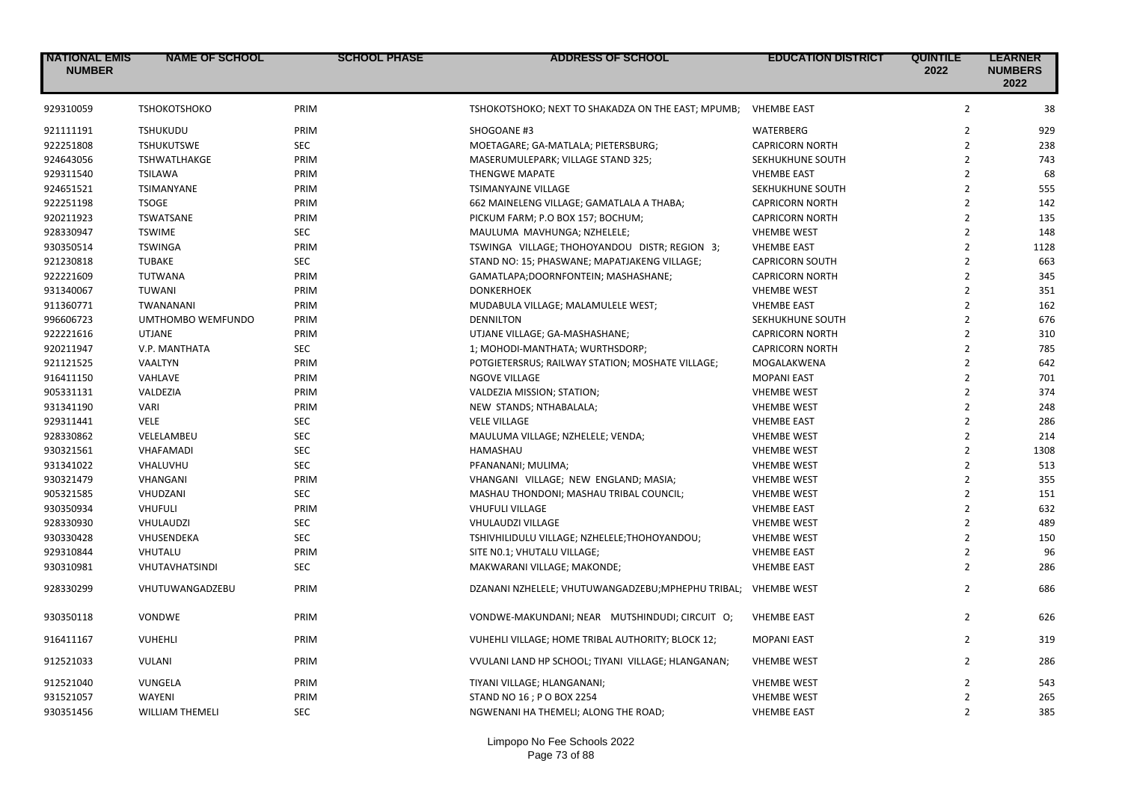| <b>NATIONAL EMIS</b><br><b>NUMBER</b> | <b>NAME OF SCHOOL</b>  | <b>SCHOOL PHASE</b> | ADDRESS OF SCHOOL                                  | <b>EDUCATION DISTRICT</b> | <b>QUINTILE</b><br>2022 | <b>LEARNER</b><br><b>NUMBERS</b><br>2022 |
|---------------------------------------|------------------------|---------------------|----------------------------------------------------|---------------------------|-------------------------|------------------------------------------|
| 929310059                             | <b>TSHOKOTSHOKO</b>    | PRIM                | TSHOKOTSHOKO; NEXT TO SHAKADZA ON THE EAST; MPUMB; | <b>VHEMBE EAST</b>        | $\overline{2}$          | 38                                       |
| 921111191                             | <b>TSHUKUDU</b>        | PRIM                | SHOGOANE #3                                        | WATERBERG                 | $\overline{2}$          | 929                                      |
| 922251808                             | <b>TSHUKUTSWE</b>      | <b>SEC</b>          | MOETAGARE; GA-MATLALA; PIETERSBURG;                | <b>CAPRICORN NORTH</b>    | $\overline{2}$          | 238                                      |
| 924643056                             | <b>TSHWATLHAKGE</b>    | PRIM                | MASERUMULEPARK; VILLAGE STAND 325;                 | SEKHUKHUNE SOUTH          | $\overline{2}$          | 743                                      |
| 929311540                             | <b>TSILAWA</b>         | PRIM                | <b>THENGWE MAPATE</b>                              | <b>VHEMBE EAST</b>        | $\overline{2}$          | 68                                       |
| 924651521                             | TSIMANYANE             | PRIM                | TSIMANYAJNE VILLAGE                                | SEKHUKHUNE SOUTH          | $\overline{2}$          | 555                                      |
| 922251198                             | <b>TSOGE</b>           | PRIM                | 662 MAINELENG VILLAGE; GAMATLALA A THABA;          | <b>CAPRICORN NORTH</b>    | $\overline{2}$          | 142                                      |
| 920211923                             | <b>TSWATSANE</b>       | PRIM                | PICKUM FARM; P.O BOX 157; BOCHUM;                  | <b>CAPRICORN NORTH</b>    | $\overline{2}$          | 135                                      |
| 928330947                             | <b>TSWIME</b>          | <b>SEC</b>          | MAULUMA MAVHUNGA; NZHELELE;                        | <b>VHEMBE WEST</b>        | $\overline{2}$          | 148                                      |
| 930350514                             | <b>TSWINGA</b>         | PRIM                | TSWINGA VILLAGE; THOHOYANDOU DISTR; REGION 3;      | <b>VHEMBE EAST</b>        | $\overline{2}$          | 1128                                     |
| 921230818                             | <b>TUBAKE</b>          | <b>SEC</b>          | STAND NO: 15; PHASWANE; MAPATJAKENG VILLAGE;       | <b>CAPRICORN SOUTH</b>    | $\overline{2}$          | 663                                      |
| 922221609                             | TUTWANA                | PRIM                | GAMATLAPA;DOORNFONTEIN; MASHASHANE;                | <b>CAPRICORN NORTH</b>    | $\overline{2}$          | 345                                      |
| 931340067                             | <b>TUWANI</b>          | PRIM                | <b>DONKERHOEK</b>                                  | <b>VHEMBE WEST</b>        | $\overline{2}$          | 351                                      |
| 911360771                             | TWANANANI              | PRIM                | MUDABULA VILLAGE; MALAMULELE WEST;                 | <b>VHEMBE EAST</b>        | $\overline{2}$          | 162                                      |
| 996606723                             | UMTHOMBO WEMFUNDO      | PRIM                | <b>DENNILTON</b>                                   | SEKHUKHUNE SOUTH          | $\overline{2}$          | 676                                      |
| 922221616                             | <b>UTJANE</b>          | PRIM                | UTJANE VILLAGE; GA-MASHASHANE;                     | <b>CAPRICORN NORTH</b>    | $\overline{2}$          | 310                                      |
| 920211947                             | V.P. MANTHATA          | <b>SEC</b>          | 1; MOHODI-MANTHATA; WURTHSDORP;                    | <b>CAPRICORN NORTH</b>    | $\overline{2}$          | 785                                      |
| 921121525                             | VAALTYN                | PRIM                | POTGIETERSRUS; RAILWAY STATION; MOSHATE VILLAGE;   | MOGALAKWENA               | $\overline{2}$          | 642                                      |
| 916411150                             | VAHLAVE                | PRIM                | <b>NGOVE VILLAGE</b>                               | <b>MOPANI EAST</b>        | $\overline{2}$          | 701                                      |
| 905331131                             | VALDEZIA               | PRIM                | VALDEZIA MISSION; STATION;                         | <b>VHEMBE WEST</b>        | $\overline{2}$          | 374                                      |
| 931341190                             | <b>VARI</b>            | PRIM                | NEW STANDS; NTHABALALA;                            | <b>VHEMBE WEST</b>        | $\overline{2}$          | 248                                      |
| 929311441                             | <b>VELE</b>            | <b>SEC</b>          | <b>VELE VILLAGE</b>                                | <b>VHEMBE EAST</b>        | $\overline{2}$          | 286                                      |
| 928330862                             | VELELAMBEU             | <b>SEC</b>          | MAULUMA VILLAGE; NZHELELE; VENDA;                  | <b>VHEMBE WEST</b>        | $\overline{2}$          | 214                                      |
| 930321561                             | <b>VHAFAMADI</b>       | <b>SEC</b>          | HAMASHAU                                           | <b>VHEMBE WEST</b>        | $\overline{2}$          | 1308                                     |
| 931341022                             | VHALUVHU               | <b>SEC</b>          | PFANANANI; MULIMA;                                 | <b>VHEMBE WEST</b>        | $\overline{2}$          | 513                                      |
| 930321479                             | VHANGANI               | PRIM                | VHANGANI VILLAGE; NEW ENGLAND; MASIA;              | <b>VHEMBE WEST</b>        | $\overline{2}$          | 355                                      |
| 905321585                             | VHUDZANI               | <b>SEC</b>          | MASHAU THONDONI; MASHAU TRIBAL COUNCIL;            | <b>VHEMBE WEST</b>        | $\overline{2}$          | 151                                      |
| 930350934                             | <b>VHUFULI</b>         | PRIM                | <b>VHUFULI VILLAGE</b>                             | <b>VHEMBE EAST</b>        | $\overline{2}$          | 632                                      |
| 928330930                             | VHULAUDZI              | <b>SEC</b>          | VHULAUDZI VILLAGE                                  | <b>VHEMBE WEST</b>        | $\overline{2}$          | 489                                      |
| 930330428                             | VHUSENDEKA             | <b>SEC</b>          | TSHIVHILIDULU VILLAGE; NZHELELE;THOHOYANDOU;       | <b>VHEMBE WEST</b>        | $\overline{2}$          | 150                                      |
| 929310844                             | VHUTALU                | PRIM                | SITE NO.1; VHUTALU VILLAGE;                        | <b>VHEMBE EAST</b>        | $\overline{2}$          | 96                                       |
| 930310981                             | VHUTAVHATSINDI         | <b>SEC</b>          | MAKWARANI VILLAGE; MAKONDE;                        | <b>VHEMBE EAST</b>        | $\overline{2}$          | 286                                      |
| 928330299                             | VHUTUWANGADZEBU        | PRIM                | DZANANI NZHELELE; VHUTUWANGADZEBU; MPHEPHU TRIBAL; | <b>VHEMBE WEST</b>        | $\overline{2}$          | 686                                      |
| 930350118                             | VONDWE                 | PRIM                | VONDWE-MAKUNDANI; NEAR MUTSHINDUDI; CIRCUIT O;     | <b>VHEMBE EAST</b>        | $\overline{2}$          | 626                                      |
| 916411167                             | VUHEHLI                | PRIM                | VUHEHLI VILLAGE; HOME TRIBAL AUTHORITY; BLOCK 12;  | <b>MOPANI EAST</b>        | $\overline{2}$          | 319                                      |
| 912521033                             | VULANI                 | PRIM                | VVULANI LAND HP SCHOOL; TIYANI VILLAGE; HLANGANAN; | <b>VHEMBE WEST</b>        | $\overline{2}$          | 286                                      |
| 912521040                             | VUNGELA                | PRIM                | TIYANI VILLAGE; HLANGANANI;                        | <b>VHEMBE WEST</b>        | $\overline{2}$          | 543                                      |
| 931521057                             | <b>WAYENI</b>          | PRIM                | STAND NO 16; PO BOX 2254                           | <b>VHEMBE WEST</b>        | $\overline{2}$          | 265                                      |
| 930351456                             | <b>WILLIAM THEMELI</b> | <b>SEC</b>          | NGWENANI HA THEMELI; ALONG THE ROAD;               | <b>VHEMBE EAST</b>        | $\overline{2}$          | 385                                      |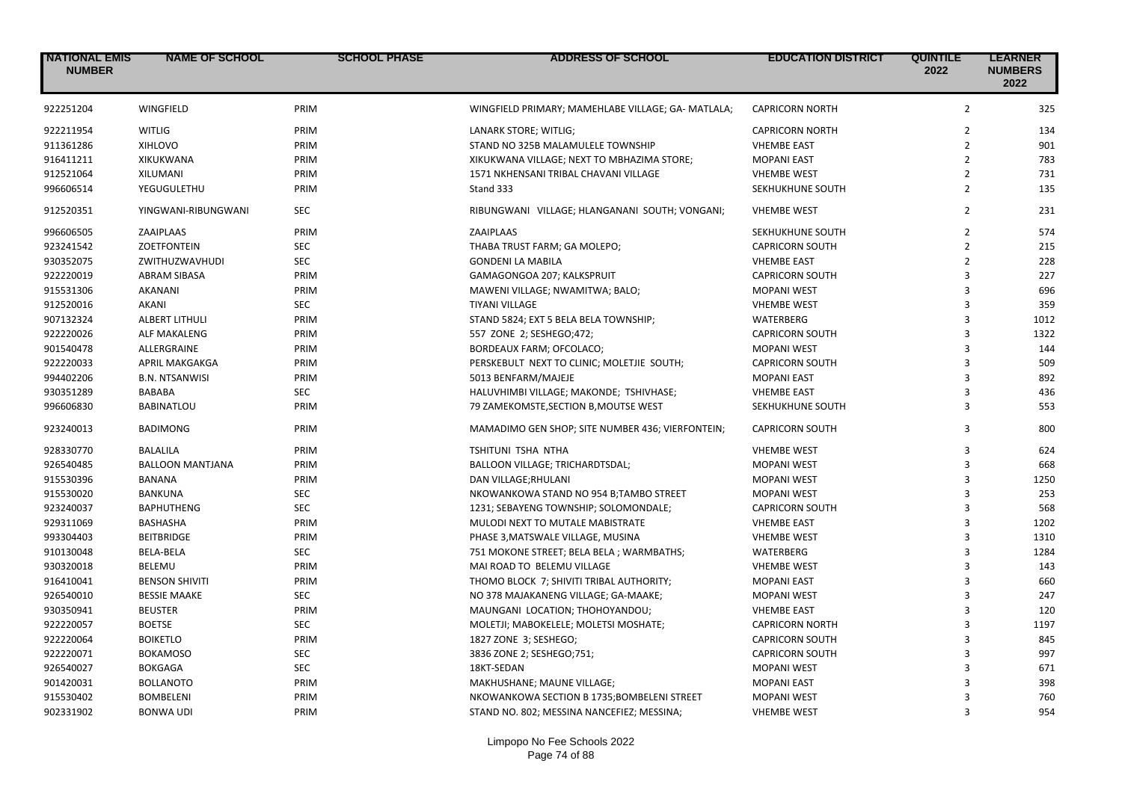| <b>NATIONAL EMIS</b><br><b>NUMBER</b> | <b>NAME OF SCHOOL</b>   | <b>SCHOOL PHASE</b> | <b>ADDRESS OF SCHOOL</b>                           | <b>EDUCATION DISTRICT</b> | <b>QUINTILE</b><br>2022 | <b>LEARNER</b><br><b>NUMBERS</b><br>2022 |
|---------------------------------------|-------------------------|---------------------|----------------------------------------------------|---------------------------|-------------------------|------------------------------------------|
| 922251204                             | WINGFIELD               | PRIM                | WINGFIELD PRIMARY; MAMEHLABE VILLAGE; GA- MATLALA; | <b>CAPRICORN NORTH</b>    | $\overline{2}$          | 325                                      |
| 922211954                             | <b>WITLIG</b>           | PRIM                | LANARK STORE; WITLIG;                              | <b>CAPRICORN NORTH</b>    | $\overline{2}$          | 134                                      |
| 911361286                             | XIHLOVO                 | PRIM                | STAND NO 325B MALAMULELE TOWNSHIP                  | <b>VHEMBE EAST</b>        | $\overline{2}$          | 901                                      |
| 916411211                             | <b>XIKUKWANA</b>        | PRIM                | XIKUKWANA VILLAGE; NEXT TO MBHAZIMA STORE;         | <b>MOPANI EAST</b>        | $\overline{2}$          | 783                                      |
| 912521064                             | XILUMANI                | PRIM                | 1571 NKHENSANI TRIBAL CHAVANI VILLAGE              | <b>VHEMBE WEST</b>        | $\overline{2}$          | 731                                      |
| 996606514                             | YEGUGULETHU             | PRIM                | Stand 333                                          | SEKHUKHUNE SOUTH          | $\overline{2}$          | 135                                      |
| 912520351                             | YINGWANI-RIBUNGWANI     | <b>SEC</b>          | RIBUNGWANI VILLAGE; HLANGANANI SOUTH; VONGANI;     | <b>VHEMBE WEST</b>        | $\overline{2}$          | 231                                      |
| 996606505                             | ZAAIPLAAS               | PRIM                | ZAAIPLAAS                                          | SEKHUKHUNE SOUTH          | $\overline{2}$          | 574                                      |
| 923241542                             | <b>ZOETFONTEIN</b>      | SEC                 | THABA TRUST FARM; GA MOLEPO;                       | <b>CAPRICORN SOUTH</b>    | $\overline{2}$          | 215                                      |
| 930352075                             | ZWITHUZWAVHUDI          | <b>SEC</b>          | <b>GONDENI LA MABILA</b>                           | <b>VHEMBE EAST</b>        | $\overline{2}$          | 228                                      |
| 922220019                             | <b>ABRAM SIBASA</b>     | PRIM                | GAMAGONGOA 207; KALKSPRUIT                         | <b>CAPRICORN SOUTH</b>    | 3                       | 227                                      |
| 915531306                             | AKANANI                 | PRIM                | MAWENI VILLAGE; NWAMITWA; BALO;                    | <b>MOPANI WEST</b>        | 3                       | 696                                      |
| 912520016                             | <b>AKANI</b>            | <b>SEC</b>          | <b>TIYANI VILLAGE</b>                              | <b>VHEMBE WEST</b>        | 3                       | 359                                      |
| 907132324                             | <b>ALBERT LITHULI</b>   | PRIM                | STAND 5824; EXT 5 BELA BELA TOWNSHIP;              | WATERBERG                 | 3                       | 1012                                     |
| 922220026                             | ALF MAKALENG            | PRIM                | 557 ZONE 2; SESHEGO;472;                           | <b>CAPRICORN SOUTH</b>    | 3                       | 1322                                     |
| 901540478                             | ALLERGRAINE             | PRIM                | BORDEAUX FARM; OFCOLACO;                           | <b>MOPANI WEST</b>        | 3                       | 144                                      |
| 922220033                             | <b>APRIL MAKGAKGA</b>   | PRIM                | PERSKEBULT NEXT TO CLINIC; MOLETJIE SOUTH;         | <b>CAPRICORN SOUTH</b>    | $\overline{3}$          | 509                                      |
| 994402206                             | <b>B.N. NTSANWISI</b>   | PRIM                | 5013 BENFARM/MAJEJE                                | <b>MOPANI EAST</b>        | 3                       | 892                                      |
| 930351289                             | <b>BABABA</b>           | <b>SEC</b>          | HALUVHIMBI VILLAGE; MAKONDE; TSHIVHASE;            | <b>VHEMBE EAST</b>        | $\overline{3}$          | 436                                      |
| 996606830                             | <b>BABINATLOU</b>       | PRIM                | 79 ZAMEKOMSTE, SECTION B, MOUTSE WEST              | SEKHUKHUNE SOUTH          | 3                       | 553                                      |
| 923240013                             | <b>BADIMONG</b>         | PRIM                | MAMADIMO GEN SHOP; SITE NUMBER 436; VIERFONTEIN;   | <b>CAPRICORN SOUTH</b>    | 3                       | 800                                      |
| 928330770                             | <b>BALALILA</b>         | PRIM                | <b>TSHITUNI TSHA NTHA</b>                          | <b>VHEMBE WEST</b>        | 3                       | 624                                      |
| 926540485                             | <b>BALLOON MANTJANA</b> | PRIM                | BALLOON VILLAGE; TRICHARDTSDAL;                    | <b>MOPANI WEST</b>        | 3                       | 668                                      |
| 915530396                             | BANANA                  | PRIM                | DAN VILLAGE; RHULANI                               | <b>MOPANI WEST</b>        | 3                       | 1250                                     |
| 915530020                             | <b>BANKUNA</b>          | SEC                 | NKOWANKOWA STAND NO 954 B;TAMBO STREET             | <b>MOPANI WEST</b>        | $\overline{3}$          | 253                                      |
| 923240037                             | <b>BAPHUTHENG</b>       | <b>SEC</b>          | 1231; SEBAYENG TOWNSHIP; SOLOMONDALE;              | <b>CAPRICORN SOUTH</b>    | $\overline{3}$          | 568                                      |
| 929311069                             | <b>BASHASHA</b>         | PRIM                | MULODI NEXT TO MUTALE MABISTRATE                   | <b>VHEMBE EAST</b>        | 3                       | 1202                                     |
| 993304403                             | <b>BEITBRIDGE</b>       | PRIM                | PHASE 3, MATSWALE VILLAGE, MUSINA                  | <b>VHEMBE WEST</b>        | 3                       | 1310                                     |
| 910130048                             | <b>BELA-BELA</b>        | <b>SEC</b>          | 751 MOKONE STREET; BELA BELA; WARMBATHS;           | <b>WATERBERG</b>          | $\overline{3}$          | 1284                                     |
| 930320018                             | <b>BELEMU</b>           | PRIM                | MAI ROAD TO BELEMU VILLAGE                         | <b>VHEMBE WEST</b>        | 3                       | 143                                      |
| 916410041                             | <b>BENSON SHIVITI</b>   | PRIM                | THOMO BLOCK 7; SHIVITI TRIBAL AUTHORITY;           | <b>MOPANI EAST</b>        | $\overline{3}$          | 660                                      |
| 926540010                             | <b>BESSIE MAAKE</b>     | <b>SEC</b>          | NO 378 MAJAKANENG VILLAGE; GA-MAAKE;               | <b>MOPANI WEST</b>        | 3                       | 247                                      |
| 930350941                             | <b>BEUSTER</b>          | PRIM                | MAUNGANI LOCATION; THOHOYANDOU;                    | <b>VHEMBE EAST</b>        | 3                       | 120                                      |
| 922220057                             | <b>BOETSE</b>           | <b>SEC</b>          | MOLETJI; MABOKELELE; MOLETSI MOSHATE;              | <b>CAPRICORN NORTH</b>    | 3                       | 1197                                     |
| 922220064                             | <b>BOIKETLO</b>         | PRIM                | 1827 ZONE 3; SESHEGO;                              | <b>CAPRICORN SOUTH</b>    | 3                       | 845                                      |
| 922220071                             | <b>BOKAMOSO</b>         | <b>SEC</b>          | 3836 ZONE 2; SESHEGO;751;                          | <b>CAPRICORN SOUTH</b>    | 3                       | 997                                      |
| 926540027                             | <b>BOKGAGA</b>          | <b>SEC</b>          | 18KT-SEDAN                                         | <b>MOPANI WEST</b>        | $\overline{3}$          | 671                                      |
| 901420031                             | <b>BOLLANOTO</b>        | PRIM                | MAKHUSHANE; MAUNE VILLAGE;                         | <b>MOPANI EAST</b>        | $\overline{3}$          | 398                                      |
| 915530402                             | <b>BOMBELENI</b>        | PRIM                | NKOWANKOWA SECTION B 1735; BOMBELENI STREET        | <b>MOPANI WEST</b>        | $\mathbf{a}$            | 760                                      |
| 902331902                             | <b>BONWA UDI</b>        | PRIM                | STAND NO. 802; MESSINA NANCEFIEZ; MESSINA;         | <b>VHEMBE WEST</b>        | 3                       | 954                                      |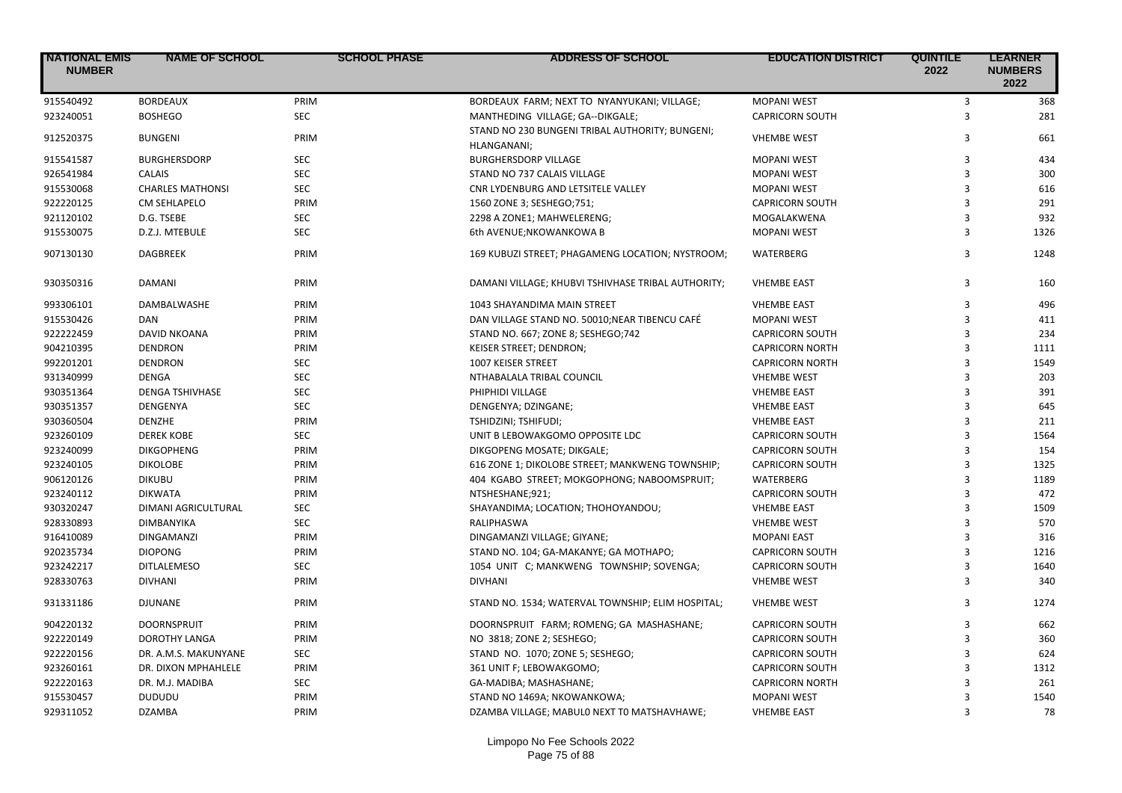| <b>NATIONAL EMIS</b><br><b>NUMBER</b> | <b>NAME OF SCHOOL</b>      | <b>SCHOOL PHASE</b> | <b>ADDRESS OF SCHOOL</b>                                       | <b>EDUCATION DISTRICT</b> | <b>QUINTILE</b><br>2022 | <b>LEARNER</b><br><b>NUMBERS</b><br>2022 |
|---------------------------------------|----------------------------|---------------------|----------------------------------------------------------------|---------------------------|-------------------------|------------------------------------------|
| 915540492                             | <b>BORDEAUX</b>            | PRIM                | BORDEAUX FARM; NEXT TO NYANYUKANI; VILLAGE;                    | <b>MOPANI WEST</b>        | 3                       | 368                                      |
| 923240051                             | <b>BOSHEGO</b>             | <b>SEC</b>          | MANTHEDING VILLAGE; GA--DIKGALE;                               | <b>CAPRICORN SOUTH</b>    | $\overline{3}$          | 281                                      |
| 912520375                             | <b>BUNGENI</b>             | PRIM                | STAND NO 230 BUNGENI TRIBAL AUTHORITY; BUNGENI;<br>HLANGANANI; | <b>VHEMBE WEST</b>        | 3                       | 661                                      |
| 915541587                             | <b>BURGHERSDORP</b>        | <b>SEC</b>          | <b>BURGHERSDORP VILLAGE</b>                                    | <b>MOPANI WEST</b>        | 3                       | 434                                      |
| 926541984                             | CALAIS                     | <b>SEC</b>          | STAND NO 737 CALAIS VILLAGE                                    | <b>MOPANI WEST</b>        | 3                       | 300                                      |
| 915530068                             | <b>CHARLES MATHONSI</b>    | SEC                 | CNR LYDENBURG AND LETSITELE VALLEY                             | <b>MOPANI WEST</b>        | 3                       | 616                                      |
| 922220125                             | <b>CM SEHLAPELO</b>        | PRIM                | 1560 ZONE 3; SESHEGO;751;                                      | <b>CAPRICORN SOUTH</b>    | $\overline{3}$          | 291                                      |
| 921120102                             | D.G. TSEBE                 | <b>SEC</b>          | 2298 A ZONE1; MAHWELERENG;                                     | MOGALAKWENA               | 3                       | 932                                      |
| 915530075                             | D.Z.J. MTEBULE             | <b>SEC</b>          | 6th AVENUE;NKOWANKOWA B                                        | <b>MOPANI WEST</b>        | $\overline{\mathbf{3}}$ | 1326                                     |
| 907130130                             | <b>DAGBREEK</b>            | PRIM                | 169 KUBUZI STREET; PHAGAMENG LOCATION; NYSTROOM;               | WATERBERG                 | 3                       | 1248                                     |
| 930350316                             | <b>DAMANI</b>              | PRIM                | DAMANI VILLAGE; KHUBVI TSHIVHASE TRIBAL AUTHORITY;             | <b>VHEMBE EAST</b>        | 3                       | 160                                      |
| 993306101                             | DAMBALWASHE                | PRIM                | 1043 SHAYANDIMA MAIN STREET                                    | <b>VHEMBE EAST</b>        | 3                       | 496                                      |
| 915530426                             | DAN                        | PRIM                | DAN VILLAGE STAND NO. 50010; NEAR TIBENCU CAFÉ                 | <b>MOPANI WEST</b>        | 3                       | 411                                      |
| 922222459                             | <b>DAVID NKOANA</b>        | PRIM                | STAND NO. 667; ZONE 8; SESHEGO;742                             | <b>CAPRICORN SOUTH</b>    | $\overline{3}$          | 234                                      |
| 904210395                             | <b>DENDRON</b>             | PRIM                | KEISER STREET; DENDRON;                                        | <b>CAPRICORN NORTH</b>    | 3                       | 1111                                     |
| 992201201                             | <b>DENDRON</b>             | <b>SEC</b>          | 1007 KEISER STREET                                             | <b>CAPRICORN NORTH</b>    | 3                       | 1549                                     |
| 931340999                             | <b>DENGA</b>               | <b>SEC</b>          | NTHABALALA TRIBAL COUNCIL                                      | <b>VHEMBE WEST</b>        | 3                       | 203                                      |
| 930351364                             | <b>DENGA TSHIVHASE</b>     | <b>SEC</b>          | PHIPHIDI VILLAGE                                               | <b>VHEMBE EAST</b>        | 3                       | 391                                      |
| 930351357                             | DENGENYA                   | <b>SEC</b>          | DENGENYA; DZINGANE;                                            | <b>VHEMBE EAST</b>        | $\overline{3}$          | 645                                      |
| 930360504                             | <b>DENZHE</b>              | PRIM                | TSHIDZINI; TSHIFUDI;                                           | <b>VHEMBE EAST</b>        | 3                       | 211                                      |
| 923260109                             | <b>DEREK KOBE</b>          | <b>SEC</b>          | UNIT B LEBOWAKGOMO OPPOSITE LDC                                | <b>CAPRICORN SOUTH</b>    | $\overline{3}$          | 1564                                     |
| 923240099                             | <b>DIKGOPHENG</b>          | PRIM                | DIKGOPENG MOSATE; DIKGALE;                                     | <b>CAPRICORN SOUTH</b>    | $\overline{3}$          | 154                                      |
| 923240105                             | <b>DIKOLOBE</b>            | PRIM                | 616 ZONE 1; DIKOLOBE STREET; MANKWENG TOWNSHIP;                | <b>CAPRICORN SOUTH</b>    | 3                       | 1325                                     |
| 906120126                             | <b>DIKUBU</b>              | PRIM                | 404 KGABO STREET; MOKGOPHONG; NABOOMSPRUIT;                    | <b>WATERBERG</b>          | $\overline{3}$          | 1189                                     |
| 923240112                             | <b>DIKWATA</b>             | PRIM                | NTSHESHANE;921;                                                | <b>CAPRICORN SOUTH</b>    | 3                       | 472                                      |
| 930320247                             | <b>DIMANI AGRICULTURAL</b> | <b>SEC</b>          | SHAYANDIMA; LOCATION; THOHOYANDOU;                             | <b>VHEMBE EAST</b>        | 3                       | 1509                                     |
| 928330893                             | DIMBANYIKA                 | <b>SEC</b>          | RALIPHASWA                                                     | <b>VHEMBE WEST</b>        | 3                       | 570                                      |
| 916410089                             | <b>DINGAMANZI</b>          | PRIM                | DINGAMANZI VILLAGE; GIYANE;                                    | <b>MOPANI EAST</b>        | 3                       | 316                                      |
| 920235734                             | <b>DIOPONG</b>             | PRIM                | STAND NO. 104; GA-MAKANYE; GA MOTHAPO;                         | <b>CAPRICORN SOUTH</b>    | $\overline{3}$          | 1216                                     |
| 923242217                             | <b>DITLALEMESO</b>         | <b>SEC</b>          | 1054 UNIT C; MANKWENG TOWNSHIP; SOVENGA;                       | <b>CAPRICORN SOUTH</b>    | 3                       | 1640                                     |
| 928330763                             | <b>DIVHANI</b>             | PRIM                | <b>DIVHANI</b>                                                 | <b>VHEMBE WEST</b>        | 3                       | 340                                      |
| 931331186                             | <b>DJUNANE</b>             | PRIM                | STAND NO. 1534; WATERVAL TOWNSHIP; ELIM HOSPITAL;              | <b>VHEMBE WEST</b>        | 3                       | 1274                                     |
| 904220132                             | <b>DOORNSPRUIT</b>         | PRIM                | DOORNSPRUIT FARM; ROMENG; GA MASHASHANE;                       | <b>CAPRICORN SOUTH</b>    | $\overline{3}$          | 662                                      |
| 922220149                             | <b>DOROTHY LANGA</b>       | PRIM                | NO 3818; ZONE 2; SESHEGO;                                      | <b>CAPRICORN SOUTH</b>    | 3                       | 360                                      |
| 922220156                             | DR. A.M.S. MAKUNYANE       | <b>SEC</b>          | STAND NO. 1070; ZONE 5; SESHEGO;                               | <b>CAPRICORN SOUTH</b>    | 3                       | 624                                      |
| 923260161                             | DR. DIXON MPHAHLELE        | PRIM                | 361 UNIT F; LEBOWAKGOMO;                                       | <b>CAPRICORN SOUTH</b>    | 3                       | 1312                                     |
| 922220163                             | DR. M.J. MADIBA            | <b>SEC</b>          | GA-MADIBA; MASHASHANE;                                         | <b>CAPRICORN NORTH</b>    | 3                       | 261                                      |
| 915530457                             | <b>DUDUDU</b>              | PRIM                | STAND NO 1469A; NKOWANKOWA;                                    | <b>MOPANI WEST</b>        | $\mathbf{a}$            | 1540                                     |
| 929311052                             | <b>DZAMBA</b>              | PRIM                | DZAMBA VILLAGE; MABULO NEXT TO MATSHAVHAWE;                    | <b>VHEMBE EAST</b>        | 3                       | 78                                       |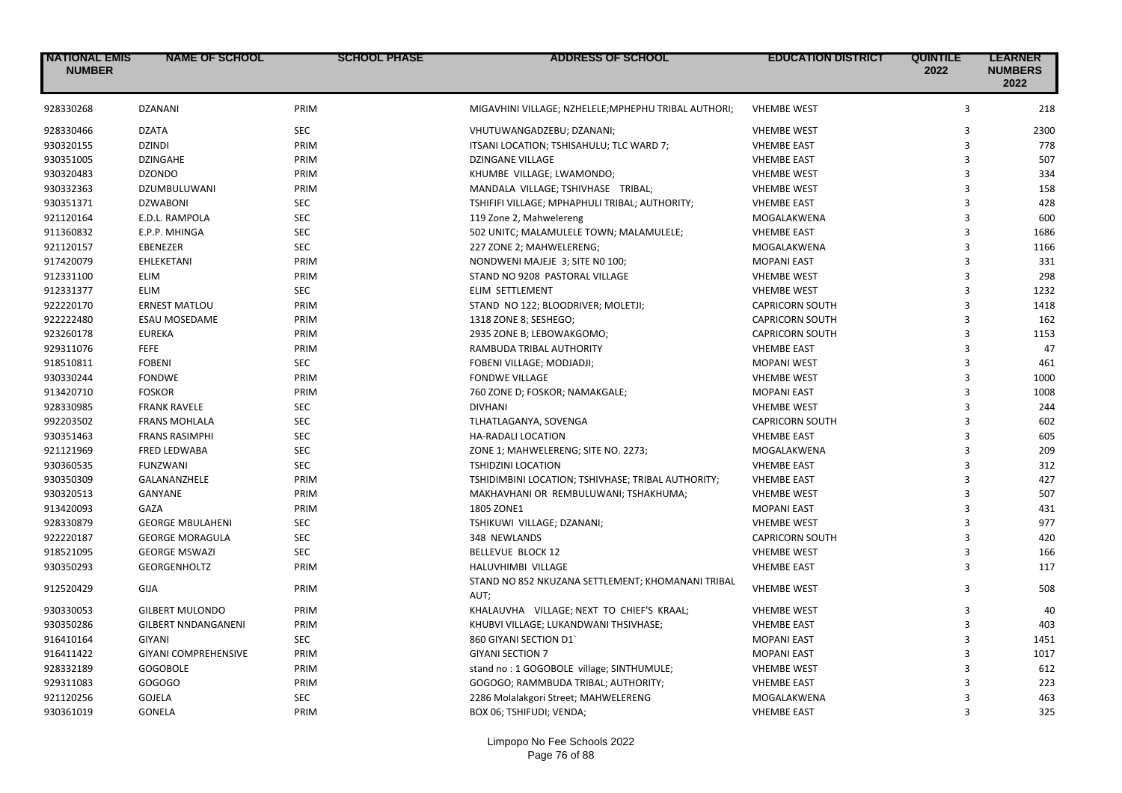| <b>NATIONAL EMIS</b><br><b>NUMBER</b> | <b>NAME OF SCHOOL</b>       | <b>SCHOOL PHASE</b> | <b>ADDRESS OF SCHOOL</b>                                  | <b>EDUCATION DISTRICT</b> | <b>QUINTILE</b><br>2022 | <b>LEARNER</b><br><b>NUMBERS</b><br>2022 |
|---------------------------------------|-----------------------------|---------------------|-----------------------------------------------------------|---------------------------|-------------------------|------------------------------------------|
| 928330268                             | <b>DZANANI</b>              | PRIM                | MIGAVHINI VILLAGE; NZHELELE; MPHEPHU TRIBAL AUTHORI;      | <b>VHEMBE WEST</b>        | 3                       | 218                                      |
| 928330466                             | <b>DZATA</b>                | <b>SEC</b>          | VHUTUWANGADZEBU; DZANANI;                                 | <b>VHEMBE WEST</b>        | 3                       | 2300                                     |
| 930320155                             | <b>DZINDI</b>               | PRIM                | ITSANI LOCATION; TSHISAHULU; TLC WARD 7;                  | <b>VHEMBE EAST</b>        | $\overline{\mathbf{3}}$ | 778                                      |
| 930351005                             | <b>DZINGAHE</b>             | PRIM                | <b>DZINGANE VILLAGE</b>                                   | <b>VHEMBE EAST</b>        | 3                       | 507                                      |
| 930320483                             | <b>DZONDO</b>               | PRIM                | KHUMBE VILLAGE; LWAMONDO;                                 | <b>VHEMBE WEST</b>        | 3                       | 334                                      |
| 930332363                             | DZUMBULUWANI                | PRIM                | MANDALA VILLAGE; TSHIVHASE TRIBAL;                        | <b>VHEMBE WEST</b>        | $\overline{\mathbf{3}}$ | 158                                      |
| 930351371                             | <b>DZWABONI</b>             | <b>SEC</b>          | TSHIFIFI VILLAGE; MPHAPHULI TRIBAL; AUTHORITY;            | <b>VHEMBE EAST</b>        | $\overline{\mathbf{3}}$ | 428                                      |
| 921120164                             | E.D.L. RAMPOLA              | <b>SEC</b>          | 119 Zone 2, Mahwelereng                                   | MOGALAKWENA               | $\overline{\mathbf{3}}$ | 600                                      |
| 911360832                             | E.P.P. MHINGA               | <b>SEC</b>          | 502 UNITC; MALAMULELE TOWN; MALAMULELE;                   | <b>VHEMBE EAST</b>        | $\overline{\mathbf{3}}$ | 1686                                     |
| 921120157                             | EBENEZER                    | <b>SEC</b>          | 227 ZONE 2; MAHWELERENG;                                  | MOGALAKWENA               | 3                       | 1166                                     |
| 917420079                             | EHLEKETANI                  | PRIM                | NONDWENI MAJEJE 3; SITE NO 100;                           | <b>MOPANI EAST</b>        | 3                       | 331                                      |
| 912331100                             | <b>ELIM</b>                 | PRIM                | STAND NO 9208 PASTORAL VILLAGE                            | <b>VHEMBE WEST</b>        | $\overline{\mathbf{3}}$ | 298                                      |
| 912331377                             | <b>ELIM</b>                 | <b>SEC</b>          | ELIM SETTLEMENT                                           | <b>VHEMBE WEST</b>        | 3                       | 1232                                     |
| 922220170                             | <b>ERNEST MATLOU</b>        | PRIM                | STAND NO 122; BLOODRIVER; MOLETJI;                        | <b>CAPRICORN SOUTH</b>    | 3                       | 1418                                     |
| 922222480                             | <b>ESAU MOSEDAME</b>        | PRIM                | 1318 ZONE 8; SESHEGO;                                     | <b>CAPRICORN SOUTH</b>    | $\overline{\mathbf{3}}$ | 162                                      |
| 923260178                             | <b>EUREKA</b>               | PRIM                | 2935 ZONE B; LEBOWAKGOMO;                                 | <b>CAPRICORN SOUTH</b>    | 3                       | 1153                                     |
| 929311076                             | <b>FEFE</b>                 | PRIM                | RAMBUDA TRIBAL AUTHORITY                                  | <b>VHEMBE EAST</b>        | 3                       | 47                                       |
| 918510811                             | <b>FOBENI</b>               | <b>SEC</b>          | FOBENI VILLAGE; MODJADJI;                                 | <b>MOPANI WEST</b>        | 3                       | 461                                      |
| 930330244                             | <b>FONDWE</b>               | PRIM                | <b>FONDWE VILLAGE</b>                                     | <b>VHEMBE WEST</b>        | 3                       | 1000                                     |
| 913420710                             | <b>FOSKOR</b>               | PRIM                | 760 ZONE D; FOSKOR; NAMAKGALE;                            | <b>MOPANI EAST</b>        | $\overline{\mathbf{3}}$ | 1008                                     |
| 928330985                             | <b>FRANK RAVELE</b>         | <b>SEC</b>          | <b>DIVHANI</b>                                            | <b>VHEMBE WEST</b>        | 3                       | 244                                      |
| 992203502                             | <b>FRANS MOHLALA</b>        | <b>SEC</b>          | TLHATLAGANYA, SOVENGA                                     | <b>CAPRICORN SOUTH</b>    | 3                       | 602                                      |
| 930351463                             | <b>FRANS RASIMPHI</b>       | <b>SEC</b>          | HA-RADALI LOCATION                                        | <b>VHEMBE EAST</b>        | 3                       | 605                                      |
| 921121969                             | <b>FRED LEDWABA</b>         | <b>SEC</b>          | ZONE 1; MAHWELERENG; SITE NO. 2273;                       | MOGALAKWENA               | 3                       | 209                                      |
| 930360535                             | <b>FUNZWANI</b>             | <b>SEC</b>          | <b>TSHIDZINI LOCATION</b>                                 | <b>VHEMBE EAST</b>        | $\overline{3}$          | 312                                      |
| 930350309                             | GALANANZHELE                | PRIM                | TSHIDIMBINI LOCATION; TSHIVHASE; TRIBAL AUTHORITY;        | <b>VHEMBE EAST</b>        | 3                       | 427                                      |
| 930320513                             | GANYANE                     | PRIM                | MAKHAVHANI OR REMBULUWANI; TSHAKHUMA;                     | <b>VHEMBE WEST</b>        | $\overline{\mathbf{3}}$ | 507                                      |
| 913420093                             | GAZA                        | PRIM                | 1805 ZONE1                                                | <b>MOPANI EAST</b>        | $\overline{\mathbf{3}}$ | 431                                      |
| 928330879                             | <b>GEORGE MBULAHENI</b>     | <b>SEC</b>          | TSHIKUWI VILLAGE; DZANANI;                                | <b>VHEMBE WEST</b>        | 3                       | 977                                      |
| 922220187                             | <b>GEORGE MORAGULA</b>      | <b>SEC</b>          | 348 NEWLANDS                                              | <b>CAPRICORN SOUTH</b>    | 3                       | 420                                      |
| 918521095                             | <b>GEORGE MSWAZI</b>        | <b>SEC</b>          | <b>BELLEVUE BLOCK 12</b>                                  | <b>VHEMBE WEST</b>        | 3                       | 166                                      |
| 930350293                             | <b>GEORGENHOLTZ</b>         | PRIM                | HALUVHIMBI VILLAGE                                        | <b>VHEMBE EAST</b>        | 3                       | 117                                      |
| 912520429                             | GIJA                        | PRIM                | STAND NO 852 NKUZANA SETTLEMENT; KHOMANANI TRIBAL<br>AUT; | <b>VHEMBE WEST</b>        | 3                       | 508                                      |
| 930330053                             | <b>GILBERT MULONDO</b>      | PRIM                | KHALAUVHA VILLAGE; NEXT TO CHIEF'S KRAAL;                 | <b>VHEMBE WEST</b>        | 3                       | 40                                       |
| 930350286                             | <b>GILBERT NNDANGANENI</b>  | PRIM                | KHUBVI VILLAGE; LUKANDWANI THSIVHASE;                     | <b>VHEMBE EAST</b>        | 3                       | 403                                      |
| 916410164                             | <b>GIYANI</b>               | <b>SEC</b>          | 860 GIYANI SECTION D1                                     | <b>MOPANI EAST</b>        | 3                       | 1451                                     |
| 916411422                             | <b>GIYANI COMPREHENSIVE</b> | PRIM                | <b>GIYANI SECTION 7</b>                                   | <b>MOPANI EAST</b>        | 3                       | 1017                                     |
| 928332189                             | <b>GOGOBOLE</b>             | PRIM                | stand no: 1 GOGOBOLE village; SINTHUMULE;                 | <b>VHEMBE WEST</b>        | 3                       | 612                                      |
| 929311083                             | GOGOGO                      | PRIM                | GOGOGO; RAMMBUDA TRIBAL; AUTHORITY;                       | <b>VHEMBE EAST</b>        | $\overline{\mathbf{3}}$ | 223                                      |
| 921120256                             | <b>GOJELA</b>               | <b>SEC</b>          | 2286 Molalakgori Street; MAHWELERENG                      | MOGALAKWENA               | $\overline{\mathbf{3}}$ | 463                                      |
| 930361019                             | <b>GONELA</b>               | PRIM                | BOX 06; TSHIFUDI; VENDA;                                  | <b>VHEMBE EAST</b>        | $\overline{3}$          | 325                                      |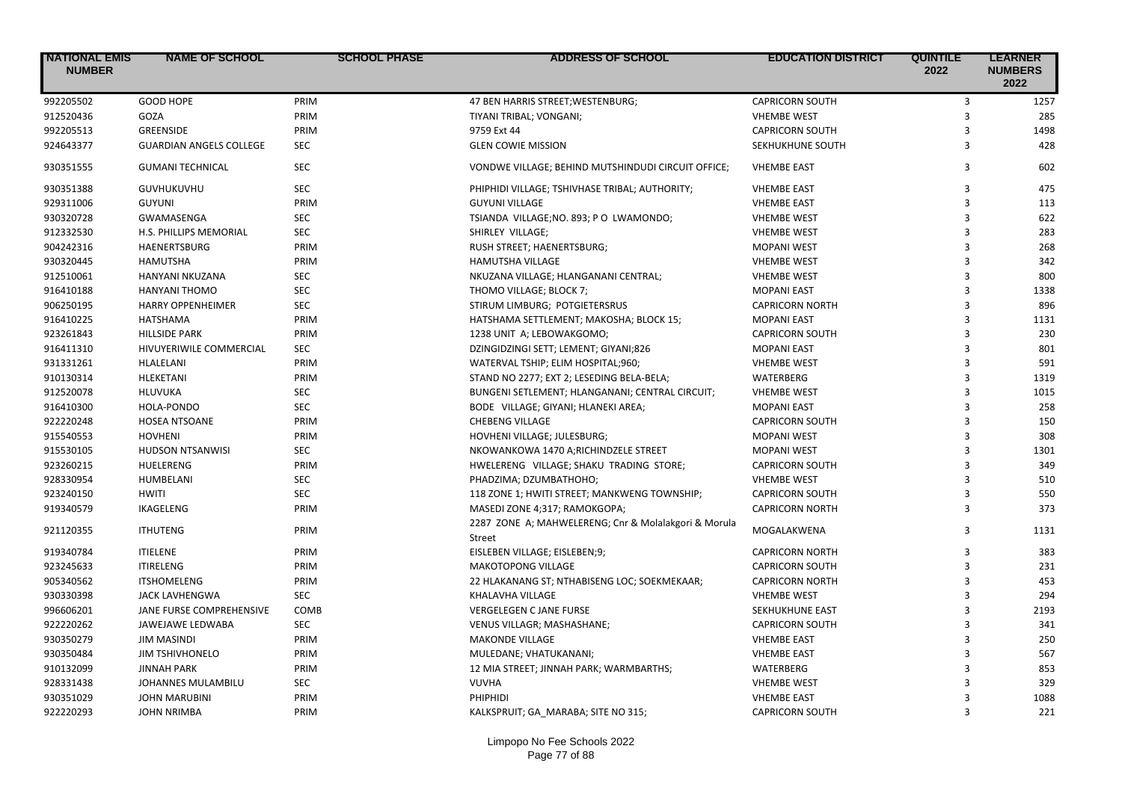| <b>NATIONAL EMIS</b><br><b>NUMBER</b> | <b>NAME OF SCHOOL</b>          | <b>SCHOOL PHASE</b> | <b>ADDRESS OF SCHOOL</b>                                              | <b>EDUCATION DISTRICT</b> | <b>QUINTILE</b><br>2022 | <b>LEARNER</b><br><b>NUMBERS</b><br>2022 |
|---------------------------------------|--------------------------------|---------------------|-----------------------------------------------------------------------|---------------------------|-------------------------|------------------------------------------|
| 992205502                             | <b>GOOD HOPE</b>               | PRIM                | 47 BEN HARRIS STREET; WESTENBURG;                                     | <b>CAPRICORN SOUTH</b>    | 3                       | 1257                                     |
| 912520436                             | GOZA                           | PRIM                | TIYANI TRIBAL; VONGANI;                                               | <b>VHEMBE WEST</b>        | 3                       | 285                                      |
| 992205513                             | <b>GREENSIDE</b>               | PRIM                | 9759 Ext 44                                                           | <b>CAPRICORN SOUTH</b>    | 3                       | 1498                                     |
| 924643377                             | <b>GUARDIAN ANGELS COLLEGE</b> | <b>SEC</b>          | <b>GLEN COWIE MISSION</b>                                             | SEKHUKHUNE SOUTH          | 3                       | 428                                      |
| 930351555                             | <b>GUMANI TECHNICAL</b>        | <b>SEC</b>          | VONDWE VILLAGE; BEHIND MUTSHINDUDI CIRCUIT OFFICE;                    | <b>VHEMBE EAST</b>        | 3                       | 602                                      |
| 930351388                             | GUVHUKUVHU                     | <b>SEC</b>          | PHIPHIDI VILLAGE; TSHIVHASE TRIBAL; AUTHORITY;                        | <b>VHEMBE EAST</b>        | 3                       | 475                                      |
| 929311006                             | <b>GUYUNI</b>                  | PRIM                | <b>GUYUNI VILLAGE</b>                                                 | <b>VHEMBE EAST</b>        | 3                       | 113                                      |
| 930320728                             | <b>GWAMASENGA</b>              | <b>SEC</b>          | TSIANDA VILLAGE;NO. 893; PO LWAMONDO;                                 | <b>VHEMBE WEST</b>        | 3                       | 622                                      |
| 912332530                             | H.S. PHILLIPS MEMORIAL         | <b>SEC</b>          | SHIRLEY VILLAGE;                                                      | <b>VHEMBE WEST</b>        | 3                       | 283                                      |
| 904242316                             | HAENERTSBURG                   | PRIM                | <b>RUSH STREET; HAENERTSBURG;</b>                                     | <b>MOPANI WEST</b>        | 3                       | 268                                      |
| 930320445                             | <b>HAMUTSHA</b>                | PRIM                | HAMUTSHA VILLAGE                                                      | <b>VHEMBE WEST</b>        | 3                       | 342                                      |
| 912510061                             | HANYANI NKUZANA                | <b>SEC</b>          | NKUZANA VILLAGE; HLANGANANI CENTRAL;                                  | <b>VHEMBE WEST</b>        | 3                       | 800                                      |
| 916410188                             | HANYANI THOMO                  | <b>SEC</b>          | THOMO VILLAGE; BLOCK 7;                                               | <b>MOPANI EAST</b>        | 3                       | 1338                                     |
| 906250195                             | <b>HARRY OPPENHEIMER</b>       | <b>SEC</b>          | STIRUM LIMBURG; POTGIETERSRUS                                         | <b>CAPRICORN NORTH</b>    | 3                       | 896                                      |
| 916410225                             | <b>HATSHAMA</b>                | PRIM                | HATSHAMA SETTLEMENT; MAKOSHA; BLOCK 15;                               | <b>MOPANI EAST</b>        | 3                       | 1131                                     |
| 923261843                             | <b>HILLSIDE PARK</b>           | PRIM                | 1238 UNIT A; LEBOWAKGOMO;                                             | <b>CAPRICORN SOUTH</b>    | 3                       | 230                                      |
| 916411310                             | HIVUYERIWILE COMMERCIAL        | <b>SEC</b>          | DZINGIDZINGI SETT; LEMENT; GIYANI;826                                 | <b>MOPANI EAST</b>        | 3                       | 801                                      |
| 931331261                             | HLALELANI                      | PRIM                | WATERVAL TSHIP; ELIM HOSPITAL;960;                                    | <b>VHEMBE WEST</b>        | 3                       | 591                                      |
| 910130314                             | HLEKETANI                      | PRIM                | STAND NO 2277; EXT 2; LESEDING BELA-BELA;                             | WATERBERG                 | 3                       | 1319                                     |
| 912520078                             | HLUVUKA                        | <b>SEC</b>          | BUNGENI SETLEMENT; HLANGANANI; CENTRAL CIRCUIT;                       | <b>VHEMBE WEST</b>        | 3                       | 1015                                     |
| 916410300                             | HOLA-PONDO                     | <b>SEC</b>          | BODE VILLAGE; GIYANI; HLANEKI AREA;                                   | <b>MOPANI EAST</b>        | 3                       | 258                                      |
| 922220248                             | <b>HOSEA NTSOANE</b>           | PRIM                | <b>CHEBENG VILLAGE</b>                                                | <b>CAPRICORN SOUTH</b>    | 3                       | 150                                      |
| 915540553                             | <b>HOVHENI</b>                 | PRIM                | HOVHENI VILLAGE; JULESBURG;                                           | <b>MOPANI WEST</b>        | 3                       | 308                                      |
| 915530105                             | <b>HUDSON NTSANWISI</b>        | <b>SEC</b>          | NKOWANKOWA 1470 A;RICHINDZELE STREET                                  | <b>MOPANI WEST</b>        | 3                       | 1301                                     |
| 923260215                             | <b>HUELERENG</b>               | PRIM                | HWELERENG VILLAGE; SHAKU TRADING STORE;                               | <b>CAPRICORN SOUTH</b>    | 3                       | 349                                      |
| 928330954                             | HUMBELANI                      | <b>SEC</b>          | PHADZIMA; DZUMBATHOHO;                                                | <b>VHEMBE WEST</b>        | 3                       | 510                                      |
| 923240150                             | <b>HWITI</b>                   | <b>SEC</b>          | 118 ZONE 1; HWITI STREET; MANKWENG TOWNSHIP;                          | <b>CAPRICORN SOUTH</b>    | 3                       | 550                                      |
| 919340579                             | <b>IKAGELENG</b>               | PRIM                | MASEDI ZONE 4;317; RAMOKGOPA;                                         | <b>CAPRICORN NORTH</b>    | 3                       | 373                                      |
| 921120355                             | <b>ITHUTENG</b>                | PRIM                | 2287 ZONE A; MAHWELERENG; Cnr & Molalakgori & Morula<br><b>Street</b> | MOGALAKWENA               | 3                       | 1131                                     |
| 919340784                             | <b>ITIELENE</b>                | PRIM                | EISLEBEN VILLAGE; EISLEBEN;9;                                         | <b>CAPRICORN NORTH</b>    | 3                       | 383                                      |
| 923245633                             | <b>ITIRELENG</b>               | PRIM                | <b>MAKOTOPONG VILLAGE</b>                                             | <b>CAPRICORN SOUTH</b>    | 3                       | 231                                      |
| 905340562                             | <b>ITSHOMELENG</b>             | PRIM                | 22 HLAKANANG ST; NTHABISENG LOC; SOEKMEKAAR;                          | <b>CAPRICORN NORTH</b>    | 3                       | 453                                      |
| 930330398                             | <b>JACK LAVHENGWA</b>          | <b>SEC</b>          | KHALAVHA VILLAGE                                                      | <b>VHEMBE WEST</b>        | 3                       | 294                                      |
| 996606201                             | JANE FURSE COMPREHENSIVE       | COMB                | <b>VERGELEGEN C JANE FURSE</b>                                        | SEKHUKHUNE EAST           | 3                       | 2193                                     |
| 922220262                             | <b>JAWEJAWE LEDWABA</b>        | <b>SEC</b>          | VENUS VILLAGR; MASHASHANE;                                            | <b>CAPRICORN SOUTH</b>    | 3                       | 341                                      |
| 930350279                             | <b>JIM MASINDI</b>             | PRIM                | <b>MAKONDE VILLAGE</b>                                                | <b>VHEMBE EAST</b>        | 3                       | 250                                      |
| 930350484                             | <b>JIM TSHIVHONELO</b>         | PRIM                | MULEDANE; VHATUKANANI;                                                | <b>VHEMBE EAST</b>        | 3                       | 567                                      |
| 910132099                             | <b>JINNAH PARK</b>             | PRIM                | 12 MIA STREET; JINNAH PARK; WARMBARTHS;                               | WATERBERG                 | 3                       | 853                                      |
| 928331438                             | JOHANNES MULAMBILU             | <b>SEC</b>          | <b>VUVHA</b>                                                          | <b>VHEMBE WEST</b>        | $\mathbf{a}$            | 329                                      |
| 930351029                             | <b>JOHN MARUBINI</b>           | PRIM                | PHIPHIDI                                                              | <b>VHEMBE EAST</b>        | 3                       | 1088                                     |
| 922220293                             | JOHN NRIMBA                    | PRIM                | KALKSPRUIT: GA MARABA: SITE NO 315:                                   | <b>CAPRICORN SOUTH</b>    | ξ                       | 221                                      |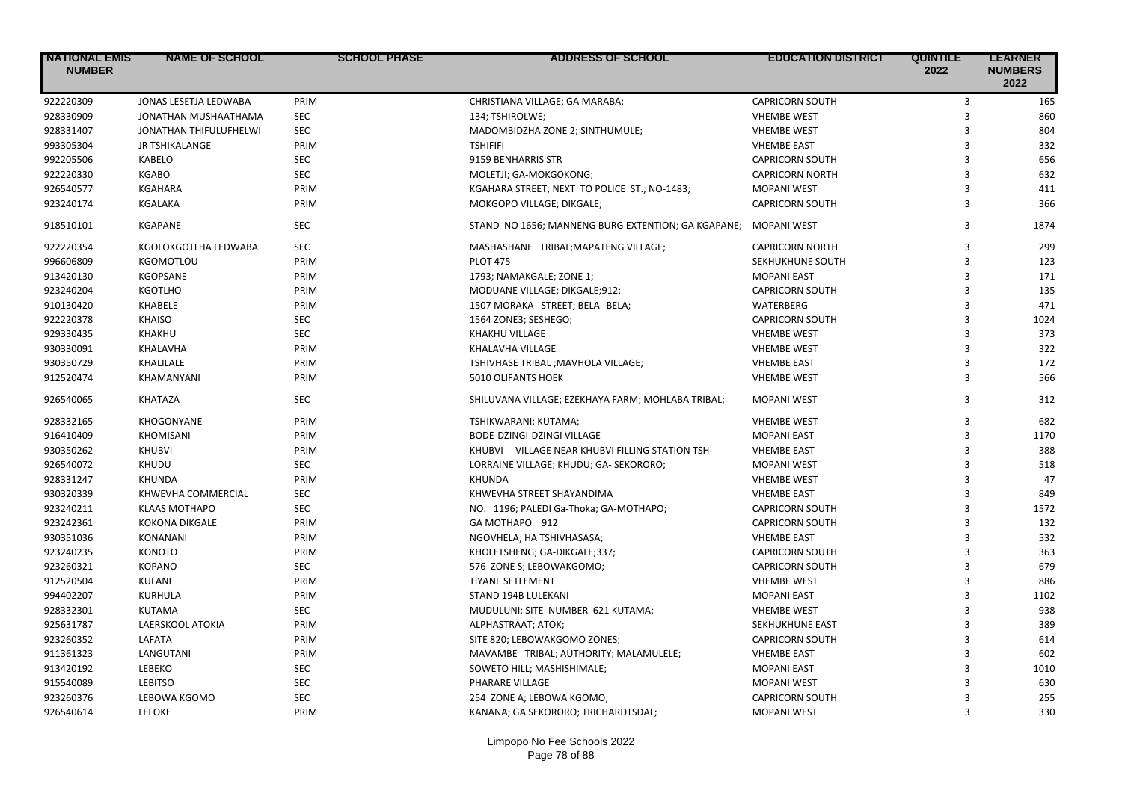| <b>NATIONAL EMIS</b><br><b>NUMBER</b> | <b>NAME OF SCHOOL</b>  | <b>SCHOOL PHASE</b> | <b>ADDRESS OF SCHOOL</b>                           | <b>EDUCATION DISTRICT</b> | <b>QUINTILE</b><br>2022 | <b>LEARNER</b><br><b>NUMBERS</b><br>2022 |
|---------------------------------------|------------------------|---------------------|----------------------------------------------------|---------------------------|-------------------------|------------------------------------------|
| 922220309                             | JONAS LESETJA LEDWABA  | PRIM                | CHRISTIANA VILLAGE; GA MARABA;                     | <b>CAPRICORN SOUTH</b>    | 3                       | 165                                      |
| 928330909                             | JONATHAN MUSHAATHAMA   | <b>SEC</b>          | 134; TSHIROLWE;                                    | <b>VHEMBE WEST</b>        | $\overline{3}$          | 860                                      |
| 928331407                             | JONATHAN THIFULUFHELWI | <b>SEC</b>          | MADOMBIDZHA ZONE 2; SINTHUMULE;                    | <b>VHEMBE WEST</b>        | 3                       | 804                                      |
| 993305304                             | JR TSHIKALANGE         | PRIM                | <b>TSHIFIFI</b>                                    | <b>VHEMBE EAST</b>        | 3                       | 332                                      |
| 992205506                             | KABELO                 | <b>SEC</b>          | 9159 BENHARRIS STR                                 | <b>CAPRICORN SOUTH</b>    | $\overline{\mathbf{3}}$ | 656                                      |
| 922220330                             | <b>KGABO</b>           | <b>SEC</b>          | MOLETJI; GA-MOKGOKONG;                             | <b>CAPRICORN NORTH</b>    | 3                       | 632                                      |
| 926540577                             | <b>KGAHARA</b>         | PRIM                | KGAHARA STREET; NEXT TO POLICE ST.; NO-1483;       | <b>MOPANI WEST</b>        | $\overline{3}$          | 411                                      |
| 923240174                             | KGALAKA                | PRIM                | MOKGOPO VILLAGE; DIKGALE;                          | <b>CAPRICORN SOUTH</b>    | 3                       | 366                                      |
| 918510101                             | <b>KGAPANE</b>         | <b>SEC</b>          | STAND NO 1656; MANNENG BURG EXTENTION; GA KGAPANE; | <b>MOPANI WEST</b>        | 3                       | 1874                                     |
| 922220354                             | KGOLOKGOTLHA LEDWABA   | <b>SEC</b>          | MASHASHANE TRIBAL; MAPATENG VILLAGE;               | <b>CAPRICORN NORTH</b>    | 3                       | 299                                      |
| 996606809                             | KGOMOTLOU              | PRIM                | <b>PLOT 475</b>                                    | SEKHUKHUNE SOUTH          | $\overline{3}$          | 123                                      |
| 913420130                             | KGOPSANE               | PRIM                | 1793; NAMAKGALE; ZONE 1;                           | <b>MOPANI EAST</b>        | 3                       | 171                                      |
| 923240204                             | KGOTLHO                | PRIM                | MODUANE VILLAGE; DIKGALE;912;                      | <b>CAPRICORN SOUTH</b>    | 3                       | 135                                      |
| 910130420                             | <b>KHABELE</b>         | PRIM                | 1507 MORAKA STREET; BELA--BELA;                    | <b>WATERBERG</b>          | 3                       | 471                                      |
| 922220378                             | <b>KHAISO</b>          | <b>SEC</b>          | 1564 ZONE3; SESHEGO;                               | <b>CAPRICORN SOUTH</b>    | $\overline{3}$          | 1024                                     |
| 929330435                             | <b>KHAKHU</b>          | <b>SEC</b>          | <b>KHAKHU VILLAGE</b>                              | <b>VHEMBE WEST</b>        | 3                       | 373                                      |
| 930330091                             | KHALAVHA               | PRIM                | KHALAVHA VILLAGE                                   | <b>VHEMBE WEST</b>        | $\mathbf{a}$            | 322                                      |
| 930350729                             | KHALILALE              | PRIM                | TSHIVHASE TRIBAL ; MAVHOLA VILLAGE;                | <b>VHEMBE EAST</b>        | 3                       | 172                                      |
| 912520474                             | KHAMANYANI             | PRIM                | <b>5010 OLIFANTS HOEK</b>                          | <b>VHEMBE WEST</b>        | 3                       | 566                                      |
| 926540065                             | KHATAZA                | <b>SEC</b>          | SHILUVANA VILLAGE; EZEKHAYA FARM; MOHLABA TRIBAL;  | <b>MOPANI WEST</b>        | 3                       | 312                                      |
| 928332165                             | KHOGONYANE             | PRIM                | TSHIKWARANI; KUTAMA;                               | <b>VHEMBE WEST</b>        | 3                       | 682                                      |
| 916410409                             | <b>KHOMISANI</b>       | PRIM                | BODE-DZINGI-DZINGI VILLAGE                         | <b>MOPANI EAST</b>        | 3                       | 1170                                     |
| 930350262                             | KHUBVI                 | PRIM                | KHUBVI VILLAGE NEAR KHUBVI FILLING STATION TSH     | <b>VHEMBE EAST</b>        | 3                       | 388                                      |
| 926540072                             | KHUDU                  | <b>SEC</b>          | LORRAINE VILLAGE; KHUDU; GA- SEKORORO;             | <b>MOPANI WEST</b>        | $\mathbf{a}$            | 518                                      |
| 928331247                             | <b>KHUNDA</b>          | PRIM                | KHUNDA                                             | <b>VHEMBE WEST</b>        | 3                       | 47                                       |
| 930320339                             | KHWEVHA COMMERCIAL     | <b>SEC</b>          | KHWEVHA STREET SHAYANDIMA                          | <b>VHEMBE EAST</b>        | 3                       | 849                                      |
| 923240211                             | <b>KLAAS MOTHAPO</b>   | <b>SEC</b>          | NO. 1196; PALEDI Ga-Thoka; GA-MOTHAPO;             | <b>CAPRICORN SOUTH</b>    | 3                       | 1572                                     |
| 923242361                             | <b>KOKONA DIKGALE</b>  | PRIM                | GA MOTHAPO 912                                     | <b>CAPRICORN SOUTH</b>    | 3                       | 132                                      |
| 930351036                             | KONANANI               | PRIM                | NGOVHELA; HA TSHIVHASASA;                          | <b>VHEMBE EAST</b>        | 3                       | 532                                      |
| 923240235                             | <b>KONOTO</b>          | PRIM                | KHOLETSHENG; GA-DIKGALE;337;                       | <b>CAPRICORN SOUTH</b>    | 3                       | 363                                      |
| 923260321                             | <b>KOPANO</b>          | <b>SEC</b>          | 576 ZONE S; LEBOWAKGOMO;                           | <b>CAPRICORN SOUTH</b>    | 3                       | 679                                      |
| 912520504                             | KULANI                 | PRIM                | <b>TIYANI SETLEMENT</b>                            | <b>VHEMBE WEST</b>        | 3                       | 886                                      |
| 994402207                             | KURHULA                | PRIM                | STAND 194B LULEKANI                                | <b>MOPANI EAST</b>        | 3                       | 1102                                     |
| 928332301                             | <b>KUTAMA</b>          | <b>SEC</b>          | MUDULUNI; SITE NUMBER 621 KUTAMA;                  | <b>VHEMBE WEST</b>        | 3                       | 938                                      |
| 925631787                             | LAERSKOOL ATOKIA       | PRIM                | ALPHASTRAAT; ATOK;                                 | SEKHUKHUNE EAST           | 3                       | 389                                      |
| 923260352                             | LAFATA                 | PRIM                | SITE 820; LEBOWAKGOMO ZONES;                       | <b>CAPRICORN SOUTH</b>    | 3                       | 614                                      |
| 911361323                             | LANGUTANI              | PRIM                | MAVAMBE TRIBAL; AUTHORITY; MALAMULELE;             | <b>VHEMBE EAST</b>        | $\mathbf{a}$            | 602                                      |
| 913420192                             | LEBEKO                 | <b>SEC</b>          | SOWETO HILL; MASHISHIMALE;                         | <b>MOPANI EAST</b>        | 3                       | 1010                                     |
| 915540089                             | <b>LEBITSO</b>         | <b>SEC</b>          | PHARARE VILLAGE                                    | <b>MOPANI WEST</b>        | $\overline{3}$          | 630                                      |
| 923260376                             | LEBOWA KGOMO           | <b>SEC</b>          | 254 ZONE A; LEBOWA KGOMO;                          | <b>CAPRICORN SOUTH</b>    | 3                       | 255                                      |
| 926540614                             | <b>LEFOKE</b>          | PRIM                | KANANA; GA SEKORORO; TRICHARDTSDAL;                | <b>MOPANI WEST</b>        | $\overline{\mathbf{3}}$ | 330                                      |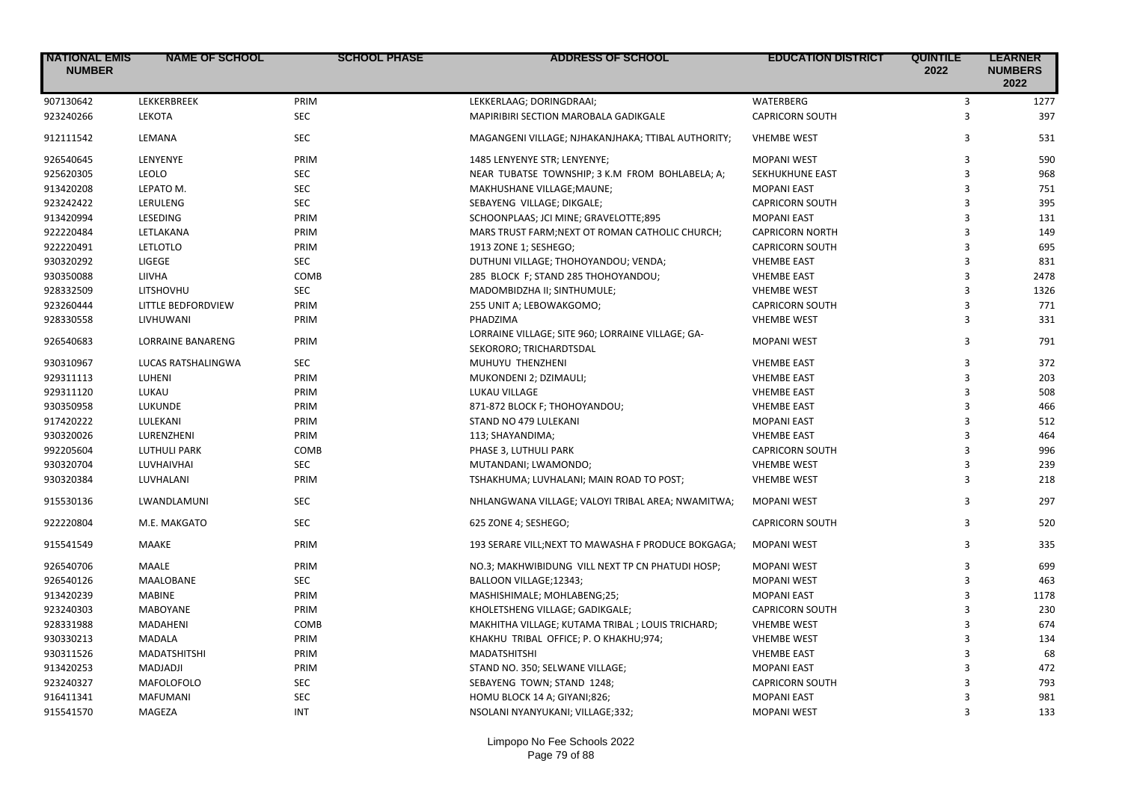| <b>INATIONAL EMIS</b><br><b>NUMBER</b> | <b>NAME OF SCHOOL</b>    | <b>SCHOOL PHASE</b> | <b>ADDRESS OF SCHOOL</b>                                                     | <b>EDUCATION DISTRICT</b> | <b>QUINTILE</b><br>2022 | <b>LEARNER</b><br><b>NUMBERS</b><br>2022 |
|----------------------------------------|--------------------------|---------------------|------------------------------------------------------------------------------|---------------------------|-------------------------|------------------------------------------|
| 907130642                              | LEKKERBREEK              | PRIM                | LEKKERLAAG; DORINGDRAAI;                                                     | WATERBERG                 | $\overline{3}$          | 1277                                     |
| 923240266                              | LEKOTA                   | <b>SEC</b>          | MAPIRIBIRI SECTION MAROBALA GADIKGALE                                        | <b>CAPRICORN SOUTH</b>    | 3                       | 397                                      |
| 912111542                              | LEMANA                   | <b>SEC</b>          | MAGANGENI VILLAGE; NJHAKANJHAKA; TTIBAL AUTHORITY;                           | <b>VHEMBE WEST</b>        | 3                       | 531                                      |
| 926540645                              | LENYENYE                 | PRIM                | 1485 LENYENYE STR; LENYENYE;                                                 | <b>MOPANI WEST</b>        | 3                       | 590                                      |
| 925620305                              | <b>LEOLO</b>             | <b>SEC</b>          | NEAR TUBATSE TOWNSHIP; 3 K.M FROM BOHLABELA; A;                              | SEKHUKHUNE EAST           | 3                       | 968                                      |
| 913420208                              | LEPATO M.                | <b>SEC</b>          | MAKHUSHANE VILLAGE; MAUNE;                                                   | <b>MOPANI EAST</b>        | 3                       | 751                                      |
| 923242422                              | LERULENG                 | <b>SEC</b>          | SEBAYENG VILLAGE; DIKGALE;                                                   | <b>CAPRICORN SOUTH</b>    | 3                       | 395                                      |
| 913420994                              | LESEDING                 | PRIM                | SCHOONPLAAS; JCI MINE; GRAVELOTTE;895                                        | <b>MOPANI EAST</b>        | 3                       | 131                                      |
| 922220484                              | LETLAKANA                | PRIM                | MARS TRUST FARM; NEXT OT ROMAN CATHOLIC CHURCH;                              | <b>CAPRICORN NORTH</b>    | 3                       | 149                                      |
| 922220491                              | LETLOTLO                 | PRIM                | 1913 ZONE 1; SESHEGO;                                                        | <b>CAPRICORN SOUTH</b>    | 3                       | 695                                      |
| 930320292                              | LIGEGE                   | <b>SEC</b>          | DUTHUNI VILLAGE; THOHOYANDOU; VENDA;                                         | <b>VHEMBE EAST</b>        | 3                       | 831                                      |
| 930350088                              | LIIVHA                   | COMB                | 285 BLOCK F; STAND 285 THOHOYANDOU;                                          | <b>VHEMBE EAST</b>        | 3                       | 2478                                     |
| 928332509                              | LITSHOVHU                | <b>SEC</b>          | MADOMBIDZHA II; SINTHUMULE;                                                  | <b>VHEMBE WEST</b>        | 3                       | 1326                                     |
| 923260444                              | LITTLE BEDFORDVIEW       | PRIM                | 255 UNIT A; LEBOWAKGOMO;                                                     | <b>CAPRICORN SOUTH</b>    | 3                       | 771                                      |
| 928330558                              | LIVHUWANI                | PRIM                | PHADZIMA                                                                     | <b>VHEMBE WEST</b>        | 3                       | 331                                      |
| 926540683                              | <b>LORRAINE BANARENG</b> | PRIM                | LORRAINE VILLAGE; SITE 960; LORRAINE VILLAGE; GA-<br>SEKORORO; TRICHARDTSDAL | <b>MOPANI WEST</b>        | 3                       | 791                                      |
| 930310967                              | LUCAS RATSHALINGWA       | <b>SEC</b>          | MUHUYU THENZHENI                                                             | <b>VHEMBE EAST</b>        | 3                       | 372                                      |
| 929311113                              | LUHENI                   | PRIM                | MUKONDENI 2; DZIMAULI;                                                       | <b>VHEMBE EAST</b>        | 3                       | 203                                      |
| 929311120                              | LUKAU                    | PRIM                | LUKAU VILLAGE                                                                | <b>VHEMBE EAST</b>        | 3                       | 508                                      |
| 930350958                              | LUKUNDE                  | PRIM                | 871-872 BLOCK F; THOHOYANDOU;                                                | <b>VHEMBE EAST</b>        | 3                       | 466                                      |
| 917420222                              | LULEKANI                 | PRIM                | STAND NO 479 LULEKANI                                                        | <b>MOPANI EAST</b>        | 3                       | 512                                      |
| 930320026                              | LURENZHENI               | PRIM                | 113; SHAYANDIMA;                                                             | <b>VHEMBE EAST</b>        | 3                       | 464                                      |
| 992205604                              | <b>LUTHULI PARK</b>      | COMB                | PHASE 3, LUTHULI PARK                                                        | <b>CAPRICORN SOUTH</b>    | 3                       | 996                                      |
| 930320704                              | LUVHAIVHAI               | <b>SEC</b>          | MUTANDANI; LWAMONDO;                                                         | <b>VHEMBE WEST</b>        | 3                       | 239                                      |
| 930320384                              | LUVHALANI                | PRIM                | TSHAKHUMA; LUVHALANI; MAIN ROAD TO POST;                                     | <b>VHEMBE WEST</b>        | 3                       | 218                                      |
| 915530136                              | LWANDLAMUNI              | <b>SEC</b>          | NHLANGWANA VILLAGE; VALOYI TRIBAL AREA; NWAMITWA;                            | <b>MOPANI WEST</b>        | 3                       | 297                                      |
| 922220804                              | M.E. MAKGATO             | <b>SEC</b>          | 625 ZONE 4; SESHEGO;                                                         | <b>CAPRICORN SOUTH</b>    | 3                       | 520                                      |
| 915541549                              | MAAKE                    | PRIM                | 193 SERARE VILL; NEXT TO MAWASHA F PRODUCE BOKGAGA;                          | <b>MOPANI WEST</b>        | 3                       | 335                                      |
| 926540706                              | MAALE                    | PRIM                | NO.3; MAKHWIBIDUNG VILL NEXT TP CN PHATUDI HOSP;                             | <b>MOPANI WEST</b>        | 3                       | 699                                      |
| 926540126                              | MAALOBANE                | <b>SEC</b>          | BALLOON VILLAGE;12343;                                                       | <b>MOPANI WEST</b>        | $\mathbf{a}$            | 463                                      |
| 913420239                              | <b>MABINE</b>            | PRIM                | MASHISHIMALE; MOHLABENG;25;                                                  | <b>MOPANI EAST</b>        | 3                       | 1178                                     |
| 923240303                              | <b>MABOYANE</b>          | PRIM                | KHOLETSHENG VILLAGE; GADIKGALE;                                              | <b>CAPRICORN SOUTH</b>    | 3                       | 230                                      |
| 928331988                              | MADAHENI                 | COMB                | MAKHITHA VILLAGE; KUTAMA TRIBAL; LOUIS TRICHARD;                             | <b>VHEMBE WEST</b>        | 3                       | 674                                      |
| 930330213                              | <b>MADALA</b>            | PRIM                | KHAKHU TRIBAL OFFICE; P. O KHAKHU;974;                                       | <b>VHEMBE WEST</b>        | 3                       | 134                                      |
| 930311526                              | <b>MADATSHITSHI</b>      | PRIM                | <b>MADATSHITSHI</b>                                                          | <b>VHEMBE EAST</b>        | 3                       | 68                                       |
| 913420253                              | MADJADJI                 | PRIM                | STAND NO. 350; SELWANE VILLAGE;                                              | <b>MOPANI EAST</b>        | 3                       | 472                                      |
| 923240327                              | MAFOLOFOLO               | <b>SEC</b>          | SEBAYENG TOWN; STAND 1248;                                                   | <b>CAPRICORN SOUTH</b>    | 3                       | 793                                      |
| 916411341                              | <b>MAFUMANI</b>          | <b>SEC</b>          | HOMU BLOCK 14 A; GIYANI;826;                                                 | <b>MOPANI EAST</b>        | 3                       | 981                                      |
| 915541570                              | MAGEZA                   | <b>INT</b>          | NSOLANI NYANYUKANI; VILLAGE;332;                                             | <b>MOPANI WEST</b>        | 3                       | 133                                      |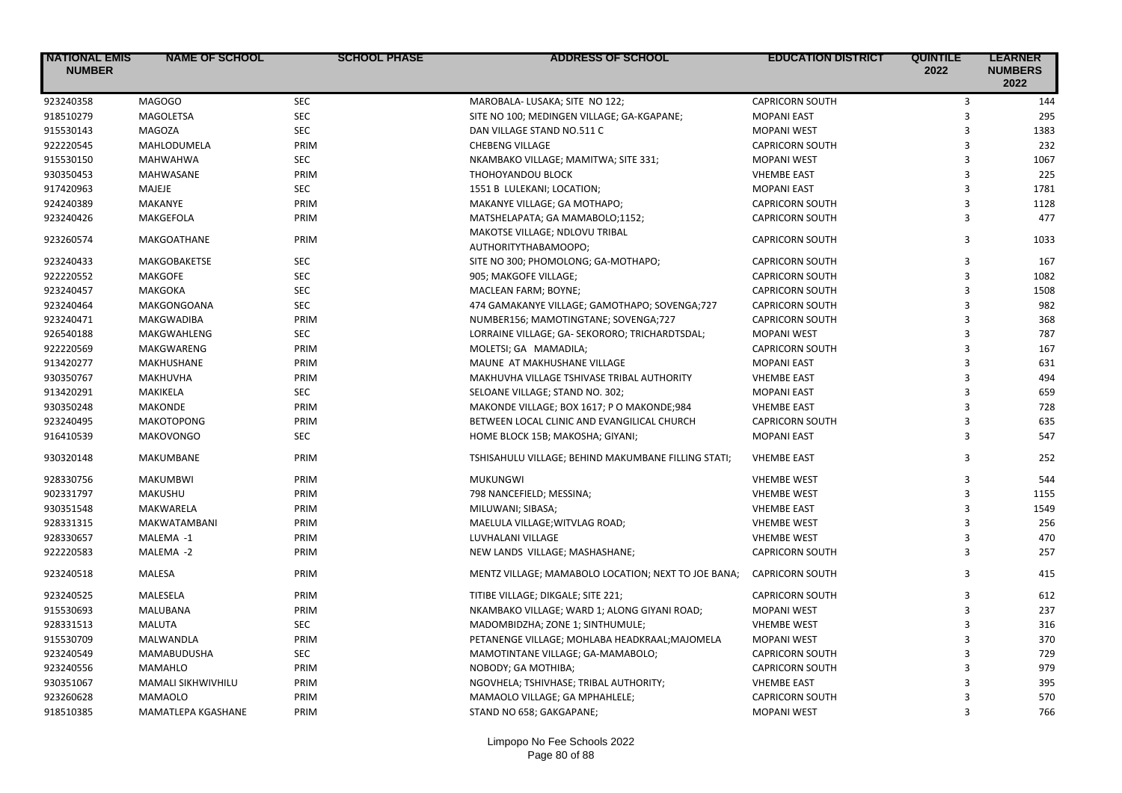| <b>NATIONAL EMIS</b><br><b>NUMBER</b> | <b>NAME OF SCHOOL</b> | <b>SCHOOL PHASE</b> | <b>ADDRESS OF SCHOOL</b>                               | <b>EDUCATION DISTRICT</b> | <b>QUINTILE</b><br>2022 | <b>LEARNER</b><br><b>NUMBERS</b><br>2022 |
|---------------------------------------|-----------------------|---------------------|--------------------------------------------------------|---------------------------|-------------------------|------------------------------------------|
| 923240358                             | MAGOGO                | <b>SEC</b>          | MAROBALA- LUSAKA; SITE NO 122;                         | <b>CAPRICORN SOUTH</b>    | 3                       | 144                                      |
| 918510279                             | <b>MAGOLETSA</b>      | <b>SEC</b>          | SITE NO 100; MEDINGEN VILLAGE; GA-KGAPANE;             | <b>MOPANI EAST</b>        | 3                       | 295                                      |
| 915530143                             | <b>MAGOZA</b>         | <b>SEC</b>          | DAN VILLAGE STAND NO.511 C                             | <b>MOPANI WEST</b>        | 3                       | 1383                                     |
| 922220545                             | MAHLODUMELA           | PRIM                | <b>CHEBENG VILLAGE</b>                                 | <b>CAPRICORN SOUTH</b>    | 3                       | 232                                      |
| 915530150                             | <b>MAHWAHWA</b>       | <b>SEC</b>          | NKAMBAKO VILLAGE; MAMITWA; SITE 331;                   | <b>MOPANI WEST</b>        | 3                       | 1067                                     |
| 930350453                             | MAHWASANE             | PRIM                | THOHOYANDOU BLOCK                                      | <b>VHEMBE EAST</b>        | $\overline{3}$          | 225                                      |
| 917420963                             | MAJEJE                | <b>SEC</b>          | 1551 B LULEKANI; LOCATION;                             | <b>MOPANI EAST</b>        | 3                       | 1781                                     |
| 924240389                             | MAKANYE               | PRIM                | MAKANYE VILLAGE; GA MOTHAPO;                           | <b>CAPRICORN SOUTH</b>    | $\overline{3}$          | 1128                                     |
| 923240426                             | <b>MAKGEFOLA</b>      | PRIM                | MATSHELAPATA; GA MAMABOLO;1152;                        | <b>CAPRICORN SOUTH</b>    | 3                       | 477                                      |
| 923260574                             | MAKGOATHANE           | PRIM                | MAKOTSE VILLAGE; NDLOVU TRIBAL<br>AUTHORITYTHABAMOOPO; | <b>CAPRICORN SOUTH</b>    | 3                       | 1033                                     |
| 923240433                             | MAKGOBAKETSE          | <b>SEC</b>          | SITE NO 300; PHOMOLONG; GA-MOTHAPO;                    | <b>CAPRICORN SOUTH</b>    | 3                       | 167                                      |
| 922220552                             | <b>MAKGOFE</b>        | <b>SEC</b>          | 905; MAKGOFE VILLAGE;                                  | <b>CAPRICORN SOUTH</b>    | $\overline{3}$          | 1082                                     |
| 923240457                             | MAKGOKA               | <b>SEC</b>          | MACLEAN FARM; BOYNE;                                   | <b>CAPRICORN SOUTH</b>    | 3                       | 1508                                     |
| 923240464                             | MAKGONGOANA           | <b>SEC</b>          | 474 GAMAKANYE VILLAGE; GAMOTHAPO; SOVENGA;727          | <b>CAPRICORN SOUTH</b>    | 3                       | 982                                      |
| 923240471                             | MAKGWADIBA            | PRIM                | NUMBER156; MAMOTINGTANE; SOVENGA;727                   | <b>CAPRICORN SOUTH</b>    | $\overline{3}$          | 368                                      |
| 926540188                             | MAKGWAHLENG           | <b>SEC</b>          | LORRAINE VILLAGE; GA- SEKORORO; TRICHARDTSDAL;         | <b>MOPANI WEST</b>        | 3                       | 787                                      |
| 922220569                             | MAKGWARENG            | PRIM                | MOLETSI; GA MAMADILA;                                  | <b>CAPRICORN SOUTH</b>    | 3                       | 167                                      |
| 913420277                             | MAKHUSHANE            | PRIM                | MAUNE AT MAKHUSHANE VILLAGE                            | <b>MOPANI EAST</b>        | $\overline{3}$          | 631                                      |
| 930350767                             | <b>MAKHUVHA</b>       | PRIM                | MAKHUVHA VILLAGE TSHIVASE TRIBAL AUTHORITY             | <b>VHEMBE EAST</b>        | 3                       | 494                                      |
| 913420291                             | MAKIKELA              | <b>SEC</b>          | SELOANE VILLAGE; STAND NO. 302;                        | <b>MOPANI EAST</b>        | 3                       | 659                                      |
| 930350248                             | <b>MAKONDE</b>        | PRIM                | MAKONDE VILLAGE; BOX 1617; P O MAKONDE;984             | <b>VHEMBE EAST</b>        | 3                       | 728                                      |
| 923240495                             | <b>MAKOTOPONG</b>     | PRIM                | BETWEEN LOCAL CLINIC AND EVANGILICAL CHURCH            | <b>CAPRICORN SOUTH</b>    | 3                       | 635                                      |
| 916410539                             | <b>MAKOVONGO</b>      | <b>SEC</b>          | HOME BLOCK 15B; MAKOSHA; GIYANI;                       | <b>MOPANI EAST</b>        | 3                       | 547                                      |
| 930320148                             | MAKUMBANE             | PRIM                | TSHISAHULU VILLAGE; BEHIND MAKUMBANE FILLING STATI;    | <b>VHEMBE EAST</b>        | 3                       | 252                                      |
| 928330756                             | <b>MAKUMBWI</b>       | PRIM                | <b>MUKUNGWI</b>                                        | <b>VHEMBE WEST</b>        | 3                       | 544                                      |
| 902331797                             | <b>MAKUSHU</b>        | PRIM                | 798 NANCEFIELD; MESSINA;                               | <b>VHEMBE WEST</b>        | $\overline{3}$          | 1155                                     |
| 930351548                             | MAKWARELA             | PRIM                | MILUWANI; SIBASA;                                      | <b>VHEMBE EAST</b>        | $\overline{3}$          | 1549                                     |
| 928331315                             | <b>MAKWATAMBANI</b>   | PRIM                | MAELULA VILLAGE; WITVLAG ROAD;                         | <b>VHEMBE WEST</b>        | 3                       | 256                                      |
| 928330657                             | MALEMA -1             | PRIM                | LUVHALANI VILLAGE                                      | <b>VHEMBE WEST</b>        | 3                       | 470                                      |
| 922220583                             | MALEMA -2             | PRIM                | NEW LANDS VILLAGE; MASHASHANE;                         | <b>CAPRICORN SOUTH</b>    | 3                       | 257                                      |
| 923240518                             | <b>MALESA</b>         | PRIM                | MENTZ VILLAGE; MAMABOLO LOCATION; NEXT TO JOE BANA;    | <b>CAPRICORN SOUTH</b>    | 3                       | 415                                      |
| 923240525                             | MALESELA              | PRIM                | TITIBE VILLAGE; DIKGALE; SITE 221;                     | <b>CAPRICORN SOUTH</b>    | 3                       | 612                                      |
| 915530693                             | MALUBANA              | PRIM                | NKAMBAKO VILLAGE; WARD 1; ALONG GIYANI ROAD;           | <b>MOPANI WEST</b>        | 3                       | 237                                      |
| 928331513                             | MALUTA                | <b>SEC</b>          | MADOMBIDZHA; ZONE 1; SINTHUMULE;                       | <b>VHEMBE WEST</b>        | $\overline{3}$          | 316                                      |
| 915530709                             | MALWANDLA             | PRIM                | PETANENGE VILLAGE; MOHLABA HEADKRAAL; MAJOMELA         | <b>MOPANI WEST</b>        | 3                       | 370                                      |
| 923240549                             | MAMABUDUSHA           | <b>SEC</b>          | MAMOTINTANE VILLAGE; GA-MAMABOLO;                      | <b>CAPRICORN SOUTH</b>    | 3                       | 729                                      |
| 923240556                             | <b>MAMAHLO</b>        | PRIM                | NOBODY; GA MOTHIBA;                                    | <b>CAPRICORN SOUTH</b>    | 3                       | 979                                      |
| 930351067                             | MAMALI SIKHWIVHILU    | PRIM                | NGOVHELA; TSHIVHASE; TRIBAL AUTHORITY;                 | <b>VHEMBE EAST</b>        | 3                       | 395                                      |
| 923260628                             | <b>MAMAOLO</b>        | PRIM                | MAMAOLO VILLAGE; GA MPHAHLELE;                         | <b>CAPRICORN SOUTH</b>    | 3                       | 570                                      |
| 918510385                             | MAMATLEPA KGASHANE    | PRIM                | STAND NO 658; GAKGAPANE;                               | <b>MOPANI WEST</b>        | $\overline{\mathbf{3}}$ | 766                                      |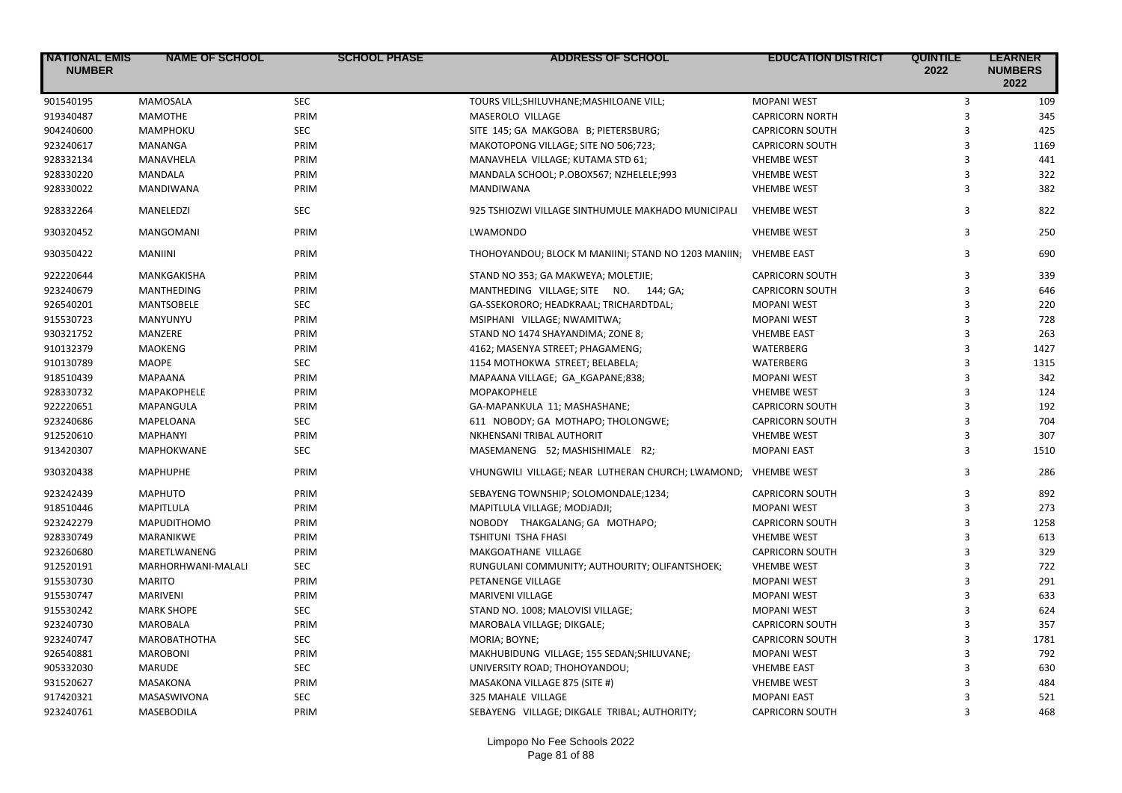| <b>NATIONAL EMIS</b><br><b>NUMBER</b> | <b>NAME OF SCHOOL</b> | <b>SCHOOL PHASE</b> | <b>ADDRESS OF SCHOOL</b>                            | <b>EDUCATION DISTRICT</b> | <b>QUINTILE</b><br>2022 | <b>LEARNER</b><br><b>NUMBERS</b><br>2022 |
|---------------------------------------|-----------------------|---------------------|-----------------------------------------------------|---------------------------|-------------------------|------------------------------------------|
| 901540195                             | <b>MAMOSALA</b>       | <b>SEC</b>          | TOURS VILL; SHILUVHANE; MASHILOANE VILL;            | <b>MOPANI WEST</b>        | 3                       | 109                                      |
| 919340487                             | <b>MAMOTHE</b>        | PRIM                | MASEROLO VILLAGE                                    | <b>CAPRICORN NORTH</b>    | 3                       | 345                                      |
| 904240600                             | MAMPHOKU              | <b>SEC</b>          | SITE 145; GA MAKGOBA B; PIETERSBURG;                | <b>CAPRICORN SOUTH</b>    | $\overline{3}$          | 425                                      |
| 923240617                             | <b>MANANGA</b>        | PRIM                | MAKOTOPONG VILLAGE; SITE NO 506;723;                | <b>CAPRICORN SOUTH</b>    | $\overline{3}$          | 1169                                     |
| 928332134                             | MANAVHELA             | PRIM                | MANAVHELA VILLAGE; KUTAMA STD 61;                   | <b>VHEMBE WEST</b>        | $\overline{3}$          | 441                                      |
| 928330220                             | MANDALA               | PRIM                | MANDALA SCHOOL; P.OBOX567; NZHELELE;993             | <b>VHEMBE WEST</b>        | $\overline{3}$          | 322                                      |
| 928330022                             | <b>MANDIWANA</b>      | PRIM                | <b>MANDIWANA</b>                                    | <b>VHEMBE WEST</b>        | 3                       | 382                                      |
| 928332264                             | MANELEDZI             | <b>SEC</b>          | 925 TSHIOZWI VILLAGE SINTHUMULE MAKHADO MUNICIPALI  | <b>VHEMBE WEST</b>        | 3                       | 822                                      |
| 930320452                             | <b>MANGOMANI</b>      | PRIM                | LWAMONDO                                            | <b>VHEMBE WEST</b>        | 3                       | 250                                      |
| 930350422                             | <b>MANIINI</b>        | PRIM                | THOHOYANDOU; BLOCK M MANIINI; STAND NO 1203 MANIIN; | <b>VHEMBE EAST</b>        | 3                       | 690                                      |
| 922220644                             | MANKGAKISHA           | PRIM                | STAND NO 353; GA MAKWEYA; MOLETJIE;                 | <b>CAPRICORN SOUTH</b>    | 3                       | 339                                      |
| 923240679                             | <b>MANTHEDING</b>     | PRIM                | MANTHEDING VILLAGE; SITE NO. 144; GA;               | <b>CAPRICORN SOUTH</b>    | $\overline{3}$          | 646                                      |
| 926540201                             | <b>MANTSOBELE</b>     | <b>SEC</b>          | GA-SSEKORORO; HEADKRAAL; TRICHARDTDAL;              | <b>MOPANI WEST</b>        | 3                       | 220                                      |
| 915530723                             | MANYUNYU              | PRIM                | MSIPHANI VILLAGE; NWAMITWA;                         | <b>MOPANI WEST</b>        | $\overline{3}$          | 728                                      |
| 930321752                             | MANZERE               | PRIM                | STAND NO 1474 SHAYANDIMA; ZONE 8;                   | <b>VHEMBE EAST</b>        | $\overline{3}$          | 263                                      |
| 910132379                             | <b>MAOKENG</b>        | PRIM                | 4162; MASENYA STREET; PHAGAMENG;                    | WATERBERG                 | $\overline{\mathbf{3}}$ | 1427                                     |
| 910130789                             | <b>MAOPE</b>          | <b>SEC</b>          | 1154 MOTHOKWA STREET; BELABELA;                     | <b>WATERBERG</b>          | 3                       | 1315                                     |
| 918510439                             | <b>MAPAANA</b>        | PRIM                | MAPAANA VILLAGE; GA KGAPANE;838;                    | <b>MOPANI WEST</b>        | $\overline{3}$          | 342                                      |
| 928330732                             | MAPAKOPHELE           | PRIM                | MOPAKOPHELE                                         | <b>VHEMBE WEST</b>        | $\overline{3}$          | 124                                      |
| 922220651                             | MAPANGULA             | PRIM                | GA-MAPANKULA 11; MASHASHANE;                        | <b>CAPRICORN SOUTH</b>    | $\overline{3}$          | 192                                      |
| 923240686                             | MAPELOANA             | <b>SEC</b>          | 611 NOBODY; GA MOTHAPO; THOLONGWE;                  | <b>CAPRICORN SOUTH</b>    | 3                       | 704                                      |
| 912520610                             | <b>MAPHANYI</b>       | PRIM                | NKHENSANI TRIBAL AUTHORIT                           | <b>VHEMBE WEST</b>        | 3                       | 307                                      |
| 913420307                             | MAPHOKWANE            | <b>SEC</b>          | MASEMANENG 52; MASHISHIMALE R2;                     | <b>MOPANI EAST</b>        | 3                       | 1510                                     |
| 930320438                             | <b>MAPHUPHE</b>       | PRIM                | VHUNGWILI VILLAGE; NEAR LUTHERAN CHURCH; LWAMOND;   | <b>VHEMBE WEST</b>        | 3                       | 286                                      |
| 923242439                             | <b>MAPHUTO</b>        | PRIM                | SEBAYENG TOWNSHIP; SOLOMONDALE;1234;                | <b>CAPRICORN SOUTH</b>    | 3                       | 892                                      |
| 918510446                             | MAPITLULA             | PRIM                | MAPITLULA VILLAGE; MODJADJI;                        | <b>MOPANI WEST</b>        | $\overline{3}$          | 273                                      |
| 923242279                             | <b>MAPUDITHOMO</b>    | PRIM                | NOBODY THAKGALANG; GA MOTHAPO;                      | <b>CAPRICORN SOUTH</b>    | $\overline{3}$          | 1258                                     |
| 928330749                             | MARANIKWE             | PRIM                | <b>TSHITUNI TSHA FHASI</b>                          | <b>VHEMBE WEST</b>        | $\overline{3}$          | 613                                      |
| 923260680                             | MARETLWANENG          | PRIM                | MAKGOATHANE VILLAGE                                 | <b>CAPRICORN SOUTH</b>    | $\overline{3}$          | 329                                      |
| 912520191                             | MARHORHWANI-MALALI    | <b>SEC</b>          | RUNGULANI COMMUNITY; AUTHOURITY; OLIFANTSHOEK;      | <b>VHEMBE WEST</b>        | 3                       | 722                                      |
| 915530730                             | <b>MARITO</b>         | PRIM                | PETANENGE VILLAGE                                   | <b>MOPANI WEST</b>        | 3                       | 291                                      |
| 915530747                             | <b>MARIVENI</b>       | PRIM                | MARIVENI VILLAGE                                    | <b>MOPANI WEST</b>        | $\overline{3}$          | 633                                      |
| 915530242                             | <b>MARK SHOPE</b>     | <b>SEC</b>          | STAND NO. 1008; MALOVISI VILLAGE;                   | <b>MOPANI WEST</b>        | $\overline{3}$          | 624                                      |
| 923240730                             | MAROBALA              | PRIM                | MAROBALA VILLAGE; DIKGALE;                          | <b>CAPRICORN SOUTH</b>    | 3                       | 357                                      |
| 923240747                             | <b>MAROBATHOTHA</b>   | <b>SEC</b>          | MORIA; BOYNE;                                       | <b>CAPRICORN SOUTH</b>    | 3                       | 1781                                     |
| 926540881                             | <b>MAROBONI</b>       | PRIM                | MAKHUBIDUNG VILLAGE; 155 SEDAN; SHILUVANE;          | <b>MOPANI WEST</b>        | $\overline{\mathbf{3}}$ | 792                                      |
| 905332030                             | <b>MARUDE</b>         | <b>SEC</b>          | UNIVERSITY ROAD; THOHOYANDOU;                       | <b>VHEMBE EAST</b>        | 3                       | 630                                      |
| 931520627                             | MASAKONA              | PRIM                | MASAKONA VILLAGE 875 (SITE #)                       | <b>VHEMBE WEST</b>        | 3                       | 484                                      |
| 917420321                             | MASASWIVONA           | <b>SEC</b>          | 325 MAHALE VILLAGE                                  | <b>MOPANI EAST</b>        | 3                       | 521                                      |
| 923240761                             | MASEBODILA            | PRIM                | SEBAYENG VILLAGE; DIKGALE TRIBAL; AUTHORITY;        | <b>CAPRICORN SOUTH</b>    | $\mathbf{a}$            | 468                                      |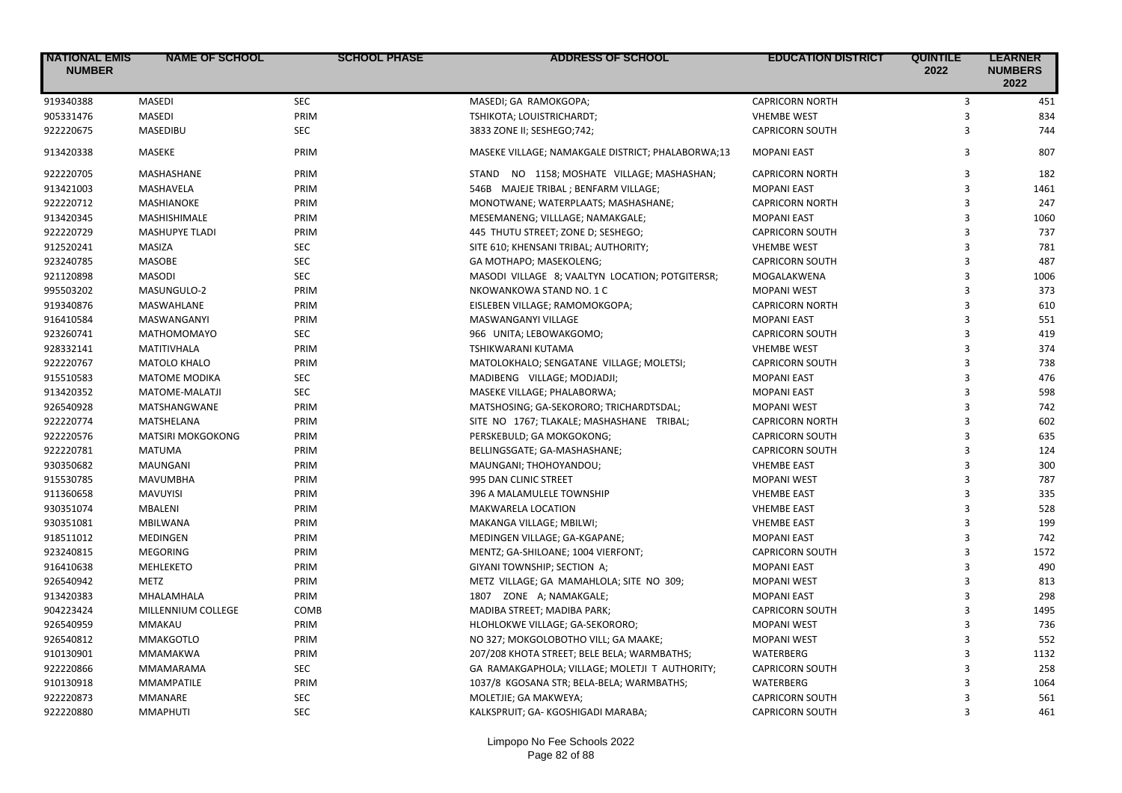| <b>NATIONAL EMIS</b><br><b>NUMBER</b> | <b>NAME OF SCHOOL</b>    | <b>SCHOOL PHASE</b> | <b>ADDRESS OF SCHOOL</b>                          | <b>EDUCATION DISTRICT</b> | <b>QUINTILE</b><br>2022 | <b>LEARNER</b><br><b>NUMBERS</b><br>2022 |
|---------------------------------------|--------------------------|---------------------|---------------------------------------------------|---------------------------|-------------------------|------------------------------------------|
| 919340388                             | <b>MASEDI</b>            | <b>SEC</b>          | MASEDI; GA RAMOKGOPA;                             | <b>CAPRICORN NORTH</b>    | 3                       | 451                                      |
| 905331476                             | <b>MASEDI</b>            | PRIM                | TSHIKOTA; LOUISTRICHARDT;                         | <b>VHEMBE WEST</b>        | $\overline{3}$          | 834                                      |
| 922220675                             | MASEDIBU                 | <b>SEC</b>          | 3833 ZONE II; SESHEGO; 742;                       | <b>CAPRICORN SOUTH</b>    | 3                       | 744                                      |
| 913420338                             | <b>MASEKE</b>            | PRIM                | MASEKE VILLAGE; NAMAKGALE DISTRICT; PHALABORWA;13 | <b>MOPANI EAST</b>        | 3                       | 807                                      |
| 922220705                             | MASHASHANE               | PRIM                | STAND NO 1158; MOSHATE VILLAGE; MASHASHAN;        | <b>CAPRICORN NORTH</b>    | 3                       | 182                                      |
| 913421003                             | MASHAVELA                | PRIM                | 546B MAJEJE TRIBAL; BENFARM VILLAGE;              | <b>MOPANI EAST</b>        | $\overline{3}$          | 1461                                     |
| 922220712                             | <b>MASHIANOKE</b>        | PRIM                | MONOTWANE; WATERPLAATS; MASHASHANE;               | <b>CAPRICORN NORTH</b>    | 3                       | 247                                      |
| 913420345                             | MASHISHIMALE             | PRIM                | MESEMANENG; VILLLAGE; NAMAKGALE;                  | <b>MOPANI EAST</b>        | 3                       | 1060                                     |
| 922220729                             | <b>MASHUPYE TLADI</b>    | PRIM                | 445 THUTU STREET; ZONE D; SESHEGO;                | <b>CAPRICORN SOUTH</b>    | 3                       | 737                                      |
| 912520241                             | MASIZA                   | <b>SEC</b>          | SITE 610; KHENSANI TRIBAL; AUTHORITY;             | <b>VHEMBE WEST</b>        | $\overline{3}$          | 781                                      |
| 923240785                             | <b>MASOBE</b>            | <b>SEC</b>          | GA MOTHAPO; MASEKOLENG;                           | <b>CAPRICORN SOUTH</b>    | 3                       | 487                                      |
| 921120898                             | <b>MASODI</b>            | <b>SEC</b>          | MASODI VILLAGE 8; VAALTYN LOCATION; POTGITERSR;   | MOGALAKWENA               | $\overline{3}$          | 1006                                     |
| 995503202                             | MASUNGULO-2              | PRIM                | NKOWANKOWA STAND NO. 1 C                          | <b>MOPANI WEST</b>        | 3                       | 373                                      |
| 919340876                             | <b>MASWAHLANE</b>        | PRIM                | EISLEBEN VILLAGE; RAMOMOKGOPA;                    | <b>CAPRICORN NORTH</b>    | 3                       | 610                                      |
| 916410584                             | MASWANGANYI              | PRIM                | MASWANGANYI VILLAGE                               | <b>MOPANI EAST</b>        | $\overline{3}$          | 551                                      |
| 923260741                             | <b>MATHOMOMAYO</b>       | <b>SEC</b>          | 966 UNITA; LEBOWAKGOMO;                           | <b>CAPRICORN SOUTH</b>    | 3                       | 419                                      |
| 928332141                             | MATITIVHALA              | PRIM                | TSHIKWARANI KUTAMA                                | <b>VHEMBE WEST</b>        | $\overline{3}$          | 374                                      |
| 922220767                             | MATOLO KHALO             | PRIM                | MATOLOKHALO; SENGATANE VILLAGE; MOLETSI;          | <b>CAPRICORN SOUTH</b>    | $\overline{3}$          | 738                                      |
| 915510583                             | <b>MATOME MODIKA</b>     | <b>SEC</b>          | MADIBENG VILLAGE; MODJADJI;                       | <b>MOPANI EAST</b>        | $\overline{3}$          | 476                                      |
| 913420352                             | MATOME-MALATJI           | SEC                 | MASEKE VILLAGE; PHALABORWA;                       | <b>MOPANI EAST</b>        | 3                       | 598                                      |
| 926540928                             | MATSHANGWANE             | PRIM                | MATSHOSING; GA-SEKORORO; TRICHARDTSDAL;           | <b>MOPANI WEST</b>        | 3                       | 742                                      |
| 922220774                             | MATSHELANA               | PRIM                | SITE NO 1767; TLAKALE; MASHASHANE TRIBAL;         | <b>CAPRICORN NORTH</b>    | 3                       | 602                                      |
| 922220576                             | <b>MATSIRI MOKGOKONG</b> | PRIM                | PERSKEBULD; GA MOKGOKONG;                         | <b>CAPRICORN SOUTH</b>    | $\overline{3}$          | 635                                      |
| 922220781                             | <b>MATUMA</b>            | PRIM                | BELLINGSGATE; GA-MASHASHANE;                      | <b>CAPRICORN SOUTH</b>    | $\overline{3}$          | 124                                      |
| 930350682                             | MAUNGANI                 | PRIM                | MAUNGANI; THOHOYANDOU;                            | <b>VHEMBE EAST</b>        | 3                       | 300                                      |
| 915530785                             | <b>MAVUMBHA</b>          | PRIM                | 995 DAN CLINIC STREET                             | <b>MOPANI WEST</b>        | $\overline{3}$          | 787                                      |
| 911360658                             | MAVUYISI                 | PRIM                | 396 A MALAMULELE TOWNSHIP                         | <b>VHEMBE EAST</b>        | 3                       | 335                                      |
| 930351074                             | MBALENI                  | PRIM                | MAKWARELA LOCATION                                | <b>VHEMBE EAST</b>        | $\overline{3}$          | 528                                      |
| 930351081                             | <b>MBILWANA</b>          | PRIM                | MAKANGA VILLAGE; MBILWI;                          | <b>VHEMBE EAST</b>        | $\overline{3}$          | 199                                      |
| 918511012                             | MEDINGEN                 | PRIM                | MEDINGEN VILLAGE; GA-KGAPANE;                     | <b>MOPANI EAST</b>        | $\overline{3}$          | 742                                      |
| 923240815                             | <b>MEGORING</b>          | PRIM                | MENTZ; GA-SHILOANE; 1004 VIERFONT;                | <b>CAPRICORN SOUTH</b>    | 3                       | 1572                                     |
| 916410638                             | <b>MEHLEKETO</b>         | PRIM                | GIYANI TOWNSHIP; SECTION A;                       | <b>MOPANI EAST</b>        | 3                       | 490                                      |
| 926540942                             | METZ                     | PRIM                |                                                   | <b>MOPANI WEST</b>        | 3                       | 813                                      |
|                                       |                          |                     | METZ VILLAGE; GA MAMAHLOLA; SITE NO 309;          |                           | $\overline{3}$          | 298                                      |
| 913420383<br>904223424                | MHALAMHALA               | PRIM                | 1807 ZONE A; NAMAKGALE;                           | <b>MOPANI EAST</b>        | $\overline{3}$          | 1495                                     |
|                                       | MILLENNIUM COLLEGE       | COMB                | MADIBA STREET; MADIBA PARK;                       | <b>CAPRICORN SOUTH</b>    | $\overline{3}$          |                                          |
| 926540959                             | <b>MMAKAU</b>            | PRIM                | HLOHLOKWE VILLAGE; GA-SEKORORO;                   | <b>MOPANI WEST</b>        |                         | 736                                      |
| 926540812                             | <b>MMAKGOTLO</b>         | PRIM                | NO 327; MOKGOLOBOTHO VILL; GA MAAKE;              | <b>MOPANI WEST</b>        | 3                       | 552                                      |
| 910130901                             | MMAMAKWA                 | PRIM                | 207/208 KHOTA STREET; BELE BELA; WARMBATHS;       | WATERBERG                 | $\overline{3}$          | 1132                                     |
| 922220866                             | MMAMARAMA                | <b>SEC</b>          | GA RAMAKGAPHOLA; VILLAGE; MOLETJI T AUTHORITY;    | <b>CAPRICORN SOUTH</b>    | 3                       | 258                                      |
| 910130918                             | <b>MMAMPATILE</b>        | PRIM                | 1037/8 KGOSANA STR; BELA-BELA; WARMBATHS;         | <b>WATERBERG</b>          | $\overline{3}$          | 1064                                     |
| 922220873                             | <b>MMANARE</b>           | <b>SEC</b>          | MOLETJIE; GA MAKWEYA;                             | <b>CAPRICORN SOUTH</b>    | 3                       | 561                                      |
| 922220880                             | <b>MMAPHUTI</b>          | <b>SEC</b>          | KALKSPRUIT; GA-KGOSHIGADI MARABA;                 | <b>CAPRICORN SOUTH</b>    | $\overline{\mathbf{3}}$ | 461                                      |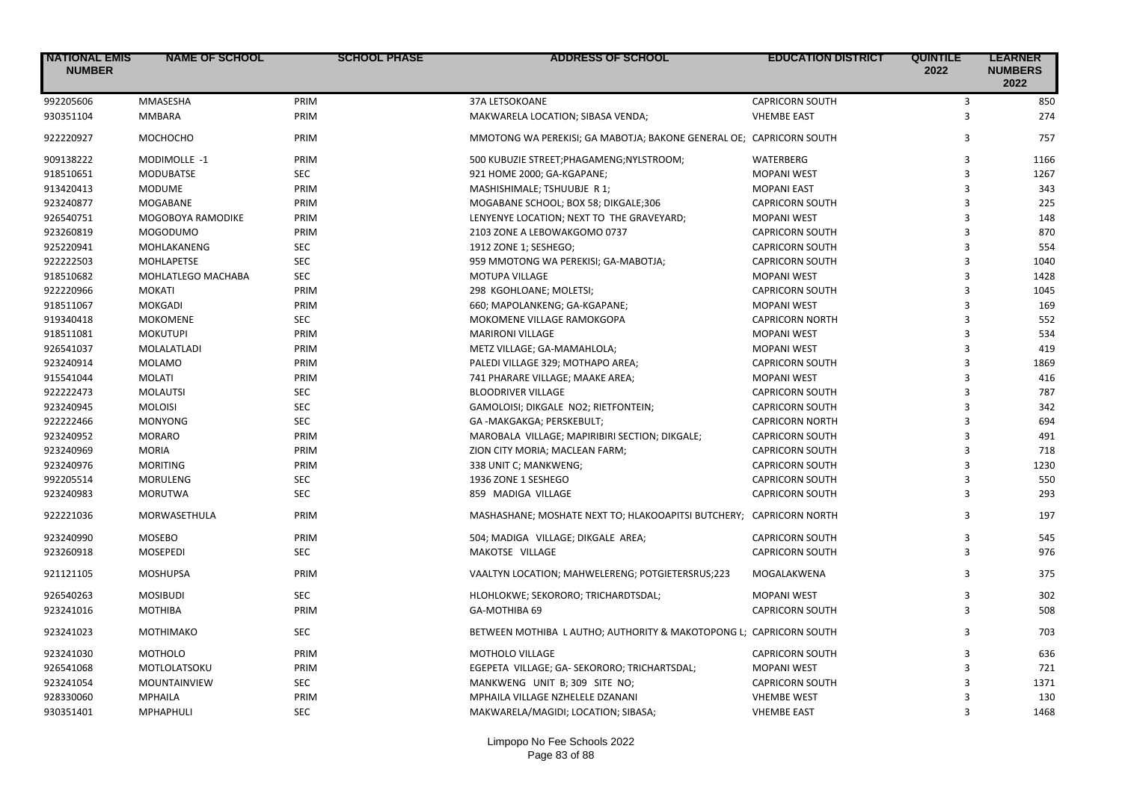| <b>NATIONAL EMIS</b><br><b>NUMBER</b> | <b>NAME OF SCHOOL</b> | <b>SCHOOL PHASE</b> | <b>ADDRESS OF SCHOOL</b>                                            | <b>EDUCATION DISTRICT</b> | <b>QUINTILE</b><br>2022 | <b>LEARNER</b><br><b>NUMBERS</b><br>2022 |
|---------------------------------------|-----------------------|---------------------|---------------------------------------------------------------------|---------------------------|-------------------------|------------------------------------------|
| 992205606                             | MMASESHA              | PRIM                | 37A LETSOKOANE                                                      | <b>CAPRICORN SOUTH</b>    | 3                       | 850                                      |
| 930351104                             | <b>MMBARA</b>         | PRIM                | MAKWARELA LOCATION; SIBASA VENDA;                                   | <b>VHEMBE EAST</b>        | 3                       | 274                                      |
| 922220927                             | МОСНОСНО              | PRIM                | MMOTONG WA PEREKISI; GA MABOTJA; BAKONE GENERAL OE; CAPRICORN SOUTH |                           | 3                       | 757                                      |
| 909138222                             | MODIMOLLE -1          | PRIM                | 500 KUBUZIE STREET; PHAGAMENG; NYLSTROOM;                           | WATERBERG                 | 3                       | 1166                                     |
| 918510651                             | <b>MODUBATSE</b>      | <b>SEC</b>          | 921 HOME 2000; GA-KGAPANE;                                          | <b>MOPANI WEST</b>        | 3                       | 1267                                     |
| 913420413                             | <b>MODUME</b>         | PRIM                | MASHISHIMALE; TSHUUBJE R 1;                                         | <b>MOPANI EAST</b>        | 3                       | 343                                      |
| 923240877                             | MOGABANE              | PRIM                | MOGABANE SCHOOL; BOX 58; DIKGALE;306                                | <b>CAPRICORN SOUTH</b>    | 3                       | 225                                      |
| 926540751                             | MOGOBOYA RAMODIKE     | PRIM                | LENYENYE LOCATION; NEXT TO THE GRAVEYARD;                           | <b>MOPANI WEST</b>        | 3                       | 148                                      |
| 923260819                             | <b>MOGODUMO</b>       | PRIM                | 2103 ZONE A LEBOWAKGOMO 0737                                        | <b>CAPRICORN SOUTH</b>    | 3                       | 870                                      |
| 925220941                             | MOHLAKANENG           | <b>SEC</b>          | 1912 ZONE 1; SESHEGO;                                               | <b>CAPRICORN SOUTH</b>    | 3                       | 554                                      |
| 922222503                             | MOHLAPETSE            | <b>SEC</b>          | 959 MMOTONG WA PEREKISI; GA-MABOTJA;                                | <b>CAPRICORN SOUTH</b>    | $\overline{3}$          | 1040                                     |
| 918510682                             | MOHLATLEGO MACHABA    | <b>SEC</b>          | <b>MOTUPA VILLAGE</b>                                               | <b>MOPANI WEST</b>        | 3                       | 1428                                     |
| 922220966                             | <b>MOKATI</b>         | PRIM                | 298 KGOHLOANE; MOLETSI;                                             | <b>CAPRICORN SOUTH</b>    | 3                       | 1045                                     |
| 918511067                             | <b>MOKGADI</b>        | PRIM                | 660; MAPOLANKENG; GA-KGAPANE;                                       | <b>MOPANI WEST</b>        | 3                       | 169                                      |
| 919340418                             | <b>MOKOMENE</b>       | <b>SEC</b>          | MOKOMENE VILLAGE RAMOKGOPA                                          | <b>CAPRICORN NORTH</b>    | $\overline{3}$          | 552                                      |
| 918511081                             | <b>MOKUTUPI</b>       | PRIM                | <b>MARIRONI VILLAGE</b>                                             | <b>MOPANI WEST</b>        | $\overline{3}$          | 534                                      |
| 926541037                             | MOLALATLADI           | PRIM                | METZ VILLAGE; GA-MAMAHLOLA;                                         | <b>MOPANI WEST</b>        | 3                       | 419                                      |
| 923240914                             | <b>MOLAMO</b>         | PRIM                | PALEDI VILLAGE 329; MOTHAPO AREA;                                   | <b>CAPRICORN SOUTH</b>    | 3                       | 1869                                     |
| 915541044                             | <b>MOLATI</b>         | PRIM                | 741 PHARARE VILLAGE; MAAKE AREA;                                    | <b>MOPANI WEST</b>        | $\overline{3}$          | 416                                      |
| 922222473                             | <b>MOLAUTSI</b>       | <b>SEC</b>          | <b>BLOODRIVER VILLAGE</b>                                           | <b>CAPRICORN SOUTH</b>    | $\overline{3}$          | 787                                      |
| 923240945                             | <b>MOLOISI</b>        | <b>SEC</b>          | GAMOLOISI; DIKGALE NO2; RIETFONTEIN;                                | <b>CAPRICORN SOUTH</b>    | $\overline{3}$          | 342                                      |
| 922222466                             | <b>MONYONG</b>        | <b>SEC</b>          | GA -MAKGAKGA; PERSKEBULT;                                           | <b>CAPRICORN NORTH</b>    | 3                       | 694                                      |
| 923240952                             | <b>MORARO</b>         | PRIM                | MAROBALA VILLAGE; MAPIRIBIRI SECTION; DIKGALE;                      | <b>CAPRICORN SOUTH</b>    | $\overline{3}$          | 491                                      |
| 923240969                             | <b>MORIA</b>          | PRIM                | ZION CITY MORIA; MACLEAN FARM;                                      | <b>CAPRICORN SOUTH</b>    | $\overline{3}$          | 718                                      |
| 923240976                             | <b>MORITING</b>       | PRIM                | 338 UNIT C; MANKWENG;                                               | <b>CAPRICORN SOUTH</b>    | 3                       | 1230                                     |
| 992205514                             | <b>MORULENG</b>       | <b>SEC</b>          | 1936 ZONE 1 SESHEGO                                                 | <b>CAPRICORN SOUTH</b>    | $\overline{3}$          | 550                                      |
| 923240983                             | <b>MORUTWA</b>        | <b>SEC</b>          | 859 MADIGA VILLAGE                                                  | <b>CAPRICORN SOUTH</b>    | 3                       | 293                                      |
| 922221036                             | MORWASETHULA          | PRIM                | MASHASHANE; MOSHATE NEXT TO; HLAKOOAPITSI BUTCHERY; CAPRICORN NORTH |                           | 3                       | 197                                      |
| 923240990                             | <b>MOSEBO</b>         | PRIM                | 504; MADIGA VILLAGE; DIKGALE AREA;                                  | <b>CAPRICORN SOUTH</b>    | 3                       | 545                                      |
| 923260918                             | <b>MOSEPEDI</b>       | <b>SEC</b>          | MAKOTSE VILLAGE                                                     | <b>CAPRICORN SOUTH</b>    | 3                       | 976                                      |
| 921121105                             | <b>MOSHUPSA</b>       | PRIM                | VAALTYN LOCATION; MAHWELERENG; POTGIETERSRUS;223                    | MOGALAKWENA               | 3                       | 375                                      |
| 926540263                             | <b>MOSIBUDI</b>       | <b>SEC</b>          | HLOHLOKWE; SEKORORO; TRICHARDTSDAL;                                 | <b>MOPANI WEST</b>        | 3                       | 302                                      |
| 923241016                             | <b>MOTHIBA</b>        | PRIM                | GA-MOTHIBA 69                                                       | <b>CAPRICORN SOUTH</b>    | 3                       | 508                                      |
| 923241023                             | <b>MOTHIMAKO</b>      | <b>SEC</b>          | BETWEEN MOTHIBA L AUTHO; AUTHORITY & MAKOTOPONG L; CAPRICORN SOUTH  |                           | 3                       | 703                                      |
| 923241030                             | <b>MOTHOLO</b>        | PRIM                | MOTHOLO VILLAGE                                                     | <b>CAPRICORN SOUTH</b>    | 3                       | 636                                      |
| 926541068                             | MOTLOLATSOKU          | PRIM                | EGEPETA VILLAGE; GA- SEKORORO; TRICHARTSDAL;                        | <b>MOPANI WEST</b>        | $\overline{3}$          | 721                                      |
| 923241054                             | MOUNTAINVIEW          | <b>SEC</b>          | MANKWENG UNIT B; 309 SITE NO;                                       | <b>CAPRICORN SOUTH</b>    | 3                       | 1371                                     |
| 928330060                             | MPHAILA               | PRIM                | MPHAILA VILLAGE NZHELELE DZANANI                                    | <b>VHEMBE WEST</b>        | 3                       | 130                                      |
| 930351401                             | <b>MPHAPHULI</b>      | <b>SEC</b>          | MAKWARELA/MAGIDI; LOCATION; SIBASA;                                 | <b>VHEMBE EAST</b>        | 3                       | 1468                                     |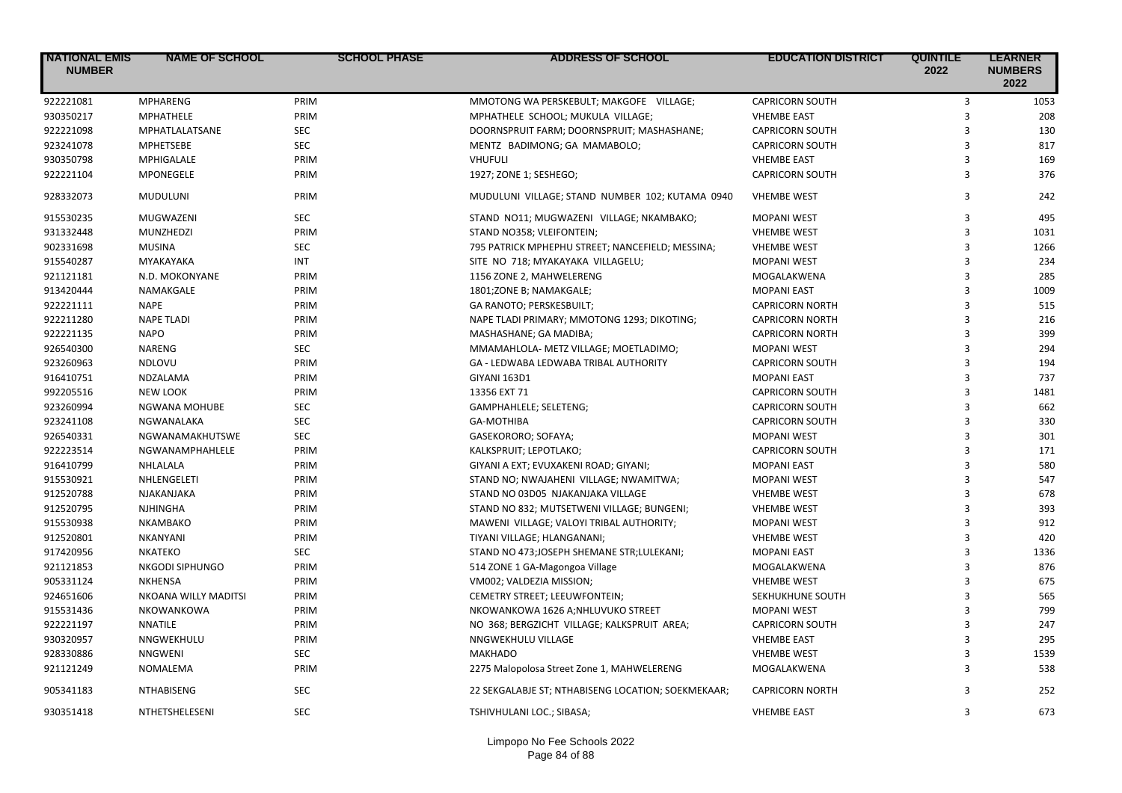| <b>NATIONAL EMIS</b><br><b>NUMBER</b> | <b>NAME OF SCHOOL</b>      | <b>SCHOOL PHASE</b> | <b>ADDRESS OF SCHOOL</b>                           | <b>EDUCATION DISTRICT</b> | <b>QUINTILE</b><br>2022 | <b>LEARNER</b><br><b>NUMBERS</b><br>2022 |
|---------------------------------------|----------------------------|---------------------|----------------------------------------------------|---------------------------|-------------------------|------------------------------------------|
| 922221081                             | <b>MPHARENG</b>            | PRIM                | MMOTONG WA PERSKEBULT; MAKGOFE VILLAGE;            | <b>CAPRICORN SOUTH</b>    | $\overline{3}$          | 1053                                     |
| 930350217                             | MPHATHELE                  | PRIM                | MPHATHELE SCHOOL; MUKULA VILLAGE;                  | <b>VHEMBE EAST</b>        | 3                       | 208                                      |
| 922221098                             | MPHATLALATSANE             | <b>SEC</b>          | DOORNSPRUIT FARM; DOORNSPRUIT; MASHASHANE;         | <b>CAPRICORN SOUTH</b>    | $\overline{3}$          | 130                                      |
| 923241078                             | <b>MPHETSEBE</b>           | <b>SEC</b>          | MENTZ BADIMONG; GA MAMABOLO;                       | <b>CAPRICORN SOUTH</b>    | $\overline{3}$          | 817                                      |
| 930350798                             | MPHIGALALE                 | PRIM                | VHUFULI                                            | <b>VHEMBE EAST</b>        | $\overline{3}$          | 169                                      |
| 922221104                             | MPONEGELE                  | PRIM                | 1927; ZONE 1; SESHEGO;                             | <b>CAPRICORN SOUTH</b>    | 3                       | 376                                      |
| 928332073                             | MUDULUNI                   | PRIM                | MUDULUNI VILLAGE; STAND NUMBER 102; KUTAMA 0940    | <b>VHEMBE WEST</b>        | 3                       | 242                                      |
| 915530235                             | MUGWAZENI                  | <b>SEC</b>          | STAND NO11; MUGWAZENI VILLAGE; NKAMBAKO;           | <b>MOPANI WEST</b>        | 3                       | 495                                      |
| 931332448                             | MUNZHEDZI                  | PRIM                | STAND NO358; VLEIFONTEIN;                          | <b>VHEMBE WEST</b>        | 3                       | 1031                                     |
| 902331698                             | <b>MUSINA</b>              | <b>SEC</b>          | 795 PATRICK MPHEPHU STREET; NANCEFIELD; MESSINA;   | <b>VHEMBE WEST</b>        | 3                       | 1266                                     |
| 915540287                             | MYAKAYAKA                  | <b>INT</b>          | SITE NO 718; MYAKAYAKA VILLAGELU;                  | <b>MOPANI WEST</b>        | 3                       | 234                                      |
| 921121181                             | N.D. MOKONYANE             | PRIM                | 1156 ZONE 2, MAHWELERENG                           | MOGALAKWENA               | 3                       | 285                                      |
| 913420444                             | NAMAKGALE                  | PRIM                | 1801;ZONE B; NAMAKGALE;                            | <b>MOPANI EAST</b>        | 3                       | 1009                                     |
| 922221111                             | <b>NAPE</b>                | PRIM                | GA RANOTO; PERSKESBUILT;                           | <b>CAPRICORN NORTH</b>    | 3                       | 515                                      |
| 922211280                             | <b>NAPE TLADI</b>          | PRIM                | NAPE TLADI PRIMARY; MMOTONG 1293; DIKOTING;        | <b>CAPRICORN NORTH</b>    | 3                       | 216                                      |
| 922221135                             | <b>NAPO</b>                | PRIM                | MASHASHANE; GA MADIBA;                             | <b>CAPRICORN NORTH</b>    | 3                       | 399                                      |
| 926540300                             | <b>NARENG</b>              | <b>SEC</b>          | MMAMAHLOLA- METZ VILLAGE; MOETLADIMO;              | <b>MOPANI WEST</b>        | 3                       | 294                                      |
| 923260963                             | NDLOVU                     | PRIM                | GA - LEDWABA LEDWABA TRIBAL AUTHORITY              | <b>CAPRICORN SOUTH</b>    | 3                       | 194                                      |
| 916410751                             | NDZALAMA                   | PRIM                | <b>GIYANI 163D1</b>                                | <b>MOPANI EAST</b>        | 3                       | 737                                      |
| 992205516                             | <b>NEW LOOK</b>            | PRIM                | 13356 EXT 71                                       | <b>CAPRICORN SOUTH</b>    | 3                       | 1481                                     |
| 923260994                             | <b>NGWANA MOHUBE</b>       | <b>SEC</b>          | GAMPHAHLELE; SELETENG;                             | <b>CAPRICORN SOUTH</b>    | 3                       | 662                                      |
| 923241108                             | NGWANALAKA                 | <b>SEC</b>          | <b>GA-MOTHIBA</b>                                  | <b>CAPRICORN SOUTH</b>    | 3                       | 330                                      |
| 926540331                             | NGWANAMAKHUTSWE            | <b>SEC</b>          | GASEKORORO; SOFAYA;                                | <b>MOPANI WEST</b>        | 3                       | 301                                      |
| 922223514                             | NGWANAMPHAHLELE            | PRIM                | KALKSPRUIT; LEPOTLAKO;                             | <b>CAPRICORN SOUTH</b>    | 3                       | 171                                      |
| 916410799                             | NHLALALA                   | PRIM                | GIYANI A EXT; EVUXAKENI ROAD; GIYANI;              | <b>MOPANI EAST</b>        | 3                       | 580                                      |
| 915530921                             | NHLENGELETI                | PRIM                | STAND NO; NWAJAHENI VILLAGE; NWAMITWA;             | <b>MOPANI WEST</b>        | 3                       | 547                                      |
| 912520788                             | NJAKANJAKA                 | PRIM                | STAND NO 03D05 NJAKANJAKA VILLAGE                  | <b>VHEMBE WEST</b>        | 3                       | 678                                      |
| 912520795                             | NJHINGHA                   | PRIM                | STAND NO 832; MUTSETWENI VILLAGE; BUNGENI;         | <b>VHEMBE WEST</b>        | 3                       | 393                                      |
| 915530938                             | NKAMBAKO                   | PRIM                | MAWENI VILLAGE; VALOYI TRIBAL AUTHORITY;           | <b>MOPANI WEST</b>        | $\overline{\mathbf{3}}$ | 912                                      |
| 912520801                             | NKANYANI                   | PRIM                | TIYANI VILLAGE; HLANGANANI;                        | <b>VHEMBE WEST</b>        | 3                       | 420                                      |
| 917420956                             | <b>NKATEKO</b>             | <b>SEC</b>          | STAND NO 473;JOSEPH SHEMANE STR;LULEKANI;          | <b>MOPANI EAST</b>        | 3                       | 1336                                     |
| 921121853                             | NKGODI SIPHUNGO            | PRIM                | 514 ZONE 1 GA-Magongoa Village                     | MOGALAKWENA               | 3                       | 876                                      |
| 905331124                             | <b>NKHENSA</b>             | PRIM                | VM002; VALDEZIA MISSION;                           | <b>VHEMBE WEST</b>        | 3                       | 675                                      |
| 924651606                             | NKOANA WILLY MADITSI       | PRIM                | CEMETRY STREET; LEEUWFONTEIN;                      | SEKHUKHUNE SOUTH          | $\overline{3}$          | 565                                      |
| 915531436                             | NKOWANKOWA                 | PRIM                | NKOWANKOWA 1626 A;NHLUVUKO STREET                  | <b>MOPANI WEST</b>        | 3                       | 799                                      |
| 922221197                             | <b>NNATILE</b>             | PRIM                | NO 368; BERGZICHT VILLAGE; KALKSPRUIT AREA;        | <b>CAPRICORN SOUTH</b>    | 3                       | 247                                      |
| 930320957                             | NNGWEKHULU                 | PRIM                | NNGWEKHULU VILLAGE                                 | <b>VHEMBE EAST</b>        | 3                       | 295                                      |
| 928330886                             |                            | <b>SEC</b>          | <b>MAKHADO</b>                                     |                           | 3                       | 1539                                     |
| 921121249                             | <b>NNGWENI</b><br>NOMALEMA | PRIM                |                                                    | <b>VHEMBE WEST</b>        | 3                       | 538                                      |
|                                       |                            |                     | 2275 Malopolosa Street Zone 1, MAHWELERENG         | MOGALAKWENA               |                         |                                          |
| 905341183                             | NTHABISENG                 | <b>SEC</b>          | 22 SEKGALABJE ST; NTHABISENG LOCATION; SOEKMEKAAR; | <b>CAPRICORN NORTH</b>    | 3                       | 252                                      |
| 930351418                             | NTHETSHELESENI             | <b>SEC</b>          | TSHIVHULANI LOC.; SIBASA;                          | <b>VHEMBE EAST</b>        | 3                       | 673                                      |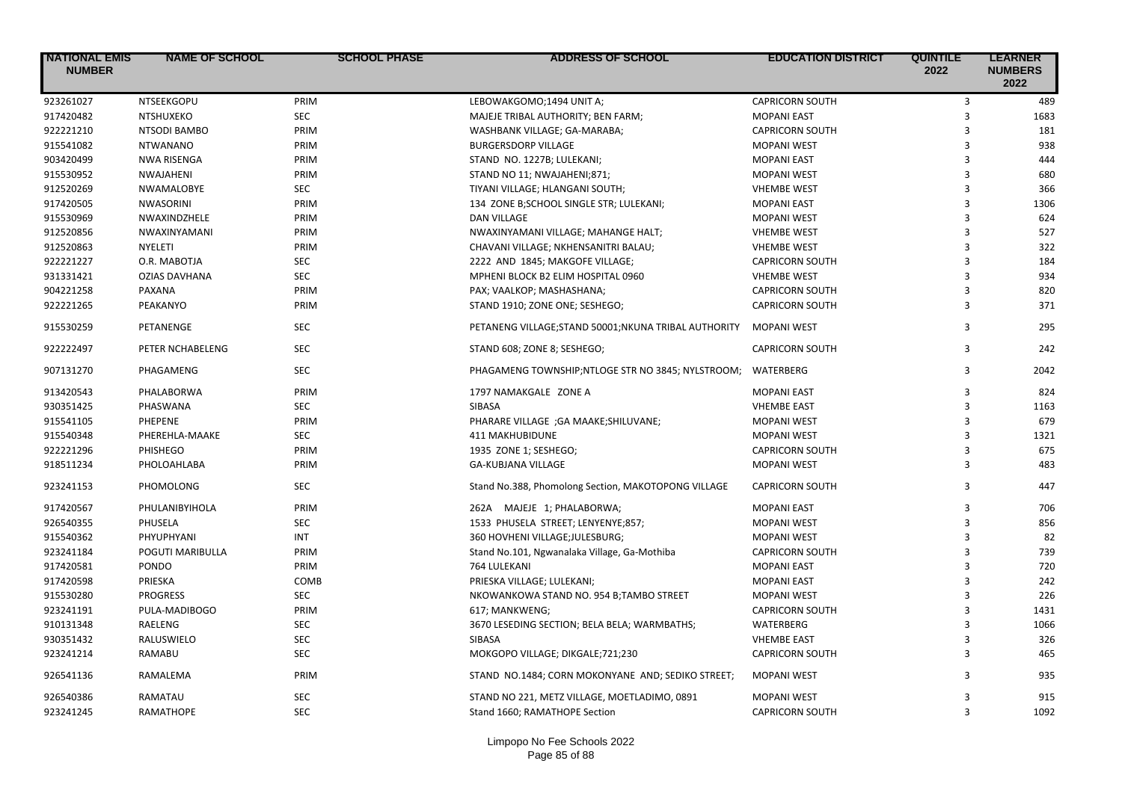| <b>NATIONAL EMIS</b><br><b>NUMBER</b> | <b>NAME OF SCHOOL</b> | <b>SCHOOL PHASE</b> | <b>ADDRESS OF SCHOOL</b>                              | <b>EDUCATION DISTRICT</b> | <b>QUINTILE</b><br>2022 | <b>LEARNER</b><br><b>NUMBERS</b><br>2022 |
|---------------------------------------|-----------------------|---------------------|-------------------------------------------------------|---------------------------|-------------------------|------------------------------------------|
| 923261027                             | NTSEEKGOPU            | PRIM                | LEBOWAKGOMO;1494 UNIT A;                              | <b>CAPRICORN SOUTH</b>    | 3                       | 489                                      |
| 917420482                             | <b>NTSHUXEKO</b>      | <b>SEC</b>          | MAJEJE TRIBAL AUTHORITY; BEN FARM;                    | <b>MOPANI EAST</b>        | $\overline{3}$          | 1683                                     |
| 922221210                             | NTSODI BAMBO          | PRIM                | WASHBANK VILLAGE; GA-MARABA;                          | <b>CAPRICORN SOUTH</b>    | 3                       | 181                                      |
| 915541082                             | <b>NTWANANO</b>       | PRIM                | <b>BURGERSDORP VILLAGE</b>                            | <b>MOPANI WEST</b>        | 3                       | 938                                      |
| 903420499                             | <b>NWA RISENGA</b>    | PRIM                | STAND NO. 1227B; LULEKANI;                            | <b>MOPANI EAST</b>        | 3                       | 444                                      |
| 915530952                             | NWAJAHENI             | PRIM                | STAND NO 11; NWAJAHENI;871;                           | <b>MOPANI WEST</b>        | 3                       | 680                                      |
| 912520269                             | NWAMALOBYE            | <b>SEC</b>          | TIYANI VILLAGE; HLANGANI SOUTH;                       | <b>VHEMBE WEST</b>        | $\overline{3}$          | 366                                      |
| 917420505                             | <b>NWASORINI</b>      | PRIM                | 134 ZONE B;SCHOOL SINGLE STR; LULEKANI;               | <b>MOPANI EAST</b>        | 3                       | 1306                                     |
| 915530969                             | NWAXINDZHELE          | PRIM                | <b>DAN VILLAGE</b>                                    | <b>MOPANI WEST</b>        | 3                       | 624                                      |
| 912520856                             | NWAXINYAMANI          | PRIM                | NWAXINYAMANI VILLAGE; MAHANGE HALT;                   | <b>VHEMBE WEST</b>        | 3                       | 527                                      |
| 912520863                             | NYELETI               | PRIM                | CHAVANI VILLAGE; NKHENSANITRI BALAU;                  | <b>VHEMBE WEST</b>        | 3                       | 322                                      |
| 922221227                             | O.R. MABOTJA          | <b>SEC</b>          | 2222 AND 1845; MAKGOFE VILLAGE;                       | <b>CAPRICORN SOUTH</b>    | 3                       | 184                                      |
| 931331421                             | <b>OZIAS DAVHANA</b>  | <b>SEC</b>          | MPHENI BLOCK B2 ELIM HOSPITAL 0960                    | <b>VHEMBE WEST</b>        | $\overline{3}$          | 934                                      |
| 904221258                             | PAXANA                | PRIM                | PAX; VAALKOP; MASHASHANA;                             | <b>CAPRICORN SOUTH</b>    | 3                       | 820                                      |
| 922221265                             | PEAKANYO              | PRIM                | STAND 1910; ZONE ONE; SESHEGO;                        | <b>CAPRICORN SOUTH</b>    | 3                       | 371                                      |
| 915530259                             | PETANENGE             | <b>SEC</b>          | PETANENG VILLAGE; STAND 50001; NKUNA TRIBAL AUTHORITY | <b>MOPANI WEST</b>        | 3                       | 295                                      |
| 922222497                             | PETER NCHABELENG      | <b>SEC</b>          | STAND 608; ZONE 8; SESHEGO;                           | <b>CAPRICORN SOUTH</b>    | 3                       | 242                                      |
| 907131270                             | PHAGAMENG             | <b>SEC</b>          | PHAGAMENG TOWNSHIP;NTLOGE STR NO 3845; NYLSTROOM;     | WATERBERG                 | 3                       | 2042                                     |
| 913420543                             | PHALABORWA            | PRIM                | 1797 NAMAKGALE ZONE A                                 | <b>MOPANI EAST</b>        | 3                       | 824                                      |
| 930351425                             | PHASWANA              | <b>SEC</b>          | SIBASA                                                | <b>VHEMBE EAST</b>        | 3                       | 1163                                     |
| 915541105                             | <b>PHEPENE</b>        | PRIM                | PHARARE VILLAGE ;GA MAAKE;SHILUVANE;                  | <b>MOPANI WEST</b>        | 3                       | 679                                      |
| 915540348                             | PHEREHLA-MAAKE        | <b>SEC</b>          | <b>411 MAKHUBIDUNE</b>                                | <b>MOPANI WEST</b>        | $\overline{3}$          | 1321                                     |
| 922221296                             | PHISHEGO              | PRIM                | 1935 ZONE 1; SESHEGO;                                 | <b>CAPRICORN SOUTH</b>    | 3                       | 675                                      |
| 918511234                             | PHOLOAHLABA           | PRIM                | <b>GA-KUBJANA VILLAGE</b>                             | <b>MOPANI WEST</b>        | 3                       | 483                                      |
| 923241153                             | PHOMOLONG             | <b>SEC</b>          | Stand No.388, Phomolong Section, MAKOTOPONG VILLAGE   | <b>CAPRICORN SOUTH</b>    | 3                       | 447                                      |
| 917420567                             | PHULANIBYIHOLA        | PRIM                | 262A MAJEJE 1; PHALABORWA;                            | <b>MOPANI EAST</b>        | 3                       | 706                                      |
| 926540355                             | PHUSELA               | <b>SEC</b>          | 1533 PHUSELA STREET; LENYENYE;857;                    | <b>MOPANI WEST</b>        | $\overline{3}$          | 856                                      |
| 915540362                             | PHYUPHYANI            | <b>INT</b>          | 360 HOVHENI VILLAGE; JULESBURG;                       | <b>MOPANI WEST</b>        | 3                       | 82                                       |
| 923241184                             | POGUTI MARIBULLA      | PRIM                | Stand No.101, Ngwanalaka Village, Ga-Mothiba          | <b>CAPRICORN SOUTH</b>    | 3                       | 739                                      |
| 917420581                             | PONDO                 | PRIM                | 764 LULEKANI                                          | <b>MOPANI EAST</b>        | 3                       | 720                                      |
| 917420598                             | PRIESKA               | COMB                | PRIESKA VILLAGE; LULEKANI;                            | <b>MOPANI EAST</b>        | 3                       | 242                                      |
| 915530280                             | <b>PROGRESS</b>       | <b>SEC</b>          | NKOWANKOWA STAND NO. 954 B;TAMBO STREET               | <b>MOPANI WEST</b>        | 3                       | 226                                      |
| 923241191                             | PULA-MADIBOGO         | PRIM                | 617; MANKWENG;                                        | <b>CAPRICORN SOUTH</b>    | 3                       | 1431                                     |
| 910131348                             | RAELENG               | <b>SEC</b>          | 3670 LESEDING SECTION; BELA BELA; WARMBATHS;          | WATERBERG                 | 3                       | 1066                                     |
| 930351432                             | RALUSWIELO            | <b>SEC</b>          | SIBASA                                                | <b>VHEMBE EAST</b>        | $\overline{3}$          | 326                                      |
| 923241214                             | <b>RAMABU</b>         | <b>SEC</b>          | MOKGOPO VILLAGE; DIKGALE;721;230                      | <b>CAPRICORN SOUTH</b>    | 3                       | 465                                      |
| 926541136                             | RAMALEMA              | PRIM                | STAND NO.1484; CORN MOKONYANE AND; SEDIKO STREET;     | <b>MOPANI WEST</b>        | 3                       | 935                                      |
| 926540386                             | RAMATAU               | <b>SEC</b>          | STAND NO 221, METZ VILLAGE, MOETLADIMO, 0891          | <b>MOPANI WEST</b>        | 3                       | 915                                      |
| 923241245                             | RAMATHOPE             | <b>SEC</b>          | Stand 1660; RAMATHOPE Section                         | <b>CAPRICORN SOUTH</b>    | 3                       | 1092                                     |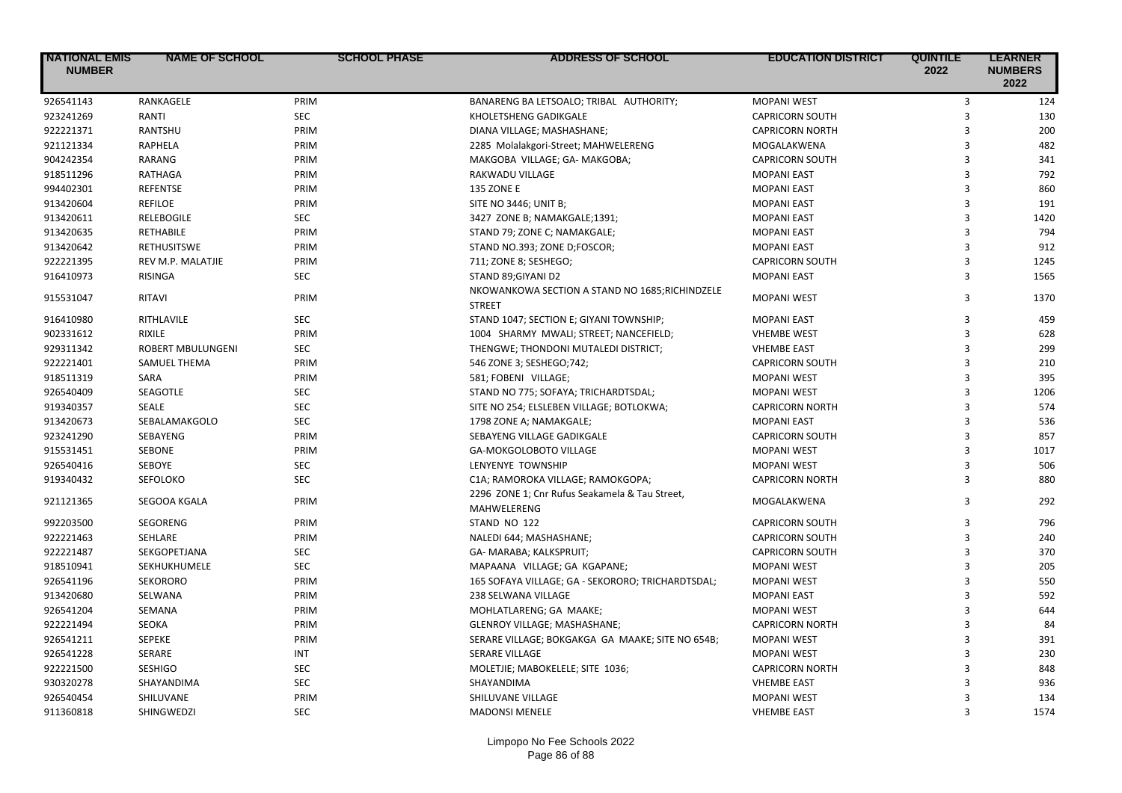| <b>NATIONAL EMIS</b><br><b>NUMBER</b> | <b>NAME OF SCHOOL</b>    | <b>SCHOOL PHASE</b> | <b>ADDRESS OF SCHOOL</b>                                         | <b>EDUCATION DISTRICT</b> | <b>QUINTILE</b><br>2022 | <b>LEARNER</b><br><b>NUMBERS</b><br>2022 |
|---------------------------------------|--------------------------|---------------------|------------------------------------------------------------------|---------------------------|-------------------------|------------------------------------------|
| 926541143                             | RANKAGELE                | PRIM                | BANARENG BA LETSOALO; TRIBAL AUTHORITY;                          | <b>MOPANI WEST</b>        | 3                       | 124                                      |
| 923241269                             | RANTI                    | SEC                 | KHOLETSHENG GADIKGALE                                            | <b>CAPRICORN SOUTH</b>    | $\overline{3}$          | 130                                      |
| 922221371                             | RANTSHU                  | PRIM                | DIANA VILLAGE; MASHASHANE;                                       | <b>CAPRICORN NORTH</b>    | $\overline{3}$          | 200                                      |
| 921121334                             | <b>RAPHELA</b>           | PRIM                | 2285 Molalakgori-Street; MAHWELERENG                             | MOGALAKWENA               | $\overline{3}$          | 482                                      |
| 904242354                             | RARANG                   | PRIM                | MAKGOBA VILLAGE; GA- MAKGOBA;                                    | <b>CAPRICORN SOUTH</b>    | 3                       | 341                                      |
| 918511296                             | <b>RATHAGA</b>           | PRIM                | RAKWADU VILLAGE                                                  | <b>MOPANI EAST</b>        | $\overline{3}$          | 792                                      |
| 994402301                             | <b>REFENTSE</b>          | PRIM                | <b>135 ZONE E</b>                                                | <b>MOPANI EAST</b>        | 3                       | 860                                      |
| 913420604                             | <b>REFILOE</b>           | PRIM                | SITE NO 3446; UNIT B;                                            | <b>MOPANI EAST</b>        | 3                       | 191                                      |
| 913420611                             | <b>RELEBOGILE</b>        | <b>SEC</b>          | 3427 ZONE B; NAMAKGALE;1391;                                     | <b>MOPANI EAST</b>        | 3                       | 1420                                     |
| 913420635                             | RETHABILE                | PRIM                | STAND 79; ZONE C; NAMAKGALE;                                     | <b>MOPANI EAST</b>        | 3                       | 794                                      |
| 913420642                             | <b>RETHUSITSWE</b>       | PRIM                | STAND NO.393; ZONE D;FOSCOR;                                     | <b>MOPANI EAST</b>        | 3                       | 912                                      |
| 922221395                             | REV M.P. MALATJIE        | PRIM                | 711; ZONE 8; SESHEGO;                                            | <b>CAPRICORN SOUTH</b>    | 3                       | 1245                                     |
| 916410973                             | <b>RISINGA</b>           | <b>SEC</b>          | STAND 89;GIYANI D2                                               | <b>MOPANI EAST</b>        | $\overline{\mathbf{3}}$ | 1565                                     |
| 915531047                             | <b>RITAVI</b>            | PRIM                | NKOWANKOWA SECTION A STAND NO 1685; RICHINDZELE<br><b>STREET</b> | <b>MOPANI WEST</b>        | 3                       | 1370                                     |
| 916410980                             | RITHLAVILE               | <b>SEC</b>          | STAND 1047; SECTION E; GIYANI TOWNSHIP;                          | <b>MOPANI EAST</b>        | 3                       | 459                                      |
| 902331612                             | <b>RIXILE</b>            | PRIM                | 1004 SHARMY MWALI; STREET; NANCEFIELD;                           | <b>VHEMBE WEST</b>        | 3                       | 628                                      |
| 929311342                             | <b>ROBERT MBULUNGENI</b> | <b>SEC</b>          | THENGWE; THONDONI MUTALEDI DISTRICT;                             | <b>VHEMBE EAST</b>        | 3                       | 299                                      |
| 922221401                             | SAMUEL THEMA             | PRIM                | 546 ZONE 3; SESHEGO;742;                                         | <b>CAPRICORN SOUTH</b>    | 3                       | 210                                      |
| 918511319                             | SARA                     | PRIM                | 581; FOBENI VILLAGE;                                             | <b>MOPANI WEST</b>        | 3                       | 395                                      |
| 926540409                             | SEAGOTLE                 | <b>SEC</b>          | STAND NO 775; SOFAYA; TRICHARDTSDAL;                             | <b>MOPANI WEST</b>        | 3                       | 1206                                     |
| 919340357                             | <b>SEALE</b>             | <b>SEC</b>          | SITE NO 254; ELSLEBEN VILLAGE; BOTLOKWA;                         | <b>CAPRICORN NORTH</b>    | 3                       | 574                                      |
| 913420673                             | SEBALAMAKGOLO            | <b>SEC</b>          | 1798 ZONE A; NAMAKGALE;                                          | <b>MOPANI EAST</b>        | 3                       | 536                                      |
| 923241290                             | SEBAYENG                 | PRIM                | SEBAYENG VILLAGE GADIKGALE                                       | <b>CAPRICORN SOUTH</b>    | 3                       | 857                                      |
| 915531451                             | SEBONE                   | PRIM                | GA-MOKGOLOBOTO VILLAGE                                           | <b>MOPANI WEST</b>        | $\overline{3}$          | 1017                                     |
| 926540416                             | SEBOYE                   | <b>SEC</b>          | LENYENYE TOWNSHIP                                                | <b>MOPANI WEST</b>        | 3                       | 506                                      |
| 919340432                             | SEFOLOKO                 | <b>SEC</b>          | C1A; RAMOROKA VILLAGE; RAMOKGOPA;                                | <b>CAPRICORN NORTH</b>    | $\overline{3}$          | 880                                      |
| 921121365                             | SEGOOA KGALA             | PRIM                | 2296 ZONE 1; Cnr Rufus Seakamela & Tau Street,<br>MAHWELERENG    | MOGALAKWENA               | 3                       | 292                                      |
| 992203500                             | <b>SEGORENG</b>          | PRIM                | STAND NO 122                                                     | <b>CAPRICORN SOUTH</b>    | 3                       | 796                                      |
| 922221463                             | <b>SEHLARE</b>           | PRIM                | NALEDI 644; MASHASHANE;                                          | <b>CAPRICORN SOUTH</b>    | $\overline{3}$          | 240                                      |
| 922221487                             | SEKGOPETJANA             | <b>SEC</b>          | GA- MARABA; KALKSPRUIT;                                          | <b>CAPRICORN SOUTH</b>    | $\overline{3}$          | 370                                      |
| 918510941                             | SEKHUKHUMELE             | SEC                 | MAPAANA VILLAGE; GA KGAPANE;                                     | <b>MOPANI WEST</b>        | 3                       | 205                                      |
| 926541196                             | <b>SEKORORO</b>          | PRIM                | 165 SOFAYA VILLAGE; GA - SEKORORO; TRICHARDTSDAL;                | <b>MOPANI WEST</b>        | 3                       | 550                                      |
| 913420680                             | SELWANA                  | PRIM                | 238 SELWANA VILLAGE                                              | <b>MOPANI EAST</b>        | 3                       | 592                                      |
| 926541204                             | <b>SEMANA</b>            | PRIM                | MOHLATLARENG; GA MAAKE;                                          | <b>MOPANI WEST</b>        | 3                       | 644                                      |
| 922221494                             | SEOKA                    | PRIM                | GLENROY VILLAGE; MASHASHANE;                                     | <b>CAPRICORN NORTH</b>    | $\overline{\mathbf{3}}$ | 84                                       |
| 926541211                             | <b>SEPEKE</b>            | PRIM                | SERARE VILLAGE; BOKGAKGA GA MAAKE; SITE NO 654B;                 | <b>MOPANI WEST</b>        | 3                       | 391                                      |
| 926541228                             | SERARE                   | <b>INT</b>          | SERARE VILLAGE                                                   | <b>MOPANI WEST</b>        | $\overline{3}$          | 230                                      |
| 922221500                             | <b>SESHIGO</b>           | <b>SEC</b>          | MOLETJIE; MABOKELELE; SITE 1036;                                 | <b>CAPRICORN NORTH</b>    | 3                       | 848                                      |
| 930320278                             | SHAYANDIMA               | SEC                 | SHAYANDIMA                                                       | <b>VHEMBE EAST</b>        | 3                       | 936                                      |
| 926540454                             | SHILUVANE                | PRIM                | SHILUVANE VILLAGE                                                | <b>MOPANI WEST</b>        | 3                       | 134                                      |
| 911360818                             | SHINGWEDZI               | <b>SEC</b>          | <b>MADONSI MENELE</b>                                            | <b>VHEMBE EAST</b>        | $\overline{\mathbf{3}}$ | 1574                                     |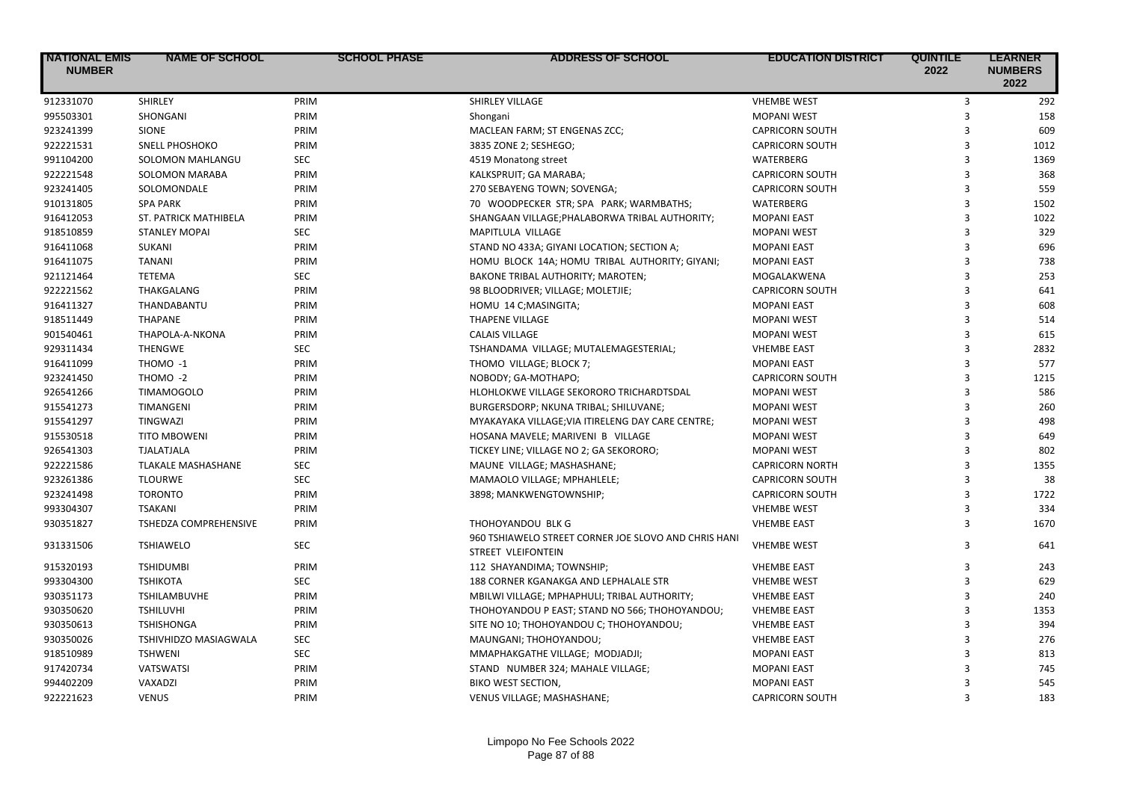| <b>NATIONAL EMIS</b><br><b>NUMBER</b> | <b>NAME OF SCHOOL</b>        | <b>SCHOOL PHASE</b> | <b>ADDRESS OF SCHOOL</b>                                                          | <b>EDUCATION DISTRICT</b> | <b>QUINTILE</b><br>2022 | <b>LEARNER</b><br><b>NUMBERS</b><br>2022 |
|---------------------------------------|------------------------------|---------------------|-----------------------------------------------------------------------------------|---------------------------|-------------------------|------------------------------------------|
| 912331070                             | SHIRLEY                      | PRIM                | SHIRLEY VILLAGE                                                                   | <b>VHEMBE WEST</b>        | 3                       | 292                                      |
| 995503301                             | SHONGANI                     | PRIM                | Shongani                                                                          | <b>MOPANI WEST</b>        | $\overline{3}$          | 158                                      |
| 923241399                             | <b>SIONE</b>                 | PRIM                | MACLEAN FARM; ST ENGENAS ZCC;                                                     | <b>CAPRICORN SOUTH</b>    | 3                       | 609                                      |
| 922221531                             | <b>SNELL PHOSHOKO</b>        | PRIM                | 3835 ZONE 2; SESHEGO;                                                             | <b>CAPRICORN SOUTH</b>    | $\overline{3}$          | 1012                                     |
| 991104200                             | SOLOMON MAHLANGU             | <b>SEC</b>          | 4519 Monatong street                                                              | <b>WATERBERG</b>          | $\overline{\mathbf{3}}$ | 1369                                     |
| 922221548                             | <b>SOLOMON MARABA</b>        | PRIM                | KALKSPRUIT; GA MARABA;                                                            | <b>CAPRICORN SOUTH</b>    | 3                       | 368                                      |
| 923241405                             | SOLOMONDALE                  | PRIM                | 270 SEBAYENG TOWN; SOVENGA;                                                       | <b>CAPRICORN SOUTH</b>    | $\overline{3}$          | 559                                      |
| 910131805                             | <b>SPA PARK</b>              | PRIM                | 70 WOODPECKER STR; SPA PARK; WARMBATHS;                                           | <b>WATERBERG</b>          | 3                       | 1502                                     |
| 916412053                             | ST. PATRICK MATHIBELA        | PRIM                | SHANGAAN VILLAGE; PHALABORWA TRIBAL AUTHORITY;                                    | <b>MOPANI EAST</b>        | $\overline{3}$          | 1022                                     |
| 918510859                             | <b>STANLEY MOPAI</b>         | <b>SEC</b>          | MAPITLULA VILLAGE                                                                 | <b>MOPANI WEST</b>        | 3                       | 329                                      |
| 916411068                             | SUKANI                       | PRIM                | STAND NO 433A; GIYANI LOCATION; SECTION A;                                        | <b>MOPANI EAST</b>        | $\overline{3}$          | 696                                      |
| 916411075                             | <b>TANANI</b>                | PRIM                | HOMU BLOCK 14A; HOMU TRIBAL AUTHORITY; GIYANI;                                    | <b>MOPANI EAST</b>        | $\overline{\mathbf{3}}$ | 738                                      |
| 921121464                             | <b>TETEMA</b>                | <b>SEC</b>          | <b>BAKONE TRIBAL AUTHORITY; MAROTEN;</b>                                          | MOGALAKWENA               | 3                       | 253                                      |
| 922221562                             | THAKGALANG                   | PRIM                | 98 BLOODRIVER; VILLAGE; MOLETJIE;                                                 | <b>CAPRICORN SOUTH</b>    | 3                       | 641                                      |
| 916411327                             | THANDABANTU                  | PRIM                | HOMU 14 C;MASINGITA;                                                              | <b>MOPANI EAST</b>        | 3                       | 608                                      |
| 918511449                             | <b>THAPANE</b>               | PRIM                | <b>THAPENE VILLAGE</b>                                                            | <b>MOPANI WEST</b>        | 3                       | 514                                      |
| 901540461                             | THAPOLA-A-NKONA              | PRIM                | <b>CALAIS VILLAGE</b>                                                             | <b>MOPANI WEST</b>        | 3                       | 615                                      |
| 929311434                             | <b>THENGWE</b>               | <b>SEC</b>          | TSHANDAMA VILLAGE; MUTALEMAGESTERIAL;                                             | <b>VHEMBE EAST</b>        | 3                       | 2832                                     |
| 916411099                             | THOMO -1                     | PRIM                | THOMO VILLAGE; BLOCK 7;                                                           | <b>MOPANI EAST</b>        | 3                       | 577                                      |
| 923241450                             | THOMO -2                     | PRIM                | NOBODY; GA-MOTHAPO;                                                               | <b>CAPRICORN SOUTH</b>    | 3                       | 1215                                     |
| 926541266                             | <b>TIMAMOGOLO</b>            | PRIM                | HLOHLOKWE VILLAGE SEKORORO TRICHARDTSDAL                                          | <b>MOPANI WEST</b>        | 3                       | 586                                      |
| 915541273                             | <b>TIMANGENI</b>             | PRIM                | BURGERSDORP; NKUNA TRIBAL; SHILUVANE;                                             | <b>MOPANI WEST</b>        | 3                       | 260                                      |
| 915541297                             | <b>TINGWAZI</b>              | PRIM                | MYAKAYAKA VILLAGE; VIA ITIRELENG DAY CARE CENTRE;                                 | <b>MOPANI WEST</b>        | 3                       | 498                                      |
| 915530518                             | <b>TITO MBOWENI</b>          | PRIM                | HOSANA MAVELE; MARIVENI B VILLAGE                                                 | <b>MOPANI WEST</b>        | $\mathbf{a}$            | 649                                      |
| 926541303                             | <b>TJALATJALA</b>            | PRIM                | TICKEY LINE; VILLAGE NO 2; GA SEKORORO;                                           | <b>MOPANI WEST</b>        | 3                       | 802                                      |
| 922221586                             | <b>TLAKALE MASHASHANE</b>    | <b>SEC</b>          | MAUNE VILLAGE; MASHASHANE;                                                        | <b>CAPRICORN NORTH</b>    | $\overline{3}$          | 1355                                     |
| 923261386                             | <b>TLOURWE</b>               | <b>SEC</b>          | MAMAOLO VILLAGE; MPHAHLELE;                                                       | <b>CAPRICORN SOUTH</b>    | 3                       | 38                                       |
| 923241498                             | <b>TORONTO</b>               | PRIM                | 3898; MANKWENGTOWNSHIP;                                                           | <b>CAPRICORN SOUTH</b>    | $\overline{3}$          | 1722                                     |
| 993304307                             | <b>TSAKANI</b>               | PRIM                |                                                                                   | <b>VHEMBE WEST</b>        | 3                       | 334                                      |
| 930351827                             | <b>TSHEDZA COMPREHENSIVE</b> | PRIM                | THOHOYANDOU BLK G                                                                 | <b>VHEMBE EAST</b>        | 3                       | 1670                                     |
| 931331506                             | <b>TSHIAWELO</b>             | SEC                 | 960 TSHIAWELO STREET CORNER JOE SLOVO AND CHRIS HANI<br><b>STREET VLEIFONTEIN</b> | <b>VHEMBE WEST</b>        | 3                       | 641                                      |
| 915320193                             | <b>TSHIDUMBI</b>             | PRIM                | 112 SHAYANDIMA; TOWNSHIP;                                                         | <b>VHEMBE EAST</b>        | 3                       | 243                                      |
| 993304300                             | <b>TSHIKOTA</b>              | SEC                 | 188 CORNER KGANAKGA AND LEPHALALE STR                                             | <b>VHEMBE WEST</b>        | 3                       | 629                                      |
| 930351173                             | TSHILAMBUVHE                 | PRIM                | MBILWI VILLAGE; MPHAPHULI; TRIBAL AUTHORITY;                                      | <b>VHEMBE EAST</b>        | 3                       | 240                                      |
| 930350620                             | <b>TSHILUVHI</b>             | PRIM                | THOHOYANDOU P EAST; STAND NO 566; THOHOYANDOU;                                    | <b>VHEMBE EAST</b>        | $\overline{3}$          | 1353                                     |
| 930350613                             | <b>TSHISHONGA</b>            | PRIM                | SITE NO 10; THOHOYANDOU C; THOHOYANDOU;                                           | <b>VHEMBE EAST</b>        | 3                       | 394                                      |
| 930350026                             | TSHIVHIDZO MASIAGWALA        | <b>SEC</b>          | MAUNGANI; THOHOYANDOU;                                                            | <b>VHEMBE EAST</b>        | 3                       | 276                                      |
| 918510989                             | <b>TSHWENI</b>               | <b>SEC</b>          | MMAPHAKGATHE VILLAGE; MODJADJI;                                                   | <b>MOPANI EAST</b>        | 3                       | 813                                      |
| 917420734                             | <b>VATSWATSI</b>             | PRIM                | STAND NUMBER 324; MAHALE VILLAGE;                                                 | <b>MOPANI EAST</b>        | 3                       | 745                                      |
| 994402209                             | VAXADZI                      | PRIM                | BIKO WEST SECTION,                                                                | <b>MOPANI EAST</b>        | 3                       | 545                                      |
| 922221623                             | <b>VENUS</b>                 | PRIM                | VENUS VILLAGE; MASHASHANE;                                                        | <b>CAPRICORN SOUTH</b>    | $\mathbf{a}$            | 183                                      |